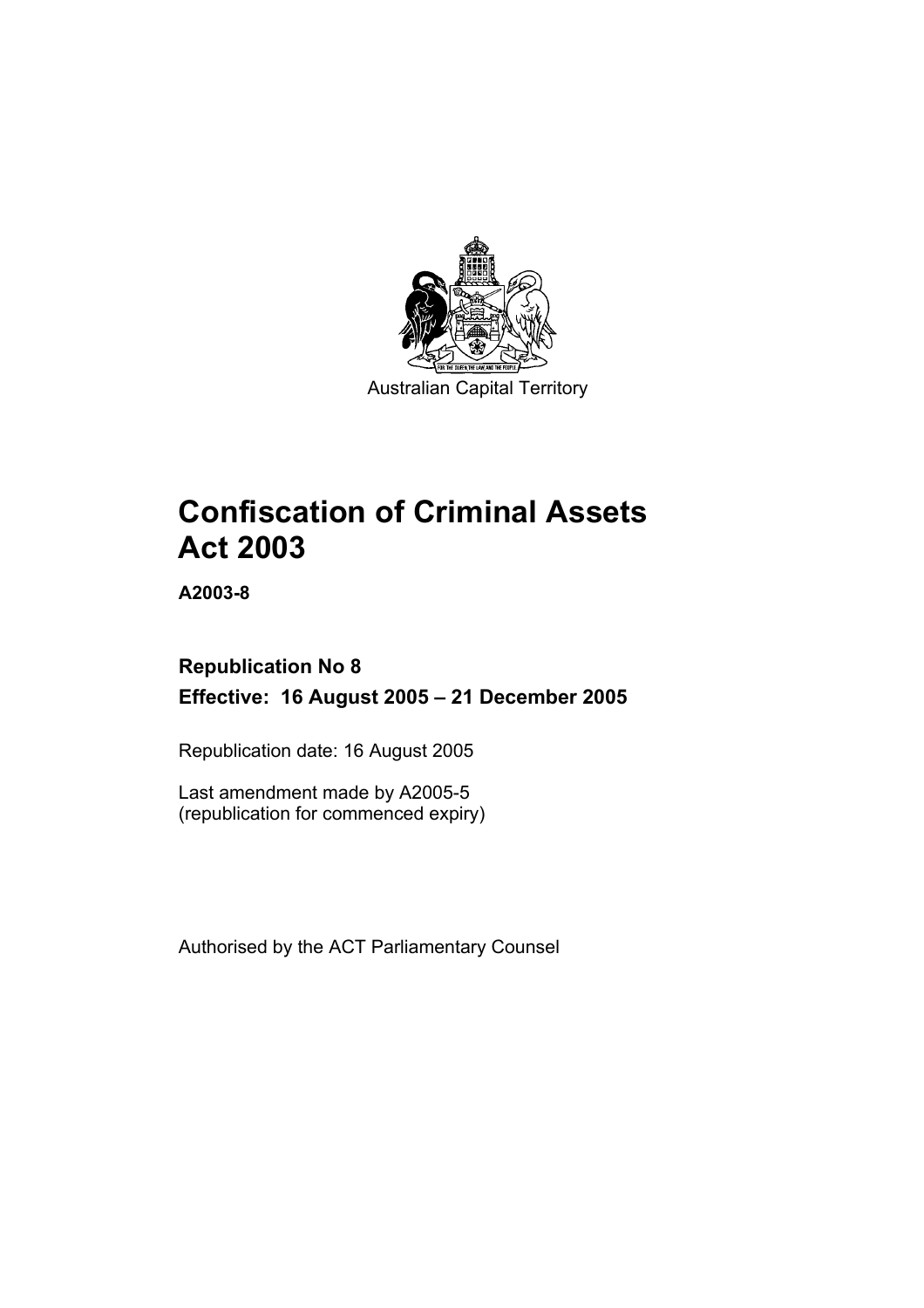

Australian Capital Territory

# **Confiscation of Criminal Assets Act 2003**

**A2003-8** 

## **Republication No 8 Effective: 16 August 2005 – 21 December 2005**

Republication date: 16 August 2005

Last amendment made by A2005-5 (republication for commenced expiry)

Authorised by the ACT Parliamentary Counsel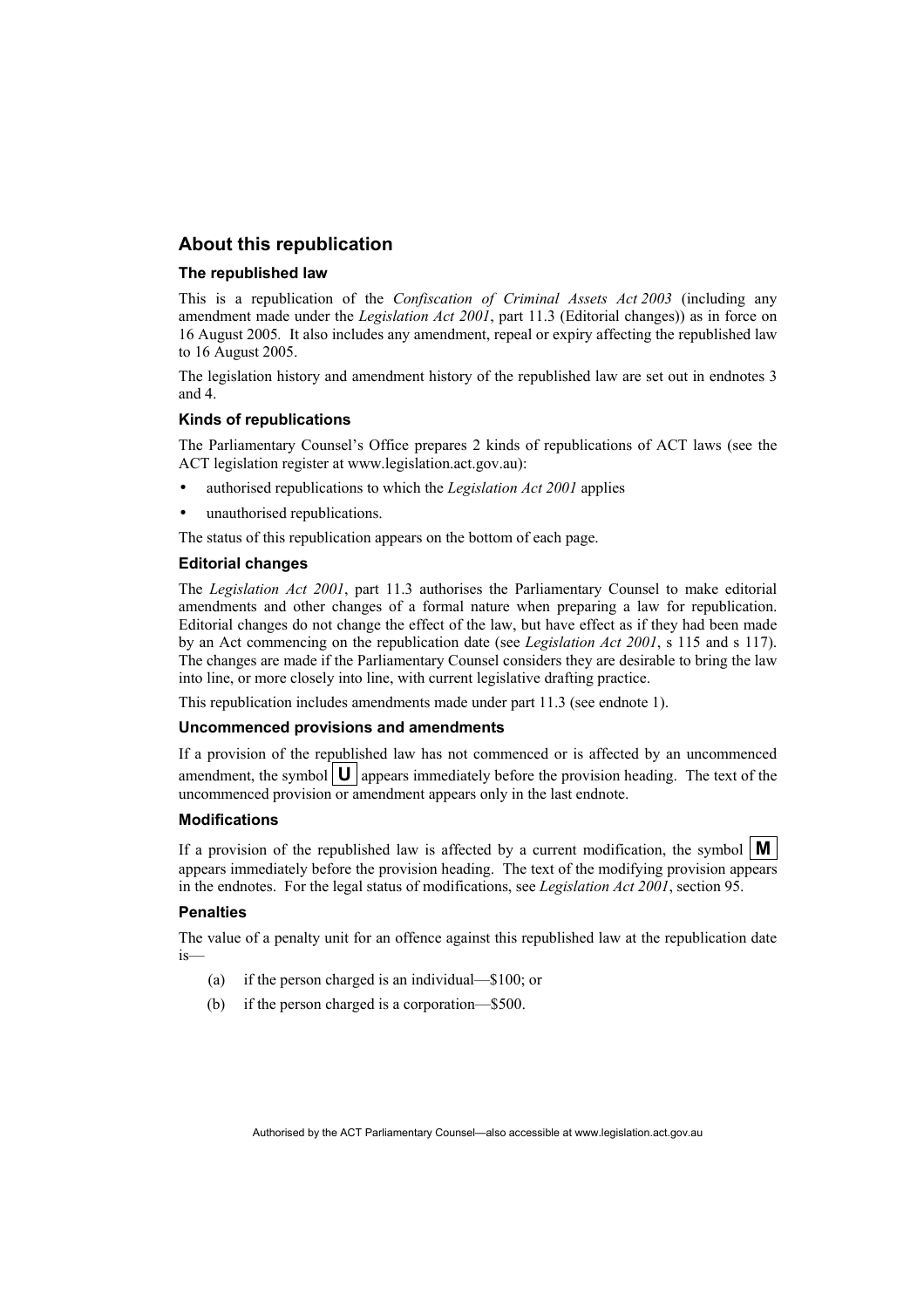## **About this republication**

### **The republished law**

This is a republication of the *Confiscation of Criminal Assets Act 2003* (including any amendment made under the *Legislation Act 2001*, part 11.3 (Editorial changes)) as in force on 16 August 2005*.* It also includes any amendment, repeal or expiry affecting the republished law to 16 August 2005.

The legislation history and amendment history of the republished law are set out in endnotes 3 and 4.

### **Kinds of republications**

The Parliamentary Counsel's Office prepares 2 kinds of republications of ACT laws (see the ACT legislation register at www.legislation.act.gov.au):

- authorised republications to which the *Legislation Act 2001* applies
- unauthorised republications.

The status of this republication appears on the bottom of each page.

### **Editorial changes**

The *Legislation Act 2001*, part 11.3 authorises the Parliamentary Counsel to make editorial amendments and other changes of a formal nature when preparing a law for republication. Editorial changes do not change the effect of the law, but have effect as if they had been made by an Act commencing on the republication date (see *Legislation Act 2001*, s 115 and s 117). The changes are made if the Parliamentary Counsel considers they are desirable to bring the law into line, or more closely into line, with current legislative drafting practice.

This republication includes amendments made under part 11.3 (see endnote 1).

### **Uncommenced provisions and amendments**

If a provision of the republished law has not commenced or is affected by an uncommenced amendment, the symbol  $\mathbf{U}$  appears immediately before the provision heading. The text of the uncommenced provision or amendment appears only in the last endnote.

### **Modifications**

If a provision of the republished law is affected by a current modification, the symbol  $\mathbf{M}$ appears immediately before the provision heading. The text of the modifying provision appears in the endnotes. For the legal status of modifications, see *Legislation Act 2001*, section 95.

### **Penalties**

The value of a penalty unit for an offence against this republished law at the republication date is—

- (a) if the person charged is an individual—\$100; or
- (b) if the person charged is a corporation—\$500.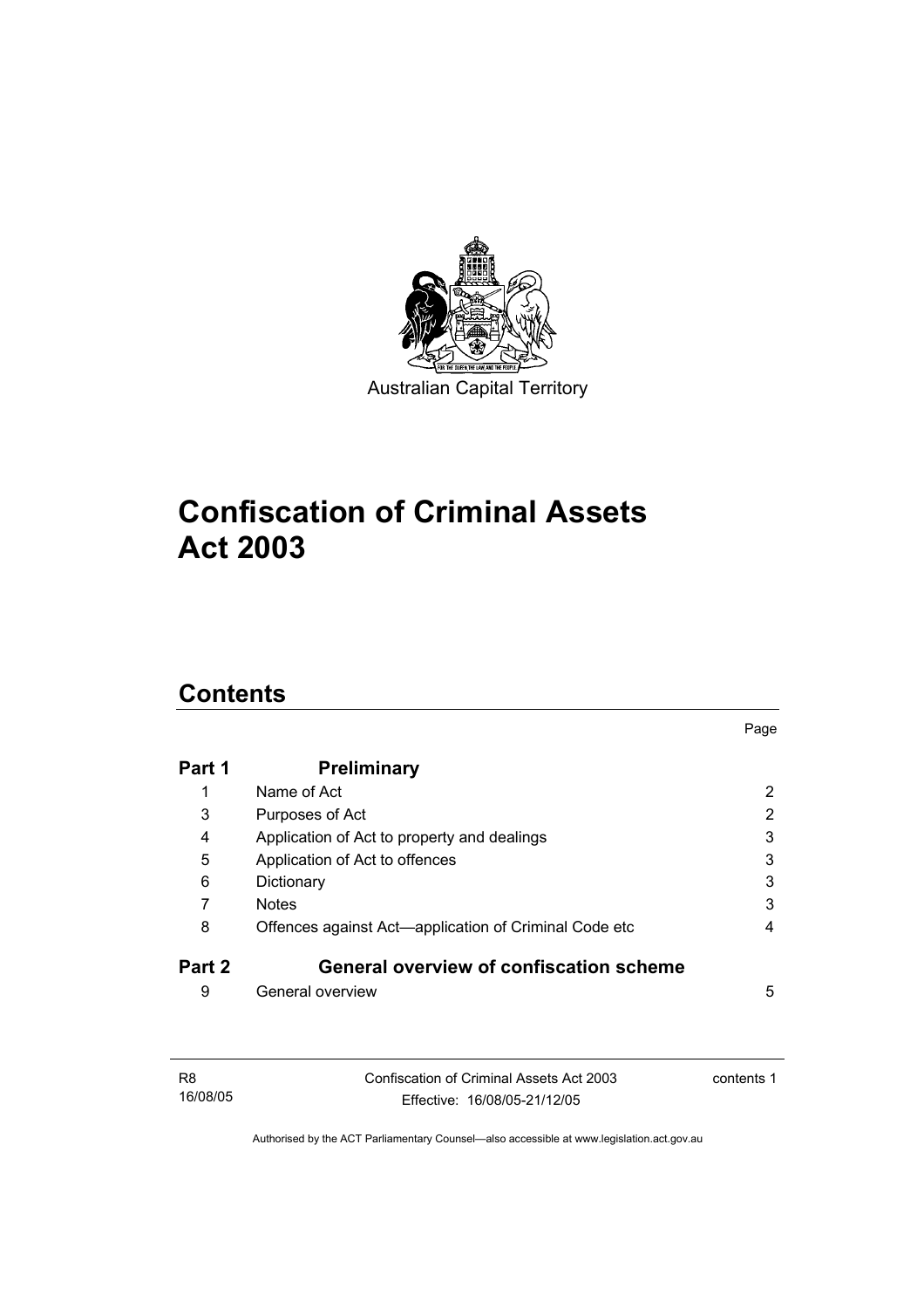

# **Confiscation of Criminal Assets Act 2003**

## **Contents**

| Part 1 | <b>Preliminary</b>                                    |   |
|--------|-------------------------------------------------------|---|
| 1      | Name of Act                                           | 2 |
| 3      | Purposes of Act                                       | 2 |
| 4      | Application of Act to property and dealings           | 3 |
| 5      | Application of Act to offences                        | 3 |
| 6      | Dictionary                                            | 3 |
|        | <b>Notes</b>                                          | 3 |
| 8      | Offences against Act-application of Criminal Code etc | 4 |
| Part 2 | <b>General overview of confiscation scheme</b>        |   |
| 9      | General overview                                      | 5 |

Page

| R8       | Confiscation of Criminal Assets Act 2003 | contents 1 |
|----------|------------------------------------------|------------|
| 16/08/05 | Effective: 16/08/05-21/12/05             |            |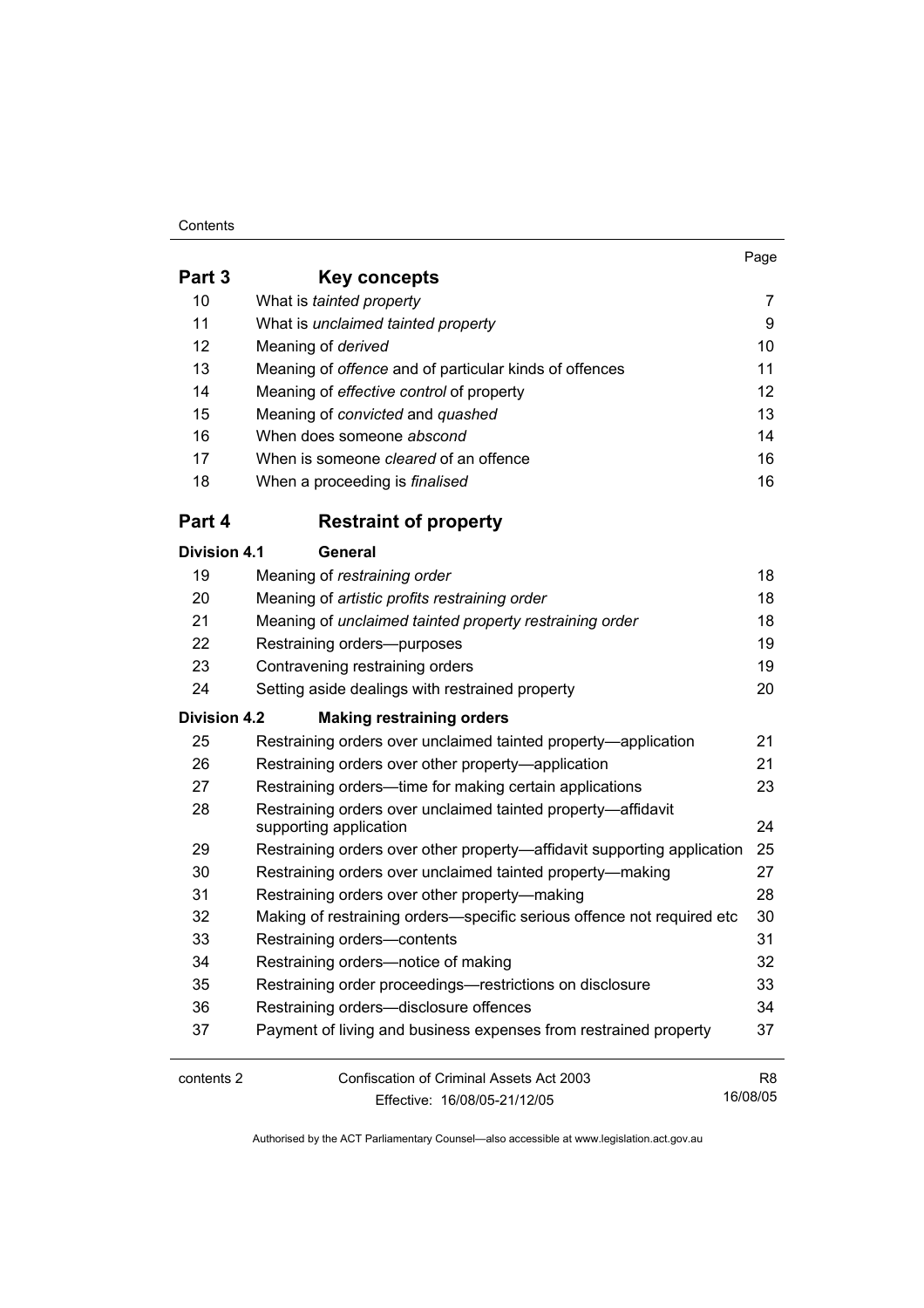### **Contents**

|                     |                                                                                        | Page            |
|---------------------|----------------------------------------------------------------------------------------|-----------------|
| Part 3              | Key concepts                                                                           |                 |
| 10                  | What is tainted property                                                               | 7               |
| 11                  | What is unclaimed tainted property                                                     | 9               |
| 12                  | Meaning of derived                                                                     | 10 <sup>°</sup> |
| 13                  | Meaning of offence and of particular kinds of offences                                 | 11              |
| 14                  | Meaning of effective control of property                                               | 12              |
| 15                  | Meaning of convicted and quashed                                                       | 13              |
| 16                  | When does someone abscond                                                              | 14              |
| 17                  | When is someone cleared of an offence                                                  | 16              |
| 18                  | When a proceeding is <i>finalised</i>                                                  | 16              |
| Part 4              | <b>Restraint of property</b>                                                           |                 |
| <b>Division 4.1</b> | General                                                                                |                 |
| 19                  | Meaning of restraining order                                                           | 18              |
| 20                  | Meaning of artistic profits restraining order                                          | 18              |
| 21                  | Meaning of unclaimed tainted property restraining order                                | 18              |
| 22                  | Restraining orders--purposes                                                           | 19              |
| 23                  | Contravening restraining orders                                                        | 19              |
| 24                  | Setting aside dealings with restrained property                                        | 20              |
| <b>Division 4.2</b> | <b>Making restraining orders</b>                                                       |                 |
| 25                  | Restraining orders over unclaimed tainted property—application                         | 21              |
| 26                  | Restraining orders over other property—application                                     | 21              |
| 27                  | Restraining orders—time for making certain applications                                | 23              |
| 28                  | Restraining orders over unclaimed tainted property-affidavit<br>supporting application | 24              |
| 29                  | Restraining orders over other property—affidavit supporting application                | 25              |
| 30                  | Restraining orders over unclaimed tainted property-making                              | 27              |
| 31                  | Restraining orders over other property-making                                          | 28              |
| 32                  | Making of restraining orders-specific serious offence not required etc                 | 30              |
| 33                  | Restraining orders-contents                                                            | 31              |
| 34                  | Restraining orders-notice of making                                                    | 32              |
|                     |                                                                                        |                 |

 Restraining order proceedings—restrictions on disclosure 33 Restraining orders—disclosure offences 34 Payment of living and business expenses from restrained property 37

| contents 2 | Confiscation of Criminal Assets Act 2003 | R8       |
|------------|------------------------------------------|----------|
|            | Effective: 16/08/05-21/12/05             | 16/08/05 |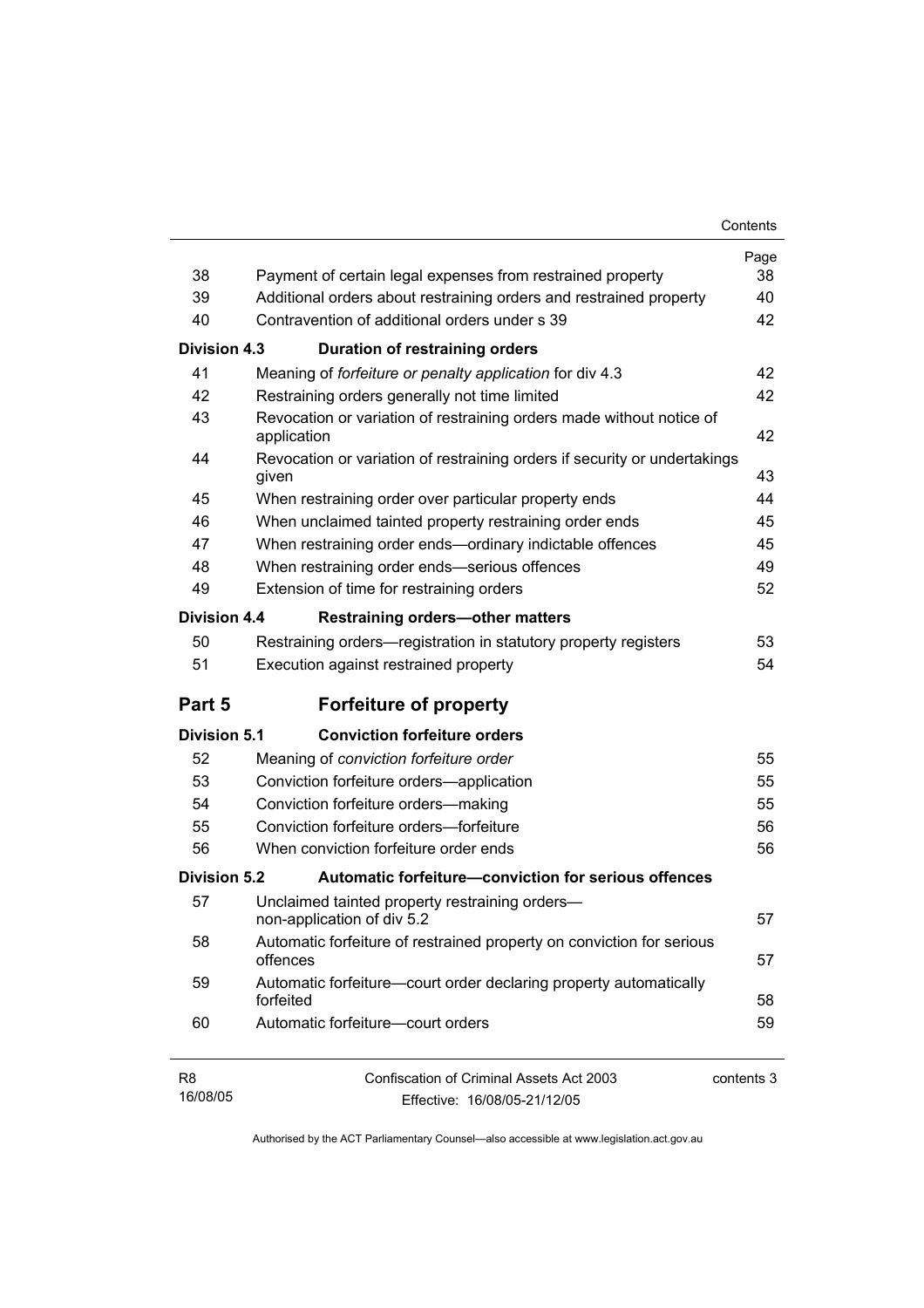| 38                  |                                                                                                                                  | Page<br>38 |
|---------------------|----------------------------------------------------------------------------------------------------------------------------------|------------|
| 39                  | Payment of certain legal expenses from restrained property<br>Additional orders about restraining orders and restrained property | 40         |
| 40                  | Contravention of additional orders under s 39                                                                                    | 42         |
|                     |                                                                                                                                  |            |
| Division 4.3        | Duration of restraining orders                                                                                                   |            |
| 41                  | Meaning of forfeiture or penalty application for div 4.3                                                                         | 42         |
| 42                  | Restraining orders generally not time limited                                                                                    | 42         |
| 43                  | Revocation or variation of restraining orders made without notice of<br>application                                              | 42         |
| 44                  | Revocation or variation of restraining orders if security or undertakings<br>given                                               | 43         |
| 45                  | When restraining order over particular property ends                                                                             | 44         |
| 46                  | When unclaimed tainted property restraining order ends                                                                           | 45         |
| 47                  | When restraining order ends-ordinary indictable offences                                                                         | 45         |
| 48                  | When restraining order ends-serious offences                                                                                     | 49         |
| 49                  | Extension of time for restraining orders                                                                                         | 52         |
| Division 4.4        | <b>Restraining orders-other matters</b>                                                                                          |            |
| 50                  | Restraining orders—registration in statutory property registers                                                                  | 53         |
| 51                  | Execution against restrained property                                                                                            | 54         |
| Part 5              | <b>Forfeiture of property</b>                                                                                                    |            |
| <b>Division 5.1</b> | <b>Conviction forfeiture orders</b>                                                                                              |            |
| 52                  | Meaning of conviction forfeiture order                                                                                           | 55         |
| 53                  | Conviction forfeiture orders-application                                                                                         | 55         |
| 54                  | Conviction forfeiture orders-making                                                                                              | 55         |
| 55                  | Conviction forfeiture orders-forfeiture                                                                                          | 56         |
| 56                  | When conviction forfeiture order ends                                                                                            | 56         |
| Division 5.2        | Automatic forfeiture-conviction for serious offences                                                                             |            |
| 57                  | Unclaimed tainted property restraining orders-<br>non-application of div 5.2                                                     | 57         |
| 58                  | Automatic forfeiture of restrained property on conviction for serious<br>offences                                                | 57         |
| 59                  | Automatic forfeiture-court order declaring property automatically<br>forfeited                                                   | 58         |
| 60                  | Automatic forfeiture-court orders                                                                                                | 59         |
| R8<br>16/08/05      | Confiscation of Criminal Assets Act 2003<br>Fffective: 16/08/05-21/12/05                                                         | contents 3 |

Effective: 16/08/05-21/12/05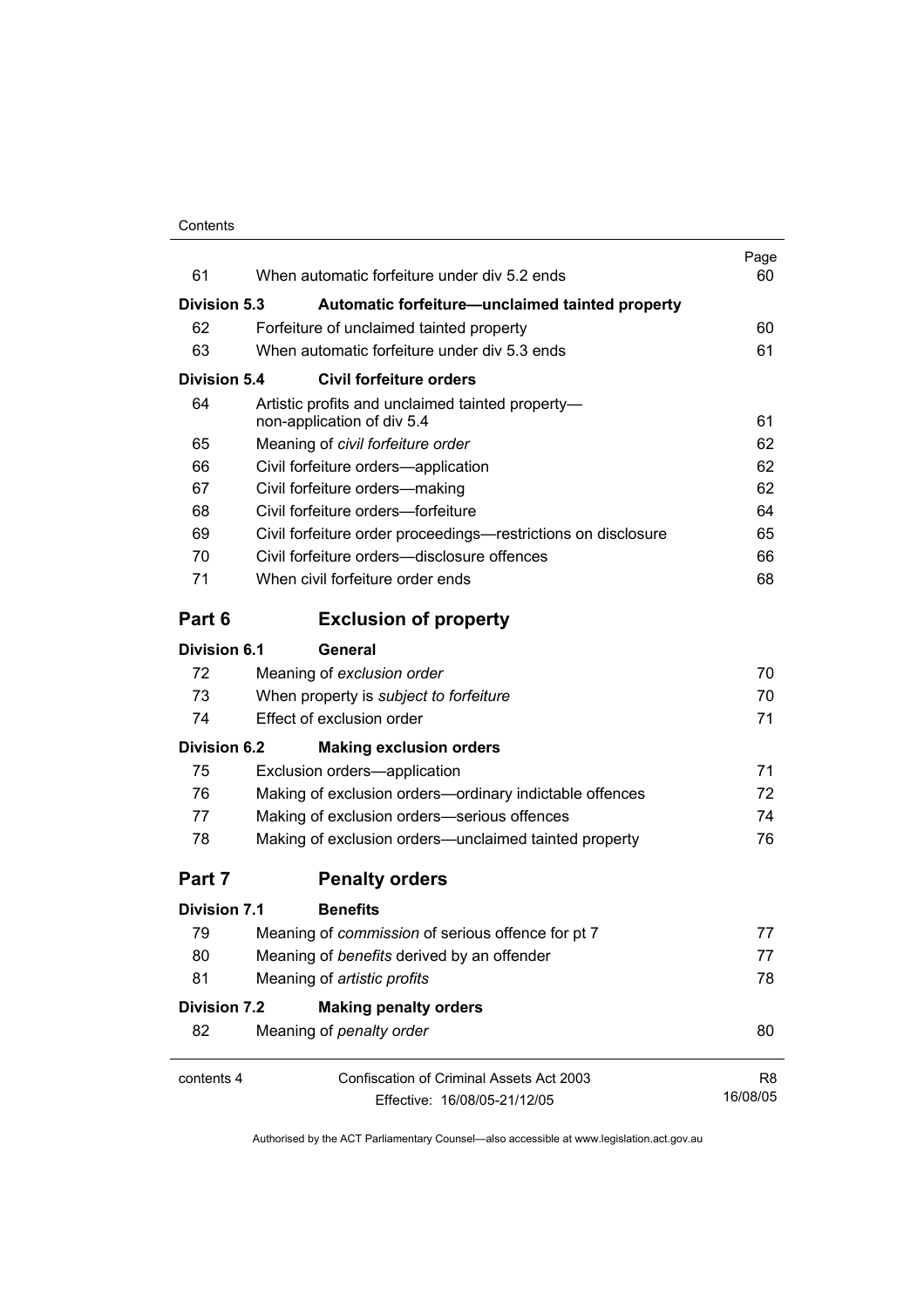| 61                  | When automatic forfeiture under div 5.2 ends                                   | Page<br>60 |
|---------------------|--------------------------------------------------------------------------------|------------|
| <b>Division 5.3</b> | Automatic forfeiture-unclaimed tainted property                                |            |
| 62                  | Forfeiture of unclaimed tainted property                                       | 60         |
| 63                  | When automatic forfeiture under div 5.3 ends                                   | 61         |
| Division 5.4        | <b>Civil forfeiture orders</b>                                                 |            |
| 64                  | Artistic profits and unclaimed tainted property-<br>non-application of div 5.4 | 61         |
| 65                  | Meaning of civil forfeiture order                                              | 62         |
| 66                  | Civil forfeiture orders-application                                            | 62         |
| 67                  | Civil forfeiture orders-making                                                 | 62         |
| 68                  | Civil forfeiture orders-forfeiture                                             | 64         |
| 69                  | Civil forfeiture order proceedings—restrictions on disclosure                  | 65         |
| 70                  | Civil forfeiture orders—disclosure offences                                    | 66         |
| 71                  | When civil forfeiture order ends                                               | 68         |
| Part 6              | <b>Exclusion of property</b>                                                   |            |
| Division 6.1        | General                                                                        |            |
| 72                  | Meaning of exclusion order                                                     | 70         |
| 73                  | When property is subject to forfeiture                                         | 70         |
| 74                  | Effect of exclusion order                                                      | 71         |
| <b>Division 6.2</b> | <b>Making exclusion orders</b>                                                 |            |
| 75                  | Exclusion orders-application                                                   | 71         |
| 76                  | Making of exclusion orders-ordinary indictable offences                        | 72         |
| 77                  | Making of exclusion orders-serious offences                                    | 74         |
| 78                  | Making of exclusion orders-unclaimed tainted property                          | 76         |
| Part 7              | <b>Penalty orders</b>                                                          |            |
| Division 7.1        | <b>Benefits</b>                                                                |            |
| 79                  | Meaning of commission of serious offence for pt 7                              | 77         |
| 80                  | Meaning of benefits derived by an offender                                     | 77         |
| 81                  | Meaning of artistic profits                                                    | 78         |
| <b>Division 7.2</b> | <b>Making penalty orders</b>                                                   |            |
| 82                  | Meaning of penalty order                                                       | 80         |
| contents 4          | <b>Confiscation of Criminal Assets Act 2003</b>                                | R8         |
|                     | Effective: 16/08/05-21/12/05                                                   | 16/08/05   |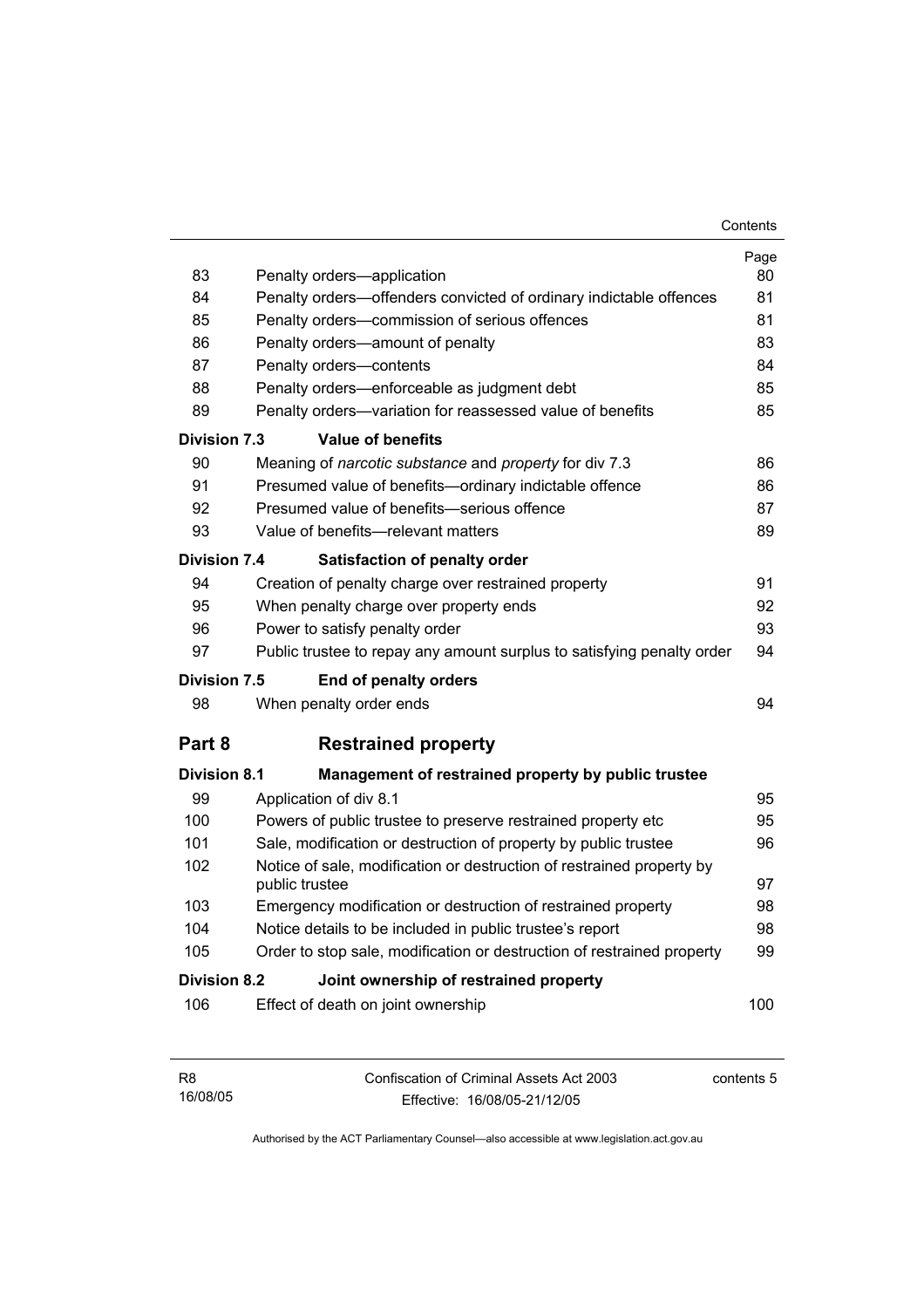| 83                                                     | Penalty orders-application                                                              | Page<br>80 |  |  |
|--------------------------------------------------------|-----------------------------------------------------------------------------------------|------------|--|--|
| 84                                                     | Penalty orders-offenders convicted of ordinary indictable offences                      | 81         |  |  |
| 85                                                     | Penalty orders-commission of serious offences                                           | 81         |  |  |
| 86                                                     | Penalty orders-amount of penalty                                                        | 83         |  |  |
| 87                                                     | Penalty orders-contents                                                                 | 84         |  |  |
| 88                                                     | Penalty orders—enforceable as judgment debt                                             | 85         |  |  |
| 89                                                     | Penalty orders-variation for reassessed value of benefits                               | 85         |  |  |
| Division 7.3                                           | Value of benefits                                                                       |            |  |  |
| 90                                                     | Meaning of <i>narcotic substance</i> and <i>property</i> for div 7.3                    | 86         |  |  |
| 91                                                     | Presumed value of benefits-ordinary indictable offence                                  | 86         |  |  |
| 92                                                     | Presumed value of benefits-serious offence                                              | 87         |  |  |
| 93                                                     | Value of benefits-relevant matters                                                      | 89         |  |  |
| <b>Division 7.4</b>                                    | <b>Satisfaction of penalty order</b>                                                    |            |  |  |
| 94                                                     | Creation of penalty charge over restrained property                                     | 91         |  |  |
| 95                                                     | When penalty charge over property ends                                                  | 92         |  |  |
| 96                                                     | Power to satisfy penalty order                                                          | 93         |  |  |
| 97                                                     | Public trustee to repay any amount surplus to satisfying penalty order                  | 94         |  |  |
| Division 7.5                                           | <b>End of penalty orders</b>                                                            |            |  |  |
| 98                                                     | When penalty order ends                                                                 | 94         |  |  |
| Part 8                                                 | <b>Restrained property</b>                                                              |            |  |  |
| <b>Division 8.1</b>                                    | Management of restrained property by public trustee                                     |            |  |  |
| 99                                                     | Application of div 8.1                                                                  | 95         |  |  |
| 100                                                    | Powers of public trustee to preserve restrained property etc                            | 95         |  |  |
| 101                                                    | Sale, modification or destruction of property by public trustee                         | 96         |  |  |
| 102                                                    | Notice of sale, modification or destruction of restrained property by<br>public trustee | 97         |  |  |
| 103                                                    | Emergency modification or destruction of restrained property                            | 98         |  |  |
| 104                                                    | Notice details to be included in public trustee's report                                | 98         |  |  |
| 105                                                    | Order to stop sale, modification or destruction of restrained property                  | 99         |  |  |
| Division 8.2<br>Joint ownership of restrained property |                                                                                         |            |  |  |
| 106                                                    | Effect of death on joint ownership                                                      | 100        |  |  |

| <b>R8</b> | Confiscation of Criminal Assets Act 2003 | contents 5 |
|-----------|------------------------------------------|------------|
| 16/08/05  | Effective: 16/08/05-21/12/05             |            |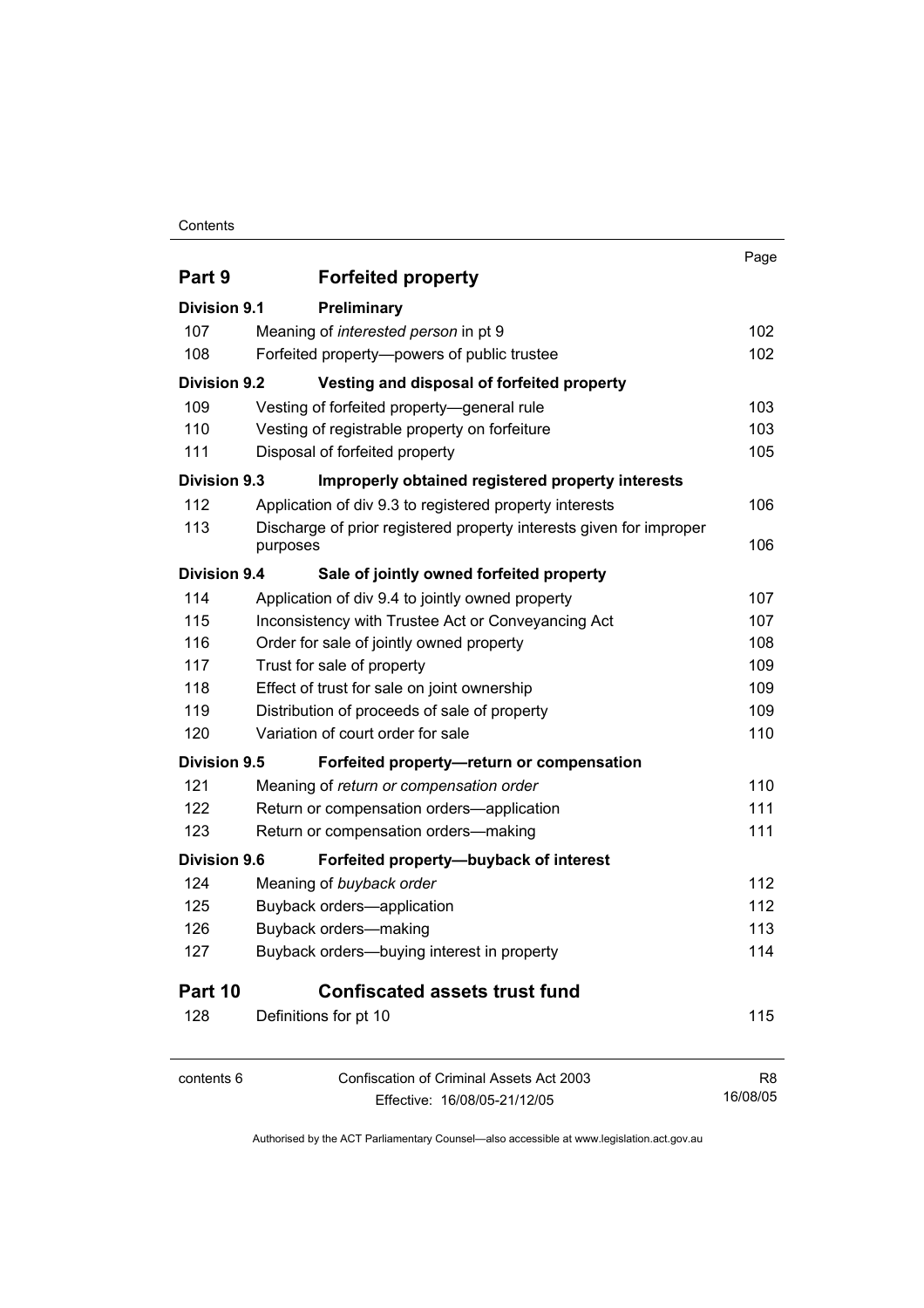### **Contents**

|                     |                                                                     | Page           |
|---------------------|---------------------------------------------------------------------|----------------|
| Part 9              | <b>Forfeited property</b>                                           |                |
| <b>Division 9.1</b> | Preliminary                                                         |                |
| 107                 | Meaning of interested person in pt 9                                | 102            |
| 108                 | Forfeited property--powers of public trustee                        | 102            |
| <b>Division 9.2</b> | Vesting and disposal of forfeited property                          |                |
| 109                 | Vesting of forfeited property-general rule                          | 103            |
| 110                 | Vesting of registrable property on forfeiture                       | 103            |
| 111                 | Disposal of forfeited property                                      | 105            |
| <b>Division 9.3</b> | Improperly obtained registered property interests                   |                |
| 112                 | Application of div 9.3 to registered property interests             | 106            |
| 113                 | Discharge of prior registered property interests given for improper |                |
|                     | purposes                                                            | 106            |
| <b>Division 9.4</b> | Sale of jointly owned forfeited property                            |                |
| 114                 | Application of div 9.4 to jointly owned property                    | 107            |
| 115                 | Inconsistency with Trustee Act or Conveyancing Act                  | 107            |
| 116                 | Order for sale of jointly owned property                            | 108            |
| 117                 | Trust for sale of property                                          | 109            |
| 118                 | Effect of trust for sale on joint ownership                         | 109            |
| 119                 | Distribution of proceeds of sale of property                        | 109            |
| 120                 | Variation of court order for sale                                   | 110            |
| <b>Division 9.5</b> | Forfeited property-return or compensation                           |                |
| 121                 | Meaning of return or compensation order                             | 110            |
| 122                 | Return or compensation orders-application                           | 111            |
| 123                 | Return or compensation orders-making                                | 111            |
| <b>Division 9.6</b> | Forfeited property-buyback of interest                              |                |
| 124                 | Meaning of buyback order                                            | 112            |
| 125                 | Buyback orders-application                                          | 112            |
| 126                 | Buyback orders-making                                               | 113            |
| 127                 | Buyback orders-buying interest in property                          | 114            |
| Part 10             | <b>Confiscated assets trust fund</b>                                |                |
| 128                 | Definitions for pt 10                                               | 115            |
| contents 6          | <b>Confiscation of Criminal Assets Act 2003</b>                     | R <sub>8</sub> |
|                     | Effective: 16/08/05-21/12/05                                        | 16/08/05       |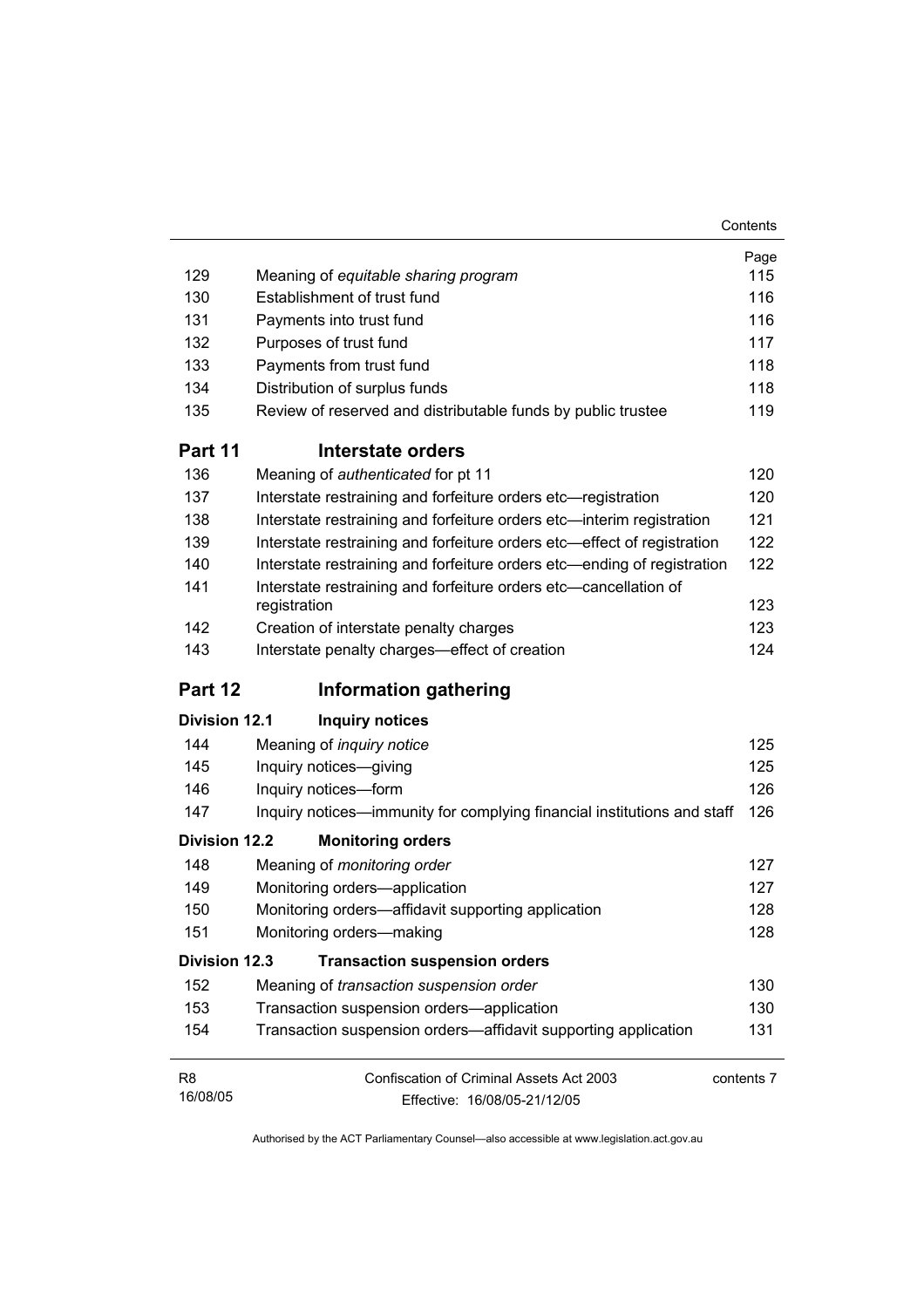|                      |                                                                                  | Page       |
|----------------------|----------------------------------------------------------------------------------|------------|
| 129                  | Meaning of equitable sharing program                                             | 115        |
| 130                  | Establishment of trust fund                                                      | 116        |
| 131                  | Payments into trust fund                                                         | 116        |
| 132                  | Purposes of trust fund                                                           | 117        |
| 133                  | Payments from trust fund                                                         | 118        |
| 134                  | Distribution of surplus funds                                                    | 118        |
| 135                  | Review of reserved and distributable funds by public trustee                     | 119        |
| Part 11              | Interstate orders                                                                |            |
| 136                  | Meaning of authenticated for pt 11                                               | 120        |
| 137                  | Interstate restraining and forfeiture orders etc-registration                    | 120        |
| 138                  | Interstate restraining and forfeiture orders etc-interim registration            | 121        |
| 139                  | Interstate restraining and forfeiture orders etc-effect of registration          | 122        |
| 140                  | Interstate restraining and forfeiture orders etc—ending of registration          | 122        |
| 141                  | Interstate restraining and forfeiture orders etc—cancellation of<br>registration | 123        |
| 142                  | Creation of interstate penalty charges                                           | 123        |
| 143                  | Interstate penalty charges-effect of creation                                    | 124        |
| Part 12              | <b>Information gathering</b>                                                     |            |
| <b>Division 12.1</b> | <b>Inquiry notices</b>                                                           |            |
| 144                  | Meaning of <i>inquiry notice</i>                                                 | 125        |
| 145                  | Inquiry notices-giving                                                           | 125        |
| 146                  | Inquiry notices-form                                                             | 126        |
| 147                  | Inquiry notices—immunity for complying financial institutions and staff          | 126        |
| <b>Division 12.2</b> | <b>Monitoring orders</b>                                                         |            |
| 148                  | Meaning of monitoring order                                                      | 127        |
| 149                  | Monitoring orders-application                                                    | 127        |
| 150                  | Monitoring orders-affidavit supporting application                               | 128        |
| 151                  | Monitoring orders-making                                                         | 128        |
| <b>Division 12.3</b> | <b>Transaction suspension orders</b>                                             |            |
| 152                  | Meaning of transaction suspension order                                          | 130        |
| 153                  | Transaction suspension orders-application                                        | 130        |
| 154                  | Transaction suspension orders-affidavit supporting application                   | 131        |
| R <sub>8</sub>       | Confiscation of Criminal Assets Act 2003                                         | contents 7 |
| 16/08/05             | Effective: 16/08/05-21/12/05                                                     |            |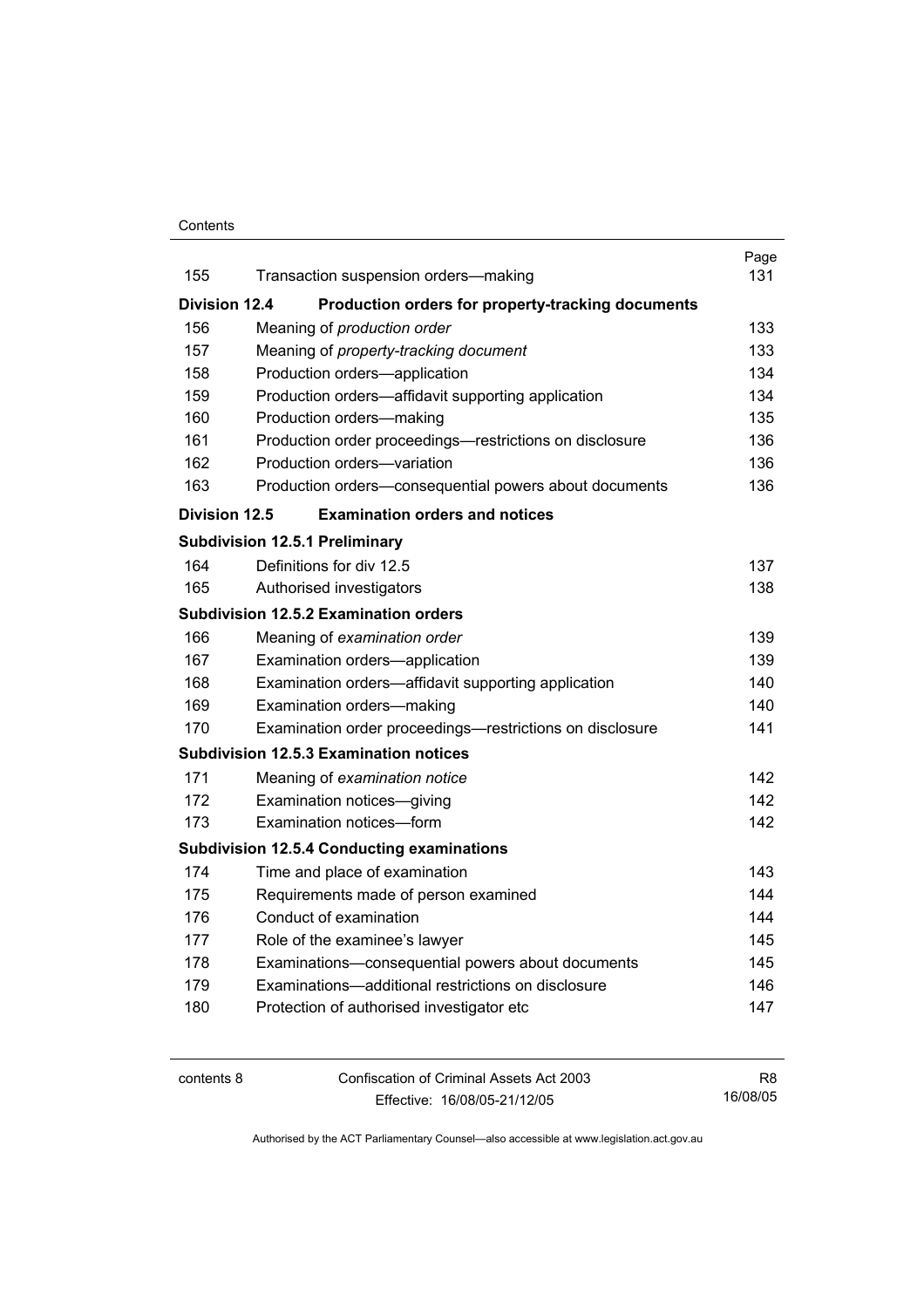### **Contents**

|                      |                                                   |                                                          | Page |
|----------------------|---------------------------------------------------|----------------------------------------------------------|------|
| 155                  |                                                   | Transaction suspension orders-making                     | 131  |
| <b>Division 12.4</b> |                                                   | Production orders for property-tracking documents        |      |
| 156                  | Meaning of production order                       |                                                          | 133  |
| 157                  |                                                   | Meaning of property-tracking document                    | 133  |
| 158                  | Production orders-application                     |                                                          | 134  |
| 159                  |                                                   | Production orders—affidavit supporting application       | 134  |
| 160                  | Production orders-making                          |                                                          | 135  |
| 161                  |                                                   | Production order proceedings—restrictions on disclosure  | 136  |
| 162                  | Production orders-variation                       |                                                          | 136  |
| 163                  |                                                   | Production orders-consequential powers about documents   | 136  |
| <b>Division 12.5</b> |                                                   | <b>Examination orders and notices</b>                    |      |
|                      | <b>Subdivision 12.5.1 Preliminary</b>             |                                                          |      |
| 164                  | Definitions for div 12.5                          |                                                          | 137  |
| 165                  | Authorised investigators                          |                                                          | 138  |
|                      | <b>Subdivision 12.5.2 Examination orders</b>      |                                                          |      |
| 166                  | Meaning of examination order                      |                                                          | 139  |
| 167                  | Examination orders-application                    |                                                          | 139  |
| 168                  |                                                   | Examination orders—affidavit supporting application      | 140  |
| 169                  | Examination orders-making                         |                                                          | 140. |
| 170                  |                                                   | Examination order proceedings—restrictions on disclosure | 141  |
|                      | <b>Subdivision 12.5.3 Examination notices</b>     |                                                          |      |
| 171                  | Meaning of examination notice                     |                                                          | 142  |
| 172                  | Examination notices-giving                        |                                                          | 142  |
| 173                  | Examination notices-form                          |                                                          | 142  |
|                      | <b>Subdivision 12.5.4 Conducting examinations</b> |                                                          |      |
| 174                  | Time and place of examination                     |                                                          | 143  |
| 175                  |                                                   | Requirements made of person examined                     | 144  |
| 176                  | Conduct of examination                            |                                                          | 144  |
| 177                  | Role of the examinee's lawyer                     |                                                          | 145  |
| 178                  |                                                   | Examinations-consequential powers about documents        | 145  |
| 179                  |                                                   | Examinations-additional restrictions on disclosure       | 146  |
| 180                  |                                                   | Protection of authorised investigator etc                | 147  |
|                      |                                                   |                                                          |      |

contents 8 Confiscation of Criminal Assets Act 2003 Effective: 16/08/05-21/12/05 R8 16/08/05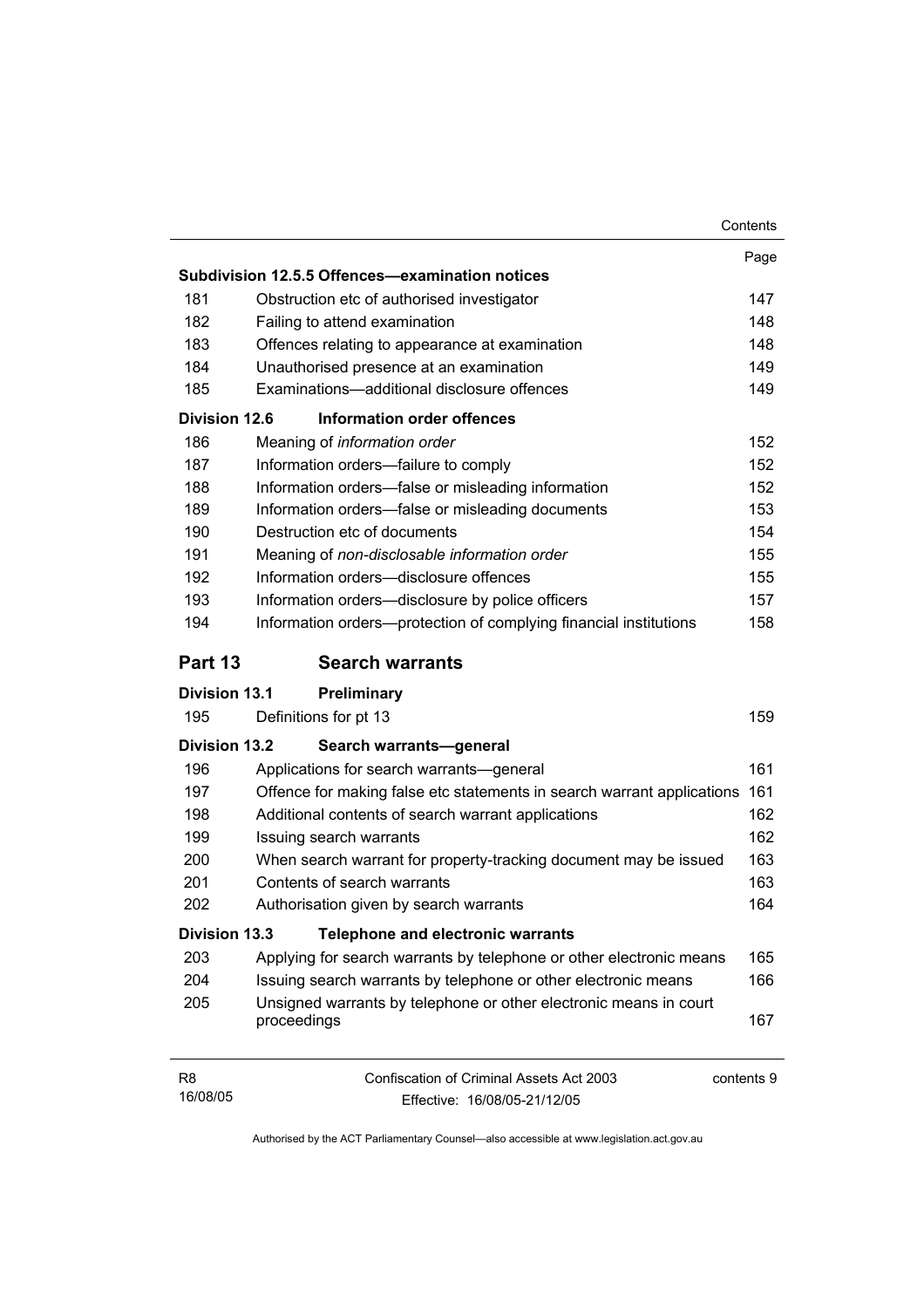|                            |                                                                                               | Contents |
|----------------------------|-----------------------------------------------------------------------------------------------|----------|
|                            |                                                                                               | Page     |
|                            | Subdivision 12.5.5 Offences-examination notices                                               |          |
| 181                        | Obstruction etc of authorised investigator                                                    | 147      |
| 182                        | Failing to attend examination                                                                 | 148      |
| 183                        | Offences relating to appearance at examination                                                | 148      |
| 184                        | Unauthorised presence at an examination                                                       | 149      |
| 185                        | Examinations-additional disclosure offences                                                   | 149      |
| Division 12.6              | <b>Information order offences</b>                                                             |          |
| 186                        | Meaning of information order                                                                  | 152      |
| 187                        | Information orders-failure to comply                                                          | 152      |
| 188                        | Information orders-false or misleading information                                            | 152      |
| 189                        | Information orders-false or misleading documents                                              | 153      |
| 190                        | Destruction etc of documents                                                                  | 154      |
| 191                        | Meaning of non-disclosable information order                                                  | 155      |
| 192                        | Information orders-disclosure offences                                                        | 155      |
| 193                        | Information orders-disclosure by police officers                                              | 157      |
| 194                        | Information orders-protection of complying financial institutions                             | 158      |
| Part 13                    | <b>Search warrants</b>                                                                        |          |
| <b>Division 13.1</b>       | Preliminary                                                                                   |          |
| 195                        | Definitions for pt 13                                                                         | 159      |
| <b>Division 13.2</b>       | Search warrants-general                                                                       |          |
| 196                        | Applications for search warrants—general                                                      | 161      |
| 197                        | Offence for making false etc statements in search warrant applications                        | 161      |
| 198                        | Additional contents of search warrant applications                                            | 162      |
| 199                        | Issuing search warrants                                                                       | 162      |
| 200                        | When search warrant for property-tracking document may be issued                              | 163      |
| 201                        | Contents of search warrants                                                                   | 163      |
| 202                        | Authorisation given by search warrants                                                        | 164      |
| <b>Division 13.3</b>       | <b>Telephone and electronic warrants</b>                                                      |          |
| 203                        | Applying for search warrants by telephone or other electronic means                           | 165      |
| 204                        | Issuing search warrants by telephone or other electronic means                                | 166      |
| 205                        | Unsigned warrants by telephone or other electronic means in court<br>proceedings              | 167      |
| R <sub>8</sub><br>16/08/05 | <b>Confiscation of Criminal Assets Act 2003</b><br>contents 9<br>Effective: 16/08/05-21/12/05 |          |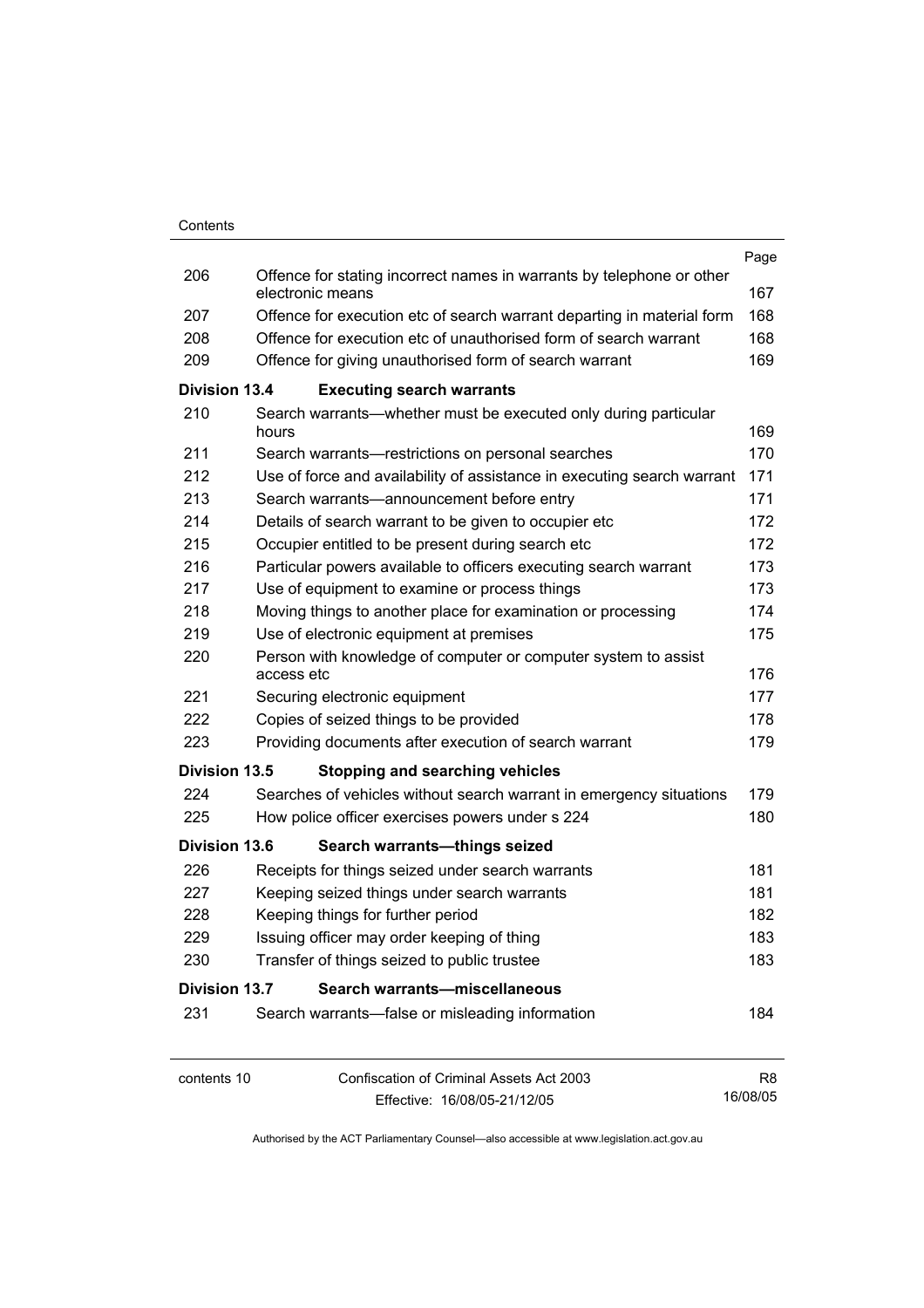|                      |                                                                                           | Page           |
|----------------------|-------------------------------------------------------------------------------------------|----------------|
| 206                  | Offence for stating incorrect names in warrants by telephone or other<br>electronic means | 167            |
| 207                  | Offence for execution etc of search warrant departing in material form                    | 168            |
| 208                  | Offence for execution etc of unauthorised form of search warrant                          | 168            |
| 209                  | Offence for giving unauthorised form of search warrant                                    | 169            |
| <b>Division 13.4</b> | <b>Executing search warrants</b>                                                          |                |
| 210                  | Search warrants—whether must be executed only during particular<br>hours                  | 169            |
| 211                  | Search warrants—restrictions on personal searches                                         | 170            |
| 212                  | Use of force and availability of assistance in executing search warrant                   | 171            |
| 213                  | Search warrants-announcement before entry                                                 | 171            |
| 214                  | Details of search warrant to be given to occupier etc                                     | 172            |
| 215                  | Occupier entitled to be present during search etc                                         | 172            |
| 216                  | Particular powers available to officers executing search warrant                          | 173            |
| 217                  | Use of equipment to examine or process things                                             | 173            |
| 218                  | Moving things to another place for examination or processing                              | 174            |
| 219                  | Use of electronic equipment at premises                                                   | 175            |
| 220                  | Person with knowledge of computer or computer system to assist<br>access etc              | 176            |
| 221                  | Securing electronic equipment                                                             | 177            |
| 222                  | Copies of seized things to be provided                                                    | 178            |
| 223                  | Providing documents after execution of search warrant                                     | 179            |
| <b>Division 13.5</b> | <b>Stopping and searching vehicles</b>                                                    |                |
| 224                  | Searches of vehicles without search warrant in emergency situations                       | 179            |
| 225                  | How police officer exercises powers under s 224                                           | 180            |
| <b>Division 13.6</b> |                                                                                           |                |
| 226                  | Search warrants-things seized                                                             |                |
| 227                  | Receipts for things seized under search warrants                                          | 181<br>181     |
| 228                  | Keeping seized things under search warrants                                               | 182            |
| 229                  | Keeping things for further period                                                         | 183            |
| 230                  | Issuing officer may order keeping of thing<br>Transfer of things seized to public trustee | 183            |
|                      |                                                                                           |                |
| <b>Division 13.7</b> | Search warrants-miscellaneous                                                             |                |
| 231                  | Search warrants-false or misleading information                                           | 184            |
| contents 10          | <b>Confiscation of Criminal Assets Act 2003</b>                                           | R <sub>8</sub> |
|                      | Effective: 16/08/05-21/12/05                                                              | 16/08/05       |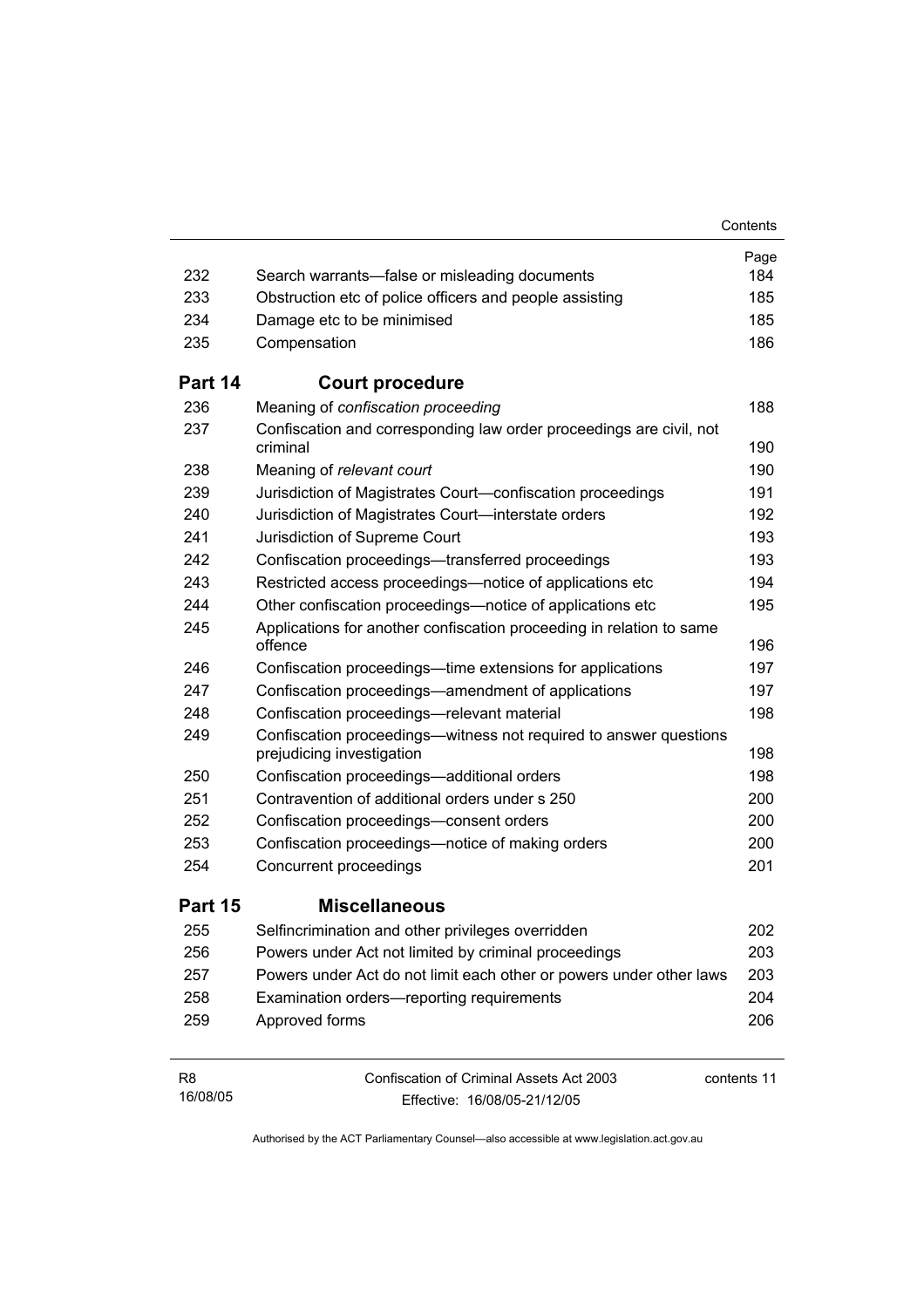|                            |                                                                                                 | Contents    |
|----------------------------|-------------------------------------------------------------------------------------------------|-------------|
|                            |                                                                                                 | Page        |
| 232                        | Search warrants—false or misleading documents                                                   | 184         |
| 233                        | Obstruction etc of police officers and people assisting                                         | 185         |
| 234                        | Damage etc to be minimised                                                                      | 185         |
| 235                        | Compensation                                                                                    | 186         |
| Part 14                    | <b>Court procedure</b>                                                                          |             |
| 236                        | Meaning of confiscation proceeding                                                              | 188         |
| 237                        | Confiscation and corresponding law order proceedings are civil, not<br>criminal                 | 190         |
| 238                        | Meaning of relevant court                                                                       | 190         |
| 239                        | Jurisdiction of Magistrates Court-confiscation proceedings                                      | 191         |
| 240                        | Jurisdiction of Magistrates Court-interstate orders                                             | 192         |
| 241                        | Jurisdiction of Supreme Court                                                                   | 193         |
| 242                        | Confiscation proceedings—transferred proceedings                                                | 193         |
| 243                        | Restricted access proceedings—notice of applications etc                                        | 194         |
| 244                        | Other confiscation proceedings—notice of applications etc                                       | 195         |
| 245                        | Applications for another confiscation proceeding in relation to same<br>offence                 | 196         |
| 246                        | Confiscation proceedings—time extensions for applications                                       | 197         |
| 247                        | Confiscation proceedings—amendment of applications                                              | 197         |
| 248                        | Confiscation proceedings-relevant material                                                      | 198         |
| 249                        | Confiscation proceedings--witness not required to answer questions<br>prejudicing investigation | 198         |
| 250                        | Confiscation proceedings-additional orders                                                      | 198         |
| 251                        | Contravention of additional orders under s 250                                                  | 200         |
| 252                        | Confiscation proceedings-consent orders                                                         | 200         |
| 253                        | Confiscation proceedings—notice of making orders                                                | 200         |
| 254                        | Concurrent proceedings                                                                          | 201         |
| Part 15                    | <b>Miscellaneous</b>                                                                            |             |
| 255                        | Selfincrimination and other privileges overridden                                               | 202         |
| 256                        | Powers under Act not limited by criminal proceedings                                            | 203         |
| 257                        | Powers under Act do not limit each other or powers under other laws                             | 203         |
| 258                        | Examination orders-reporting requirements                                                       | 204         |
| 259                        | Approved forms                                                                                  | 206         |
| R <sub>8</sub><br>16/08/05 | Confiscation of Criminal Assets Act 2003<br>Fffective: 16/08/05-21/12/05                        | contents 11 |

Effective: 16/08/05-21/12/05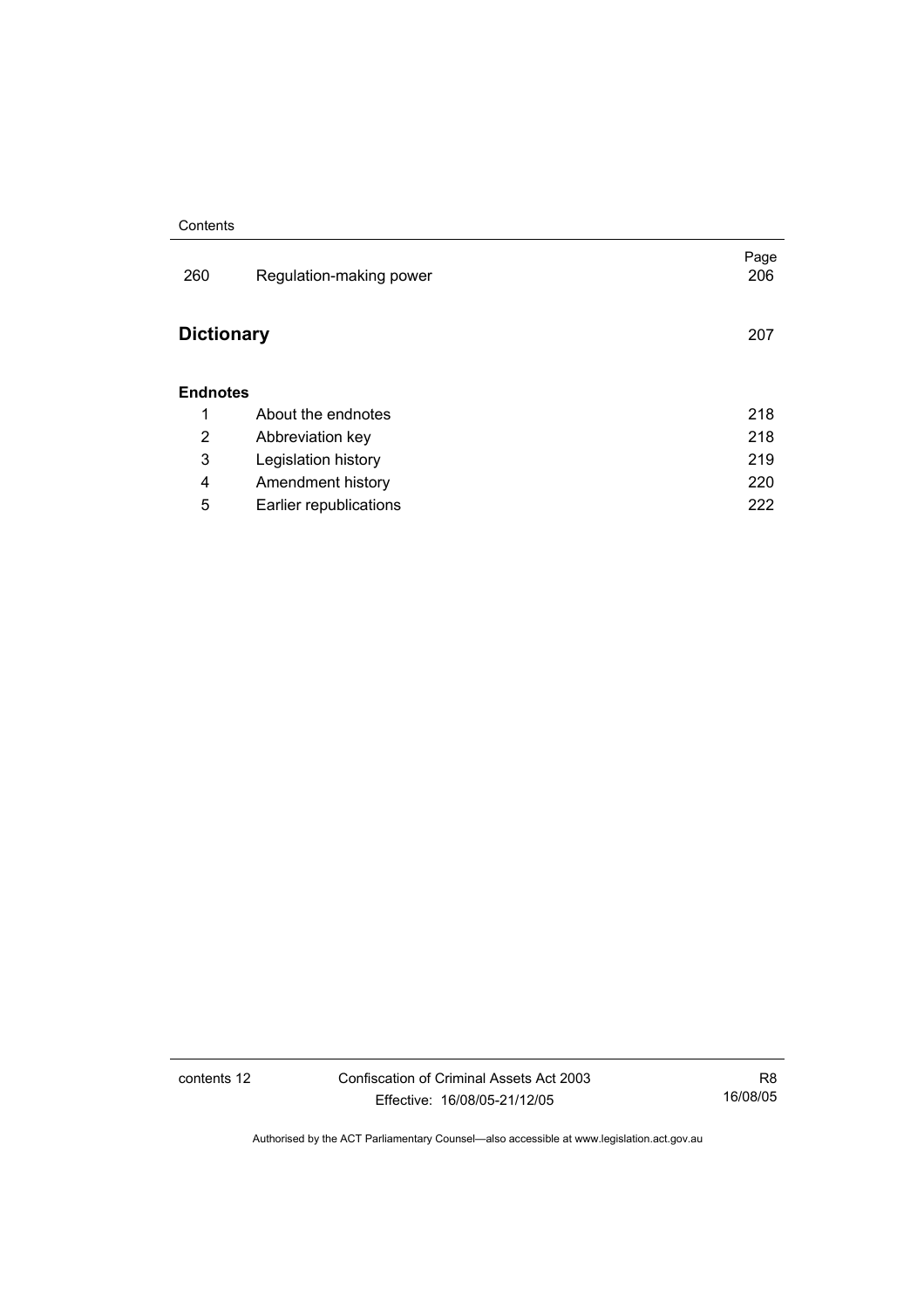### **Contents**

| 260               | Regulation-making power | Page<br>206 |
|-------------------|-------------------------|-------------|
| <b>Dictionary</b> |                         | 207         |
| <b>Endnotes</b>   |                         |             |
| 1                 | About the endnotes      | 218         |
| 2                 | Abbreviation key        | 218         |
| 3                 | Legislation history     | 219         |
| 4                 | Amendment history       | 220         |
| 5                 | Earlier republications  | 222         |

contents 12 Confiscation of Criminal Assets Act 2003 Effective: 16/08/05-21/12/05

R8 16/08/05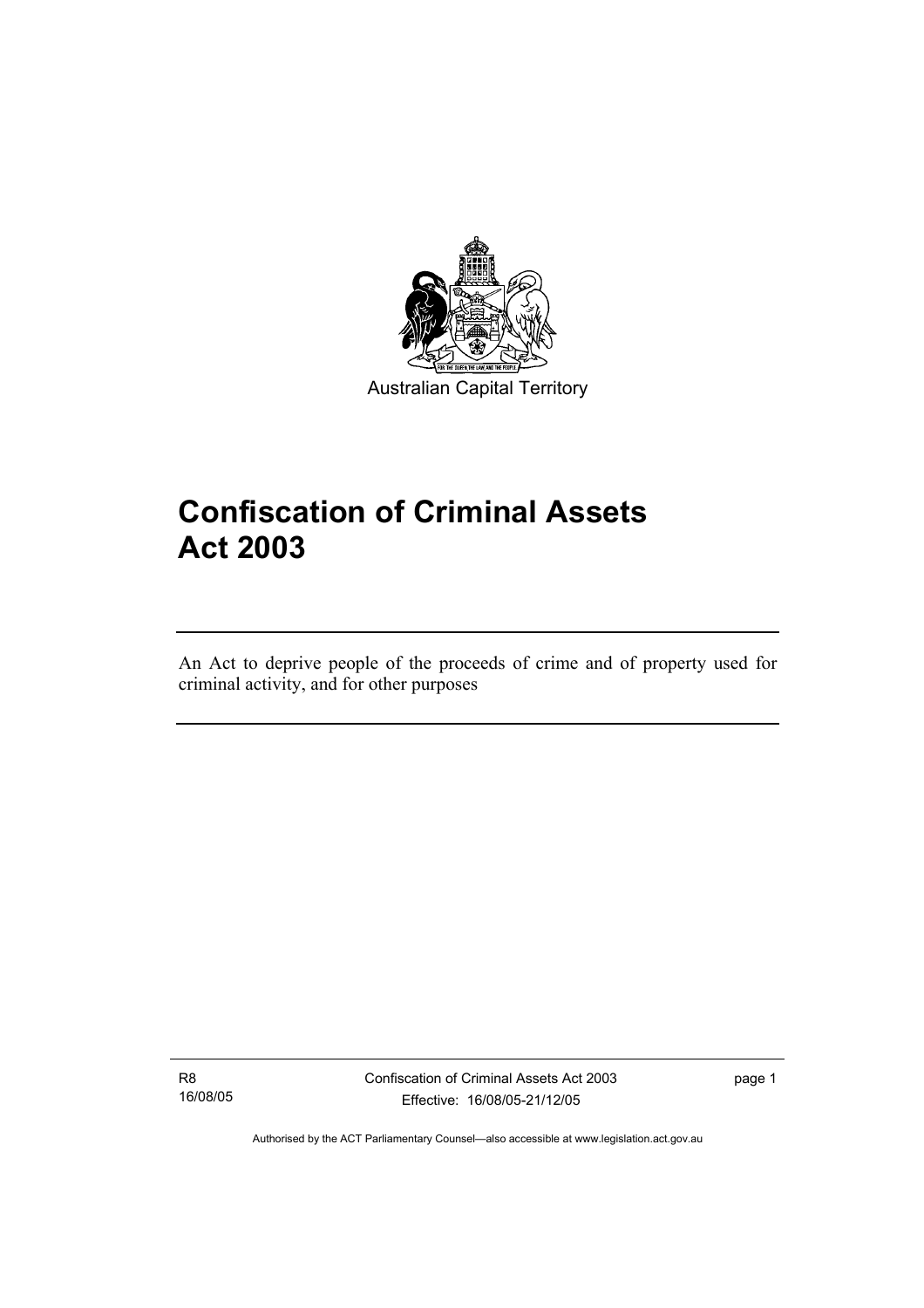

Australian Capital Territory

# **Confiscation of Criminal Assets Act 2003**

An Act to deprive people of the proceeds of crime and of property used for criminal activity, and for other purposes

R8 16/08/05

I

Confiscation of Criminal Assets Act 2003 Effective: 16/08/05-21/12/05

page 1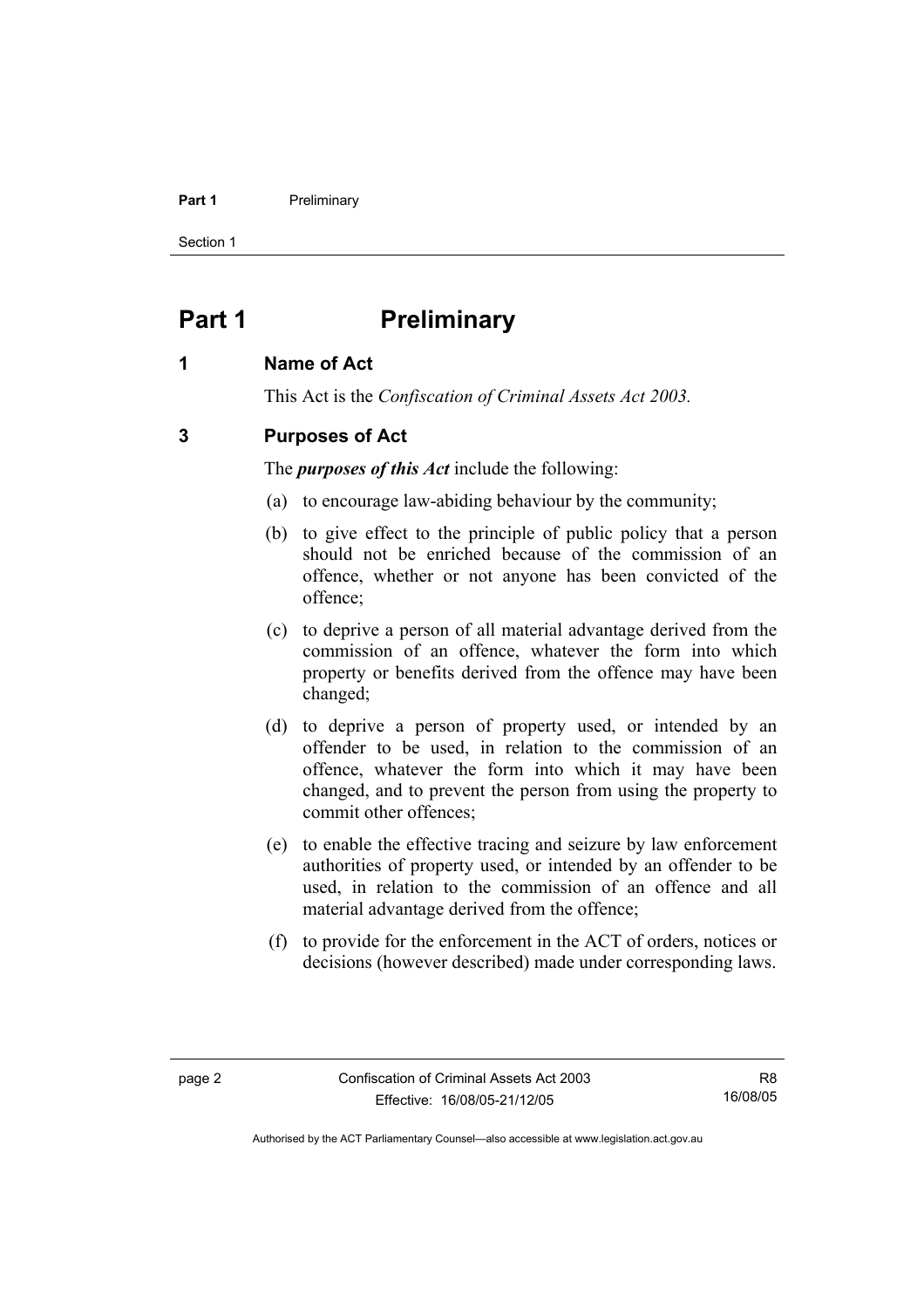### **Part 1** Preliminary

Section 1

## **Part 1** Preliminary

## **1 Name of Act**

This Act is the *Confiscation of Criminal Assets Act 2003.*

## **3 Purposes of Act**

The *purposes of this Act* include the following:

- (a) to encourage law-abiding behaviour by the community;
- (b) to give effect to the principle of public policy that a person should not be enriched because of the commission of an offence, whether or not anyone has been convicted of the offence;
- (c) to deprive a person of all material advantage derived from the commission of an offence, whatever the form into which property or benefits derived from the offence may have been changed;
- (d) to deprive a person of property used, or intended by an offender to be used, in relation to the commission of an offence, whatever the form into which it may have been changed, and to prevent the person from using the property to commit other offences;
- (e) to enable the effective tracing and seizure by law enforcement authorities of property used, or intended by an offender to be used, in relation to the commission of an offence and all material advantage derived from the offence;
- (f) to provide for the enforcement in the ACT of orders, notices or decisions (however described) made under corresponding laws.

R8 16/08/05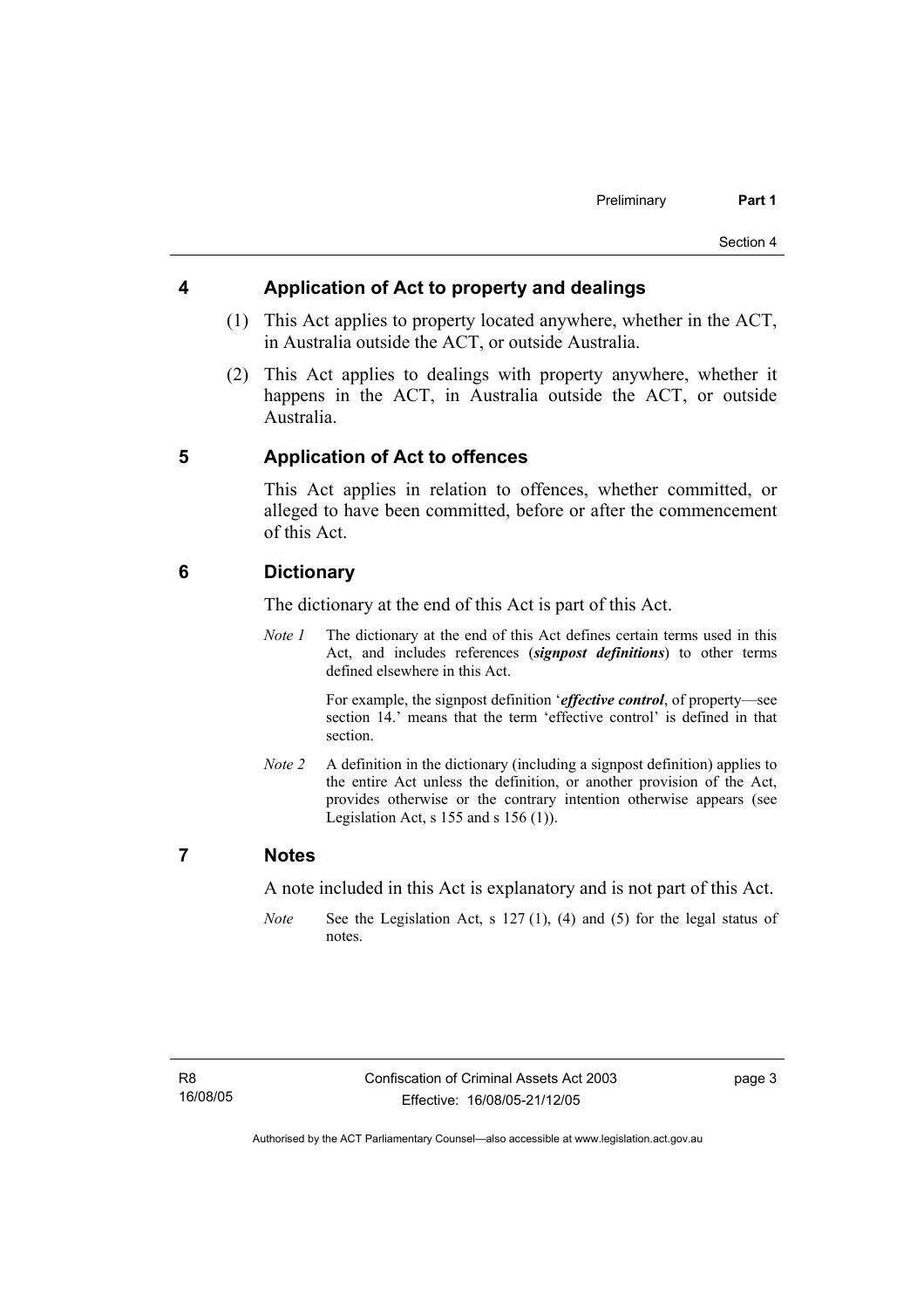## **4 Application of Act to property and dealings**

- (1) This Act applies to property located anywhere, whether in the ACT, in Australia outside the ACT, or outside Australia.
- (2) This Act applies to dealings with property anywhere, whether it happens in the ACT, in Australia outside the ACT, or outside Australia.

## **5 Application of Act to offences**

This Act applies in relation to offences, whether committed, or alleged to have been committed, before or after the commencement of this Act.

## **6 Dictionary**

The dictionary at the end of this Act is part of this Act.

*Note 1* The dictionary at the end of this Act defines certain terms used in this Act, and includes references (*signpost definitions*) to other terms defined elsewhere in this Act.

> For example, the signpost definition '*effective control*, of property—see section 14.' means that the term 'effective control' is defined in that section.

*Note 2* A definition in the dictionary (including a signpost definition) applies to the entire Act unless the definition, or another provision of the Act, provides otherwise or the contrary intention otherwise appears (see Legislation Act,  $s$  155 and  $s$  156 (1)).

## **7 Notes**

A note included in this Act is explanatory and is not part of this Act.

*Note* See the Legislation Act, s 127 (1), (4) and (5) for the legal status of notes.

page 3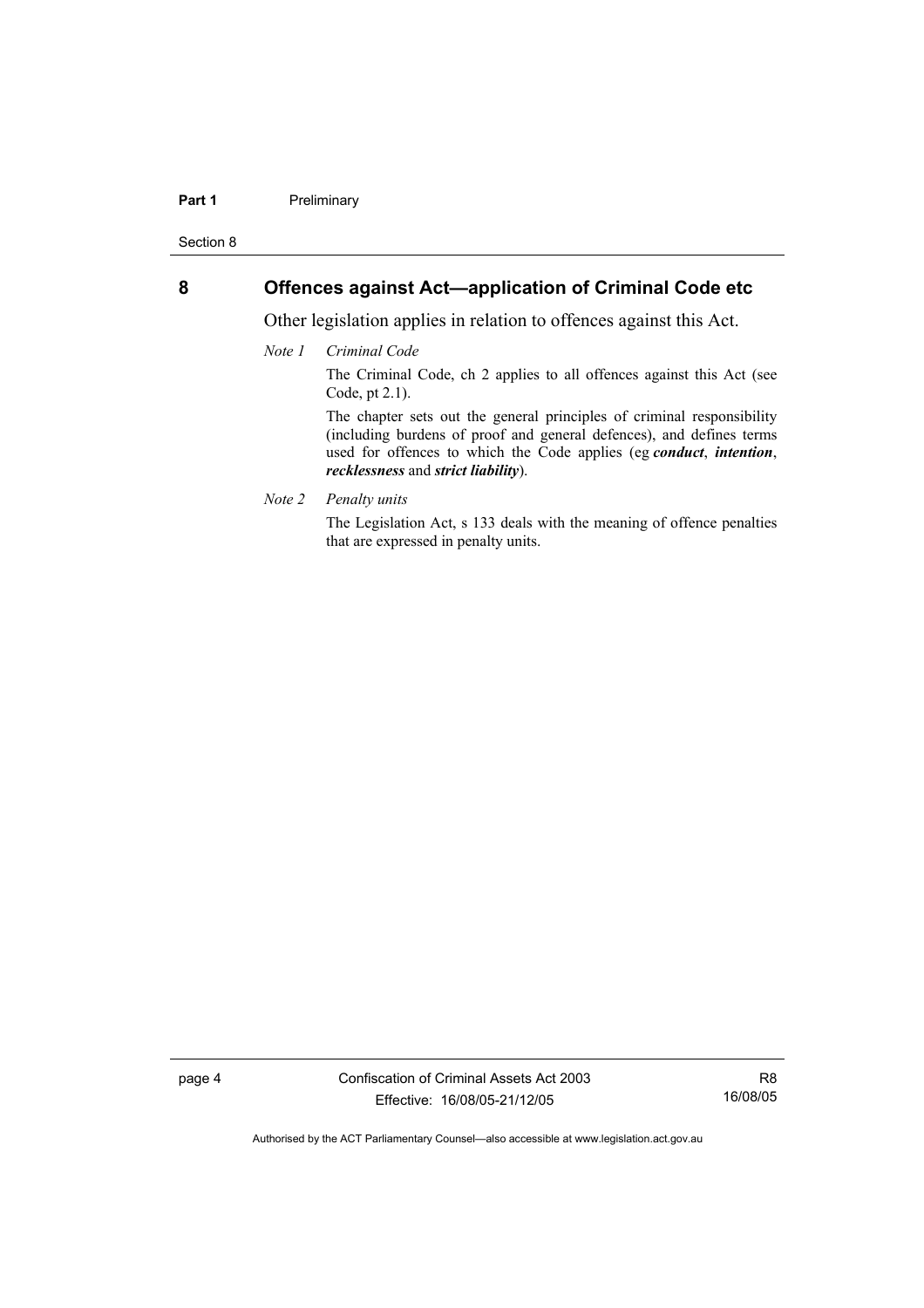### **Part 1** Preliminary

Section 8

## **8 Offences against Act—application of Criminal Code etc**

Other legislation applies in relation to offences against this Act.

*Note 1 Criminal Code*

The Criminal Code, ch 2 applies to all offences against this Act (see Code, pt 2.1).

The chapter sets out the general principles of criminal responsibility (including burdens of proof and general defences), and defines terms used for offences to which the Code applies (eg *conduct*, *intention*, *recklessness* and *strict liability*).

*Note 2 Penalty units* 

The Legislation Act, s 133 deals with the meaning of offence penalties that are expressed in penalty units.

page 4 Confiscation of Criminal Assets Act 2003 Effective: 16/08/05-21/12/05

R8 16/08/05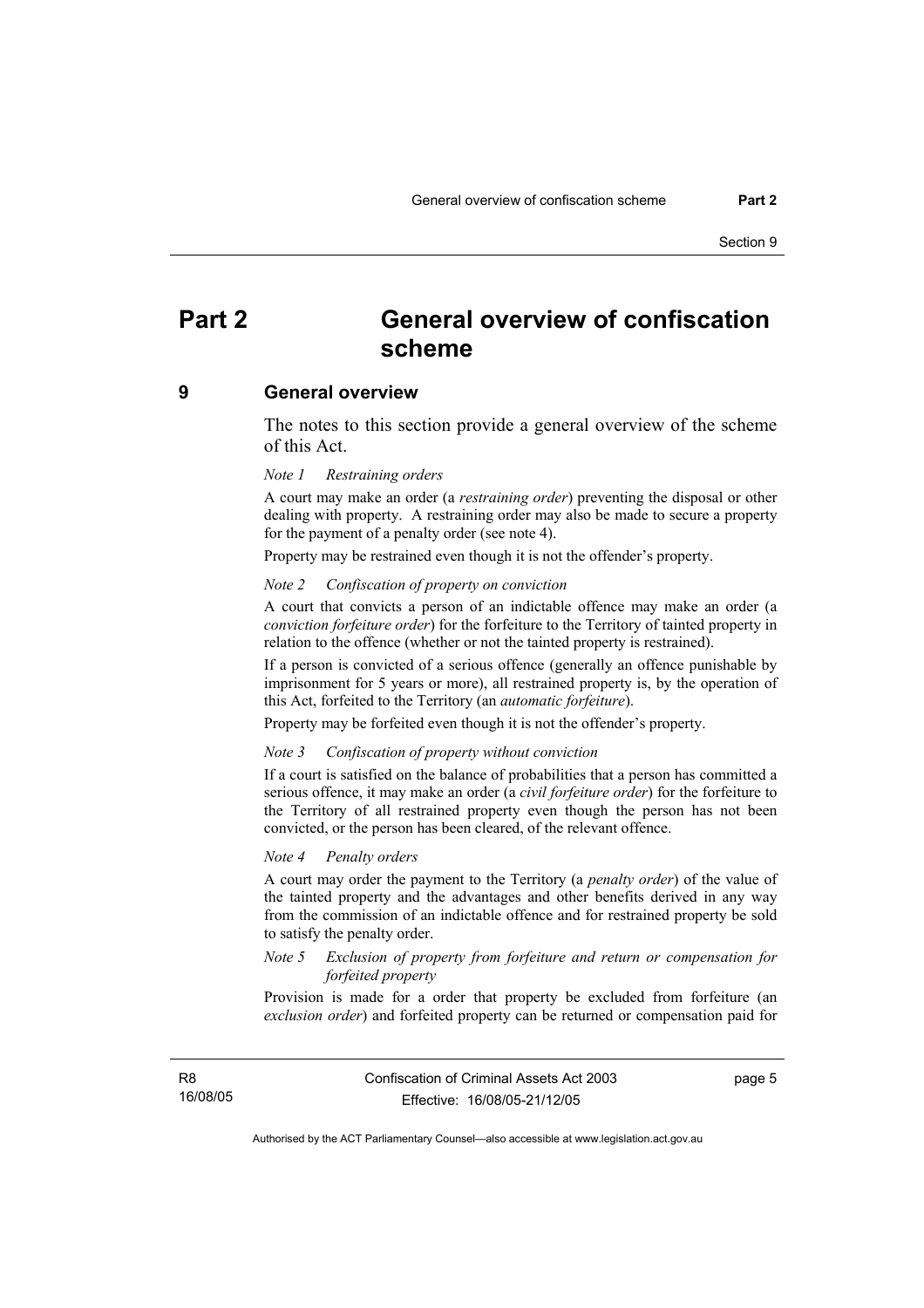## **Part 2 General overview of confiscation scheme**

### **9 General overview**

The notes to this section provide a general overview of the scheme of this Act.

#### *Note 1 Restraining orders*

A court may make an order (a *restraining order*) preventing the disposal or other dealing with property. A restraining order may also be made to secure a property for the payment of a penalty order (see note 4).

Property may be restrained even though it is not the offender's property.

### *Note 2 Confiscation of property on conviction*

A court that convicts a person of an indictable offence may make an order (a *conviction forfeiture order*) for the forfeiture to the Territory of tainted property in relation to the offence (whether or not the tainted property is restrained).

If a person is convicted of a serious offence (generally an offence punishable by imprisonment for 5 years or more), all restrained property is, by the operation of this Act, forfeited to the Territory (an *automatic forfeiture*).

Property may be forfeited even though it is not the offender's property.

#### *Note 3 Confiscation of property without conviction*

If a court is satisfied on the balance of probabilities that a person has committed a serious offence, it may make an order (a *civil forfeiture order*) for the forfeiture to the Territory of all restrained property even though the person has not been convicted, or the person has been cleared, of the relevant offence.

#### *Note 4 Penalty orders*

A court may order the payment to the Territory (a *penalty order*) of the value of the tainted property and the advantages and other benefits derived in any way from the commission of an indictable offence and for restrained property be sold to satisfy the penalty order.

### *Note 5 Exclusion of property from forfeiture and return or compensation for forfeited property*

Provision is made for a order that property be excluded from forfeiture (an *exclusion order*) and forfeited property can be returned or compensation paid for

R8 16/08/05 page 5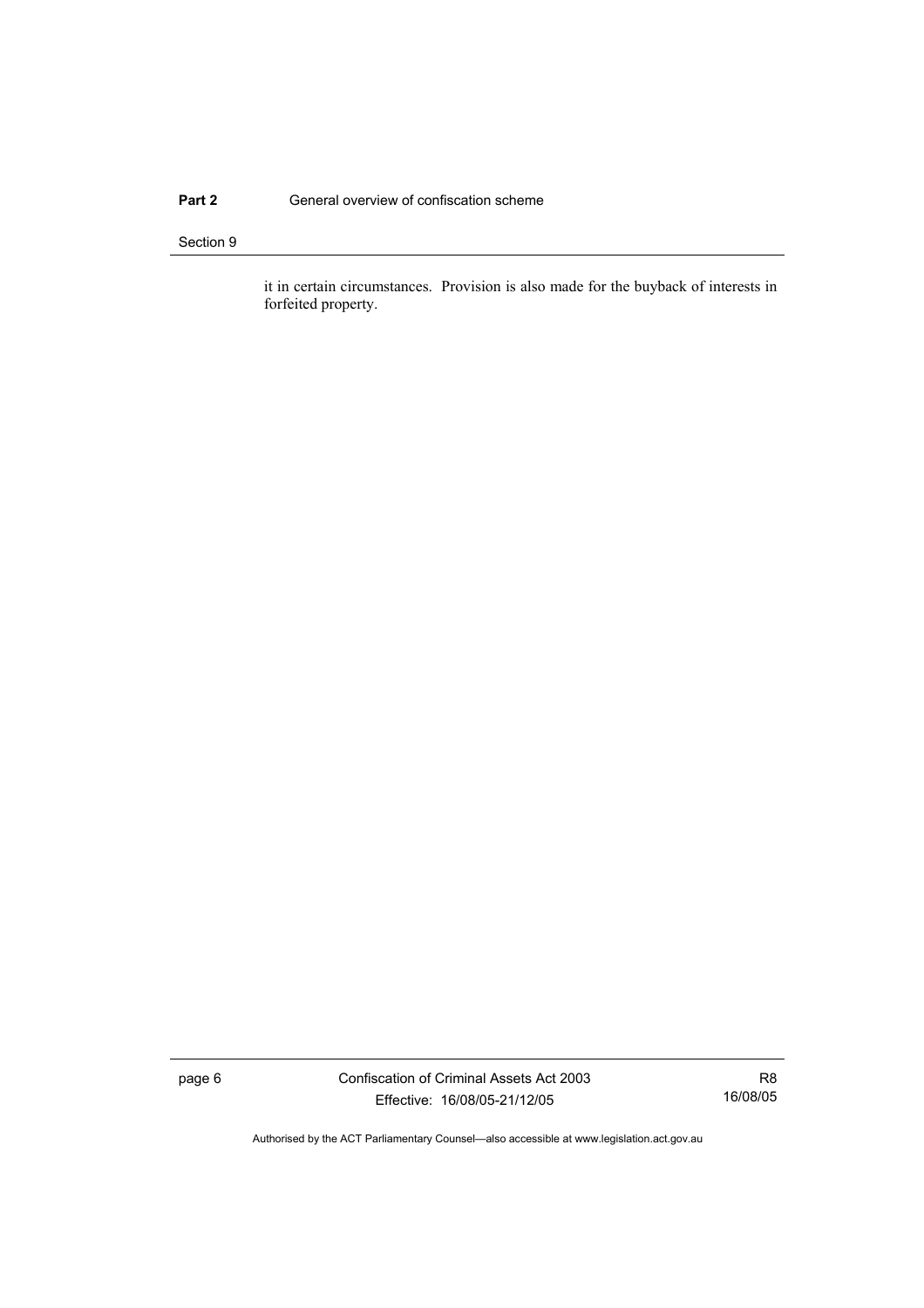### **Part 2 General overview of confiscation scheme**

### Section 9

it in certain circumstances. Provision is also made for the buyback of interests in forfeited property.

page 6 Confiscation of Criminal Assets Act 2003 Effective: 16/08/05-21/12/05

R8 16/08/05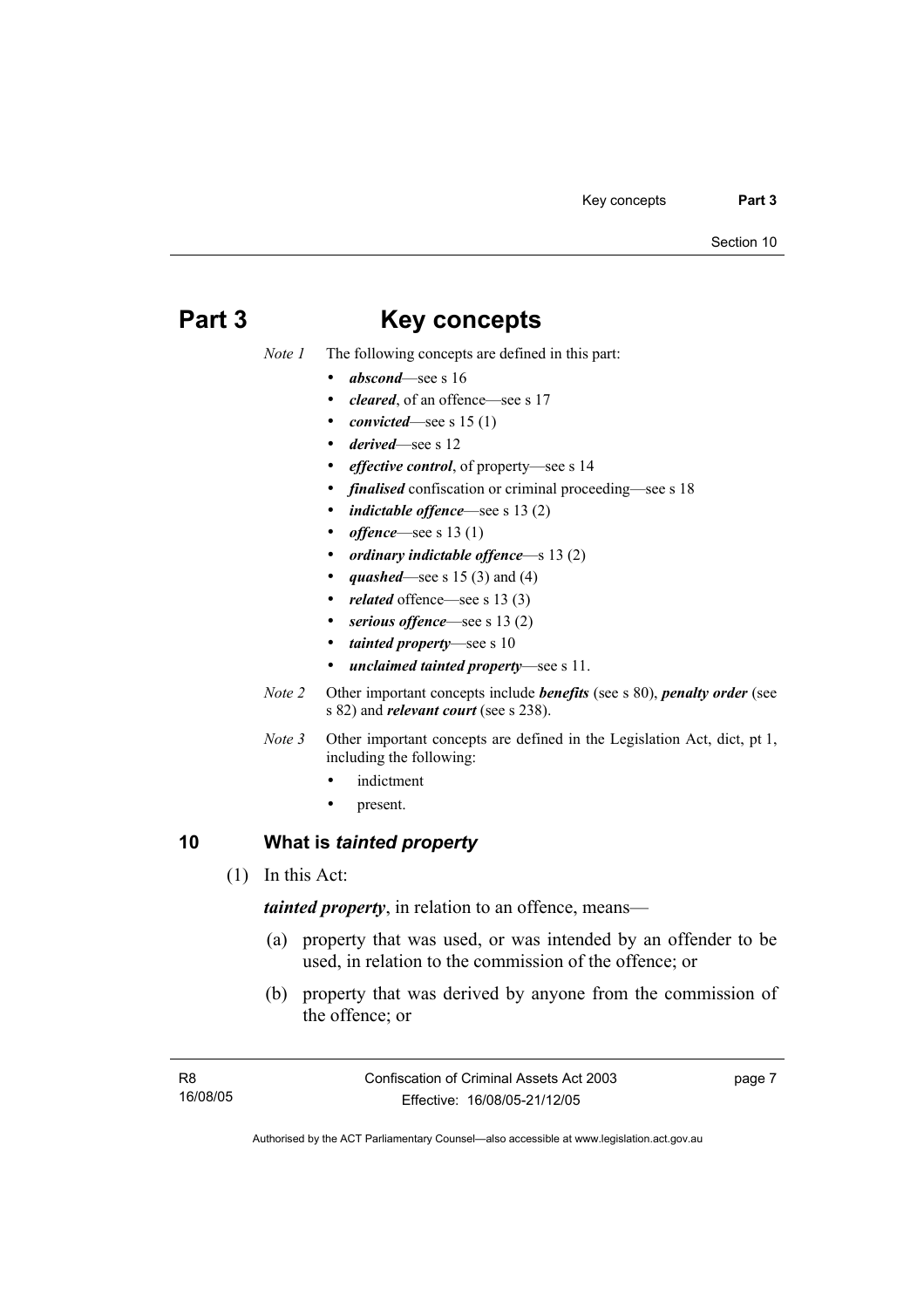## **Part 3 Key concepts**

*Note 1* The following concepts are defined in this part:

- *abscond*—see s 16
- *cleared*, of an offence—see s 17
- *convicted*—see s 15 (1)
- *derived*—see s 12
- *effective control*, of property—see s 14
- *finalised* confiscation or criminal proceeding—see s 18
- *indictable offence*—see s 13 (2)
- *offence*—see s 13 (1)
- *ordinary indictable offence*—s 13 (2)
- *quashed*—see s 15 (3) and (4)
- related offence—see s 13 (3)
- serious offence—see s 13 (2)
- *tainted property*—see s 10
- *unclaimed tainted property*—see s 11.
- *Note 2* Other important concepts include *benefits* (see s 80), *penalty order* (see s 82) and *relevant court* (see s 238).
- *Note 3* Other important concepts are defined in the Legislation Act, dict, pt 1, including the following:
	- indictment
	- present.

## **10 What is** *tainted property*

(1) In this Act:

*tainted property*, in relation to an offence, means—

- (a) property that was used, or was intended by an offender to be used, in relation to the commission of the offence; or
- (b) property that was derived by anyone from the commission of the offence; or

page 7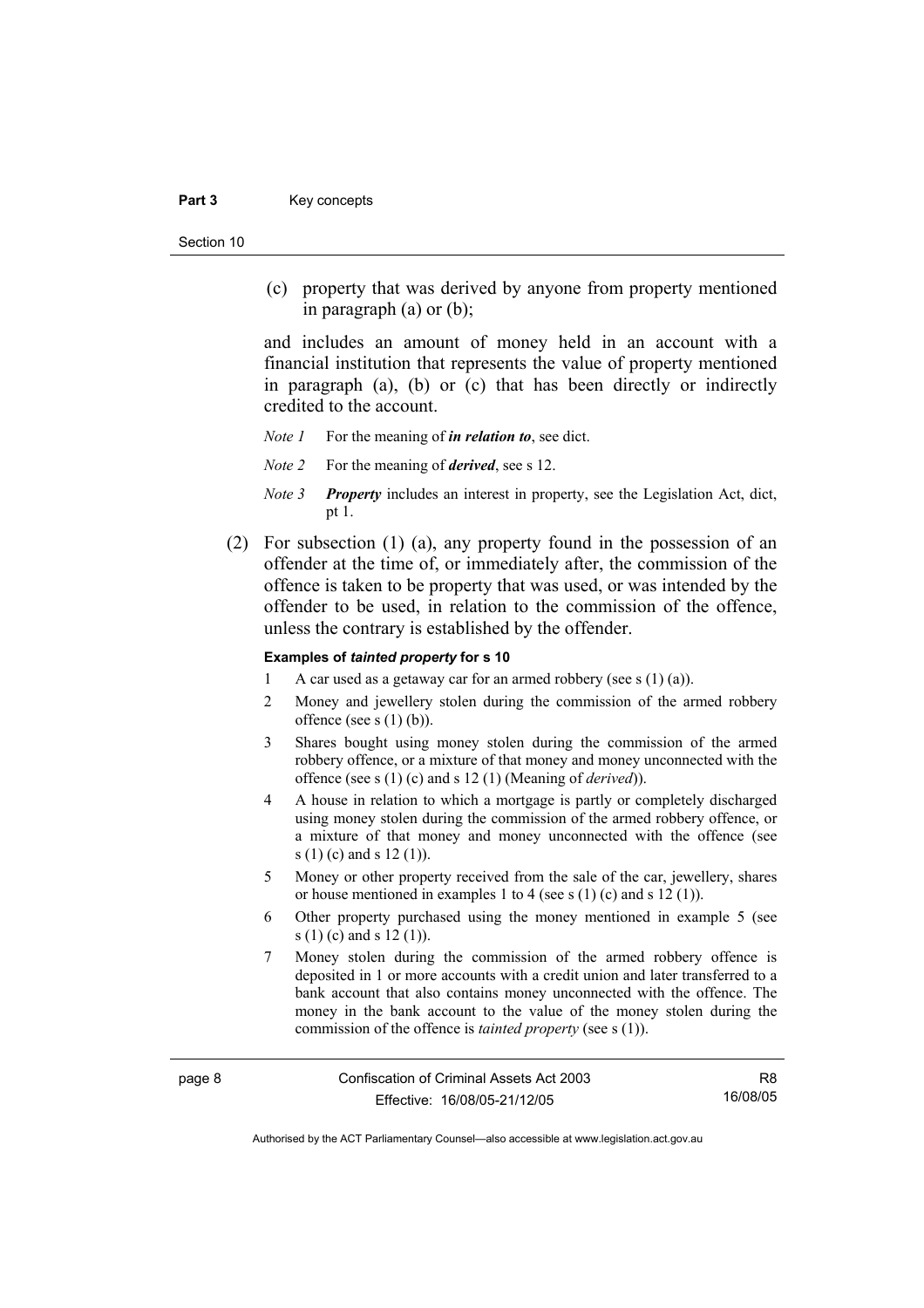### Part 3 **Key concepts**

Section 10

 (c) property that was derived by anyone from property mentioned in paragraph (a) or (b);

and includes an amount of money held in an account with a financial institution that represents the value of property mentioned in paragraph (a), (b) or (c) that has been directly or indirectly credited to the account.

*Note 1* For the meaning of *in relation to*, see dict.

- *Note 2* For the meaning of *derived*, see s 12.
- *Note 3 Property* includes an interest in property, see the Legislation Act, dict, pt 1.
- (2) For subsection (1) (a), any property found in the possession of an offender at the time of, or immediately after, the commission of the offence is taken to be property that was used, or was intended by the offender to be used, in relation to the commission of the offence, unless the contrary is established by the offender.

### **Examples of** *tainted property* **for s 10**

- 1 A car used as a getaway car for an armed robbery (see s  $(1)$  (a)).
- 2 Money and jewellery stolen during the commission of the armed robbery offence (see s $(1)$  $(b)$ ).
- 3 Shares bought using money stolen during the commission of the armed robbery offence, or a mixture of that money and money unconnected with the offence (see s (1) (c) and s 12 (1) (Meaning of *derived*)).
- 4 A house in relation to which a mortgage is partly or completely discharged using money stolen during the commission of the armed robbery offence, or a mixture of that money and money unconnected with the offence (see s (1) (c) and s 12 (1)).
- 5 Money or other property received from the sale of the car, jewellery, shares or house mentioned in examples 1 to 4 (see s (1) (c) and s 12 (1)).
- 6 Other property purchased using the money mentioned in example 5 (see s (1) (c) and s 12 (1)).
- 7 Money stolen during the commission of the armed robbery offence is deposited in 1 or more accounts with a credit union and later transferred to a bank account that also contains money unconnected with the offence. The money in the bank account to the value of the money stolen during the commission of the offence is *tainted property* (see s (1)).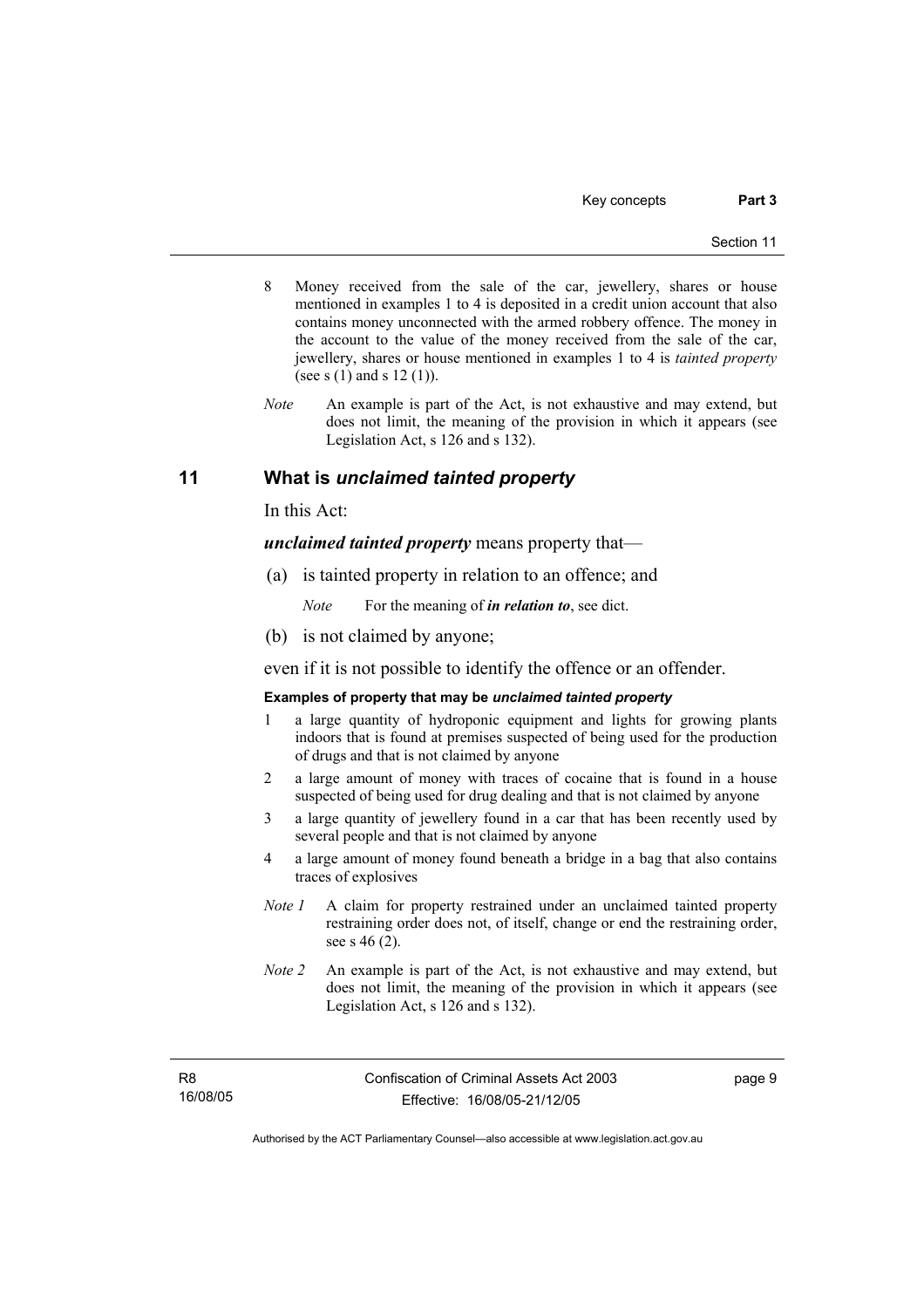- 8 Money received from the sale of the car, jewellery, shares or house mentioned in examples 1 to 4 is deposited in a credit union account that also contains money unconnected with the armed robbery offence. The money in the account to the value of the money received from the sale of the car, jewellery, shares or house mentioned in examples 1 to 4 is *tainted property* (see s  $(1)$  and s  $12 (1)$ ).
- *Note* An example is part of the Act, is not exhaustive and may extend, but does not limit, the meaning of the provision in which it appears (see Legislation Act, s 126 and s 132).

## **11 What is** *unclaimed tainted property*

In this Act:

*unclaimed tainted property* means property that—

(a) is tainted property in relation to an offence; and

*Note* For the meaning of *in relation to*, see dict.

(b) is not claimed by anyone;

even if it is not possible to identify the offence or an offender.

### **Examples of property that may be** *unclaimed tainted property*

- 1 a large quantity of hydroponic equipment and lights for growing plants indoors that is found at premises suspected of being used for the production of drugs and that is not claimed by anyone
- 2 a large amount of money with traces of cocaine that is found in a house suspected of being used for drug dealing and that is not claimed by anyone
- 3 a large quantity of jewellery found in a car that has been recently used by several people and that is not claimed by anyone
- 4 a large amount of money found beneath a bridge in a bag that also contains traces of explosives
- *Note 1* A claim for property restrained under an unclaimed tainted property restraining order does not, of itself, change or end the restraining order, see s 46 (2).
- *Note 2* An example is part of the Act, is not exhaustive and may extend, but does not limit, the meaning of the provision in which it appears (see Legislation Act, s 126 and s 132).

R8 16/08/05 page 9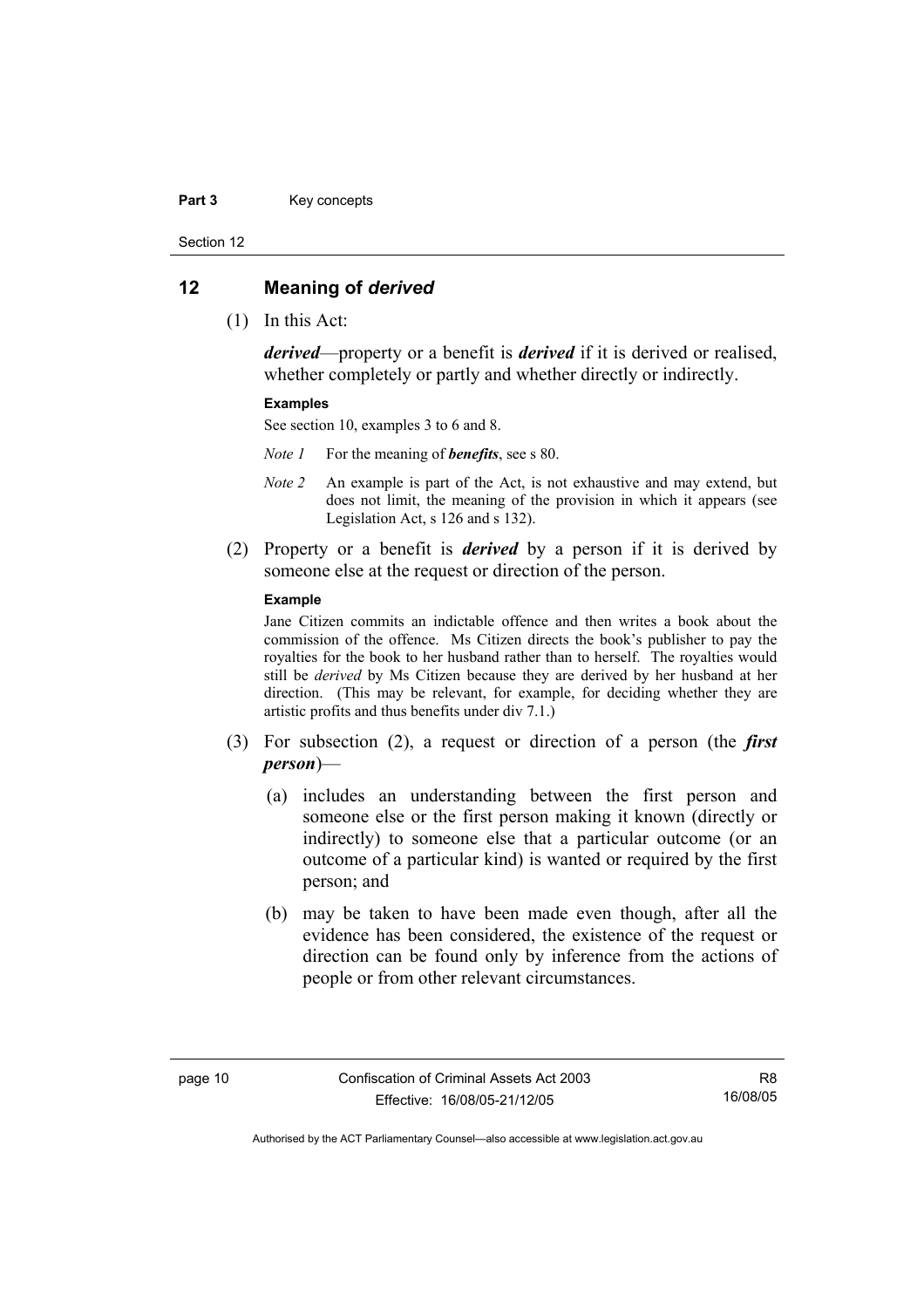#### Part 3 **Key concepts**

Section 12

### **12 Meaning of** *derived*

(1) In this Act:

*derived*—property or a benefit is *derived* if it is derived or realised, whether completely or partly and whether directly or indirectly.

### **Examples**

See section 10, examples 3 to 6 and 8.

*Note 1* For the meaning of *benefits*, see s 80.

- *Note 2* An example is part of the Act, is not exhaustive and may extend, but does not limit, the meaning of the provision in which it appears (see Legislation Act, s 126 and s 132).
- (2) Property or a benefit is *derived* by a person if it is derived by someone else at the request or direction of the person.

### **Example**

Jane Citizen commits an indictable offence and then writes a book about the commission of the offence. Ms Citizen directs the book's publisher to pay the royalties for the book to her husband rather than to herself. The royalties would still be *derived* by Ms Citizen because they are derived by her husband at her direction. (This may be relevant, for example, for deciding whether they are artistic profits and thus benefits under div 7.1.)

- (3) For subsection (2), a request or direction of a person (the *first person*)—
	- (a) includes an understanding between the first person and someone else or the first person making it known (directly or indirectly) to someone else that a particular outcome (or an outcome of a particular kind) is wanted or required by the first person; and
	- (b) may be taken to have been made even though, after all the evidence has been considered, the existence of the request or direction can be found only by inference from the actions of people or from other relevant circumstances.

R8 16/08/05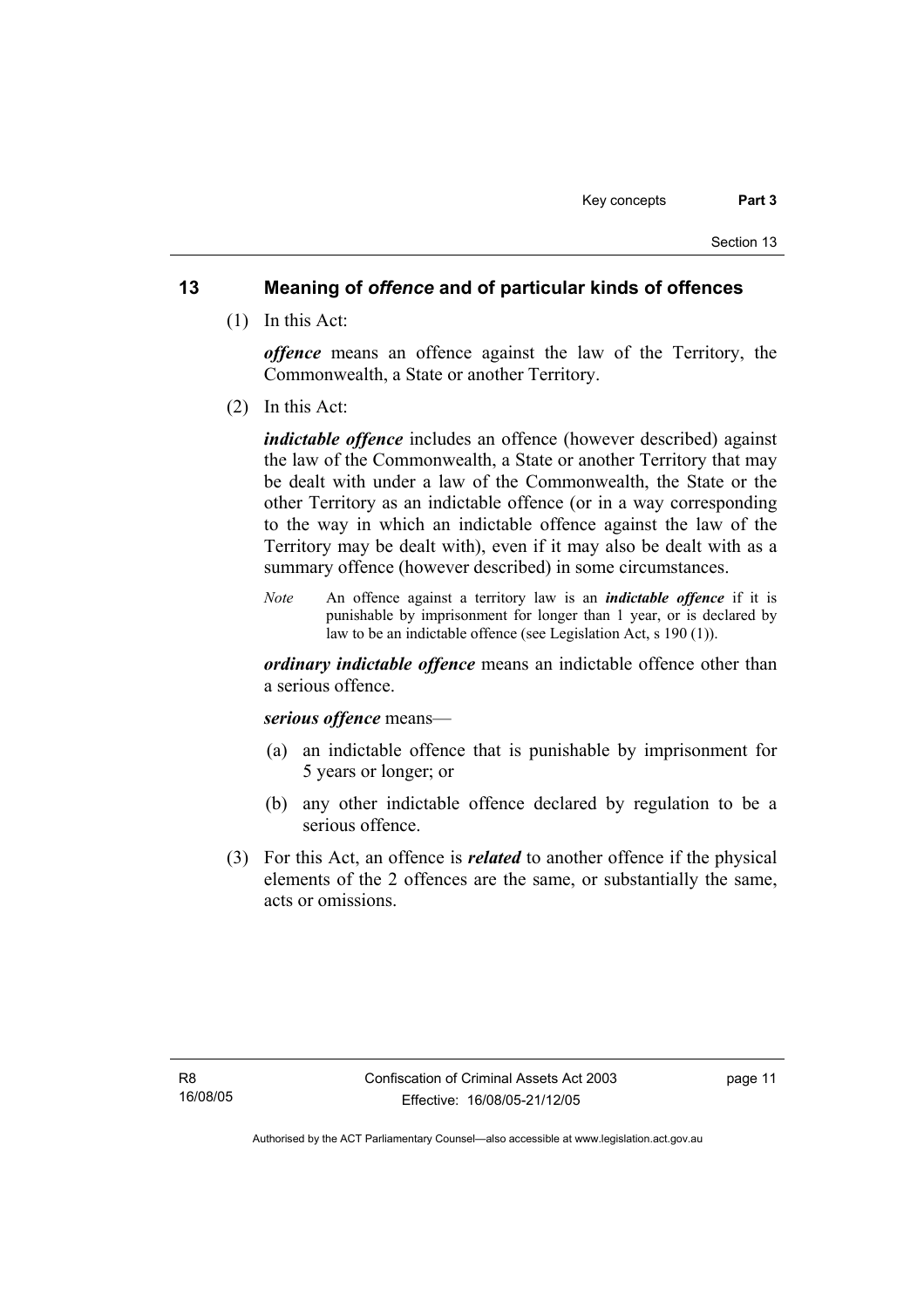## **13 Meaning of** *offence* **and of particular kinds of offences**

(1) In this Act:

*offence* means an offence against the law of the Territory, the Commonwealth, a State or another Territory.

(2) In this Act:

*indictable offence* includes an offence (however described) against the law of the Commonwealth, a State or another Territory that may be dealt with under a law of the Commonwealth, the State or the other Territory as an indictable offence (or in a way corresponding to the way in which an indictable offence against the law of the Territory may be dealt with), even if it may also be dealt with as a summary offence (however described) in some circumstances.

*Note* An offence against a territory law is an *indictable offence* if it is punishable by imprisonment for longer than 1 year, or is declared by law to be an indictable offence (see Legislation Act, s 190 (1)).

*ordinary indictable offence* means an indictable offence other than a serious offence.

### *serious offence* means—

- (a) an indictable offence that is punishable by imprisonment for 5 years or longer; or
- (b) any other indictable offence declared by regulation to be a serious offence.
- (3) For this Act, an offence is *related* to another offence if the physical elements of the 2 offences are the same, or substantially the same, acts or omissions.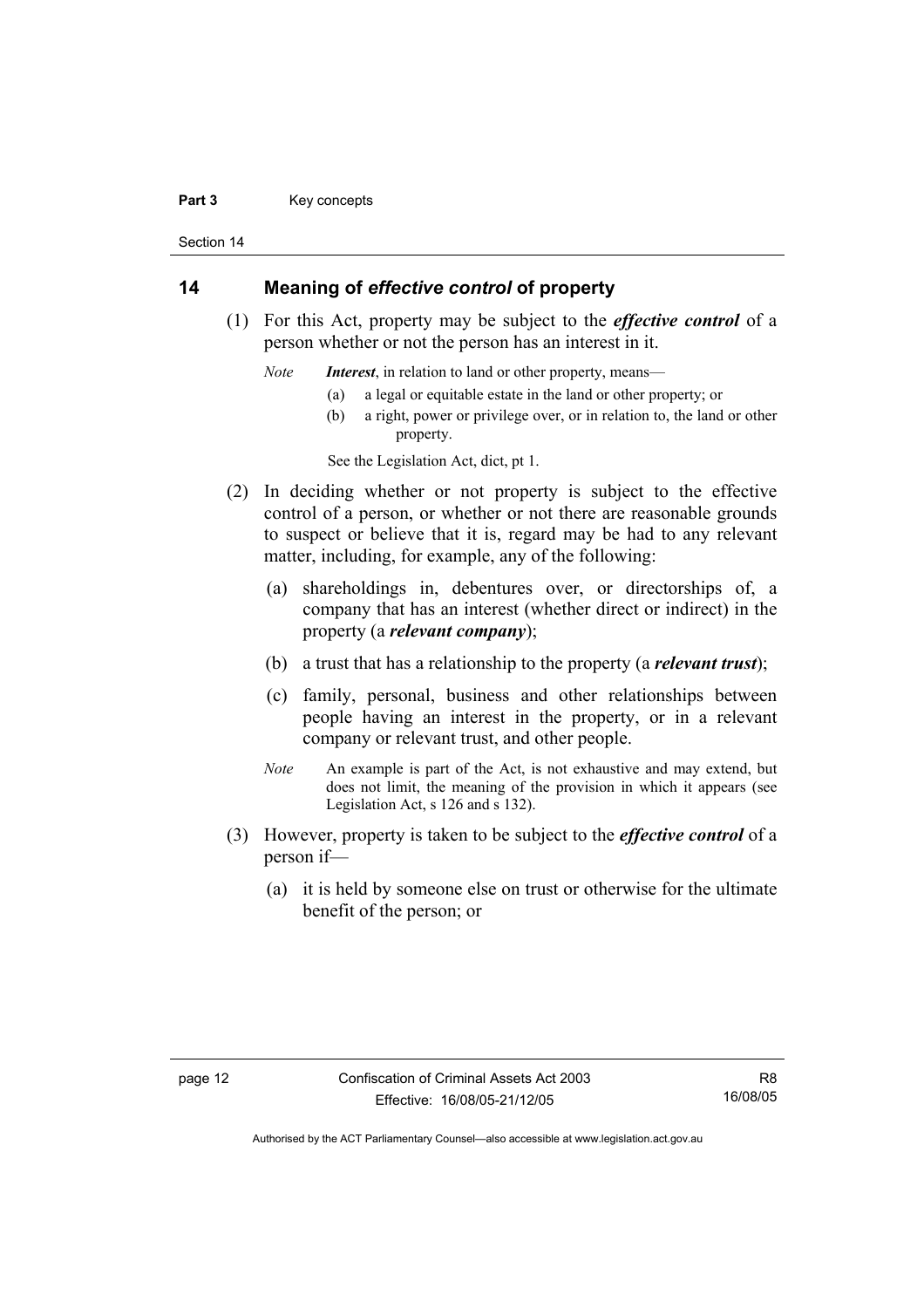#### Part 3 **Key concepts**

Section 14

## **14 Meaning of** *effective control* **of property**

 (1) For this Act, property may be subject to the *effective control* of a person whether or not the person has an interest in it.

*Note Interest*, in relation to land or other property, means—

- (a) a legal or equitable estate in the land or other property; or
- (b) a right, power or privilege over, or in relation to, the land or other property.

See the Legislation Act, dict, pt 1.

- (2) In deciding whether or not property is subject to the effective control of a person, or whether or not there are reasonable grounds to suspect or believe that it is, regard may be had to any relevant matter, including, for example, any of the following:
	- (a) shareholdings in, debentures over, or directorships of, a company that has an interest (whether direct or indirect) in the property (a *relevant company*);
	- (b) a trust that has a relationship to the property (a *relevant trust*);
	- (c) family, personal, business and other relationships between people having an interest in the property, or in a relevant company or relevant trust, and other people.
	- *Note* An example is part of the Act, is not exhaustive and may extend, but does not limit, the meaning of the provision in which it appears (see Legislation Act, s 126 and s 132).
- (3) However, property is taken to be subject to the *effective control* of a person if—
	- (a) it is held by someone else on trust or otherwise for the ultimate benefit of the person; or

R8 16/08/05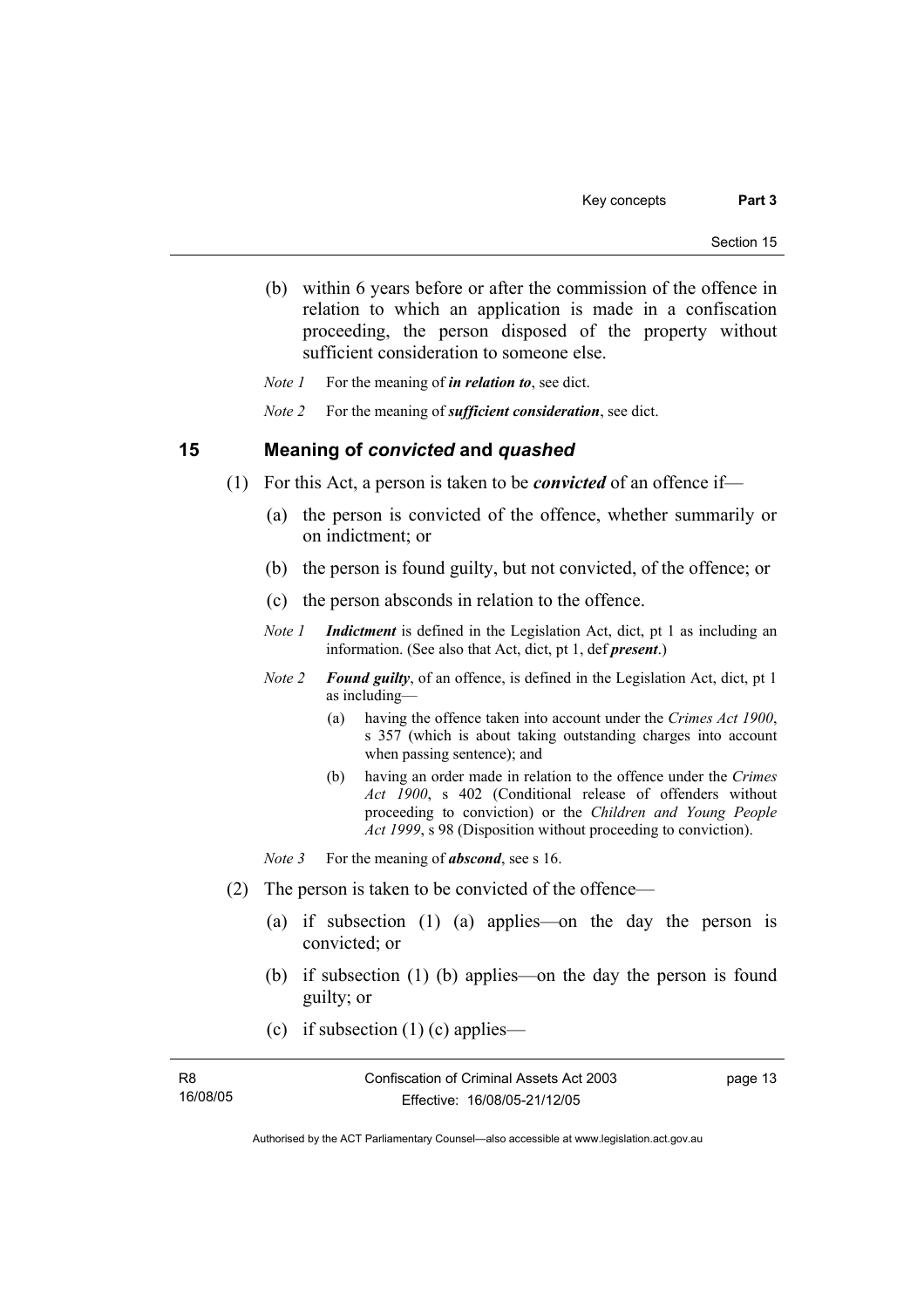(b) within 6 years before or after the commission of the offence in relation to which an application is made in a confiscation proceeding, the person disposed of the property without sufficient consideration to someone else.

*Note 1* For the meaning of *in relation to*, see dict.

*Note 2* For the meaning of *sufficient consideration*, see dict.

### **15 Meaning of** *convicted* **and** *quashed*

- (1) For this Act, a person is taken to be *convicted* of an offence if—
	- (a) the person is convicted of the offence, whether summarily or on indictment; or
	- (b) the person is found guilty, but not convicted, of the offence; or
	- (c) the person absconds in relation to the offence.
	- *Note 1 Indictment* is defined in the Legislation Act, dict, pt 1 as including an information. (See also that Act, dict, pt 1, def *present*.)
	- *Note 2 Found guilty*, of an offence, is defined in the Legislation Act, dict, pt 1 as including—
		- (a) having the offence taken into account under the *Crimes Act 1900*, s 357 (which is about taking outstanding charges into account when passing sentence); and
		- (b) having an order made in relation to the offence under the *Crimes Act 1900*, s 402 (Conditional release of offenders without proceeding to conviction) or the *Children and Young People Act 1999*, s 98 (Disposition without proceeding to conviction).
	- *Note* 3 For the meaning of *abscond*, see s 16.
- (2) The person is taken to be convicted of the offence—
	- (a) if subsection (1) (a) applies—on the day the person is convicted; or
	- (b) if subsection (1) (b) applies—on the day the person is found guilty; or
	- (c) if subsection  $(1)$  (c) applies—

| R8       | Confiscation of Criminal Assets Act 2003 |  |
|----------|------------------------------------------|--|
| 16/08/05 | Effective: 16/08/05-21/12/05             |  |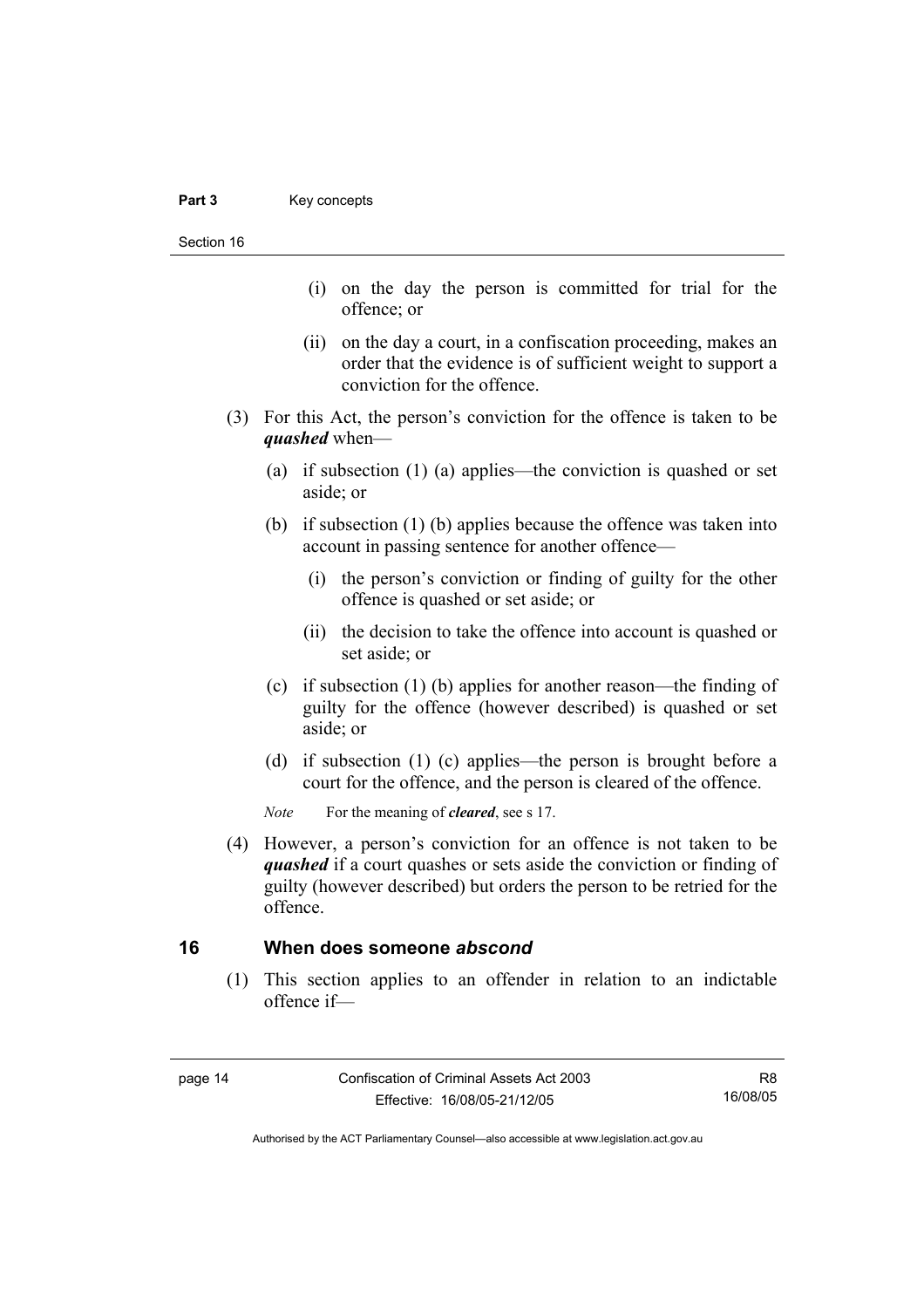Section 16

- (i) on the day the person is committed for trial for the offence; or
- (ii) on the day a court, in a confiscation proceeding, makes an order that the evidence is of sufficient weight to support a conviction for the offence.
- (3) For this Act, the person's conviction for the offence is taken to be *quashed* when—
	- (a) if subsection (1) (a) applies—the conviction is quashed or set aside; or
	- (b) if subsection (1) (b) applies because the offence was taken into account in passing sentence for another offence—
		- (i) the person's conviction or finding of guilty for the other offence is quashed or set aside; or
		- (ii) the decision to take the offence into account is quashed or set aside; or
	- (c) if subsection (1) (b) applies for another reason—the finding of guilty for the offence (however described) is quashed or set aside; or
	- (d) if subsection (1) (c) applies—the person is brought before a court for the offence, and the person is cleared of the offence.

*Note* For the meaning of *cleared*, see s 17.

 (4) However, a person's conviction for an offence is not taken to be *quashed* if a court quashes or sets aside the conviction or finding of guilty (however described) but orders the person to be retried for the offence.

## **16 When does someone** *abscond*

 (1) This section applies to an offender in relation to an indictable offence if—

R8 16/08/05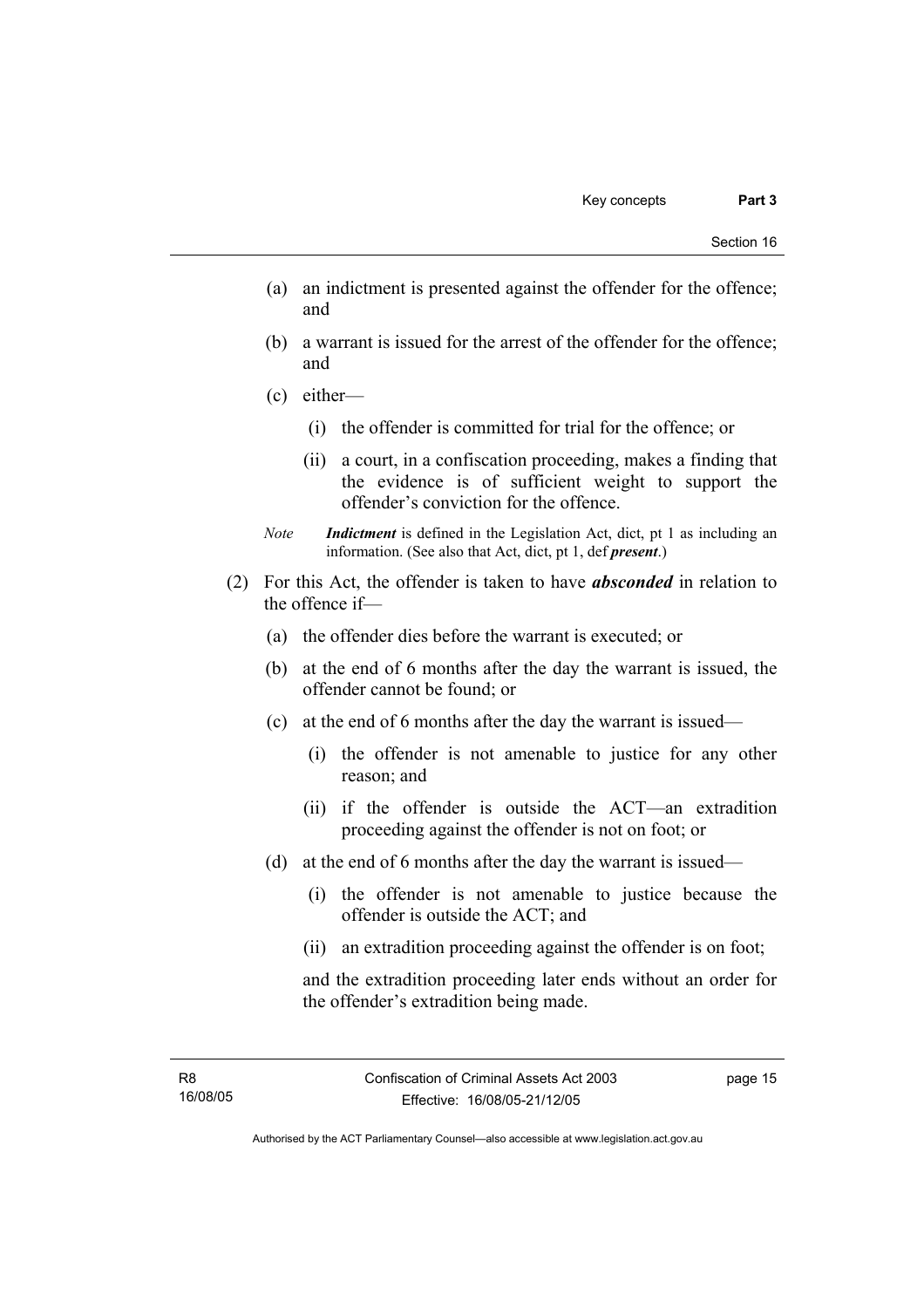- (a) an indictment is presented against the offender for the offence; and
- (b) a warrant is issued for the arrest of the offender for the offence; and
- (c) either—
	- (i) the offender is committed for trial for the offence; or
	- (ii) a court, in a confiscation proceeding, makes a finding that the evidence is of sufficient weight to support the offender's conviction for the offence.
- *Note Indictment* is defined in the Legislation Act, dict, pt 1 as including an information. (See also that Act, dict, pt 1, def *present*.)
- (2) For this Act, the offender is taken to have *absconded* in relation to the offence if—
	- (a) the offender dies before the warrant is executed; or
	- (b) at the end of 6 months after the day the warrant is issued, the offender cannot be found; or
	- (c) at the end of 6 months after the day the warrant is issued—
		- (i) the offender is not amenable to justice for any other reason; and
		- (ii) if the offender is outside the ACT—an extradition proceeding against the offender is not on foot; or
	- (d) at the end of 6 months after the day the warrant is issued—
		- (i) the offender is not amenable to justice because the offender is outside the ACT; and
		- (ii) an extradition proceeding against the offender is on foot;

and the extradition proceeding later ends without an order for the offender's extradition being made.

page 15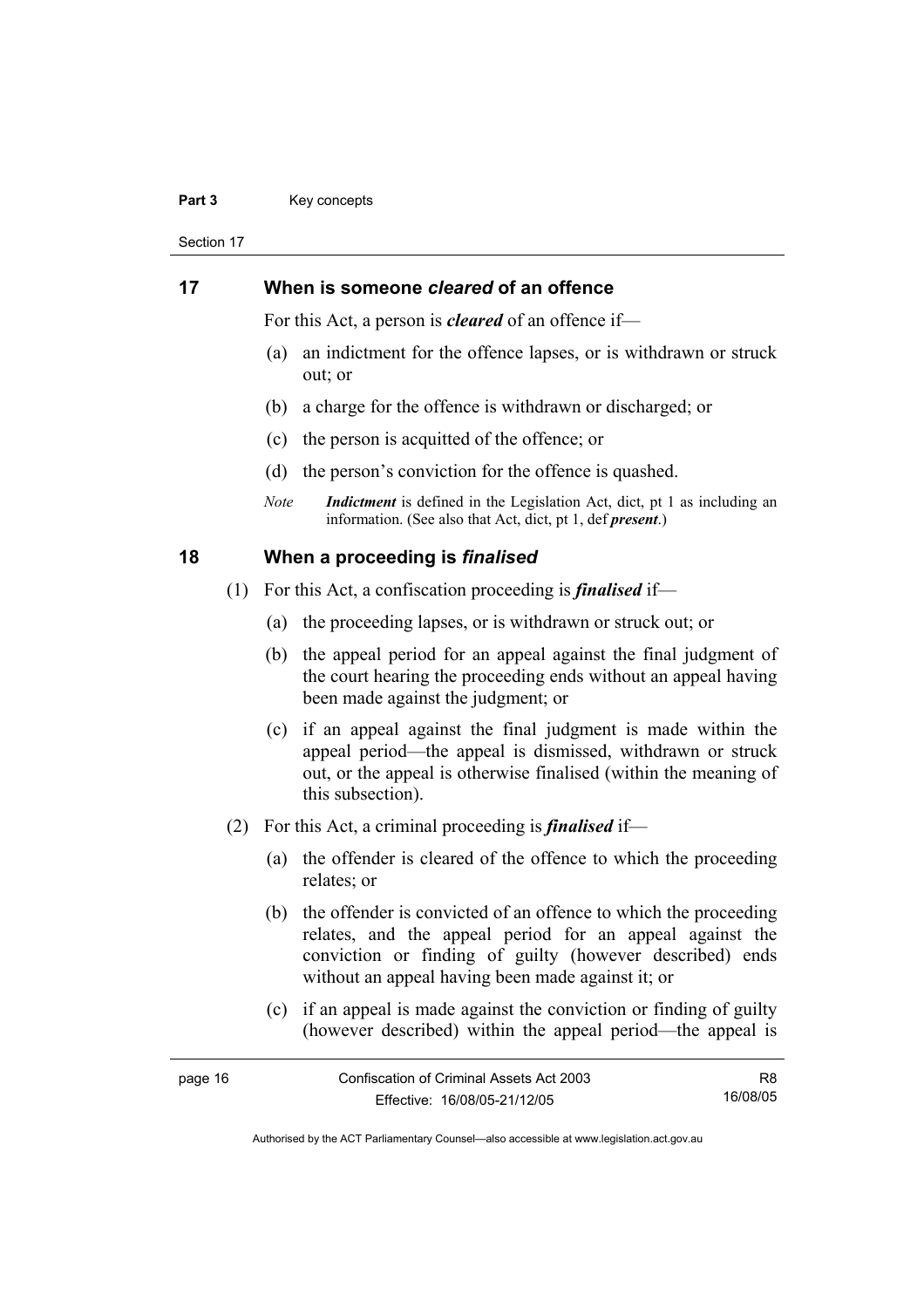#### Part 3 **Key concepts**

Section 17

## **17 When is someone** *cleared* **of an offence**

For this Act, a person is *cleared* of an offence if—

- (a) an indictment for the offence lapses, or is withdrawn or struck out; or
- (b) a charge for the offence is withdrawn or discharged; or
- (c) the person is acquitted of the offence; or
- (d) the person's conviction for the offence is quashed.
- *Note Indictment* is defined in the Legislation Act, dict, pt 1 as including an information. (See also that Act, dict, pt 1, def *present*.)

## **18 When a proceeding is** *finalised*

- (1) For this Act, a confiscation proceeding is *finalised* if—
	- (a) the proceeding lapses, or is withdrawn or struck out; or
	- (b) the appeal period for an appeal against the final judgment of the court hearing the proceeding ends without an appeal having been made against the judgment; or
	- (c) if an appeal against the final judgment is made within the appeal period—the appeal is dismissed, withdrawn or struck out, or the appeal is otherwise finalised (within the meaning of this subsection).
- (2) For this Act, a criminal proceeding is *finalised* if—
	- (a) the offender is cleared of the offence to which the proceeding relates; or
	- (b) the offender is convicted of an offence to which the proceeding relates, and the appeal period for an appeal against the conviction or finding of guilty (however described) ends without an appeal having been made against it; or
	- (c) if an appeal is made against the conviction or finding of guilty (however described) within the appeal period—the appeal is

| page 16 | Confiscation of Criminal Assets Act 2003 | R8       |
|---------|------------------------------------------|----------|
|         | Effective: 16/08/05-21/12/05             | 16/08/05 |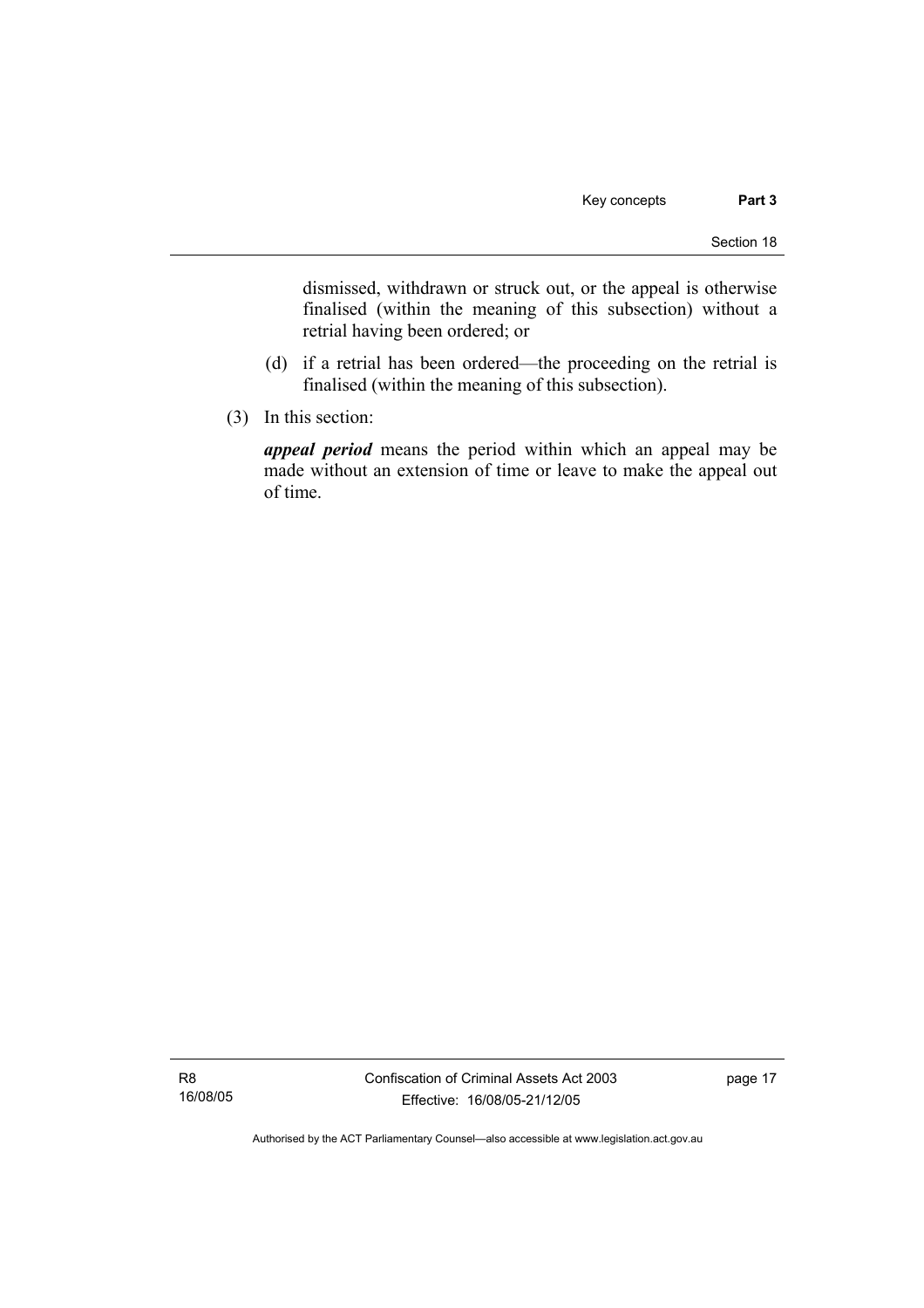dismissed, withdrawn or struck out, or the appeal is otherwise finalised (within the meaning of this subsection) without a retrial having been ordered; or

- (d) if a retrial has been ordered—the proceeding on the retrial is finalised (within the meaning of this subsection).
- (3) In this section:

*appeal period* means the period within which an appeal may be made without an extension of time or leave to make the appeal out of time.

R8 16/08/05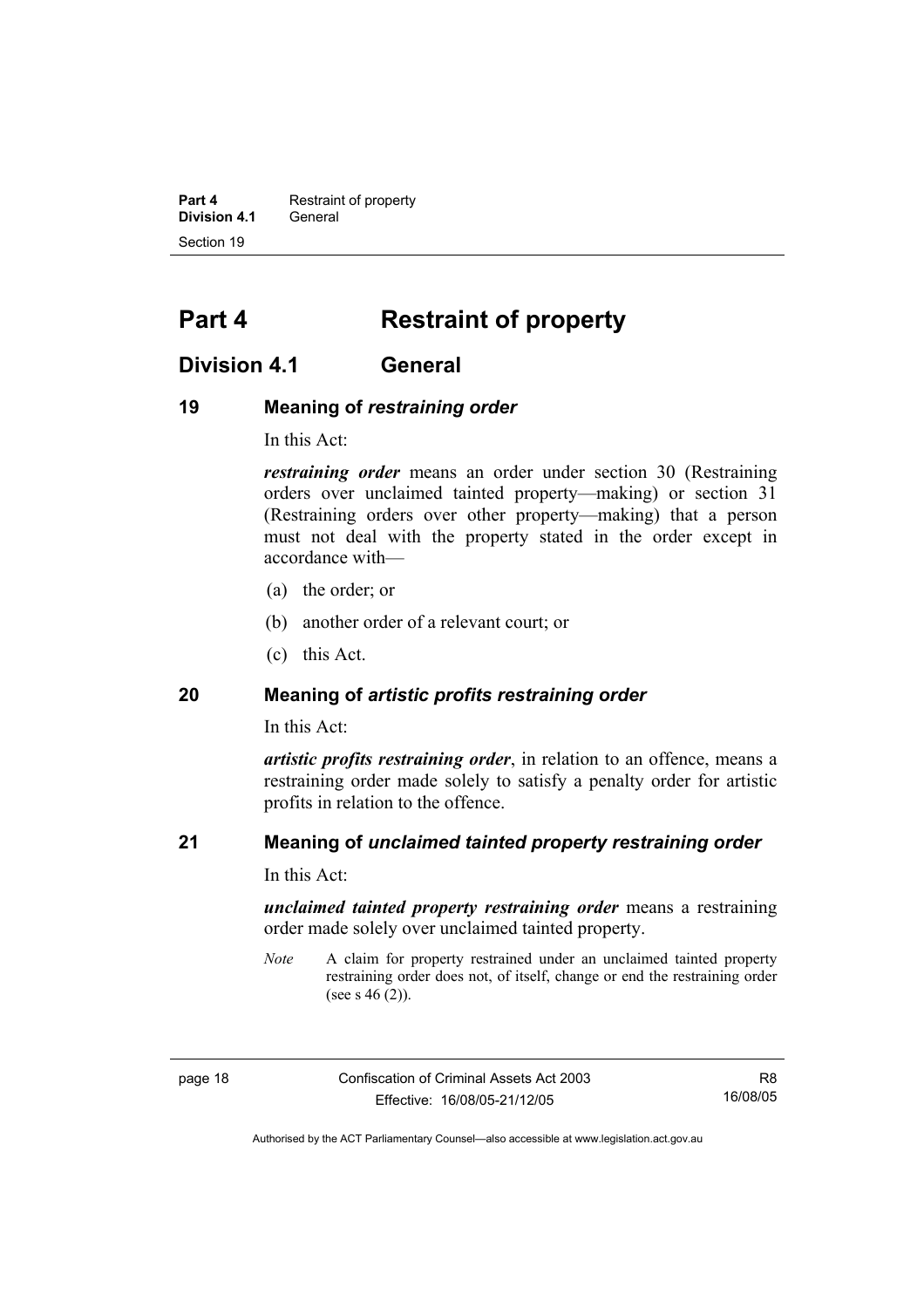**Part 4 Restraint of property Division 4.1** General Section 19

## **Part 4 Restraint of property**

## **Division 4.1 General**

## **19 Meaning of** *restraining order*

In this Act:

*restraining order* means an order under section 30 (Restraining orders over unclaimed tainted property—making) or section 31 (Restraining orders over other property—making) that a person must not deal with the property stated in the order except in accordance with—

- (a) the order; or
- (b) another order of a relevant court; or
- (c) this Act.

## **20 Meaning of** *artistic profits restraining order*

In this Act:

*artistic profits restraining order*, in relation to an offence, means a restraining order made solely to satisfy a penalty order for artistic profits in relation to the offence.

## **21 Meaning of** *unclaimed tainted property restraining order*

In this Act:

*unclaimed tainted property restraining order* means a restraining order made solely over unclaimed tainted property.

*Note* A claim for property restrained under an unclaimed tainted property restraining order does not, of itself, change or end the restraining order (see s  $46(2)$ ).

page 18 Confiscation of Criminal Assets Act 2003 Effective: 16/08/05-21/12/05

R8 16/08/05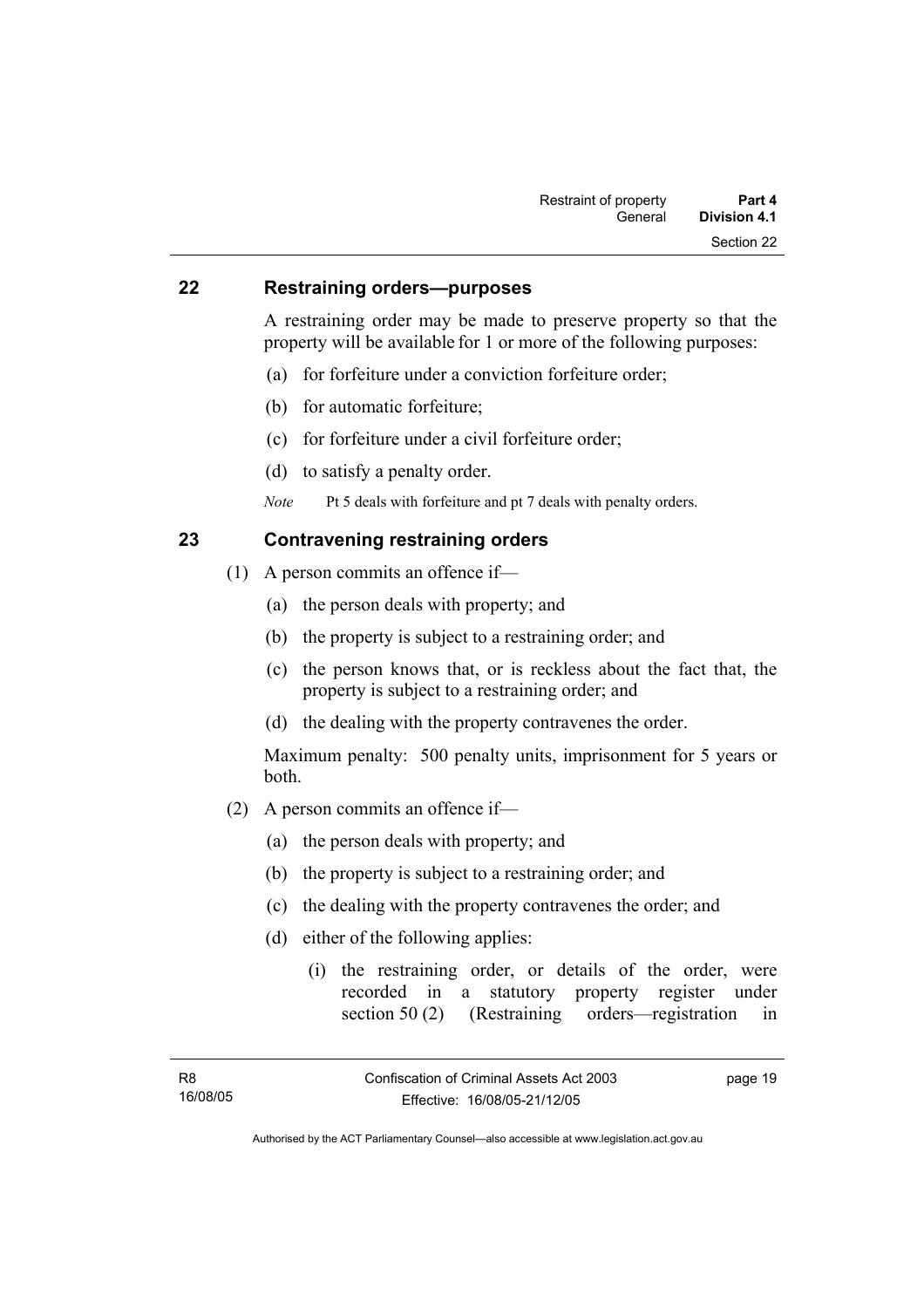### **22 Restraining orders—purposes**

A restraining order may be made to preserve property so that the property will be available for 1 or more of the following purposes:

- (a) for forfeiture under a conviction forfeiture order;
- (b) for automatic forfeiture;
- (c) for forfeiture under a civil forfeiture order;
- (d) to satisfy a penalty order.

*Note* Pt 5 deals with forfeiture and pt 7 deals with penalty orders.

## **23 Contravening restraining orders**

- (1) A person commits an offence if—
	- (a) the person deals with property; and
	- (b) the property is subject to a restraining order; and
	- (c) the person knows that, or is reckless about the fact that, the property is subject to a restraining order; and
	- (d) the dealing with the property contravenes the order.

Maximum penalty: 500 penalty units, imprisonment for 5 years or both.

- (2) A person commits an offence if—
	- (a) the person deals with property; and
	- (b) the property is subject to a restraining order; and
	- (c) the dealing with the property contravenes the order; and
	- (d) either of the following applies:
		- (i) the restraining order, or details of the order, were recorded in a statutory property register under section 50 (2) (Restraining orders—registration in

page 19

Authorised by the ACT Parliamentary Counsel—also accessible at www.legislation.act.gov.au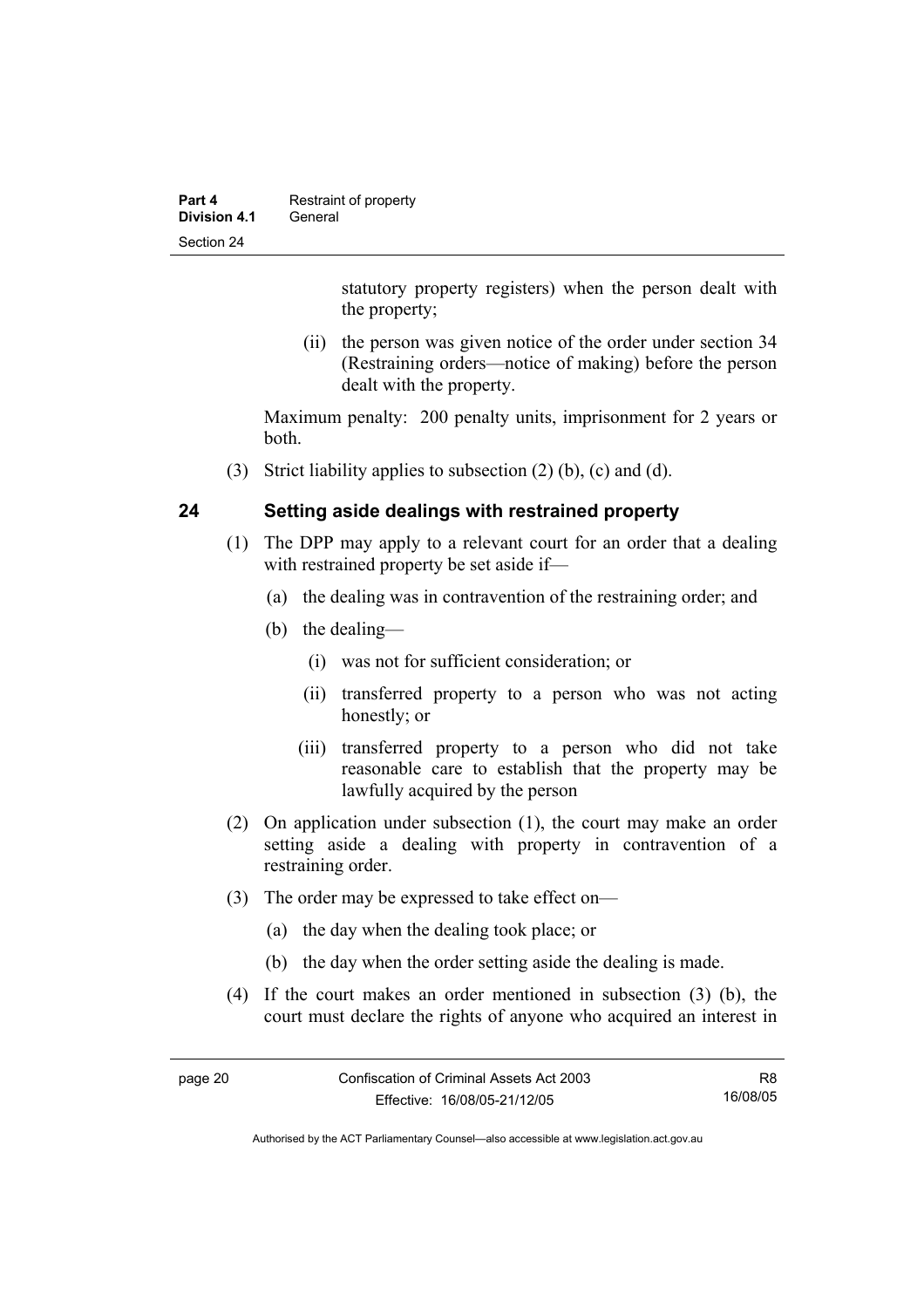| Part 4       | Restraint of property |
|--------------|-----------------------|
| Division 4.1 | General               |
| Section 24   |                       |

statutory property registers) when the person dealt with the property;

 (ii) the person was given notice of the order under section 34 (Restraining orders—notice of making) before the person dealt with the property.

Maximum penalty: 200 penalty units, imprisonment for 2 years or both.

(3) Strict liability applies to subsection (2) (b), (c) and (d).

## **24 Setting aside dealings with restrained property**

- (1) The DPP may apply to a relevant court for an order that a dealing with restrained property be set aside if—
	- (a) the dealing was in contravention of the restraining order; and
	- (b) the dealing—
		- (i) was not for sufficient consideration; or
		- (ii) transferred property to a person who was not acting honestly; or
		- (iii) transferred property to a person who did not take reasonable care to establish that the property may be lawfully acquired by the person
- (2) On application under subsection (1), the court may make an order setting aside a dealing with property in contravention of a restraining order.
- (3) The order may be expressed to take effect on—
	- (a) the day when the dealing took place; or
	- (b) the day when the order setting aside the dealing is made.
- (4) If the court makes an order mentioned in subsection (3) (b), the court must declare the rights of anyone who acquired an interest in

R8 16/08/05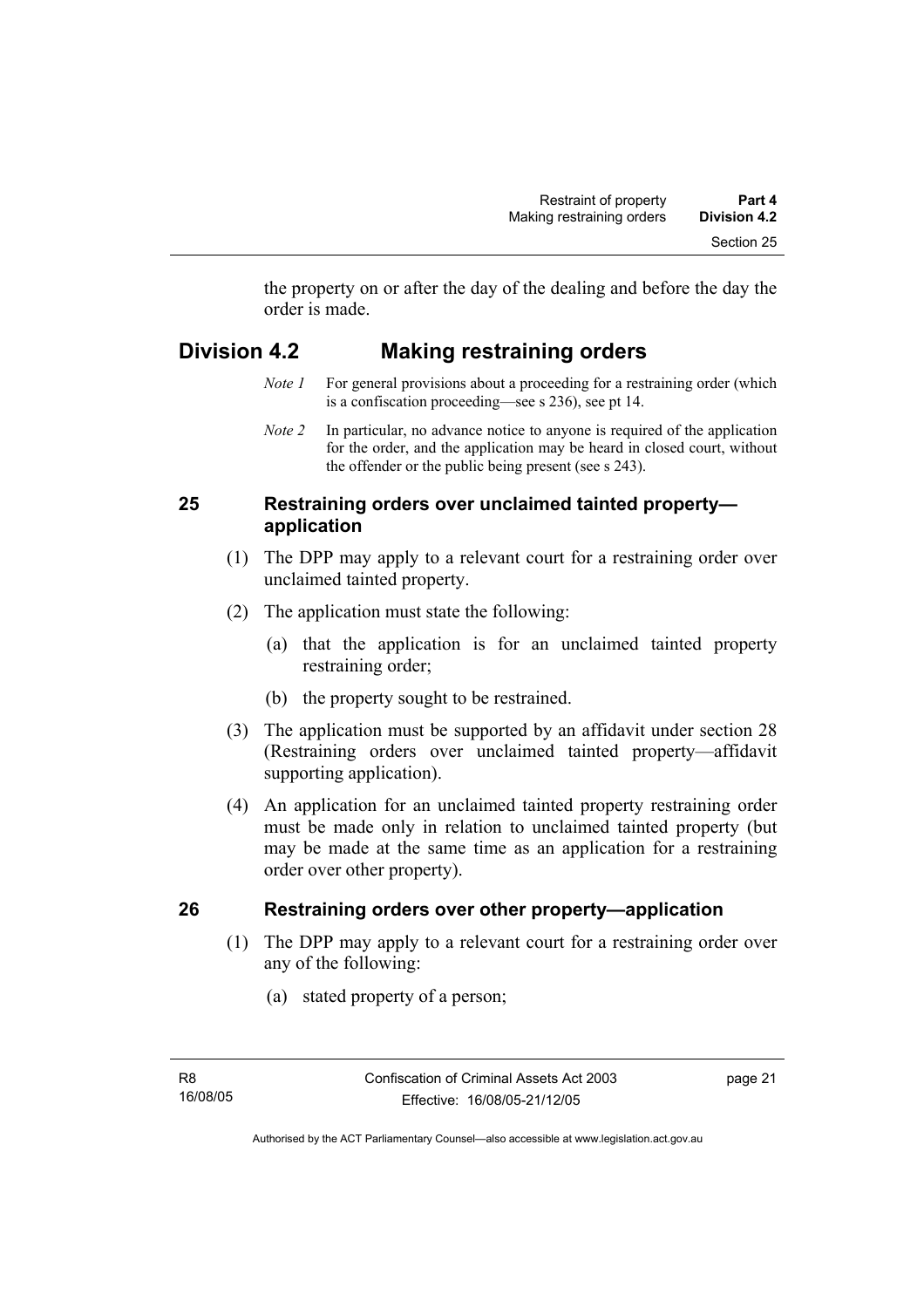the property on or after the day of the dealing and before the day the order is made.

## **Division 4.2 Making restraining orders**

- *Note 1* For general provisions about a proceeding for a restraining order (which is a confiscation proceeding—see s 236), see pt 14.
- *Note 2* In particular, no advance notice to anyone is required of the application for the order, and the application may be heard in closed court, without the offender or the public being present (see s 243).

## **25 Restraining orders over unclaimed tainted property application**

- (1) The DPP may apply to a relevant court for a restraining order over unclaimed tainted property.
- (2) The application must state the following:
	- (a) that the application is for an unclaimed tainted property restraining order;
	- (b) the property sought to be restrained.
- (3) The application must be supported by an affidavit under section 28 (Restraining orders over unclaimed tainted property—affidavit supporting application).
- (4) An application for an unclaimed tainted property restraining order must be made only in relation to unclaimed tainted property (but may be made at the same time as an application for a restraining order over other property).

## **26 Restraining orders over other property—application**

- (1) The DPP may apply to a relevant court for a restraining order over any of the following:
	- (a) stated property of a person;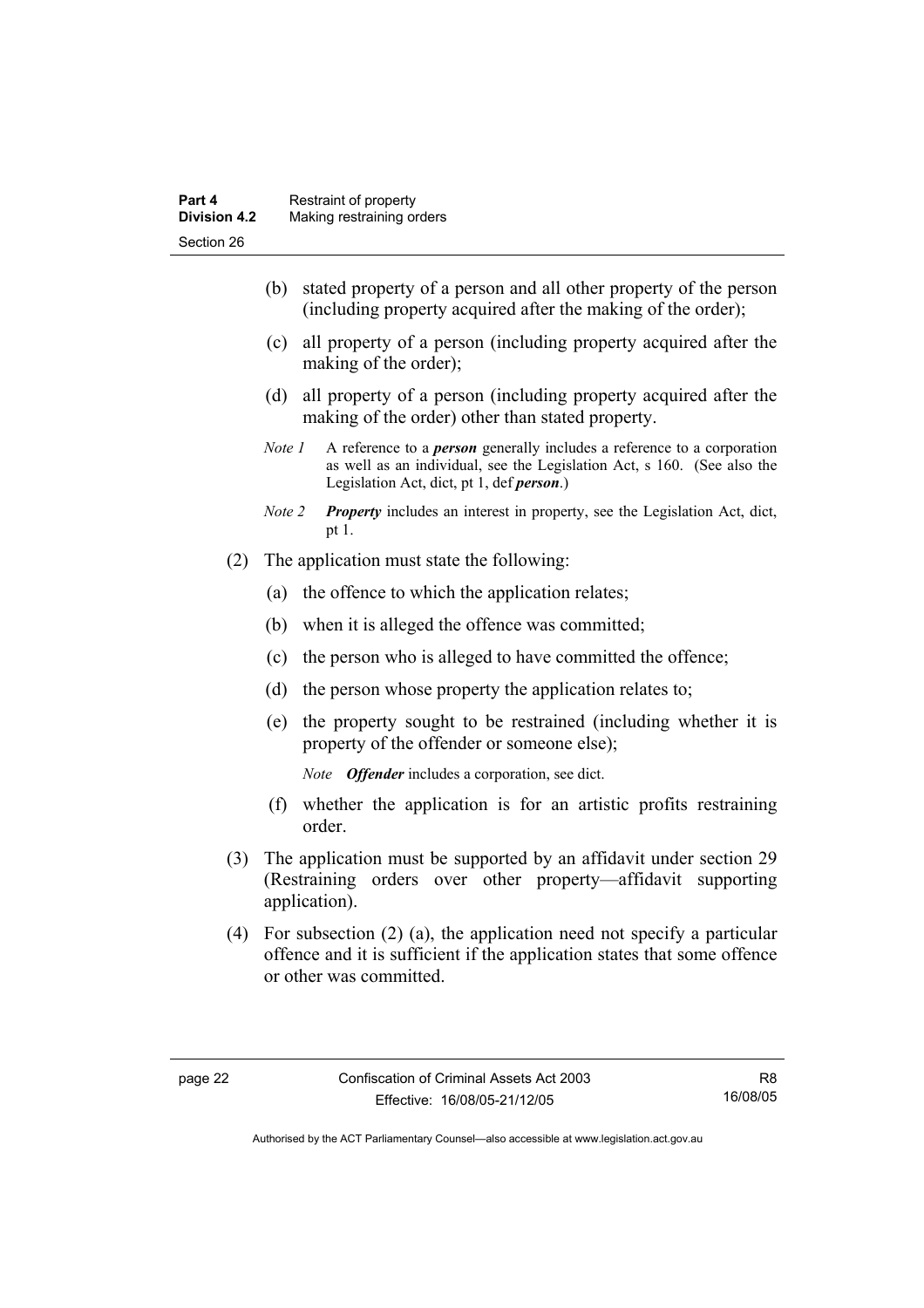- (b) stated property of a person and all other property of the person (including property acquired after the making of the order);
- (c) all property of a person (including property acquired after the making of the order);
- (d) all property of a person (including property acquired after the making of the order) other than stated property.
- *Note 1* A reference to a *person* generally includes a reference to a corporation as well as an individual, see the Legislation Act, s 160. (See also the Legislation Act, dict, pt 1, def *person*.)
- *Note 2 Property* includes an interest in property, see the Legislation Act, dict, pt 1.
- (2) The application must state the following:
	- (a) the offence to which the application relates;
	- (b) when it is alleged the offence was committed;
	- (c) the person who is alleged to have committed the offence;
	- (d) the person whose property the application relates to;
	- (e) the property sought to be restrained (including whether it is property of the offender or someone else);

*Note Offender* includes a corporation, see dict.

- (f) whether the application is for an artistic profits restraining order.
- (3) The application must be supported by an affidavit under section 29 (Restraining orders over other property—affidavit supporting application).
- (4) For subsection (2) (a), the application need not specify a particular offence and it is sufficient if the application states that some offence or other was committed.

R8 16/08/05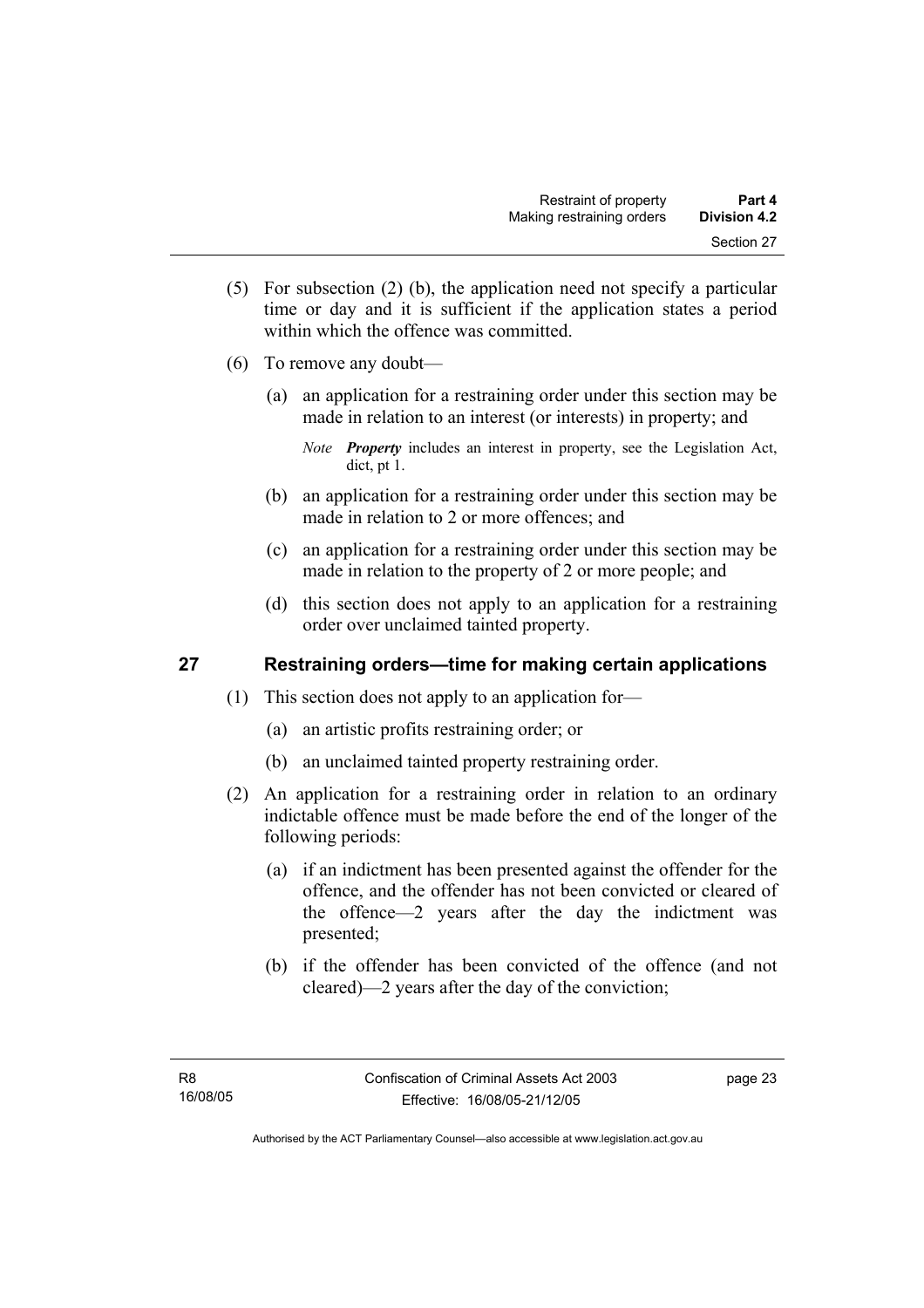- (5) For subsection (2) (b), the application need not specify a particular time or day and it is sufficient if the application states a period within which the offence was committed.
- (6) To remove any doubt—
	- (a) an application for a restraining order under this section may be made in relation to an interest (or interests) in property; and
		- *Note Property* includes an interest in property, see the Legislation Act, dict, pt 1.
	- (b) an application for a restraining order under this section may be made in relation to 2 or more offences; and
	- (c) an application for a restraining order under this section may be made in relation to the property of 2 or more people; and
	- (d) this section does not apply to an application for a restraining order over unclaimed tainted property.

## **27 Restraining orders—time for making certain applications**

- (1) This section does not apply to an application for—
	- (a) an artistic profits restraining order; or
	- (b) an unclaimed tainted property restraining order.
- (2) An application for a restraining order in relation to an ordinary indictable offence must be made before the end of the longer of the following periods:
	- (a) if an indictment has been presented against the offender for the offence, and the offender has not been convicted or cleared of the offence—2 years after the day the indictment was presented;
	- (b) if the offender has been convicted of the offence (and not cleared)—2 years after the day of the conviction;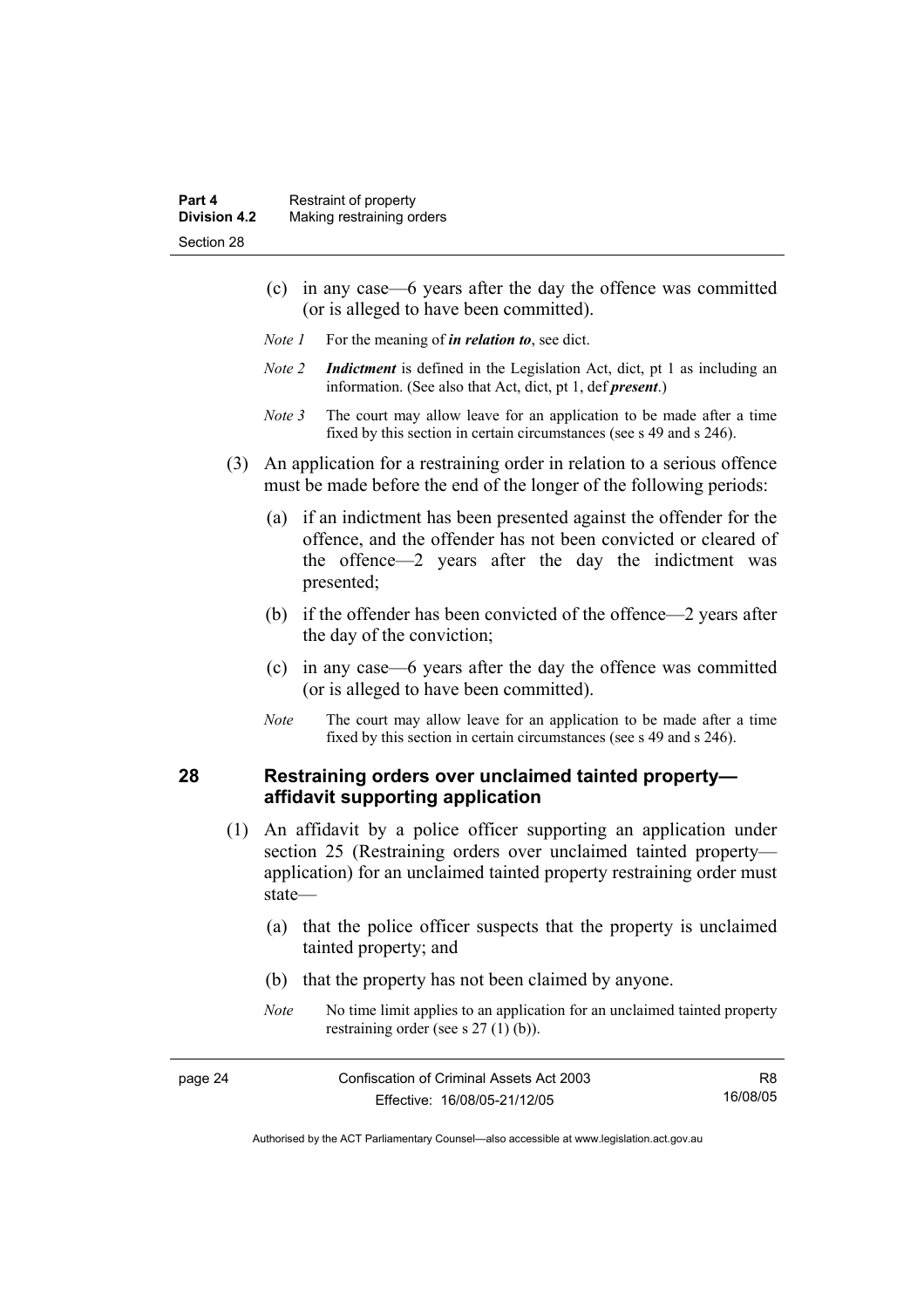- (c) in any case—6 years after the day the offence was committed (or is alleged to have been committed).
- *Note 1* For the meaning of *in relation to*, see dict.
- *Note 2 Indictment* is defined in the Legislation Act, dict, pt 1 as including an information. (See also that Act, dict, pt 1, def *present*.)
- *Note 3* The court may allow leave for an application to be made after a time fixed by this section in certain circumstances (see s 49 and s 246).
- (3) An application for a restraining order in relation to a serious offence must be made before the end of the longer of the following periods:
	- (a) if an indictment has been presented against the offender for the offence, and the offender has not been convicted or cleared of the offence—2 years after the day the indictment was presented;
	- (b) if the offender has been convicted of the offence—2 years after the day of the conviction;
	- (c) in any case—6 years after the day the offence was committed (or is alleged to have been committed).
	- *Note* The court may allow leave for an application to be made after a time fixed by this section in certain circumstances (see s 49 and s 246).

#### **28 Restraining orders over unclaimed tainted property affidavit supporting application**

- (1) An affidavit by a police officer supporting an application under section 25 (Restraining orders over unclaimed tainted property application) for an unclaimed tainted property restraining order must state—
	- (a) that the police officer suspects that the property is unclaimed tainted property; and
	- (b) that the property has not been claimed by anyone.
	- *Note* No time limit applies to an application for an unclaimed tainted property restraining order (see s 27 (1) (b)).

| page 24 | Confiscation of Criminal Assets Act 2003 | R8.      |
|---------|------------------------------------------|----------|
|         | Effective: 16/08/05-21/12/05             | 16/08/05 |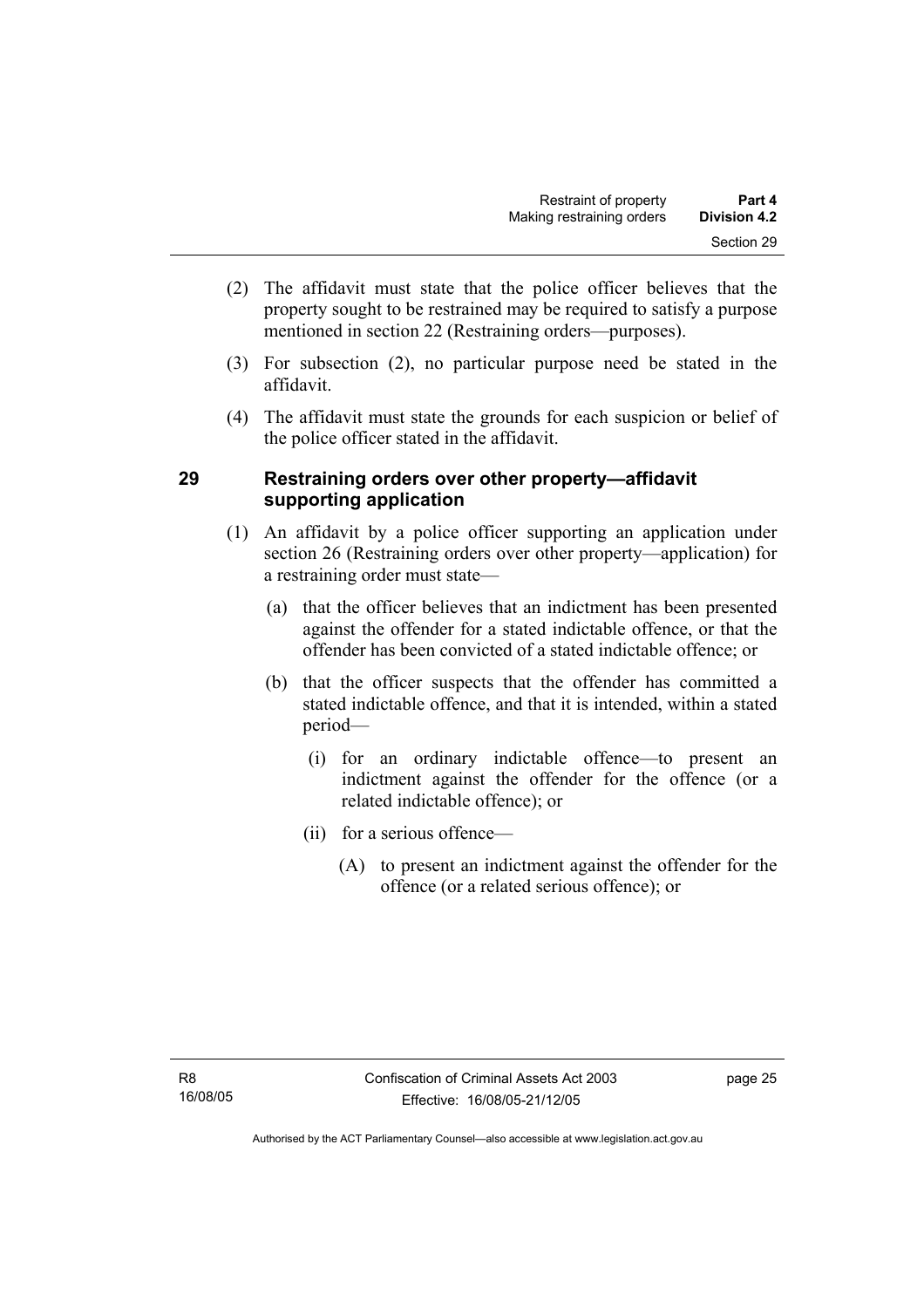- (2) The affidavit must state that the police officer believes that the property sought to be restrained may be required to satisfy a purpose mentioned in section 22 (Restraining orders—purposes).
- (3) For subsection (2), no particular purpose need be stated in the affidavit.
- (4) The affidavit must state the grounds for each suspicion or belief of the police officer stated in the affidavit.

### **29 Restraining orders over other property—affidavit supporting application**

- (1) An affidavit by a police officer supporting an application under section 26 (Restraining orders over other property—application) for a restraining order must state—
	- (a) that the officer believes that an indictment has been presented against the offender for a stated indictable offence, or that the offender has been convicted of a stated indictable offence; or
	- (b) that the officer suspects that the offender has committed a stated indictable offence, and that it is intended, within a stated period—
		- (i) for an ordinary indictable offence—to present an indictment against the offender for the offence (or a related indictable offence); or
		- (ii) for a serious offence—
			- (A) to present an indictment against the offender for the offence (or a related serious offence); or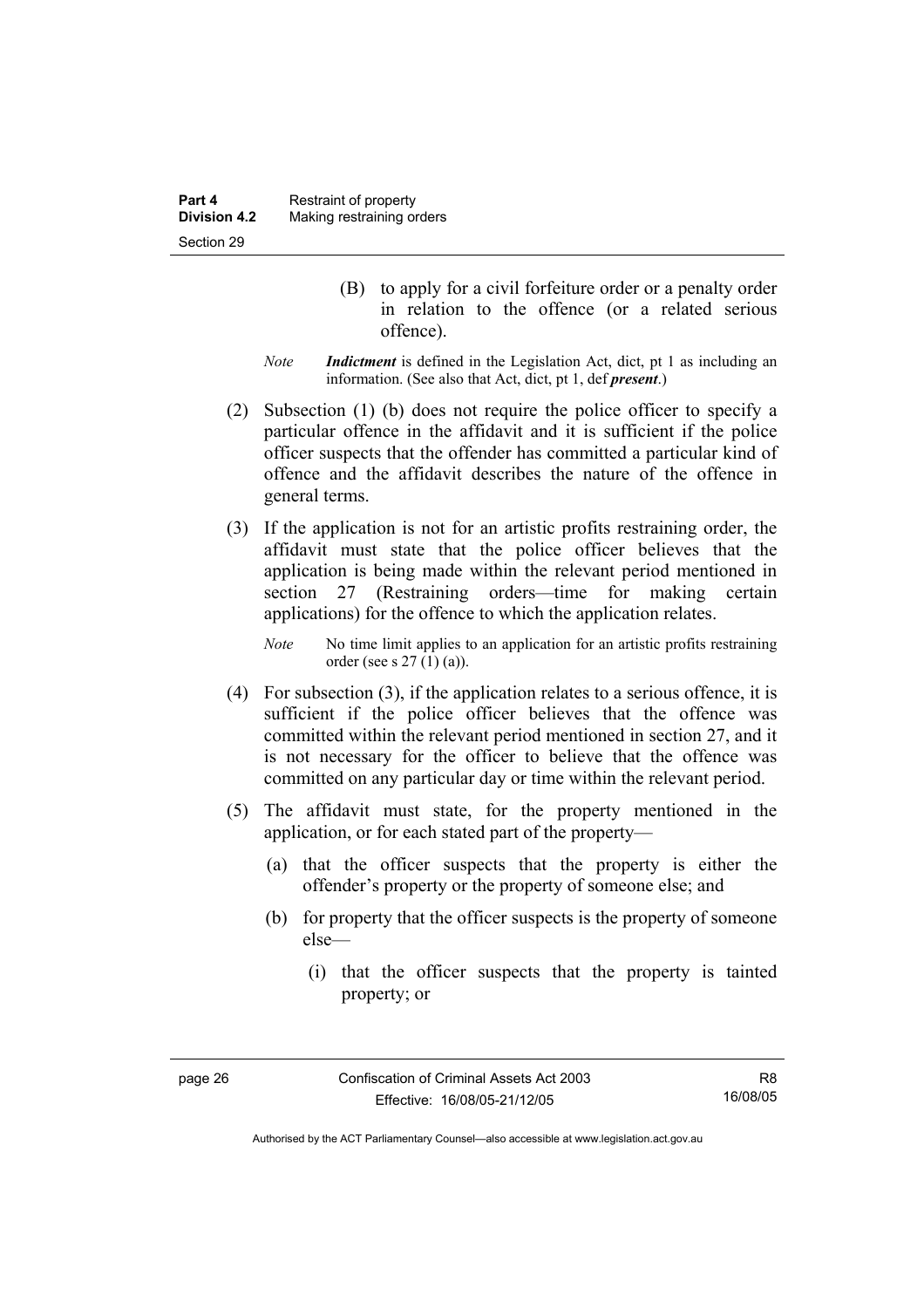- (B) to apply for a civil forfeiture order or a penalty order in relation to the offence (or a related serious offence).
- *Note Indictment* is defined in the Legislation Act, dict, pt 1 as including an information. (See also that Act, dict, pt 1, def *present*.)
- (2) Subsection (1) (b) does not require the police officer to specify a particular offence in the affidavit and it is sufficient if the police officer suspects that the offender has committed a particular kind of offence and the affidavit describes the nature of the offence in general terms.
- (3) If the application is not for an artistic profits restraining order, the affidavit must state that the police officer believes that the application is being made within the relevant period mentioned in section 27 (Restraining orders—time for making certain applications) for the offence to which the application relates.

*Note* No time limit applies to an application for an artistic profits restraining order (see s 27 (1) (a)).

- (4) For subsection (3), if the application relates to a serious offence, it is sufficient if the police officer believes that the offence was committed within the relevant period mentioned in section 27, and it is not necessary for the officer to believe that the offence was committed on any particular day or time within the relevant period.
- (5) The affidavit must state, for the property mentioned in the application, or for each stated part of the property—
	- (a) that the officer suspects that the property is either the offender's property or the property of someone else; and
	- (b) for property that the officer suspects is the property of someone else—
		- (i) that the officer suspects that the property is tainted property; or

R8 16/08/05

Authorised by the ACT Parliamentary Counsel—also accessible at www.legislation.act.gov.au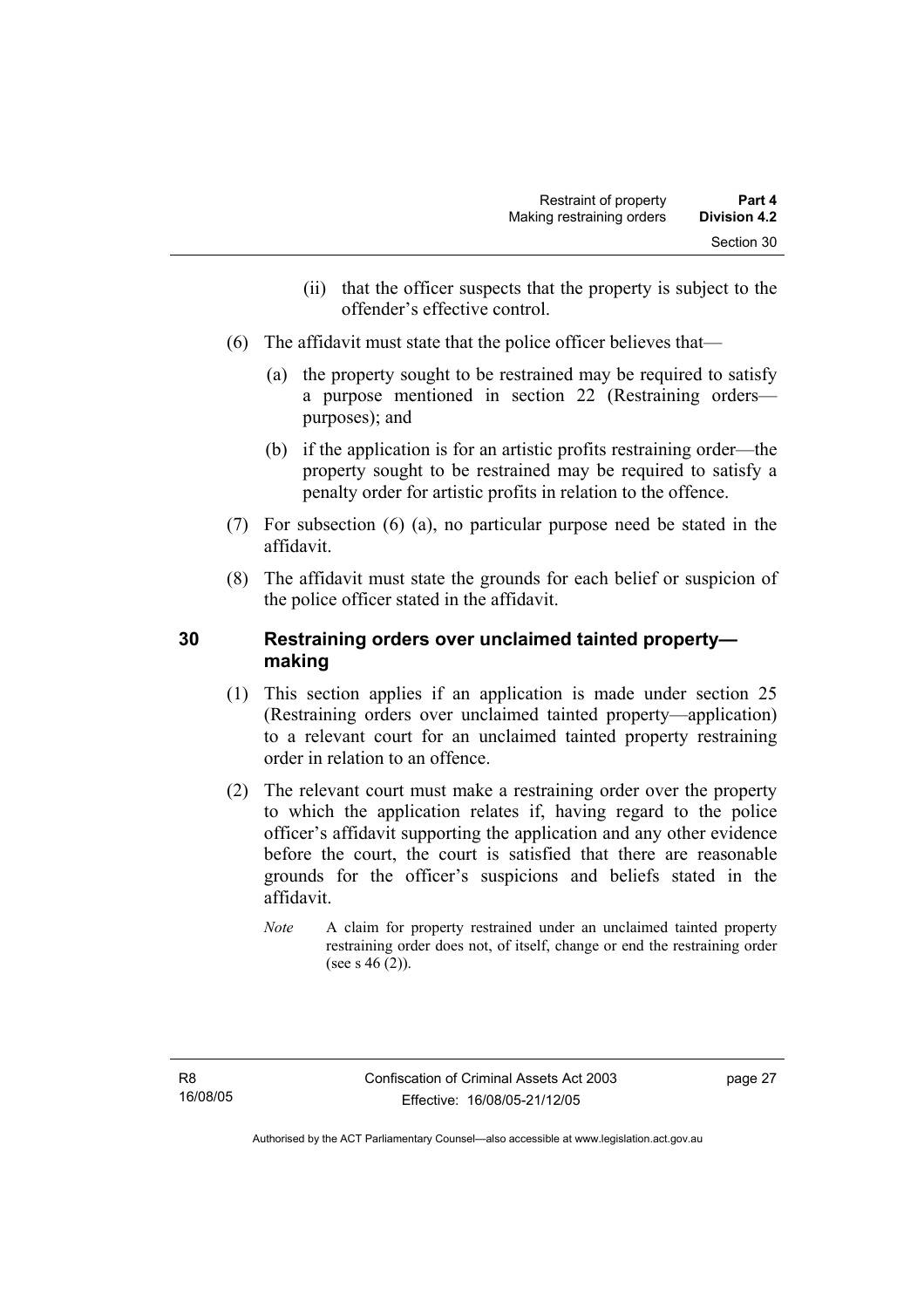- (ii) that the officer suspects that the property is subject to the offender's effective control.
- (6) The affidavit must state that the police officer believes that—
	- (a) the property sought to be restrained may be required to satisfy a purpose mentioned in section 22 (Restraining orders purposes); and
	- (b) if the application is for an artistic profits restraining order—the property sought to be restrained may be required to satisfy a penalty order for artistic profits in relation to the offence.
- (7) For subsection (6) (a), no particular purpose need be stated in the affidavit.
- (8) The affidavit must state the grounds for each belief or suspicion of the police officer stated in the affidavit.

### **30 Restraining orders over unclaimed tainted property making**

- (1) This section applies if an application is made under section 25 (Restraining orders over unclaimed tainted property—application) to a relevant court for an unclaimed tainted property restraining order in relation to an offence.
- (2) The relevant court must make a restraining order over the property to which the application relates if, having regard to the police officer's affidavit supporting the application and any other evidence before the court, the court is satisfied that there are reasonable grounds for the officer's suspicions and beliefs stated in the affidavit.
	- *Note* A claim for property restrained under an unclaimed tainted property restraining order does not, of itself, change or end the restraining order (see s 46 (2)).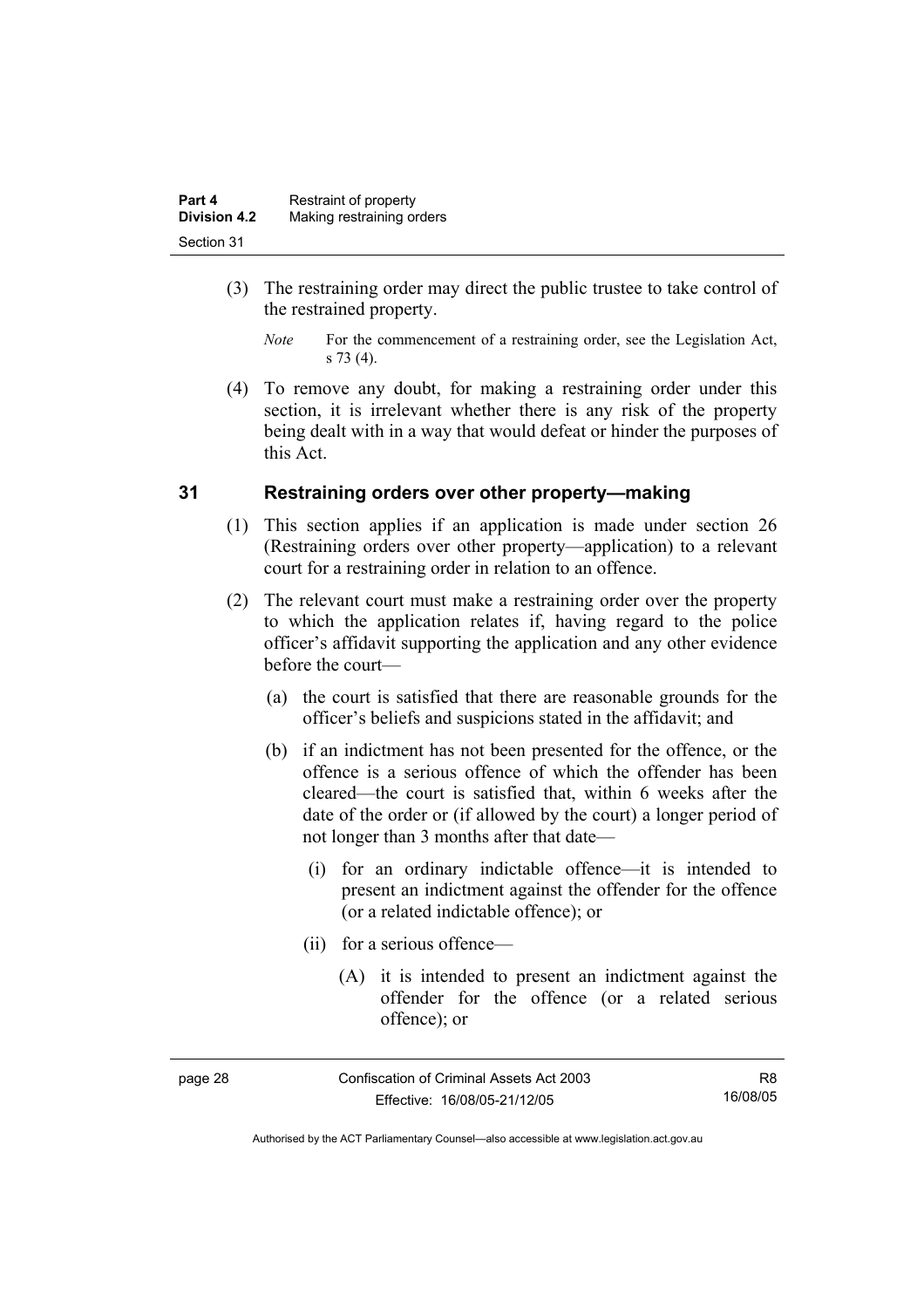| Part 4              | Restraint of property     |
|---------------------|---------------------------|
| <b>Division 4.2</b> | Making restraining orders |
| Section 31          |                           |

- (3) The restraining order may direct the public trustee to take control of the restrained property.
	- *Note* For the commencement of a restraining order, see the Legislation Act, s 73 (4).
- (4) To remove any doubt, for making a restraining order under this section, it is irrelevant whether there is any risk of the property being dealt with in a way that would defeat or hinder the purposes of this Act.

#### **31 Restraining orders over other property—making**

- (1) This section applies if an application is made under section 26 (Restraining orders over other property—application) to a relevant court for a restraining order in relation to an offence.
- (2) The relevant court must make a restraining order over the property to which the application relates if, having regard to the police officer's affidavit supporting the application and any other evidence before the court—
	- (a) the court is satisfied that there are reasonable grounds for the officer's beliefs and suspicions stated in the affidavit; and
	- (b) if an indictment has not been presented for the offence, or the offence is a serious offence of which the offender has been cleared—the court is satisfied that, within 6 weeks after the date of the order or (if allowed by the court) a longer period of not longer than 3 months after that date—
		- (i) for an ordinary indictable offence—it is intended to present an indictment against the offender for the offence (or a related indictable offence); or
		- (ii) for a serious offence—
			- (A) it is intended to present an indictment against the offender for the offence (or a related serious offence); or

| page. |
|-------|
|-------|

Confiscation of Criminal Assets Act 2003 Effective: 16/08/05-21/12/05

R8 16/08/05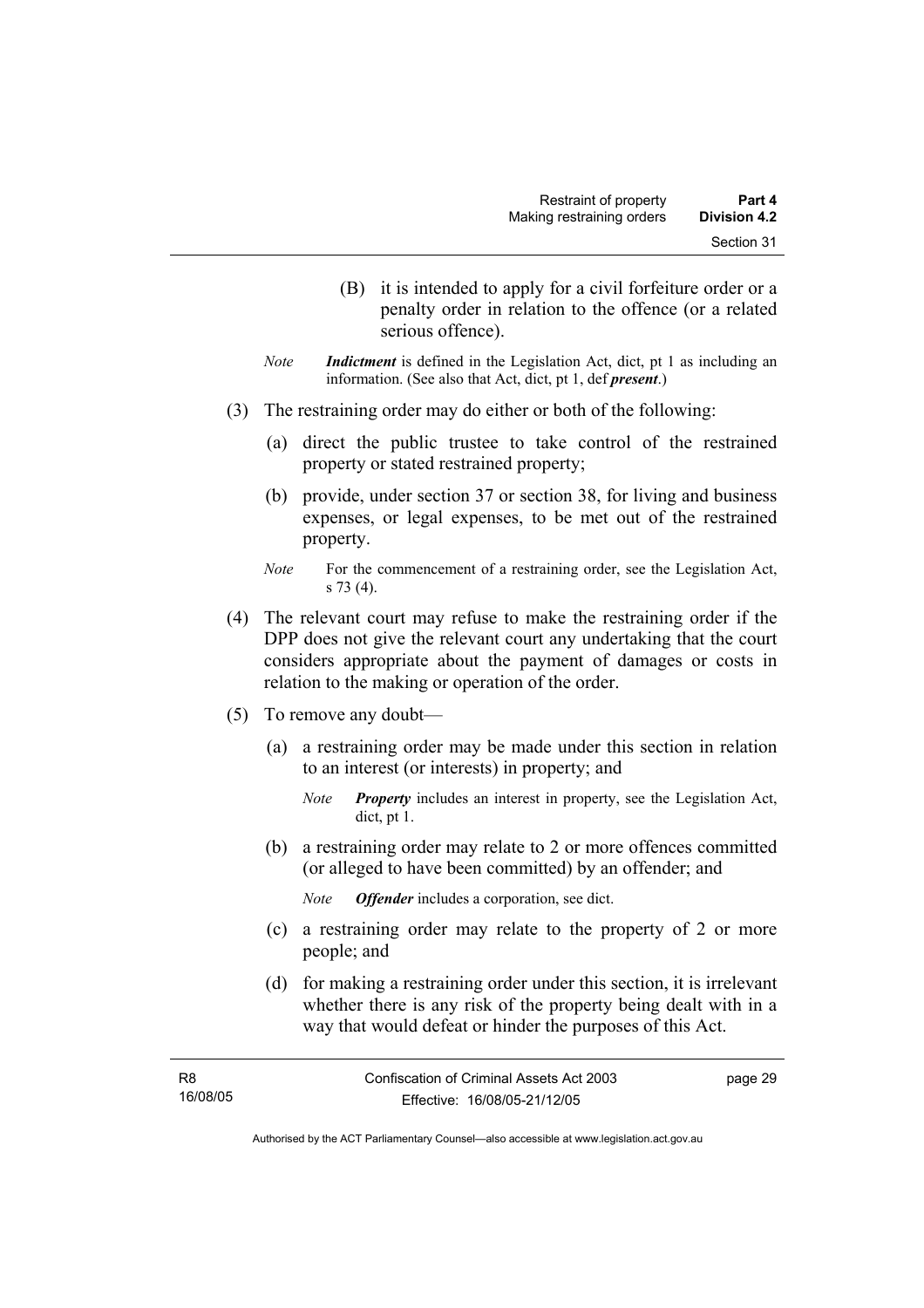- (B) it is intended to apply for a civil forfeiture order or a penalty order in relation to the offence (or a related serious offence).
- *Note Indictment* is defined in the Legislation Act, dict, pt 1 as including an information. (See also that Act, dict, pt 1, def *present*.)
- (3) The restraining order may do either or both of the following:
	- (a) direct the public trustee to take control of the restrained property or stated restrained property;
	- (b) provide, under section 37 or section 38, for living and business expenses, or legal expenses, to be met out of the restrained property.
	- *Note* For the commencement of a restraining order, see the Legislation Act, s 73 (4).
- (4) The relevant court may refuse to make the restraining order if the DPP does not give the relevant court any undertaking that the court considers appropriate about the payment of damages or costs in relation to the making or operation of the order.
- (5) To remove any doubt—
	- (a) a restraining order may be made under this section in relation to an interest (or interests) in property; and
		- *Note Property* includes an interest in property, see the Legislation Act, dict, pt 1.
	- (b) a restraining order may relate to 2 or more offences committed (or alleged to have been committed) by an offender; and
		- *Note Offender* includes a corporation, see dict.
	- (c) a restraining order may relate to the property of 2 or more people; and
	- (d) for making a restraining order under this section, it is irrelevant whether there is any risk of the property being dealt with in a way that would defeat or hinder the purposes of this Act.

page 29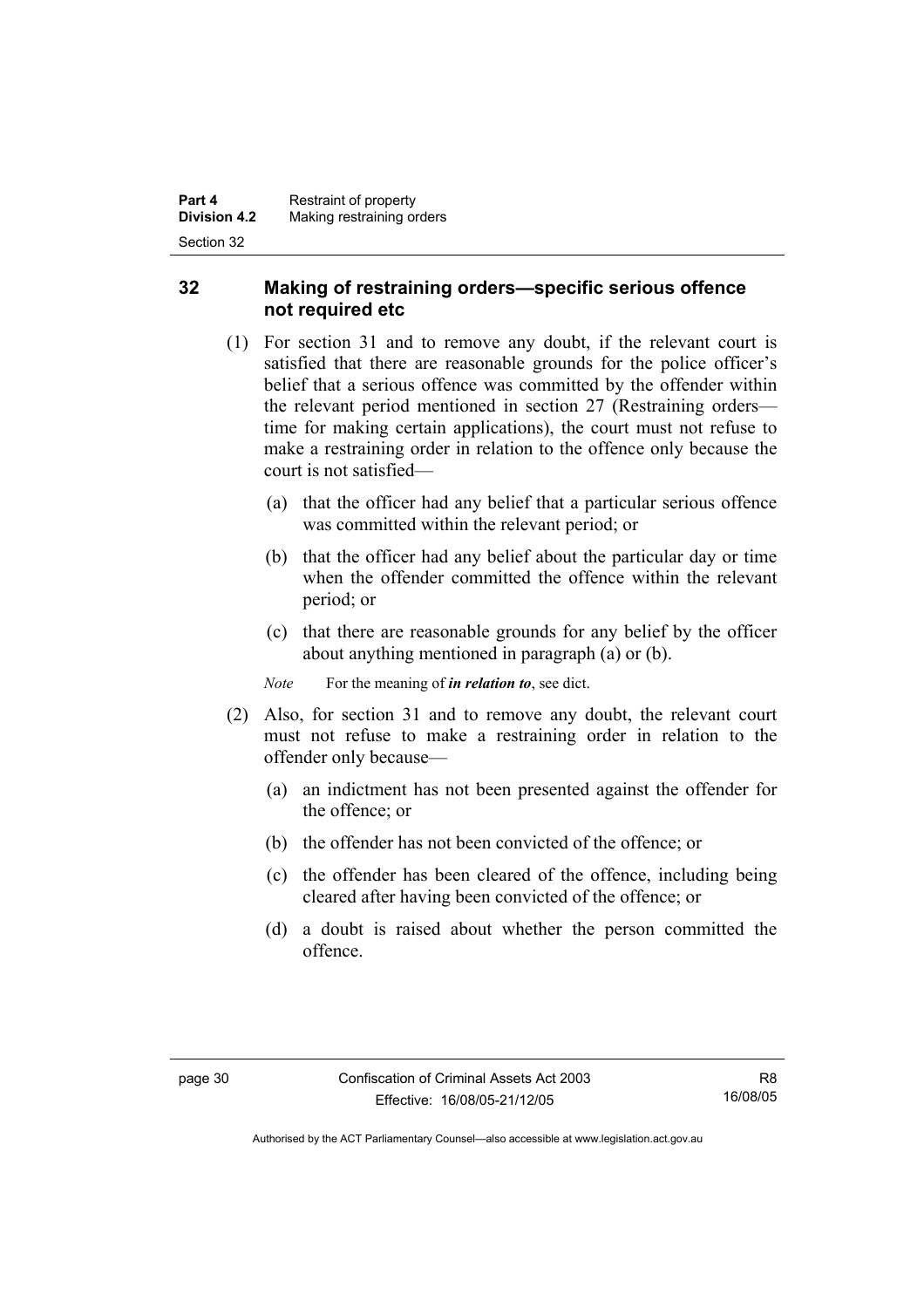#### **32 Making of restraining orders—specific serious offence not required etc**

- (1) For section 31 and to remove any doubt, if the relevant court is satisfied that there are reasonable grounds for the police officer's belief that a serious offence was committed by the offender within the relevant period mentioned in section 27 (Restraining orders time for making certain applications), the court must not refuse to make a restraining order in relation to the offence only because the court is not satisfied—
	- (a) that the officer had any belief that a particular serious offence was committed within the relevant period; or
	- (b) that the officer had any belief about the particular day or time when the offender committed the offence within the relevant period; or
	- (c) that there are reasonable grounds for any belief by the officer about anything mentioned in paragraph (a) or (b).

*Note* For the meaning of *in relation to*, see dict.

- (2) Also, for section 31 and to remove any doubt, the relevant court must not refuse to make a restraining order in relation to the offender only because—
	- (a) an indictment has not been presented against the offender for the offence; or
	- (b) the offender has not been convicted of the offence; or
	- (c) the offender has been cleared of the offence, including being cleared after having been convicted of the offence; or
	- (d) a doubt is raised about whether the person committed the offence.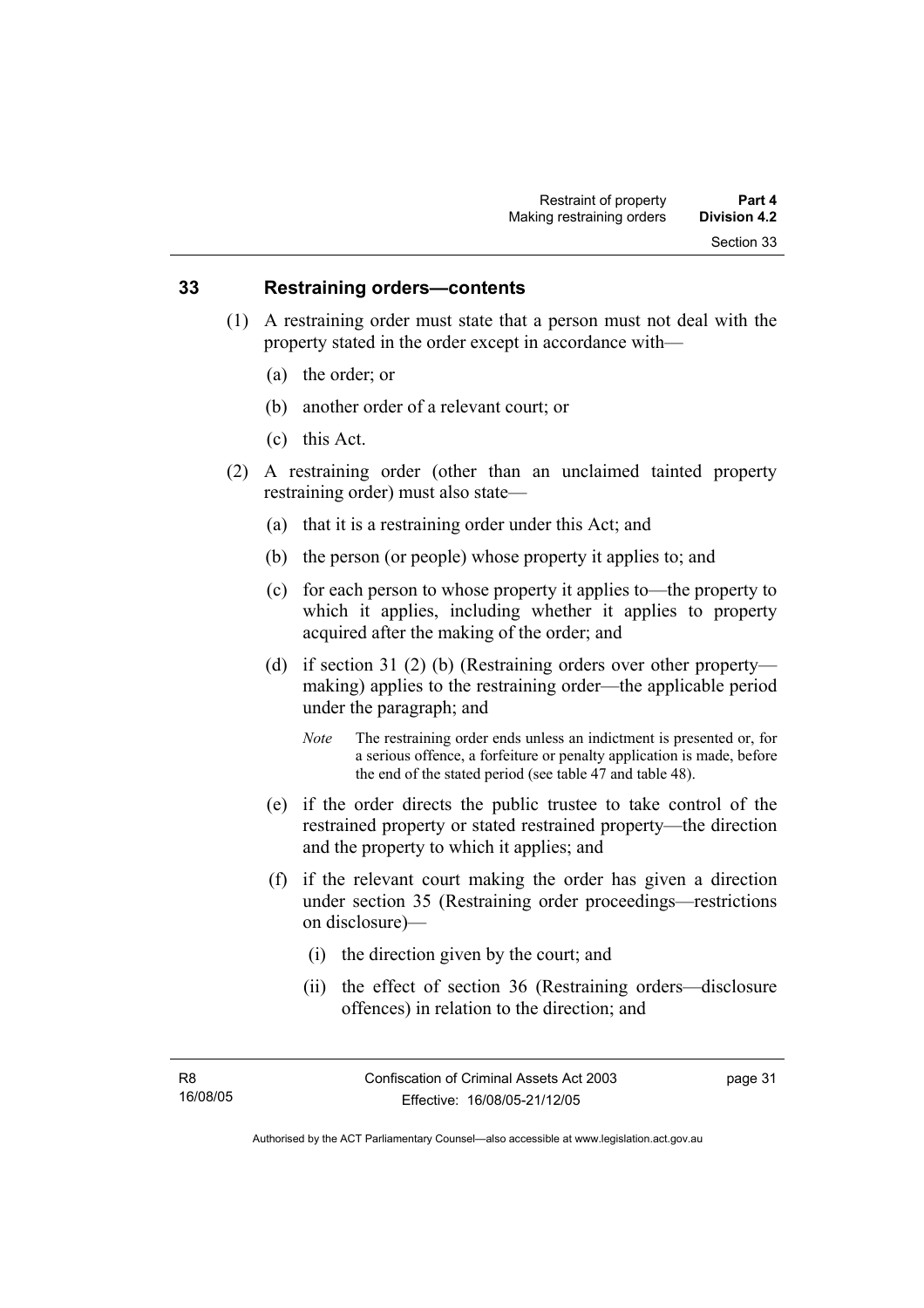#### **33 Restraining orders—contents**

- (1) A restraining order must state that a person must not deal with the property stated in the order except in accordance with—
	- (a) the order; or
	- (b) another order of a relevant court; or
	- (c) this Act.
- (2) A restraining order (other than an unclaimed tainted property restraining order) must also state—
	- (a) that it is a restraining order under this Act; and
	- (b) the person (or people) whose property it applies to; and
	- (c) for each person to whose property it applies to—the property to which it applies, including whether it applies to property acquired after the making of the order; and
	- (d) if section 31 (2) (b) (Restraining orders over other property making) applies to the restraining order—the applicable period under the paragraph; and
		- *Note* The restraining order ends unless an indictment is presented or, for a serious offence, a forfeiture or penalty application is made, before the end of the stated period (see table 47 and table 48).
	- (e) if the order directs the public trustee to take control of the restrained property or stated restrained property—the direction and the property to which it applies; and
	- (f) if the relevant court making the order has given a direction under section 35 (Restraining order proceedings—restrictions on disclosure)—
		- (i) the direction given by the court; and
		- (ii) the effect of section 36 (Restraining orders—disclosure offences) in relation to the direction; and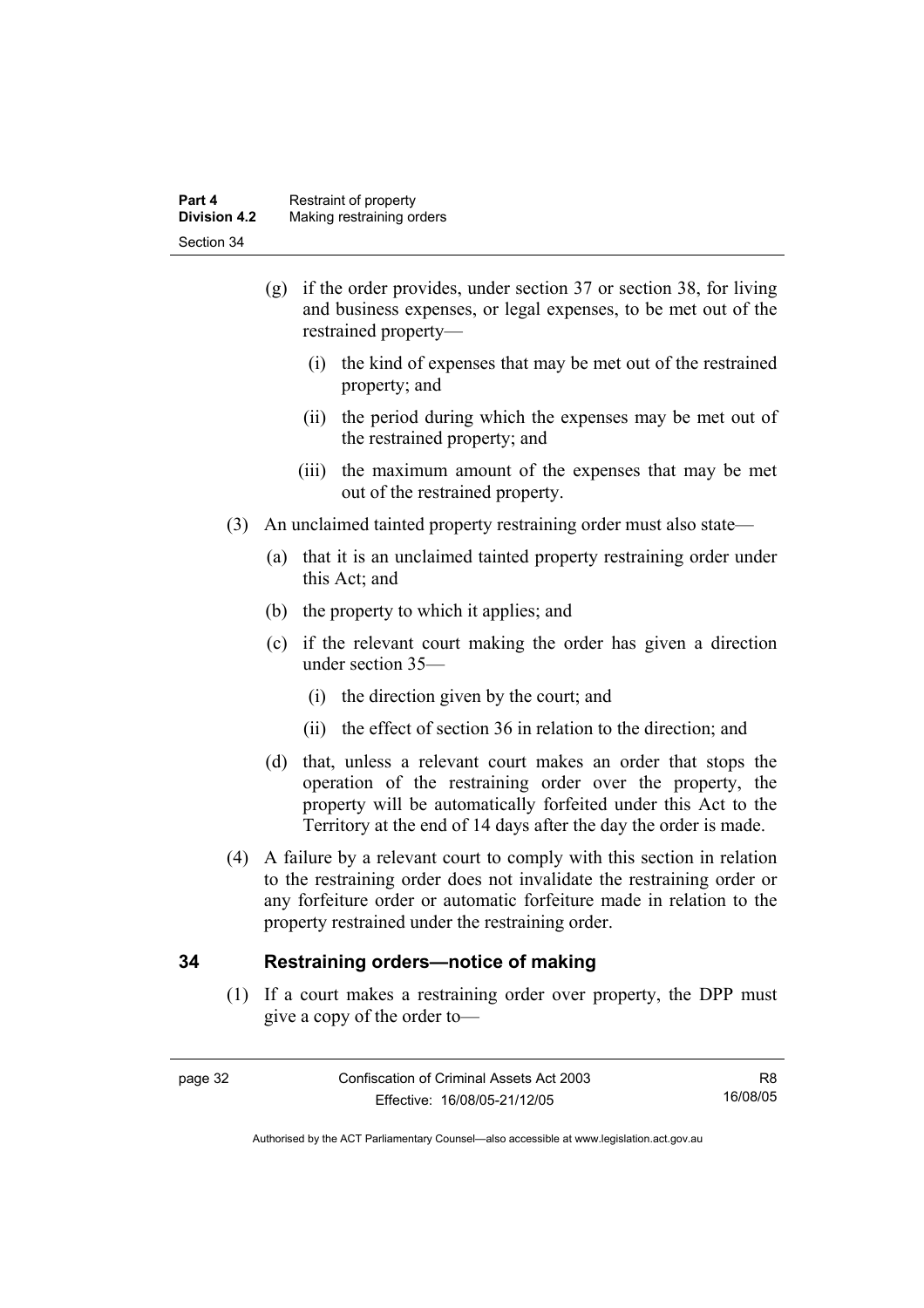| Part 4              | Restraint of property     |
|---------------------|---------------------------|
| <b>Division 4.2</b> | Making restraining orders |
| Section 34          |                           |

- (g) if the order provides, under section 37 or section 38, for living and business expenses, or legal expenses, to be met out of the restrained property—
	- (i) the kind of expenses that may be met out of the restrained property; and
	- (ii) the period during which the expenses may be met out of the restrained property; and
	- (iii) the maximum amount of the expenses that may be met out of the restrained property.
- (3) An unclaimed tainted property restraining order must also state—
	- (a) that it is an unclaimed tainted property restraining order under this Act; and
	- (b) the property to which it applies; and
	- (c) if the relevant court making the order has given a direction under section 35—
		- (i) the direction given by the court; and
		- (ii) the effect of section 36 in relation to the direction; and
	- (d) that, unless a relevant court makes an order that stops the operation of the restraining order over the property, the property will be automatically forfeited under this Act to the Territory at the end of 14 days after the day the order is made.
- (4) A failure by a relevant court to comply with this section in relation to the restraining order does not invalidate the restraining order or any forfeiture order or automatic forfeiture made in relation to the property restrained under the restraining order.

#### **34 Restraining orders—notice of making**

 (1) If a court makes a restraining order over property, the DPP must give a copy of the order to—

R8 16/08/05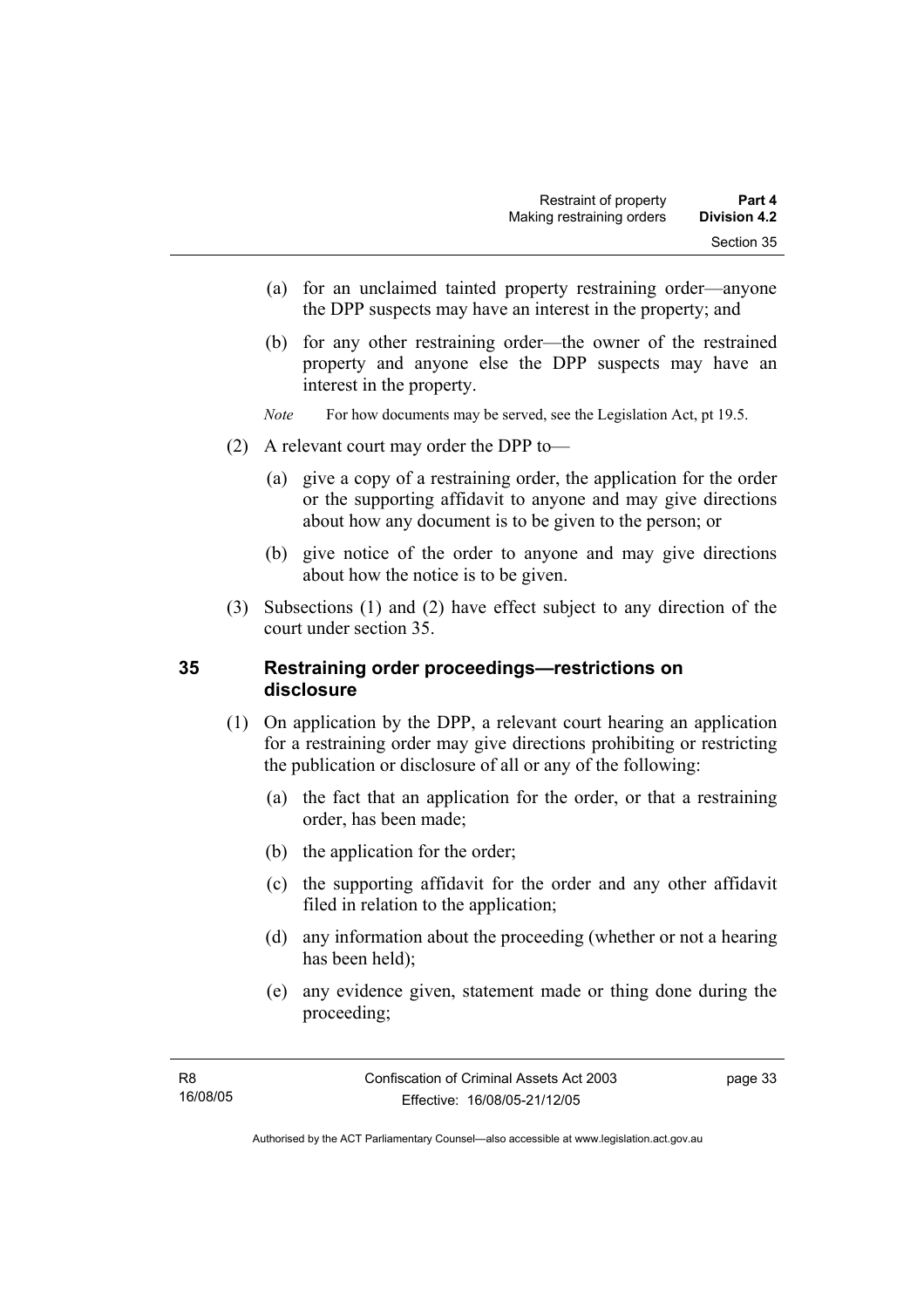- (a) for an unclaimed tainted property restraining order—anyone the DPP suspects may have an interest in the property; and
- (b) for any other restraining order—the owner of the restrained property and anyone else the DPP suspects may have an interest in the property.
- *Note* For how documents may be served, see the Legislation Act, pt 19.5.
- (2) A relevant court may order the DPP to—
	- (a) give a copy of a restraining order, the application for the order or the supporting affidavit to anyone and may give directions about how any document is to be given to the person; or
	- (b) give notice of the order to anyone and may give directions about how the notice is to be given.
- (3) Subsections (1) and (2) have effect subject to any direction of the court under section 35.

#### **35 Restraining order proceedings—restrictions on disclosure**

- (1) On application by the DPP, a relevant court hearing an application for a restraining order may give directions prohibiting or restricting the publication or disclosure of all or any of the following:
	- (a) the fact that an application for the order, or that a restraining order, has been made;
	- (b) the application for the order;
	- (c) the supporting affidavit for the order and any other affidavit filed in relation to the application;
	- (d) any information about the proceeding (whether or not a hearing has been held);
	- (e) any evidence given, statement made or thing done during the proceeding;

page 33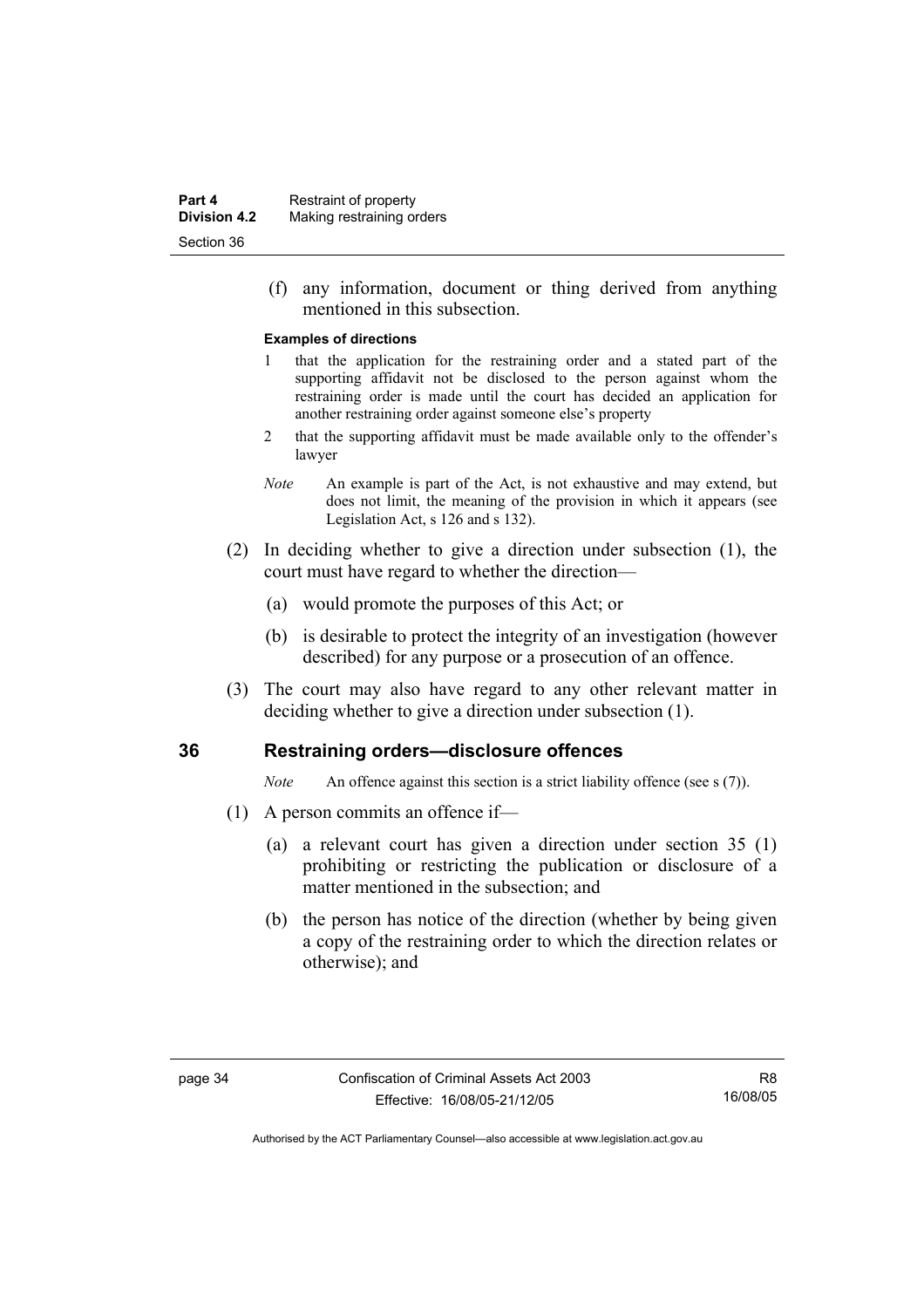(f) any information, document or thing derived from anything mentioned in this subsection.

#### **Examples of directions**

- 1 that the application for the restraining order and a stated part of the supporting affidavit not be disclosed to the person against whom the restraining order is made until the court has decided an application for another restraining order against someone else's property
- 2 that the supporting affidavit must be made available only to the offender's lawyer
- *Note* An example is part of the Act, is not exhaustive and may extend, but does not limit, the meaning of the provision in which it appears (see Legislation Act, s 126 and s 132).
- (2) In deciding whether to give a direction under subsection (1), the court must have regard to whether the direction—
	- (a) would promote the purposes of this Act; or
	- (b) is desirable to protect the integrity of an investigation (however described) for any purpose or a prosecution of an offence.
- (3) The court may also have regard to any other relevant matter in deciding whether to give a direction under subsection (1).

#### **36 Restraining orders—disclosure offences**

*Note* An offence against this section is a strict liability offence (see s (7)).

- (1) A person commits an offence if—
	- (a) a relevant court has given a direction under section 35 (1) prohibiting or restricting the publication or disclosure of a matter mentioned in the subsection; and
	- (b) the person has notice of the direction (whether by being given a copy of the restraining order to which the direction relates or otherwise); and

R8 16/08/05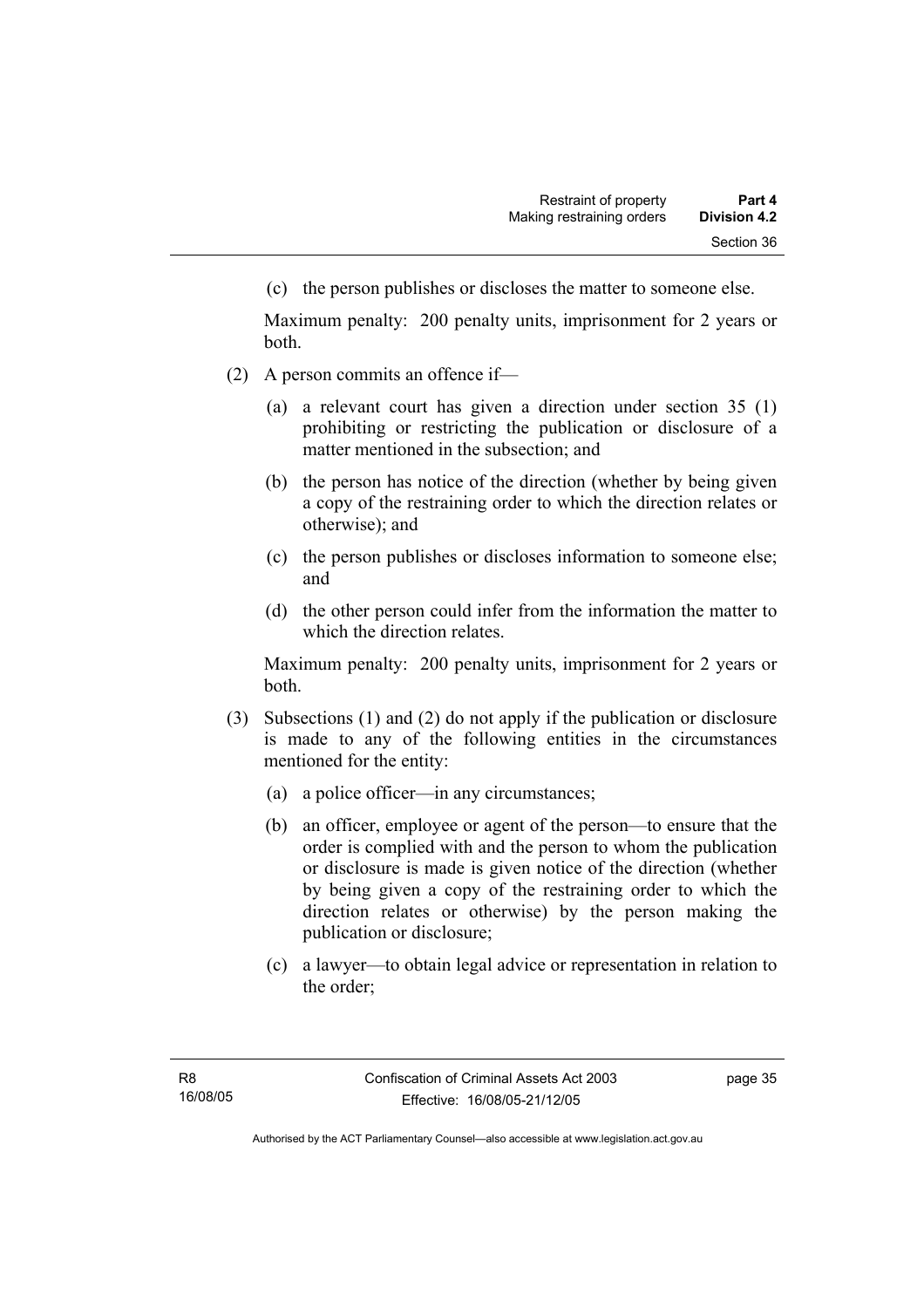(c) the person publishes or discloses the matter to someone else.

Maximum penalty: 200 penalty units, imprisonment for 2 years or both.

- (2) A person commits an offence if—
	- (a) a relevant court has given a direction under section 35 (1) prohibiting or restricting the publication or disclosure of a matter mentioned in the subsection; and
	- (b) the person has notice of the direction (whether by being given a copy of the restraining order to which the direction relates or otherwise); and
	- (c) the person publishes or discloses information to someone else; and
	- (d) the other person could infer from the information the matter to which the direction relates.

Maximum penalty: 200 penalty units, imprisonment for 2 years or both.

- (3) Subsections (1) and (2) do not apply if the publication or disclosure is made to any of the following entities in the circumstances mentioned for the entity:
	- (a) a police officer—in any circumstances;
	- (b) an officer, employee or agent of the person—to ensure that the order is complied with and the person to whom the publication or disclosure is made is given notice of the direction (whether by being given a copy of the restraining order to which the direction relates or otherwise) by the person making the publication or disclosure;
	- (c) a lawyer—to obtain legal advice or representation in relation to the order;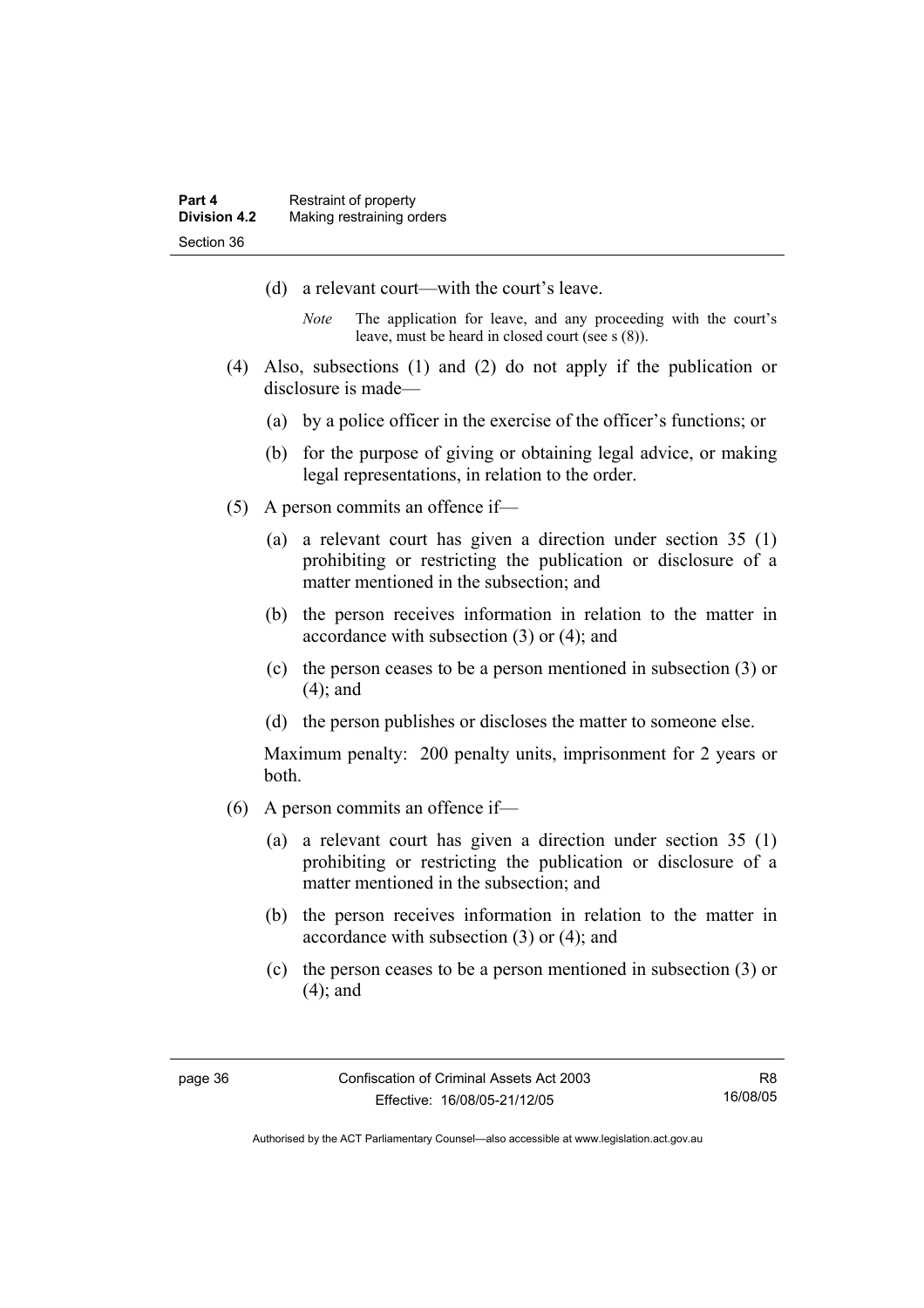- (d) a relevant court—with the court's leave.
	- *Note* The application for leave, and any proceeding with the court's leave, must be heard in closed court (see s (8)).
- (4) Also, subsections (1) and (2) do not apply if the publication or disclosure is made—
	- (a) by a police officer in the exercise of the officer's functions; or
	- (b) for the purpose of giving or obtaining legal advice, or making legal representations, in relation to the order.
- (5) A person commits an offence if—
	- (a) a relevant court has given a direction under section 35 (1) prohibiting or restricting the publication or disclosure of a matter mentioned in the subsection; and
	- (b) the person receives information in relation to the matter in accordance with subsection (3) or (4); and
	- (c) the person ceases to be a person mentioned in subsection (3) or (4); and
	- (d) the person publishes or discloses the matter to someone else.

Maximum penalty: 200 penalty units, imprisonment for 2 years or both.

- (6) A person commits an offence if—
	- (a) a relevant court has given a direction under section 35 (1) prohibiting or restricting the publication or disclosure of a matter mentioned in the subsection; and
	- (b) the person receives information in relation to the matter in accordance with subsection (3) or (4); and
	- (c) the person ceases to be a person mentioned in subsection (3) or (4); and

R8 16/08/05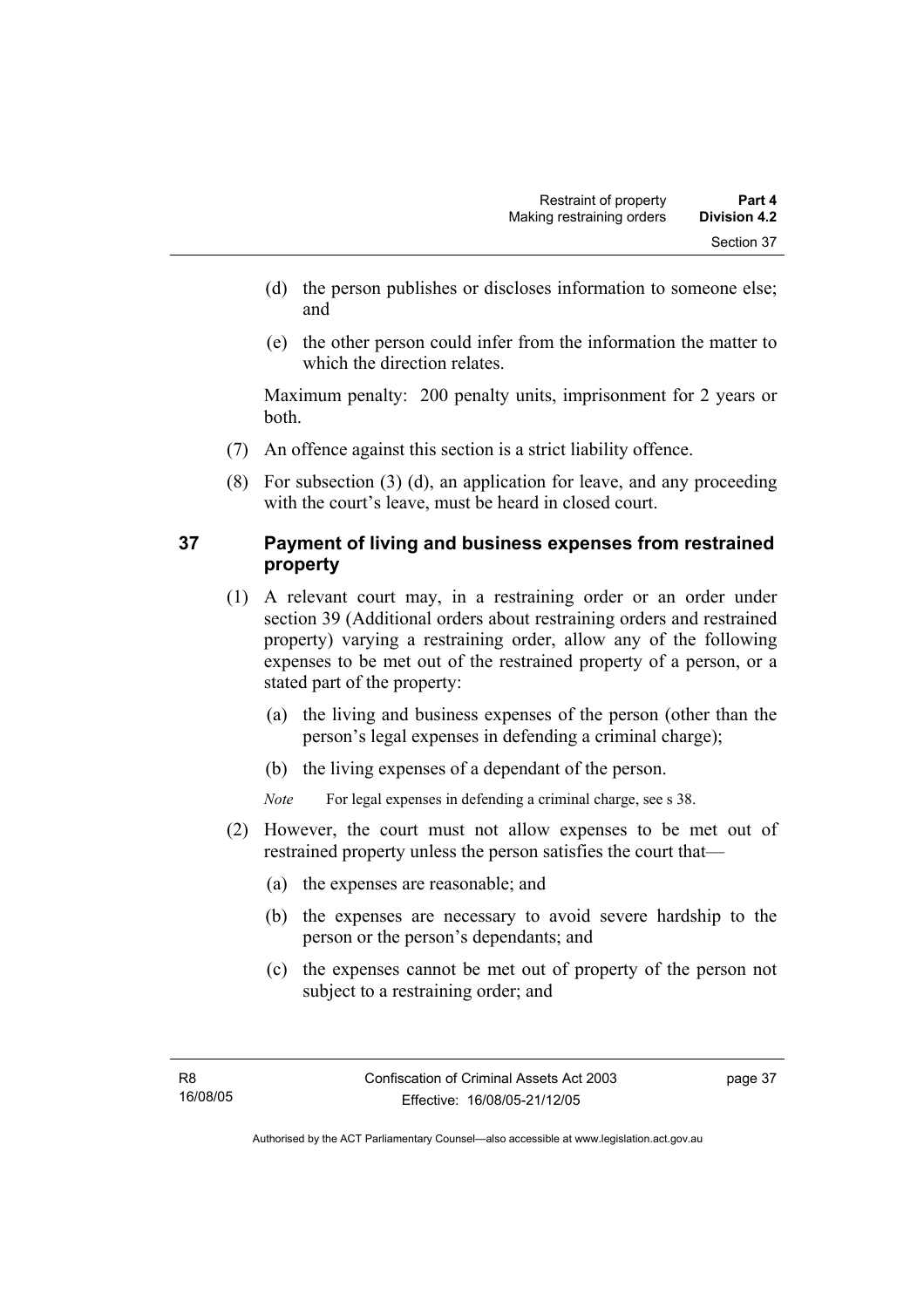- (d) the person publishes or discloses information to someone else; and
- (e) the other person could infer from the information the matter to which the direction relates.

Maximum penalty: 200 penalty units, imprisonment for 2 years or both.

- (7) An offence against this section is a strict liability offence.
- (8) For subsection (3) (d), an application for leave, and any proceeding with the court's leave, must be heard in closed court.

### **37 Payment of living and business expenses from restrained property**

- (1) A relevant court may, in a restraining order or an order under section 39 (Additional orders about restraining orders and restrained property) varying a restraining order, allow any of the following expenses to be met out of the restrained property of a person, or a stated part of the property:
	- (a) the living and business expenses of the person (other than the person's legal expenses in defending a criminal charge);
	- (b) the living expenses of a dependant of the person.

*Note* For legal expenses in defending a criminal charge, see s 38.

- (2) However, the court must not allow expenses to be met out of restrained property unless the person satisfies the court that—
	- (a) the expenses are reasonable; and
	- (b) the expenses are necessary to avoid severe hardship to the person or the person's dependants; and
	- (c) the expenses cannot be met out of property of the person not subject to a restraining order; and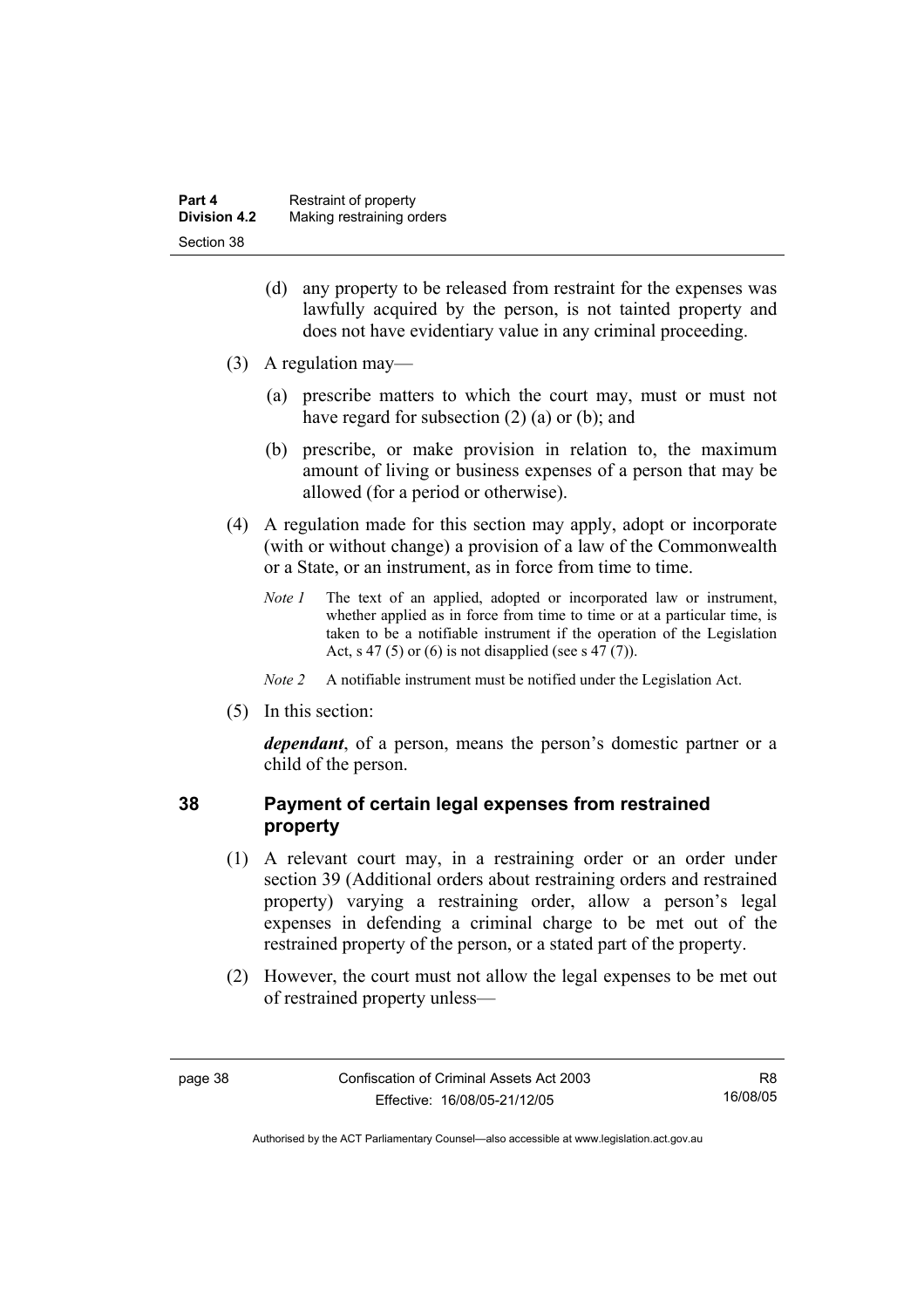| Part 4              | Restraint of property     |
|---------------------|---------------------------|
| <b>Division 4.2</b> | Making restraining orders |
| Section 38          |                           |

- (d) any property to be released from restraint for the expenses was lawfully acquired by the person, is not tainted property and does not have evidentiary value in any criminal proceeding.
- (3) A regulation may—
	- (a) prescribe matters to which the court may, must or must not have regard for subsection (2) (a) or (b); and
	- (b) prescribe, or make provision in relation to, the maximum amount of living or business expenses of a person that may be allowed (for a period or otherwise).
- (4) A regulation made for this section may apply, adopt or incorporate (with or without change) a provision of a law of the Commonwealth or a State, or an instrument, as in force from time to time.
	- *Note 1* The text of an applied, adopted or incorporated law or instrument, whether applied as in force from time to time or at a particular time, is taken to be a notifiable instrument if the operation of the Legislation Act, s 47 (5) or (6) is not disapplied (see s 47 (7)).
	- *Note 2* A notifiable instrument must be notified under the Legislation Act.
- (5) In this section:

*dependant*, of a person, means the person's domestic partner or a child of the person.

#### **38 Payment of certain legal expenses from restrained property**

- (1) A relevant court may, in a restraining order or an order under section 39 (Additional orders about restraining orders and restrained property) varying a restraining order, allow a person's legal expenses in defending a criminal charge to be met out of the restrained property of the person, or a stated part of the property.
- (2) However, the court must not allow the legal expenses to be met out of restrained property unless—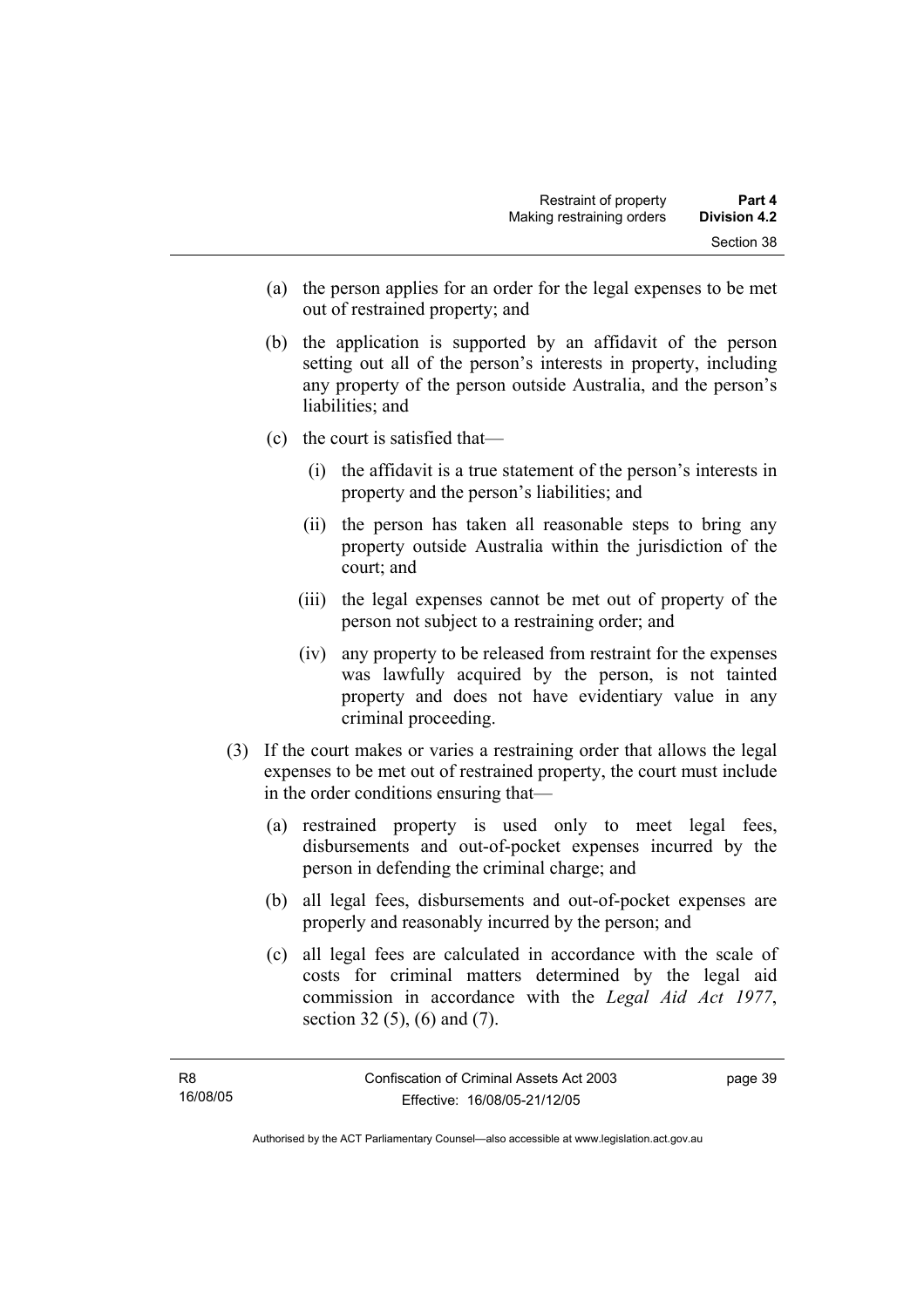- (a) the person applies for an order for the legal expenses to be met out of restrained property; and
- (b) the application is supported by an affidavit of the person setting out all of the person's interests in property, including any property of the person outside Australia, and the person's liabilities; and
- (c) the court is satisfied that—
	- (i) the affidavit is a true statement of the person's interests in property and the person's liabilities; and
	- (ii) the person has taken all reasonable steps to bring any property outside Australia within the jurisdiction of the court; and
	- (iii) the legal expenses cannot be met out of property of the person not subject to a restraining order; and
	- (iv) any property to be released from restraint for the expenses was lawfully acquired by the person, is not tainted property and does not have evidentiary value in any criminal proceeding.
- (3) If the court makes or varies a restraining order that allows the legal expenses to be met out of restrained property, the court must include in the order conditions ensuring that—
	- (a) restrained property is used only to meet legal fees, disbursements and out-of-pocket expenses incurred by the person in defending the criminal charge; and
	- (b) all legal fees, disbursements and out-of-pocket expenses are properly and reasonably incurred by the person; and
	- (c) all legal fees are calculated in accordance with the scale of costs for criminal matters determined by the legal aid commission in accordance with the *Legal Aid Act 1977*, section 32 (5), (6) and (7).

page 39

Authorised by the ACT Parliamentary Counsel—also accessible at www.legislation.act.gov.au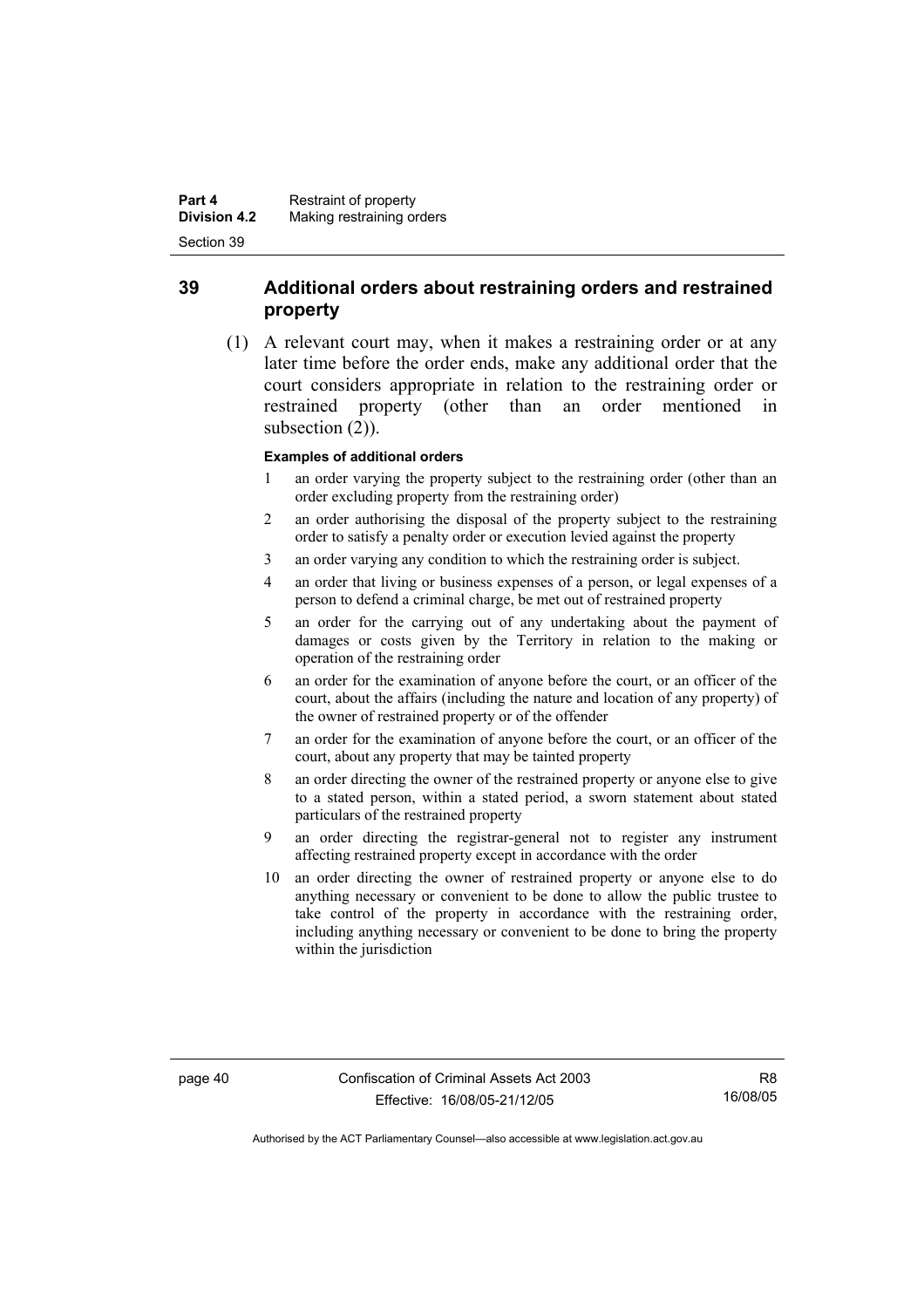#### **39 Additional orders about restraining orders and restrained property**

 (1) A relevant court may, when it makes a restraining order or at any later time before the order ends, make any additional order that the court considers appropriate in relation to the restraining order or restrained property (other than an order mentioned in subsection  $(2)$ ).

#### **Examples of additional orders**

- 1 an order varying the property subject to the restraining order (other than an order excluding property from the restraining order)
- 2 an order authorising the disposal of the property subject to the restraining order to satisfy a penalty order or execution levied against the property
- 3 an order varying any condition to which the restraining order is subject.
- 4 an order that living or business expenses of a person, or legal expenses of a person to defend a criminal charge, be met out of restrained property
- 5 an order for the carrying out of any undertaking about the payment of damages or costs given by the Territory in relation to the making or operation of the restraining order
- 6 an order for the examination of anyone before the court, or an officer of the court, about the affairs (including the nature and location of any property) of the owner of restrained property or of the offender
- 7 an order for the examination of anyone before the court, or an officer of the court, about any property that may be tainted property
- 8 an order directing the owner of the restrained property or anyone else to give to a stated person, within a stated period, a sworn statement about stated particulars of the restrained property
- 9 an order directing the registrar-general not to register any instrument affecting restrained property except in accordance with the order
- 10 an order directing the owner of restrained property or anyone else to do anything necessary or convenient to be done to allow the public trustee to take control of the property in accordance with the restraining order, including anything necessary or convenient to be done to bring the property within the jurisdiction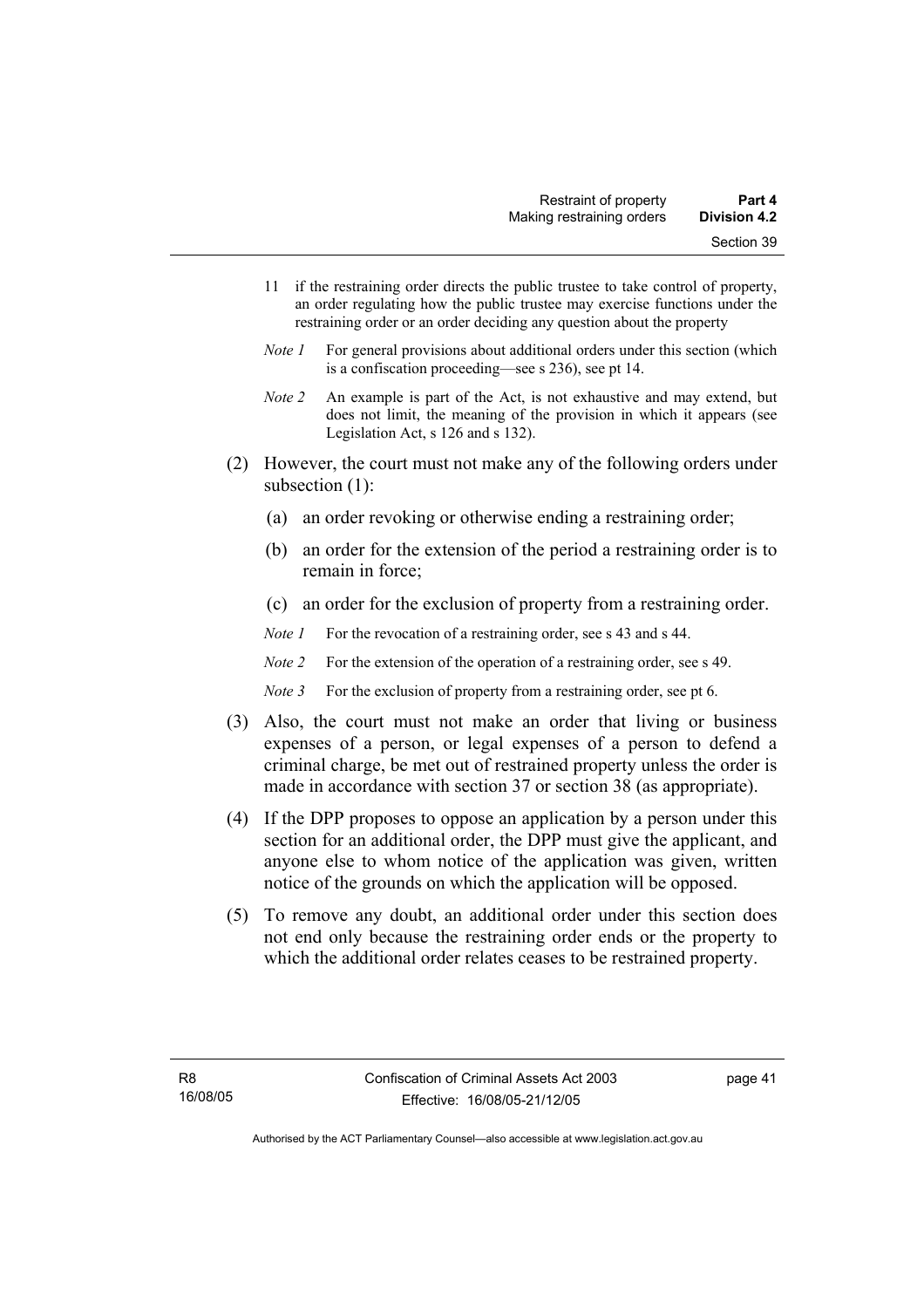- 11 if the restraining order directs the public trustee to take control of property, an order regulating how the public trustee may exercise functions under the restraining order or an order deciding any question about the property
- *Note 1* For general provisions about additional orders under this section (which is a confiscation proceeding—see s 236), see pt 14.
- *Note 2* An example is part of the Act, is not exhaustive and may extend, but does not limit, the meaning of the provision in which it appears (see Legislation Act, s 126 and s 132).
- (2) However, the court must not make any of the following orders under subsection (1):
	- (a) an order revoking or otherwise ending a restraining order;
	- (b) an order for the extension of the period a restraining order is to remain in force;
	- (c) an order for the exclusion of property from a restraining order.

*Note 1* For the revocation of a restraining order, see s 43 and s 44.

*Note 2* For the extension of the operation of a restraining order, see s 49.

*Note 3* For the exclusion of property from a restraining order, see pt 6.

- (3) Also, the court must not make an order that living or business expenses of a person, or legal expenses of a person to defend a criminal charge, be met out of restrained property unless the order is made in accordance with section 37 or section 38 (as appropriate).
- (4) If the DPP proposes to oppose an application by a person under this section for an additional order, the DPP must give the applicant, and anyone else to whom notice of the application was given, written notice of the grounds on which the application will be opposed.
- (5) To remove any doubt, an additional order under this section does not end only because the restraining order ends or the property to which the additional order relates ceases to be restrained property.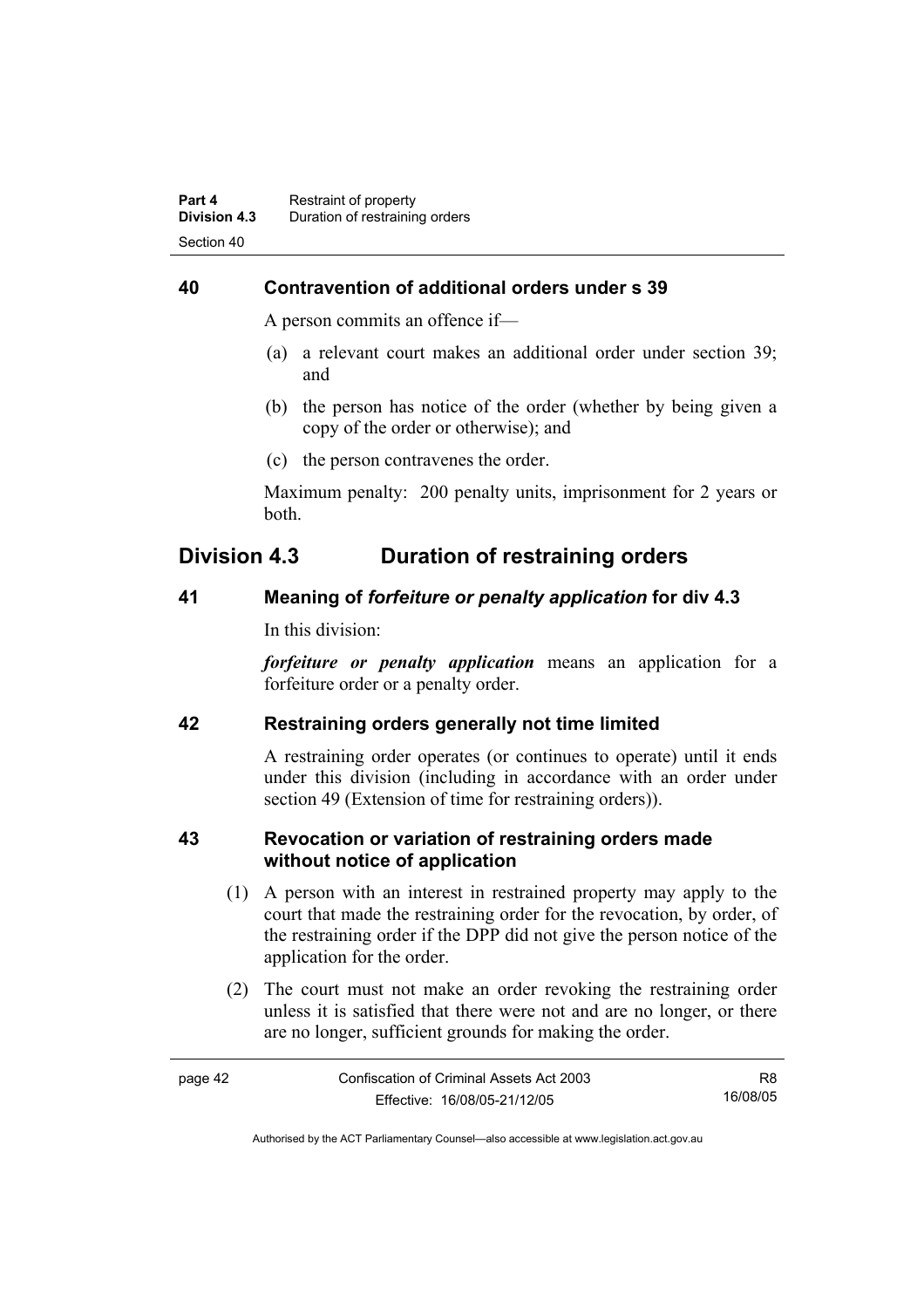#### **40 Contravention of additional orders under s 39**

A person commits an offence if—

- (a) a relevant court makes an additional order under section 39; and
- (b) the person has notice of the order (whether by being given a copy of the order or otherwise); and
- (c) the person contravenes the order.

Maximum penalty: 200 penalty units, imprisonment for 2 years or both.

# **Division 4.3 Duration of restraining orders**

#### **41 Meaning of** *forfeiture or penalty application* **for div 4.3**

In this division:

*forfeiture or penalty application* means an application for a forfeiture order or a penalty order.

#### **42 Restraining orders generally not time limited**

A restraining order operates (or continues to operate) until it ends under this division (including in accordance with an order under section 49 (Extension of time for restraining orders)).

#### **43 Revocation or variation of restraining orders made without notice of application**

- (1) A person with an interest in restrained property may apply to the court that made the restraining order for the revocation, by order, of the restraining order if the DPP did not give the person notice of the application for the order.
- (2) The court must not make an order revoking the restraining order unless it is satisfied that there were not and are no longer, or there are no longer, sufficient grounds for making the order.

| page 42 | Confiscation of Criminal Assets Act 2003 | R8.      |
|---------|------------------------------------------|----------|
|         | Effective: 16/08/05-21/12/05             | 16/08/05 |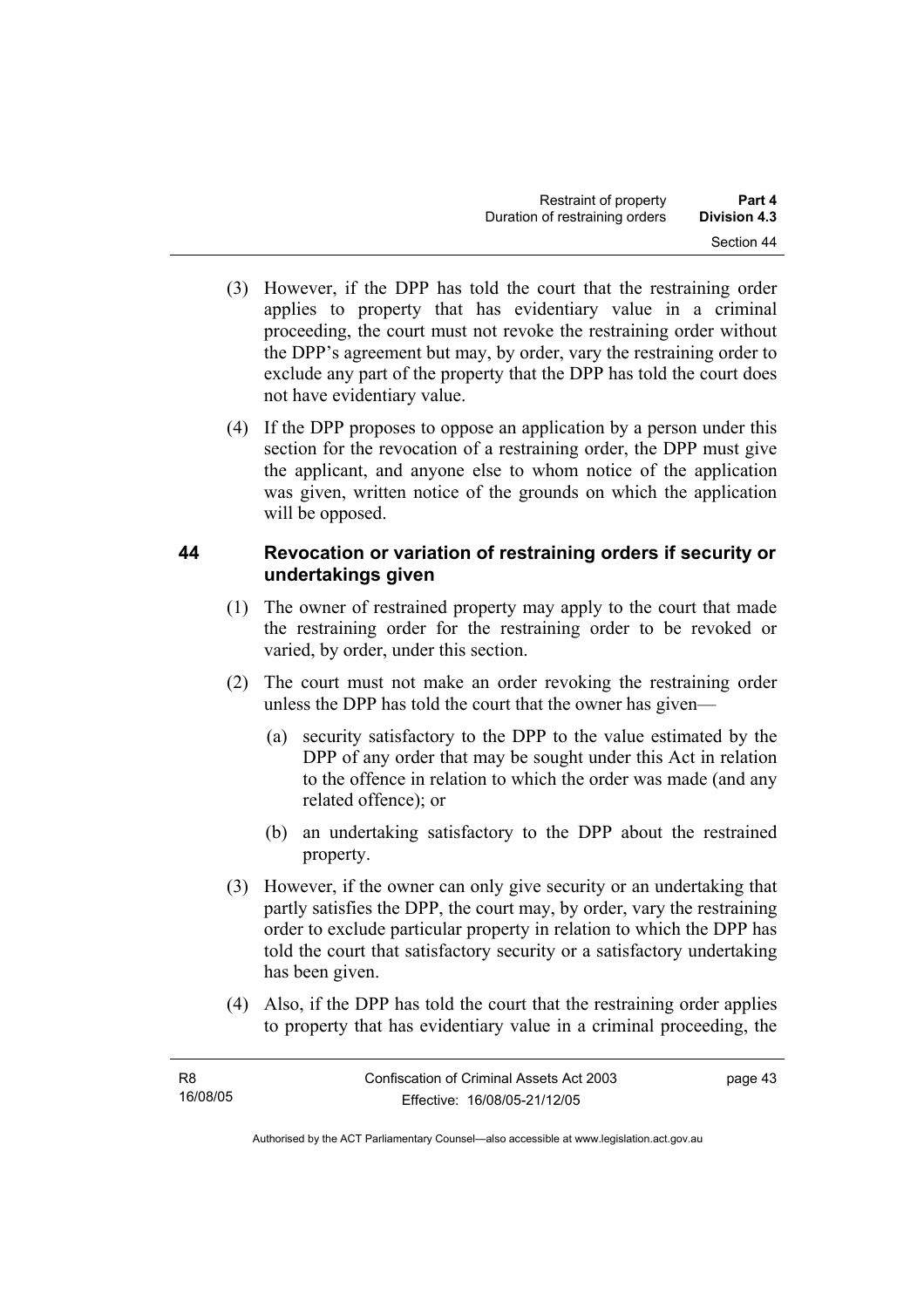- (3) However, if the DPP has told the court that the restraining order applies to property that has evidentiary value in a criminal proceeding, the court must not revoke the restraining order without the DPP's agreement but may, by order, vary the restraining order to exclude any part of the property that the DPP has told the court does not have evidentiary value.
- (4) If the DPP proposes to oppose an application by a person under this section for the revocation of a restraining order, the DPP must give the applicant, and anyone else to whom notice of the application was given, written notice of the grounds on which the application will be opposed.

#### **44 Revocation or variation of restraining orders if security or undertakings given**

- (1) The owner of restrained property may apply to the court that made the restraining order for the restraining order to be revoked or varied, by order, under this section.
- (2) The court must not make an order revoking the restraining order unless the DPP has told the court that the owner has given—
	- (a) security satisfactory to the DPP to the value estimated by the DPP of any order that may be sought under this Act in relation to the offence in relation to which the order was made (and any related offence); or
	- (b) an undertaking satisfactory to the DPP about the restrained property.
- (3) However, if the owner can only give security or an undertaking that partly satisfies the DPP, the court may, by order, vary the restraining order to exclude particular property in relation to which the DPP has told the court that satisfactory security or a satisfactory undertaking has been given.
- (4) Also, if the DPP has told the court that the restraining order applies to property that has evidentiary value in a criminal proceeding, the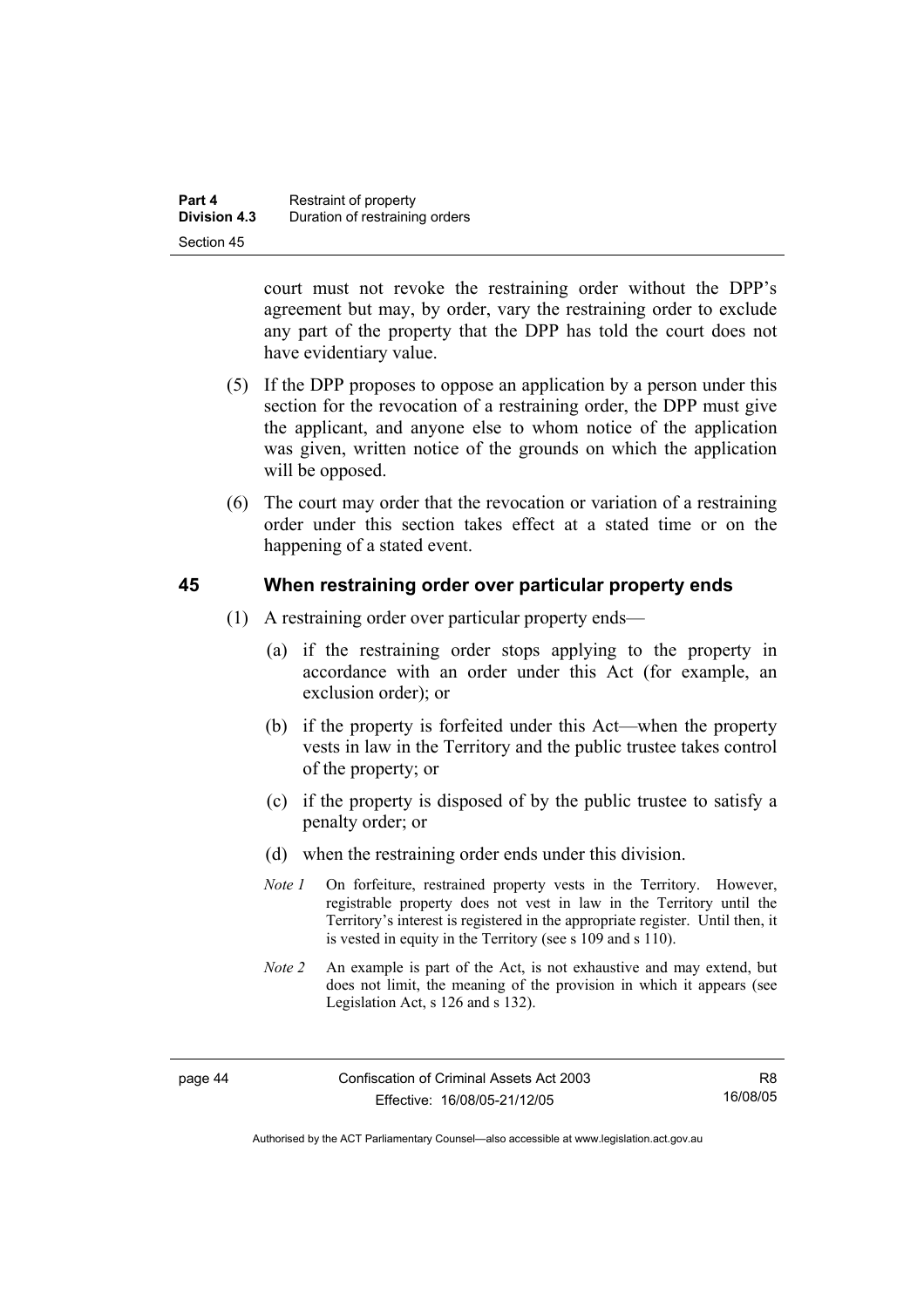| Part 4              | Restraint of property          |
|---------------------|--------------------------------|
| <b>Division 4.3</b> | Duration of restraining orders |
| Section 45          |                                |

court must not revoke the restraining order without the DPP's agreement but may, by order, vary the restraining order to exclude any part of the property that the DPP has told the court does not have evidentiary value.

- (5) If the DPP proposes to oppose an application by a person under this section for the revocation of a restraining order, the DPP must give the applicant, and anyone else to whom notice of the application was given, written notice of the grounds on which the application will be opposed.
- (6) The court may order that the revocation or variation of a restraining order under this section takes effect at a stated time or on the happening of a stated event.

#### **45 When restraining order over particular property ends**

- (1) A restraining order over particular property ends—
	- (a) if the restraining order stops applying to the property in accordance with an order under this Act (for example, an exclusion order); or
	- (b) if the property is forfeited under this Act—when the property vests in law in the Territory and the public trustee takes control of the property; or
	- (c) if the property is disposed of by the public trustee to satisfy a penalty order; or
	- (d) when the restraining order ends under this division.
	- *Note 1* On forfeiture, restrained property vests in the Territory. However, registrable property does not vest in law in the Territory until the Territory's interest is registered in the appropriate register. Until then, it is vested in equity in the Territory (see s 109 and s 110).
	- *Note 2* An example is part of the Act, is not exhaustive and may extend, but does not limit, the meaning of the provision in which it appears (see Legislation Act, s 126 and s 132).

R8 16/08/05

Authorised by the ACT Parliamentary Counsel—also accessible at www.legislation.act.gov.au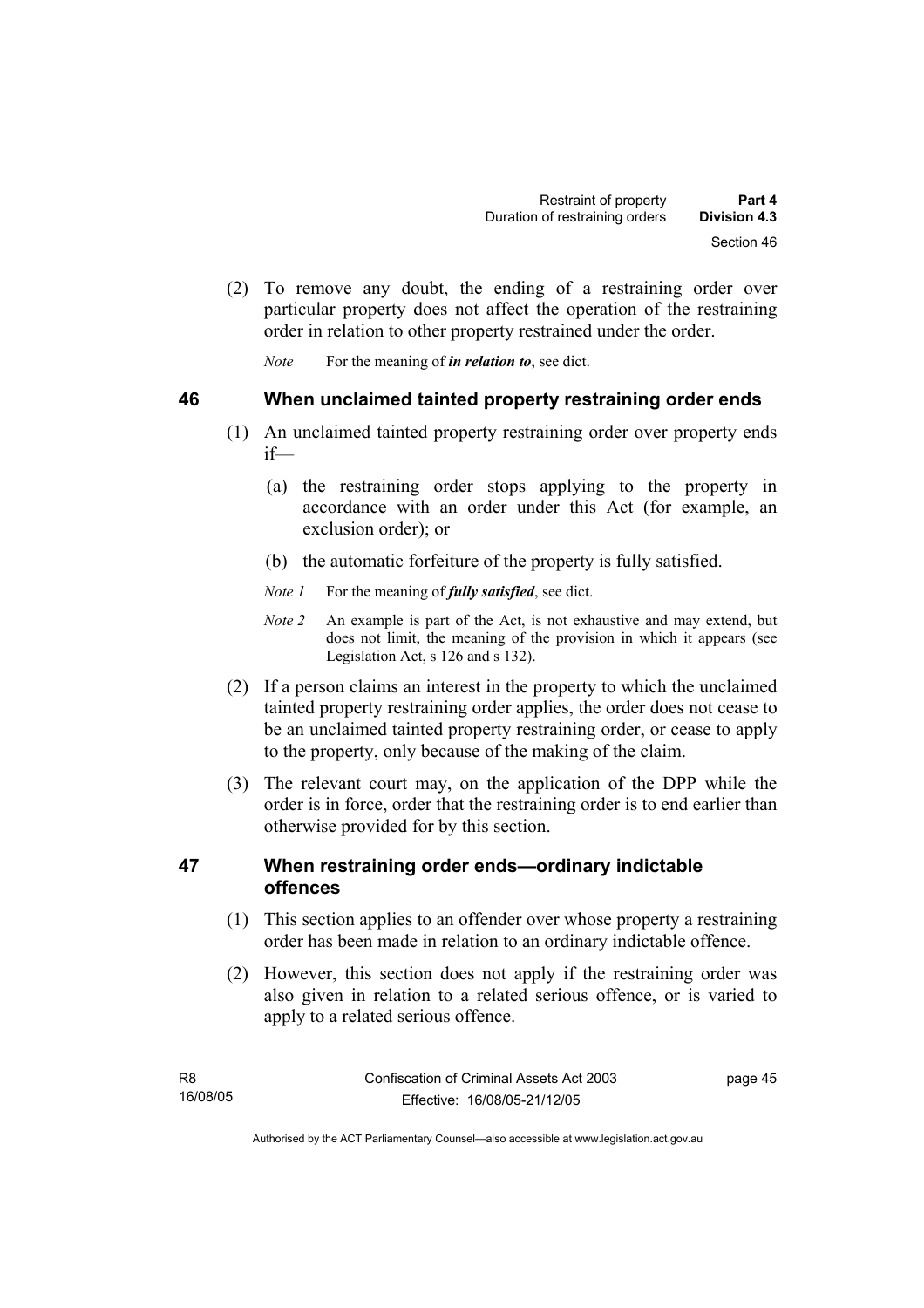(2) To remove any doubt, the ending of a restraining order over particular property does not affect the operation of the restraining order in relation to other property restrained under the order.

*Note* For the meaning of *in relation to*, see dict.

#### **46 When unclaimed tainted property restraining order ends**

- (1) An unclaimed tainted property restraining order over property ends if—
	- (a) the restraining order stops applying to the property in accordance with an order under this Act (for example, an exclusion order); or
	- (b) the automatic forfeiture of the property is fully satisfied.
	- *Note 1* For the meaning of *fully satisfied*, see dict.
	- *Note 2* An example is part of the Act, is not exhaustive and may extend, but does not limit, the meaning of the provision in which it appears (see Legislation Act, s 126 and s 132).
- (2) If a person claims an interest in the property to which the unclaimed tainted property restraining order applies, the order does not cease to be an unclaimed tainted property restraining order, or cease to apply to the property, only because of the making of the claim.
- (3) The relevant court may, on the application of the DPP while the order is in force, order that the restraining order is to end earlier than otherwise provided for by this section.

#### **47 When restraining order ends—ordinary indictable offences**

- (1) This section applies to an offender over whose property a restraining order has been made in relation to an ordinary indictable offence.
- (2) However, this section does not apply if the restraining order was also given in relation to a related serious offence, or is varied to apply to a related serious offence.

page 45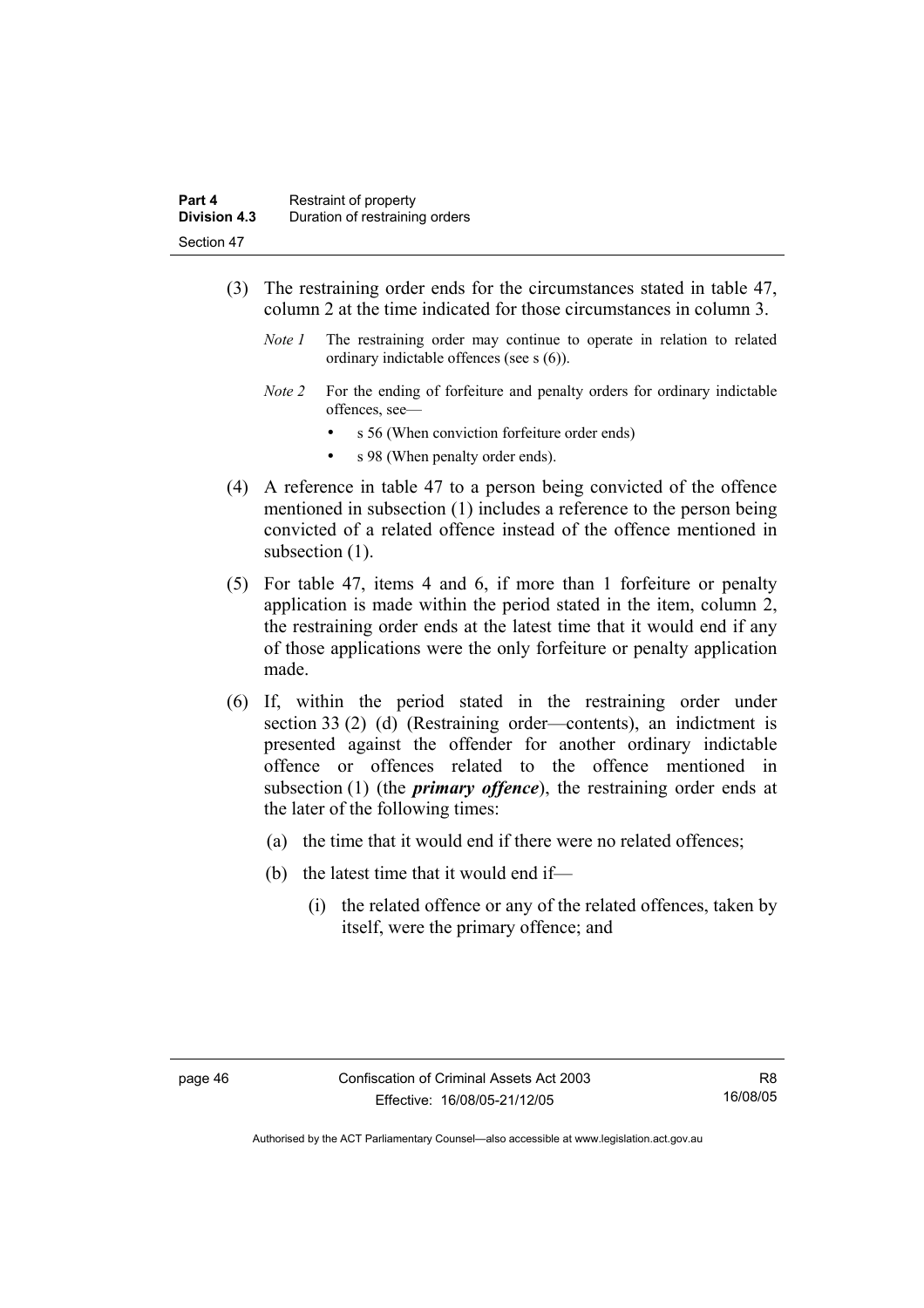- (3) The restraining order ends for the circumstances stated in table 47, column 2 at the time indicated for those circumstances in column 3.
	- *Note 1* The restraining order may continue to operate in relation to related ordinary indictable offences (see s (6)).
	- *Note 2* For the ending of forfeiture and penalty orders for ordinary indictable offences, see
		- s 56 (When conviction forfeiture order ends)
		- s 98 (When penalty order ends).
- (4) A reference in table 47 to a person being convicted of the offence mentioned in subsection (1) includes a reference to the person being convicted of a related offence instead of the offence mentioned in subsection  $(1)$ .
- (5) For table 47, items 4 and 6, if more than 1 forfeiture or penalty application is made within the period stated in the item, column 2, the restraining order ends at the latest time that it would end if any of those applications were the only forfeiture or penalty application made.
- (6) If, within the period stated in the restraining order under section 33 (2) (d) (Restraining order—contents), an indictment is presented against the offender for another ordinary indictable offence or offences related to the offence mentioned in subsection (1) (the *primary offence*), the restraining order ends at the later of the following times:
	- (a) the time that it would end if there were no related offences;
	- (b) the latest time that it would end if—
		- (i) the related offence or any of the related offences, taken by itself, were the primary offence; and

R8 16/08/05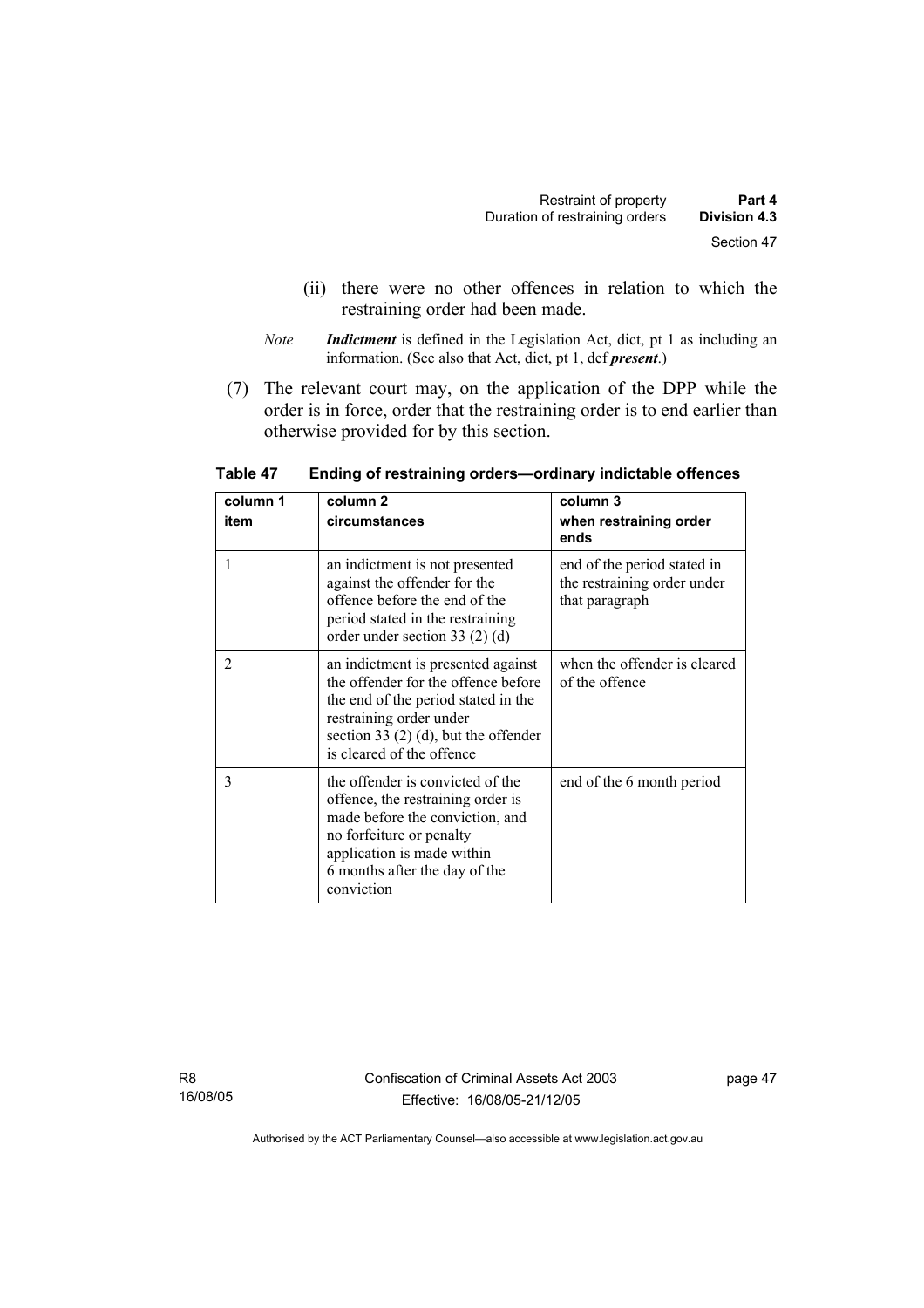- (ii) there were no other offences in relation to which the restraining order had been made.
- *Note Indictment* is defined in the Legislation Act, dict, pt 1 as including an information. (See also that Act, dict, pt 1, def *present*.)
- (7) The relevant court may, on the application of the DPP while the order is in force, order that the restraining order is to end earlier than otherwise provided for by this section.

| column 1 | column 2                                                                                                                                                                                                          | column 3                                                                     |
|----------|-------------------------------------------------------------------------------------------------------------------------------------------------------------------------------------------------------------------|------------------------------------------------------------------------------|
| item     | circumstances                                                                                                                                                                                                     | when restraining order<br>ends                                               |
|          | an indictment is not presented<br>against the offender for the<br>offence before the end of the<br>period stated in the restraining<br>order under section 33 $(2)$ $(d)$                                         | end of the period stated in<br>the restraining order under<br>that paragraph |
| 2        | an indictment is presented against<br>the offender for the offence before<br>the end of the period stated in the<br>restraining order under<br>section 33 (2) (d), but the offender<br>is cleared of the offence  | when the offender is cleared<br>of the offence                               |
| 3        | the offender is convicted of the<br>offence, the restraining order is<br>made before the conviction, and<br>no forfeiture or penalty<br>application is made within<br>6 months after the day of the<br>conviction | end of the 6 month period                                                    |

**Table 47 Ending of restraining orders—ordinary indictable offences** 

R8 16/08/05 Confiscation of Criminal Assets Act 2003 Effective: 16/08/05-21/12/05

page 47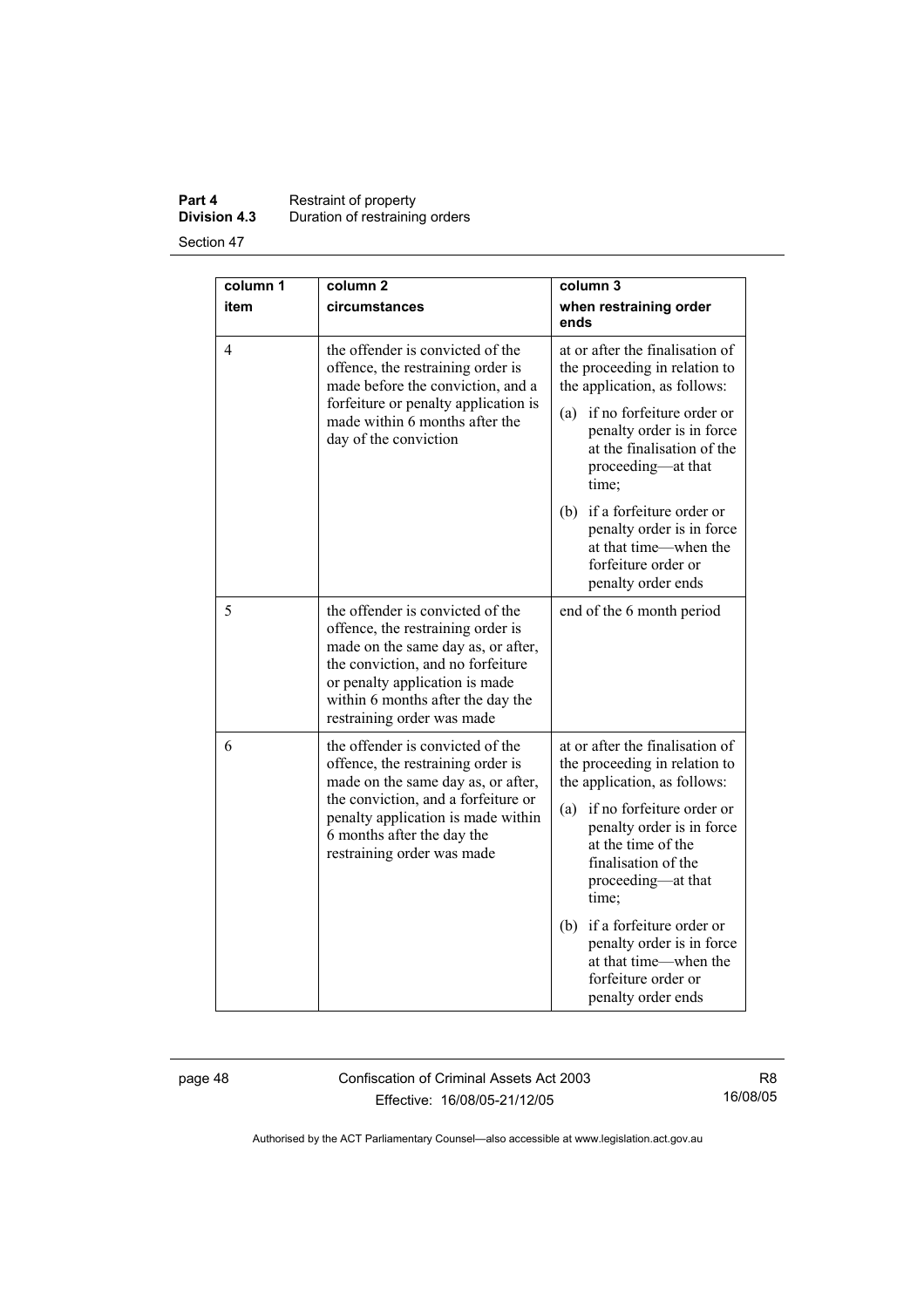#### **Part 4 Restraint of property Division 4.3** Duration of restraining orders

Section 47

| column 1<br>column <sub>2</sub><br>column 3 |                                                                                                                                                                                                                                                       |                                                                                                                                                                                                                                                                                                                                                                                     |
|---------------------------------------------|-------------------------------------------------------------------------------------------------------------------------------------------------------------------------------------------------------------------------------------------------------|-------------------------------------------------------------------------------------------------------------------------------------------------------------------------------------------------------------------------------------------------------------------------------------------------------------------------------------------------------------------------------------|
| item                                        | circumstances                                                                                                                                                                                                                                         | when restraining order<br>ends                                                                                                                                                                                                                                                                                                                                                      |
| 4                                           | the offender is convicted of the<br>offence, the restraining order is<br>made before the conviction, and a<br>forfeiture or penalty application is<br>made within 6 months after the<br>day of the conviction                                         | at or after the finalisation of<br>the proceeding in relation to<br>the application, as follows:<br>if no forfeiture order or<br>(a)<br>penalty order is in force<br>at the finalisation of the<br>proceeding—at that<br>time;<br>if a forfeiture order or<br>(b)<br>penalty order is in force<br>at that time—when the<br>forfeiture order or<br>penalty order ends                |
| 5                                           | the offender is convicted of the<br>offence, the restraining order is<br>made on the same day as, or after,<br>the conviction, and no forfeiture<br>or penalty application is made<br>within 6 months after the day the<br>restraining order was made | end of the 6 month period                                                                                                                                                                                                                                                                                                                                                           |
| 6                                           | the offender is convicted of the<br>offence, the restraining order is<br>made on the same day as, or after,<br>the conviction, and a forfeiture or<br>penalty application is made within<br>6 months after the day the<br>restraining order was made  | at or after the finalisation of<br>the proceeding in relation to<br>the application, as follows:<br>if no forfeiture order or<br>(a)<br>penalty order is in force<br>at the time of the<br>finalisation of the<br>proceeding-at that<br>time;<br>if a forfeiture order or<br>(b)<br>penalty order is in force<br>at that time—when the<br>forfeiture order or<br>penalty order ends |

page 48 Confiscation of Criminal Assets Act 2003 Effective: 16/08/05-21/12/05

R8 16/08/05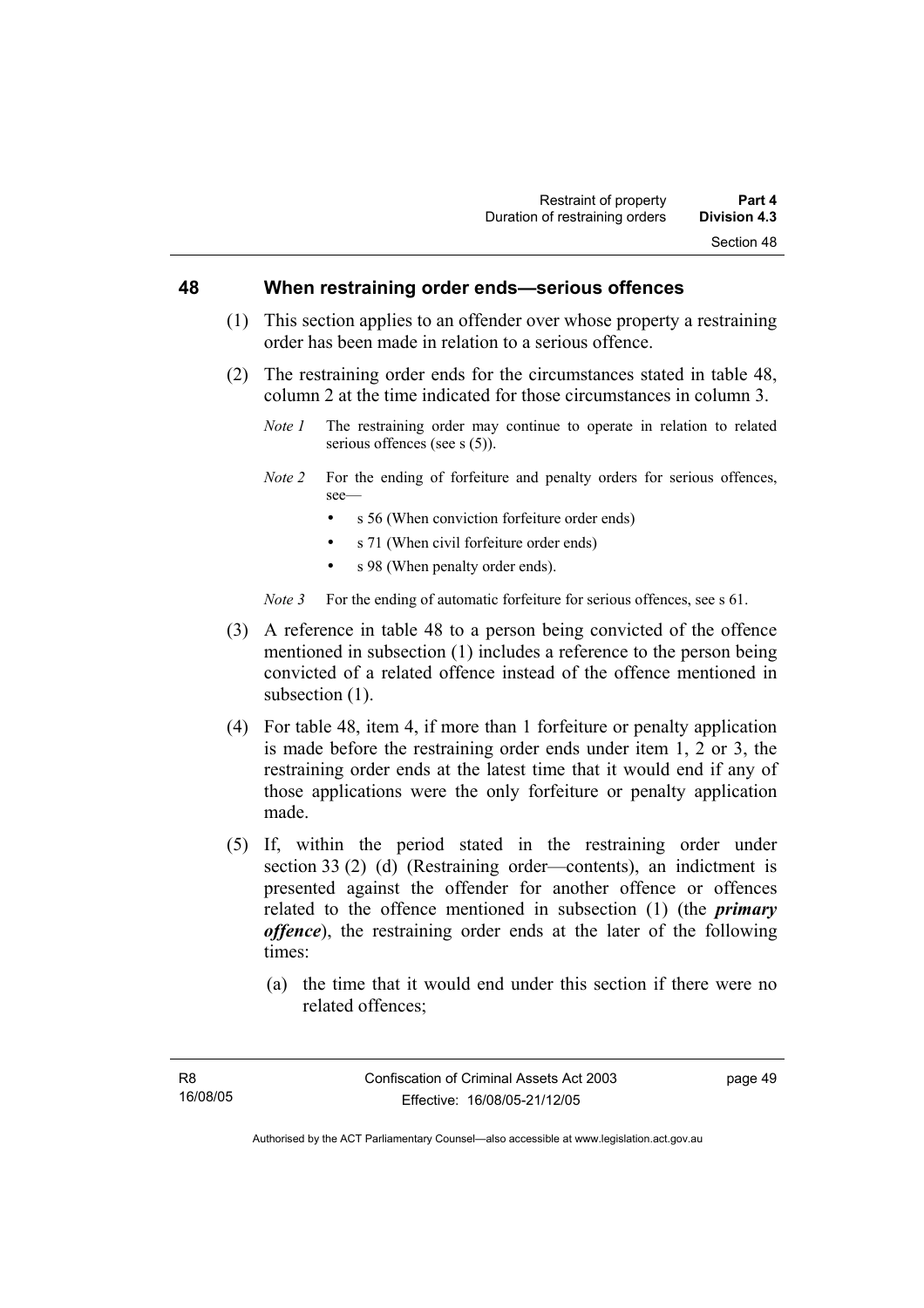#### **48 When restraining order ends—serious offences**

- (1) This section applies to an offender over whose property a restraining order has been made in relation to a serious offence.
- (2) The restraining order ends for the circumstances stated in table 48, column 2 at the time indicated for those circumstances in column 3.
	- *Note 1* The restraining order may continue to operate in relation to related serious offences (see s  $(5)$ ).
	- *Note 2* For the ending of forfeiture and penalty orders for serious offences, see—
		- s 56 (When conviction forfeiture order ends)
		- s 71 (When civil forfeiture order ends)
		- s 98 (When penalty order ends).

*Note 3* For the ending of automatic forfeiture for serious offences, see s 61.

- (3) A reference in table 48 to a person being convicted of the offence mentioned in subsection (1) includes a reference to the person being convicted of a related offence instead of the offence mentioned in subsection  $(1)$ .
- (4) For table 48, item 4, if more than 1 forfeiture or penalty application is made before the restraining order ends under item 1, 2 or 3, the restraining order ends at the latest time that it would end if any of those applications were the only forfeiture or penalty application made.
- (5) If, within the period stated in the restraining order under section 33 (2) (d) (Restraining order—contents), an indictment is presented against the offender for another offence or offences related to the offence mentioned in subsection (1) (the *primary offence*), the restraining order ends at the later of the following times:
	- (a) the time that it would end under this section if there were no related offences;

page 49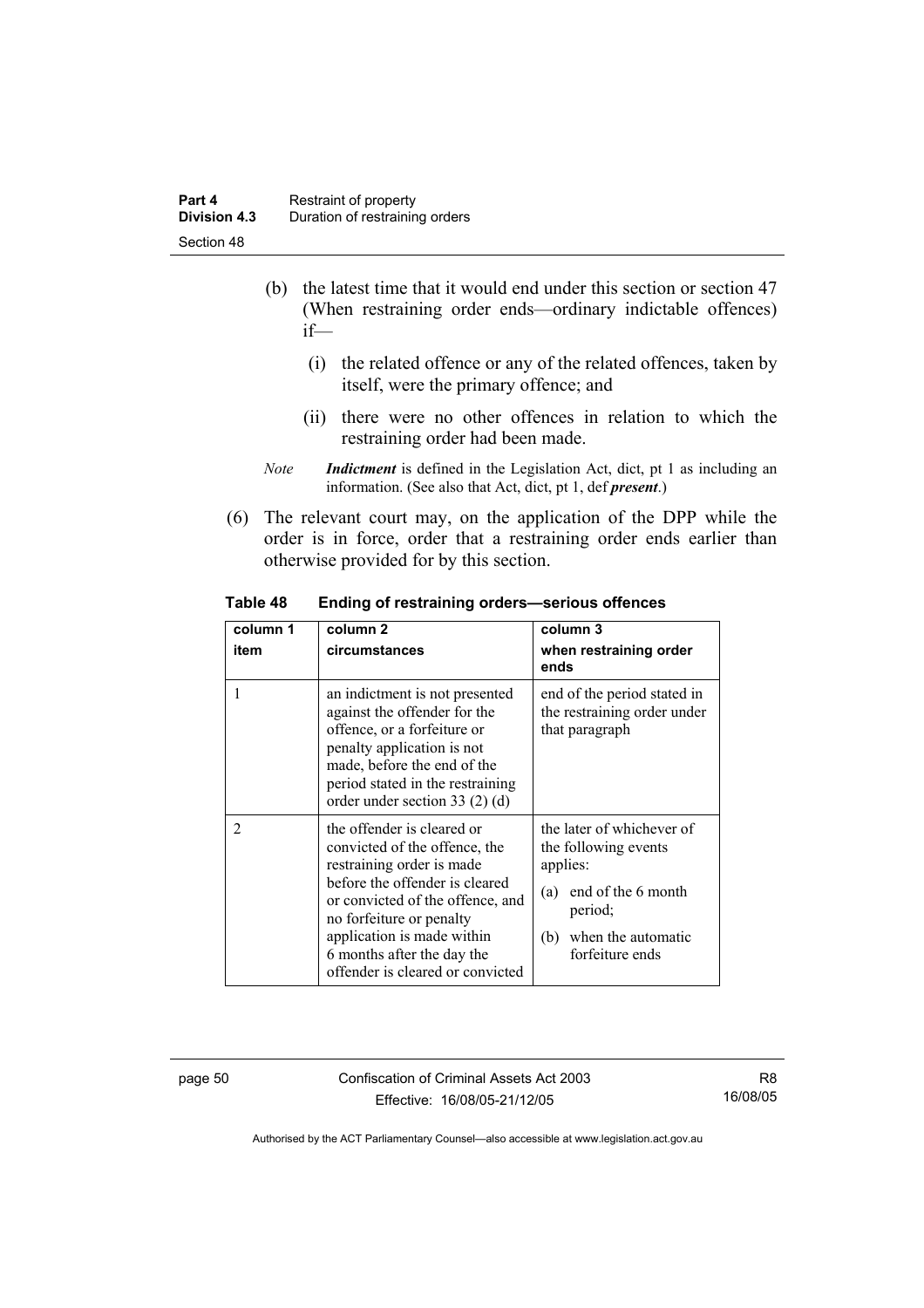- (b) the latest time that it would end under this section or section 47 (When restraining order ends—ordinary indictable offences) if—
	- (i) the related offence or any of the related offences, taken by itself, were the primary offence; and
	- (ii) there were no other offences in relation to which the restraining order had been made.
- *Note Indictment* is defined in the Legislation Act, dict, pt 1 as including an information. (See also that Act, dict, pt 1, def *present*.)
- (6) The relevant court may, on the application of the DPP while the order is in force, order that a restraining order ends earlier than otherwise provided for by this section.

| column 1<br>item | column 2<br>circumstances                                                                                                                                                                                                                                                                  | column 3<br>when restraining order<br>ends                                                                                                            |
|------------------|--------------------------------------------------------------------------------------------------------------------------------------------------------------------------------------------------------------------------------------------------------------------------------------------|-------------------------------------------------------------------------------------------------------------------------------------------------------|
| 1                | an indictment is not presented<br>against the offender for the<br>offence, or a forfeiture or<br>penalty application is not<br>made, before the end of the<br>period stated in the restraining<br>order under section 33 $(2)$ $(d)$                                                       | end of the period stated in<br>the restraining order under<br>that paragraph                                                                          |
| $\overline{2}$   | the offender is cleared or<br>convicted of the offence, the<br>restraining order is made<br>before the offender is cleared<br>or convicted of the offence, and<br>no forfeiture or penalty<br>application is made within<br>6 months after the day the<br>offender is cleared or convicted | the later of whichever of<br>the following events<br>applies:<br>end of the 6 month<br>(a)<br>period;<br>when the automatic<br>(b)<br>forfeiture ends |

**Table 48 Ending of restraining orders—serious offences** 

page 50 Confiscation of Criminal Assets Act 2003 Effective: 16/08/05-21/12/05

R8 16/08/05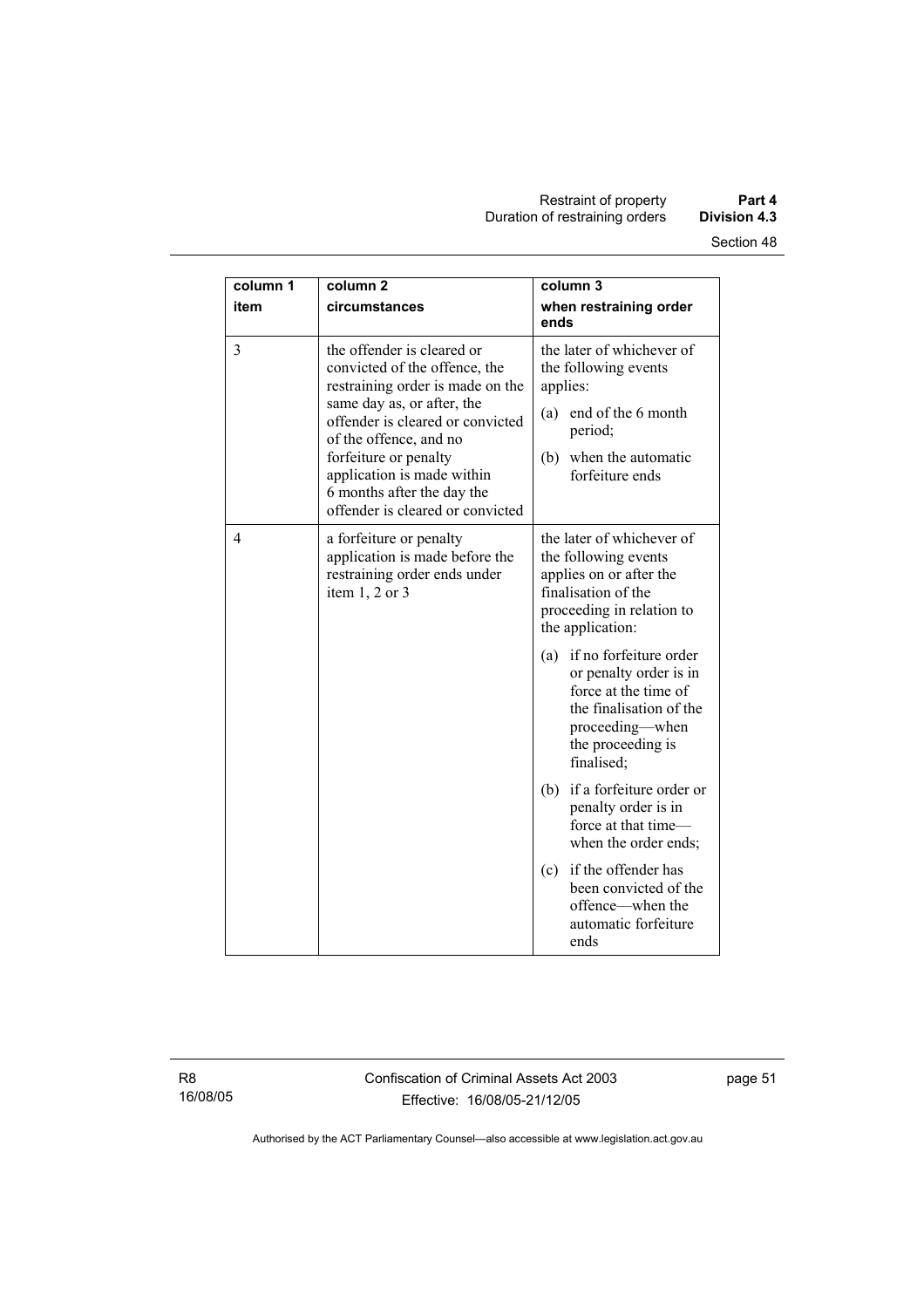| column 1<br>item | column <sub>2</sub><br>circumstances                                                                                                                                                                                                                                                                                 | column 3<br>when restraining order                                                                                                                               |
|------------------|----------------------------------------------------------------------------------------------------------------------------------------------------------------------------------------------------------------------------------------------------------------------------------------------------------------------|------------------------------------------------------------------------------------------------------------------------------------------------------------------|
|                  |                                                                                                                                                                                                                                                                                                                      | ends                                                                                                                                                             |
| 3                | the offender is cleared or<br>convicted of the offence, the<br>restraining order is made on the<br>same day as, or after, the<br>offender is cleared or convicted<br>of the offence, and no<br>forfeiture or penalty<br>application is made within<br>6 months after the day the<br>offender is cleared or convicted | the later of whichever of<br>the following events<br>applies:<br>(a) end of the 6 month<br>period;<br>(b) when the automatic<br>forfeiture ends                  |
| 4                | a forfeiture or penalty<br>application is made before the<br>restraining order ends under<br>item $1, 2$ or $3$                                                                                                                                                                                                      | the later of whichever of<br>the following events<br>applies on or after the<br>finalisation of the<br>proceeding in relation to<br>the application:             |
|                  |                                                                                                                                                                                                                                                                                                                      | if no forfeiture order<br>(a)<br>or penalty order is in<br>force at the time of<br>the finalisation of the<br>proceeding—when<br>the proceeding is<br>finalised; |
|                  |                                                                                                                                                                                                                                                                                                                      | (b) if a forfeiture order or<br>penalty order is in<br>force at that time-<br>when the order ends;                                                               |
|                  |                                                                                                                                                                                                                                                                                                                      | if the offender has<br>(c)<br>been convicted of the<br>offence—when the<br>automatic forfeiture<br>ends                                                          |

R8 16/08/05 Confiscation of Criminal Assets Act 2003 Effective: 16/08/05-21/12/05

page 51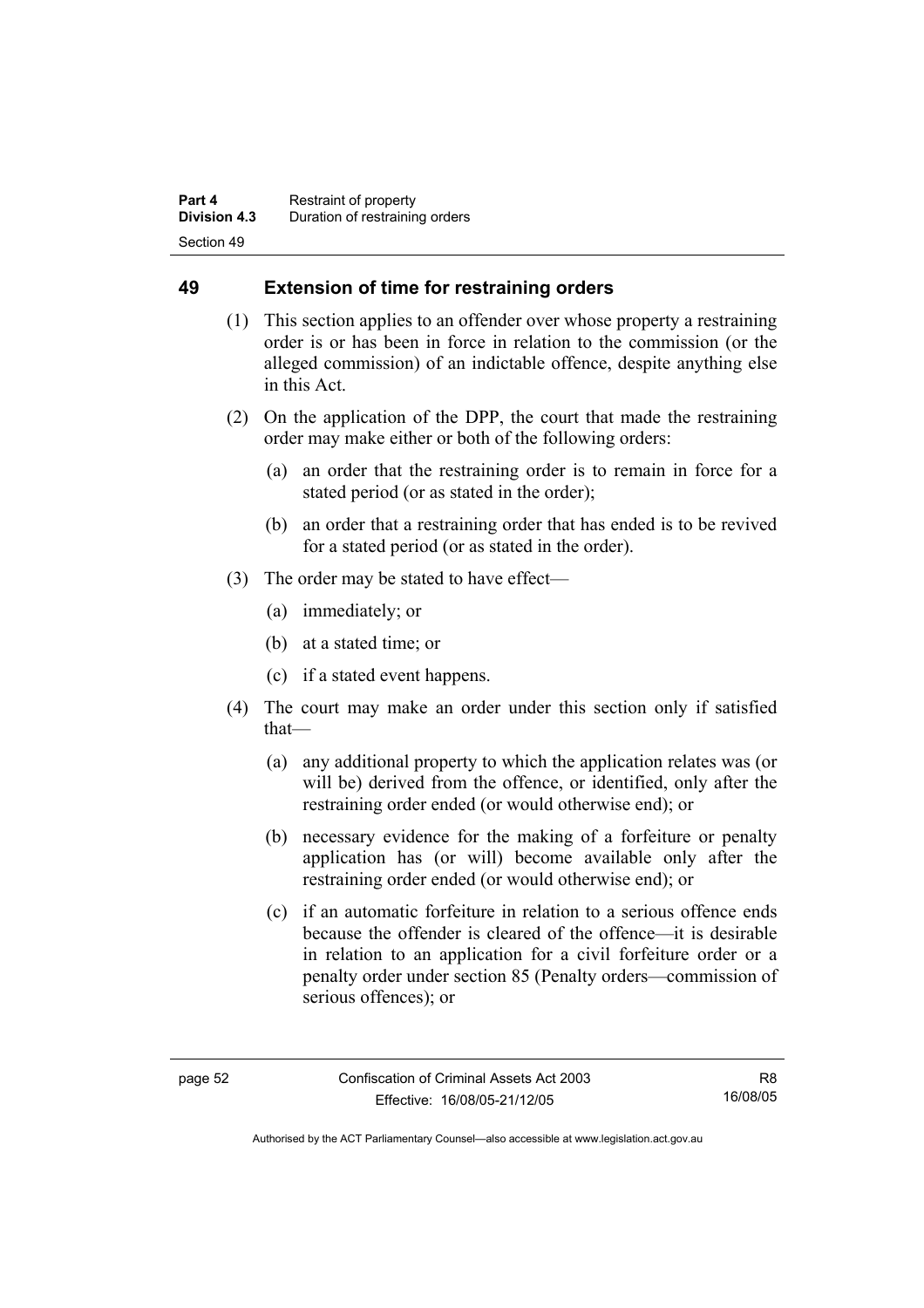### **49 Extension of time for restraining orders**

- (1) This section applies to an offender over whose property a restraining order is or has been in force in relation to the commission (or the alleged commission) of an indictable offence, despite anything else in this Act.
- (2) On the application of the DPP, the court that made the restraining order may make either or both of the following orders:
	- (a) an order that the restraining order is to remain in force for a stated period (or as stated in the order);
	- (b) an order that a restraining order that has ended is to be revived for a stated period (or as stated in the order).
- (3) The order may be stated to have effect—
	- (a) immediately; or
	- (b) at a stated time; or
	- (c) if a stated event happens.
- (4) The court may make an order under this section only if satisfied that—
	- (a) any additional property to which the application relates was (or will be) derived from the offence, or identified, only after the restraining order ended (or would otherwise end); or
	- (b) necessary evidence for the making of a forfeiture or penalty application has (or will) become available only after the restraining order ended (or would otherwise end); or
	- (c) if an automatic forfeiture in relation to a serious offence ends because the offender is cleared of the offence—it is desirable in relation to an application for a civil forfeiture order or a penalty order under section 85 (Penalty orders—commission of serious offences); or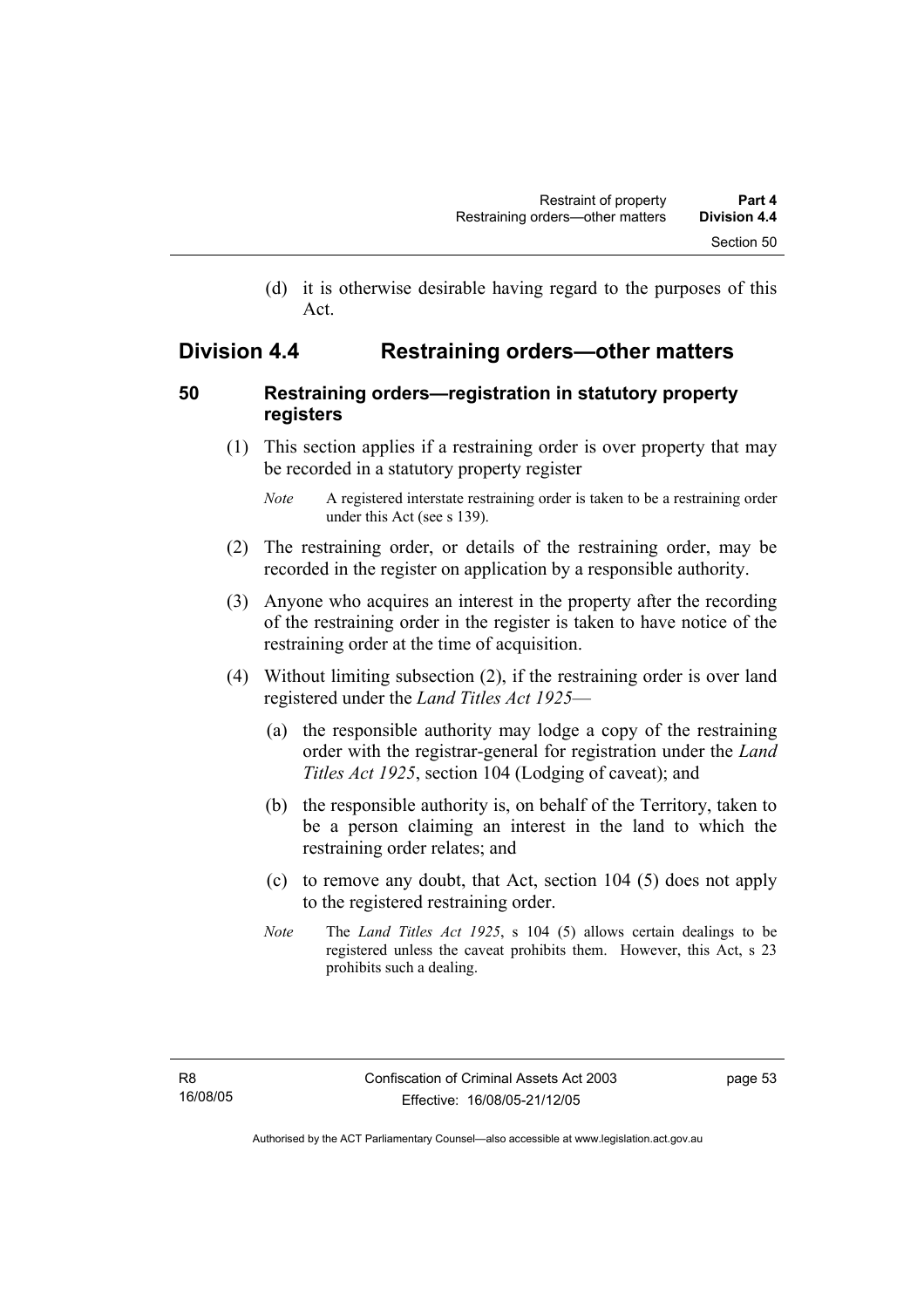(d) it is otherwise desirable having regard to the purposes of this Act.

# **Division 4.4 Restraining orders—other matters**

### **50 Restraining orders—registration in statutory property registers**

 (1) This section applies if a restraining order is over property that may be recorded in a statutory property register

- (2) The restraining order, or details of the restraining order, may be recorded in the register on application by a responsible authority.
- (3) Anyone who acquires an interest in the property after the recording of the restraining order in the register is taken to have notice of the restraining order at the time of acquisition.
- (4) Without limiting subsection (2), if the restraining order is over land registered under the *Land Titles Act 1925*—
	- (a) the responsible authority may lodge a copy of the restraining order with the registrar-general for registration under the *Land Titles Act 1925*, section 104 (Lodging of caveat); and
	- (b) the responsible authority is, on behalf of the Territory, taken to be a person claiming an interest in the land to which the restraining order relates; and
	- (c) to remove any doubt, that Act, section 104 (5) does not apply to the registered restraining order.
	- *Note* The *Land Titles Act 1925*, s 104 (5) allows certain dealings to be registered unless the caveat prohibits them. However, this Act, s 23 prohibits such a dealing.

*Note* A registered interstate restraining order is taken to be a restraining order under this Act (see s 139).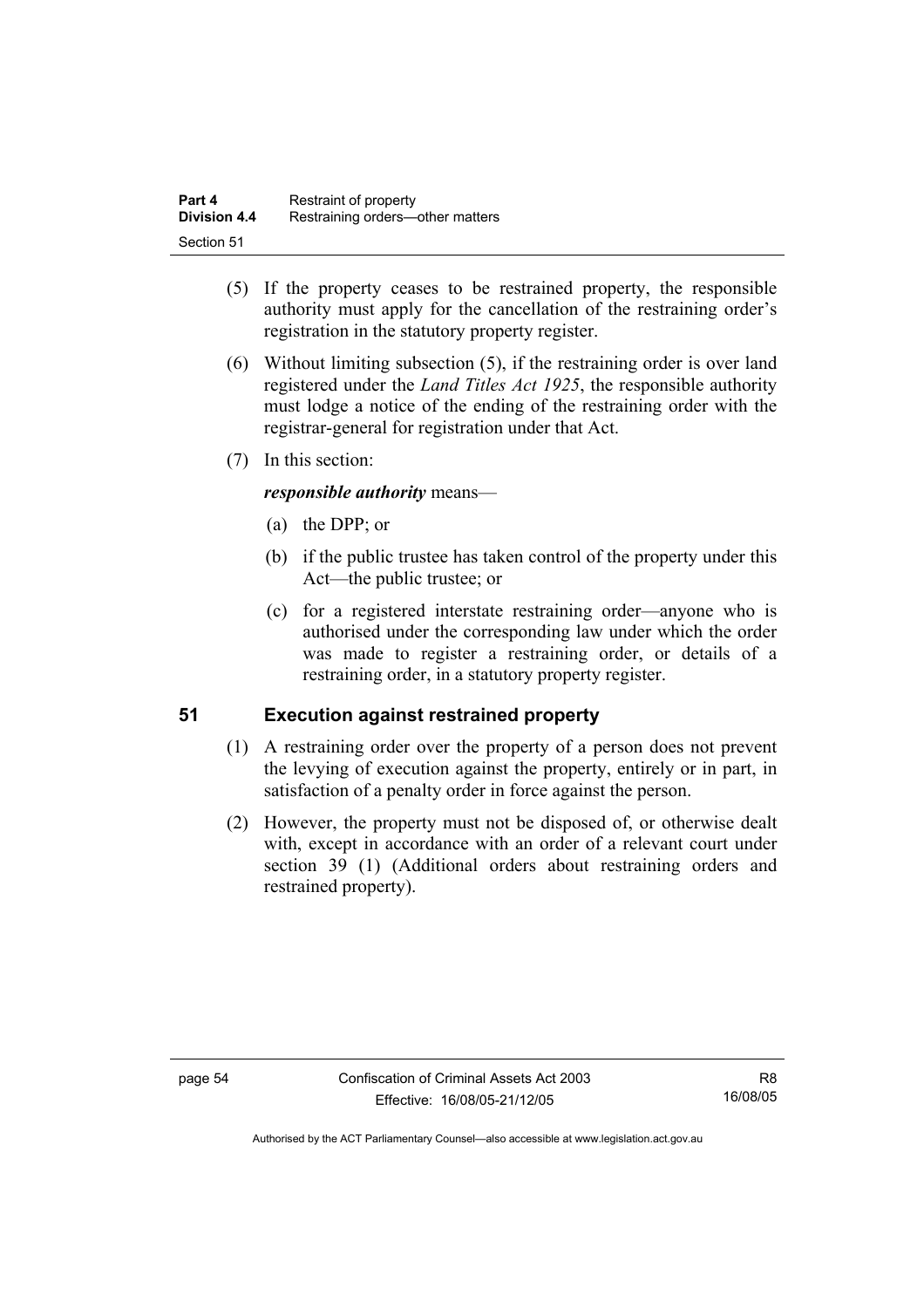| Part 4              | Restraint of property            |
|---------------------|----------------------------------|
| <b>Division 4.4</b> | Restraining orders—other matters |
| Section 51          |                                  |

- (5) If the property ceases to be restrained property, the responsible authority must apply for the cancellation of the restraining order's registration in the statutory property register.
- (6) Without limiting subsection (5), if the restraining order is over land registered under the *Land Titles Act 1925*, the responsible authority must lodge a notice of the ending of the restraining order with the registrar-general for registration under that Act.
- (7) In this section:

#### *responsible authority* means—

- (a) the DPP; or
- (b) if the public trustee has taken control of the property under this Act—the public trustee; or
- (c) for a registered interstate restraining order—anyone who is authorised under the corresponding law under which the order was made to register a restraining order, or details of a restraining order, in a statutory property register.

#### **51 Execution against restrained property**

- (1) A restraining order over the property of a person does not prevent the levying of execution against the property, entirely or in part, in satisfaction of a penalty order in force against the person.
- (2) However, the property must not be disposed of, or otherwise dealt with, except in accordance with an order of a relevant court under section 39 (1) (Additional orders about restraining orders and restrained property).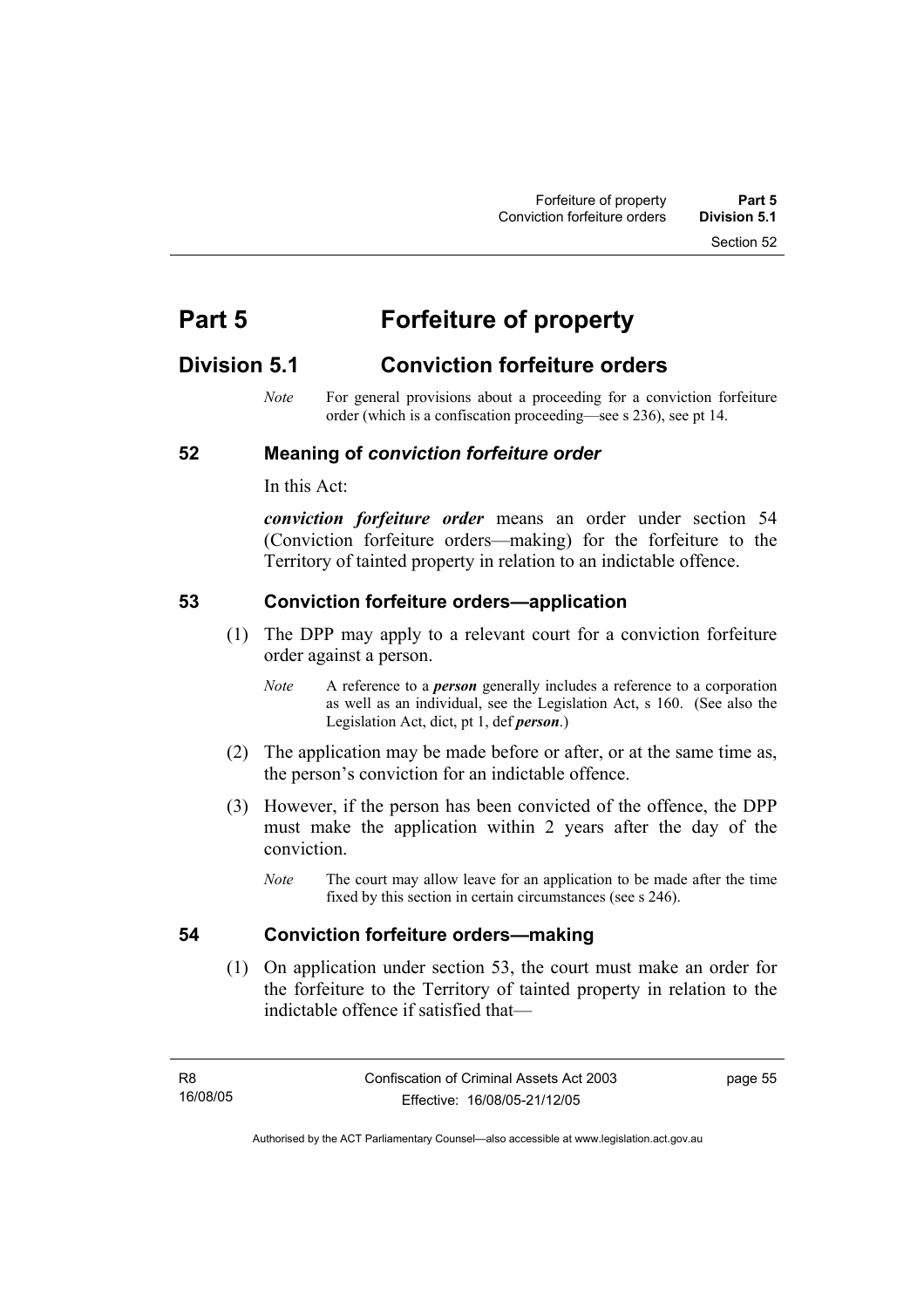Section 52

# **Part 5 Forfeiture of property**

# **Division 5.1 Conviction forfeiture orders**

*Note* For general provisions about a proceeding for a conviction forfeiture order (which is a confiscation proceeding—see s 236), see pt 14.

#### **52 Meaning of** *conviction forfeiture order*

In this Act:

*conviction forfeiture order* means an order under section 54 (Conviction forfeiture orders—making) for the forfeiture to the Territory of tainted property in relation to an indictable offence.

#### **53 Conviction forfeiture orders—application**

- (1) The DPP may apply to a relevant court for a conviction forfeiture order against a person.
	- *Note* A reference to a *person* generally includes a reference to a corporation as well as an individual, see the Legislation Act, s 160. (See also the Legislation Act, dict, pt 1, def *person*.)
- (2) The application may be made before or after, or at the same time as, the person's conviction for an indictable offence.
- (3) However, if the person has been convicted of the offence, the DPP must make the application within 2 years after the day of the conviction.
	- *Note* The court may allow leave for an application to be made after the time fixed by this section in certain circumstances (see s 246).

# **54 Conviction forfeiture orders—making**

 (1) On application under section 53, the court must make an order for the forfeiture to the Territory of tainted property in relation to the indictable offence if satisfied that—

page 55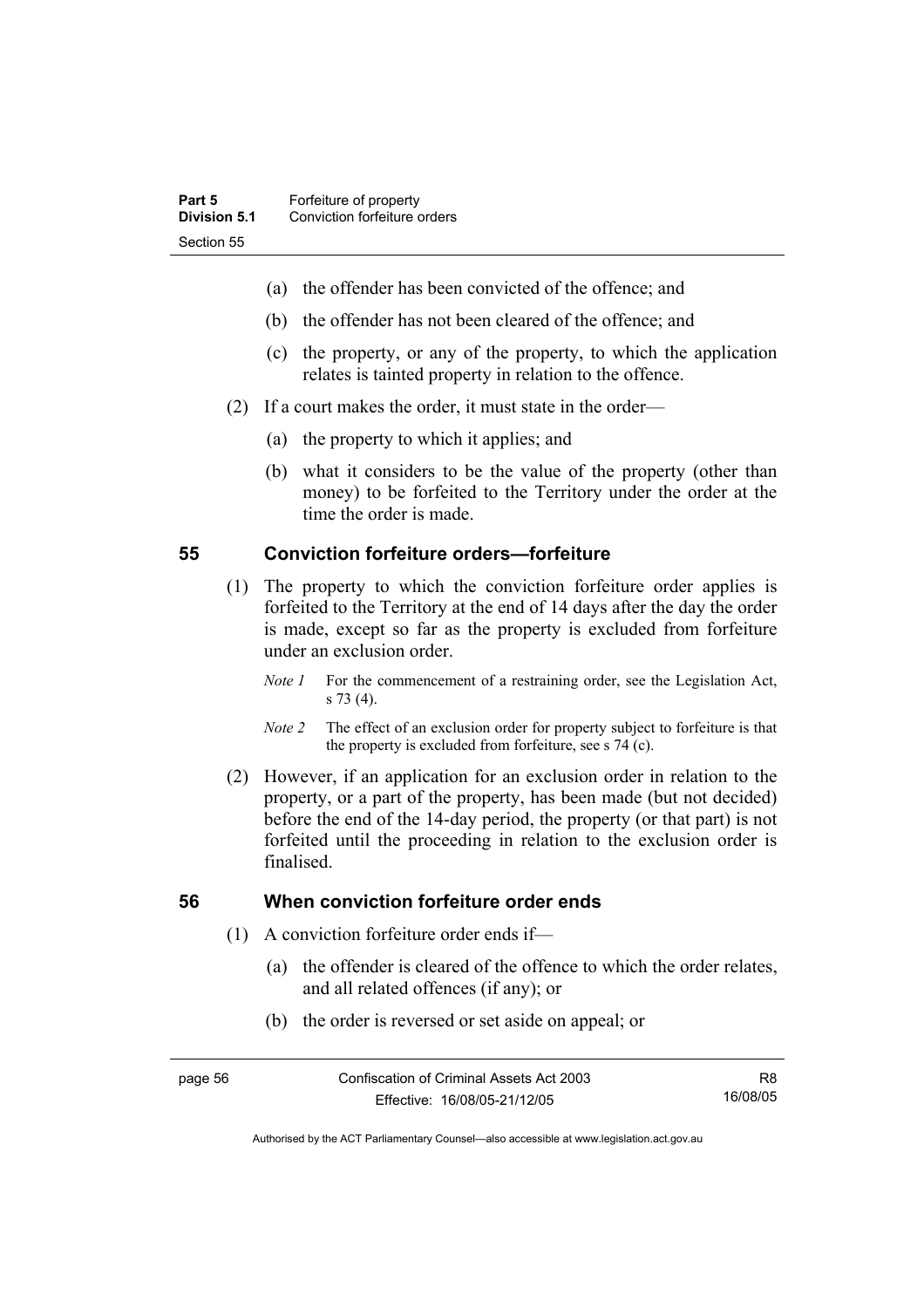- (a) the offender has been convicted of the offence; and
- (b) the offender has not been cleared of the offence; and
- (c) the property, or any of the property, to which the application relates is tainted property in relation to the offence.
- (2) If a court makes the order, it must state in the order—
	- (a) the property to which it applies; and
	- (b) what it considers to be the value of the property (other than money) to be forfeited to the Territory under the order at the time the order is made.

#### **55 Conviction forfeiture orders—forfeiture**

- (1) The property to which the conviction forfeiture order applies is forfeited to the Territory at the end of 14 days after the day the order is made, except so far as the property is excluded from forfeiture under an exclusion order.
	- *Note 1* For the commencement of a restraining order, see the Legislation Act, s 73 (4).
	- *Note 2* The effect of an exclusion order for property subject to forfeiture is that the property is excluded from forfeiture, see s 74 (c).
- (2) However, if an application for an exclusion order in relation to the property, or a part of the property, has been made (but not decided) before the end of the 14-day period, the property (or that part) is not forfeited until the proceeding in relation to the exclusion order is finalised.

#### **56 When conviction forfeiture order ends**

- (1) A conviction forfeiture order ends if—
	- (a) the offender is cleared of the offence to which the order relates, and all related offences (if any); or
	- (b) the order is reversed or set aside on appeal; or

R8 16/08/05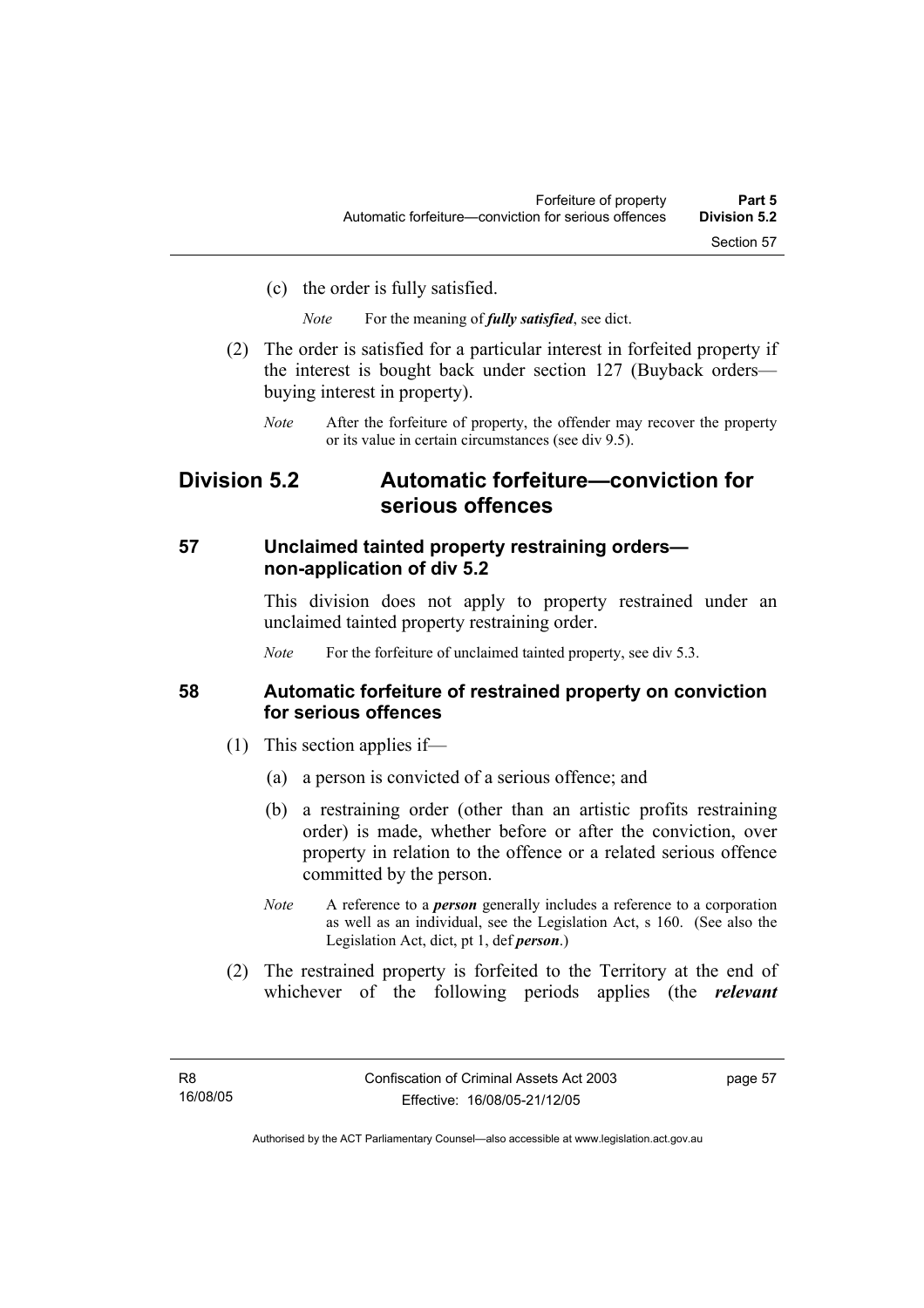(c) the order is fully satisfied.

*Note* For the meaning of *fully satisfied*, see dict.

- (2) The order is satisfied for a particular interest in forfeited property if the interest is bought back under section 127 (Buyback orders buying interest in property).
	- *Note* After the forfeiture of property, the offender may recover the property or its value in certain circumstances (see div 9.5).

# **Division 5.2 Automatic forfeiture—conviction for serious offences**

#### **57 Unclaimed tainted property restraining orders non-application of div 5.2**

This division does not apply to property restrained under an unclaimed tainted property restraining order.

*Note* For the forfeiture of unclaimed tainted property, see div 5.3.

#### **58 Automatic forfeiture of restrained property on conviction for serious offences**

- (1) This section applies if—
	- (a) a person is convicted of a serious offence; and
	- (b) a restraining order (other than an artistic profits restraining order) is made, whether before or after the conviction, over property in relation to the offence or a related serious offence committed by the person.
	- *Note* A reference to a *person* generally includes a reference to a corporation as well as an individual, see the Legislation Act, s 160. (See also the Legislation Act, dict, pt 1, def *person*.)
- (2) The restrained property is forfeited to the Territory at the end of whichever of the following periods applies (the *relevant*

page 57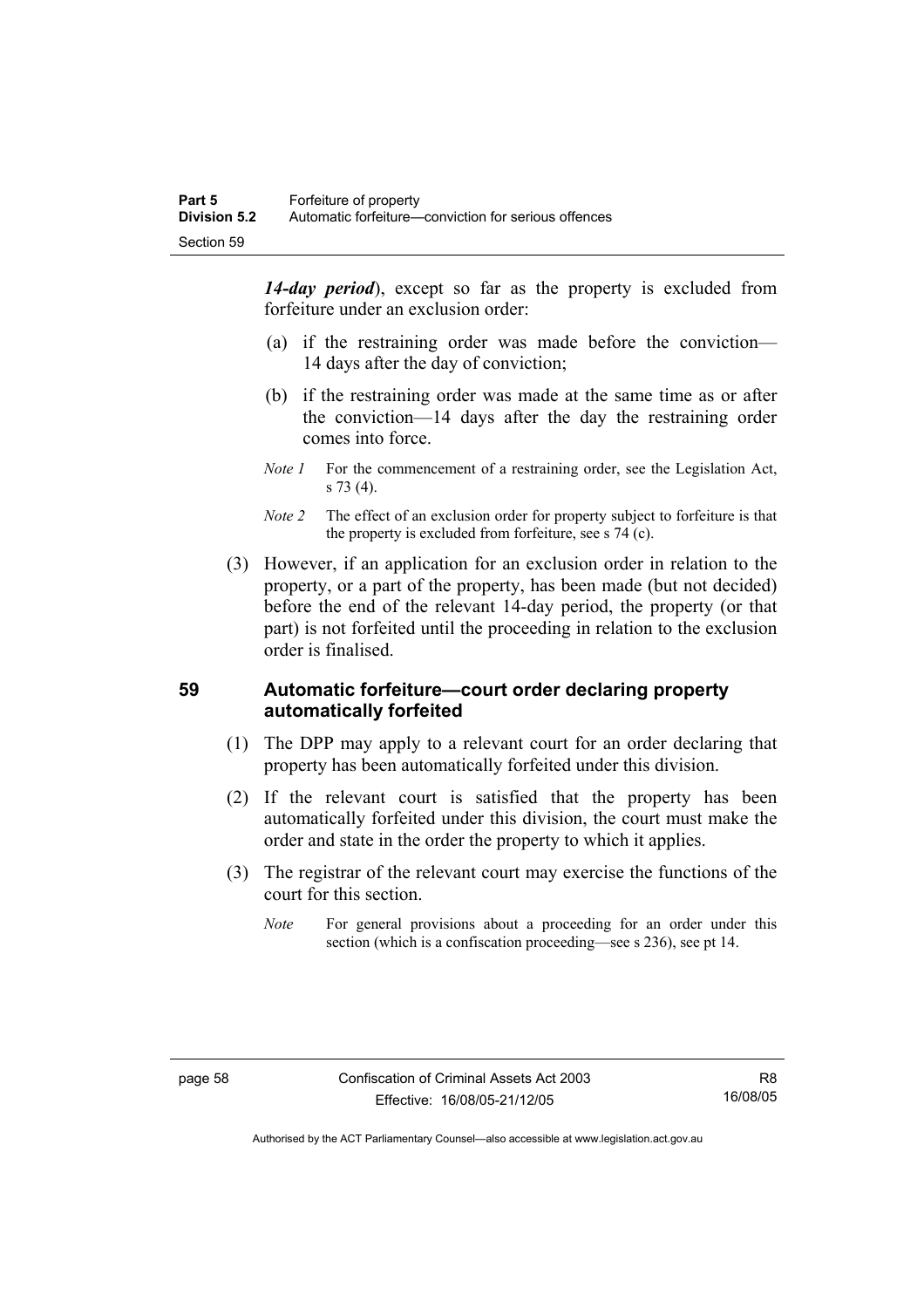*14-day period*), except so far as the property is excluded from forfeiture under an exclusion order:

- (a) if the restraining order was made before the conviction— 14 days after the day of conviction;
- (b) if the restraining order was made at the same time as or after the conviction—14 days after the day the restraining order comes into force.
- *Note 1* For the commencement of a restraining order, see the Legislation Act, s 73 (4).
- *Note 2* The effect of an exclusion order for property subject to forfeiture is that the property is excluded from forfeiture, see s 74 (c).
- (3) However, if an application for an exclusion order in relation to the property, or a part of the property, has been made (but not decided) before the end of the relevant 14-day period, the property (or that part) is not forfeited until the proceeding in relation to the exclusion order is finalised.

#### **59 Automatic forfeiture—court order declaring property automatically forfeited**

- (1) The DPP may apply to a relevant court for an order declaring that property has been automatically forfeited under this division.
- (2) If the relevant court is satisfied that the property has been automatically forfeited under this division, the court must make the order and state in the order the property to which it applies.
- (3) The registrar of the relevant court may exercise the functions of the court for this section.
	- *Note* For general provisions about a proceeding for an order under this section (which is a confiscation proceeding—see s 236), see pt 14.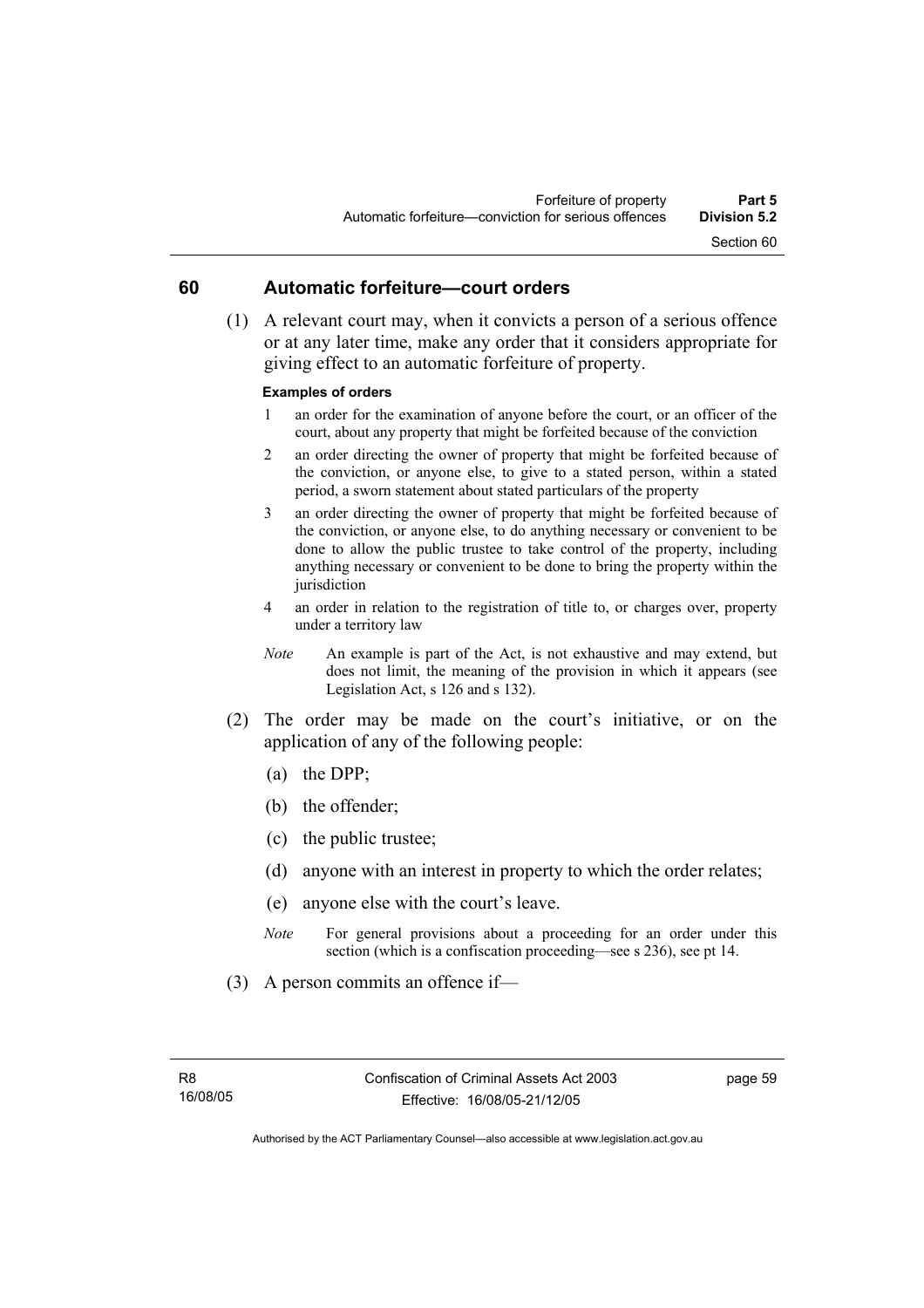# **60 Automatic forfeiture—court orders**

 (1) A relevant court may, when it convicts a person of a serious offence or at any later time, make any order that it considers appropriate for giving effect to an automatic forfeiture of property.

#### **Examples of orders**

- 1 an order for the examination of anyone before the court, or an officer of the court, about any property that might be forfeited because of the conviction
- 2 an order directing the owner of property that might be forfeited because of the conviction, or anyone else, to give to a stated person, within a stated period, a sworn statement about stated particulars of the property
- 3 an order directing the owner of property that might be forfeited because of the conviction, or anyone else, to do anything necessary or convenient to be done to allow the public trustee to take control of the property, including anything necessary or convenient to be done to bring the property within the jurisdiction
- 4 an order in relation to the registration of title to, or charges over, property under a territory law
- *Note* An example is part of the Act, is not exhaustive and may extend, but does not limit, the meaning of the provision in which it appears (see Legislation Act, s 126 and s 132).
- (2) The order may be made on the court's initiative, or on the application of any of the following people:
	- (a) the DPP;
	- (b) the offender;
	- (c) the public trustee;
	- (d) anyone with an interest in property to which the order relates;
	- (e) anyone else with the court's leave.
	- *Note* For general provisions about a proceeding for an order under this section (which is a confiscation proceeding—see s 236), see pt 14.
- (3) A person commits an offence if—

page 59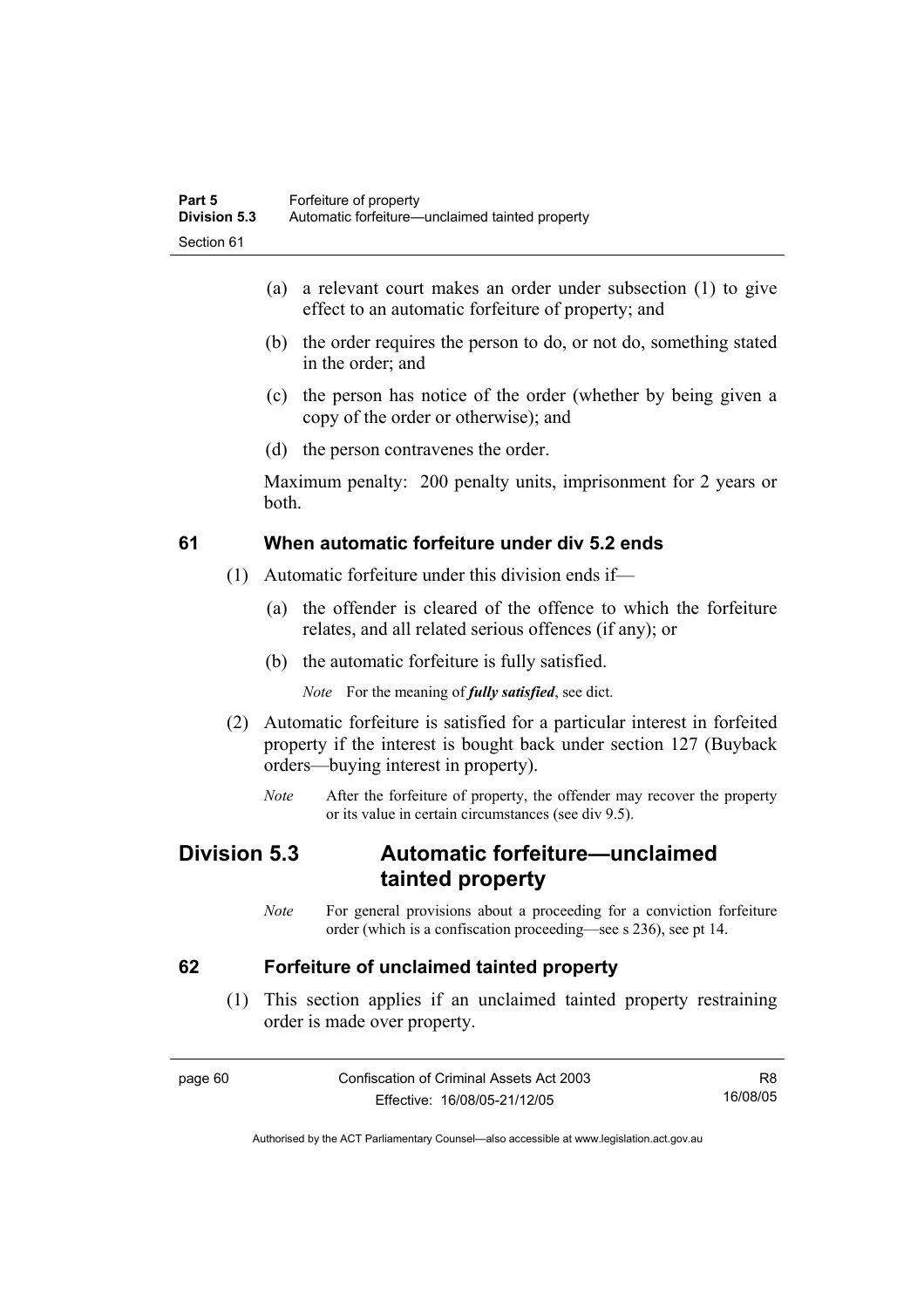- (a) a relevant court makes an order under subsection (1) to give effect to an automatic forfeiture of property; and
- (b) the order requires the person to do, or not do, something stated in the order; and
- (c) the person has notice of the order (whether by being given a copy of the order or otherwise); and
- (d) the person contravenes the order.

Maximum penalty: 200 penalty units, imprisonment for 2 years or both.

# **61 When automatic forfeiture under div 5.2 ends**

- (1) Automatic forfeiture under this division ends if—
	- (a) the offender is cleared of the offence to which the forfeiture relates, and all related serious offences (if any); or
	- (b) the automatic forfeiture is fully satisfied.

*Note* For the meaning of *fully satisfied*, see dict.

- (2) Automatic forfeiture is satisfied for a particular interest in forfeited property if the interest is bought back under section 127 (Buyback orders—buying interest in property).
	- *Note* After the forfeiture of property, the offender may recover the property or its value in certain circumstances (see div 9.5).

# **Division 5.3 Automatic forfeiture—unclaimed tainted property**

*Note* For general provisions about a proceeding for a conviction forfeiture order (which is a confiscation proceeding—see s 236), see pt 14.

# **62 Forfeiture of unclaimed tainted property**

 (1) This section applies if an unclaimed tainted property restraining order is made over property.

page 60 Confiscation of Criminal Assets Act 2003 Effective: 16/08/05-21/12/05 R8 16/08/05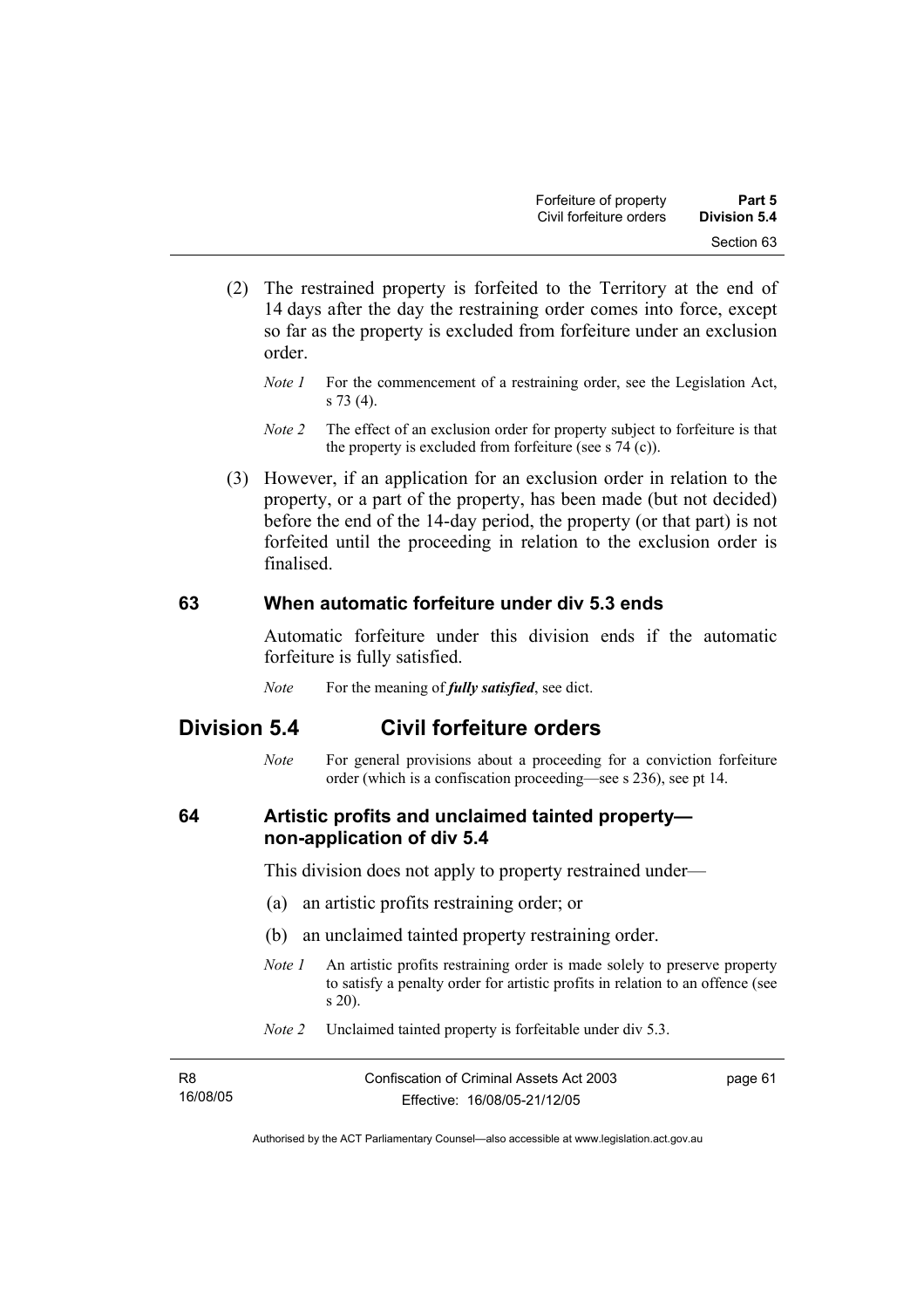- (2) The restrained property is forfeited to the Territory at the end of 14 days after the day the restraining order comes into force, except so far as the property is excluded from forfeiture under an exclusion order.
	- *Note 1* For the commencement of a restraining order, see the Legislation Act, s 73 (4).
	- *Note 2* The effect of an exclusion order for property subject to forfeiture is that the property is excluded from forfeiture (see s  $74$  (c)).
- (3) However, if an application for an exclusion order in relation to the property, or a part of the property, has been made (but not decided) before the end of the 14-day period, the property (or that part) is not forfeited until the proceeding in relation to the exclusion order is finalised.

# **63 When automatic forfeiture under div 5.3 ends**

Automatic forfeiture under this division ends if the automatic forfeiture is fully satisfied.

*Note* For the meaning of *fully satisfied*, see dict.

# **Division 5.4 Civil forfeiture orders**

*Note* For general provisions about a proceeding for a conviction forfeiture order (which is a confiscation proceeding—see s 236), see pt 14.

# **64 Artistic profits and unclaimed tainted property non-application of div 5.4**

This division does not apply to property restrained under—

- (a) an artistic profits restraining order; or
- (b) an unclaimed tainted property restraining order.
- *Note 1* An artistic profits restraining order is made solely to preserve property to satisfy a penalty order for artistic profits in relation to an offence (see s 20).
- *Note 2* Unclaimed tainted property is forfeitable under div 5.3.

| R8       | Confiscation of Criminal Assets Act 2003 | page 61 |
|----------|------------------------------------------|---------|
| 16/08/05 | Effective: 16/08/05-21/12/05             |         |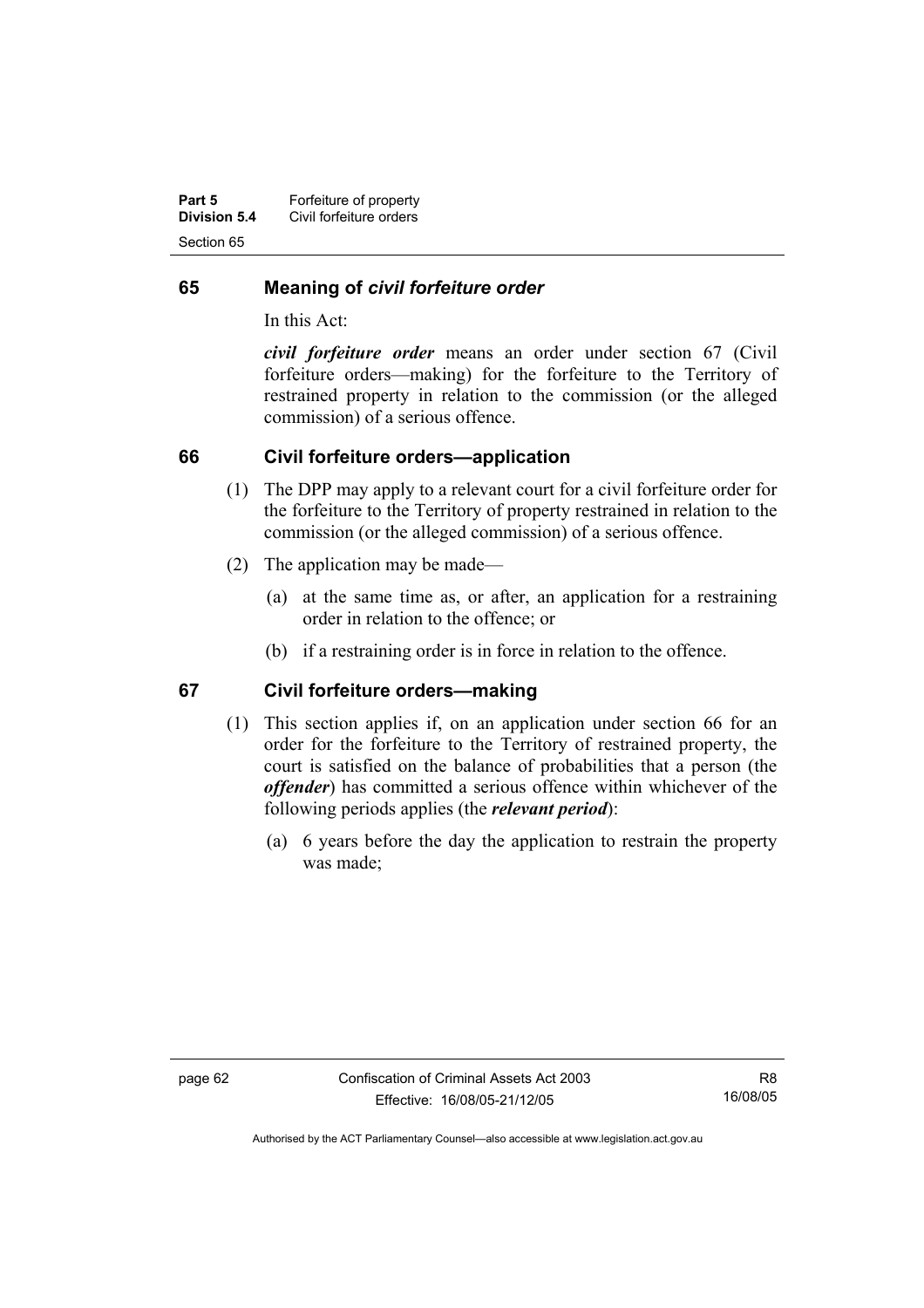| Part 5       | Forfeiture of property  |
|--------------|-------------------------|
| Division 5.4 | Civil forfeiture orders |
| Section 65   |                         |

# **65 Meaning of** *civil forfeiture order*

In this Act:

*civil forfeiture order* means an order under section 67 (Civil forfeiture orders—making) for the forfeiture to the Territory of restrained property in relation to the commission (or the alleged commission) of a serious offence.

# **66 Civil forfeiture orders—application**

- (1) The DPP may apply to a relevant court for a civil forfeiture order for the forfeiture to the Territory of property restrained in relation to the commission (or the alleged commission) of a serious offence.
- (2) The application may be made—
	- (a) at the same time as, or after, an application for a restraining order in relation to the offence; or
	- (b) if a restraining order is in force in relation to the offence.

# **67 Civil forfeiture orders—making**

- (1) This section applies if, on an application under section 66 for an order for the forfeiture to the Territory of restrained property, the court is satisfied on the balance of probabilities that a person (the *offender*) has committed a serious offence within whichever of the following periods applies (the *relevant period*):
	- (a) 6 years before the day the application to restrain the property was made;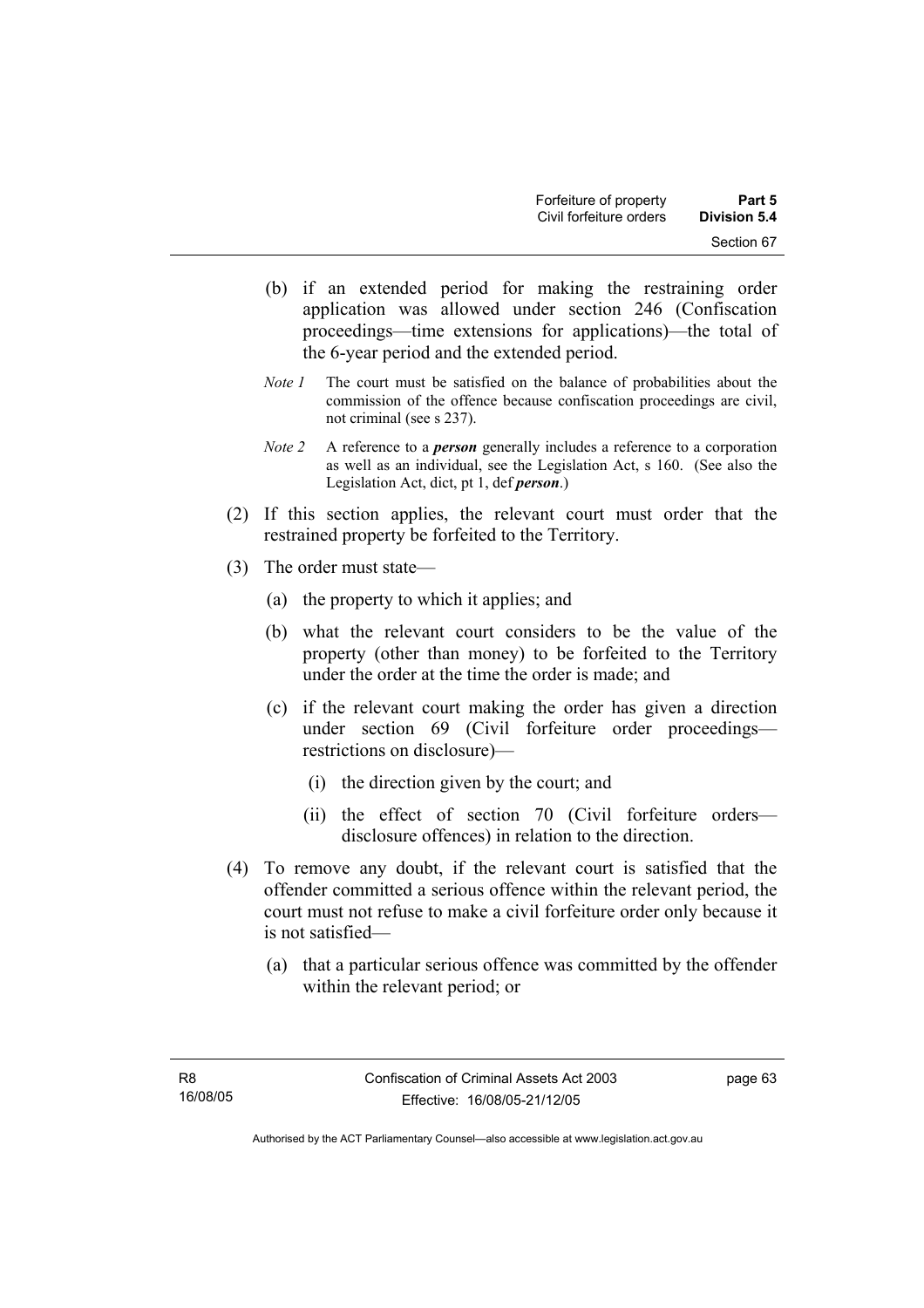- (b) if an extended period for making the restraining order application was allowed under section 246 (Confiscation proceedings—time extensions for applications)—the total of the 6-year period and the extended period.
- *Note 1* The court must be satisfied on the balance of probabilities about the commission of the offence because confiscation proceedings are civil, not criminal (see s 237).
- *Note 2* A reference to a *person* generally includes a reference to a corporation as well as an individual, see the Legislation Act, s 160. (See also the Legislation Act, dict, pt 1, def *person*.)
- (2) If this section applies, the relevant court must order that the restrained property be forfeited to the Territory.
- (3) The order must state—
	- (a) the property to which it applies; and
	- (b) what the relevant court considers to be the value of the property (other than money) to be forfeited to the Territory under the order at the time the order is made; and
	- (c) if the relevant court making the order has given a direction under section 69 (Civil forfeiture order proceedings restrictions on disclosure)—
		- (i) the direction given by the court; and
		- (ii) the effect of section 70 (Civil forfeiture orders disclosure offences) in relation to the direction.
- (4) To remove any doubt, if the relevant court is satisfied that the offender committed a serious offence within the relevant period, the court must not refuse to make a civil forfeiture order only because it is not satisfied—
	- (a) that a particular serious offence was committed by the offender within the relevant period; or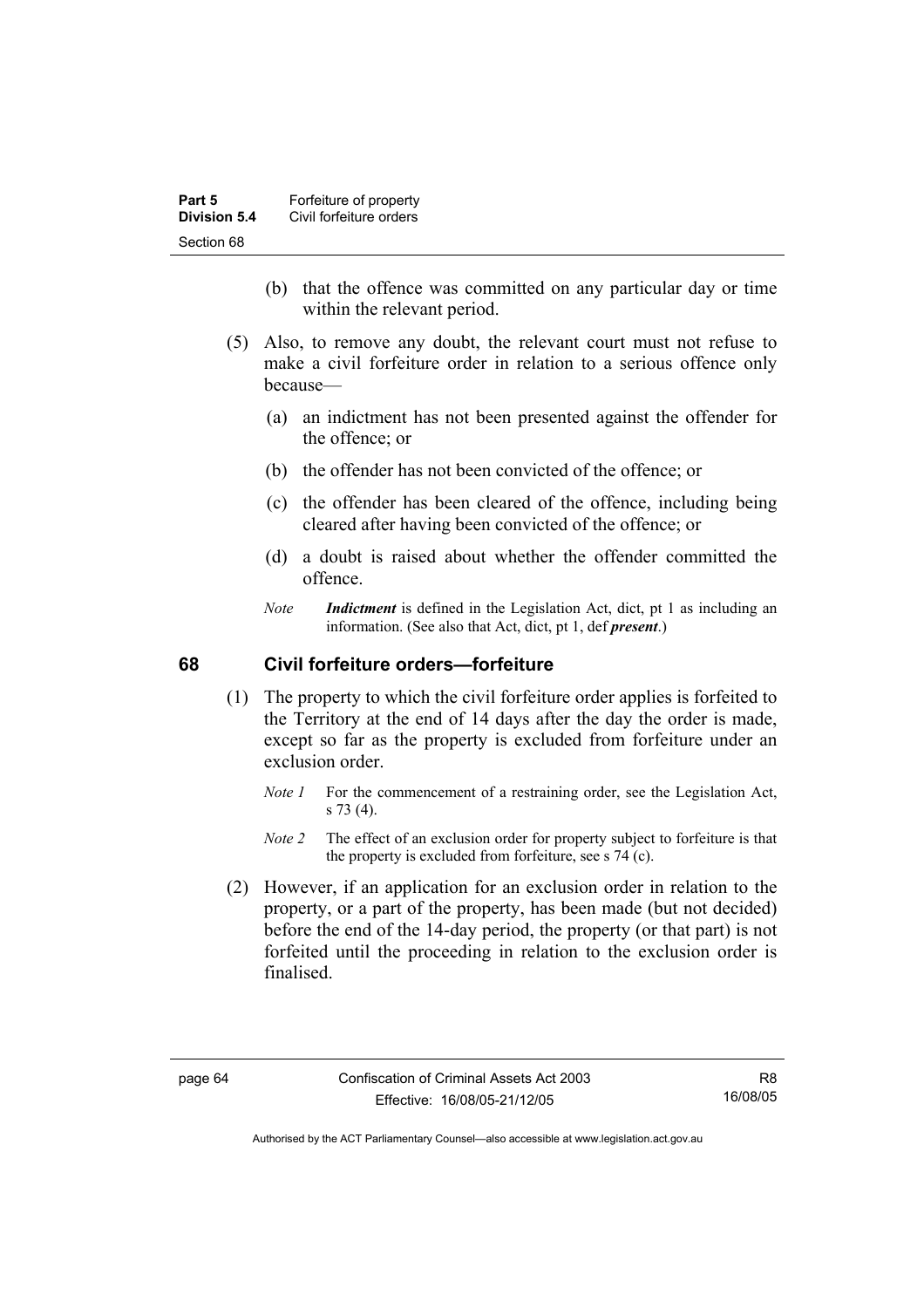| Part 5       | Forfeiture of property  |
|--------------|-------------------------|
| Division 5.4 | Civil forfeiture orders |
| Section 68   |                         |

- (b) that the offence was committed on any particular day or time within the relevant period.
- (5) Also, to remove any doubt, the relevant court must not refuse to make a civil forfeiture order in relation to a serious offence only because—
	- (a) an indictment has not been presented against the offender for the offence; or
	- (b) the offender has not been convicted of the offence; or
	- (c) the offender has been cleared of the offence, including being cleared after having been convicted of the offence; or
	- (d) a doubt is raised about whether the offender committed the offence.
	- *Note Indictment* is defined in the Legislation Act, dict, pt 1 as including an information. (See also that Act, dict, pt 1, def *present*.)

# **68 Civil forfeiture orders—forfeiture**

- (1) The property to which the civil forfeiture order applies is forfeited to the Territory at the end of 14 days after the day the order is made, except so far as the property is excluded from forfeiture under an exclusion order.
	- *Note 1* For the commencement of a restraining order, see the Legislation Act, s 73 (4).
	- *Note 2* The effect of an exclusion order for property subject to forfeiture is that the property is excluded from forfeiture, see s 74 (c).
- (2) However, if an application for an exclusion order in relation to the property, or a part of the property, has been made (but not decided) before the end of the 14-day period, the property (or that part) is not forfeited until the proceeding in relation to the exclusion order is finalised.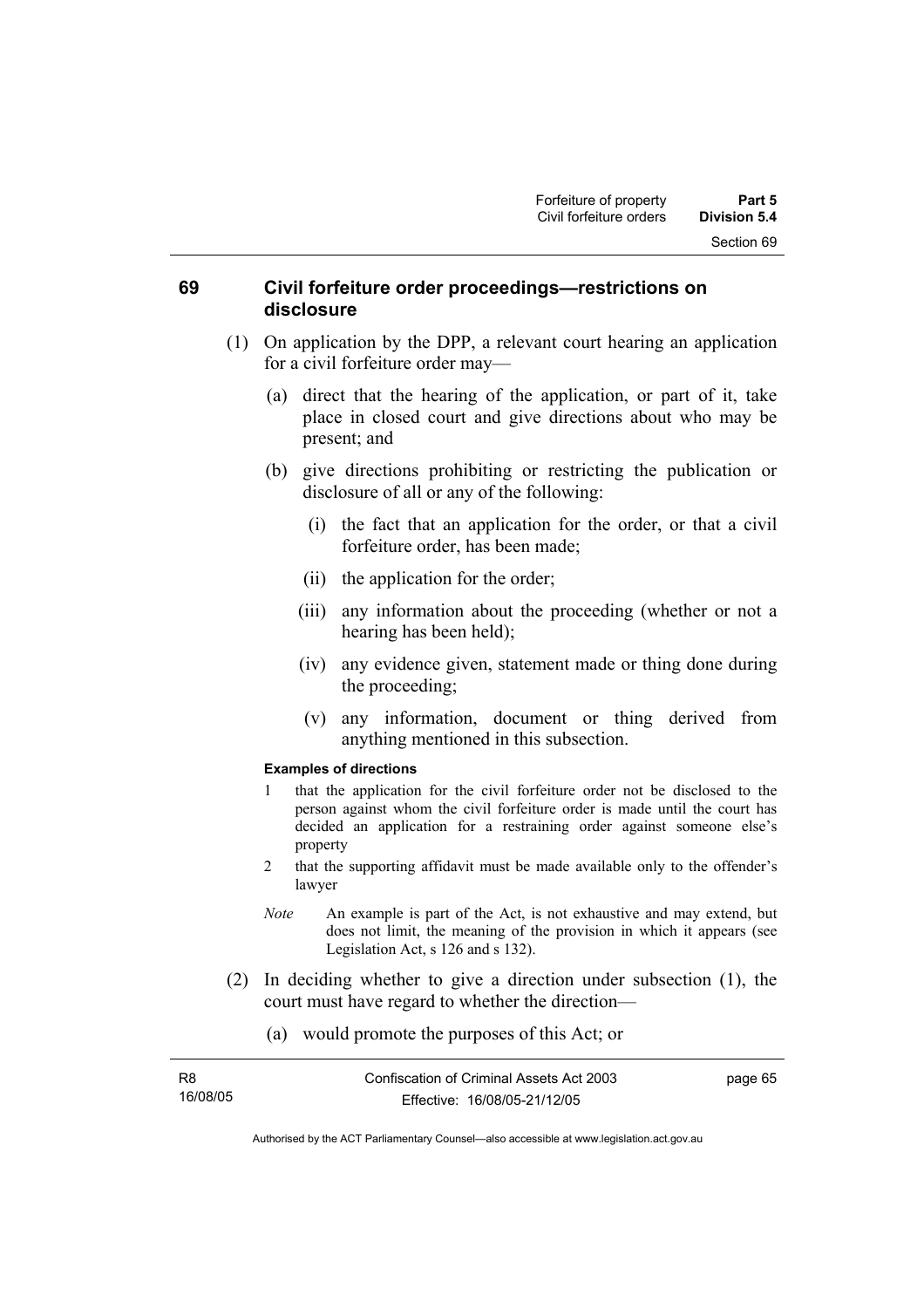# **69 Civil forfeiture order proceedings—restrictions on disclosure**

- (1) On application by the DPP, a relevant court hearing an application for a civil forfeiture order may—
	- (a) direct that the hearing of the application, or part of it, take place in closed court and give directions about who may be present; and
	- (b) give directions prohibiting or restricting the publication or disclosure of all or any of the following:
		- (i) the fact that an application for the order, or that a civil forfeiture order, has been made;
		- (ii) the application for the order;
		- (iii) any information about the proceeding (whether or not a hearing has been held);
		- (iv) any evidence given, statement made or thing done during the proceeding;
		- (v) any information, document or thing derived from anything mentioned in this subsection.

#### **Examples of directions**

- 1 that the application for the civil forfeiture order not be disclosed to the person against whom the civil forfeiture order is made until the court has decided an application for a restraining order against someone else's property
- 2 that the supporting affidavit must be made available only to the offender's lawyer
- *Note* An example is part of the Act, is not exhaustive and may extend, but does not limit, the meaning of the provision in which it appears (see Legislation Act, s 126 and s 132).
- (2) In deciding whether to give a direction under subsection (1), the court must have regard to whether the direction—
	- (a) would promote the purposes of this Act; or

| R8       |  |  |
|----------|--|--|
| 16/08/05 |  |  |

page 65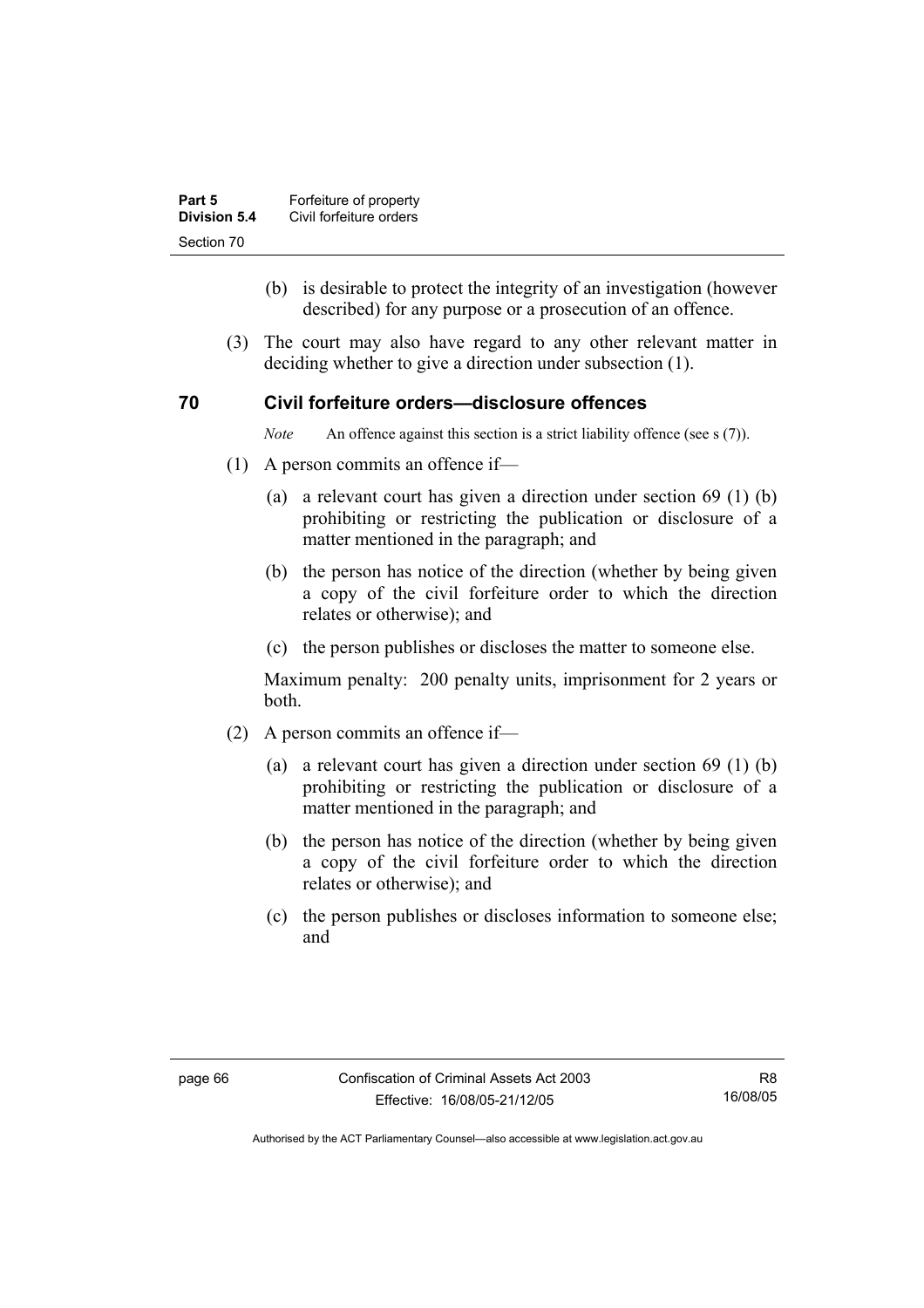| Part 5       | Forfeiture of property  |
|--------------|-------------------------|
| Division 5.4 | Civil forfeiture orders |
| Section 70   |                         |

- (b) is desirable to protect the integrity of an investigation (however described) for any purpose or a prosecution of an offence.
- (3) The court may also have regard to any other relevant matter in deciding whether to give a direction under subsection (1).

### **70 Civil forfeiture orders—disclosure offences**

*Note* An offence against this section is a strict liability offence (see s (7)).

- (1) A person commits an offence if—
	- (a) a relevant court has given a direction under section 69 (1) (b) prohibiting or restricting the publication or disclosure of a matter mentioned in the paragraph; and
	- (b) the person has notice of the direction (whether by being given a copy of the civil forfeiture order to which the direction relates or otherwise); and
	- (c) the person publishes or discloses the matter to someone else.

Maximum penalty: 200 penalty units, imprisonment for 2 years or both.

- (2) A person commits an offence if—
	- (a) a relevant court has given a direction under section 69 (1) (b) prohibiting or restricting the publication or disclosure of a matter mentioned in the paragraph; and
	- (b) the person has notice of the direction (whether by being given a copy of the civil forfeiture order to which the direction relates or otherwise); and
	- (c) the person publishes or discloses information to someone else; and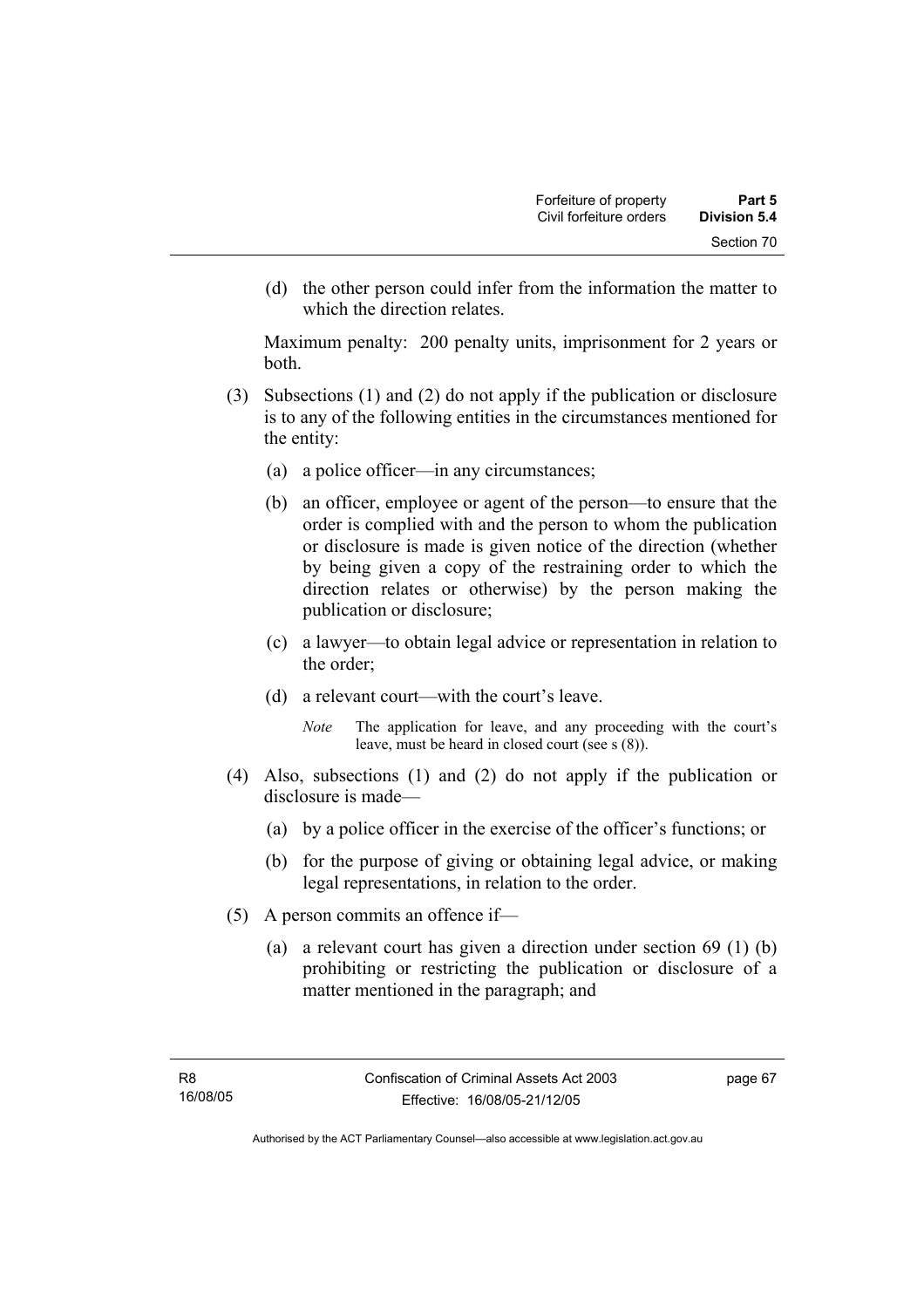(d) the other person could infer from the information the matter to which the direction relates.

Maximum penalty: 200 penalty units, imprisonment for 2 years or both.

- (3) Subsections (1) and (2) do not apply if the publication or disclosure is to any of the following entities in the circumstances mentioned for the entity:
	- (a) a police officer—in any circumstances;
	- (b) an officer, employee or agent of the person—to ensure that the order is complied with and the person to whom the publication or disclosure is made is given notice of the direction (whether by being given a copy of the restraining order to which the direction relates or otherwise) by the person making the publication or disclosure;
	- (c) a lawyer—to obtain legal advice or representation in relation to the order;
	- (d) a relevant court—with the court's leave.
		- *Note* The application for leave, and any proceeding with the court's leave, must be heard in closed court (see s (8)).
- (4) Also, subsections (1) and (2) do not apply if the publication or disclosure is made—
	- (a) by a police officer in the exercise of the officer's functions; or
	- (b) for the purpose of giving or obtaining legal advice, or making legal representations, in relation to the order.
- (5) A person commits an offence if—
	- (a) a relevant court has given a direction under section 69 (1) (b) prohibiting or restricting the publication or disclosure of a matter mentioned in the paragraph; and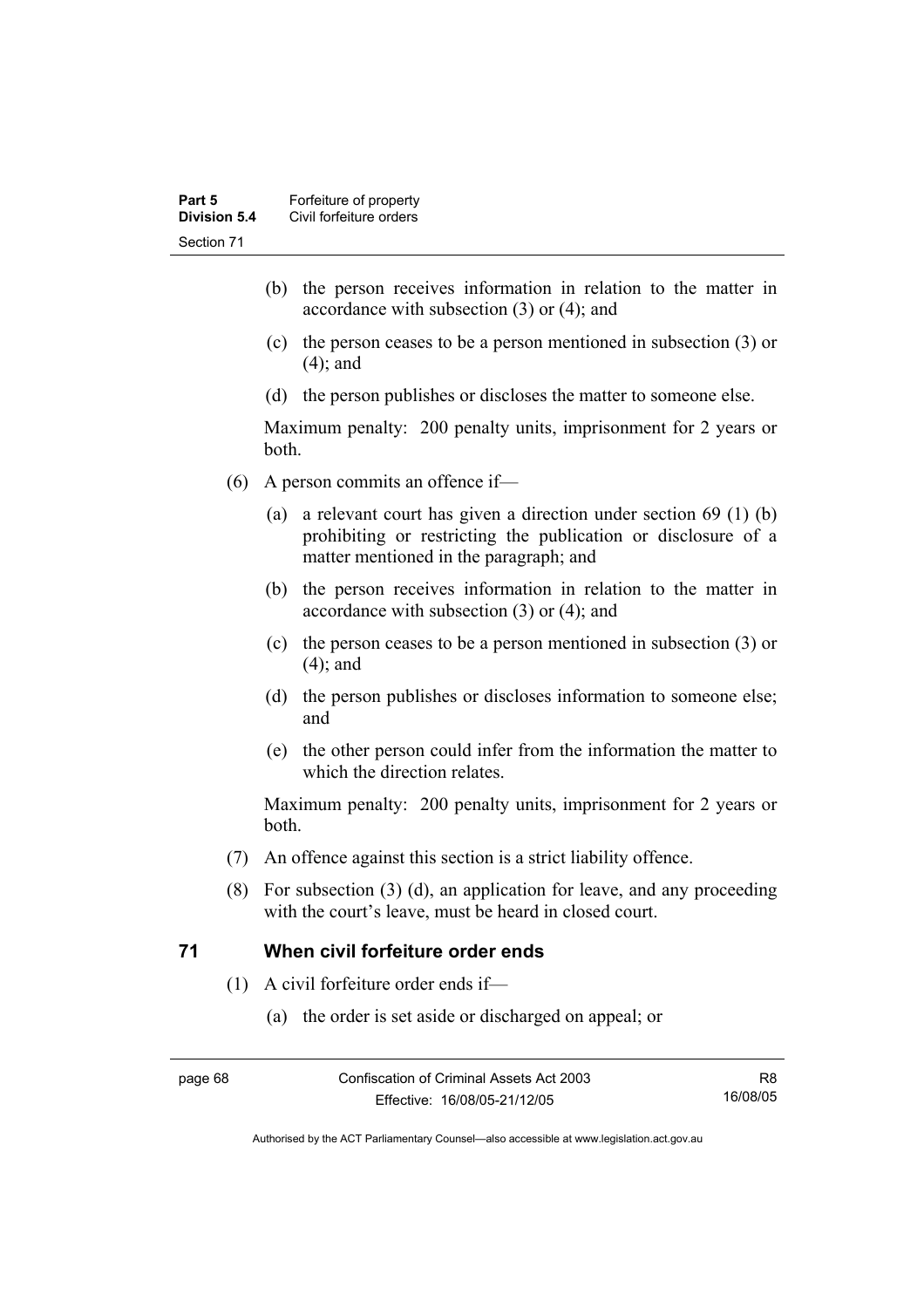- (b) the person receives information in relation to the matter in accordance with subsection (3) or (4); and
- (c) the person ceases to be a person mentioned in subsection (3) or (4); and
- (d) the person publishes or discloses the matter to someone else.

Maximum penalty: 200 penalty units, imprisonment for 2 years or both.

- (6) A person commits an offence if—
	- (a) a relevant court has given a direction under section 69 (1) (b) prohibiting or restricting the publication or disclosure of a matter mentioned in the paragraph; and
	- (b) the person receives information in relation to the matter in accordance with subsection (3) or (4); and
	- (c) the person ceases to be a person mentioned in subsection (3) or (4); and
	- (d) the person publishes or discloses information to someone else; and
	- (e) the other person could infer from the information the matter to which the direction relates.

Maximum penalty: 200 penalty units, imprisonment for 2 years or both.

- (7) An offence against this section is a strict liability offence.
- (8) For subsection (3) (d), an application for leave, and any proceeding with the court's leave, must be heard in closed court.

# **71 When civil forfeiture order ends**

- (1) A civil forfeiture order ends if—
	- (a) the order is set aside or discharged on appeal; or

R8 16/08/05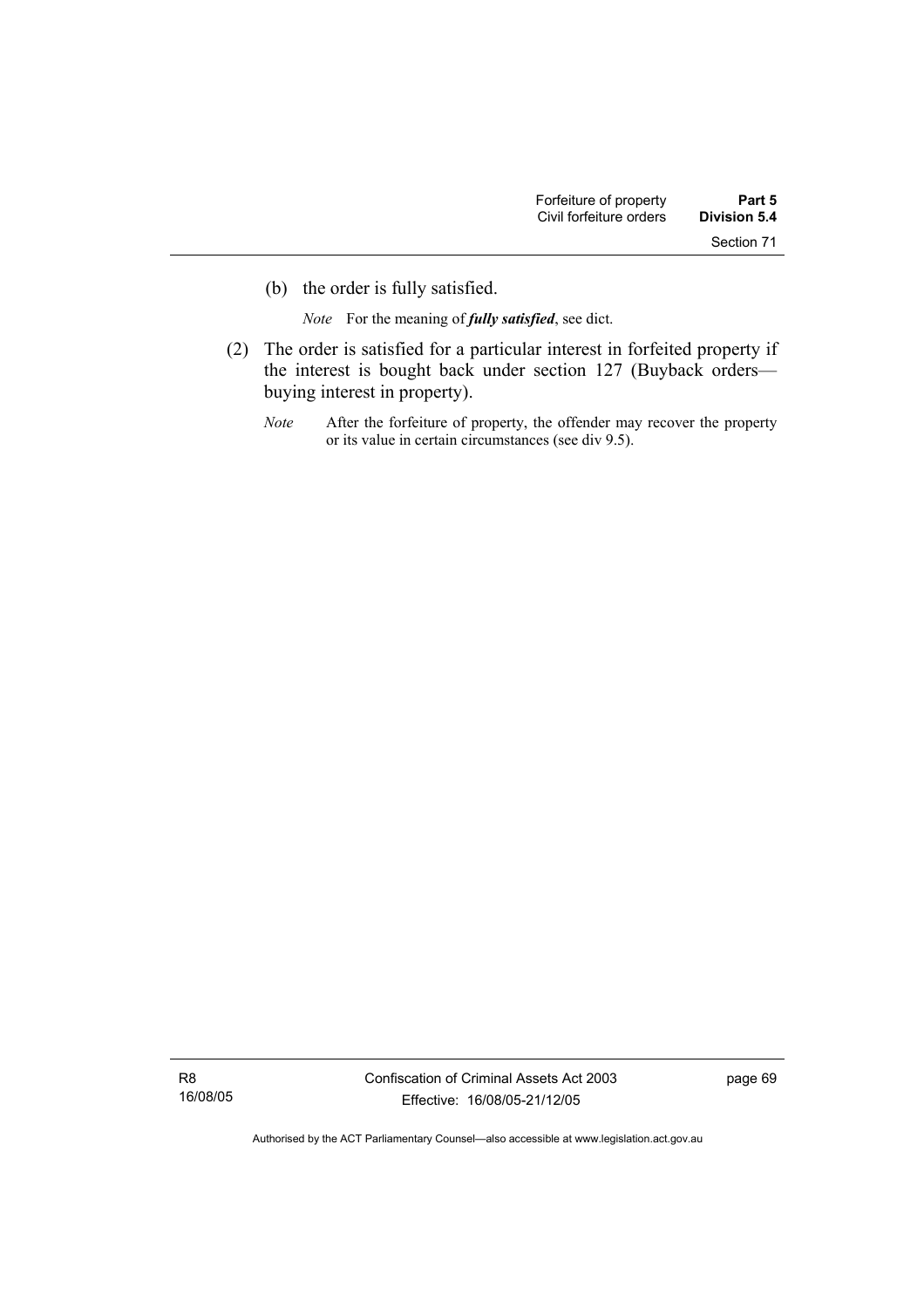(b) the order is fully satisfied.

*Note* For the meaning of *fully satisfied*, see dict.

- (2) The order is satisfied for a particular interest in forfeited property if the interest is bought back under section 127 (Buyback orders buying interest in property).
	- *Note* After the forfeiture of property, the offender may recover the property or its value in certain circumstances (see div 9.5).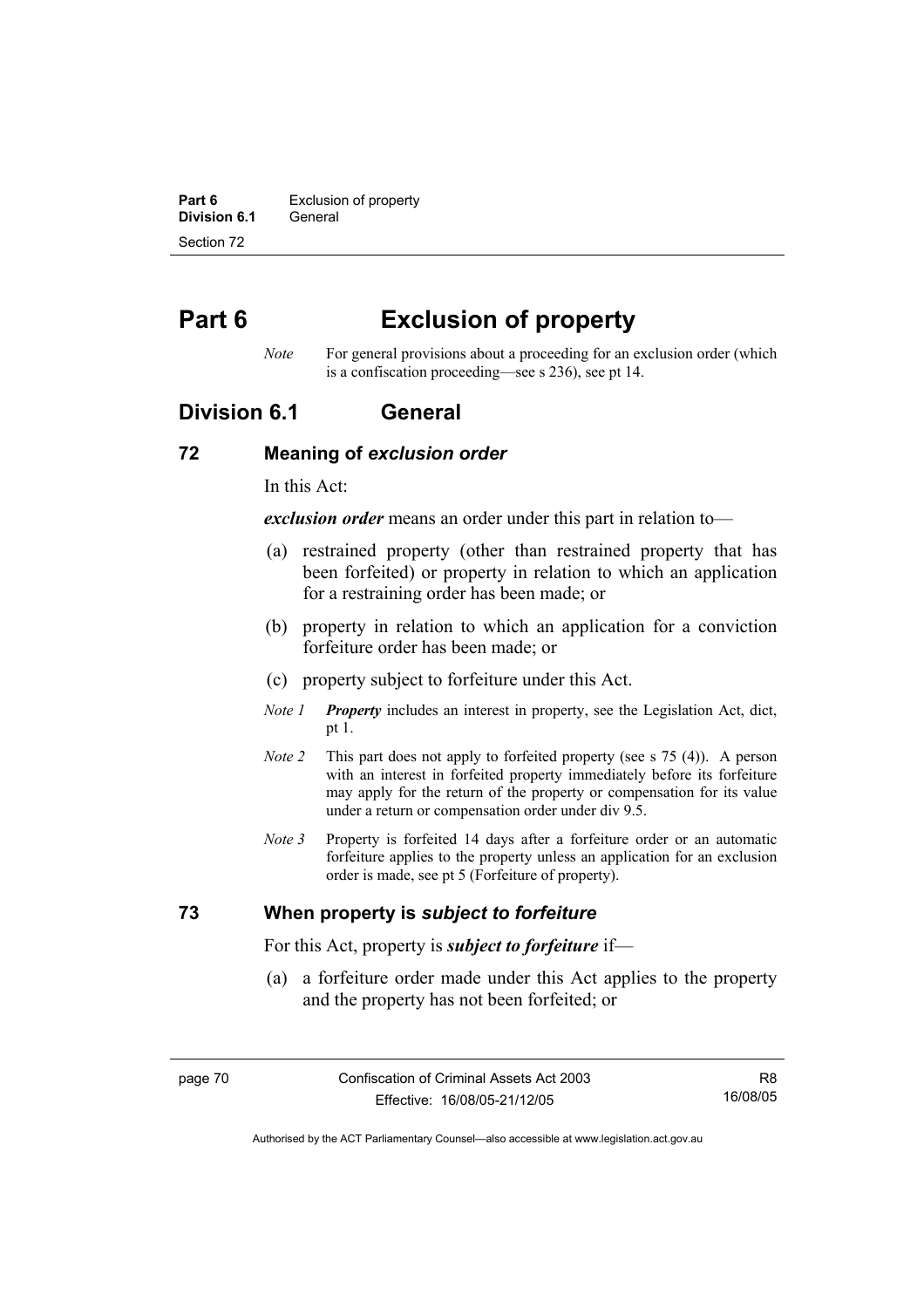**Part 6 Exclusion of property Division 6.1** General Section 72

# **Part 6 Exclusion of property**

*Note* For general provisions about a proceeding for an exclusion order (which is a confiscation proceeding—see s 236), see pt 14.

# **Division 6.1 General**

### **72 Meaning of** *exclusion order*

In this Act:

*exclusion order* means an order under this part in relation to—

- (a) restrained property (other than restrained property that has been forfeited) or property in relation to which an application for a restraining order has been made; or
- (b) property in relation to which an application for a conviction forfeiture order has been made; or
- (c) property subject to forfeiture under this Act.
- *Note 1 Property* includes an interest in property, see the Legislation Act, dict, pt 1.
- *Note 2* This part does not apply to forfeited property (see s 75 (4)). A person with an interest in forfeited property immediately before its forfeiture may apply for the return of the property or compensation for its value under a return or compensation order under div 9.5.
- *Note 3* Property is forfeited 14 days after a forfeiture order or an automatic forfeiture applies to the property unless an application for an exclusion order is made, see pt 5 (Forfeiture of property).

# **73 When property is** *subject to forfeiture*

For this Act, property is *subject to forfeiture* if—

 (a) a forfeiture order made under this Act applies to the property and the property has not been forfeited; or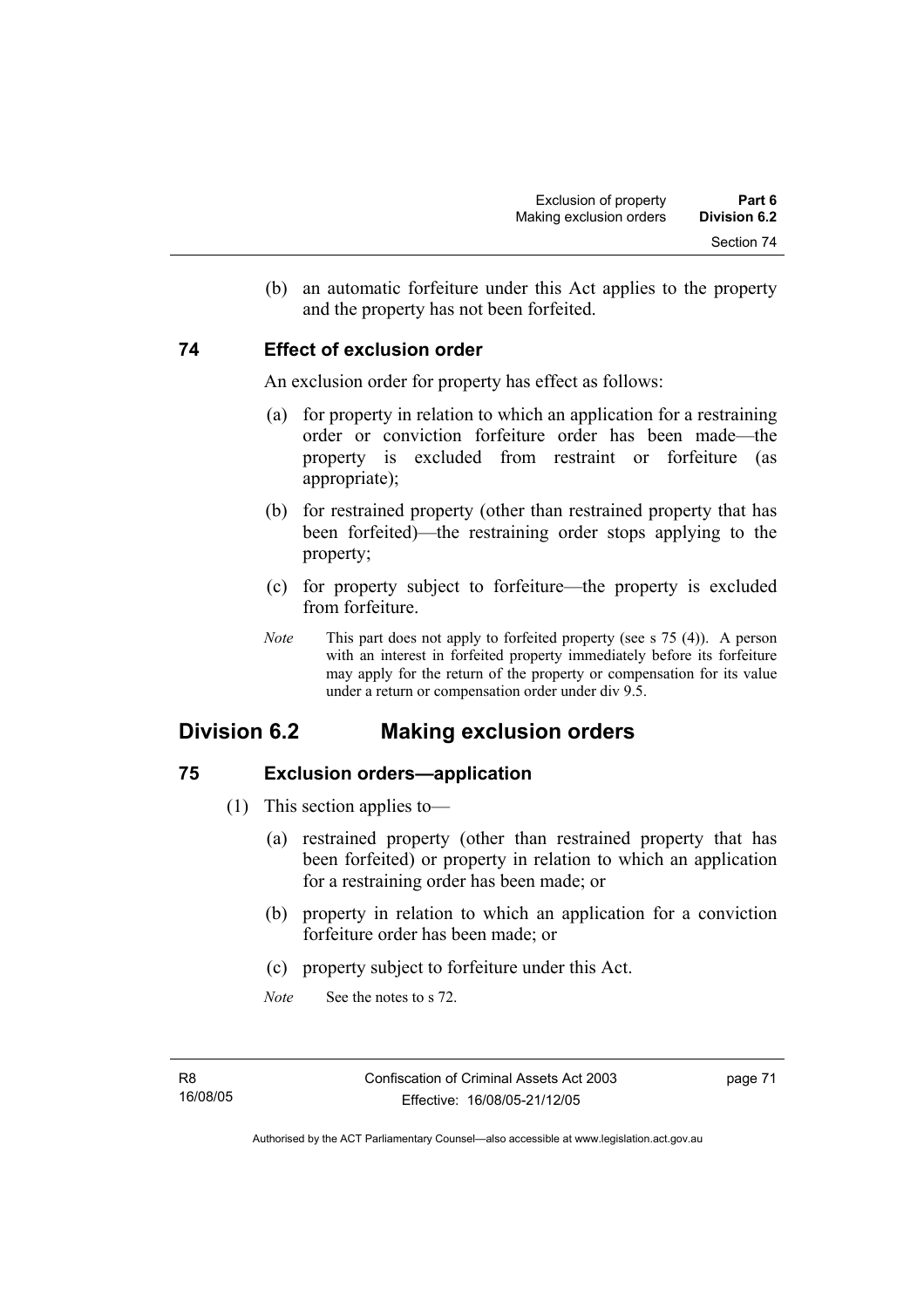(b) an automatic forfeiture under this Act applies to the property and the property has not been forfeited.

# **74 Effect of exclusion order**

An exclusion order for property has effect as follows:

- (a) for property in relation to which an application for a restraining order or conviction forfeiture order has been made—the property is excluded from restraint or forfeiture (as appropriate);
- (b) for restrained property (other than restrained property that has been forfeited)—the restraining order stops applying to the property;
- (c) for property subject to forfeiture—the property is excluded from forfeiture.
- *Note* This part does not apply to forfeited property (see s 75 (4)). A person with an interest in forfeited property immediately before its forfeiture may apply for the return of the property or compensation for its value under a return or compensation order under div 9.5.

# **Division 6.2 Making exclusion orders**

# **75 Exclusion orders—application**

- (1) This section applies to—
	- (a) restrained property (other than restrained property that has been forfeited) or property in relation to which an application for a restraining order has been made; or
	- (b) property in relation to which an application for a conviction forfeiture order has been made; or
	- (c) property subject to forfeiture under this Act.
	- *Note* See the notes to s 72.

page 71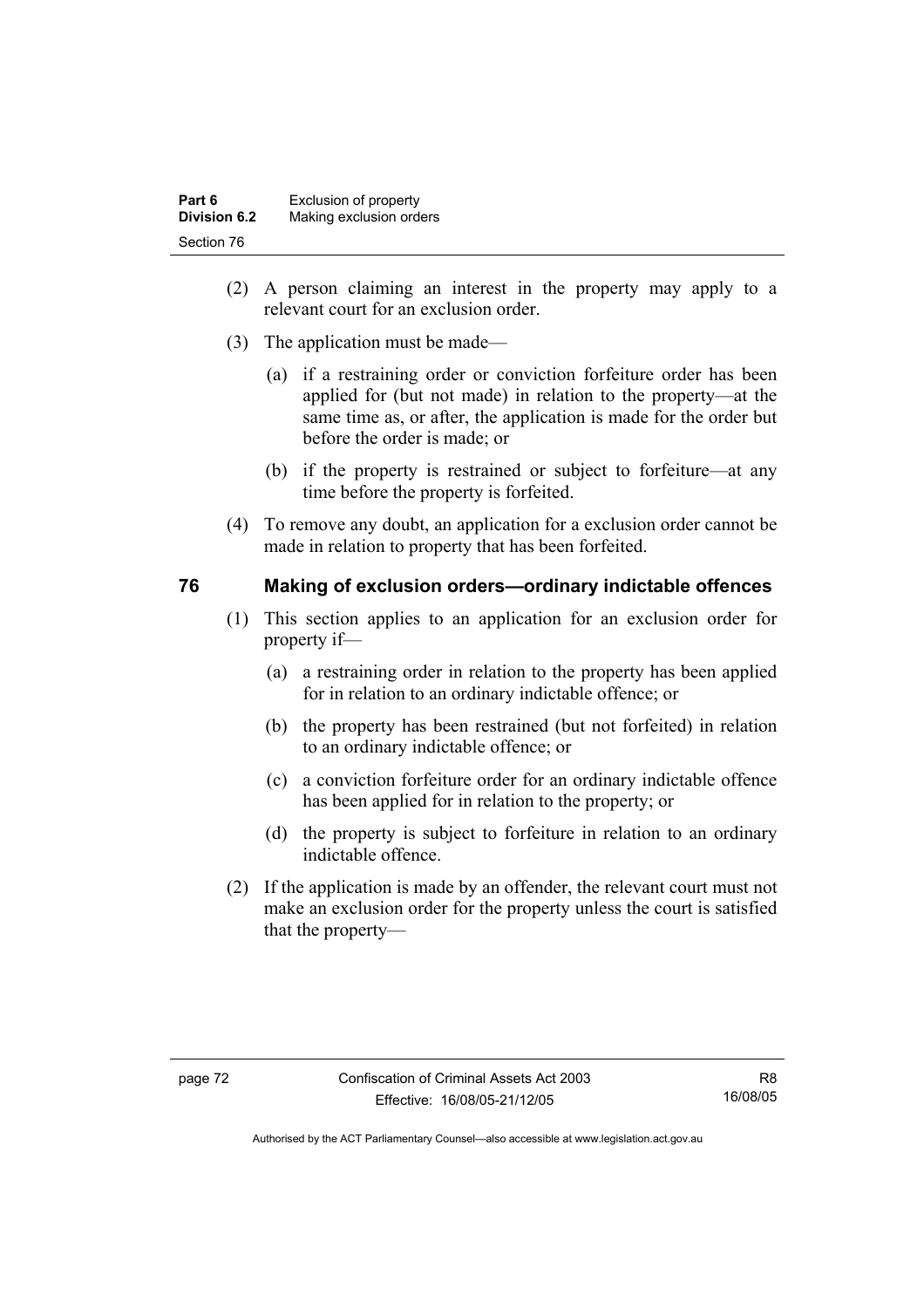| Part 6              | Exclusion of property   |
|---------------------|-------------------------|
| <b>Division 6.2</b> | Making exclusion orders |
| Section 76          |                         |

- (2) A person claiming an interest in the property may apply to a relevant court for an exclusion order.
- (3) The application must be made—
	- (a) if a restraining order or conviction forfeiture order has been applied for (but not made) in relation to the property—at the same time as, or after, the application is made for the order but before the order is made; or
	- (b) if the property is restrained or subject to forfeiture—at any time before the property is forfeited.
- (4) To remove any doubt, an application for a exclusion order cannot be made in relation to property that has been forfeited.

# **76 Making of exclusion orders—ordinary indictable offences**

- (1) This section applies to an application for an exclusion order for property if—
	- (a) a restraining order in relation to the property has been applied for in relation to an ordinary indictable offence; or
	- (b) the property has been restrained (but not forfeited) in relation to an ordinary indictable offence; or
	- (c) a conviction forfeiture order for an ordinary indictable offence has been applied for in relation to the property; or
	- (d) the property is subject to forfeiture in relation to an ordinary indictable offence.
- (2) If the application is made by an offender, the relevant court must not make an exclusion order for the property unless the court is satisfied that the property—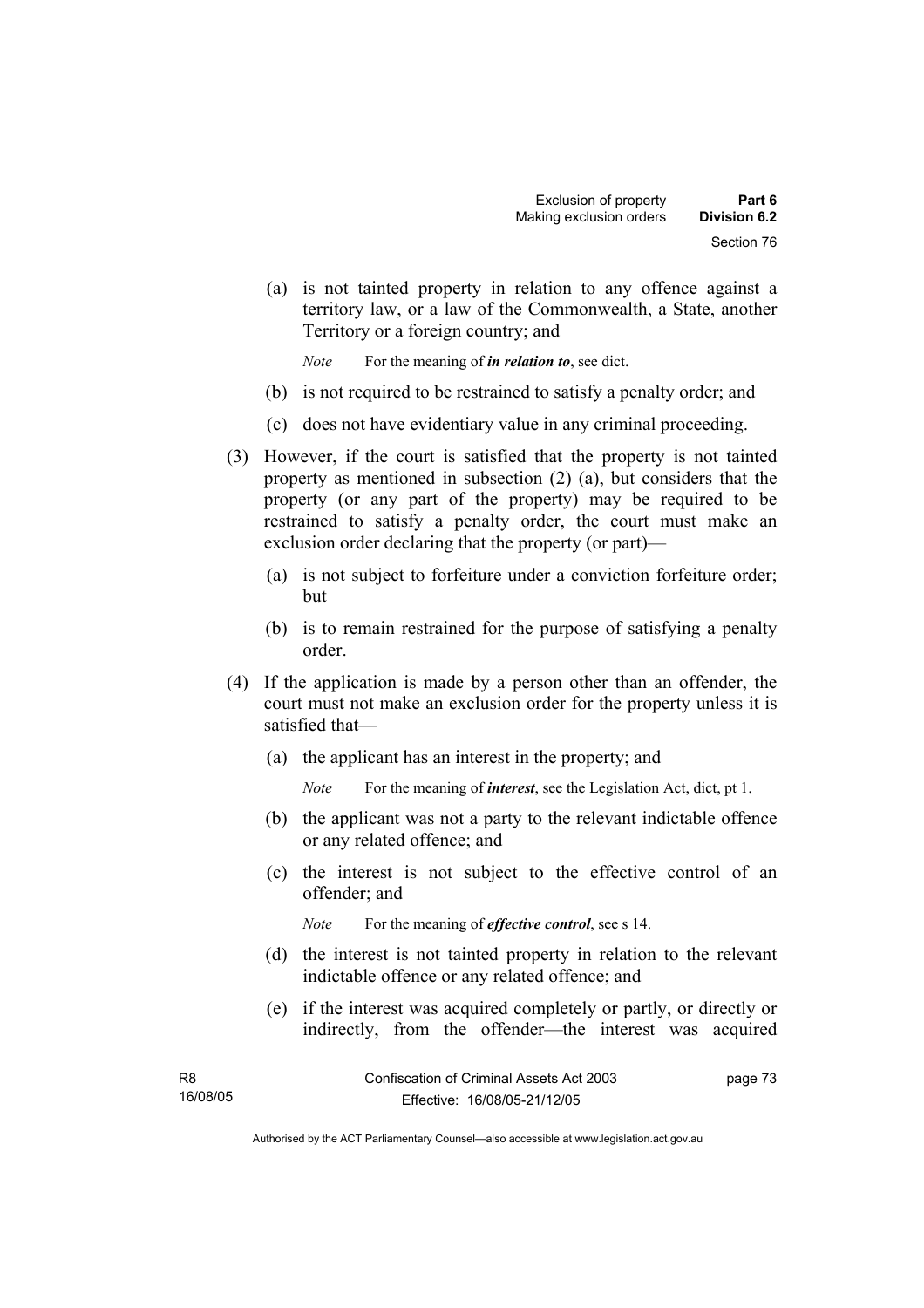(a) is not tainted property in relation to any offence against a territory law, or a law of the Commonwealth, a State, another Territory or a foreign country; and

*Note* For the meaning of *in relation to*, see dict.

- (b) is not required to be restrained to satisfy a penalty order; and
- (c) does not have evidentiary value in any criminal proceeding.
- (3) However, if the court is satisfied that the property is not tainted property as mentioned in subsection (2) (a), but considers that the property (or any part of the property) may be required to be restrained to satisfy a penalty order, the court must make an exclusion order declaring that the property (or part)—
	- (a) is not subject to forfeiture under a conviction forfeiture order; but
	- (b) is to remain restrained for the purpose of satisfying a penalty order.
- (4) If the application is made by a person other than an offender, the court must not make an exclusion order for the property unless it is satisfied that—
	- (a) the applicant has an interest in the property; and
		- *Note* For the meaning of *interest*, see the Legislation Act, dict, pt 1.
	- (b) the applicant was not a party to the relevant indictable offence or any related offence; and
	- (c) the interest is not subject to the effective control of an offender; and

*Note* For the meaning of *effective control*, see s 14.

- (d) the interest is not tainted property in relation to the relevant indictable offence or any related offence; and
- (e) if the interest was acquired completely or partly, or directly or indirectly, from the offender—the interest was acquired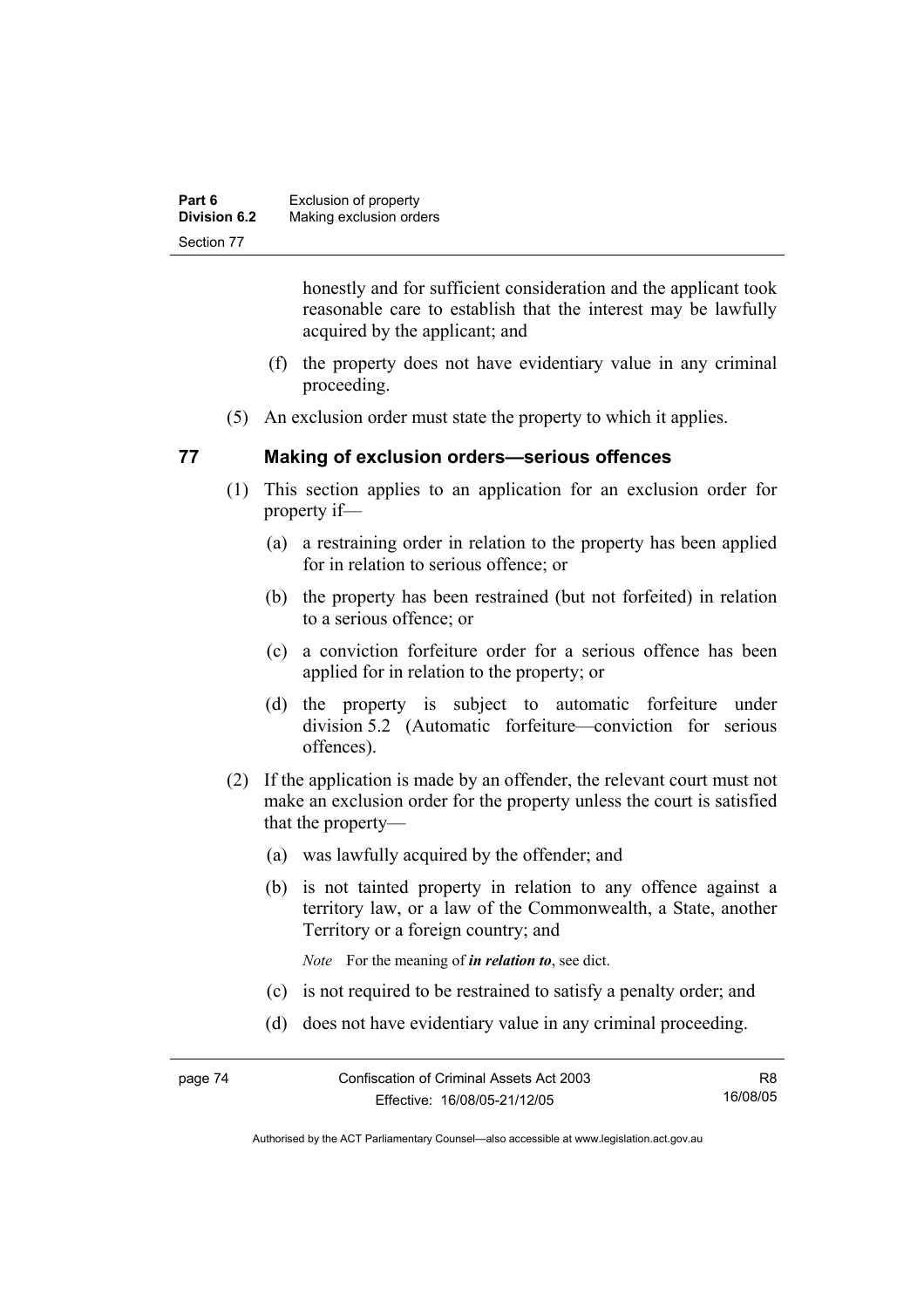| Part 6              | Exclusion of property   |
|---------------------|-------------------------|
| <b>Division 6.2</b> | Making exclusion orders |
| Section 77          |                         |

honestly and for sufficient consideration and the applicant took reasonable care to establish that the interest may be lawfully acquired by the applicant; and

- (f) the property does not have evidentiary value in any criminal proceeding.
- (5) An exclusion order must state the property to which it applies.

# **77 Making of exclusion orders—serious offences**

- (1) This section applies to an application for an exclusion order for property if—
	- (a) a restraining order in relation to the property has been applied for in relation to serious offence; or
	- (b) the property has been restrained (but not forfeited) in relation to a serious offence; or
	- (c) a conviction forfeiture order for a serious offence has been applied for in relation to the property; or
	- (d) the property is subject to automatic forfeiture under division 5.2 (Automatic forfeiture—conviction for serious offences).
- (2) If the application is made by an offender, the relevant court must not make an exclusion order for the property unless the court is satisfied that the property—
	- (a) was lawfully acquired by the offender; and
	- (b) is not tainted property in relation to any offence against a territory law, or a law of the Commonwealth, a State, another Territory or a foreign country; and

*Note* For the meaning of *in relation to*, see dict.

- (c) is not required to be restrained to satisfy a penalty order; and
- (d) does not have evidentiary value in any criminal proceeding.

R8 16/08/05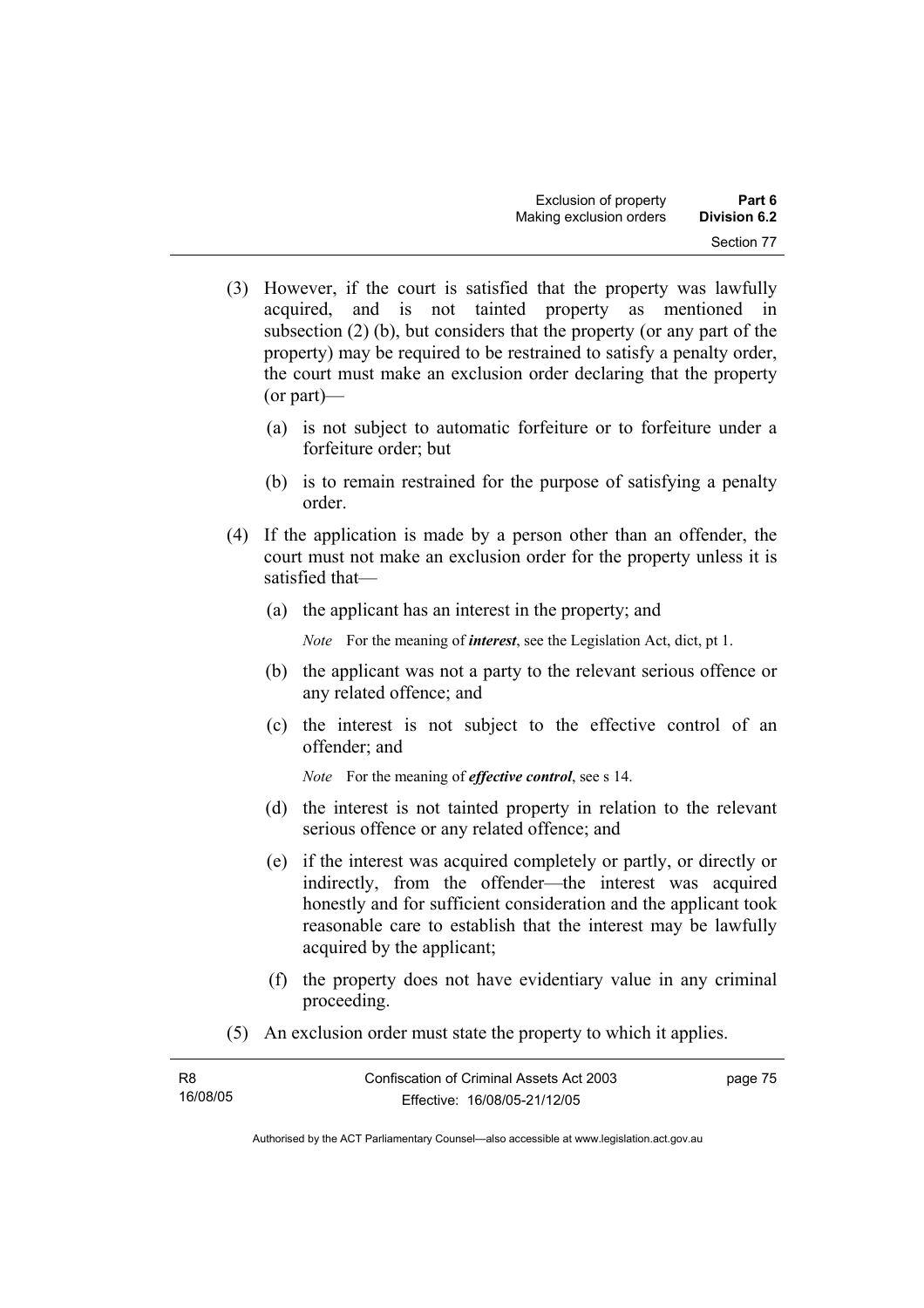- (3) However, if the court is satisfied that the property was lawfully acquired, and is not tainted property as mentioned in subsection (2) (b), but considers that the property (or any part of the property) may be required to be restrained to satisfy a penalty order, the court must make an exclusion order declaring that the property (or part)—
	- (a) is not subject to automatic forfeiture or to forfeiture under a forfeiture order; but
	- (b) is to remain restrained for the purpose of satisfying a penalty order.
- (4) If the application is made by a person other than an offender, the court must not make an exclusion order for the property unless it is satisfied that—
	- (a) the applicant has an interest in the property; and

*Note* For the meaning of *interest*, see the Legislation Act, dict, pt 1.

- (b) the applicant was not a party to the relevant serious offence or any related offence; and
- (c) the interest is not subject to the effective control of an offender; and

*Note* For the meaning of *effective control*, see s 14.

- (d) the interest is not tainted property in relation to the relevant serious offence or any related offence; and
- (e) if the interest was acquired completely or partly, or directly or indirectly, from the offender—the interest was acquired honestly and for sufficient consideration and the applicant took reasonable care to establish that the interest may be lawfully acquired by the applicant;
- (f) the property does not have evidentiary value in any criminal proceeding.
- (5) An exclusion order must state the property to which it applies.

| R <sub>8</sub> | Confiscation of Criminal Assets Act 2003 | page 75 |
|----------------|------------------------------------------|---------|
| 16/08/05       | Effective: 16/08/05-21/12/05             |         |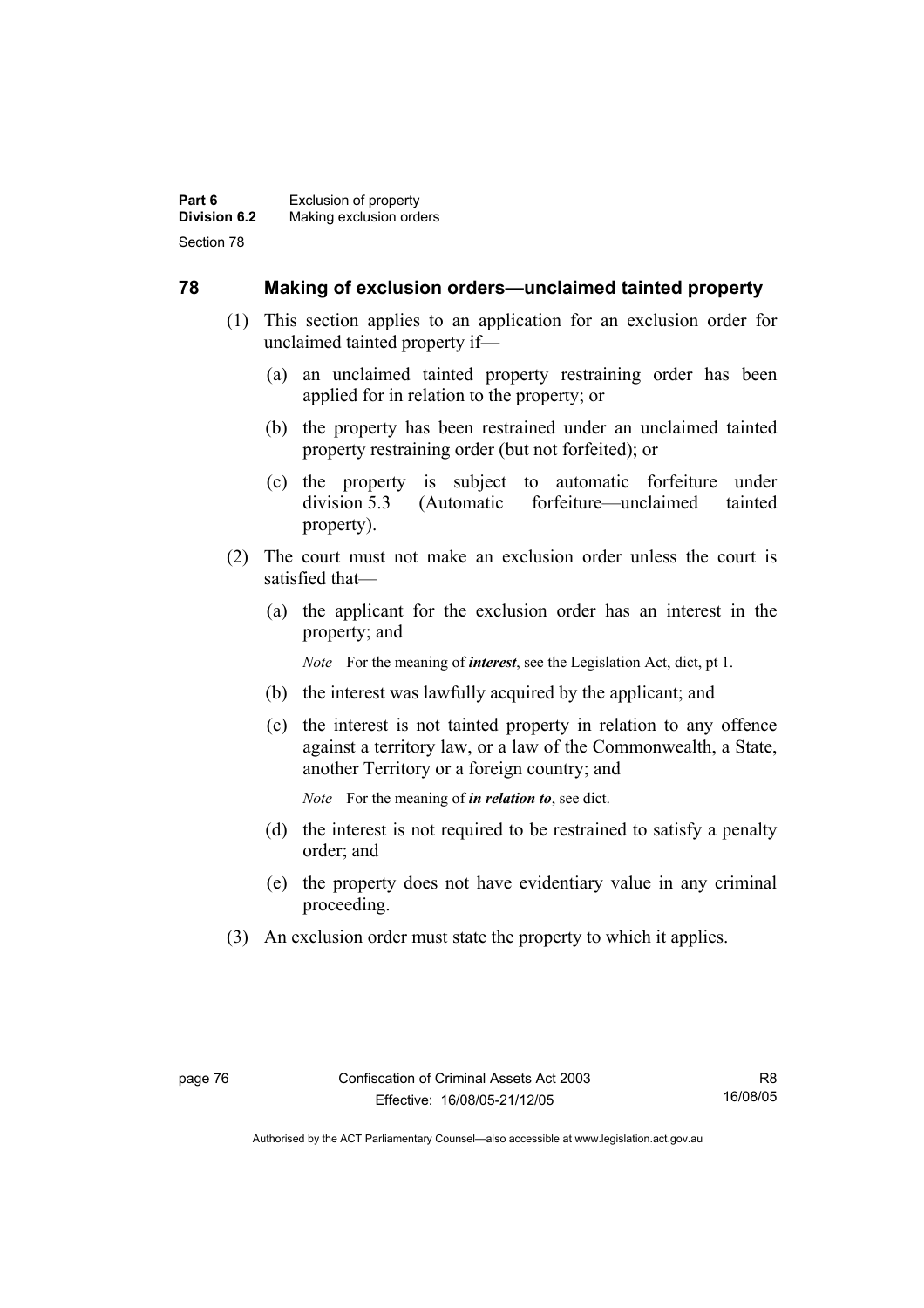# **78 Making of exclusion orders—unclaimed tainted property**

- (1) This section applies to an application for an exclusion order for unclaimed tainted property if—
	- (a) an unclaimed tainted property restraining order has been applied for in relation to the property; or
	- (b) the property has been restrained under an unclaimed tainted property restraining order (but not forfeited); or
	- (c) the property is subject to automatic forfeiture under division 5.3 (Automatic forfeiture—unclaimed tainted property).
- (2) The court must not make an exclusion order unless the court is satisfied that—
	- (a) the applicant for the exclusion order has an interest in the property; and

*Note* For the meaning of *interest*, see the Legislation Act, dict, pt 1.

- (b) the interest was lawfully acquired by the applicant; and
- (c) the interest is not tainted property in relation to any offence against a territory law, or a law of the Commonwealth, a State, another Territory or a foreign country; and

*Note* For the meaning of *in relation to*, see dict.

- (d) the interest is not required to be restrained to satisfy a penalty order; and
- (e) the property does not have evidentiary value in any criminal proceeding.
- (3) An exclusion order must state the property to which it applies.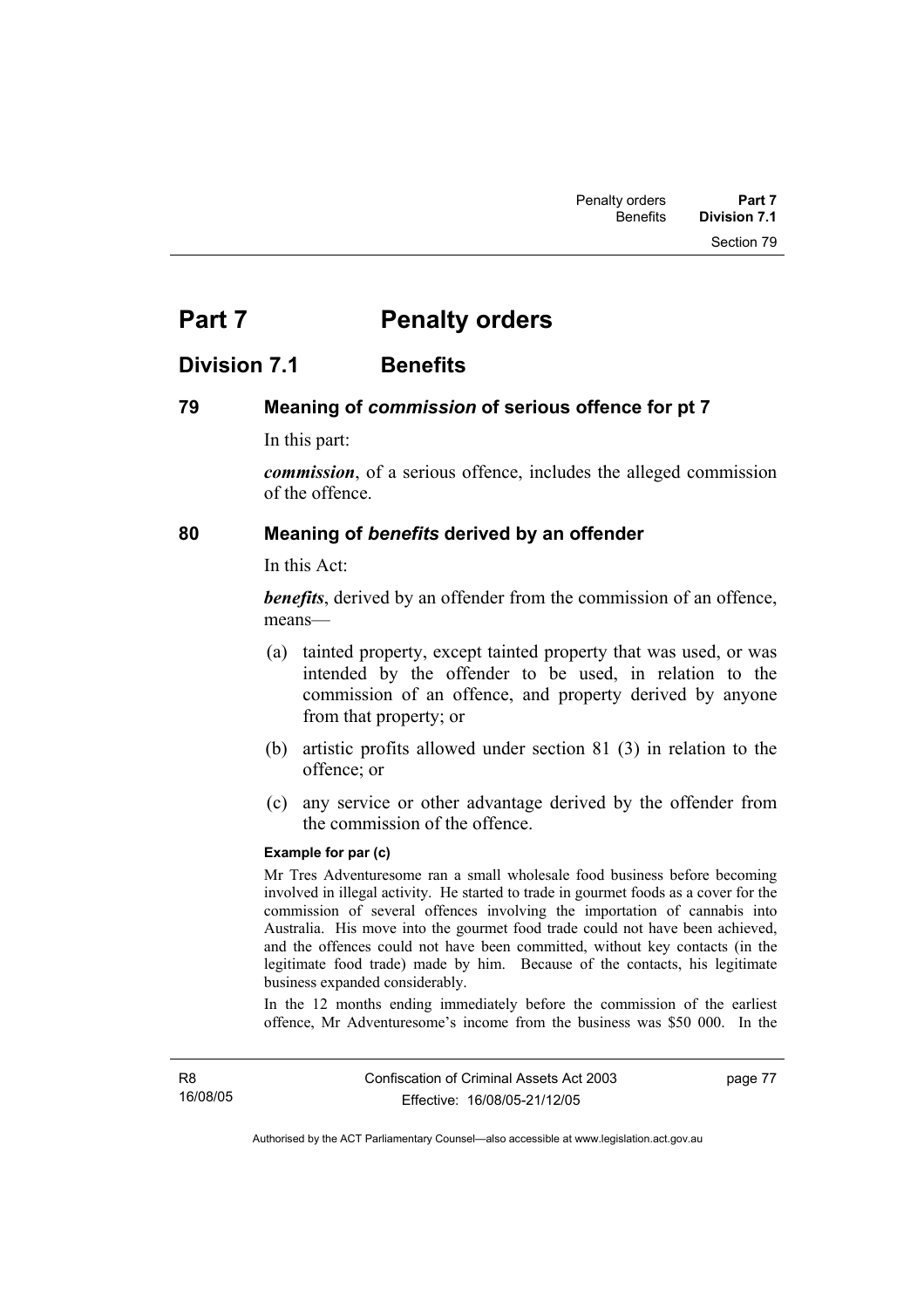# **Part 7** Penalty orders

# **Division 7.1 Benefits**

# **79 Meaning of** *commission* **of serious offence for pt 7**

In this part:

*commission*, of a serious offence, includes the alleged commission of the offence.

# **80 Meaning of** *benefits* **derived by an offender**

In this Act:

*benefits*, derived by an offender from the commission of an offence, means—

- (a) tainted property, except tainted property that was used, or was intended by the offender to be used, in relation to the commission of an offence, and property derived by anyone from that property; or
- (b) artistic profits allowed under section 81 (3) in relation to the offence; or
- (c) any service or other advantage derived by the offender from the commission of the offence.

### **Example for par (c)**

Mr Tres Adventuresome ran a small wholesale food business before becoming involved in illegal activity. He started to trade in gourmet foods as a cover for the commission of several offences involving the importation of cannabis into Australia. His move into the gourmet food trade could not have been achieved, and the offences could not have been committed, without key contacts (in the legitimate food trade) made by him. Because of the contacts, his legitimate business expanded considerably.

In the 12 months ending immediately before the commission of the earliest offence, Mr Adventuresome's income from the business was \$50 000. In the

page 77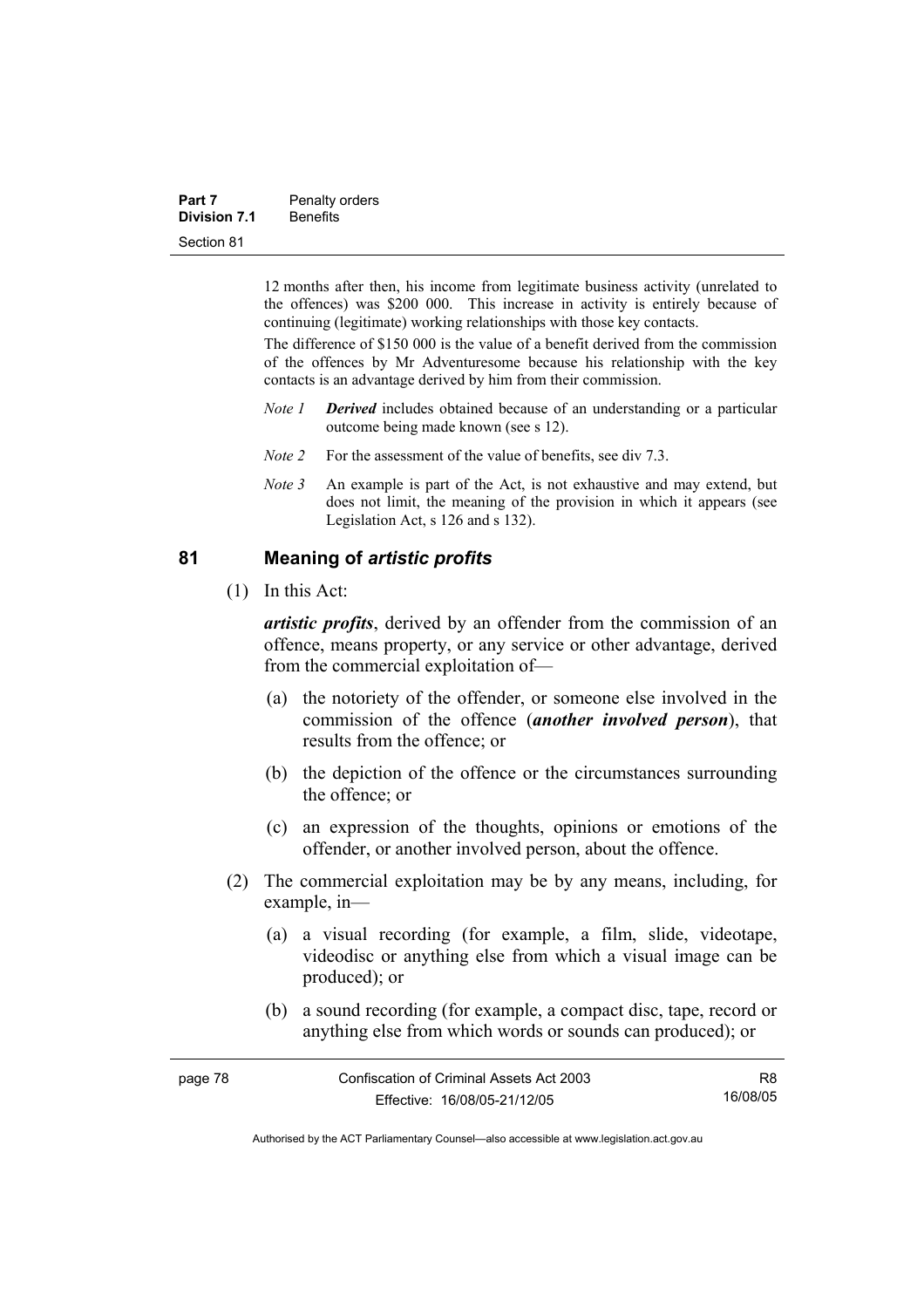| Part 7              | Penalty orders  |  |
|---------------------|-----------------|--|
| <b>Division 7.1</b> | <b>Benefits</b> |  |
| Section 81          |                 |  |

12 months after then, his income from legitimate business activity (unrelated to the offences) was \$200 000. This increase in activity is entirely because of continuing (legitimate) working relationships with those key contacts.

The difference of \$150 000 is the value of a benefit derived from the commission of the offences by Mr Adventuresome because his relationship with the key contacts is an advantage derived by him from their commission.

- *Note 1 Derived* includes obtained because of an understanding or a particular outcome being made known (see s 12).
- *Note 2* For the assessment of the value of benefits, see div 7.3.
- *Note 3* An example is part of the Act, is not exhaustive and may extend, but does not limit, the meaning of the provision in which it appears (see Legislation Act, s 126 and s 132).

# **81 Meaning of** *artistic profits*

(1) In this Act:

*artistic profits*, derived by an offender from the commission of an offence, means property, or any service or other advantage, derived from the commercial exploitation of—

- (a) the notoriety of the offender, or someone else involved in the commission of the offence (*another involved person*), that results from the offence; or
- (b) the depiction of the offence or the circumstances surrounding the offence; or
- (c) an expression of the thoughts, opinions or emotions of the offender, or another involved person, about the offence.
- (2) The commercial exploitation may be by any means, including, for example, in—
	- (a) a visual recording (for example, a film, slide, videotape, videodisc or anything else from which a visual image can be produced); or
	- (b) a sound recording (for example, a compact disc, tape, record or anything else from which words or sounds can produced); or

| page 78 | Confiscation of Criminal Assets Act 2003 | R8       |
|---------|------------------------------------------|----------|
|         | Effective: 16/08/05-21/12/05             | 16/08/05 |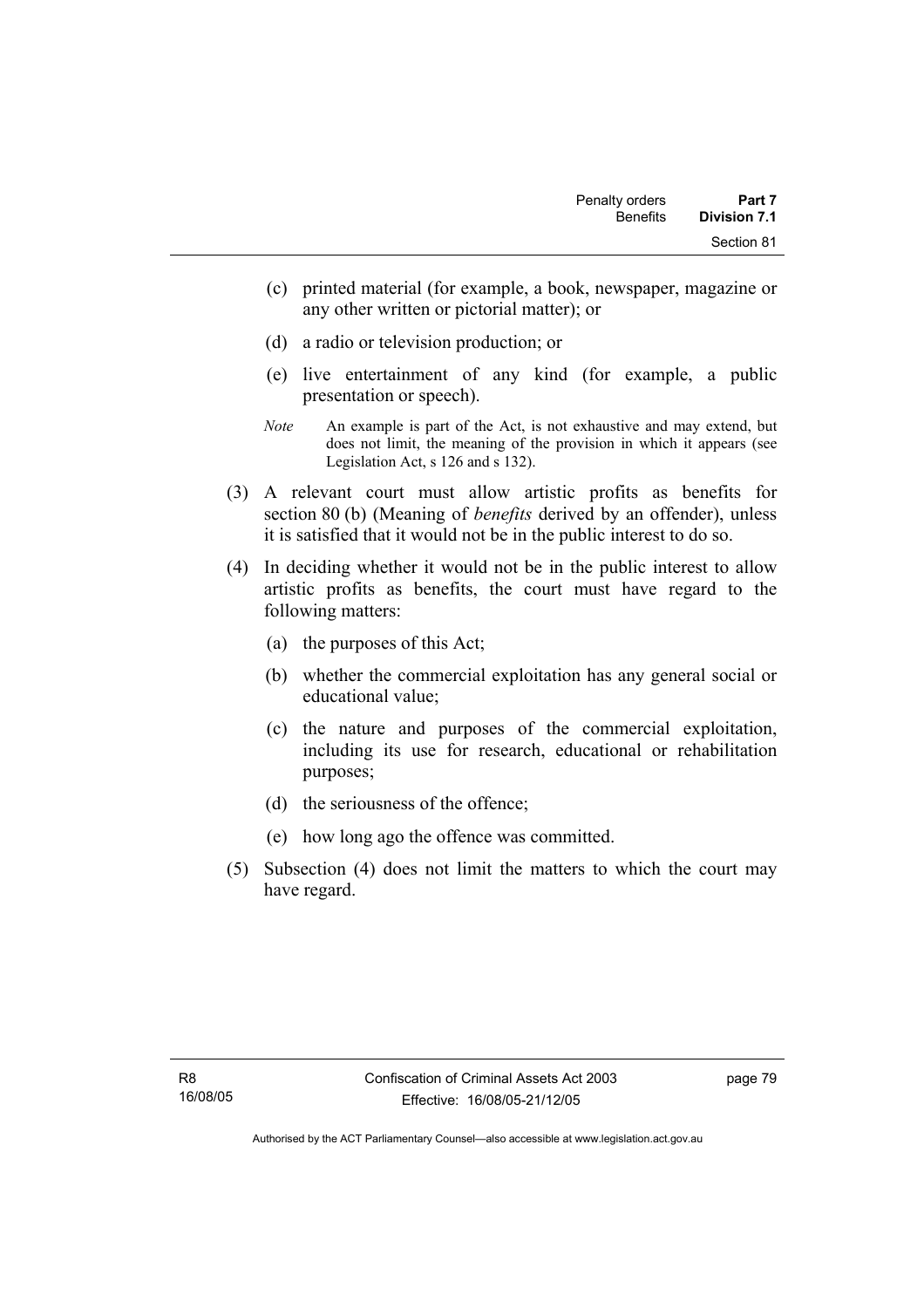- (c) printed material (for example, a book, newspaper, magazine or any other written or pictorial matter); or
- (d) a radio or television production; or
- (e) live entertainment of any kind (for example, a public presentation or speech).
- *Note* An example is part of the Act, is not exhaustive and may extend, but does not limit, the meaning of the provision in which it appears (see Legislation Act, s 126 and s 132).
- (3) A relevant court must allow artistic profits as benefits for section 80 (b) (Meaning of *benefits* derived by an offender), unless it is satisfied that it would not be in the public interest to do so.
- (4) In deciding whether it would not be in the public interest to allow artistic profits as benefits, the court must have regard to the following matters:
	- (a) the purposes of this Act;
	- (b) whether the commercial exploitation has any general social or educational value;
	- (c) the nature and purposes of the commercial exploitation, including its use for research, educational or rehabilitation purposes;
	- (d) the seriousness of the offence;
	- (e) how long ago the offence was committed.
- (5) Subsection (4) does not limit the matters to which the court may have regard.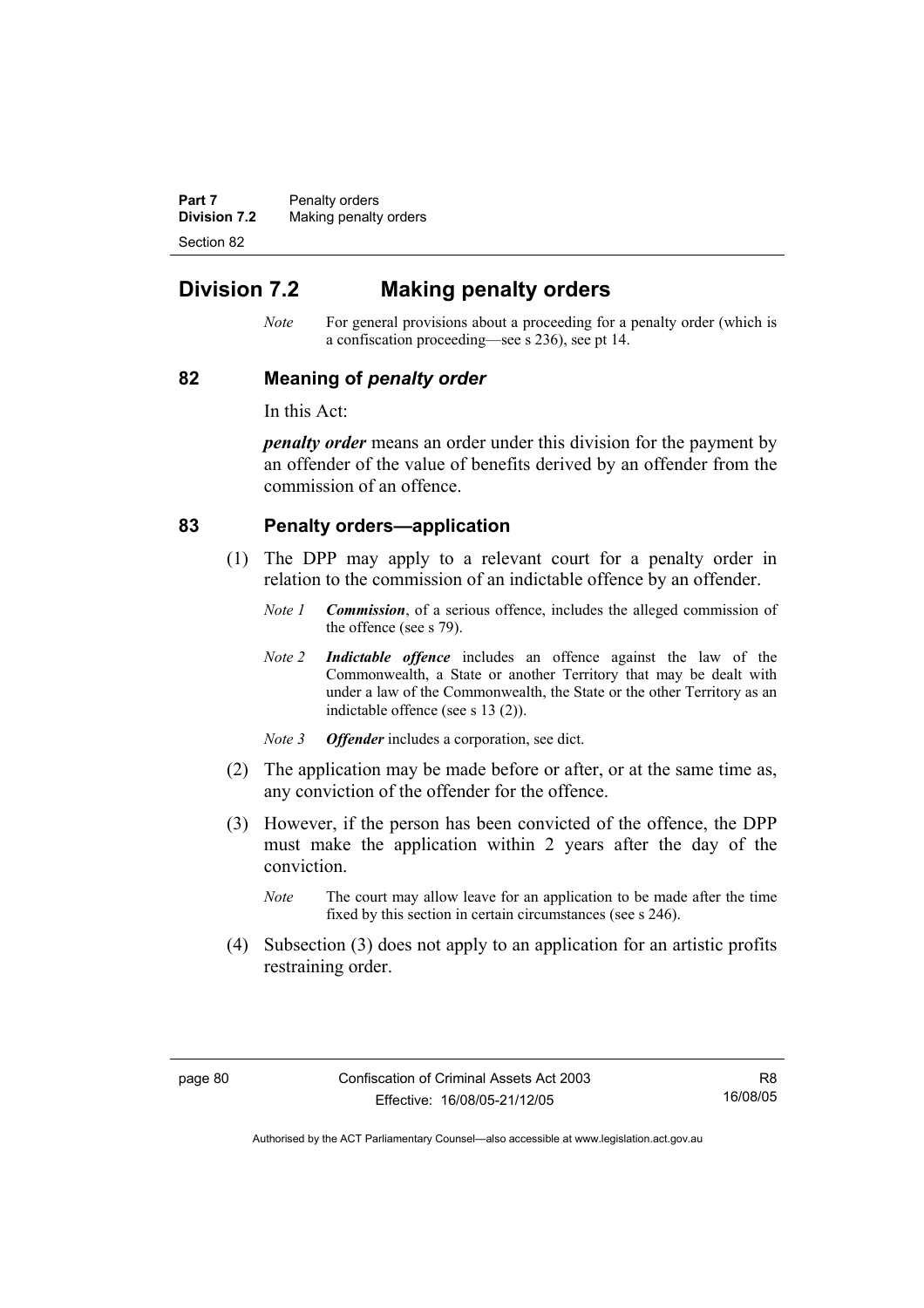**Part 7** Penalty orders **Division 7.2** Making penalty orders Section 82

# **Division 7.2 Making penalty orders**

*Note* For general provisions about a proceeding for a penalty order (which is a confiscation proceeding—see s 236), see pt 14.

### **82 Meaning of** *penalty order*

In this Act:

*penalty order* means an order under this division for the payment by an offender of the value of benefits derived by an offender from the commission of an offence.

# **83 Penalty orders—application**

- (1) The DPP may apply to a relevant court for a penalty order in relation to the commission of an indictable offence by an offender.
	- *Note 1 Commission*, of a serious offence, includes the alleged commission of the offence (see s 79).
	- *Note 2 Indictable offence* includes an offence against the law of the Commonwealth, a State or another Territory that may be dealt with under a law of the Commonwealth, the State or the other Territory as an indictable offence (see s 13 (2)).
	- *Note 3 Offender* includes a corporation, see dict.
- (2) The application may be made before or after, or at the same time as, any conviction of the offender for the offence.
- (3) However, if the person has been convicted of the offence, the DPP must make the application within 2 years after the day of the conviction.
	- *Note* The court may allow leave for an application to be made after the time fixed by this section in certain circumstances (see s 246).
- (4) Subsection (3) does not apply to an application for an artistic profits restraining order.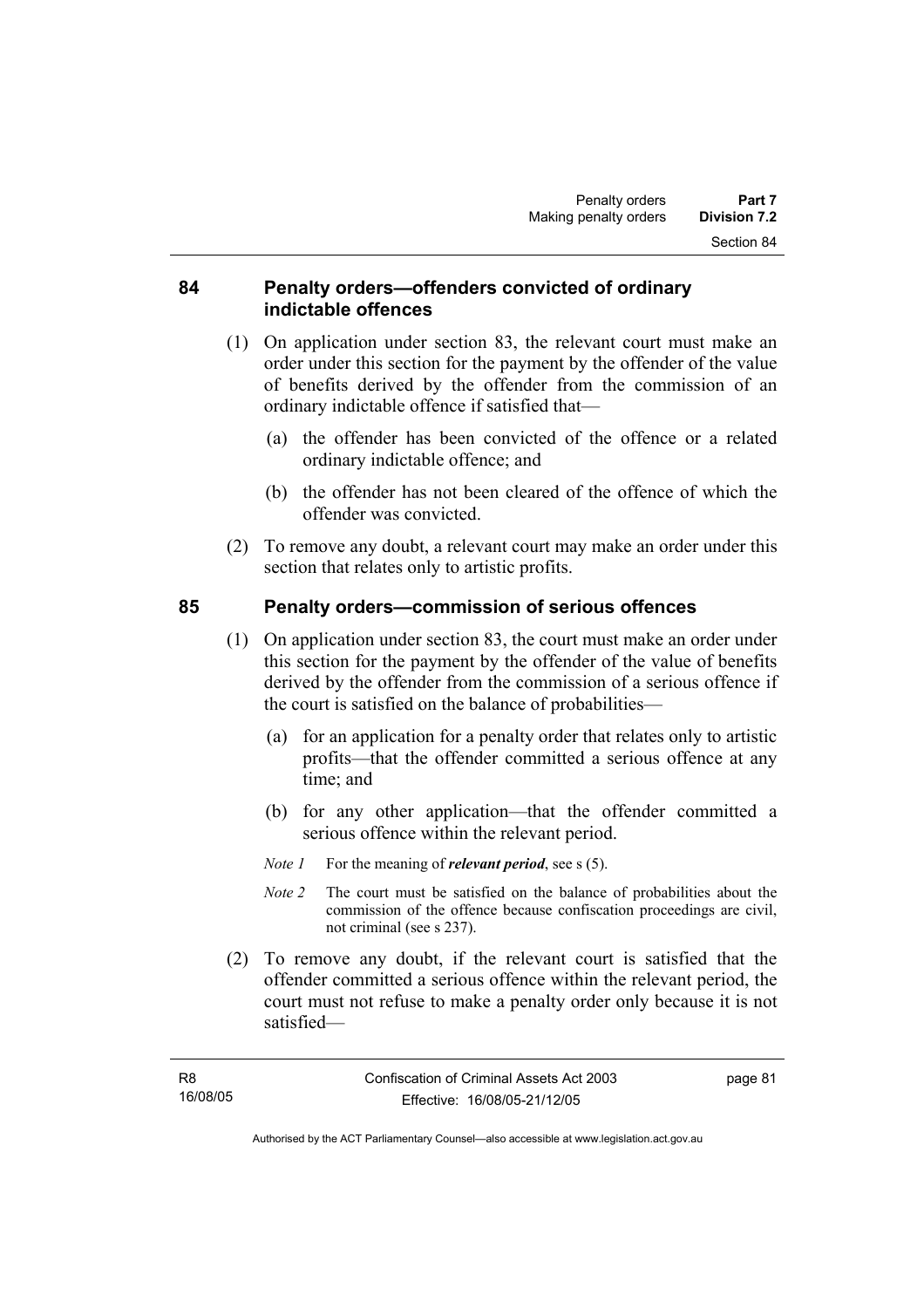# **84 Penalty orders—offenders convicted of ordinary indictable offences**

- (1) On application under section 83, the relevant court must make an order under this section for the payment by the offender of the value of benefits derived by the offender from the commission of an ordinary indictable offence if satisfied that—
	- (a) the offender has been convicted of the offence or a related ordinary indictable offence; and
	- (b) the offender has not been cleared of the offence of which the offender was convicted.
- (2) To remove any doubt, a relevant court may make an order under this section that relates only to artistic profits.

# **85 Penalty orders—commission of serious offences**

- (1) On application under section 83, the court must make an order under this section for the payment by the offender of the value of benefits derived by the offender from the commission of a serious offence if the court is satisfied on the balance of probabilities—
	- (a) for an application for a penalty order that relates only to artistic profits—that the offender committed a serious offence at any time; and
	- (b) for any other application—that the offender committed a serious offence within the relevant period.
	- *Note 1* For the meaning of *relevant period*, see s (5).
	- *Note 2* The court must be satisfied on the balance of probabilities about the commission of the offence because confiscation proceedings are civil, not criminal (see s 237).
- (2) To remove any doubt, if the relevant court is satisfied that the offender committed a serious offence within the relevant period, the court must not refuse to make a penalty order only because it is not satisfied—

page 81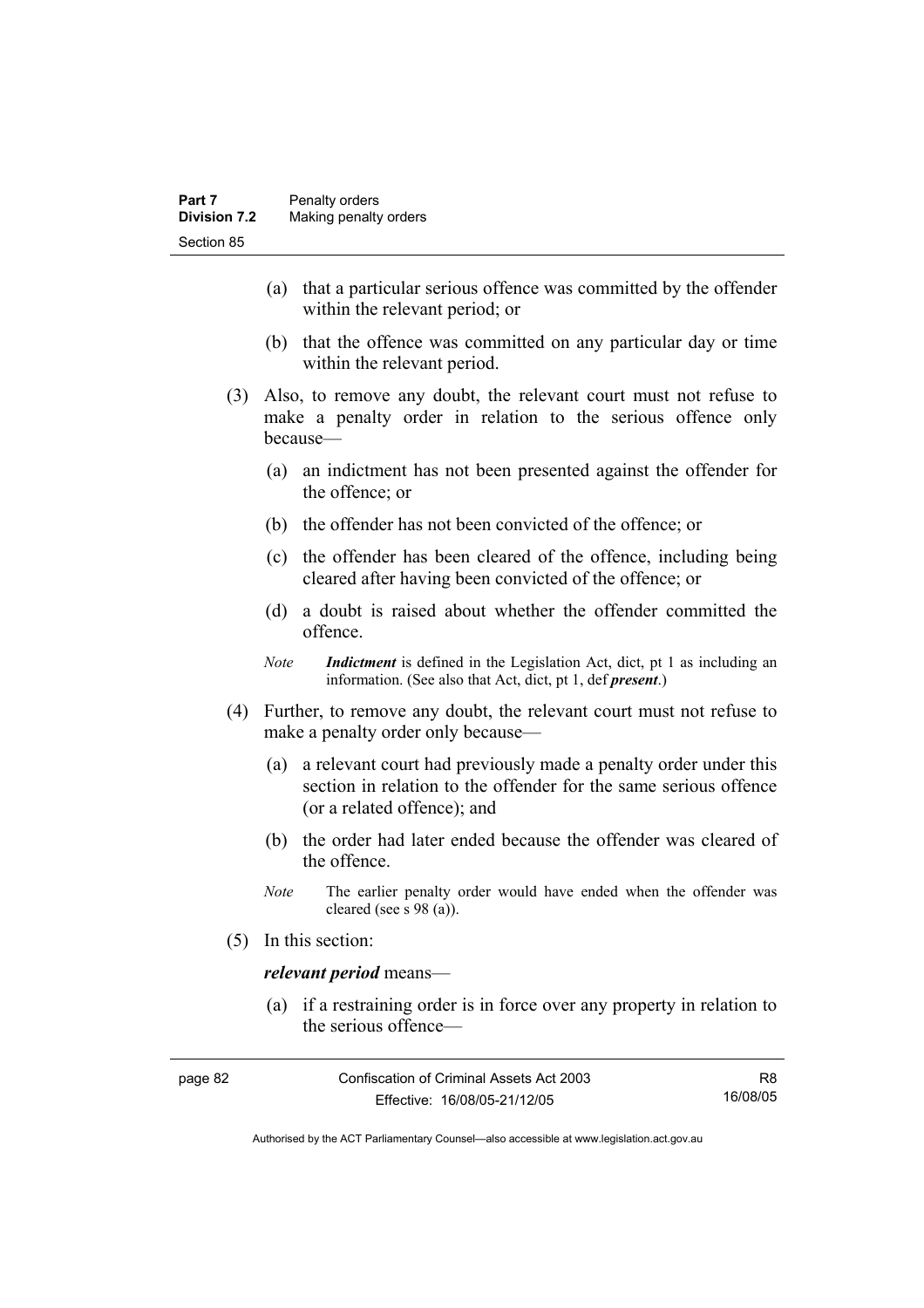- (a) that a particular serious offence was committed by the offender within the relevant period; or
- (b) that the offence was committed on any particular day or time within the relevant period.
- (3) Also, to remove any doubt, the relevant court must not refuse to make a penalty order in relation to the serious offence only because—
	- (a) an indictment has not been presented against the offender for the offence; or
	- (b) the offender has not been convicted of the offence; or
	- (c) the offender has been cleared of the offence, including being cleared after having been convicted of the offence; or
	- (d) a doubt is raised about whether the offender committed the offence.
	- *Note Indictment* is defined in the Legislation Act, dict, pt 1 as including an information. (See also that Act, dict, pt 1, def *present*.)
- (4) Further, to remove any doubt, the relevant court must not refuse to make a penalty order only because—
	- (a) a relevant court had previously made a penalty order under this section in relation to the offender for the same serious offence (or a related offence); and
	- (b) the order had later ended because the offender was cleared of the offence.
	- *Note* The earlier penalty order would have ended when the offender was cleared (see s 98 (a)).
- (5) In this section:

### *relevant period* means—

 (a) if a restraining order is in force over any property in relation to the serious offence—

| page 82 | Confiscation of Criminal Assets Act 2003 | R8       |
|---------|------------------------------------------|----------|
|         | Effective: 16/08/05-21/12/05             | 16/08/05 |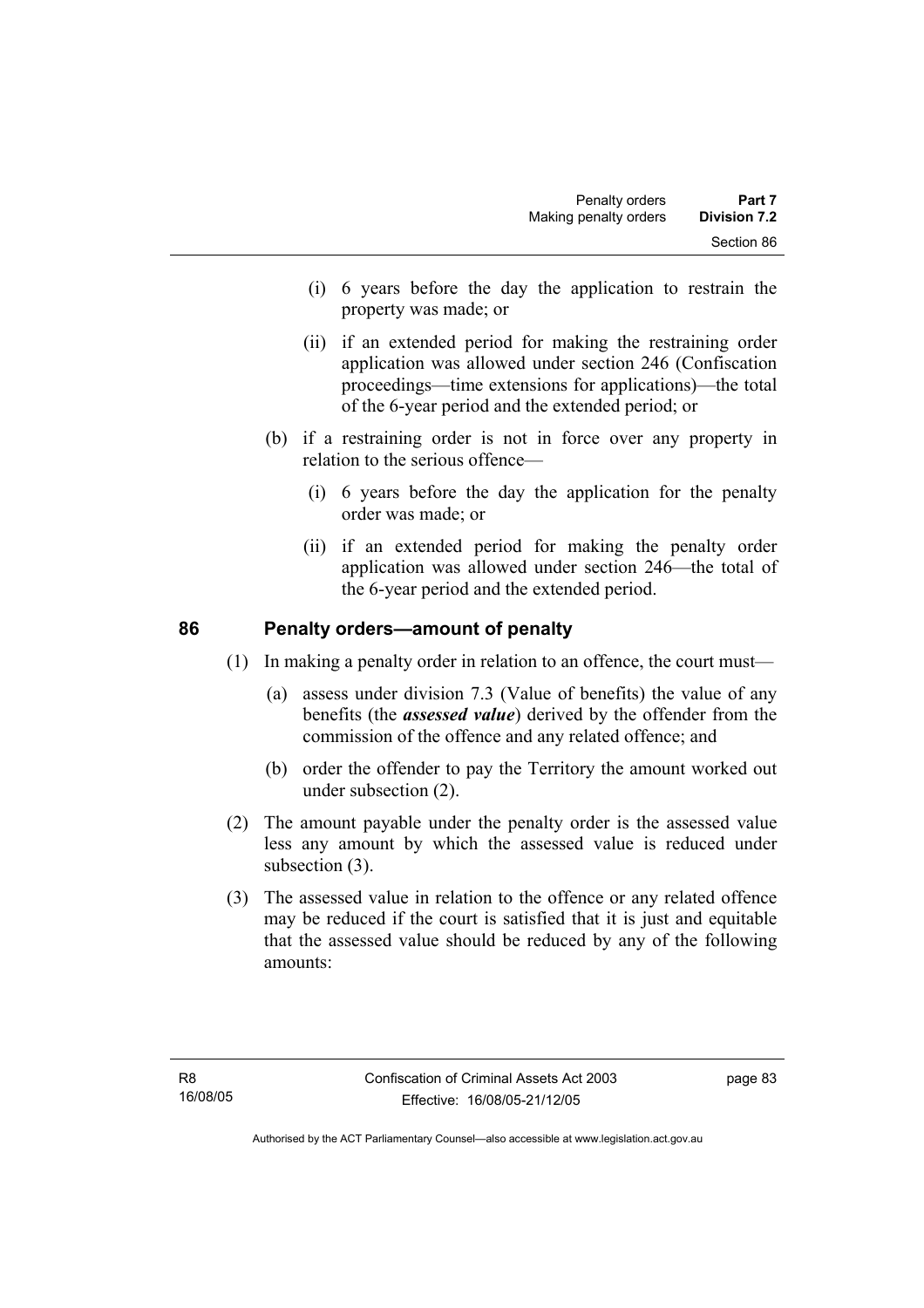- (i) 6 years before the day the application to restrain the property was made; or
- (ii) if an extended period for making the restraining order application was allowed under section 246 (Confiscation proceedings—time extensions for applications)—the total of the 6-year period and the extended period; or
- (b) if a restraining order is not in force over any property in relation to the serious offence—
	- (i) 6 years before the day the application for the penalty order was made; or
	- (ii) if an extended period for making the penalty order application was allowed under section 246—the total of the 6-year period and the extended period.

# **86 Penalty orders—amount of penalty**

(1) In making a penalty order in relation to an offence, the court must—

- (a) assess under division 7.3 (Value of benefits) the value of any benefits (the *assessed value*) derived by the offender from the commission of the offence and any related offence; and
- (b) order the offender to pay the Territory the amount worked out under subsection (2).
- (2) The amount payable under the penalty order is the assessed value less any amount by which the assessed value is reduced under subsection (3).
- (3) The assessed value in relation to the offence or any related offence may be reduced if the court is satisfied that it is just and equitable that the assessed value should be reduced by any of the following amounts: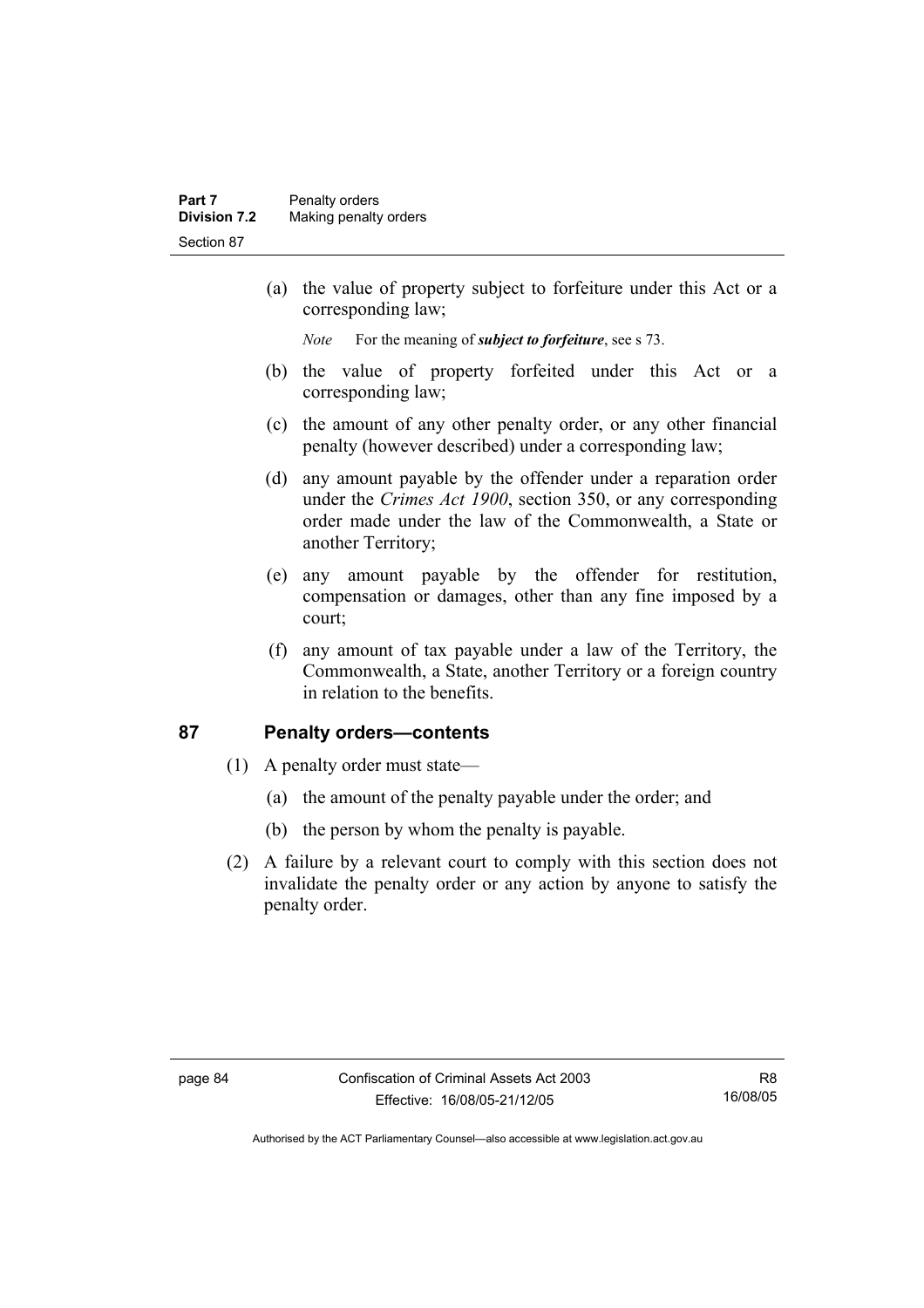(a) the value of property subject to forfeiture under this Act or a corresponding law;

*Note* For the meaning of *subject to forfeiture*, see s 73.

- (b) the value of property forfeited under this Act or a corresponding law;
- (c) the amount of any other penalty order, or any other financial penalty (however described) under a corresponding law;
- (d) any amount payable by the offender under a reparation order under the *Crimes Act 1900*, section 350, or any corresponding order made under the law of the Commonwealth, a State or another Territory;
- (e) any amount payable by the offender for restitution, compensation or damages, other than any fine imposed by a court;
- (f) any amount of tax payable under a law of the Territory, the Commonwealth, a State, another Territory or a foreign country in relation to the benefits.

# **87 Penalty orders—contents**

- (1) A penalty order must state—
	- (a) the amount of the penalty payable under the order; and
	- (b) the person by whom the penalty is payable.
- (2) A failure by a relevant court to comply with this section does not invalidate the penalty order or any action by anyone to satisfy the penalty order.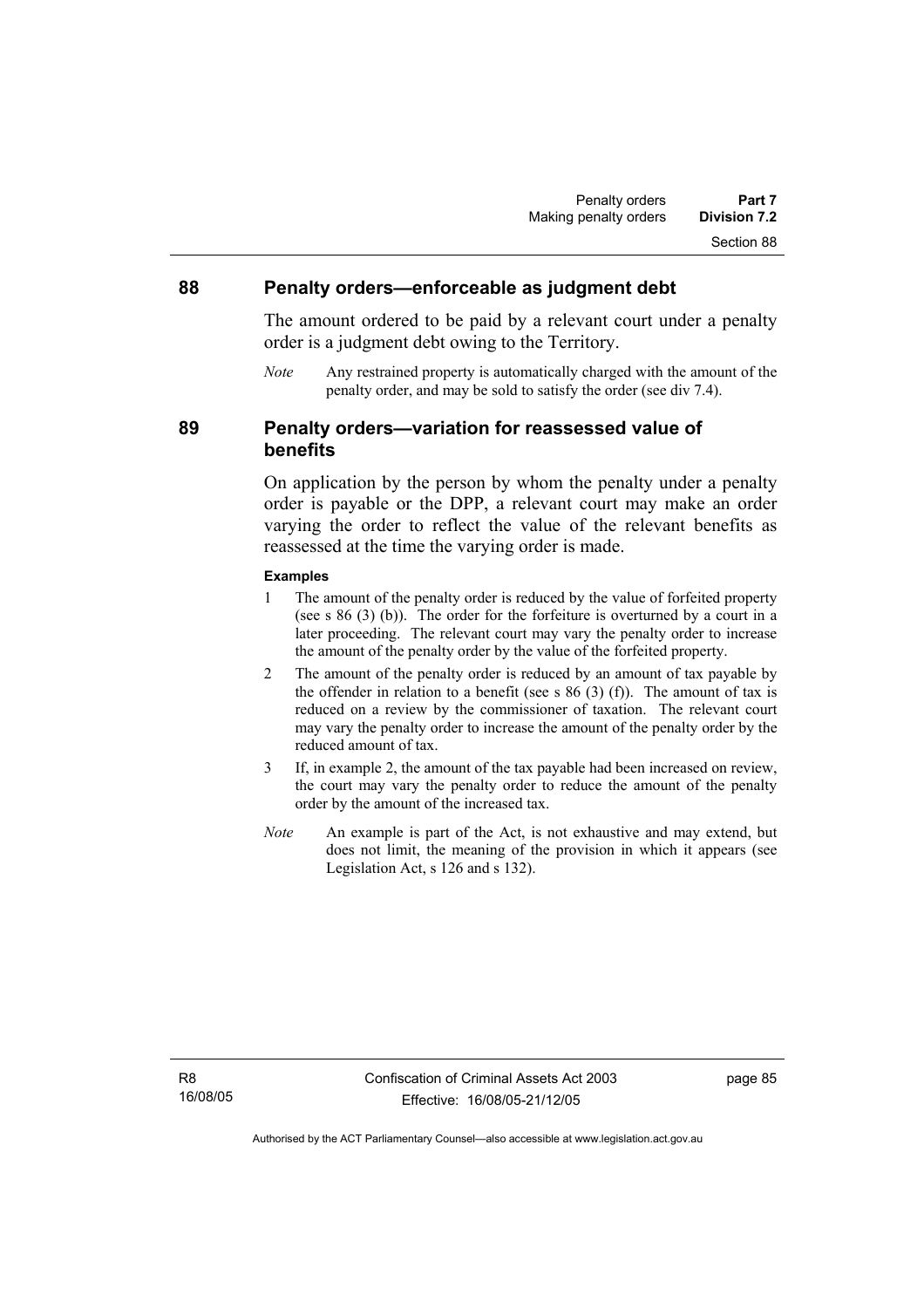### **88 Penalty orders—enforceable as judgment debt**

The amount ordered to be paid by a relevant court under a penalty order is a judgment debt owing to the Territory.

*Note* Any restrained property is automatically charged with the amount of the penalty order, and may be sold to satisfy the order (see div 7.4).

**89 Penalty orders—variation for reassessed value of benefits** 

> On application by the person by whom the penalty under a penalty order is payable or the DPP, a relevant court may make an order varying the order to reflect the value of the relevant benefits as reassessed at the time the varying order is made.

#### **Examples**

- 1 The amount of the penalty order is reduced by the value of forfeited property (see s 86 (3) (b)). The order for the forfeiture is overturned by a court in a later proceeding. The relevant court may vary the penalty order to increase the amount of the penalty order by the value of the forfeited property.
- 2 The amount of the penalty order is reduced by an amount of tax payable by the offender in relation to a benefit (see s  $86$  (3) (f)). The amount of tax is reduced on a review by the commissioner of taxation. The relevant court may vary the penalty order to increase the amount of the penalty order by the reduced amount of tax.
- 3 If, in example 2, the amount of the tax payable had been increased on review, the court may vary the penalty order to reduce the amount of the penalty order by the amount of the increased tax.
- *Note* An example is part of the Act, is not exhaustive and may extend, but does not limit, the meaning of the provision in which it appears (see Legislation Act, s 126 and s 132).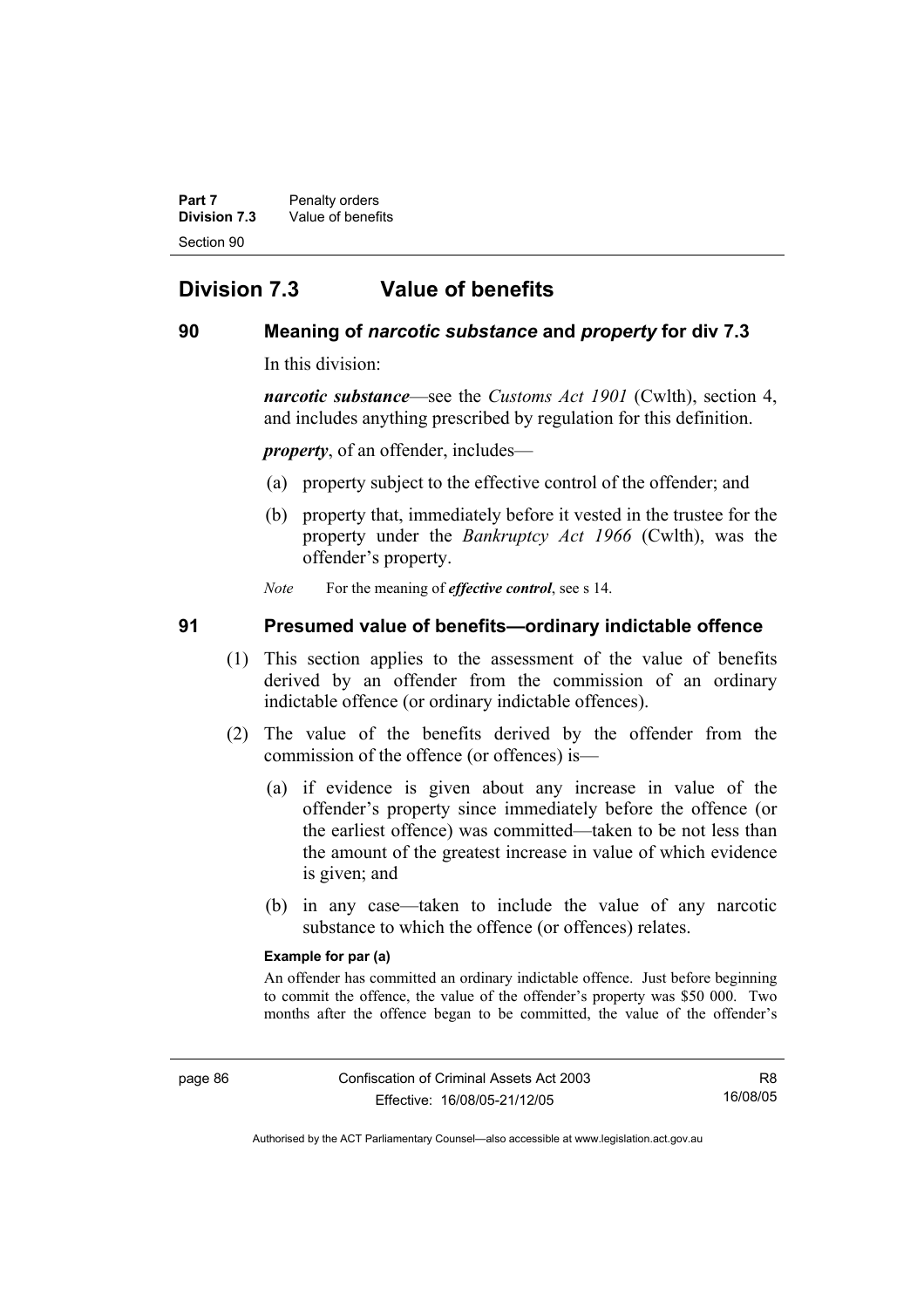**Part 7** Penalty orders **Division 7.3** Value of benefits Section 90

# **Division 7.3 Value of benefits**

# **90 Meaning of** *narcotic substance* **and** *property* **for div 7.3**

In this division:

*narcotic substance*—see the *Customs Act 1901* (Cwlth), section 4, and includes anything prescribed by regulation for this definition.

*property*, of an offender, includes—

- (a) property subject to the effective control of the offender; and
- (b) property that, immediately before it vested in the trustee for the property under the *Bankruptcy Act 1966* (Cwlth), was the offender's property.

*Note* For the meaning of *effective control*, see s 14.

# **91 Presumed value of benefits—ordinary indictable offence**

- (1) This section applies to the assessment of the value of benefits derived by an offender from the commission of an ordinary indictable offence (or ordinary indictable offences).
- (2) The value of the benefits derived by the offender from the commission of the offence (or offences) is—
	- (a) if evidence is given about any increase in value of the offender's property since immediately before the offence (or the earliest offence) was committed—taken to be not less than the amount of the greatest increase in value of which evidence is given; and
	- (b) in any case—taken to include the value of any narcotic substance to which the offence (or offences) relates.

#### **Example for par (a)**

An offender has committed an ordinary indictable offence. Just before beginning to commit the offence, the value of the offender's property was \$50 000. Two months after the offence began to be committed, the value of the offender's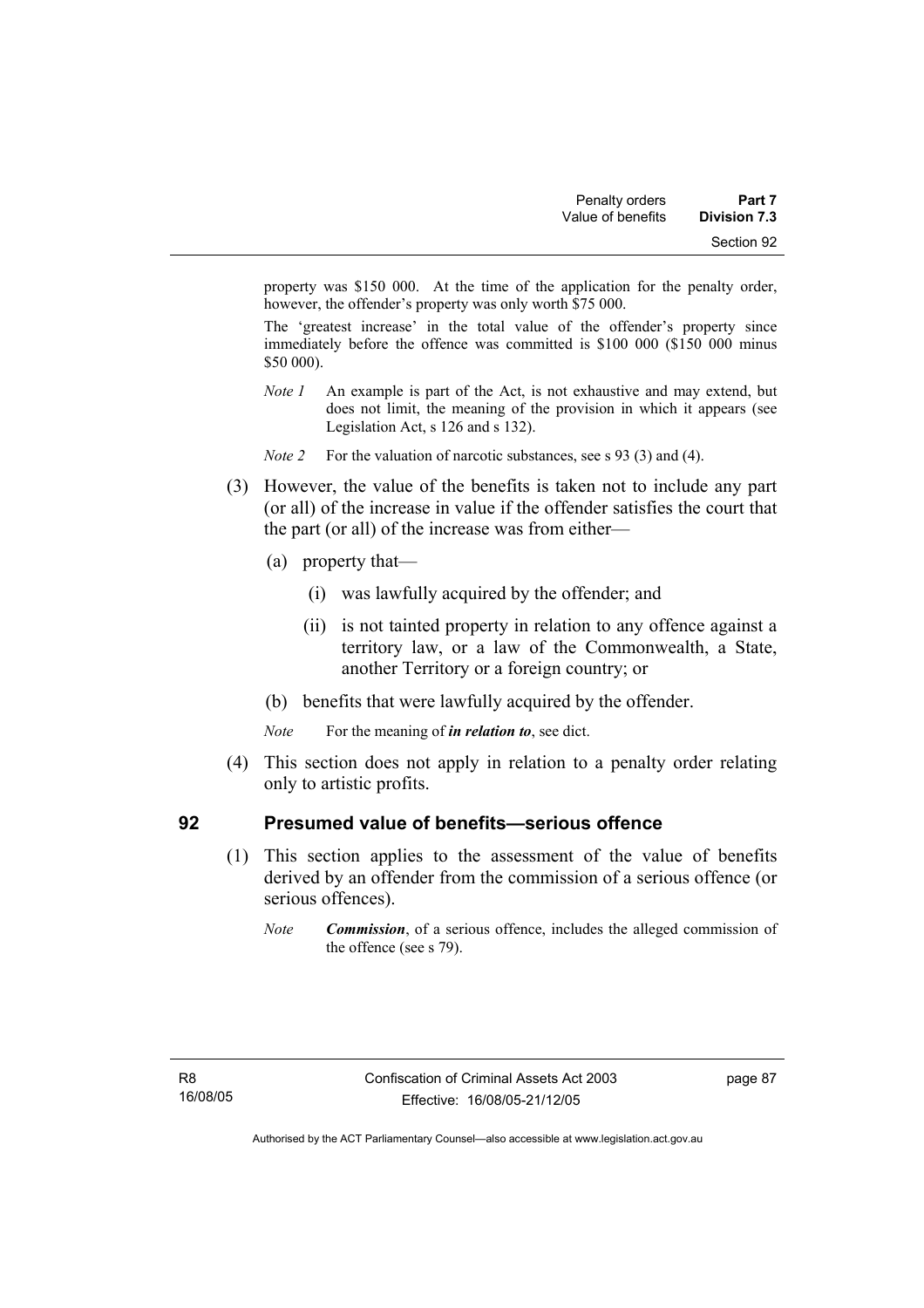property was \$150 000. At the time of the application for the penalty order, however, the offender's property was only worth \$75 000.

The 'greatest increase' in the total value of the offender's property since immediately before the offence was committed is \$100 000 (\$150 000 minus \$50 000).

- *Note 1* An example is part of the Act, is not exhaustive and may extend, but does not limit, the meaning of the provision in which it appears (see Legislation Act, s 126 and s 132).
- *Note 2* For the valuation of narcotic substances, see s 93 (3) and (4).
- (3) However, the value of the benefits is taken not to include any part (or all) of the increase in value if the offender satisfies the court that the part (or all) of the increase was from either—
	- (a) property that—
		- (i) was lawfully acquired by the offender; and
		- (ii) is not tainted property in relation to any offence against a territory law, or a law of the Commonwealth, a State, another Territory or a foreign country; or
	- (b) benefits that were lawfully acquired by the offender.
	- *Note* For the meaning of *in relation to*, see dict.
- (4) This section does not apply in relation to a penalty order relating only to artistic profits.

# **92 Presumed value of benefits—serious offence**

- (1) This section applies to the assessment of the value of benefits derived by an offender from the commission of a serious offence (or serious offences).
	- *Note Commission*, of a serious offence, includes the alleged commission of the offence (see s 79).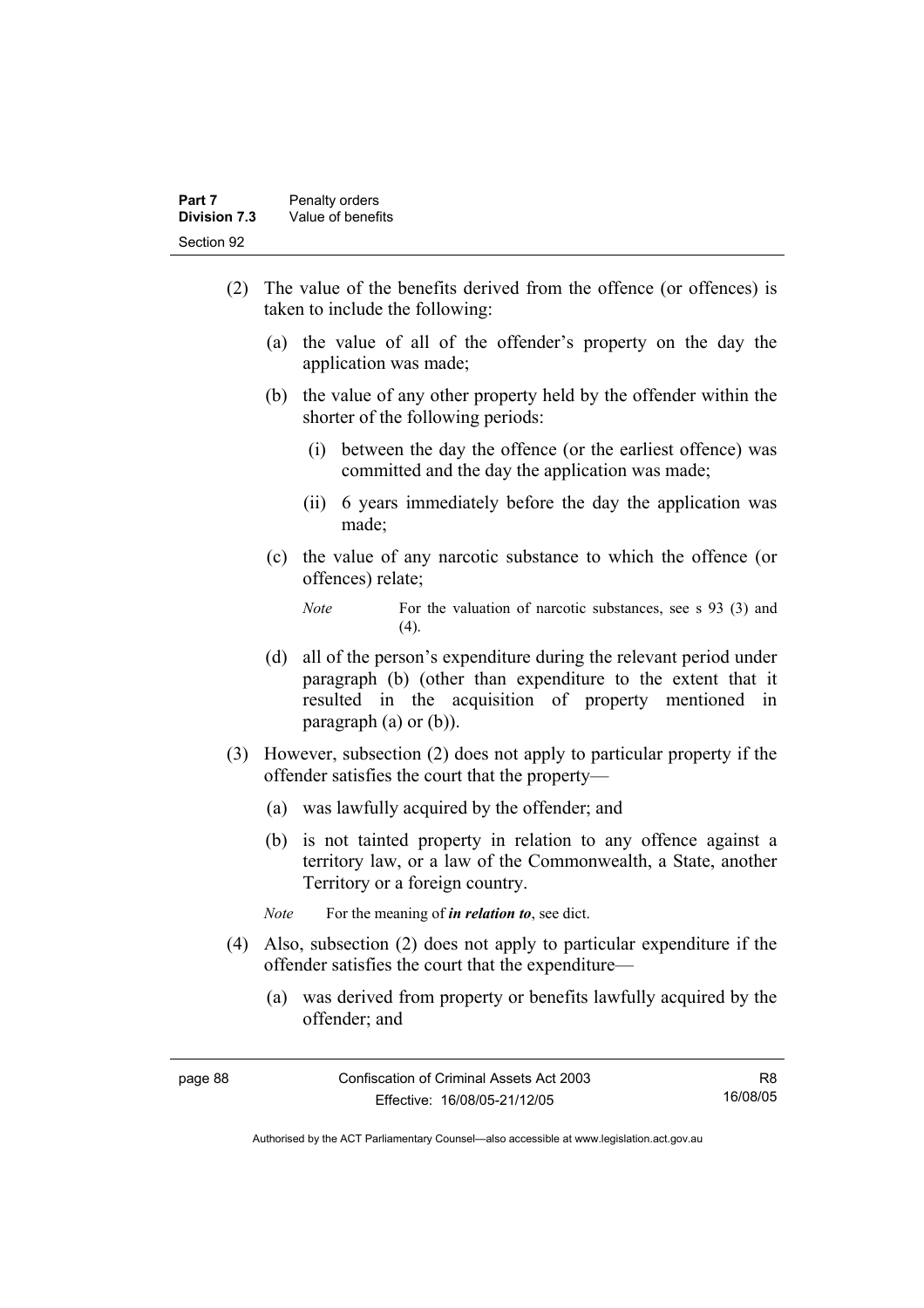- (2) The value of the benefits derived from the offence (or offences) is taken to include the following:
	- (a) the value of all of the offender's property on the day the application was made;
	- (b) the value of any other property held by the offender within the shorter of the following periods:
		- (i) between the day the offence (or the earliest offence) was committed and the day the application was made;
		- (ii) 6 years immediately before the day the application was made;
	- (c) the value of any narcotic substance to which the offence (or offences) relate;

- (d) all of the person's expenditure during the relevant period under paragraph (b) (other than expenditure to the extent that it resulted in the acquisition of property mentioned in paragraph (a) or (b)).
- (3) However, subsection (2) does not apply to particular property if the offender satisfies the court that the property—
	- (a) was lawfully acquired by the offender; and
	- (b) is not tainted property in relation to any offence against a territory law, or a law of the Commonwealth, a State, another Territory or a foreign country.

*Note* For the meaning of *in relation to*, see dict.

- (4) Also, subsection (2) does not apply to particular expenditure if the offender satisfies the court that the expenditure—
	- (a) was derived from property or benefits lawfully acquired by the offender; and

*Note* For the valuation of narcotic substances, see s 93 (3) and  $(4)$ .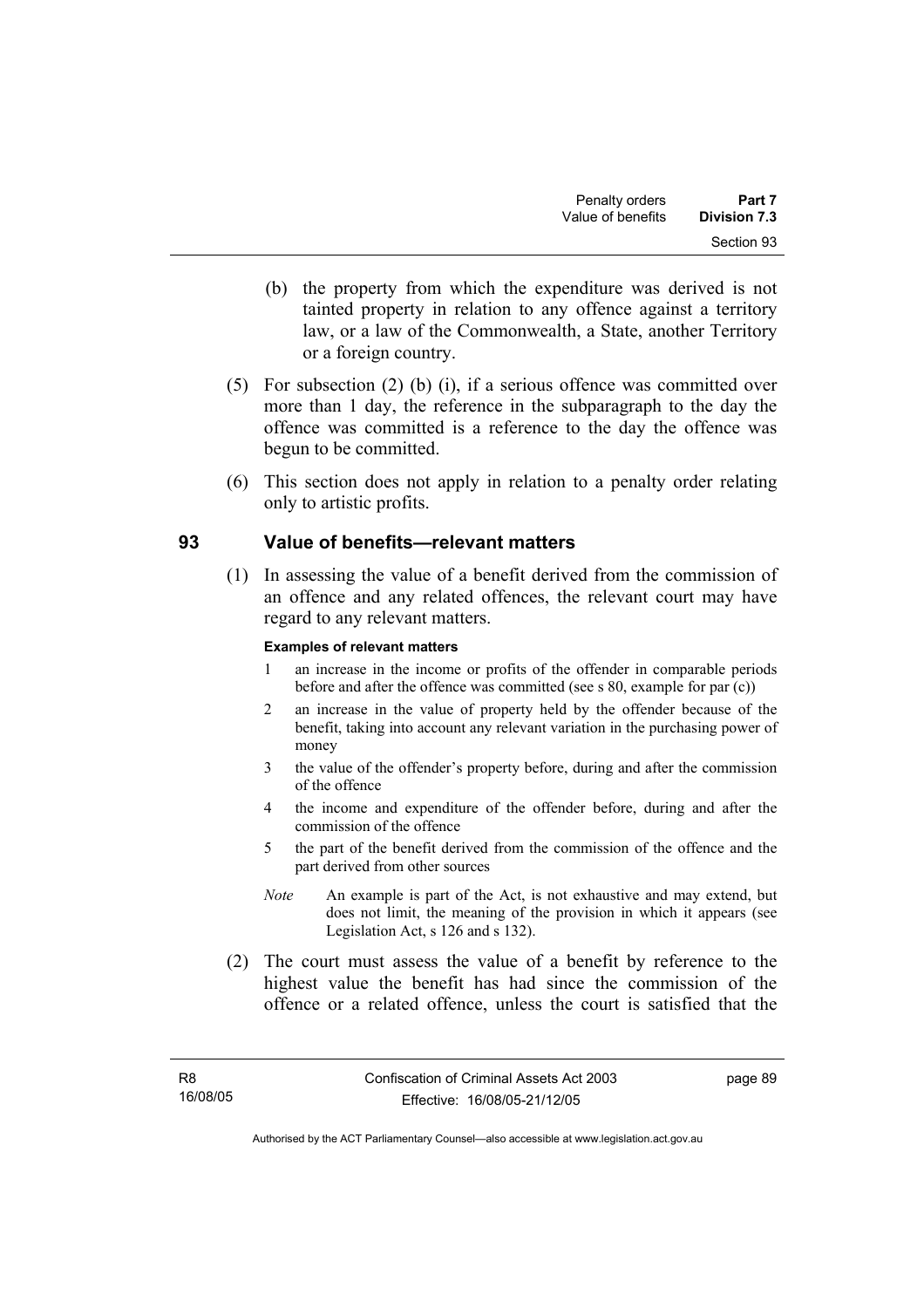- (b) the property from which the expenditure was derived is not tainted property in relation to any offence against a territory law, or a law of the Commonwealth, a State, another Territory or a foreign country.
- (5) For subsection (2) (b) (i), if a serious offence was committed over more than 1 day, the reference in the subparagraph to the day the offence was committed is a reference to the day the offence was begun to be committed.
- (6) This section does not apply in relation to a penalty order relating only to artistic profits.

# **93 Value of benefits—relevant matters**

 (1) In assessing the value of a benefit derived from the commission of an offence and any related offences, the relevant court may have regard to any relevant matters.

### **Examples of relevant matters**

- 1 an increase in the income or profits of the offender in comparable periods before and after the offence was committed (see s 80, example for par (c))
- 2 an increase in the value of property held by the offender because of the benefit, taking into account any relevant variation in the purchasing power of money
- 3 the value of the offender's property before, during and after the commission of the offence
- 4 the income and expenditure of the offender before, during and after the commission of the offence
- 5 the part of the benefit derived from the commission of the offence and the part derived from other sources
- *Note* An example is part of the Act, is not exhaustive and may extend, but does not limit, the meaning of the provision in which it appears (see Legislation Act, s 126 and s 132).
- (2) The court must assess the value of a benefit by reference to the highest value the benefit has had since the commission of the offence or a related offence, unless the court is satisfied that the

page 89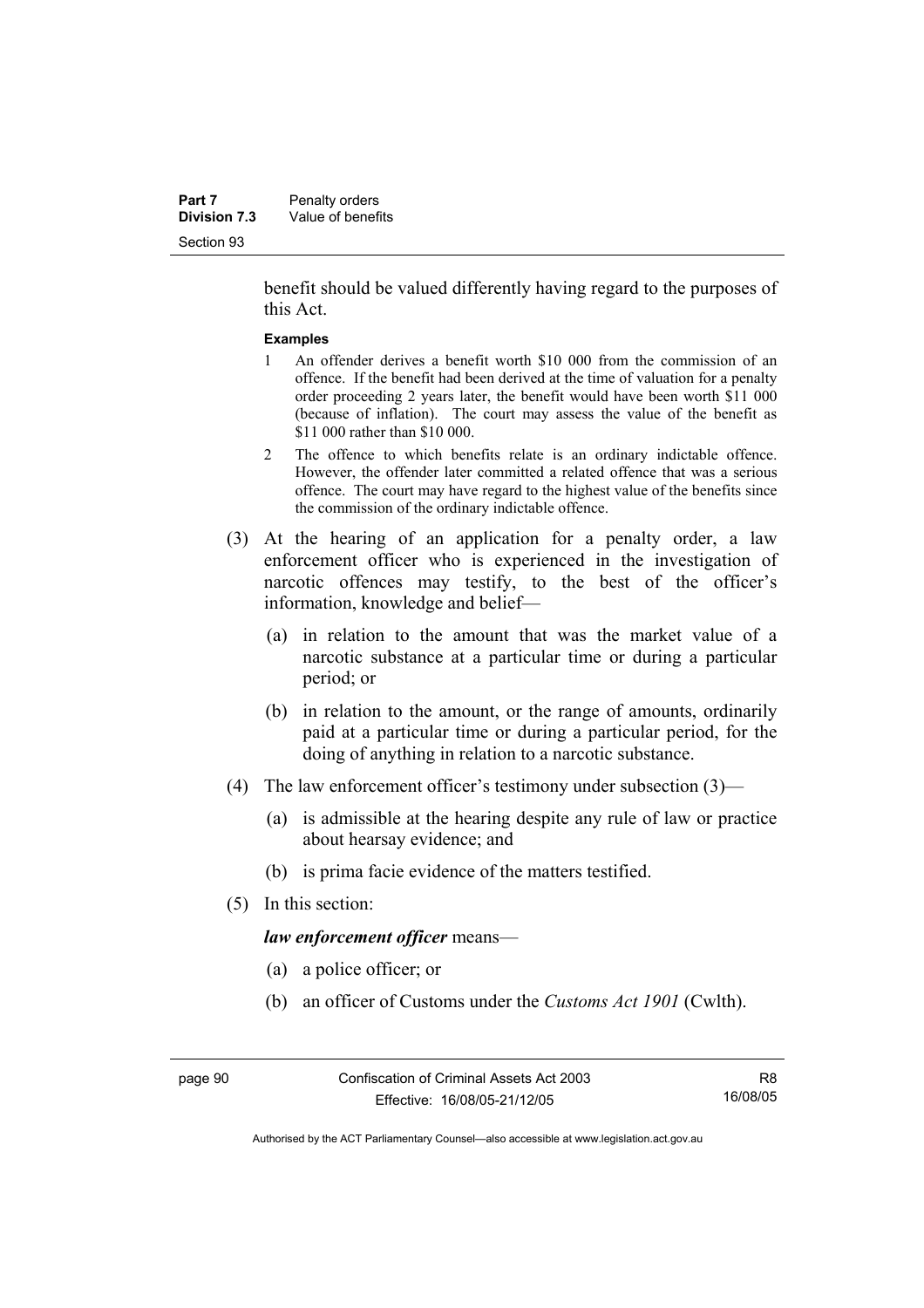benefit should be valued differently having regard to the purposes of this Act.

#### **Examples**

- 1 An offender derives a benefit worth \$10 000 from the commission of an offence. If the benefit had been derived at the time of valuation for a penalty order proceeding 2 years later, the benefit would have been worth \$11 000 (because of inflation). The court may assess the value of the benefit as \$11 000 rather than \$10 000.
- 2 The offence to which benefits relate is an ordinary indictable offence. However, the offender later committed a related offence that was a serious offence. The court may have regard to the highest value of the benefits since the commission of the ordinary indictable offence.
- (3) At the hearing of an application for a penalty order, a law enforcement officer who is experienced in the investigation of narcotic offences may testify, to the best of the officer's information, knowledge and belief—
	- (a) in relation to the amount that was the market value of a narcotic substance at a particular time or during a particular period; or
	- (b) in relation to the amount, or the range of amounts, ordinarily paid at a particular time or during a particular period, for the doing of anything in relation to a narcotic substance.
- (4) The law enforcement officer's testimony under subsection (3)—
	- (a) is admissible at the hearing despite any rule of law or practice about hearsay evidence; and
	- (b) is prima facie evidence of the matters testified.
- (5) In this section:

*law enforcement officer* means—

- (a) a police officer; or
- (b) an officer of Customs under the *Customs Act 1901* (Cwlth).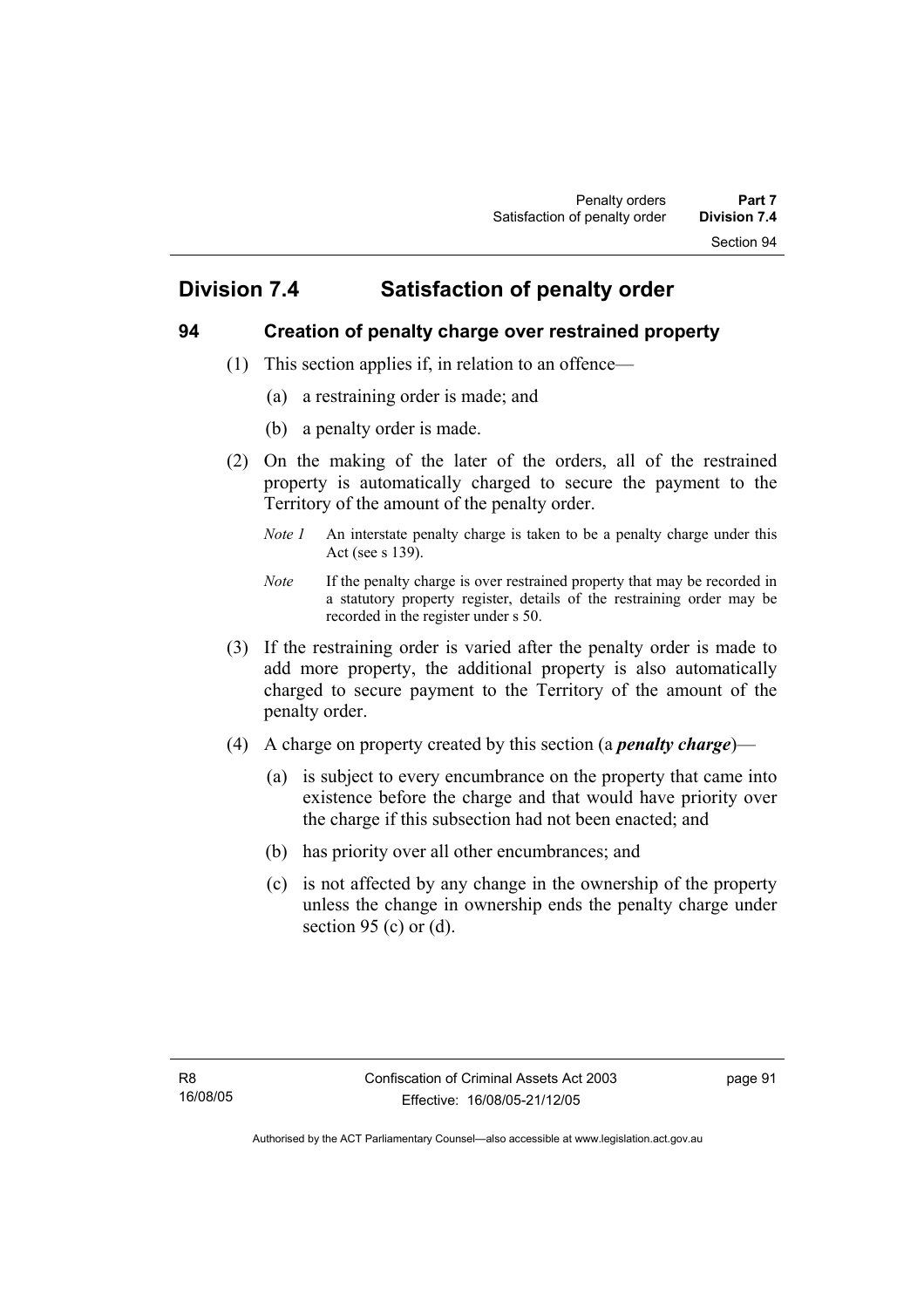# **Division 7.4 Satisfaction of penalty order**

# **94 Creation of penalty charge over restrained property**

- (1) This section applies if, in relation to an offence—
	- (a) a restraining order is made; and
	- (b) a penalty order is made.
- (2) On the making of the later of the orders, all of the restrained property is automatically charged to secure the payment to the Territory of the amount of the penalty order.
	- *Note 1* An interstate penalty charge is taken to be a penalty charge under this Act (see s 139).
	- *Note* If the penalty charge is over restrained property that may be recorded in a statutory property register, details of the restraining order may be recorded in the register under s 50.
- (3) If the restraining order is varied after the penalty order is made to add more property, the additional property is also automatically charged to secure payment to the Territory of the amount of the penalty order.
- (4) A charge on property created by this section (a *penalty charge*)—
	- (a) is subject to every encumbrance on the property that came into existence before the charge and that would have priority over the charge if this subsection had not been enacted; and
	- (b) has priority over all other encumbrances; and
	- (c) is not affected by any change in the ownership of the property unless the change in ownership ends the penalty charge under section 95 (c) or  $(d)$ .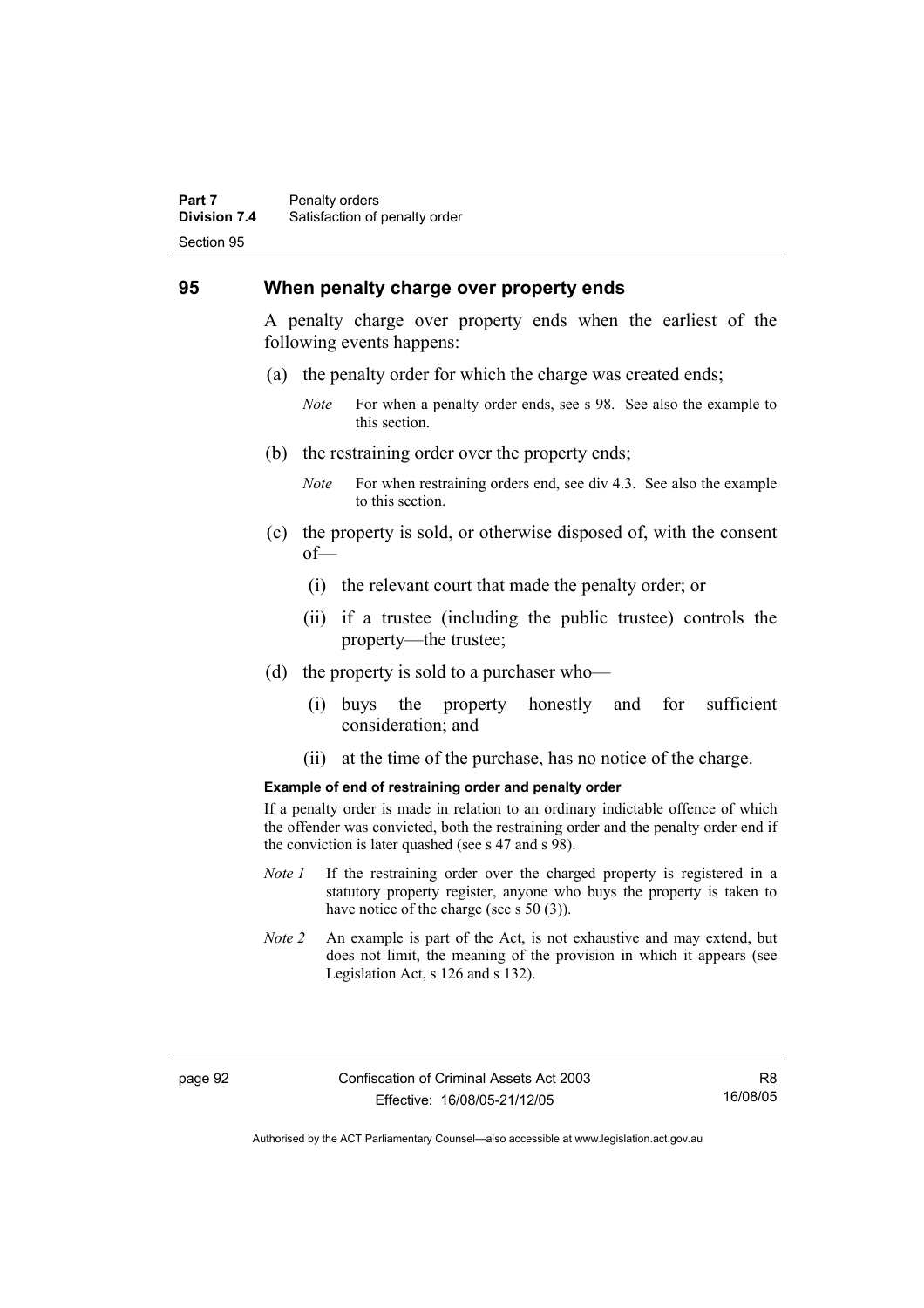#### **Part 7** Penalty orders **Division 7.4** Satisfaction of penalty order Section 95

### **95 When penalty charge over property ends**

A penalty charge over property ends when the earliest of the following events happens:

- (a) the penalty order for which the charge was created ends;
	- *Note* For when a penalty order ends, see s 98. See also the example to this section.
- (b) the restraining order over the property ends;
	- *Note* For when restraining orders end, see div 4.3. See also the example to this section.
- (c) the property is sold, or otherwise disposed of, with the consent of—
	- (i) the relevant court that made the penalty order; or
	- (ii) if a trustee (including the public trustee) controls the property—the trustee;
- (d) the property is sold to a purchaser who—
	- (i) buys the property honestly and for sufficient consideration; and
	- (ii) at the time of the purchase, has no notice of the charge.

#### **Example of end of restraining order and penalty order**

If a penalty order is made in relation to an ordinary indictable offence of which the offender was convicted, both the restraining order and the penalty order end if the conviction is later quashed (see s 47 and s 98).

- *Note 1* If the restraining order over the charged property is registered in a statutory property register, anyone who buys the property is taken to have notice of the charge (see s 50 (3)).
- *Note 2* An example is part of the Act, is not exhaustive and may extend, but does not limit, the meaning of the provision in which it appears (see Legislation Act, s 126 and s 132).

Authorised by the ACT Parliamentary Counsel—also accessible at www.legislation.act.gov.au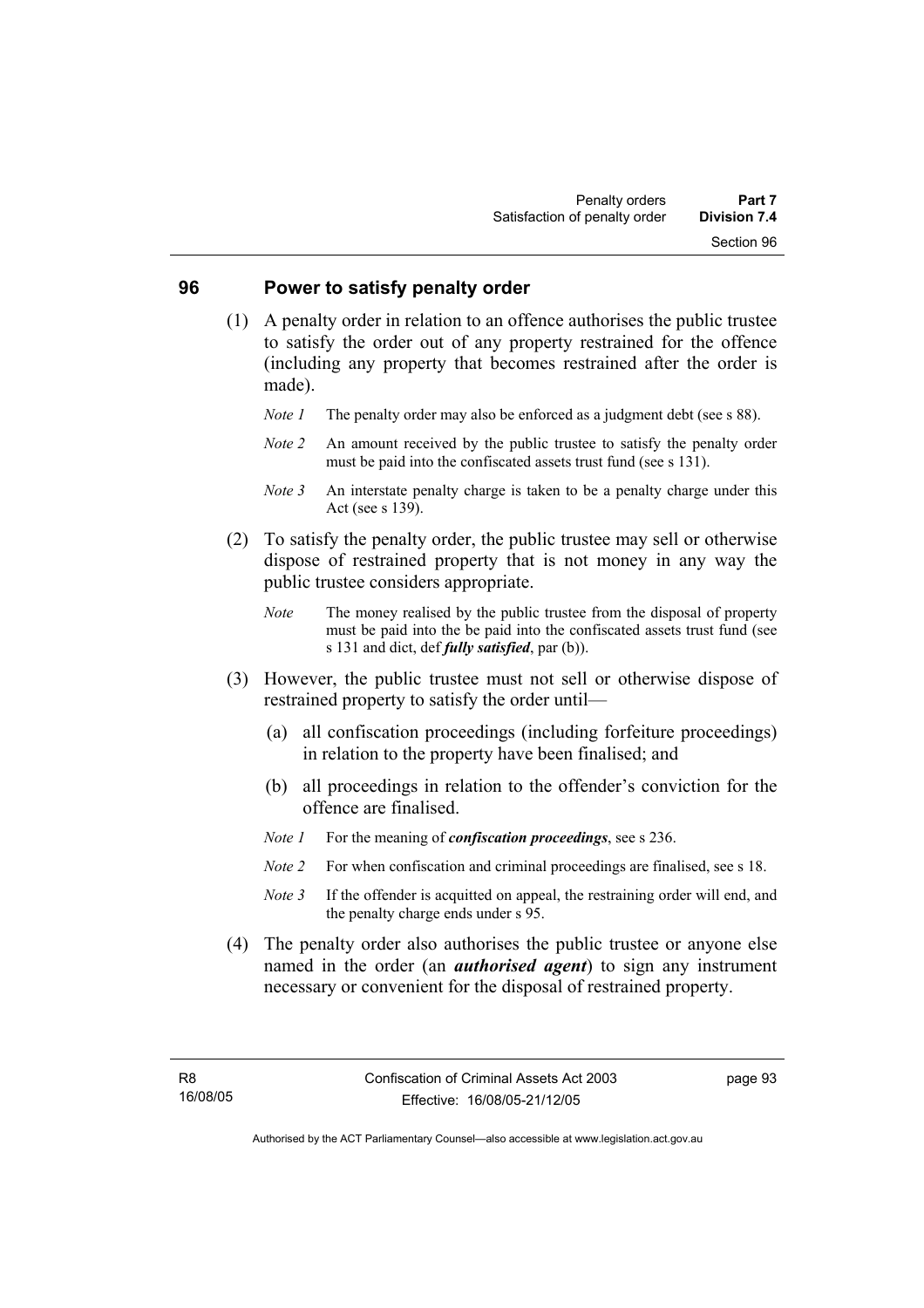### **96 Power to satisfy penalty order**

- (1) A penalty order in relation to an offence authorises the public trustee to satisfy the order out of any property restrained for the offence (including any property that becomes restrained after the order is made).
	- *Note 1* The penalty order may also be enforced as a judgment debt (see s 88).
	- *Note 2* An amount received by the public trustee to satisfy the penalty order must be paid into the confiscated assets trust fund (see s 131).
	- *Note 3* An interstate penalty charge is taken to be a penalty charge under this Act (see s 139).
- (2) To satisfy the penalty order, the public trustee may sell or otherwise dispose of restrained property that is not money in any way the public trustee considers appropriate.
	- *Note* The money realised by the public trustee from the disposal of property must be paid into the be paid into the confiscated assets trust fund (see s 131 and dict, def *fully satisfied*, par (b)).
- (3) However, the public trustee must not sell or otherwise dispose of restrained property to satisfy the order until—
	- (a) all confiscation proceedings (including forfeiture proceedings) in relation to the property have been finalised; and
	- (b) all proceedings in relation to the offender's conviction for the offence are finalised.
	- *Note 1* For the meaning of *confiscation proceedings*, see s 236.
	- *Note 2* For when confiscation and criminal proceedings are finalised, see s 18.
	- *Note* 3 If the offender is acquitted on appeal, the restraining order will end, and the penalty charge ends under s 95.
- (4) The penalty order also authorises the public trustee or anyone else named in the order (an *authorised agent*) to sign any instrument necessary or convenient for the disposal of restrained property.

page 93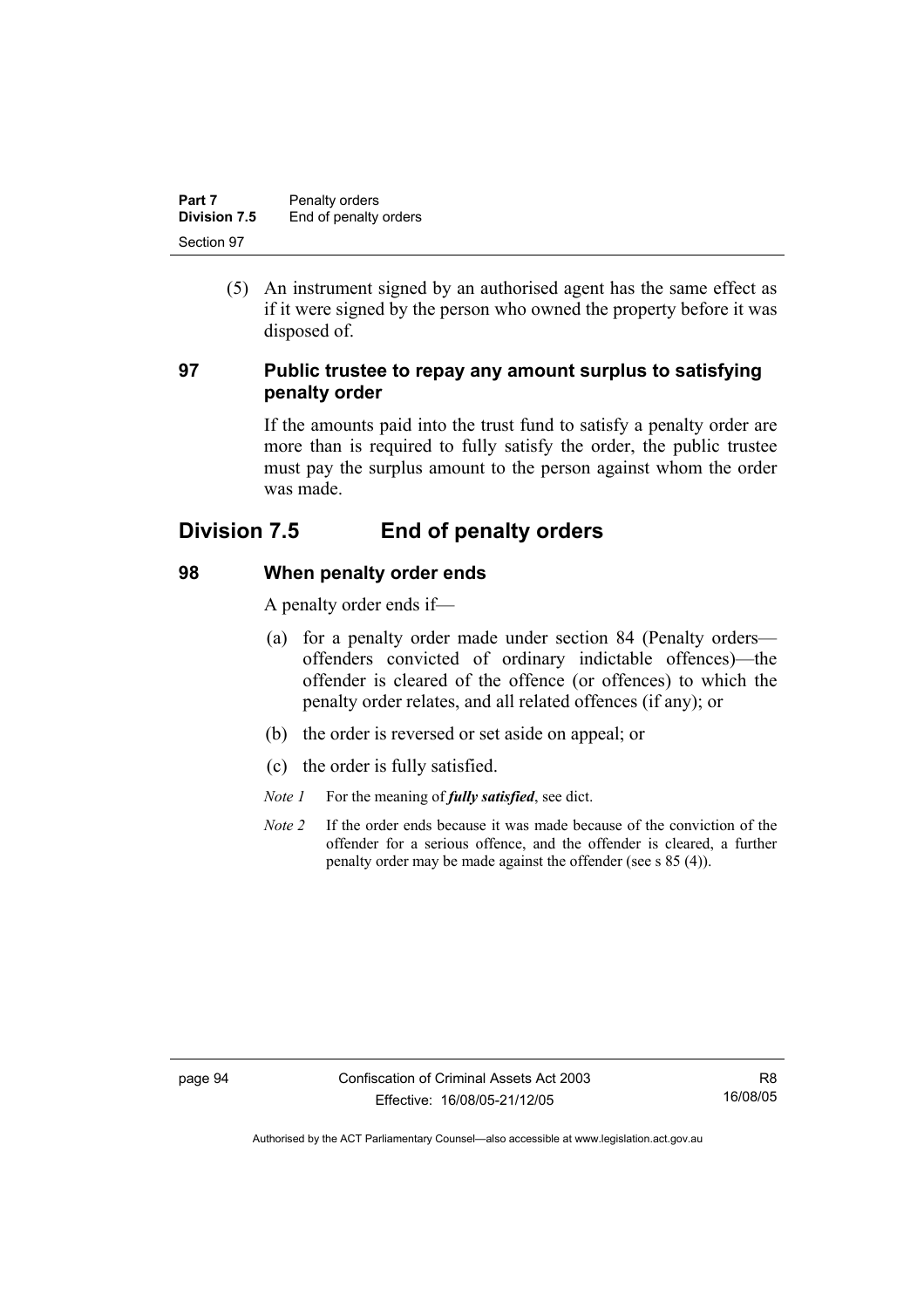| Part 7       | Penalty orders        |
|--------------|-----------------------|
| Division 7.5 | End of penalty orders |
| Section 97   |                       |

 (5) An instrument signed by an authorised agent has the same effect as if it were signed by the person who owned the property before it was disposed of.

# **97 Public trustee to repay any amount surplus to satisfying penalty order**

If the amounts paid into the trust fund to satisfy a penalty order are more than is required to fully satisfy the order, the public trustee must pay the surplus amount to the person against whom the order was made.

# **Division 7.5 End of penalty orders**

# **98 When penalty order ends**

A penalty order ends if—

- (a) for a penalty order made under section 84 (Penalty orders offenders convicted of ordinary indictable offences)—the offender is cleared of the offence (or offences) to which the penalty order relates, and all related offences (if any); or
- (b) the order is reversed or set aside on appeal; or
- (c) the order is fully satisfied.
- *Note 1* For the meaning of *fully satisfied*, see dict.
- *Note 2* If the order ends because it was made because of the conviction of the offender for a serious offence, and the offender is cleared, a further penalty order may be made against the offender (see s 85 (4)).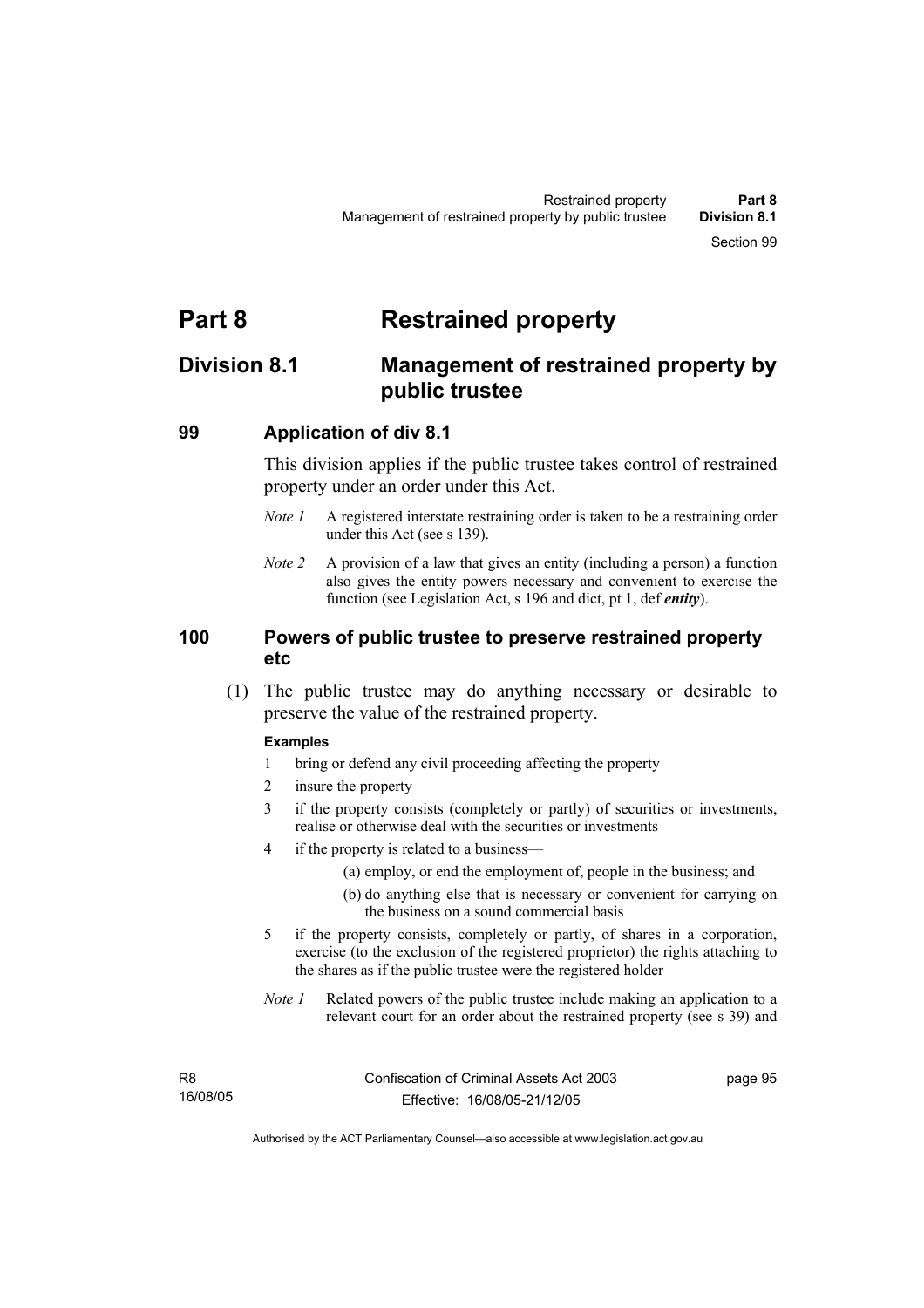# **Part 8 Restrained property**

# **Division 8.1 Management of restrained property by public trustee**

### **99 Application of div 8.1**

This division applies if the public trustee takes control of restrained property under an order under this Act.

- *Note 1* A registered interstate restraining order is taken to be a restraining order under this Act (see s 139).
- *Note 2* A provision of a law that gives an entity (including a person) a function also gives the entity powers necessary and convenient to exercise the function (see Legislation Act, s 196 and dict, pt 1, def *entity*).

### **100 Powers of public trustee to preserve restrained property etc**

 (1) The public trustee may do anything necessary or desirable to preserve the value of the restrained property.

#### **Examples**

- 1 bring or defend any civil proceeding affecting the property
- 2 insure the property
- 3 if the property consists (completely or partly) of securities or investments, realise or otherwise deal with the securities or investments
- 4 if the property is related to a business—
	- (a) employ, or end the employment of, people in the business; and
	- (b) do anything else that is necessary or convenient for carrying on the business on a sound commercial basis
- 5 if the property consists, completely or partly, of shares in a corporation, exercise (to the exclusion of the registered proprietor) the rights attaching to the shares as if the public trustee were the registered holder
- *Note 1* Related powers of the public trustee include making an application to a relevant court for an order about the restrained property (see s 39) and

page 95

Authorised by the ACT Parliamentary Counsel—also accessible at www.legislation.act.gov.au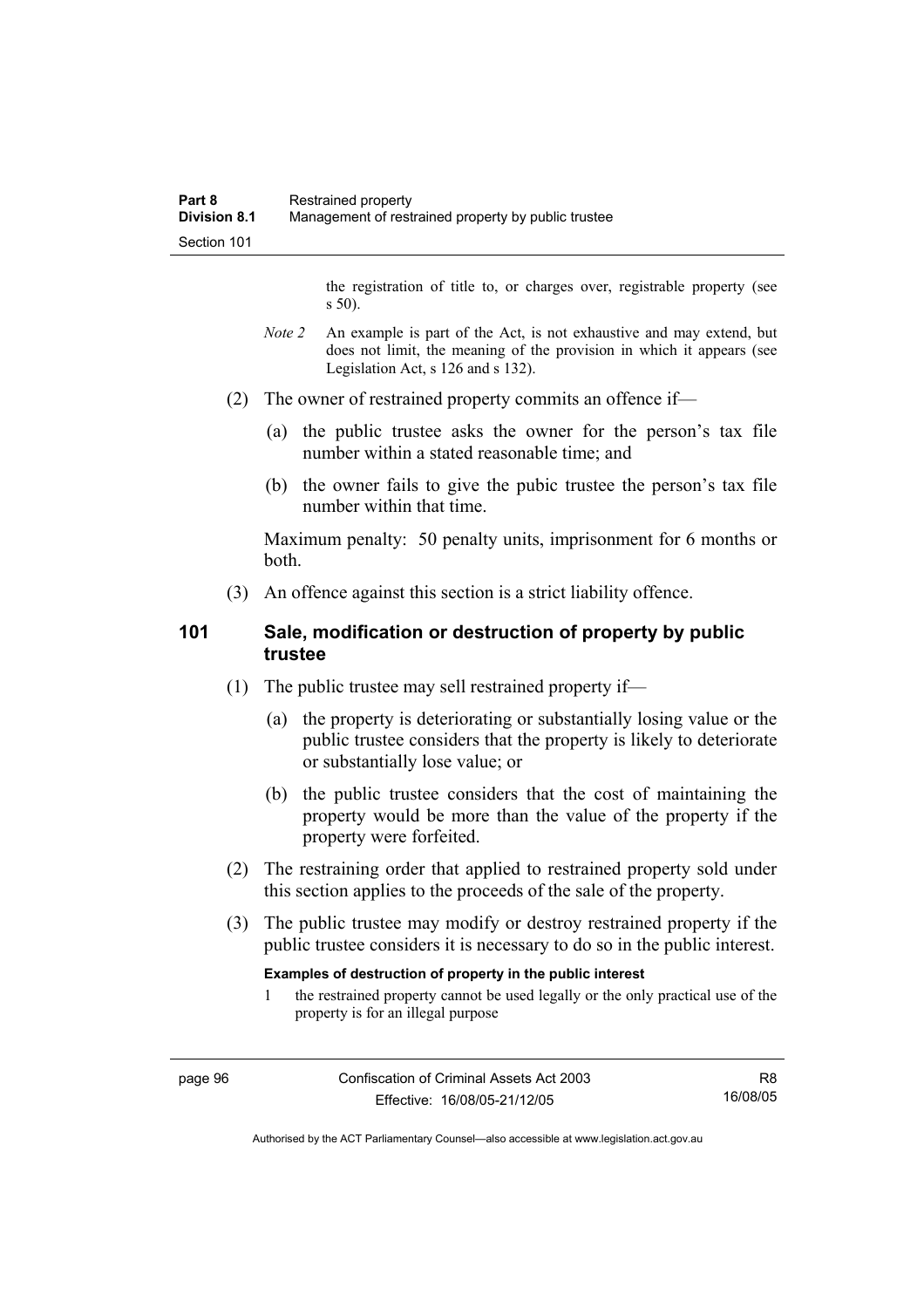the registration of title to, or charges over, registrable property (see s 50).

- *Note* 2 An example is part of the Act, is not exhaustive and may extend, but does not limit, the meaning of the provision in which it appears (see Legislation Act, s 126 and s 132).
- (2) The owner of restrained property commits an offence if—
	- (a) the public trustee asks the owner for the person's tax file number within a stated reasonable time; and
	- (b) the owner fails to give the pubic trustee the person's tax file number within that time.

Maximum penalty: 50 penalty units, imprisonment for 6 months or both.

(3) An offence against this section is a strict liability offence.

## **101 Sale, modification or destruction of property by public trustee**

- (1) The public trustee may sell restrained property if—
	- (a) the property is deteriorating or substantially losing value or the public trustee considers that the property is likely to deteriorate or substantially lose value; or
	- (b) the public trustee considers that the cost of maintaining the property would be more than the value of the property if the property were forfeited.
- (2) The restraining order that applied to restrained property sold under this section applies to the proceeds of the sale of the property.
- (3) The public trustee may modify or destroy restrained property if the public trustee considers it is necessary to do so in the public interest.

#### **Examples of destruction of property in the public interest**

1 the restrained property cannot be used legally or the only practical use of the property is for an illegal purpose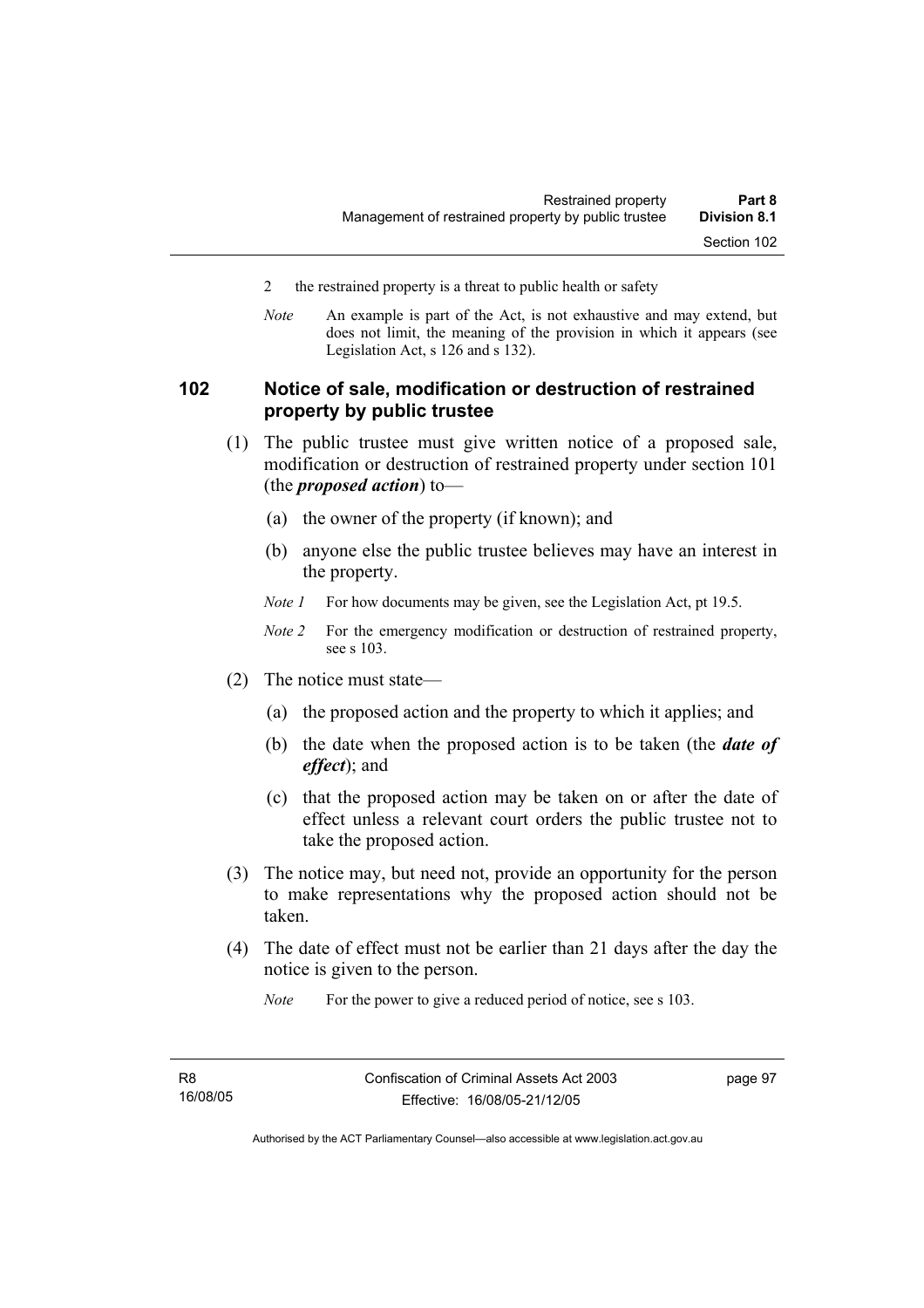- 2 the restrained property is a threat to public health or safety
- *Note* An example is part of the Act, is not exhaustive and may extend, but does not limit, the meaning of the provision in which it appears (see Legislation Act, s 126 and s 132).

## **102 Notice of sale, modification or destruction of restrained property by public trustee**

- (1) The public trustee must give written notice of a proposed sale, modification or destruction of restrained property under section 101 (the *proposed action*) to—
	- (a) the owner of the property (if known); and
	- (b) anyone else the public trustee believes may have an interest in the property.
	- *Note 1* For how documents may be given, see the Legislation Act, pt 19.5.
	- *Note 2* For the emergency modification or destruction of restrained property, see s 103.
- (2) The notice must state—
	- (a) the proposed action and the property to which it applies; and
	- (b) the date when the proposed action is to be taken (the *date of effect*); and
	- (c) that the proposed action may be taken on or after the date of effect unless a relevant court orders the public trustee not to take the proposed action.
- (3) The notice may, but need not, provide an opportunity for the person to make representations why the proposed action should not be taken.
- (4) The date of effect must not be earlier than 21 days after the day the notice is given to the person.

*Note* For the power to give a reduced period of notice, see s 103.

page 97

Authorised by the ACT Parliamentary Counsel—also accessible at www.legislation.act.gov.au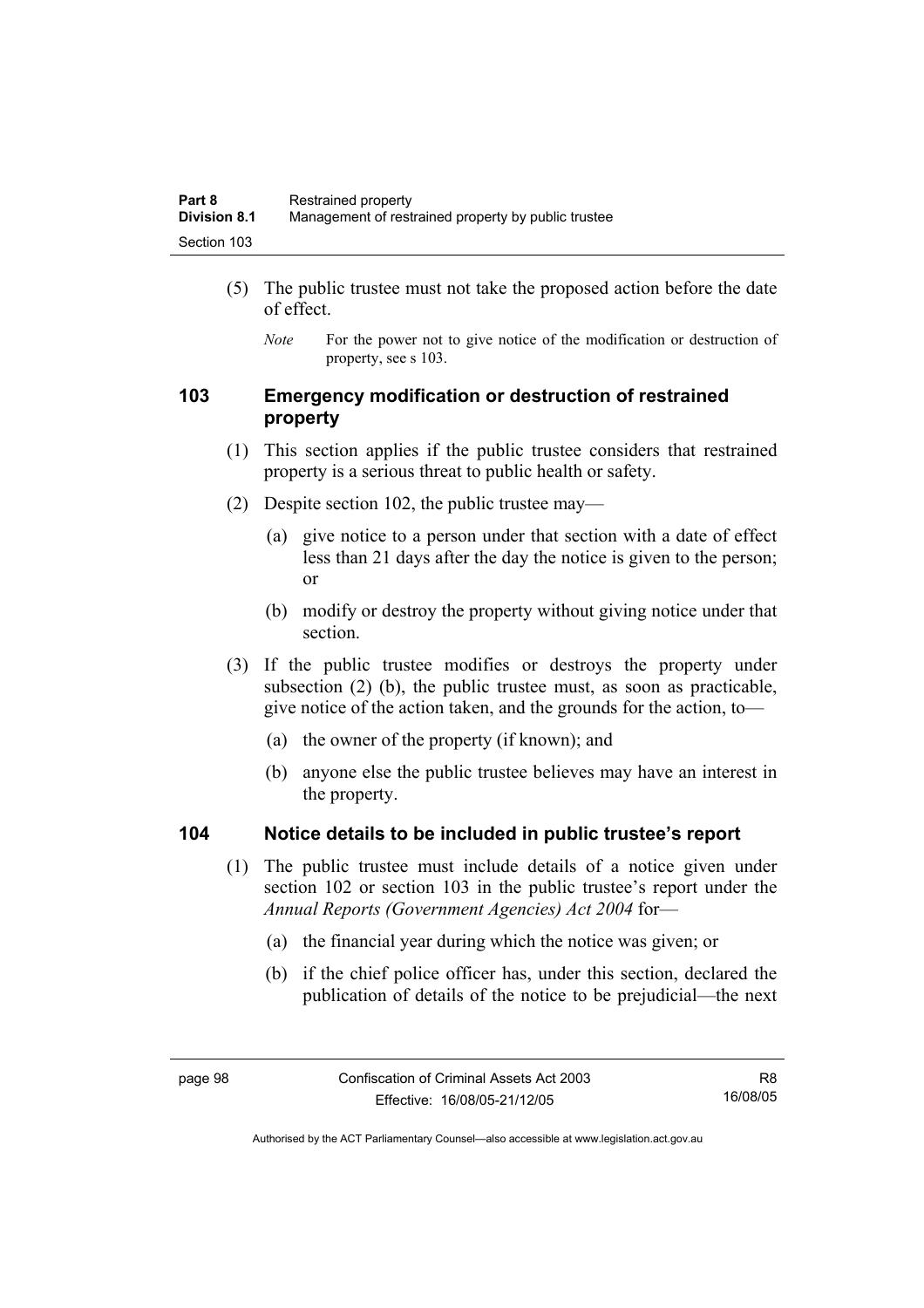- (5) The public trustee must not take the proposed action before the date of effect.
	- *Note* For the power not to give notice of the modification or destruction of property, see s 103.

## **103 Emergency modification or destruction of restrained property**

- (1) This section applies if the public trustee considers that restrained property is a serious threat to public health or safety.
- (2) Despite section 102, the public trustee may—
	- (a) give notice to a person under that section with a date of effect less than 21 days after the day the notice is given to the person; or
	- (b) modify or destroy the property without giving notice under that section.
- (3) If the public trustee modifies or destroys the property under subsection (2) (b), the public trustee must, as soon as practicable, give notice of the action taken, and the grounds for the action, to—
	- (a) the owner of the property (if known); and
	- (b) anyone else the public trustee believes may have an interest in the property.

### **104 Notice details to be included in public trustee's report**

- (1) The public trustee must include details of a notice given under section 102 or section 103 in the public trustee's report under the *Annual Reports (Government Agencies) Act 2004* for—
	- (a) the financial year during which the notice was given; or
	- (b) if the chief police officer has, under this section, declared the publication of details of the notice to be prejudicial—the next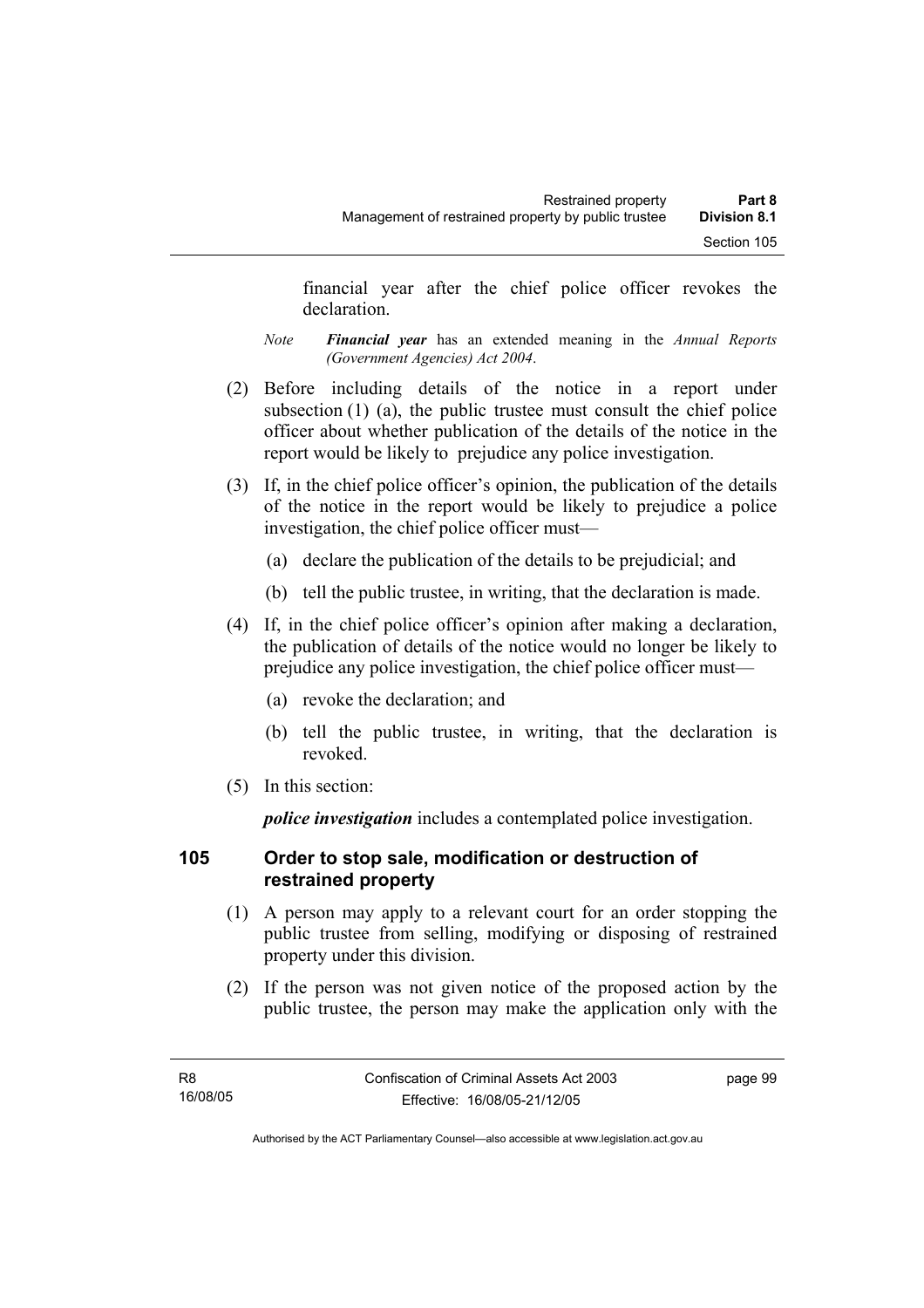financial year after the chief police officer revokes the declaration.

- *Note Financial year* has an extended meaning in the *Annual Reports (Government Agencies) Act 2004*.
- (2) Before including details of the notice in a report under subsection (1) (a), the public trustee must consult the chief police officer about whether publication of the details of the notice in the report would be likely to prejudice any police investigation.
- (3) If, in the chief police officer's opinion, the publication of the details of the notice in the report would be likely to prejudice a police investigation, the chief police officer must—
	- (a) declare the publication of the details to be prejudicial; and
	- (b) tell the public trustee, in writing, that the declaration is made.
- (4) If, in the chief police officer's opinion after making a declaration, the publication of details of the notice would no longer be likely to prejudice any police investigation, the chief police officer must—
	- (a) revoke the declaration; and
	- (b) tell the public trustee, in writing, that the declaration is revoked.
- (5) In this section:

*police investigation* includes a contemplated police investigation.

## **105 Order to stop sale, modification or destruction of restrained property**

- (1) A person may apply to a relevant court for an order stopping the public trustee from selling, modifying or disposing of restrained property under this division.
- (2) If the person was not given notice of the proposed action by the public trustee, the person may make the application only with the

page 99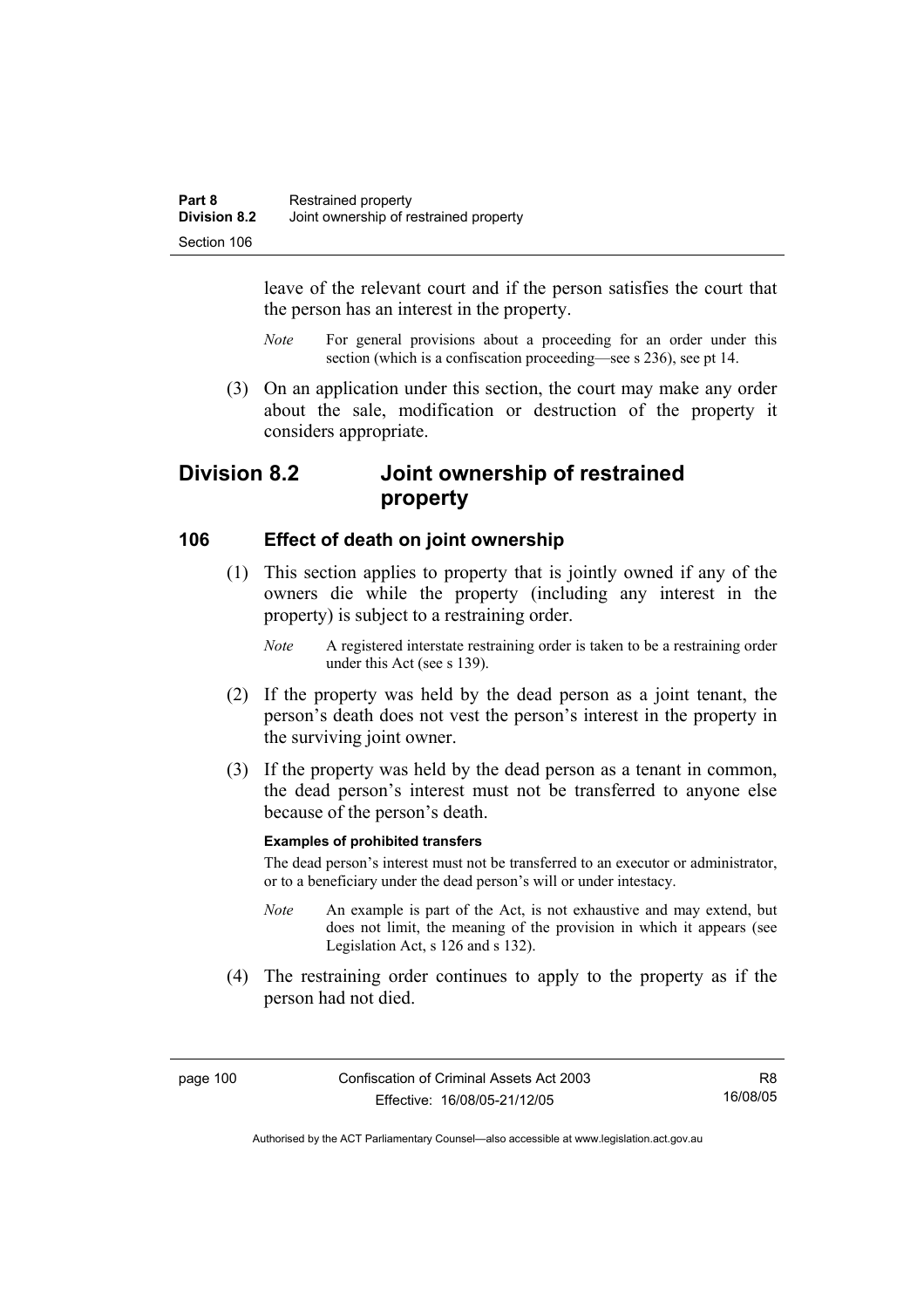leave of the relevant court and if the person satisfies the court that the person has an interest in the property.

- *Note* For general provisions about a proceeding for an order under this section (which is a confiscation proceeding—see s 236), see pt 14.
- (3) On an application under this section, the court may make any order about the sale, modification or destruction of the property it considers appropriate.

# **Division 8.2 Joint ownership of restrained property**

### **106 Effect of death on joint ownership**

- (1) This section applies to property that is jointly owned if any of the owners die while the property (including any interest in the property) is subject to a restraining order.
	- *Note* A registered interstate restraining order is taken to be a restraining order under this Act (see s 139).
- (2) If the property was held by the dead person as a joint tenant, the person's death does not vest the person's interest in the property in the surviving joint owner.
- (3) If the property was held by the dead person as a tenant in common, the dead person's interest must not be transferred to anyone else because of the person's death.

#### **Examples of prohibited transfers**

The dead person's interest must not be transferred to an executor or administrator, or to a beneficiary under the dead person's will or under intestacy.

- *Note* An example is part of the Act, is not exhaustive and may extend, but does not limit, the meaning of the provision in which it appears (see Legislation Act, s 126 and s 132).
- (4) The restraining order continues to apply to the property as if the person had not died.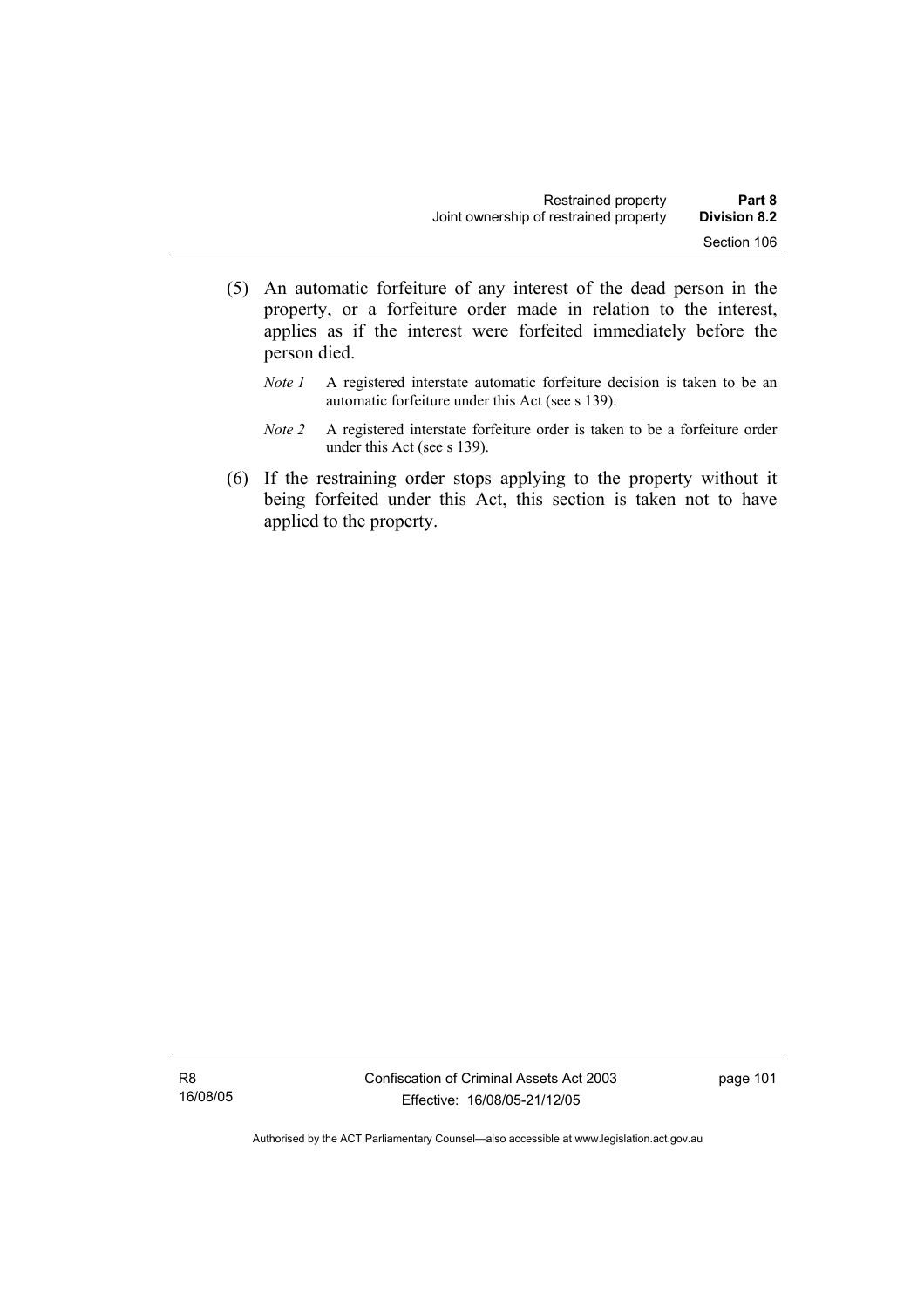- (5) An automatic forfeiture of any interest of the dead person in the property, or a forfeiture order made in relation to the interest, applies as if the interest were forfeited immediately before the person died.
	- *Note 1* A registered interstate automatic forfeiture decision is taken to be an automatic forfeiture under this Act (see s 139).
	- *Note 2* A registered interstate forfeiture order is taken to be a forfeiture order under this Act (see s 139).
- (6) If the restraining order stops applying to the property without it being forfeited under this Act, this section is taken not to have applied to the property.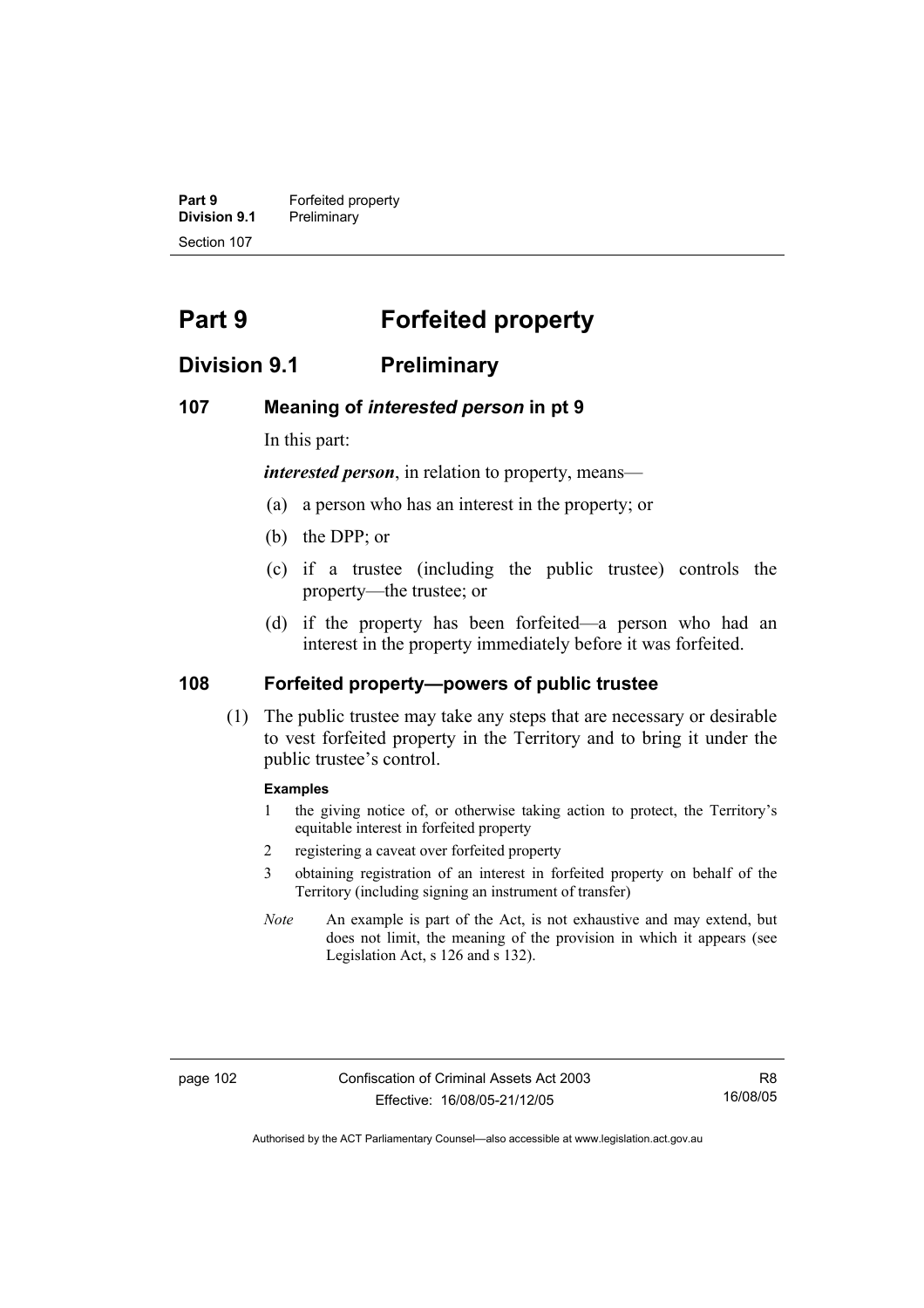**Part 9 Forfeited property Division 9.1** Preliminary Section 107

# **Part 9 Forfeited property**

# **Division 9.1 Preliminary**

### **107 Meaning of** *interested person* **in pt 9**

In this part:

*interested person*, in relation to property, means—

- (a) a person who has an interest in the property; or
- (b) the DPP; or
- (c) if a trustee (including the public trustee) controls the property—the trustee; or
- (d) if the property has been forfeited—a person who had an interest in the property immediately before it was forfeited.

### **108 Forfeited property—powers of public trustee**

 (1) The public trustee may take any steps that are necessary or desirable to vest forfeited property in the Territory and to bring it under the public trustee's control.

#### **Examples**

- 1 the giving notice of, or otherwise taking action to protect, the Territory's equitable interest in forfeited property
- 2 registering a caveat over forfeited property
- 3 obtaining registration of an interest in forfeited property on behalf of the Territory (including signing an instrument of transfer)
- *Note* An example is part of the Act, is not exhaustive and may extend, but does not limit, the meaning of the provision in which it appears (see Legislation Act, s 126 and s 132).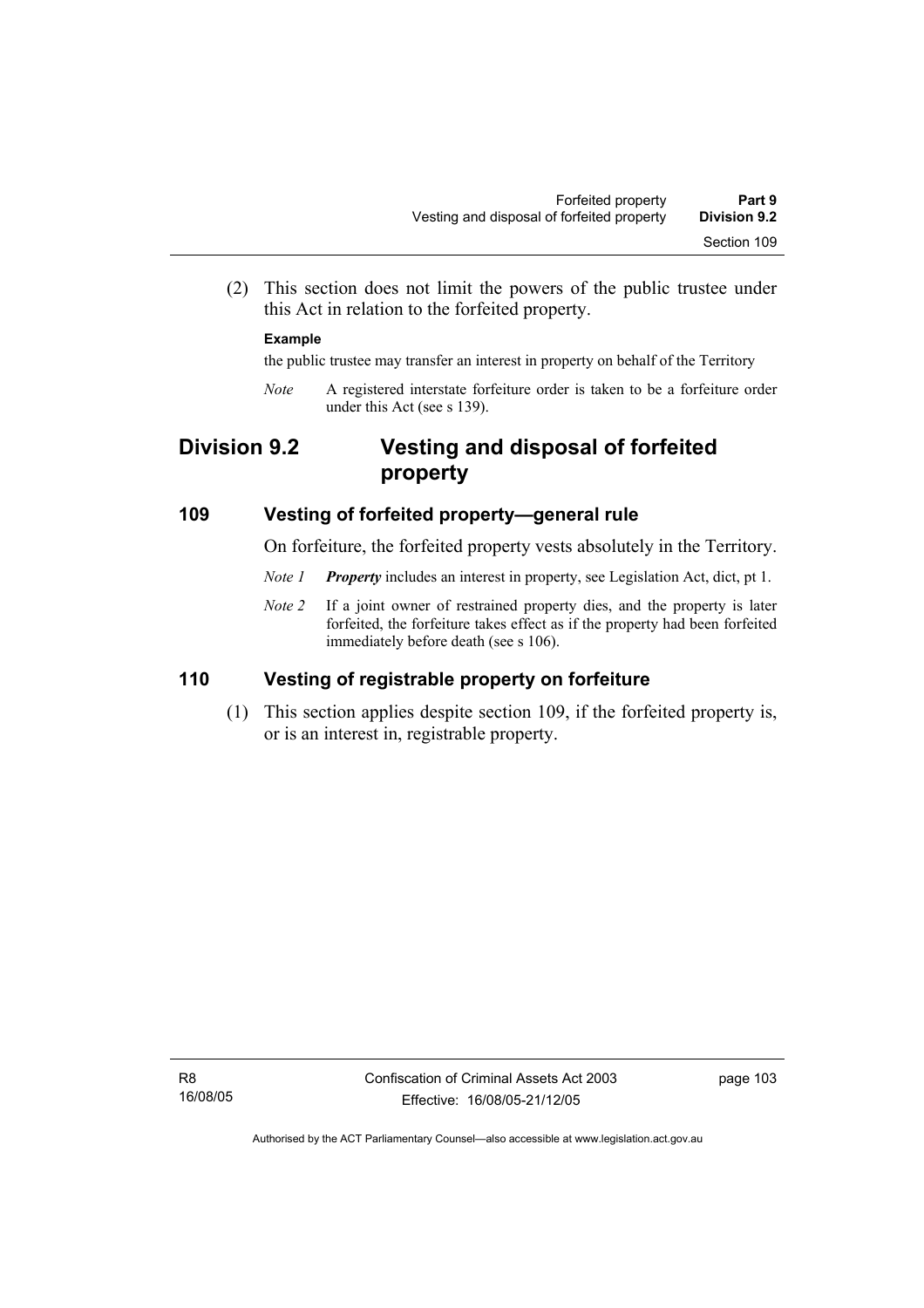(2) This section does not limit the powers of the public trustee under this Act in relation to the forfeited property.

### **Example**

the public trustee may transfer an interest in property on behalf of the Territory

*Note* A registered interstate forfeiture order is taken to be a forfeiture order under this Act (see s 139).

# **Division 9.2 Vesting and disposal of forfeited property**

### **109 Vesting of forfeited property—general rule**

On forfeiture, the forfeited property vests absolutely in the Territory.

- *Note 1 Property* includes an interest in property, see Legislation Act, dict, pt 1.
- *Note 2* If a joint owner of restrained property dies, and the property is later forfeited, the forfeiture takes effect as if the property had been forfeited immediately before death (see s 106).

# **110 Vesting of registrable property on forfeiture**

 (1) This section applies despite section 109, if the forfeited property is, or is an interest in, registrable property.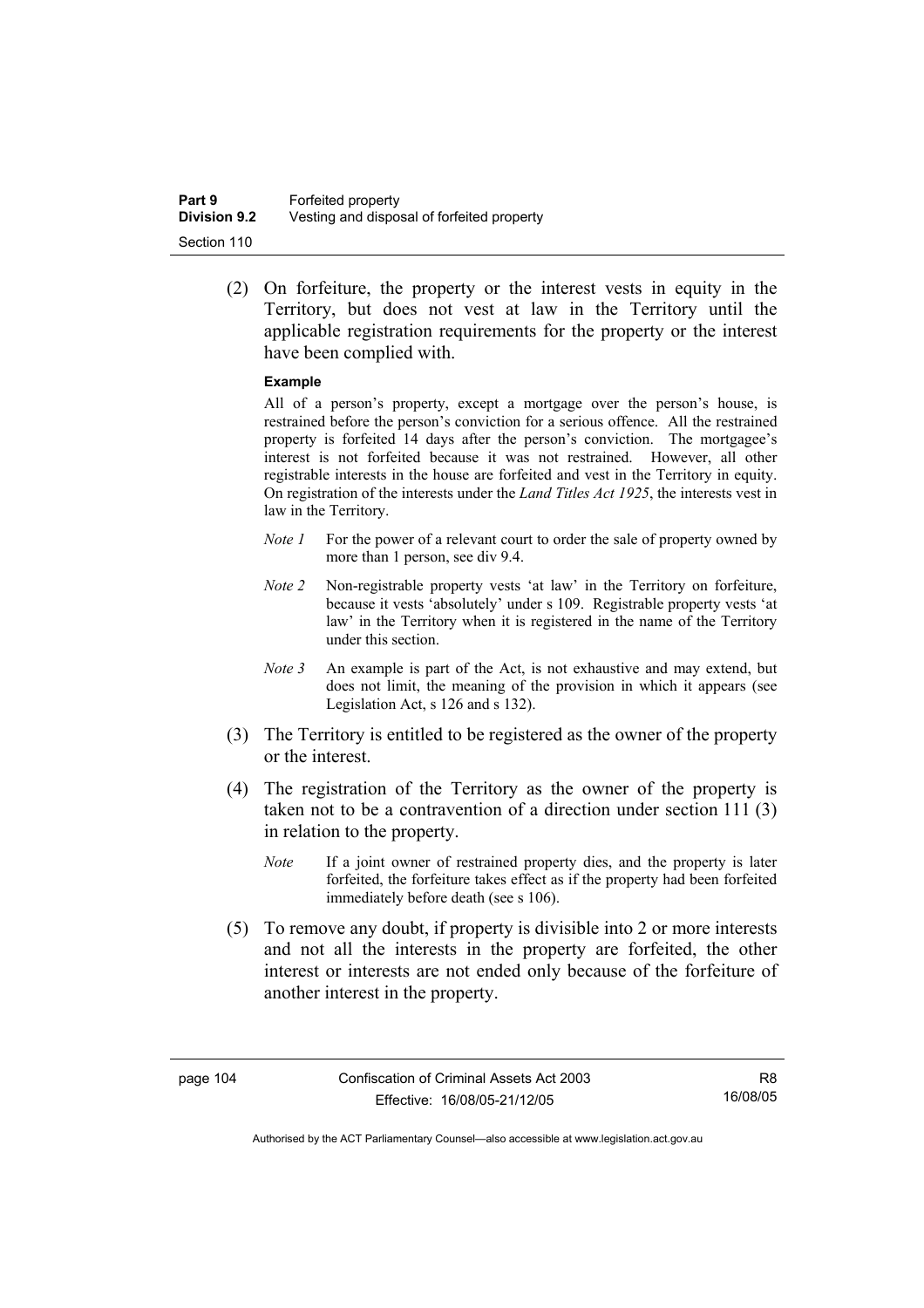(2) On forfeiture, the property or the interest vests in equity in the Territory, but does not vest at law in the Territory until the applicable registration requirements for the property or the interest have been complied with.

### **Example**

All of a person's property, except a mortgage over the person's house, is restrained before the person's conviction for a serious offence. All the restrained property is forfeited 14 days after the person's conviction. The mortgagee's interest is not forfeited because it was not restrained. However, all other registrable interests in the house are forfeited and vest in the Territory in equity. On registration of the interests under the *Land Titles Act 1925*, the interests vest in law in the Territory.

- *Note 1* For the power of a relevant court to order the sale of property owned by more than 1 person, see div 9.4.
- *Note 2* Non-registrable property vests 'at law' in the Territory on forfeiture, because it vests 'absolutely' under s 109. Registrable property vests 'at law' in the Territory when it is registered in the name of the Territory under this section.
- *Note 3* An example is part of the Act, is not exhaustive and may extend, but does not limit, the meaning of the provision in which it appears (see Legislation Act, s 126 and s 132).
- (3) The Territory is entitled to be registered as the owner of the property or the interest.
- (4) The registration of the Territory as the owner of the property is taken not to be a contravention of a direction under section 111 (3) in relation to the property.
	- *Note* If a joint owner of restrained property dies, and the property is later forfeited, the forfeiture takes effect as if the property had been forfeited immediately before death (see s 106).
- (5) To remove any doubt, if property is divisible into 2 or more interests and not all the interests in the property are forfeited, the other interest or interests are not ended only because of the forfeiture of another interest in the property.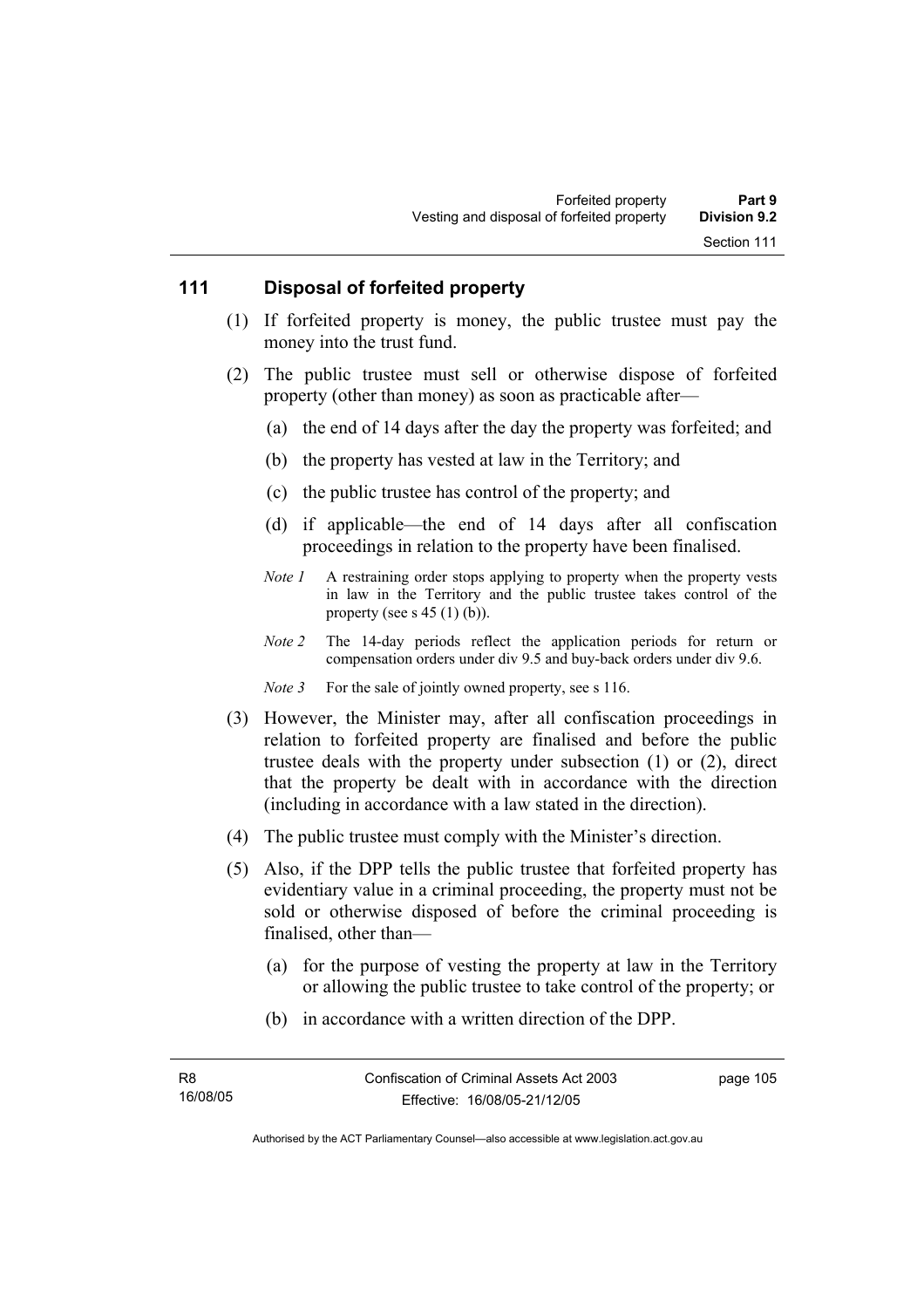### **111 Disposal of forfeited property**

- (1) If forfeited property is money, the public trustee must pay the money into the trust fund.
- (2) The public trustee must sell or otherwise dispose of forfeited property (other than money) as soon as practicable after—
	- (a) the end of 14 days after the day the property was forfeited; and
	- (b) the property has vested at law in the Territory; and
	- (c) the public trustee has control of the property; and
	- (d) if applicable—the end of 14 days after all confiscation proceedings in relation to the property have been finalised.
	- *Note 1* A restraining order stops applying to property when the property vests in law in the Territory and the public trustee takes control of the property (see s  $45$  (1) (b)).
	- *Note 2* The 14-day periods reflect the application periods for return or compensation orders under div 9.5 and buy-back orders under div 9.6.
	- *Note 3* For the sale of jointly owned property, see s 116.
- (3) However, the Minister may, after all confiscation proceedings in relation to forfeited property are finalised and before the public trustee deals with the property under subsection (1) or (2), direct that the property be dealt with in accordance with the direction (including in accordance with a law stated in the direction).
- (4) The public trustee must comply with the Minister's direction.
- (5) Also, if the DPP tells the public trustee that forfeited property has evidentiary value in a criminal proceeding, the property must not be sold or otherwise disposed of before the criminal proceeding is finalised, other than—
	- (a) for the purpose of vesting the property at law in the Territory or allowing the public trustee to take control of the property; or
	- (b) in accordance with a written direction of the DPP.

page 105

Authorised by the ACT Parliamentary Counsel—also accessible at www.legislation.act.gov.au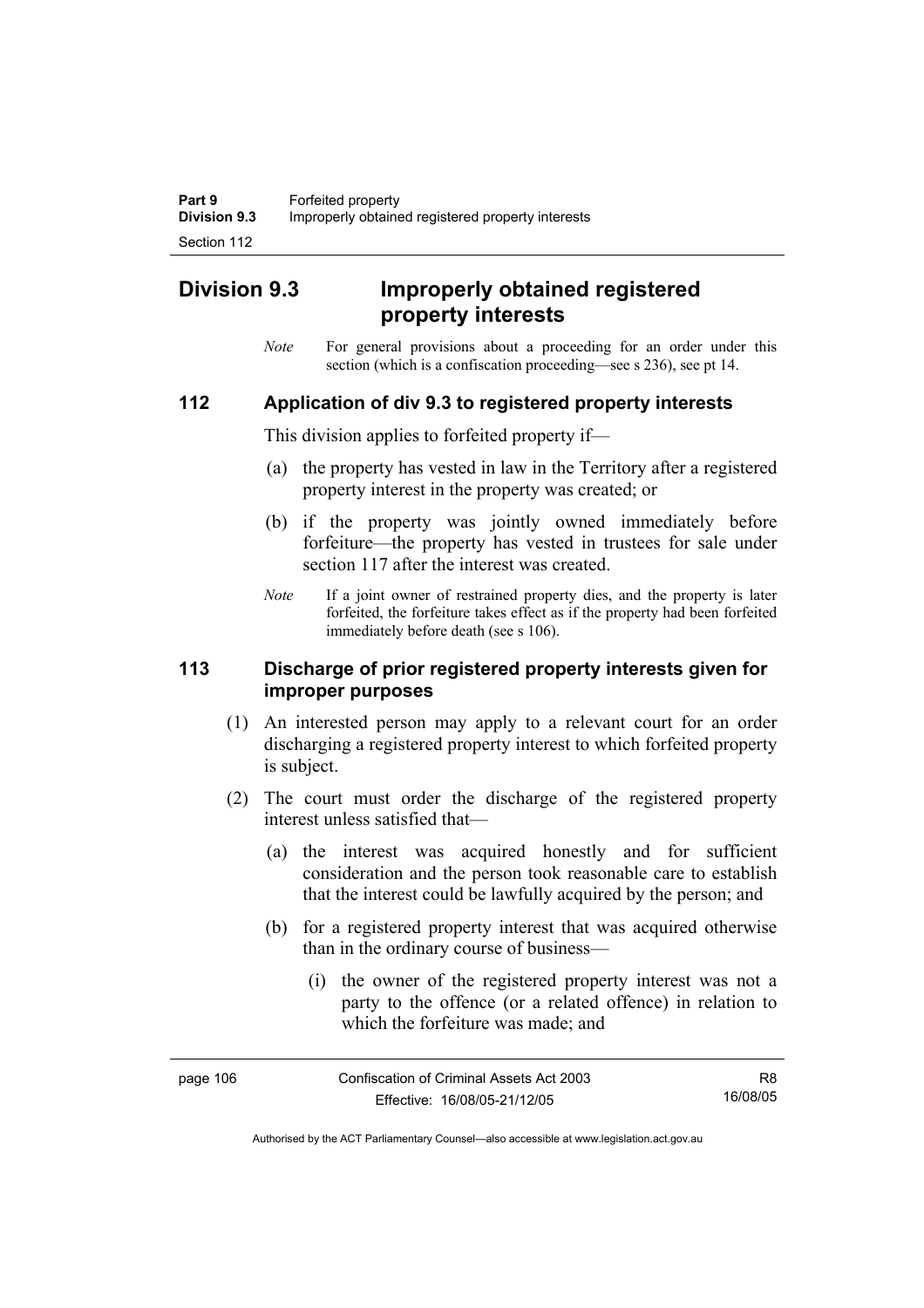# **Division 9.3 Improperly obtained registered property interests**

*Note* For general provisions about a proceeding for an order under this section (which is a confiscation proceeding—see s 236), see pt 14.

### **112 Application of div 9.3 to registered property interests**

This division applies to forfeited property if—

- (a) the property has vested in law in the Territory after a registered property interest in the property was created; or
- (b) if the property was jointly owned immediately before forfeiture—the property has vested in trustees for sale under section 117 after the interest was created.
- *Note* If a joint owner of restrained property dies, and the property is later forfeited, the forfeiture takes effect as if the property had been forfeited immediately before death (see s 106).

### **113 Discharge of prior registered property interests given for improper purposes**

- (1) An interested person may apply to a relevant court for an order discharging a registered property interest to which forfeited property is subject.
- (2) The court must order the discharge of the registered property interest unless satisfied that—
	- (a) the interest was acquired honestly and for sufficient consideration and the person took reasonable care to establish that the interest could be lawfully acquired by the person; and
	- (b) for a registered property interest that was acquired otherwise than in the ordinary course of business—
		- (i) the owner of the registered property interest was not a party to the offence (or a related offence) in relation to which the forfeiture was made; and

| page 106 | Confiscation of Criminal Assets Act 2003 | R8.      |
|----------|------------------------------------------|----------|
|          | Effective: 16/08/05-21/12/05             | 16/08/05 |

Authorised by the ACT Parliamentary Counsel—also accessible at www.legislation.act.gov.au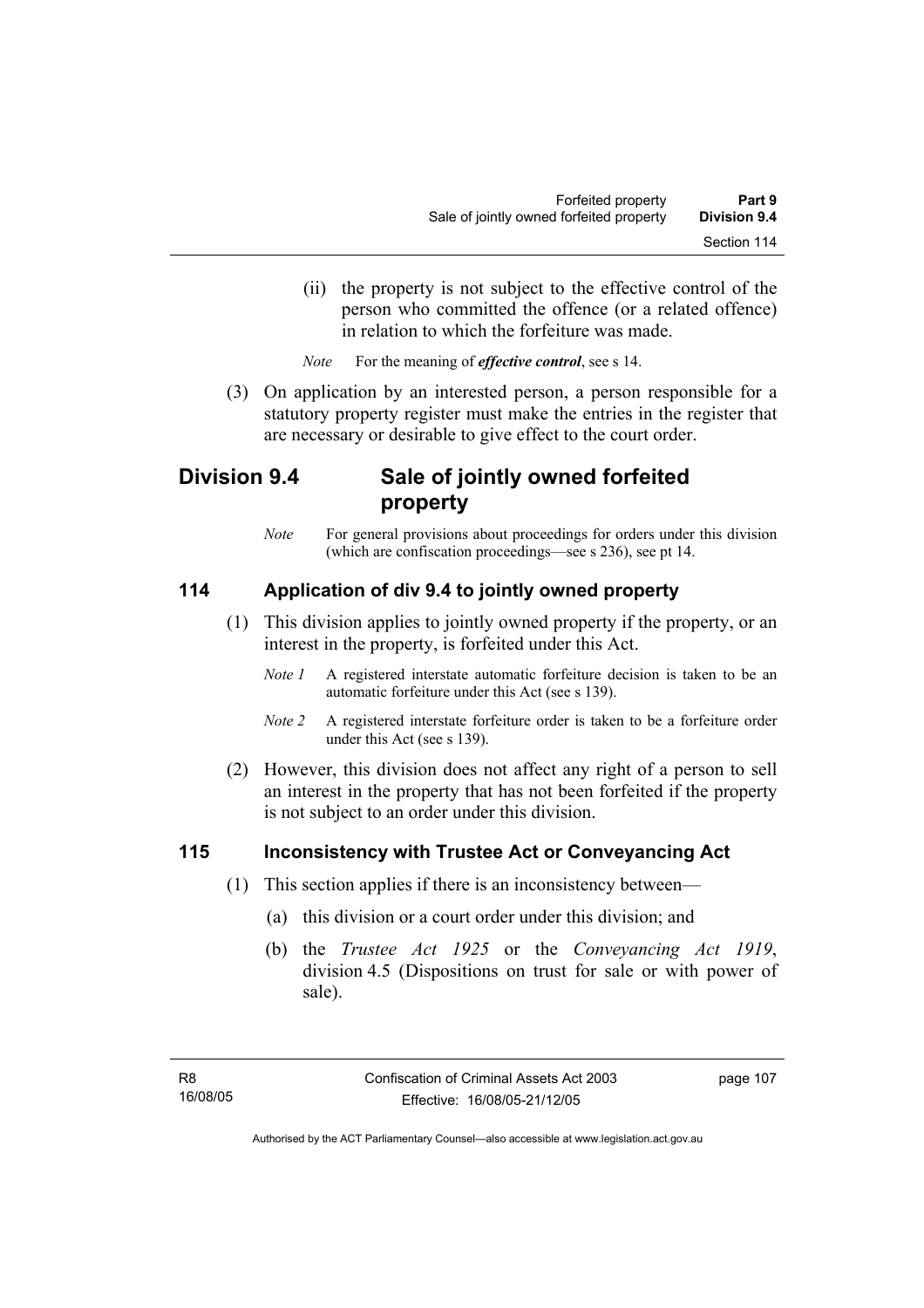(ii) the property is not subject to the effective control of the person who committed the offence (or a related offence) in relation to which the forfeiture was made.

*Note* For the meaning of *effective control*, see s 14.

 (3) On application by an interested person, a person responsible for a statutory property register must make the entries in the register that are necessary or desirable to give effect to the court order.

# **Division 9.4 Sale of jointly owned forfeited property**

*Note* For general provisions about proceedings for orders under this division (which are confiscation proceedings—see s 236), see pt 14.

# **114 Application of div 9.4 to jointly owned property**

- (1) This division applies to jointly owned property if the property, or an interest in the property, is forfeited under this Act.
	- *Note 1* A registered interstate automatic forfeiture decision is taken to be an automatic forfeiture under this Act (see s 139).
	- *Note 2* A registered interstate forfeiture order is taken to be a forfeiture order under this Act (see s 139).
- (2) However, this division does not affect any right of a person to sell an interest in the property that has not been forfeited if the property is not subject to an order under this division.

## **115 Inconsistency with Trustee Act or Conveyancing Act**

- (1) This section applies if there is an inconsistency between—
	- (a) this division or a court order under this division; and
	- (b) the *Trustee Act 1925* or the *Conveyancing Act 1919*, division 4.5 (Dispositions on trust for sale or with power of sale).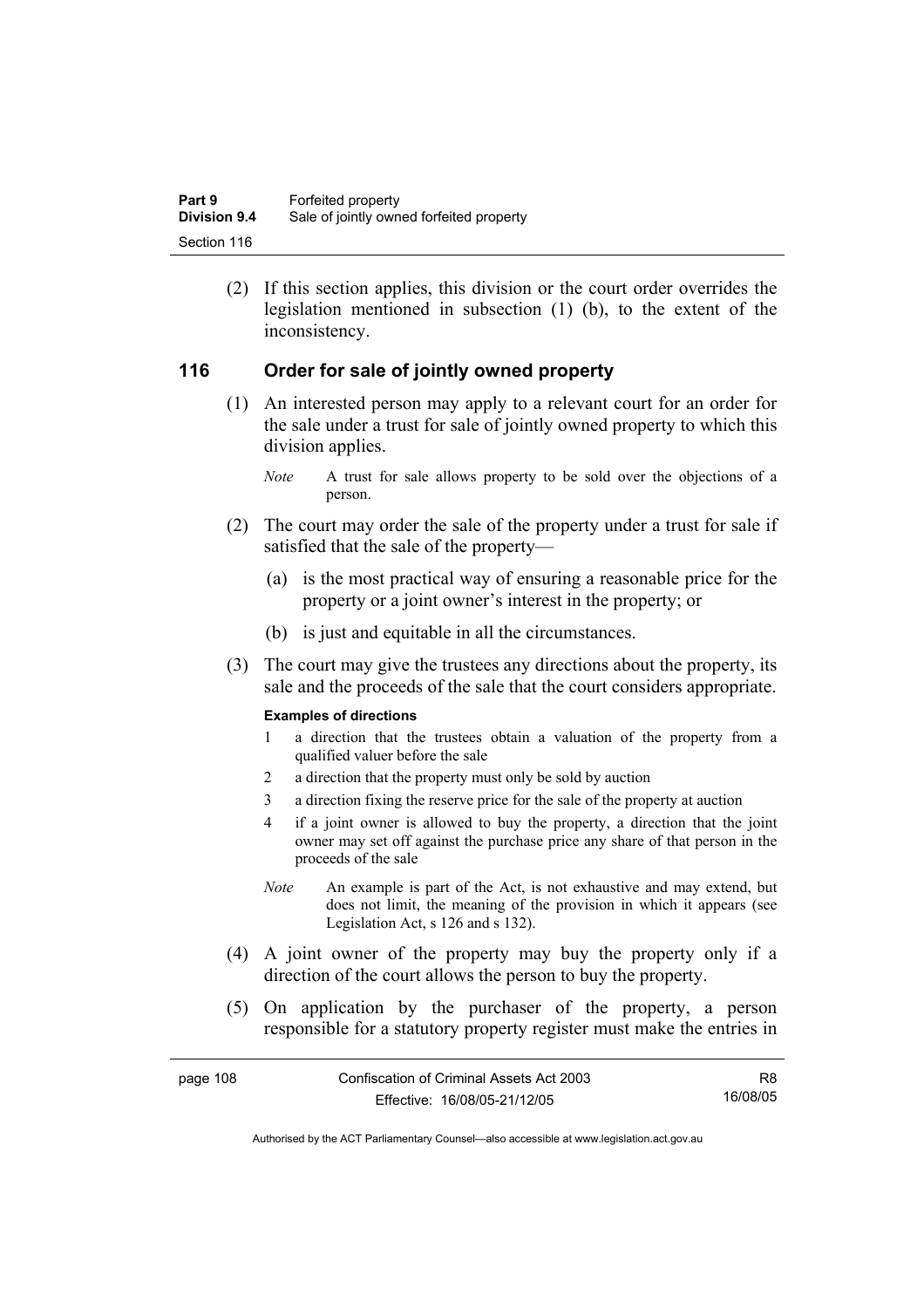(2) If this section applies, this division or the court order overrides the legislation mentioned in subsection (1) (b), to the extent of the inconsistency.

## **116 Order for sale of jointly owned property**

- (1) An interested person may apply to a relevant court for an order for the sale under a trust for sale of jointly owned property to which this division applies.
	- *Note* A trust for sale allows property to be sold over the objections of a person.
- (2) The court may order the sale of the property under a trust for sale if satisfied that the sale of the property—
	- (a) is the most practical way of ensuring a reasonable price for the property or a joint owner's interest in the property; or
	- (b) is just and equitable in all the circumstances.
- (3) The court may give the trustees any directions about the property, its sale and the proceeds of the sale that the court considers appropriate.

### **Examples of directions**

- 1 a direction that the trustees obtain a valuation of the property from a qualified valuer before the sale
- 2 a direction that the property must only be sold by auction
- 3 a direction fixing the reserve price for the sale of the property at auction
- 4 if a joint owner is allowed to buy the property, a direction that the joint owner may set off against the purchase price any share of that person in the proceeds of the sale
- *Note* An example is part of the Act, is not exhaustive and may extend, but does not limit, the meaning of the provision in which it appears (see Legislation Act, s 126 and s 132).
- (4) A joint owner of the property may buy the property only if a direction of the court allows the person to buy the property.
- (5) On application by the purchaser of the property, a person responsible for a statutory property register must make the entries in

| page 108 | Confiscation of Criminal Assets Act 2003 | R8       |
|----------|------------------------------------------|----------|
|          | Effective: 16/08/05-21/12/05             | 16/08/05 |

Authorised by the ACT Parliamentary Counsel—also accessible at www.legislation.act.gov.au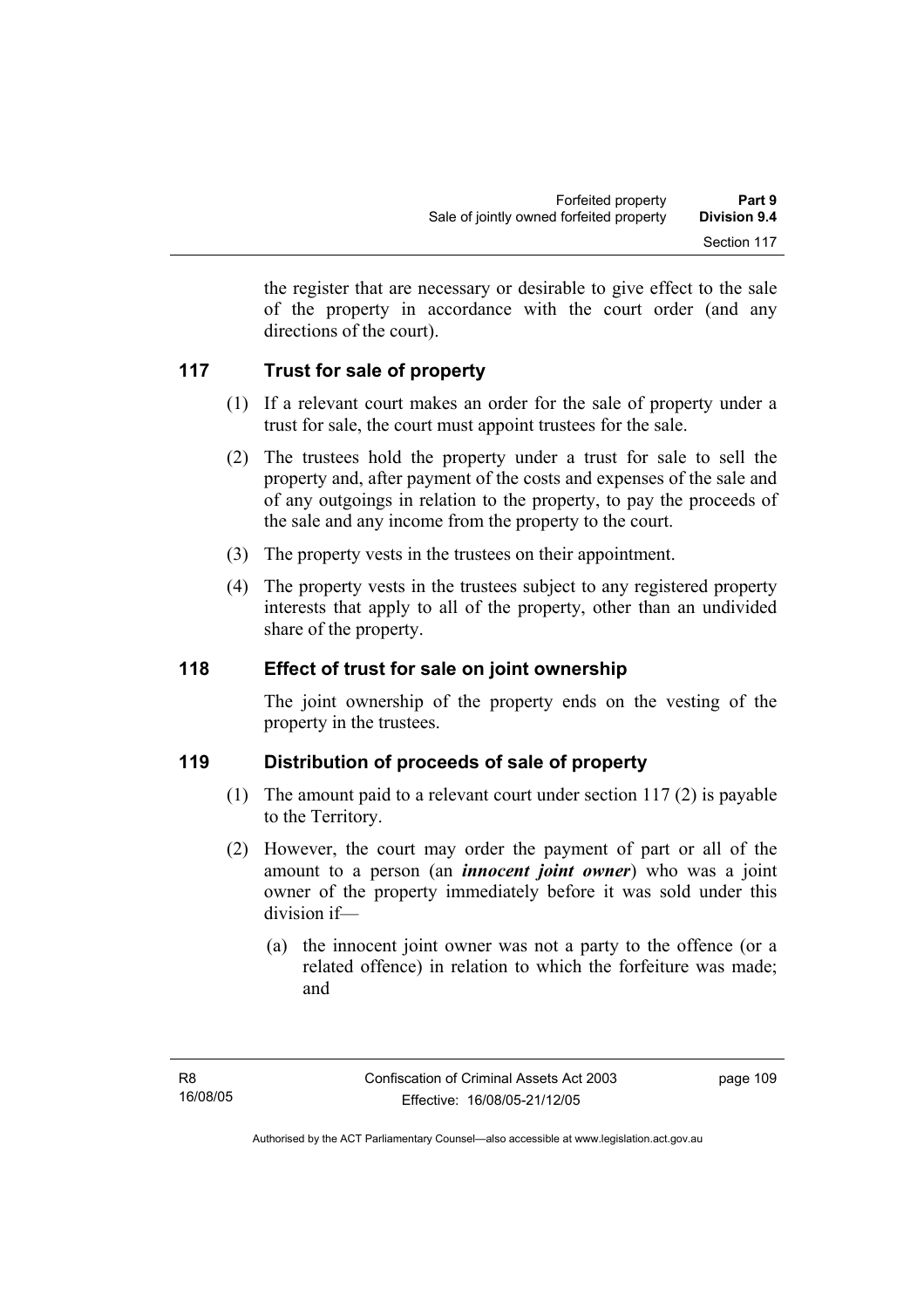the register that are necessary or desirable to give effect to the sale of the property in accordance with the court order (and any directions of the court).

# **117 Trust for sale of property**

- (1) If a relevant court makes an order for the sale of property under a trust for sale, the court must appoint trustees for the sale.
- (2) The trustees hold the property under a trust for sale to sell the property and, after payment of the costs and expenses of the sale and of any outgoings in relation to the property, to pay the proceeds of the sale and any income from the property to the court.
- (3) The property vests in the trustees on their appointment.
- (4) The property vests in the trustees subject to any registered property interests that apply to all of the property, other than an undivided share of the property.

## **118 Effect of trust for sale on joint ownership**

The joint ownership of the property ends on the vesting of the property in the trustees.

## **119 Distribution of proceeds of sale of property**

- (1) The amount paid to a relevant court under section 117 (2) is payable to the Territory.
- (2) However, the court may order the payment of part or all of the amount to a person (an *innocent joint owner*) who was a joint owner of the property immediately before it was sold under this division if—
	- (a) the innocent joint owner was not a party to the offence (or a related offence) in relation to which the forfeiture was made; and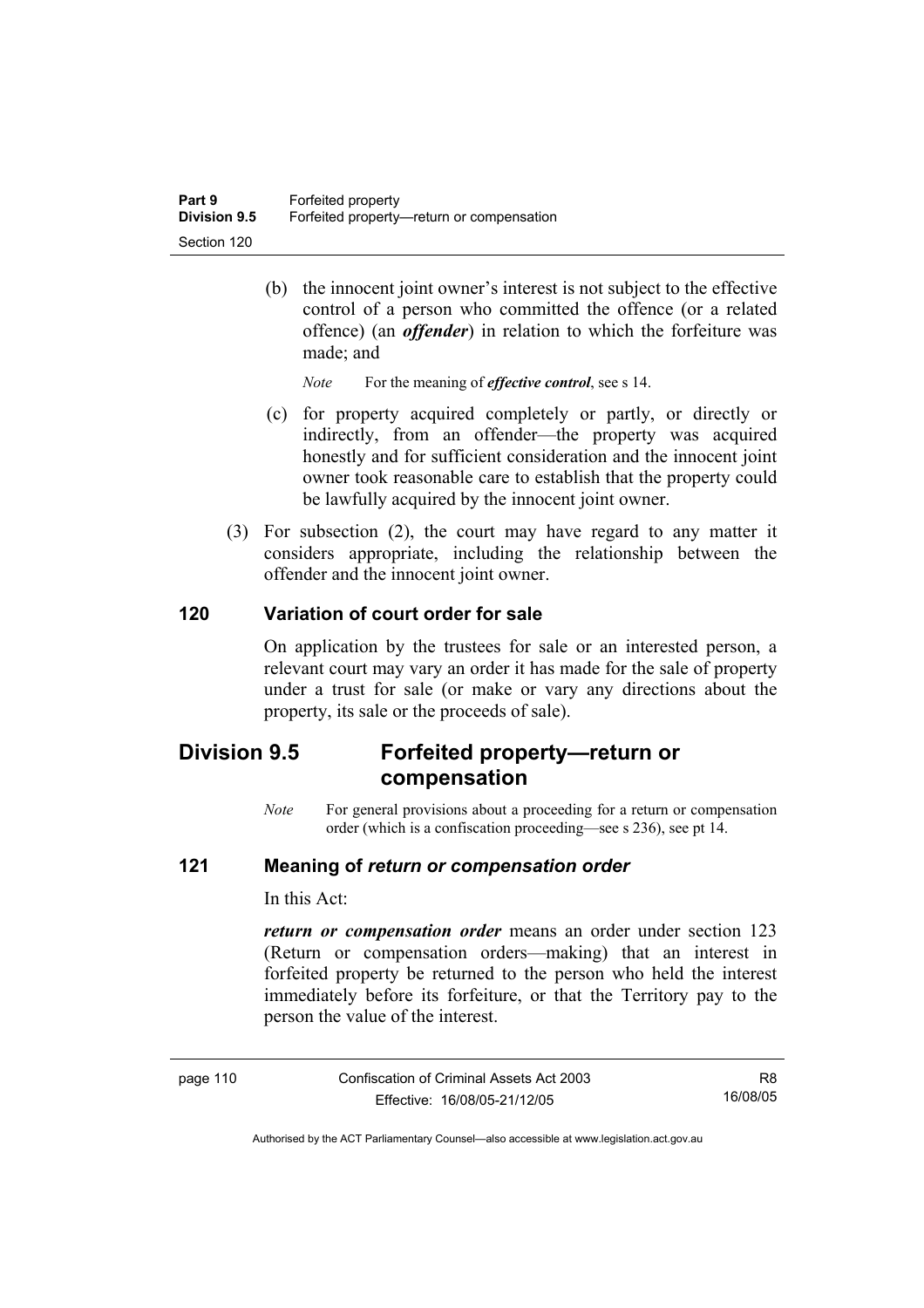(b) the innocent joint owner's interest is not subject to the effective control of a person who committed the offence (or a related offence) (an *offender*) in relation to which the forfeiture was made; and

*Note* For the meaning of *effective control*, see s 14.

- (c) for property acquired completely or partly, or directly or indirectly, from an offender—the property was acquired honestly and for sufficient consideration and the innocent joint owner took reasonable care to establish that the property could be lawfully acquired by the innocent joint owner.
- (3) For subsection (2), the court may have regard to any matter it considers appropriate, including the relationship between the offender and the innocent joint owner.

## **120 Variation of court order for sale**

On application by the trustees for sale or an interested person, a relevant court may vary an order it has made for the sale of property under a trust for sale (or make or vary any directions about the property, its sale or the proceeds of sale).

# **Division 9.5 Forfeited property—return or compensation**

*Note* For general provisions about a proceeding for a return or compensation order (which is a confiscation proceeding—see s 236), see pt 14.

### **121 Meaning of** *return or compensation order*

In this Act:

*return or compensation order* means an order under section 123 (Return or compensation orders—making) that an interest in forfeited property be returned to the person who held the interest immediately before its forfeiture, or that the Territory pay to the person the value of the interest.

| page |
|------|
|------|

Confiscation of Criminal Assets Act 2003 Effective: 16/08/05-21/12/05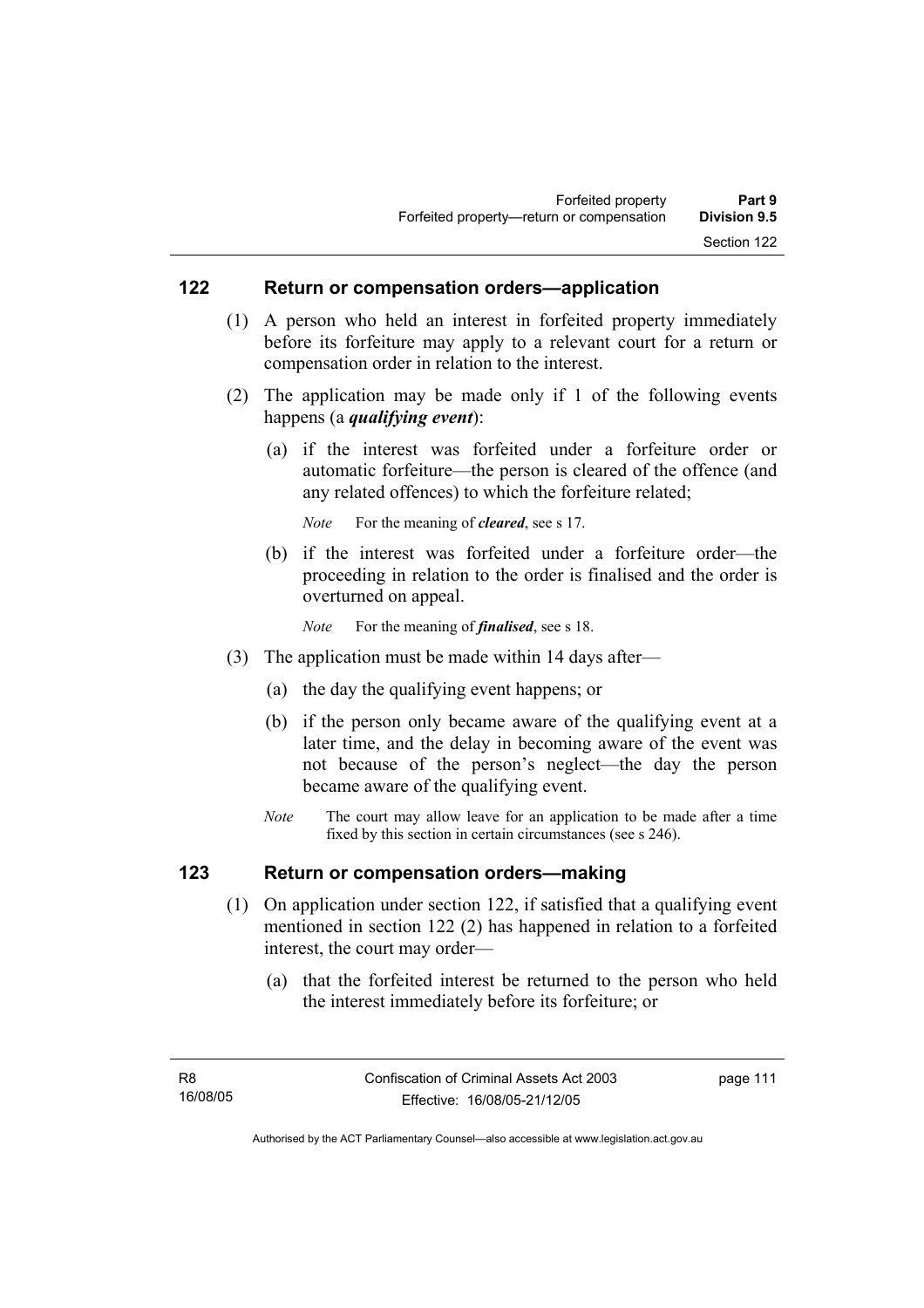### **122 Return or compensation orders—application**

- (1) A person who held an interest in forfeited property immediately before its forfeiture may apply to a relevant court for a return or compensation order in relation to the interest.
- (2) The application may be made only if 1 of the following events happens (a *qualifying event*):
	- (a) if the interest was forfeited under a forfeiture order or automatic forfeiture—the person is cleared of the offence (and any related offences) to which the forfeiture related;

*Note* For the meaning of *cleared*, see s 17.

- (b) if the interest was forfeited under a forfeiture order—the proceeding in relation to the order is finalised and the order is overturned on appeal.
	- *Note* For the meaning of *finalised*, see s 18.
- (3) The application must be made within 14 days after—
	- (a) the day the qualifying event happens; or
	- (b) if the person only became aware of the qualifying event at a later time, and the delay in becoming aware of the event was not because of the person's neglect—the day the person became aware of the qualifying event.
	- *Note* The court may allow leave for an application to be made after a time fixed by this section in certain circumstances (see s 246).

### **123 Return or compensation orders—making**

- (1) On application under section 122, if satisfied that a qualifying event mentioned in section 122 (2) has happened in relation to a forfeited interest, the court may order—
	- (a) that the forfeited interest be returned to the person who held the interest immediately before its forfeiture; or

page 111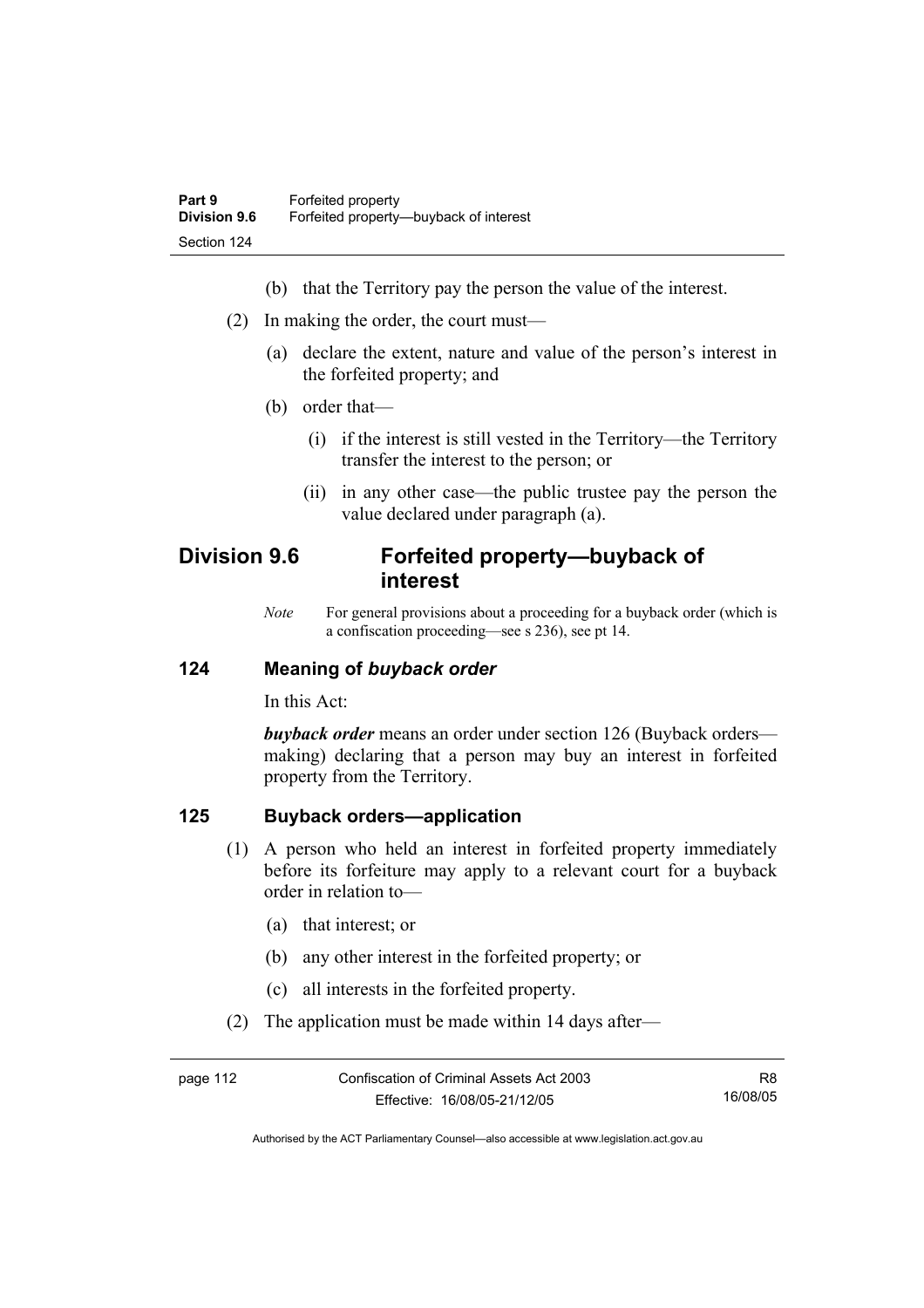- (b) that the Territory pay the person the value of the interest.
- (2) In making the order, the court must—
	- (a) declare the extent, nature and value of the person's interest in the forfeited property; and
	- (b) order that—
		- (i) if the interest is still vested in the Territory—the Territory transfer the interest to the person; or
		- (ii) in any other case—the public trustee pay the person the value declared under paragraph (a).

# **Division 9.6 Forfeited property—buyback of interest**

*Note* For general provisions about a proceeding for a buyback order (which is a confiscation proceeding—see s 236), see pt 14.

### **124 Meaning of** *buyback order*

In this Act:

*buyback order* means an order under section 126 (Buyback orders making) declaring that a person may buy an interest in forfeited property from the Territory.

### **125 Buyback orders—application**

- (1) A person who held an interest in forfeited property immediately before its forfeiture may apply to a relevant court for a buyback order in relation to—
	- (a) that interest; or
	- (b) any other interest in the forfeited property; or
	- (c) all interests in the forfeited property.
- (2) The application must be made within 14 days after—

| page 112 | Confiscation of Criminal Assets Act 2003 | R8       |
|----------|------------------------------------------|----------|
|          | Effective: 16/08/05-21/12/05             | 16/08/05 |

Authorised by the ACT Parliamentary Counsel—also accessible at www.legislation.act.gov.au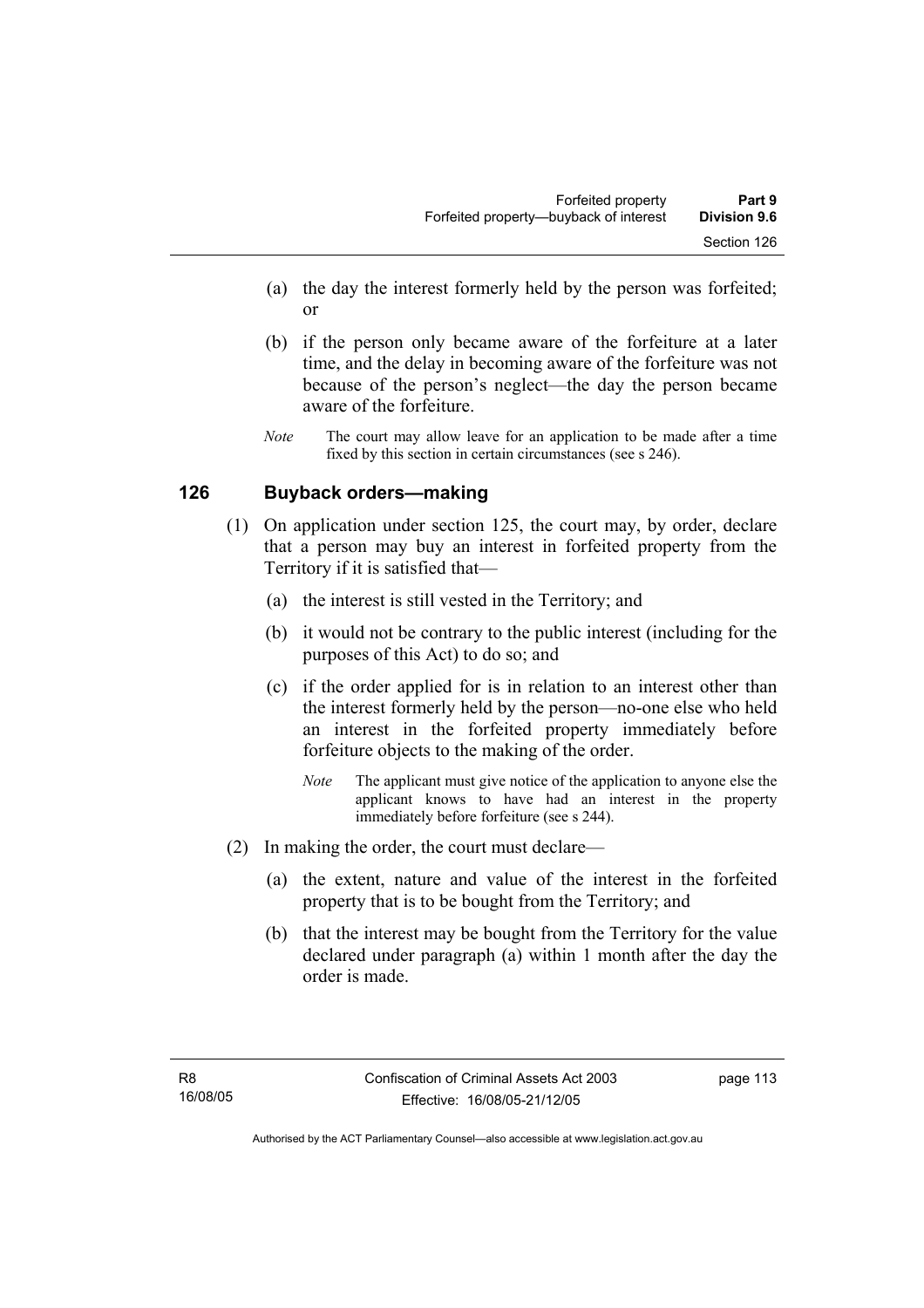- (a) the day the interest formerly held by the person was forfeited; or
- (b) if the person only became aware of the forfeiture at a later time, and the delay in becoming aware of the forfeiture was not because of the person's neglect—the day the person became aware of the forfeiture.
- *Note* The court may allow leave for an application to be made after a time fixed by this section in certain circumstances (see s 246).

## **126 Buyback orders—making**

- (1) On application under section 125, the court may, by order, declare that a person may buy an interest in forfeited property from the Territory if it is satisfied that—
	- (a) the interest is still vested in the Territory; and
	- (b) it would not be contrary to the public interest (including for the purposes of this Act) to do so; and
	- (c) if the order applied for is in relation to an interest other than the interest formerly held by the person—no-one else who held an interest in the forfeited property immediately before forfeiture objects to the making of the order.
		- *Note* The applicant must give notice of the application to anyone else the applicant knows to have had an interest in the property immediately before forfeiture (see s 244).
- (2) In making the order, the court must declare—
	- (a) the extent, nature and value of the interest in the forfeited property that is to be bought from the Territory; and
	- (b) that the interest may be bought from the Territory for the value declared under paragraph (a) within 1 month after the day the order is made.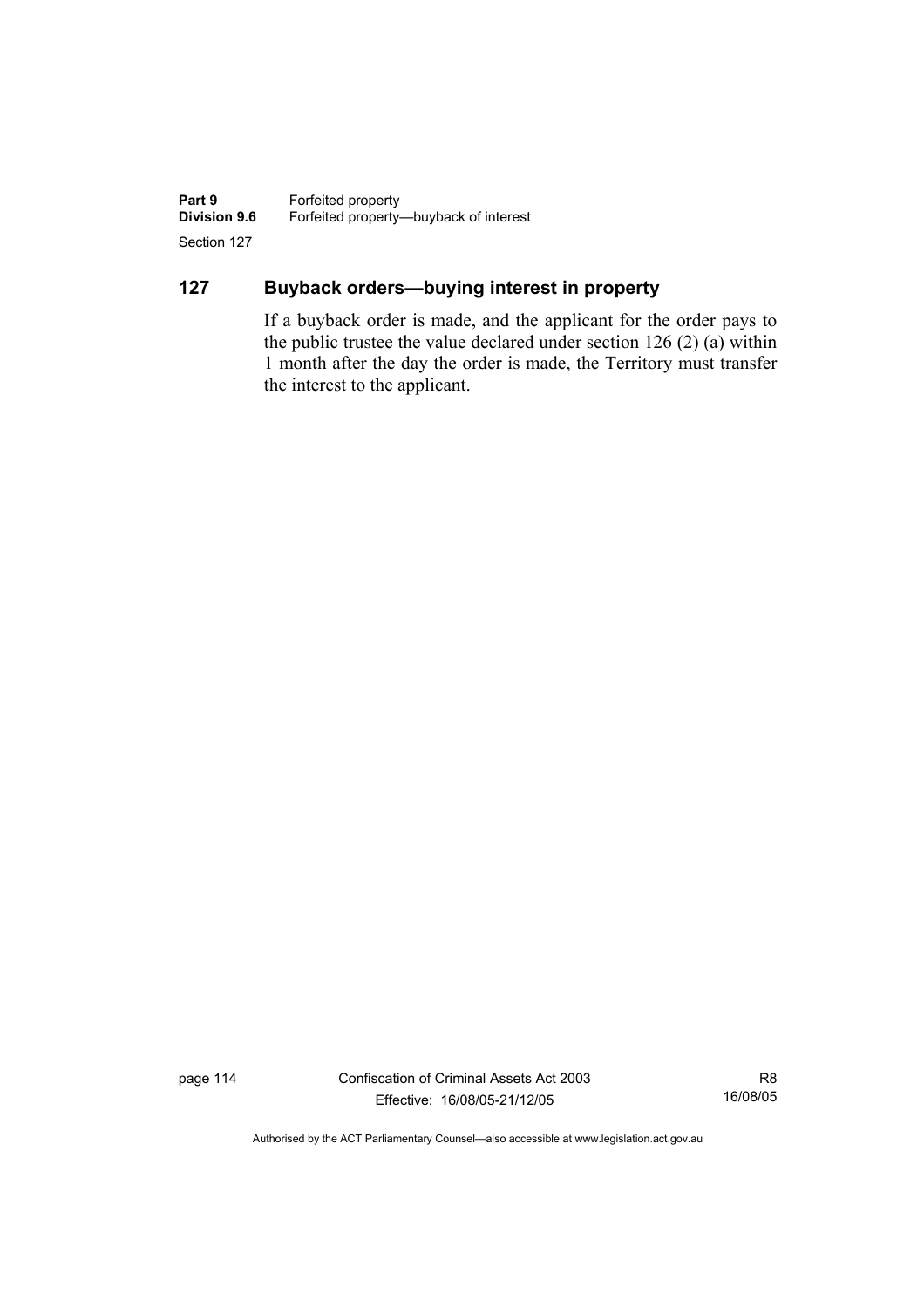**Part 9 Forfeited property**<br>**Division 9.6 Forfeited property-Division 9.6** Forfeited property—buyback of interest Section 127

# **127 Buyback orders—buying interest in property**

If a buyback order is made, and the applicant for the order pays to the public trustee the value declared under section 126 (2) (a) within 1 month after the day the order is made, the Territory must transfer the interest to the applicant.

page 114 Confiscation of Criminal Assets Act 2003 Effective: 16/08/05-21/12/05

R8 16/08/05

Authorised by the ACT Parliamentary Counsel—also accessible at www.legislation.act.gov.au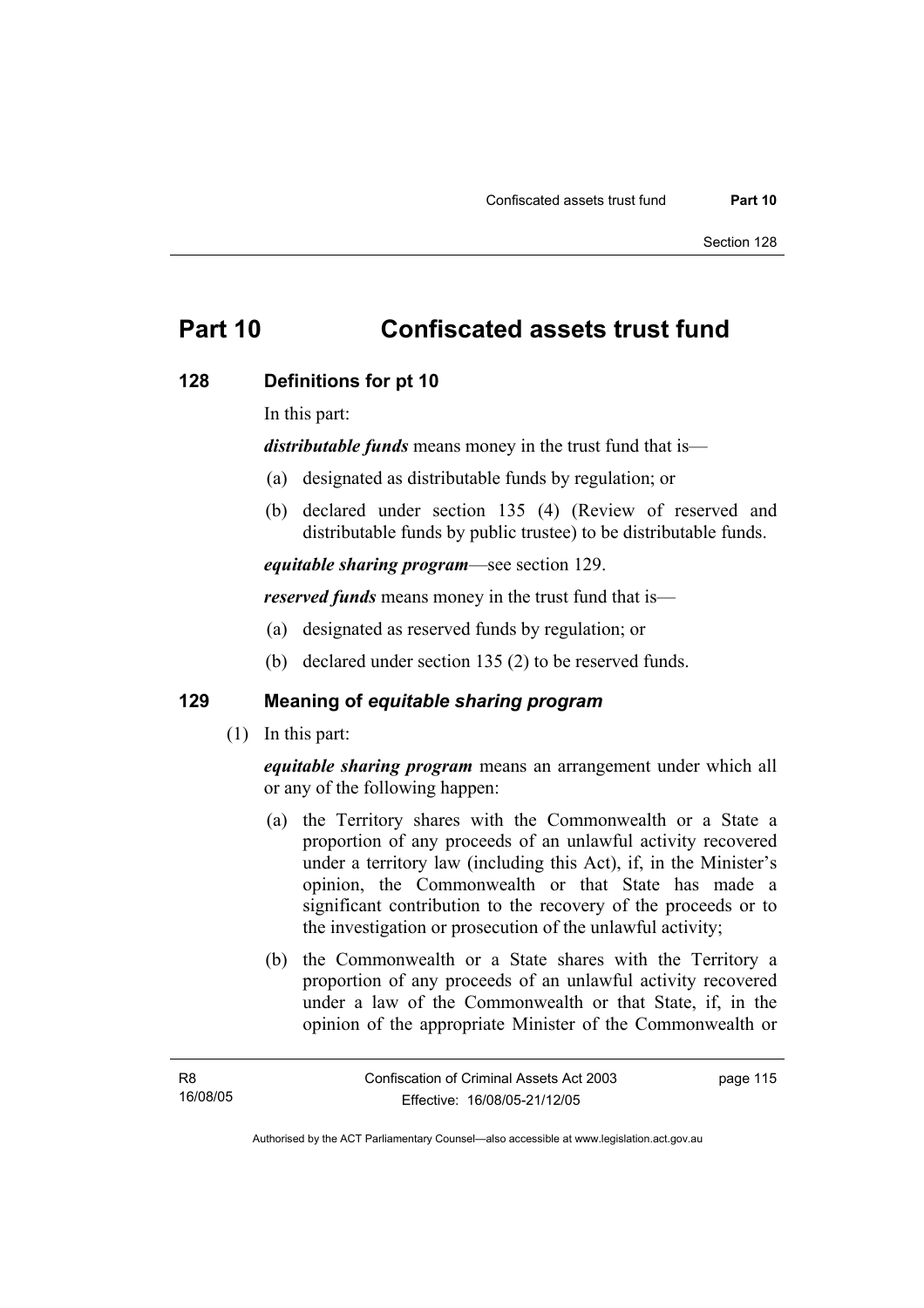# **Part 10 Confiscated assets trust fund**

### **128 Definitions for pt 10**

In this part:

*distributable funds* means money in the trust fund that is—

- (a) designated as distributable funds by regulation; or
- (b) declared under section 135 (4) (Review of reserved and distributable funds by public trustee) to be distributable funds.

*equitable sharing program*—see section 129.

*reserved funds* means money in the trust fund that is—

- (a) designated as reserved funds by regulation; or
- (b) declared under section 135 (2) to be reserved funds.

## **129 Meaning of** *equitable sharing program*

(1) In this part:

*equitable sharing program* means an arrangement under which all or any of the following happen:

- (a) the Territory shares with the Commonwealth or a State a proportion of any proceeds of an unlawful activity recovered under a territory law (including this Act), if, in the Minister's opinion, the Commonwealth or that State has made a significant contribution to the recovery of the proceeds or to the investigation or prosecution of the unlawful activity;
- (b) the Commonwealth or a State shares with the Territory a proportion of any proceeds of an unlawful activity recovered under a law of the Commonwealth or that State, if, in the opinion of the appropriate Minister of the Commonwealth or

page 115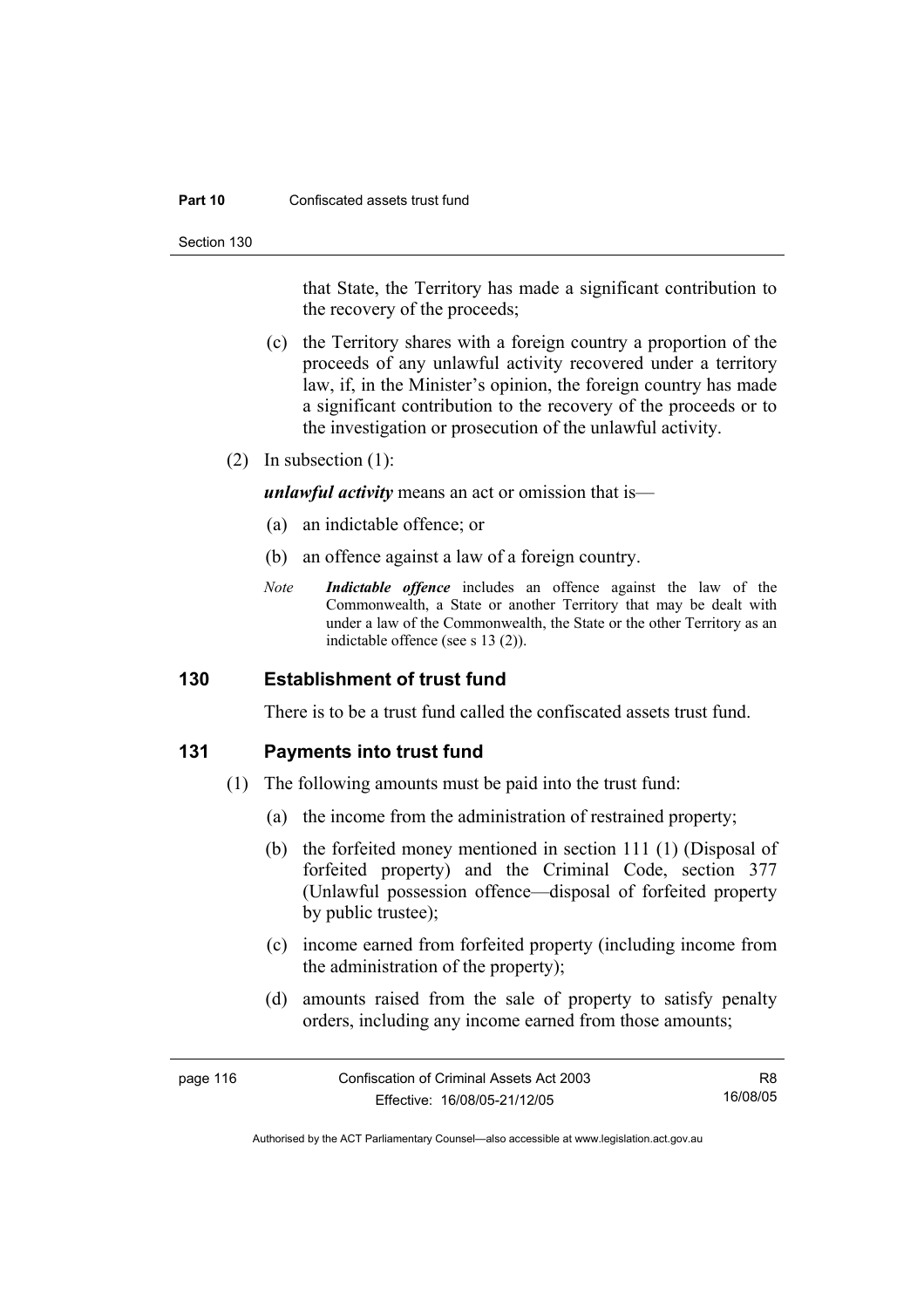#### **Part 10** Confiscated assets trust fund

Section 130

that State, the Territory has made a significant contribution to the recovery of the proceeds;

- (c) the Territory shares with a foreign country a proportion of the proceeds of any unlawful activity recovered under a territory law, if, in the Minister's opinion, the foreign country has made a significant contribution to the recovery of the proceeds or to the investigation or prosecution of the unlawful activity.
- (2) In subsection (1):

*unlawful activity* means an act or omission that is—

- (a) an indictable offence; or
- (b) an offence against a law of a foreign country.
- *Note Indictable offence* includes an offence against the law of the Commonwealth, a State or another Territory that may be dealt with under a law of the Commonwealth, the State or the other Territory as an indictable offence (see s 13 (2)).

### **130 Establishment of trust fund**

There is to be a trust fund called the confiscated assets trust fund.

### **131 Payments into trust fund**

- (1) The following amounts must be paid into the trust fund:
	- (a) the income from the administration of restrained property;
	- (b) the forfeited money mentioned in section 111 (1) (Disposal of forfeited property) and the Criminal Code, section 377 (Unlawful possession offence—disposal of forfeited property by public trustee);
	- (c) income earned from forfeited property (including income from the administration of the property);
	- (d) amounts raised from the sale of property to satisfy penalty orders, including any income earned from those amounts;

| page 116 | Confiscation of Criminal Assets Act 2003 | R8       |
|----------|------------------------------------------|----------|
|          | Effective: 16/08/05-21/12/05             | 16/08/05 |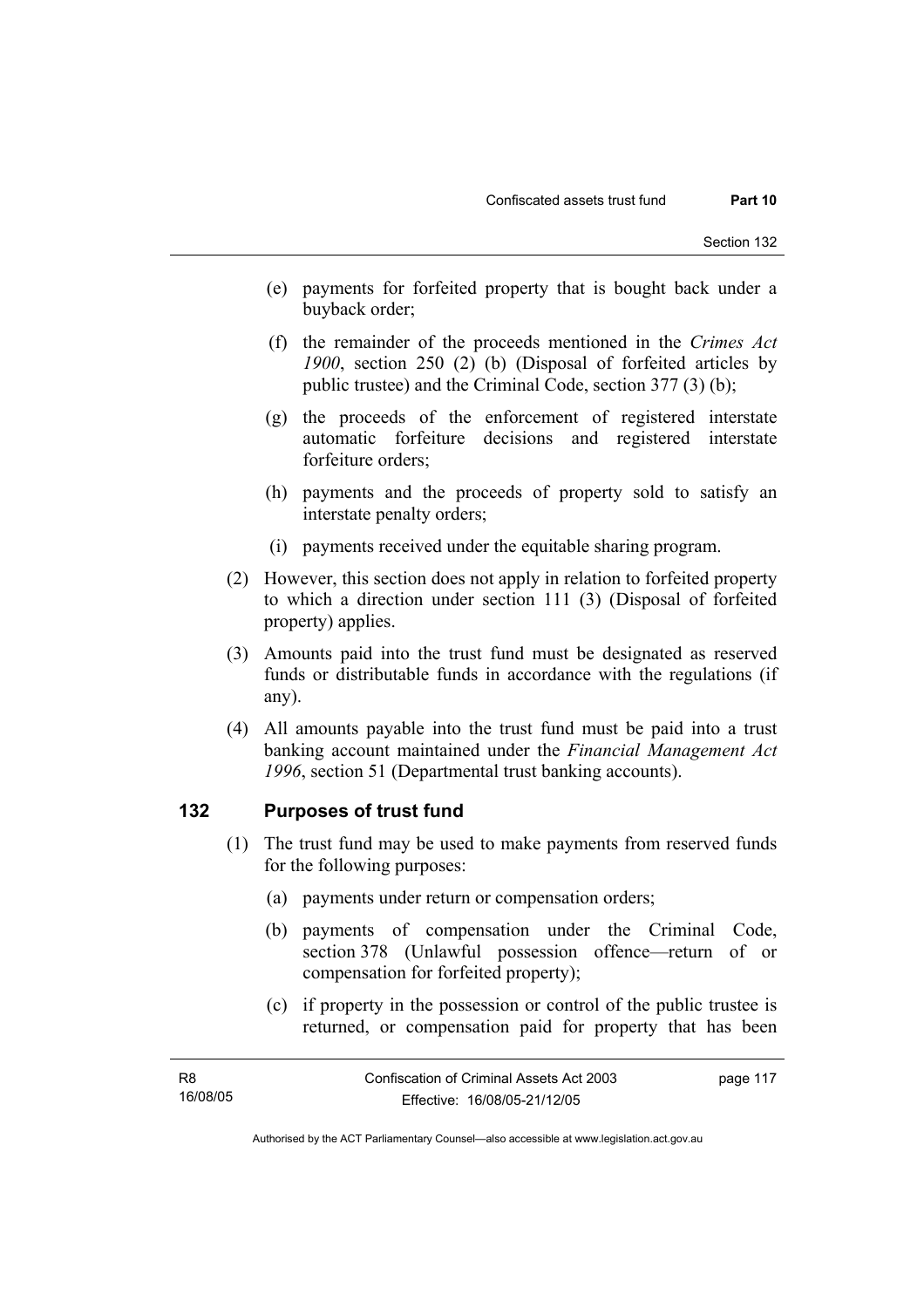- (e) payments for forfeited property that is bought back under a buyback order;
- (f) the remainder of the proceeds mentioned in the *Crimes Act 1900*, section 250 (2) (b) (Disposal of forfeited articles by public trustee) and the Criminal Code, section 377 (3) (b);
- (g) the proceeds of the enforcement of registered interstate automatic forfeiture decisions and registered interstate forfeiture orders;
- (h) payments and the proceeds of property sold to satisfy an interstate penalty orders;
- (i) payments received under the equitable sharing program.
- (2) However, this section does not apply in relation to forfeited property to which a direction under section 111 (3) (Disposal of forfeited property) applies.
- (3) Amounts paid into the trust fund must be designated as reserved funds or distributable funds in accordance with the regulations (if any).
- (4) All amounts payable into the trust fund must be paid into a trust banking account maintained under the *Financial Management Act 1996*, section 51 (Departmental trust banking accounts).

### **132 Purposes of trust fund**

- (1) The trust fund may be used to make payments from reserved funds for the following purposes:
	- (a) payments under return or compensation orders;
	- (b) payments of compensation under the Criminal Code, section 378 (Unlawful possession offence—return of or compensation for forfeited property);
	- (c) if property in the possession or control of the public trustee is returned, or compensation paid for property that has been

| - R8     | Confiscation of Criminal Assets Act 2003 | page 117 |
|----------|------------------------------------------|----------|
| 16/08/05 | Effective: 16/08/05-21/12/05             |          |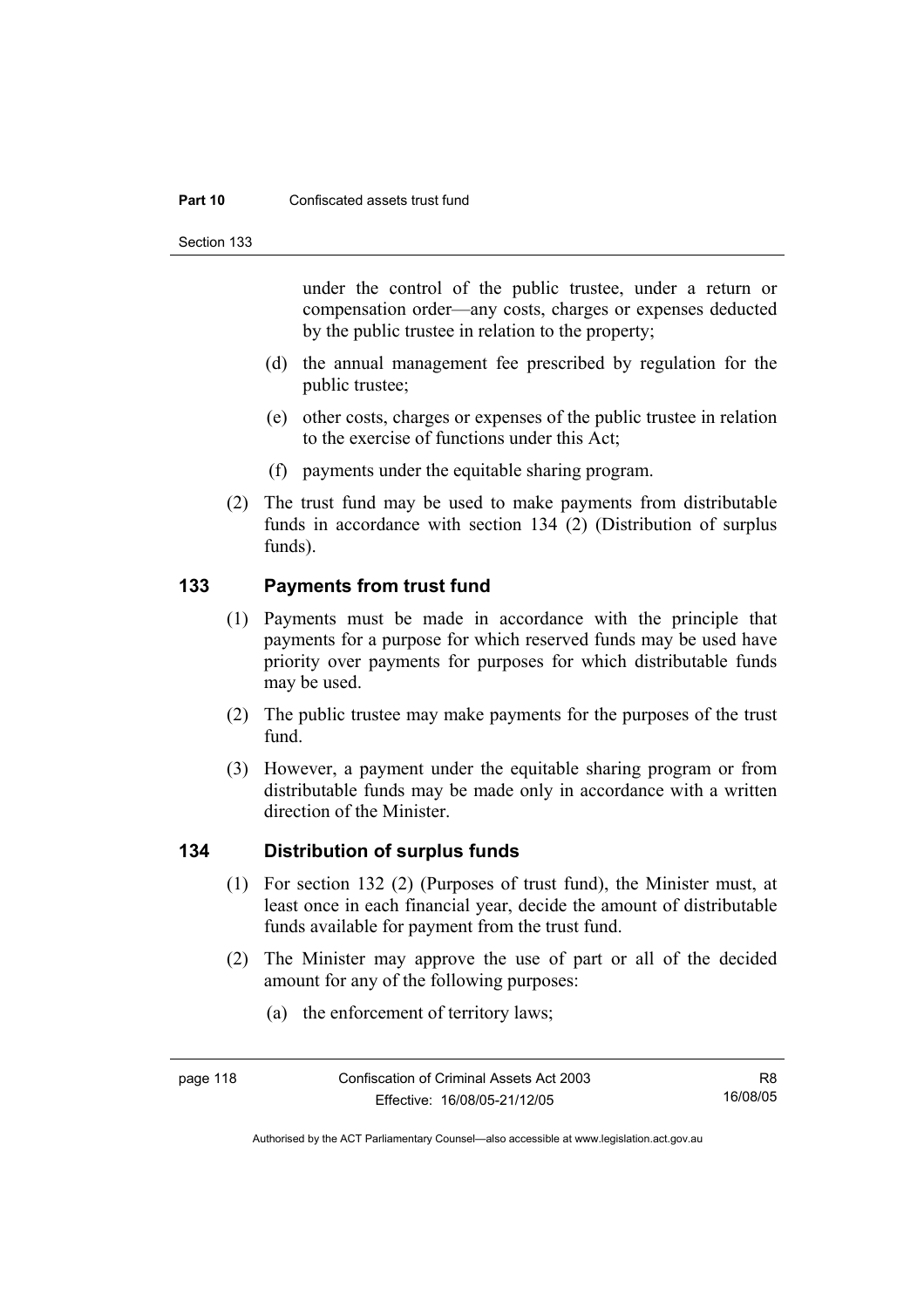#### **Part 10** Confiscated assets trust fund

Section 133

under the control of the public trustee, under a return or compensation order—any costs, charges or expenses deducted by the public trustee in relation to the property;

- (d) the annual management fee prescribed by regulation for the public trustee;
- (e) other costs, charges or expenses of the public trustee in relation to the exercise of functions under this Act;
- (f) payments under the equitable sharing program.
- (2) The trust fund may be used to make payments from distributable funds in accordance with section 134 (2) (Distribution of surplus funds).

## **133 Payments from trust fund**

- (1) Payments must be made in accordance with the principle that payments for a purpose for which reserved funds may be used have priority over payments for purposes for which distributable funds may be used.
- (2) The public trustee may make payments for the purposes of the trust fund.
- (3) However, a payment under the equitable sharing program or from distributable funds may be made only in accordance with a written direction of the Minister.

### **134 Distribution of surplus funds**

- (1) For section 132 (2) (Purposes of trust fund), the Minister must, at least once in each financial year, decide the amount of distributable funds available for payment from the trust fund.
- (2) The Minister may approve the use of part or all of the decided amount for any of the following purposes:
	- (a) the enforcement of territory laws;

Authorised by the ACT Parliamentary Counsel—also accessible at www.legislation.act.gov.au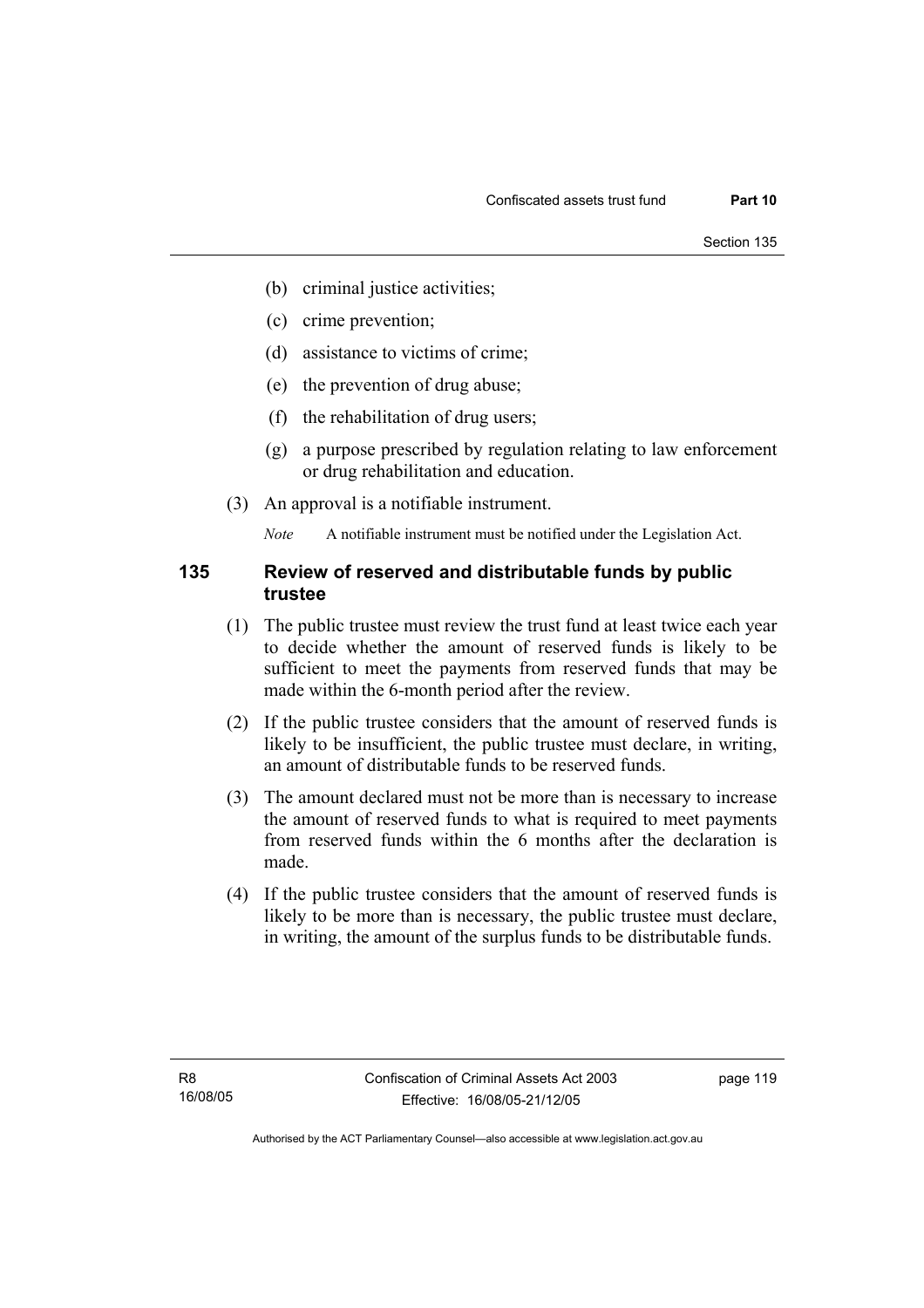- (b) criminal justice activities;
- (c) crime prevention;
- (d) assistance to victims of crime;
- (e) the prevention of drug abuse;
- (f) the rehabilitation of drug users;
- (g) a purpose prescribed by regulation relating to law enforcement or drug rehabilitation and education.
- (3) An approval is a notifiable instrument.

*Note* A notifiable instrument must be notified under the Legislation Act.

### **135 Review of reserved and distributable funds by public trustee**

- (1) The public trustee must review the trust fund at least twice each year to decide whether the amount of reserved funds is likely to be sufficient to meet the payments from reserved funds that may be made within the 6-month period after the review.
- (2) If the public trustee considers that the amount of reserved funds is likely to be insufficient, the public trustee must declare, in writing, an amount of distributable funds to be reserved funds.
- (3) The amount declared must not be more than is necessary to increase the amount of reserved funds to what is required to meet payments from reserved funds within the 6 months after the declaration is made.
- (4) If the public trustee considers that the amount of reserved funds is likely to be more than is necessary, the public trustee must declare, in writing, the amount of the surplus funds to be distributable funds.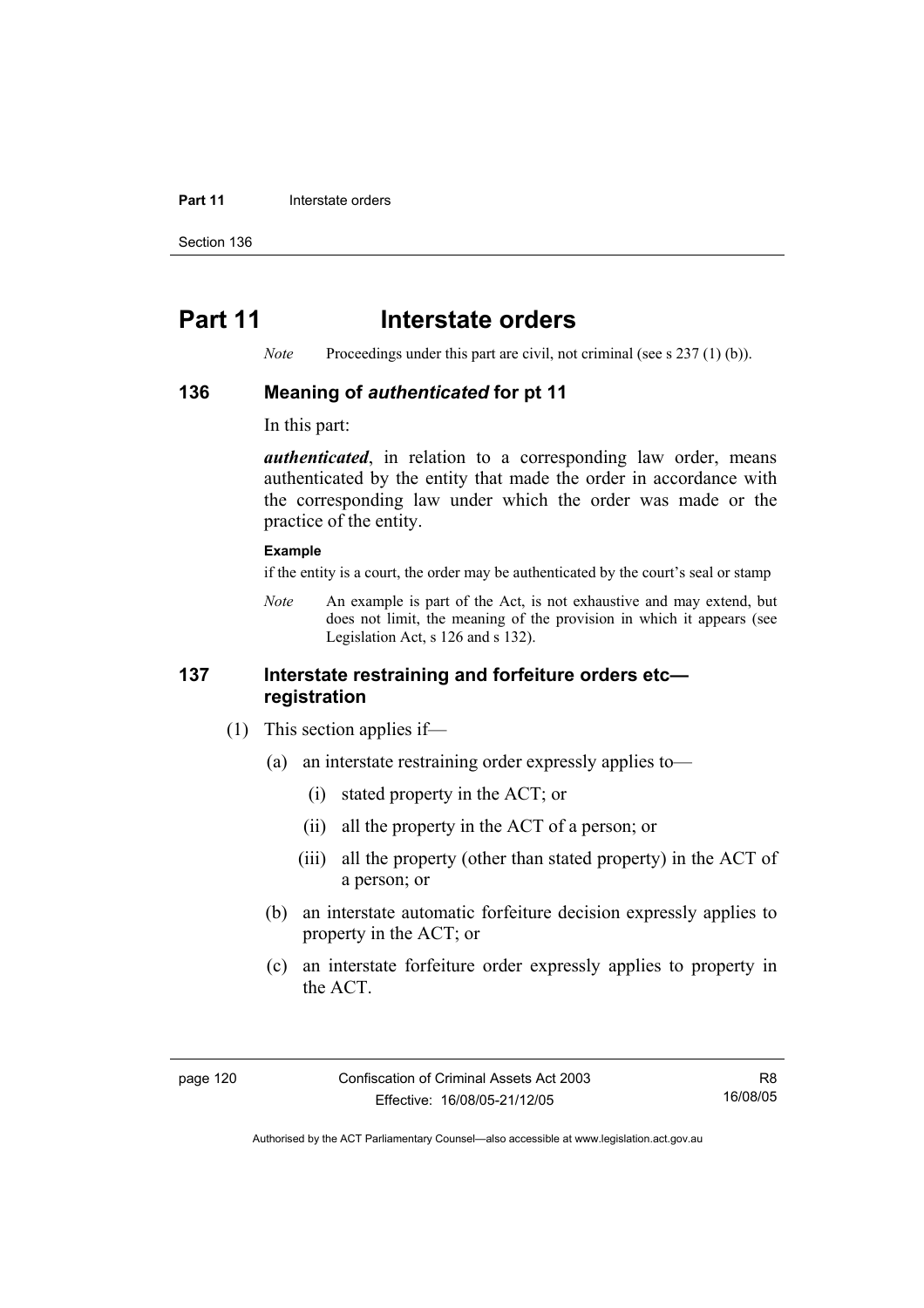#### **Part 11 Interstate orders**

Section 136

# **Part 11** Interstate orders

*Note* Proceedings under this part are civil, not criminal (see s 237 (1) (b)).

### **136 Meaning of** *authenticated* **for pt 11**

In this part:

*authenticated*, in relation to a corresponding law order, means authenticated by the entity that made the order in accordance with the corresponding law under which the order was made or the practice of the entity.

#### **Example**

if the entity is a court, the order may be authenticated by the court's seal or stamp

*Note* An example is part of the Act, is not exhaustive and may extend, but does not limit, the meaning of the provision in which it appears (see Legislation Act, s 126 and s 132).

### **137 Interstate restraining and forfeiture orders etc registration**

- (1) This section applies if—
	- (a) an interstate restraining order expressly applies to—
		- (i) stated property in the ACT; or
		- (ii) all the property in the ACT of a person; or
		- (iii) all the property (other than stated property) in the ACT of a person; or
	- (b) an interstate automatic forfeiture decision expressly applies to property in the ACT; or
	- (c) an interstate forfeiture order expressly applies to property in the ACT.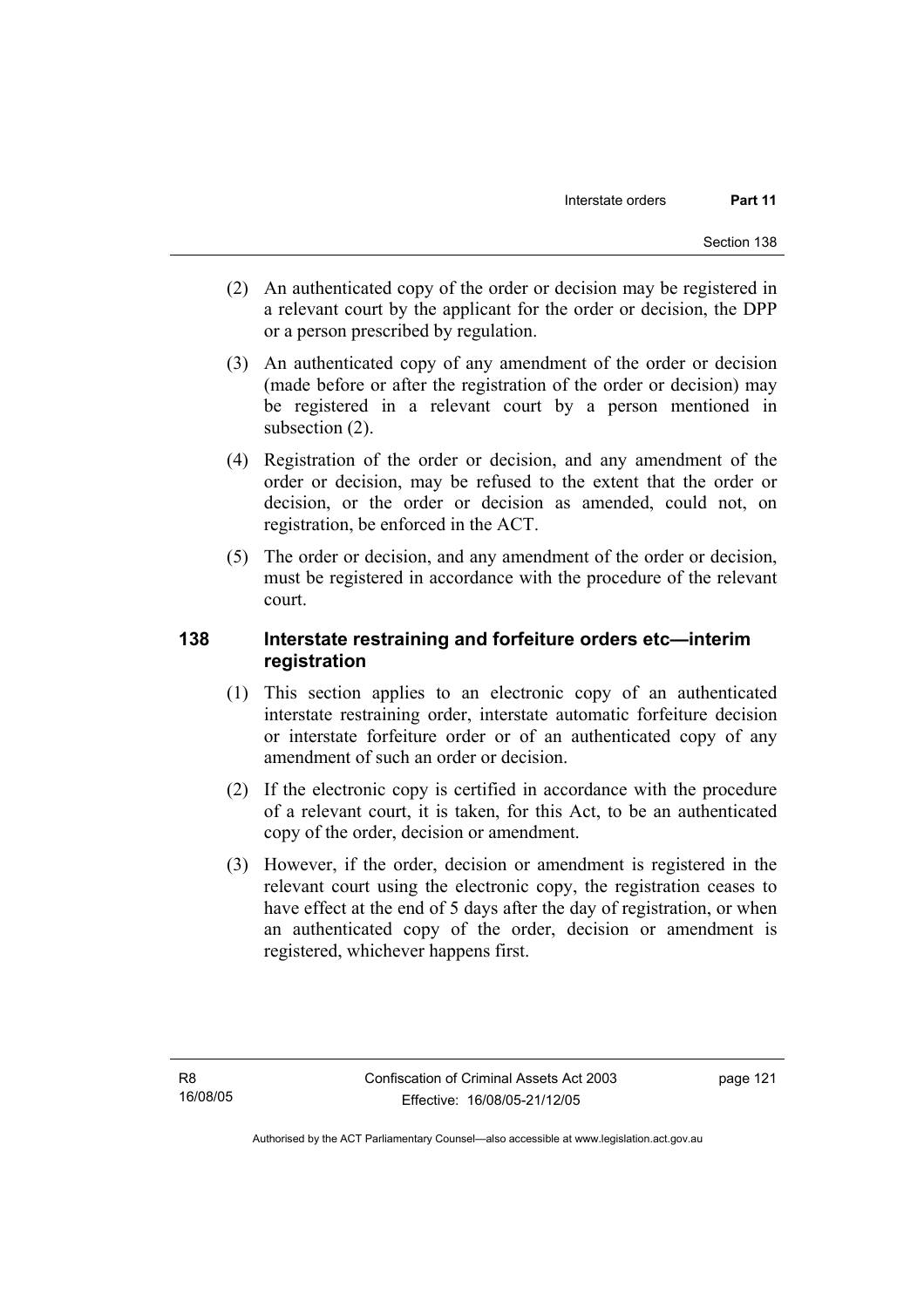- (2) An authenticated copy of the order or decision may be registered in a relevant court by the applicant for the order or decision, the DPP or a person prescribed by regulation.
- (3) An authenticated copy of any amendment of the order or decision (made before or after the registration of the order or decision) may be registered in a relevant court by a person mentioned in subsection (2).
- (4) Registration of the order or decision, and any amendment of the order or decision, may be refused to the extent that the order or decision, or the order or decision as amended, could not, on registration, be enforced in the ACT.
- (5) The order or decision, and any amendment of the order or decision, must be registered in accordance with the procedure of the relevant court.

## **138 Interstate restraining and forfeiture orders etc—interim registration**

- (1) This section applies to an electronic copy of an authenticated interstate restraining order, interstate automatic forfeiture decision or interstate forfeiture order or of an authenticated copy of any amendment of such an order or decision.
- (2) If the electronic copy is certified in accordance with the procedure of a relevant court, it is taken, for this Act, to be an authenticated copy of the order, decision or amendment.
- (3) However, if the order, decision or amendment is registered in the relevant court using the electronic copy, the registration ceases to have effect at the end of 5 days after the day of registration, or when an authenticated copy of the order, decision or amendment is registered, whichever happens first.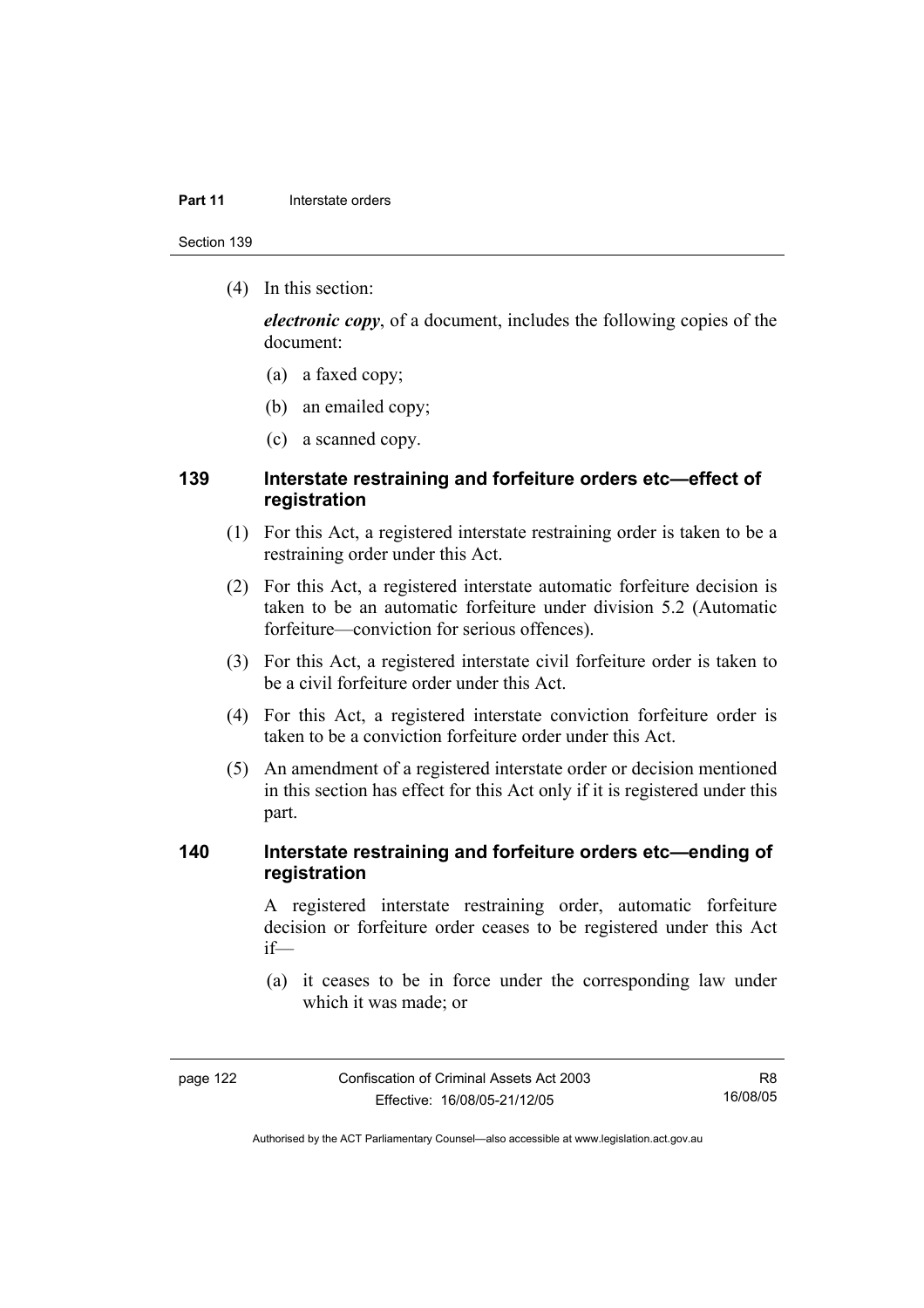#### **Part 11 Interstate orders**

Section 139

(4) In this section:

*electronic copy*, of a document, includes the following copies of the document:

- (a) a faxed copy;
- (b) an emailed copy;
- (c) a scanned copy.

## **139 Interstate restraining and forfeiture orders etc—effect of registration**

- (1) For this Act, a registered interstate restraining order is taken to be a restraining order under this Act.
- (2) For this Act, a registered interstate automatic forfeiture decision is taken to be an automatic forfeiture under division 5.2 (Automatic forfeiture—conviction for serious offences).
- (3) For this Act, a registered interstate civil forfeiture order is taken to be a civil forfeiture order under this Act.
- (4) For this Act, a registered interstate conviction forfeiture order is taken to be a conviction forfeiture order under this Act.
- (5) An amendment of a registered interstate order or decision mentioned in this section has effect for this Act only if it is registered under this part.

## **140 Interstate restraining and forfeiture orders etc—ending of registration**

A registered interstate restraining order, automatic forfeiture decision or forfeiture order ceases to be registered under this Act if—

 (a) it ceases to be in force under the corresponding law under which it was made; or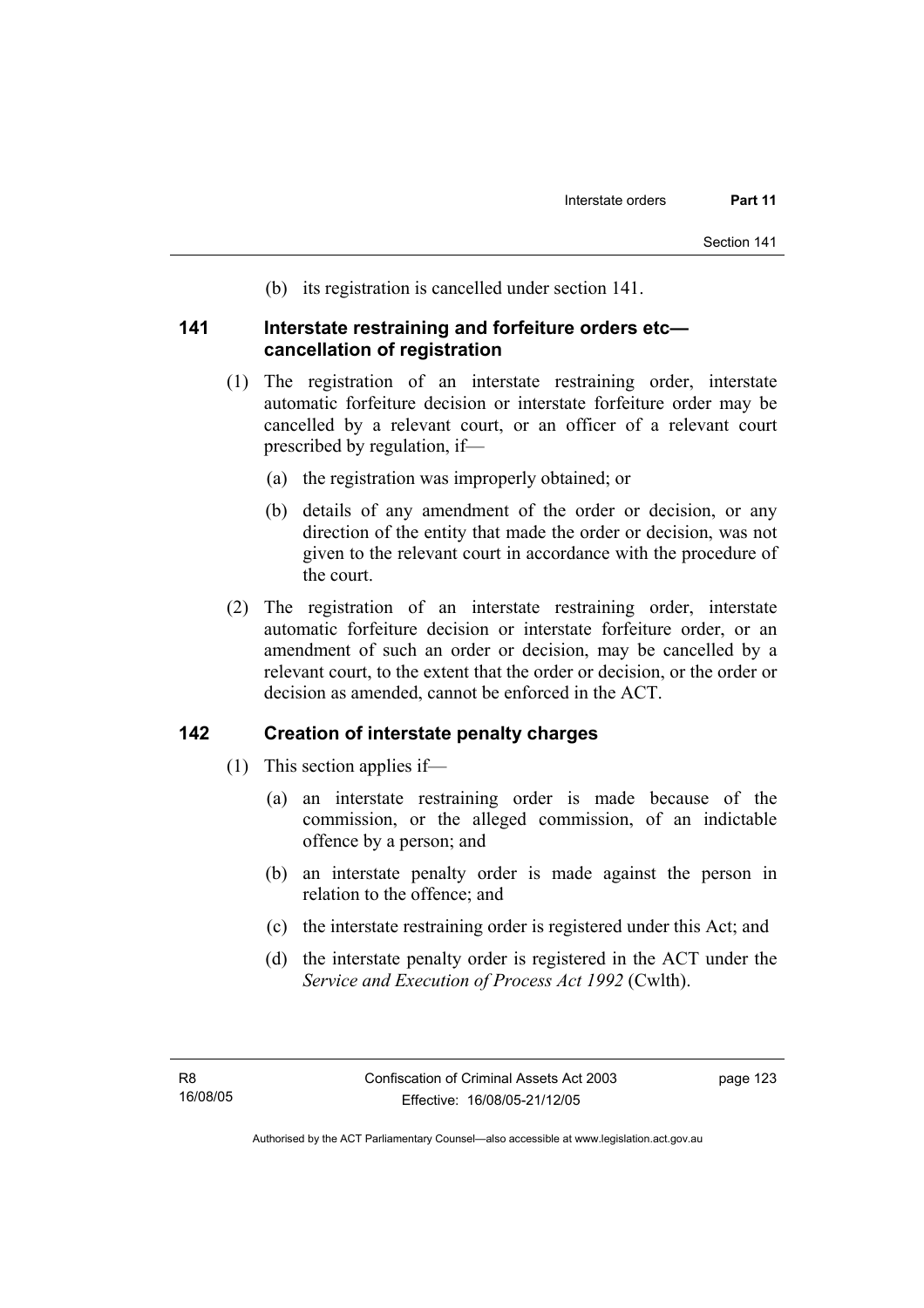(b) its registration is cancelled under section 141.

### **141 Interstate restraining and forfeiture orders etc cancellation of registration**

- (1) The registration of an interstate restraining order, interstate automatic forfeiture decision or interstate forfeiture order may be cancelled by a relevant court, or an officer of a relevant court prescribed by regulation, if—
	- (a) the registration was improperly obtained; or
	- (b) details of any amendment of the order or decision, or any direction of the entity that made the order or decision, was not given to the relevant court in accordance with the procedure of the court.
- (2) The registration of an interstate restraining order, interstate automatic forfeiture decision or interstate forfeiture order, or an amendment of such an order or decision, may be cancelled by a relevant court, to the extent that the order or decision, or the order or decision as amended, cannot be enforced in the ACT.

### **142 Creation of interstate penalty charges**

- (1) This section applies if—
	- (a) an interstate restraining order is made because of the commission, or the alleged commission, of an indictable offence by a person; and
	- (b) an interstate penalty order is made against the person in relation to the offence; and
	- (c) the interstate restraining order is registered under this Act; and
	- (d) the interstate penalty order is registered in the ACT under the *Service and Execution of Process Act 1992* (Cwlth).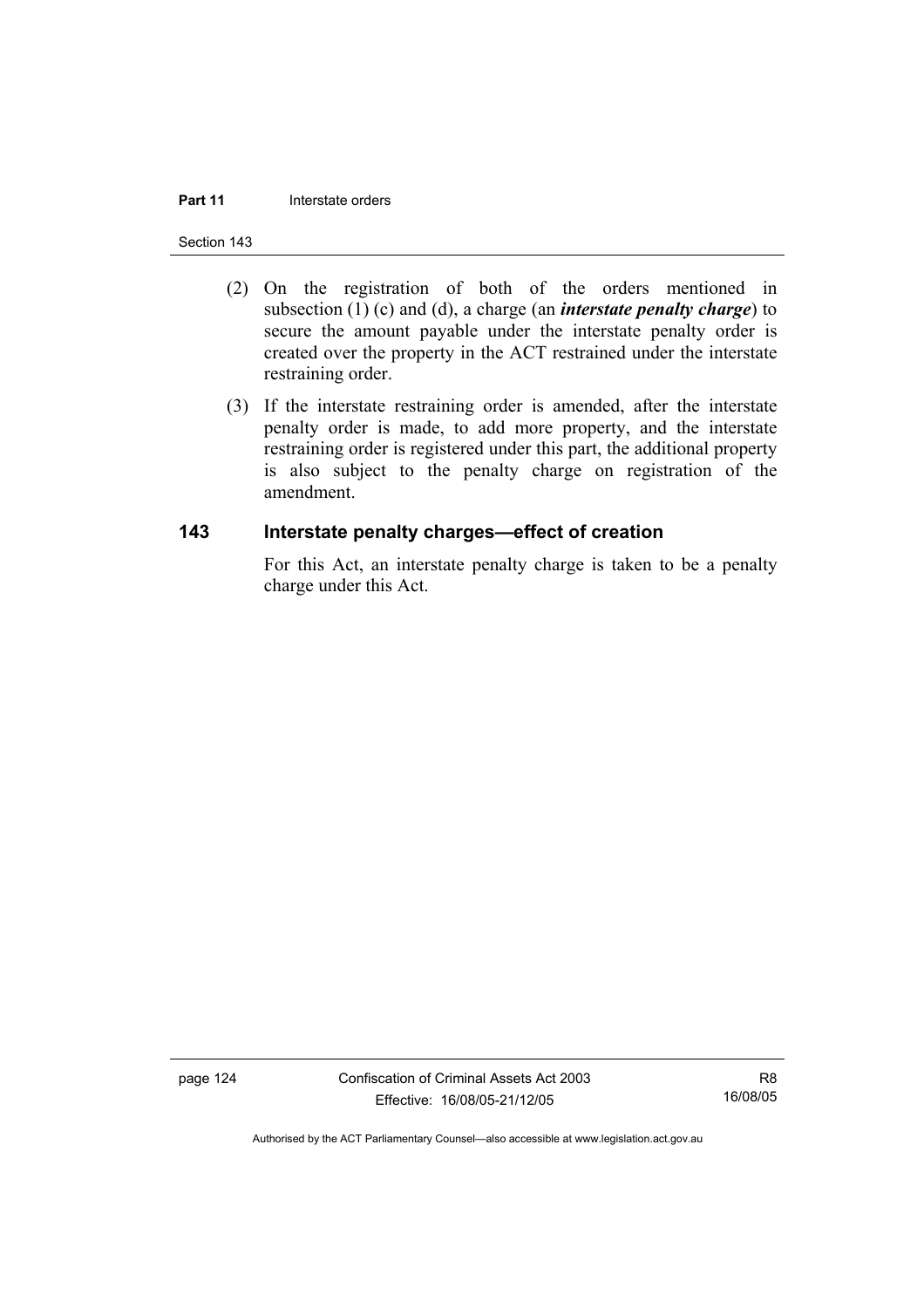#### **Part 11 Interstate orders**

#### Section 143

- (2) On the registration of both of the orders mentioned in subsection (1) (c) and (d), a charge (an *interstate penalty charge*) to secure the amount payable under the interstate penalty order is created over the property in the ACT restrained under the interstate restraining order.
- (3) If the interstate restraining order is amended, after the interstate penalty order is made, to add more property, and the interstate restraining order is registered under this part, the additional property is also subject to the penalty charge on registration of the amendment.

### **143 Interstate penalty charges—effect of creation**

For this Act, an interstate penalty charge is taken to be a penalty charge under this Act.

page 124 Confiscation of Criminal Assets Act 2003 Effective: 16/08/05-21/12/05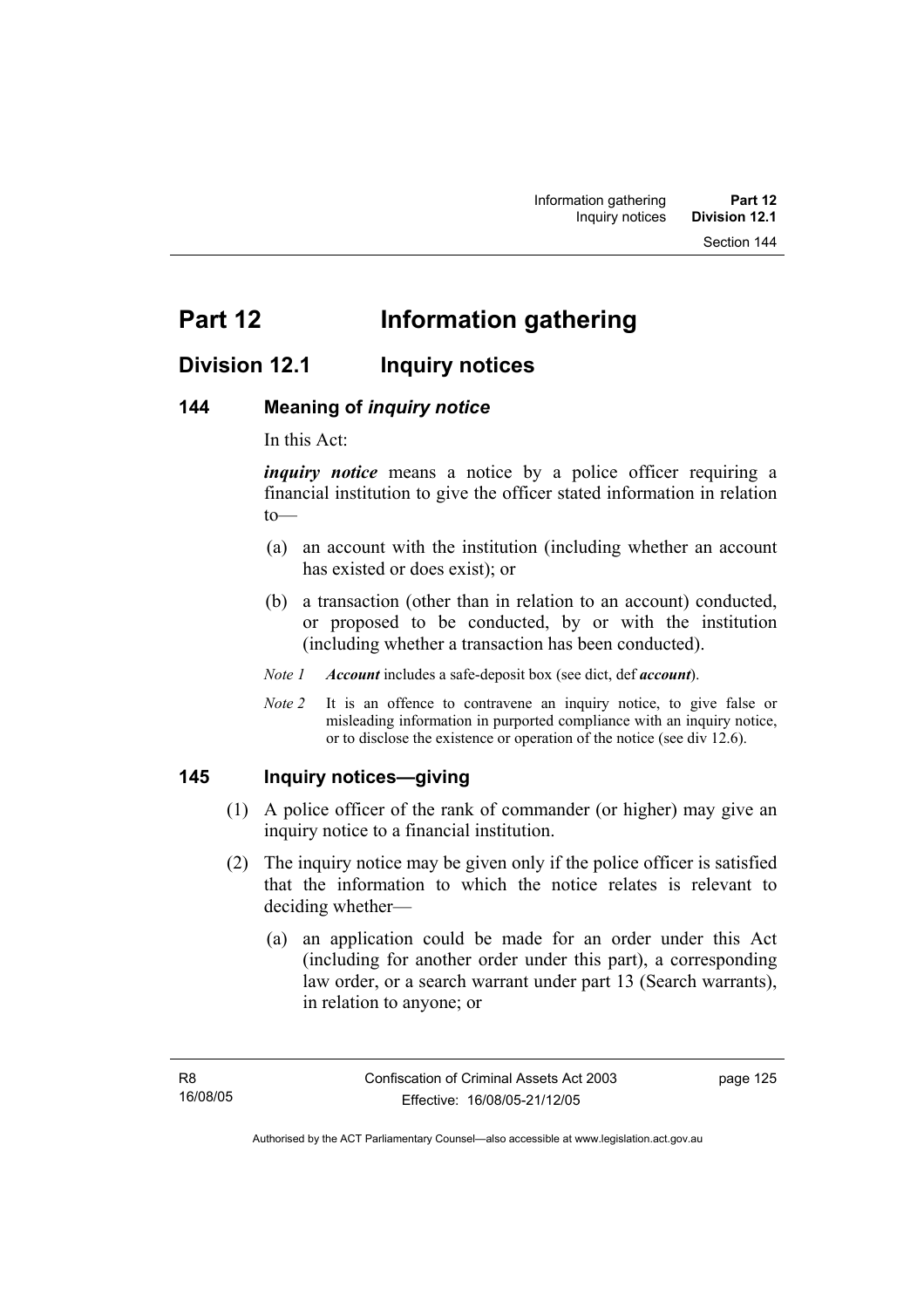# **Division 12.1 Inquiry notices**

### **144 Meaning of** *inquiry notice*

In this Act:

*inquiry notice* means a notice by a police officer requiring a financial institution to give the officer stated information in relation to—

- (a) an account with the institution (including whether an account has existed or does exist); or
- (b) a transaction (other than in relation to an account) conducted, or proposed to be conducted, by or with the institution (including whether a transaction has been conducted).

*Note 1 Account* includes a safe-deposit box (see dict, def *account*).

*Note 2* It is an offence to contravene an inquiry notice, to give false or misleading information in purported compliance with an inquiry notice, or to disclose the existence or operation of the notice (see div 12.6).

### **145 Inquiry notices—giving**

- (1) A police officer of the rank of commander (or higher) may give an inquiry notice to a financial institution.
- (2) The inquiry notice may be given only if the police officer is satisfied that the information to which the notice relates is relevant to deciding whether—
	- (a) an application could be made for an order under this Act (including for another order under this part), a corresponding law order, or a search warrant under part 13 (Search warrants), in relation to anyone; or

page 125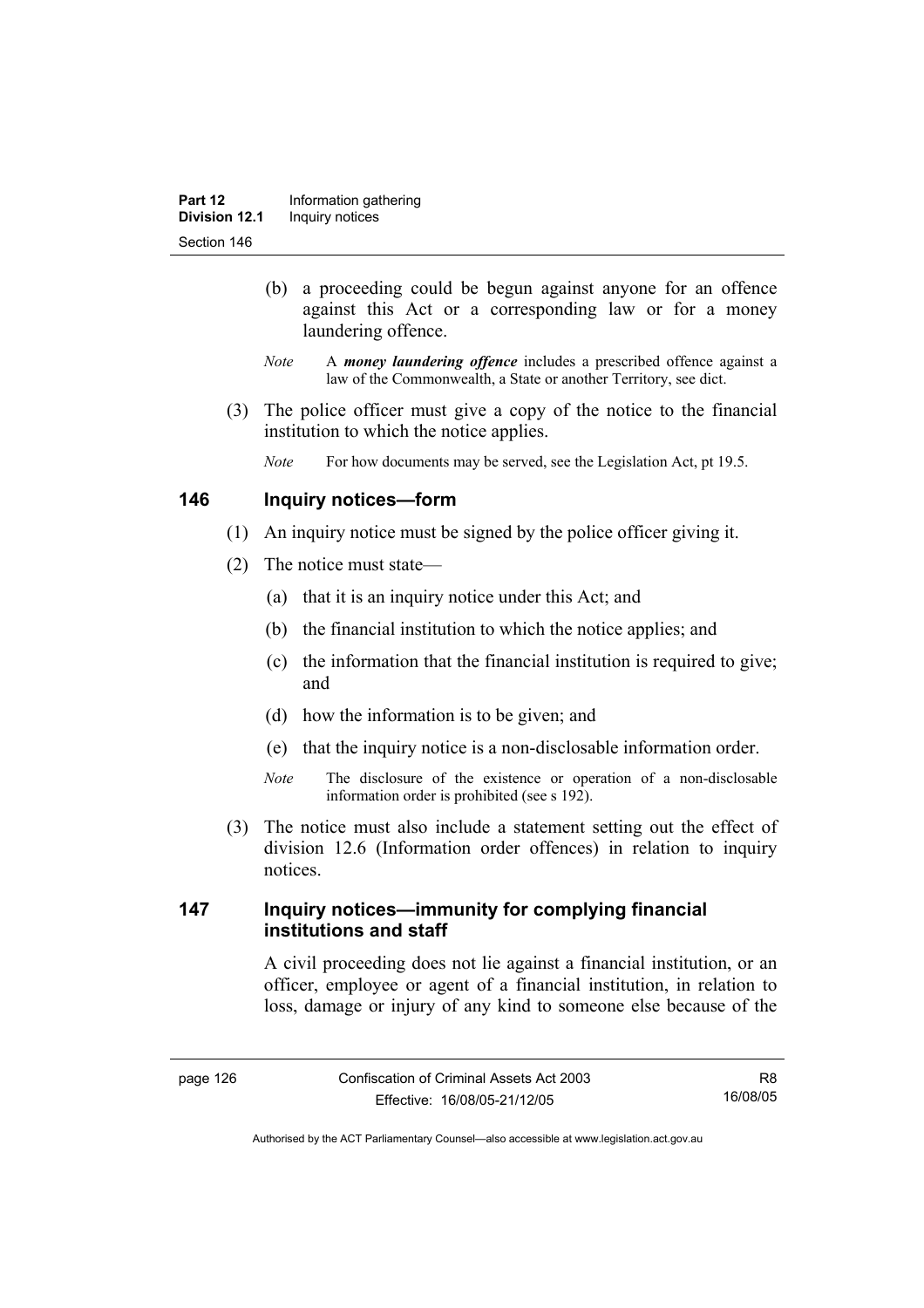- (b) a proceeding could be begun against anyone for an offence against this Act or a corresponding law or for a money laundering offence.
- *Note* A *money laundering offence* includes a prescribed offence against a law of the Commonwealth, a State or another Territory, see dict.
- (3) The police officer must give a copy of the notice to the financial institution to which the notice applies.
	- *Note* For how documents may be served, see the Legislation Act, pt 19.5.

### **146 Inquiry notices—form**

- (1) An inquiry notice must be signed by the police officer giving it.
- (2) The notice must state—
	- (a) that it is an inquiry notice under this Act; and
	- (b) the financial institution to which the notice applies; and
	- (c) the information that the financial institution is required to give; and
	- (d) how the information is to be given; and
	- (e) that the inquiry notice is a non-disclosable information order.
	- *Note* The disclosure of the existence or operation of a non-disclosable information order is prohibited (see s 192).
- (3) The notice must also include a statement setting out the effect of division 12.6 (Information order offences) in relation to inquiry notices.

## **147 Inquiry notices—immunity for complying financial institutions and staff**

A civil proceeding does not lie against a financial institution, or an officer, employee or agent of a financial institution, in relation to loss, damage or injury of any kind to someone else because of the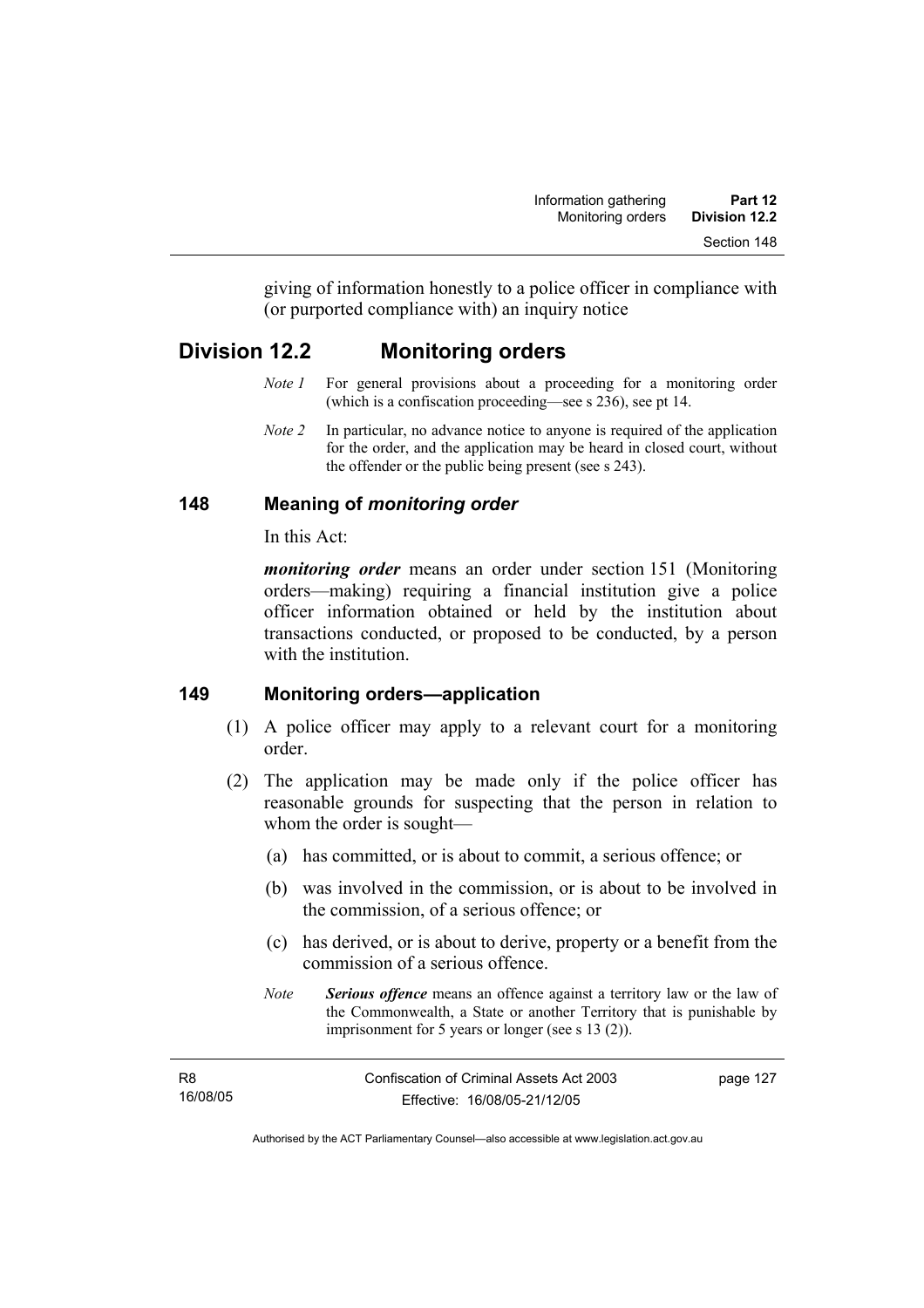giving of information honestly to a police officer in compliance with (or purported compliance with) an inquiry notice

# **Division 12.2 Monitoring orders**

- *Note 1* For general provisions about a proceeding for a monitoring order (which is a confiscation proceeding—see s 236), see pt 14.
- *Note 2* In particular, no advance notice to anyone is required of the application for the order, and the application may be heard in closed court, without the offender or the public being present (see s 243).

# **148 Meaning of** *monitoring order*

In this Act:

*monitoring order* means an order under section 151 (Monitoring orders—making) requiring a financial institution give a police officer information obtained or held by the institution about transactions conducted, or proposed to be conducted, by a person with the institution

## **149 Monitoring orders—application**

- (1) A police officer may apply to a relevant court for a monitoring order.
- (2) The application may be made only if the police officer has reasonable grounds for suspecting that the person in relation to whom the order is sought—
	- (a) has committed, or is about to commit, a serious offence; or
	- (b) was involved in the commission, or is about to be involved in the commission, of a serious offence; or
	- (c) has derived, or is about to derive, property or a benefit from the commission of a serious offence.
	- *Note Serious offence* means an offence against a territory law or the law of the Commonwealth, a State or another Territory that is punishable by imprisonment for 5 years or longer (see s 13 (2)).

| <b>R8</b> | Confiscation of Criminal Assets Act 2003 | page 127 |
|-----------|------------------------------------------|----------|
| 16/08/05  | Effective: 16/08/05-21/12/05             |          |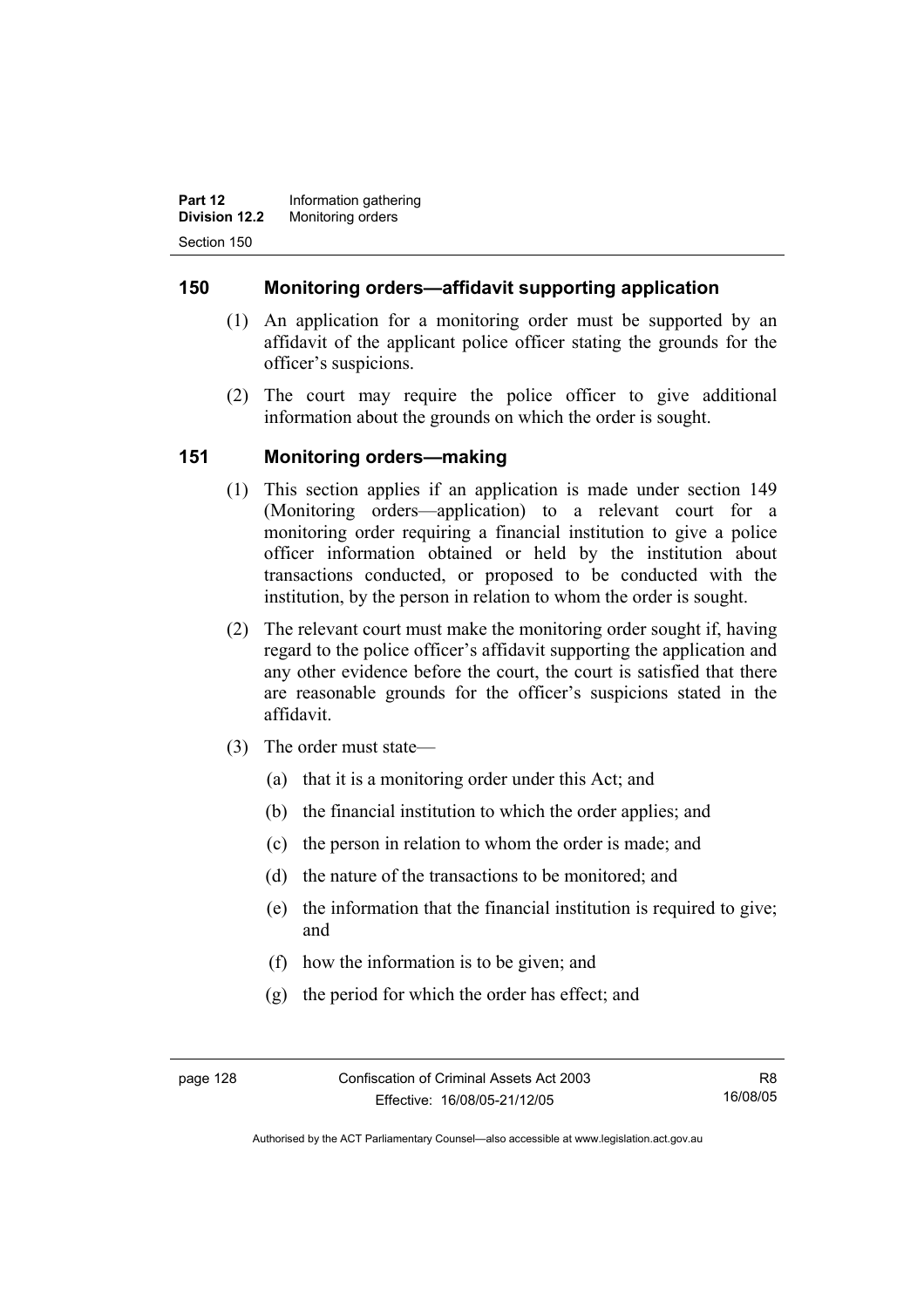**Part 12 Information gathering Division 12.2** Monitoring orders Section 150

### **150 Monitoring orders—affidavit supporting application**

- (1) An application for a monitoring order must be supported by an affidavit of the applicant police officer stating the grounds for the officer's suspicions.
- (2) The court may require the police officer to give additional information about the grounds on which the order is sought.

## **151 Monitoring orders—making**

- (1) This section applies if an application is made under section 149 (Monitoring orders—application) to a relevant court for a monitoring order requiring a financial institution to give a police officer information obtained or held by the institution about transactions conducted, or proposed to be conducted with the institution, by the person in relation to whom the order is sought.
- (2) The relevant court must make the monitoring order sought if, having regard to the police officer's affidavit supporting the application and any other evidence before the court, the court is satisfied that there are reasonable grounds for the officer's suspicions stated in the affidavit.
- (3) The order must state—
	- (a) that it is a monitoring order under this Act; and
	- (b) the financial institution to which the order applies; and
	- (c) the person in relation to whom the order is made; and
	- (d) the nature of the transactions to be monitored; and
	- (e) the information that the financial institution is required to give; and
	- (f) how the information is to be given; and
	- (g) the period for which the order has effect; and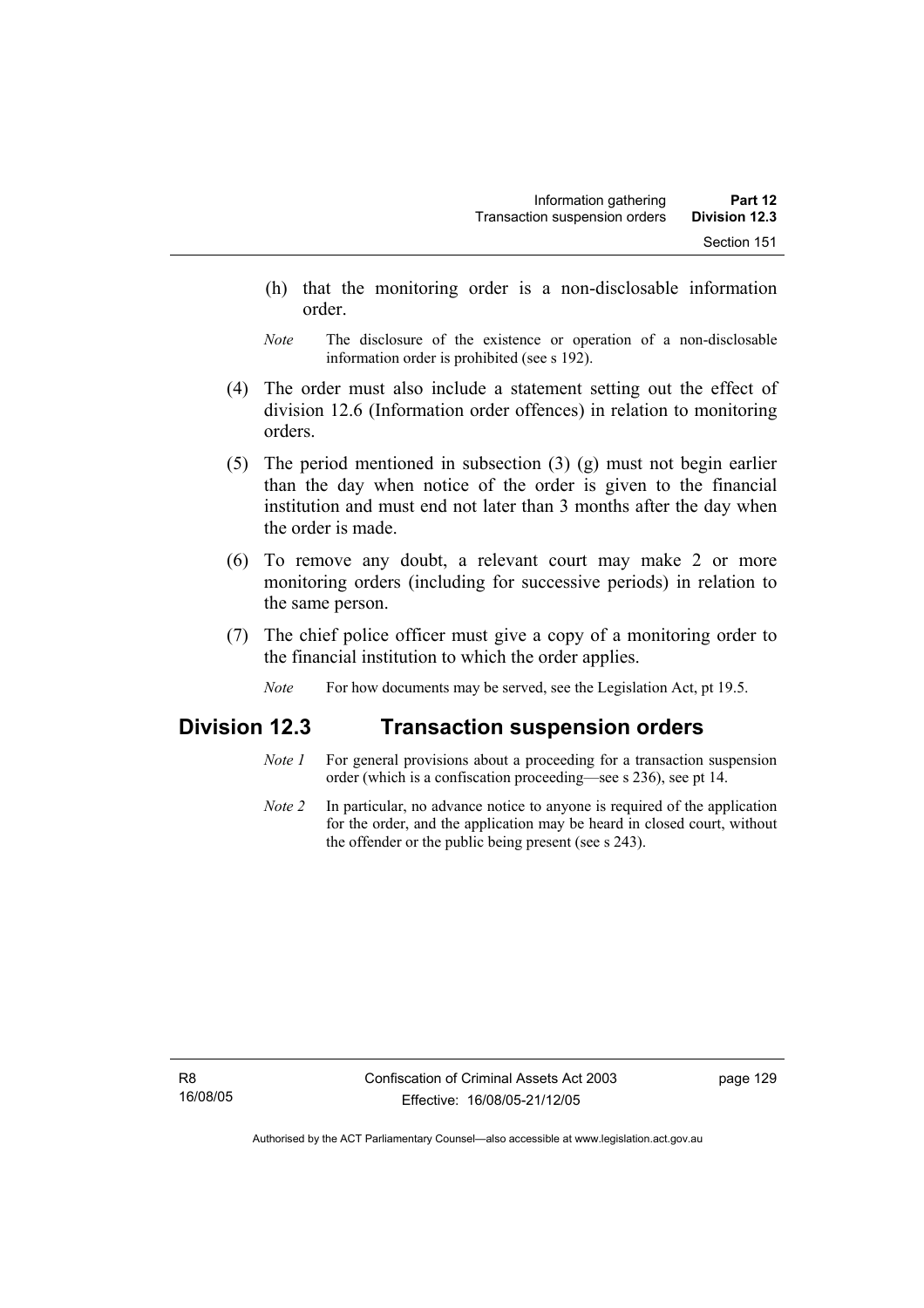- (h) that the monitoring order is a non-disclosable information order.
- *Note* The disclosure of the existence or operation of a non-disclosable information order is prohibited (see s 192).
- (4) The order must also include a statement setting out the effect of division 12.6 (Information order offences) in relation to monitoring orders.
- (5) The period mentioned in subsection (3) (g) must not begin earlier than the day when notice of the order is given to the financial institution and must end not later than 3 months after the day when the order is made.
- (6) To remove any doubt, a relevant court may make 2 or more monitoring orders (including for successive periods) in relation to the same person.
- (7) The chief police officer must give a copy of a monitoring order to the financial institution to which the order applies.
	- *Note* For how documents may be served, see the Legislation Act, pt 19.5.

# **Division 12.3 Transaction suspension orders**

- *Note 1* For general provisions about a proceeding for a transaction suspension order (which is a confiscation proceeding—see s 236), see pt 14.
- *Note 2* In particular, no advance notice to anyone is required of the application for the order, and the application may be heard in closed court, without the offender or the public being present (see s 243).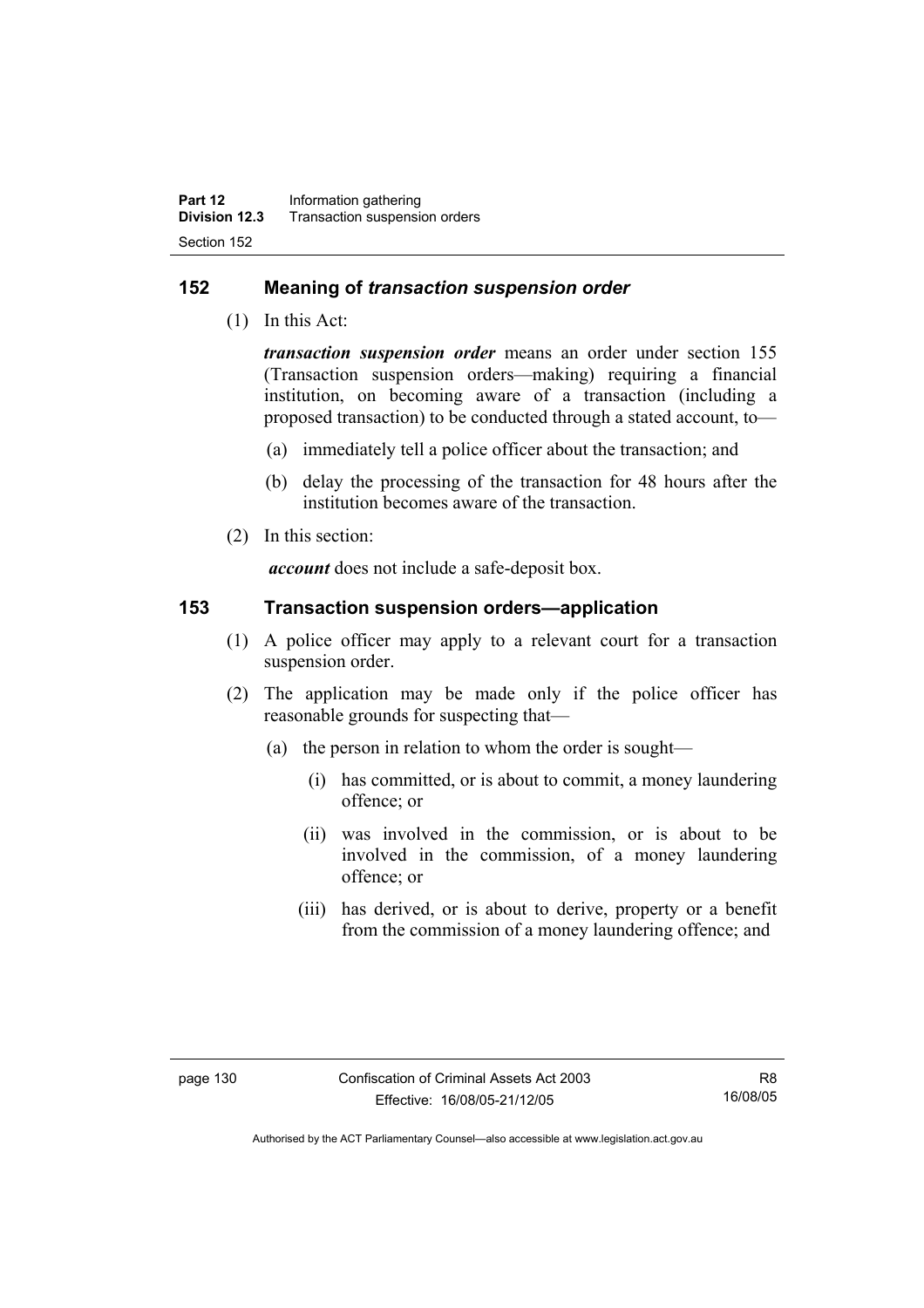## **152 Meaning of** *transaction suspension order*

(1) In this Act:

*transaction suspension order* means an order under section 155 (Transaction suspension orders—making) requiring a financial institution, on becoming aware of a transaction (including a proposed transaction) to be conducted through a stated account, to—

- (a) immediately tell a police officer about the transaction; and
- (b) delay the processing of the transaction for 48 hours after the institution becomes aware of the transaction.
- (2) In this section:

*account* does not include a safe-deposit box.

### **153 Transaction suspension orders—application**

- (1) A police officer may apply to a relevant court for a transaction suspension order.
- (2) The application may be made only if the police officer has reasonable grounds for suspecting that—
	- (a) the person in relation to whom the order is sought—
		- (i) has committed, or is about to commit, a money laundering offence; or
		- (ii) was involved in the commission, or is about to be involved in the commission, of a money laundering offence; or
		- (iii) has derived, or is about to derive, property or a benefit from the commission of a money laundering offence; and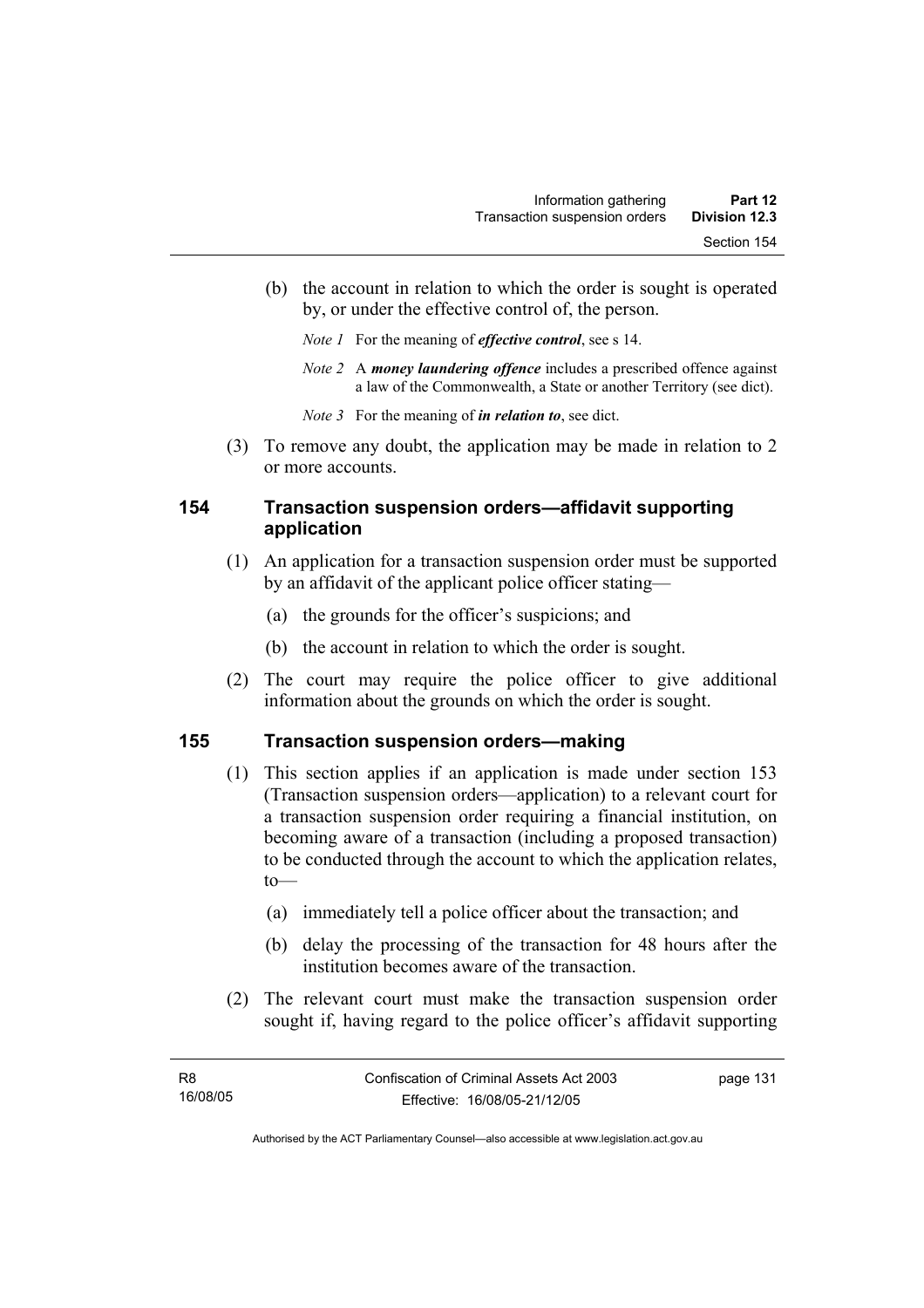- (b) the account in relation to which the order is sought is operated by, or under the effective control of, the person.
	- *Note 1* For the meaning of *effective control*, see s 14.
	- *Note 2* A *money laundering offence* includes a prescribed offence against a law of the Commonwealth, a State or another Territory (see dict).
	- *Note 3* For the meaning of *in relation to*, see dict.
- (3) To remove any doubt, the application may be made in relation to 2 or more accounts.

## **154 Transaction suspension orders—affidavit supporting application**

- (1) An application for a transaction suspension order must be supported by an affidavit of the applicant police officer stating—
	- (a) the grounds for the officer's suspicions; and
	- (b) the account in relation to which the order is sought.
- (2) The court may require the police officer to give additional information about the grounds on which the order is sought.

## **155 Transaction suspension orders—making**

- (1) This section applies if an application is made under section 153 (Transaction suspension orders—application) to a relevant court for a transaction suspension order requiring a financial institution, on becoming aware of a transaction (including a proposed transaction) to be conducted through the account to which the application relates, to—
	- (a) immediately tell a police officer about the transaction; and
	- (b) delay the processing of the transaction for 48 hours after the institution becomes aware of the transaction.
- (2) The relevant court must make the transaction suspension order sought if, having regard to the police officer's affidavit supporting

page 131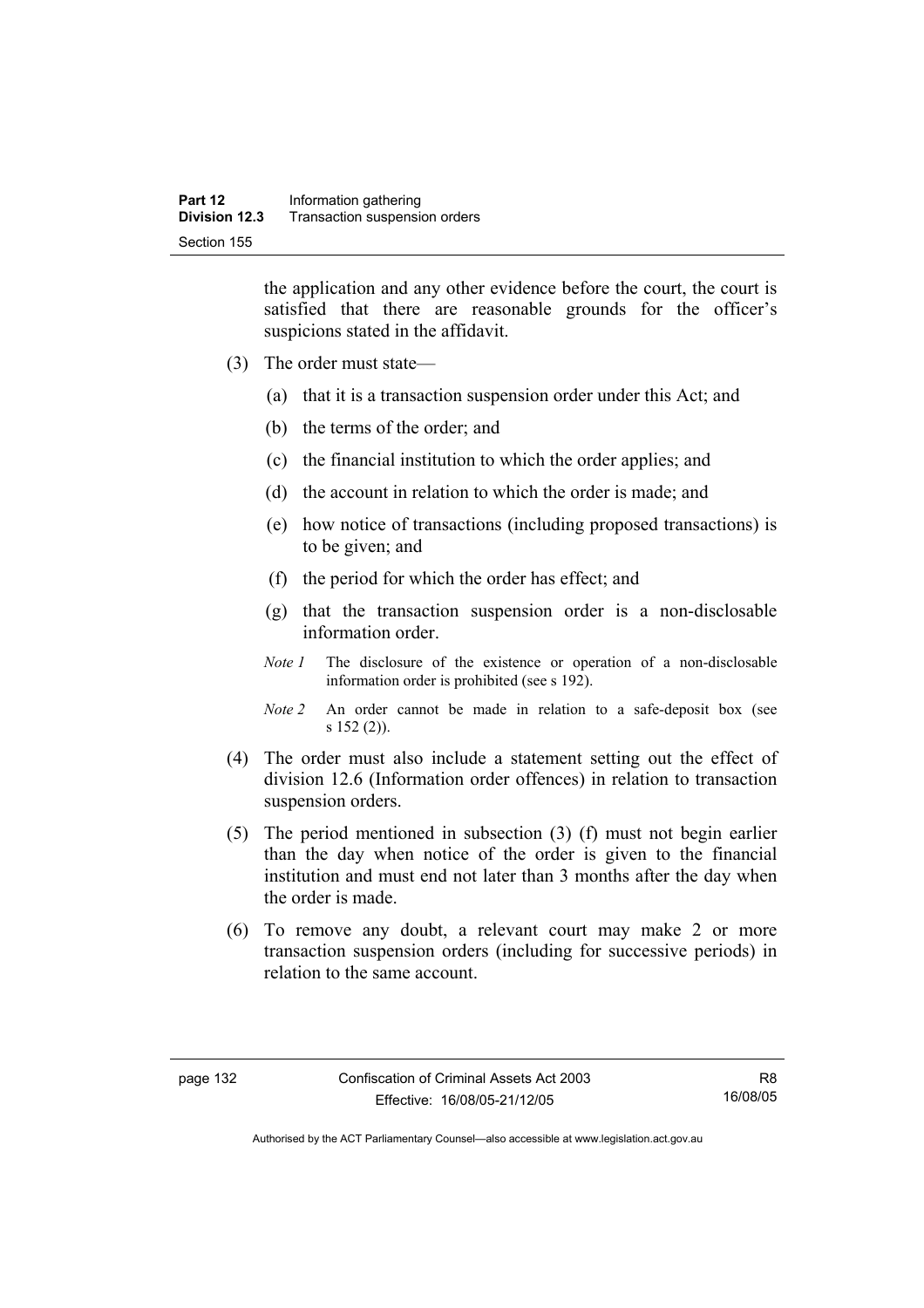the application and any other evidence before the court, the court is satisfied that there are reasonable grounds for the officer's suspicions stated in the affidavit.

- (3) The order must state—
	- (a) that it is a transaction suspension order under this Act; and
	- (b) the terms of the order; and
	- (c) the financial institution to which the order applies; and
	- (d) the account in relation to which the order is made; and
	- (e) how notice of transactions (including proposed transactions) is to be given; and
	- (f) the period for which the order has effect; and
	- (g) that the transaction suspension order is a non-disclosable information order.
	- *Note 1* The disclosure of the existence or operation of a non-disclosable information order is prohibited (see s 192).
	- *Note 2* An order cannot be made in relation to a safe-deposit box (see s 152 (2)).
- (4) The order must also include a statement setting out the effect of division 12.6 (Information order offences) in relation to transaction suspension orders.
- (5) The period mentioned in subsection (3) (f) must not begin earlier than the day when notice of the order is given to the financial institution and must end not later than 3 months after the day when the order is made.
- (6) To remove any doubt, a relevant court may make 2 or more transaction suspension orders (including for successive periods) in relation to the same account.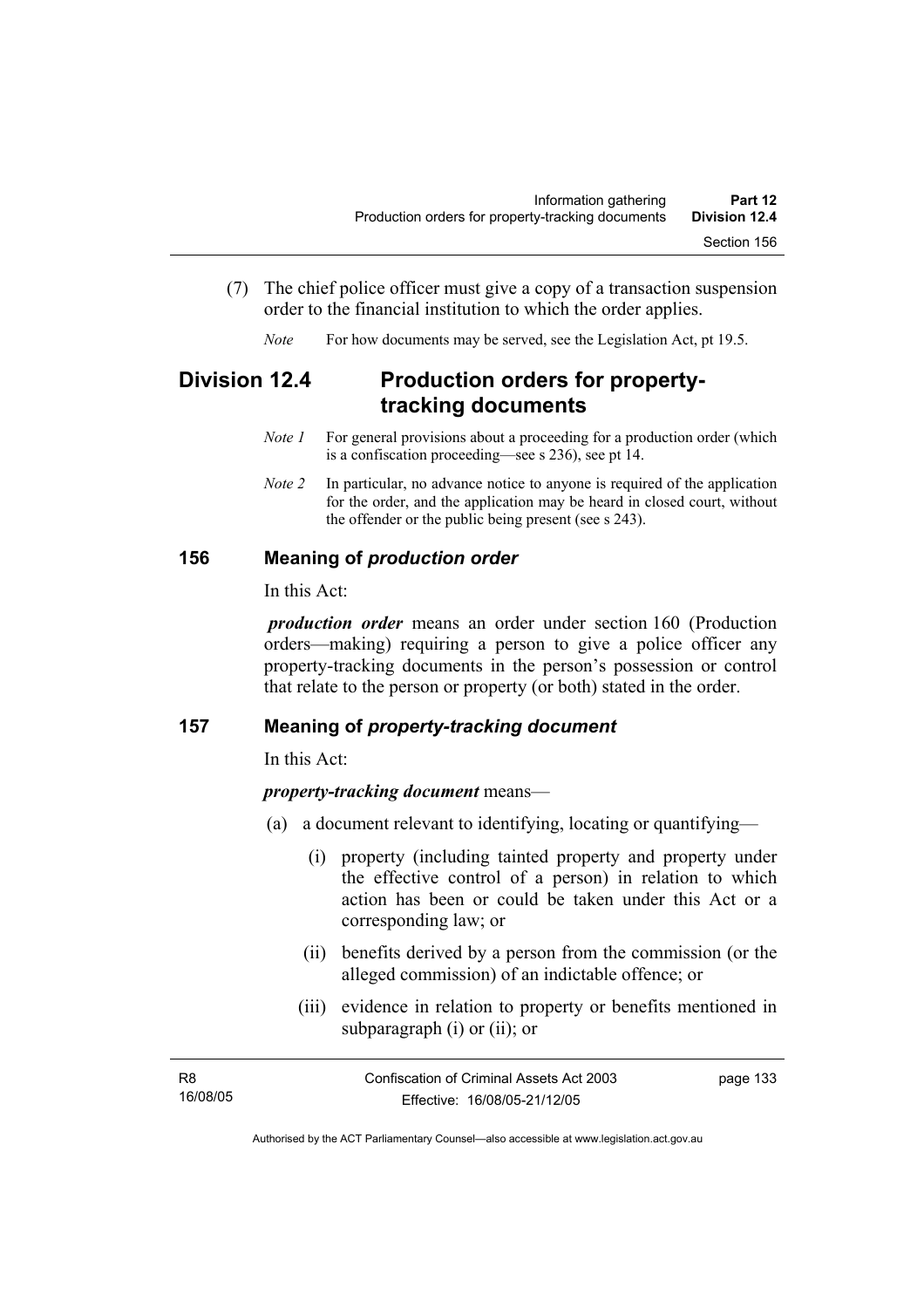- (7) The chief police officer must give a copy of a transaction suspension order to the financial institution to which the order applies.
	- *Note* For how documents may be served, see the Legislation Act, pt 19.5.

# **Division 12.4 Production orders for propertytracking documents**

- *Note 1* For general provisions about a proceeding for a production order (which is a confiscation proceeding—see s 236), see pt 14.
- *Note 2* In particular, no advance notice to anyone is required of the application for the order, and the application may be heard in closed court, without the offender or the public being present (see s 243).

## **156 Meaning of** *production order*

In this Act:

*production order* means an order under section 160 (Production orders—making) requiring a person to give a police officer any property-tracking documents in the person's possession or control that relate to the person or property (or both) stated in the order.

## **157 Meaning of** *property-tracking document*

In this Act:

## *property-tracking document* means—

- (a) a document relevant to identifying, locating or quantifying—
	- (i) property (including tainted property and property under the effective control of a person) in relation to which action has been or could be taken under this Act or a corresponding law; or
	- (ii) benefits derived by a person from the commission (or the alleged commission) of an indictable offence; or
	- (iii) evidence in relation to property or benefits mentioned in subparagraph (i) or (ii); or

| R8       | Confiscation of Criminal Assets Act 2003 | page 133 |
|----------|------------------------------------------|----------|
| 16/08/05 | Effective: 16/08/05-21/12/05             |          |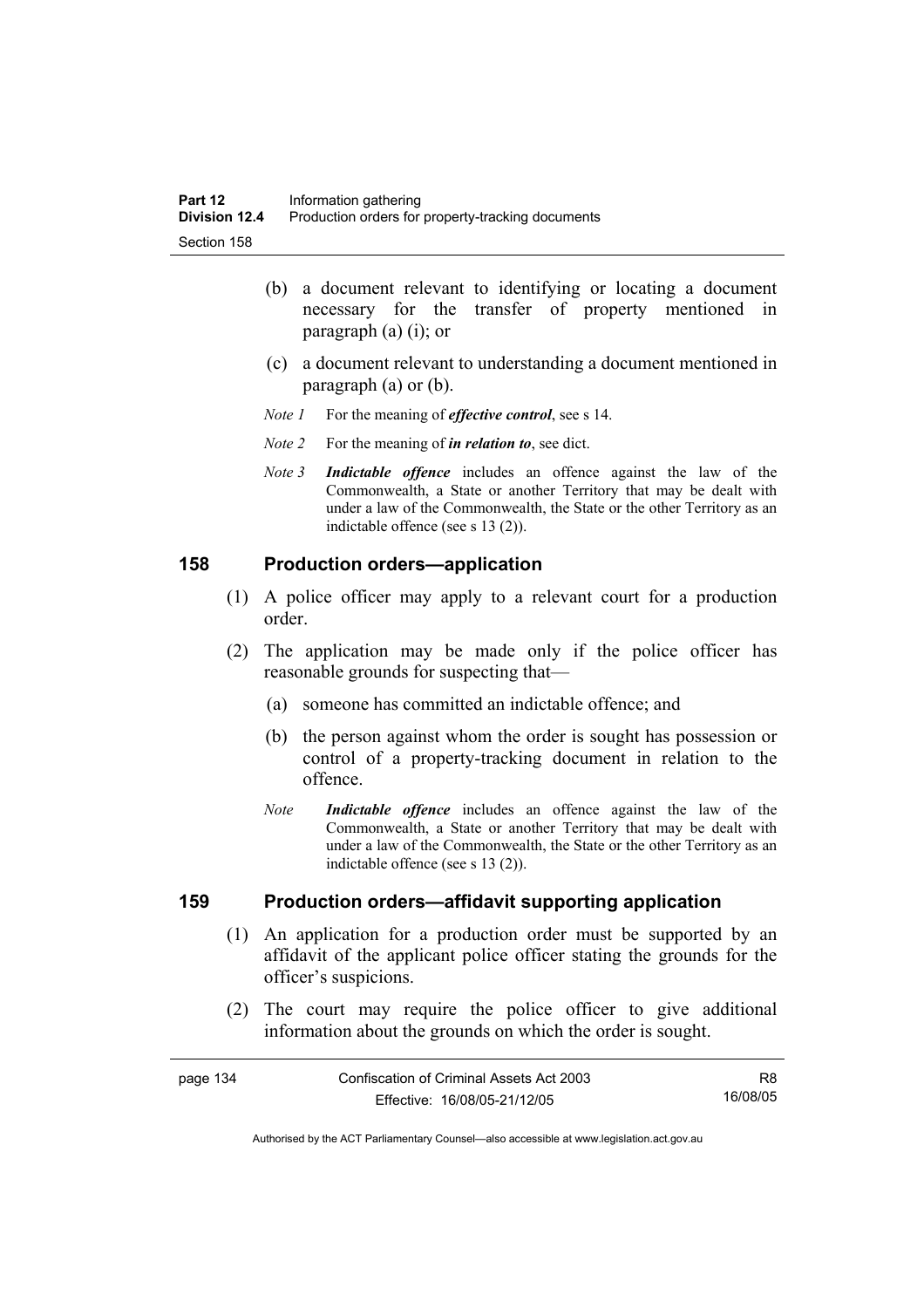- (b) a document relevant to identifying or locating a document necessary for the transfer of property mentioned in paragraph (a) (i); or
- (c) a document relevant to understanding a document mentioned in paragraph (a) or (b).
- *Note 1* For the meaning of *effective control*, see s 14.
- *Note 2* For the meaning of *in relation to*, see dict.
- *Note 3 Indictable offence* includes an offence against the law of the Commonwealth, a State or another Territory that may be dealt with under a law of the Commonwealth, the State or the other Territory as an indictable offence (see s 13 (2)).

#### **158 Production orders—application**

- (1) A police officer may apply to a relevant court for a production order.
- (2) The application may be made only if the police officer has reasonable grounds for suspecting that—
	- (a) someone has committed an indictable offence; and
	- (b) the person against whom the order is sought has possession or control of a property-tracking document in relation to the offence.
	- *Note Indictable offence* includes an offence against the law of the Commonwealth, a State or another Territory that may be dealt with under a law of the Commonwealth, the State or the other Territory as an indictable offence (see s 13 (2)).

#### **159 Production orders—affidavit supporting application**

- (1) An application for a production order must be supported by an affidavit of the applicant police officer stating the grounds for the officer's suspicions.
- (2) The court may require the police officer to give additional information about the grounds on which the order is sought.

| page 134 | Confiscation of Criminal Assets Act 2003 | R8.      |
|----------|------------------------------------------|----------|
|          | Effective: 16/08/05-21/12/05             | 16/08/05 |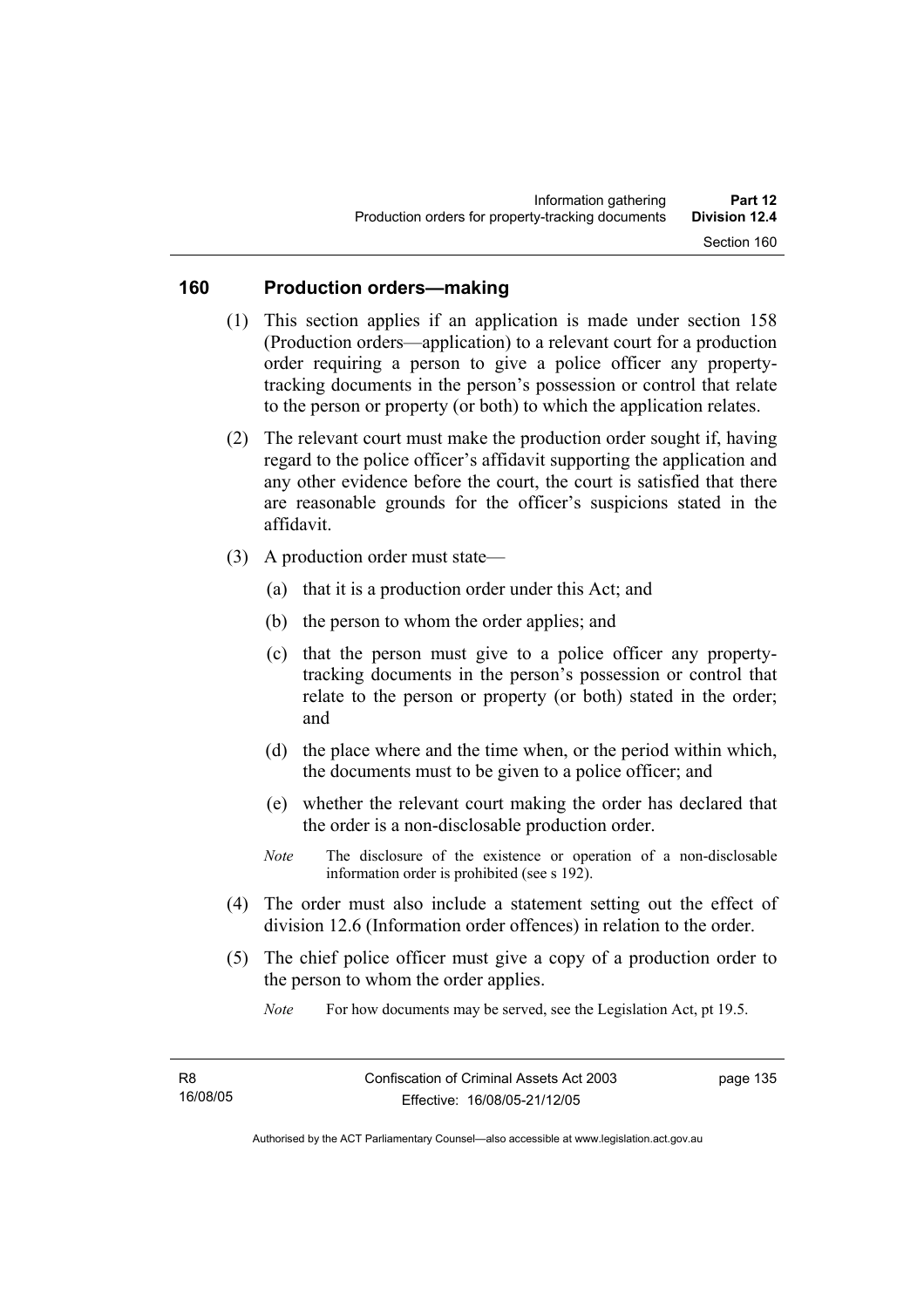## **160 Production orders—making**

- (1) This section applies if an application is made under section 158 (Production orders—application) to a relevant court for a production order requiring a person to give a police officer any propertytracking documents in the person's possession or control that relate to the person or property (or both) to which the application relates.
- (2) The relevant court must make the production order sought if, having regard to the police officer's affidavit supporting the application and any other evidence before the court, the court is satisfied that there are reasonable grounds for the officer's suspicions stated in the affidavit.
- (3) A production order must state—
	- (a) that it is a production order under this Act; and
	- (b) the person to whom the order applies; and
	- (c) that the person must give to a police officer any propertytracking documents in the person's possession or control that relate to the person or property (or both) stated in the order; and
	- (d) the place where and the time when, or the period within which, the documents must to be given to a police officer; and
	- (e) whether the relevant court making the order has declared that the order is a non-disclosable production order.
	- *Note* The disclosure of the existence or operation of a non-disclosable information order is prohibited (see s 192).
- (4) The order must also include a statement setting out the effect of division 12.6 (Information order offences) in relation to the order.
- (5) The chief police officer must give a copy of a production order to the person to whom the order applies.

*Note* For how documents may be served, see the Legislation Act, pt 19.5.

page 135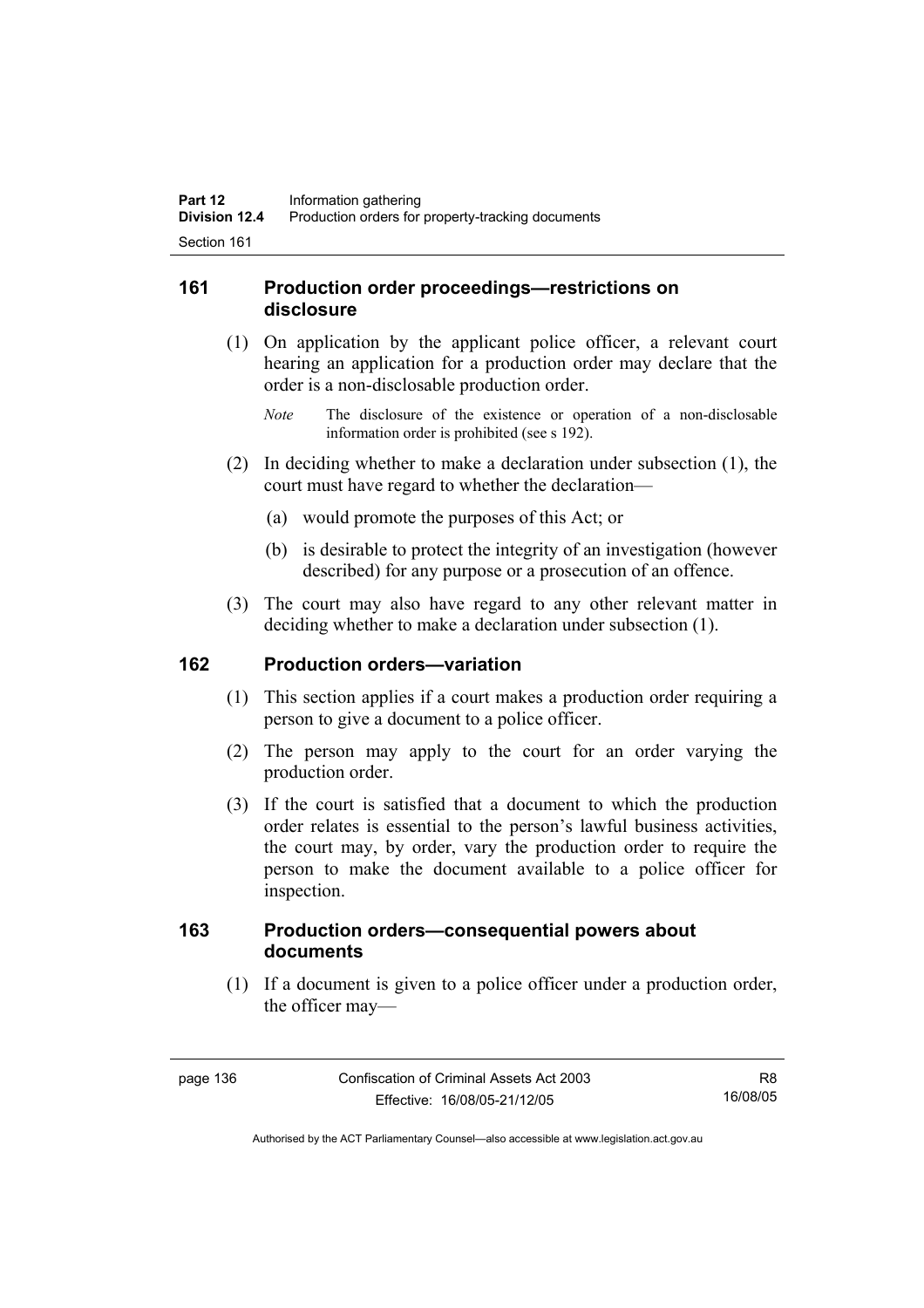## **161 Production order proceedings—restrictions on disclosure**

- (1) On application by the applicant police officer, a relevant court hearing an application for a production order may declare that the order is a non-disclosable production order.
	- *Note* The disclosure of the existence or operation of a non-disclosable information order is prohibited (see s 192).
- (2) In deciding whether to make a declaration under subsection (1), the court must have regard to whether the declaration—
	- (a) would promote the purposes of this Act; or
	- (b) is desirable to protect the integrity of an investigation (however described) for any purpose or a prosecution of an offence.
- (3) The court may also have regard to any other relevant matter in deciding whether to make a declaration under subsection (1).

## **162 Production orders—variation**

- (1) This section applies if a court makes a production order requiring a person to give a document to a police officer.
- (2) The person may apply to the court for an order varying the production order.
- (3) If the court is satisfied that a document to which the production order relates is essential to the person's lawful business activities, the court may, by order, vary the production order to require the person to make the document available to a police officer for inspection.

## **163 Production orders—consequential powers about documents**

 (1) If a document is given to a police officer under a production order, the officer may—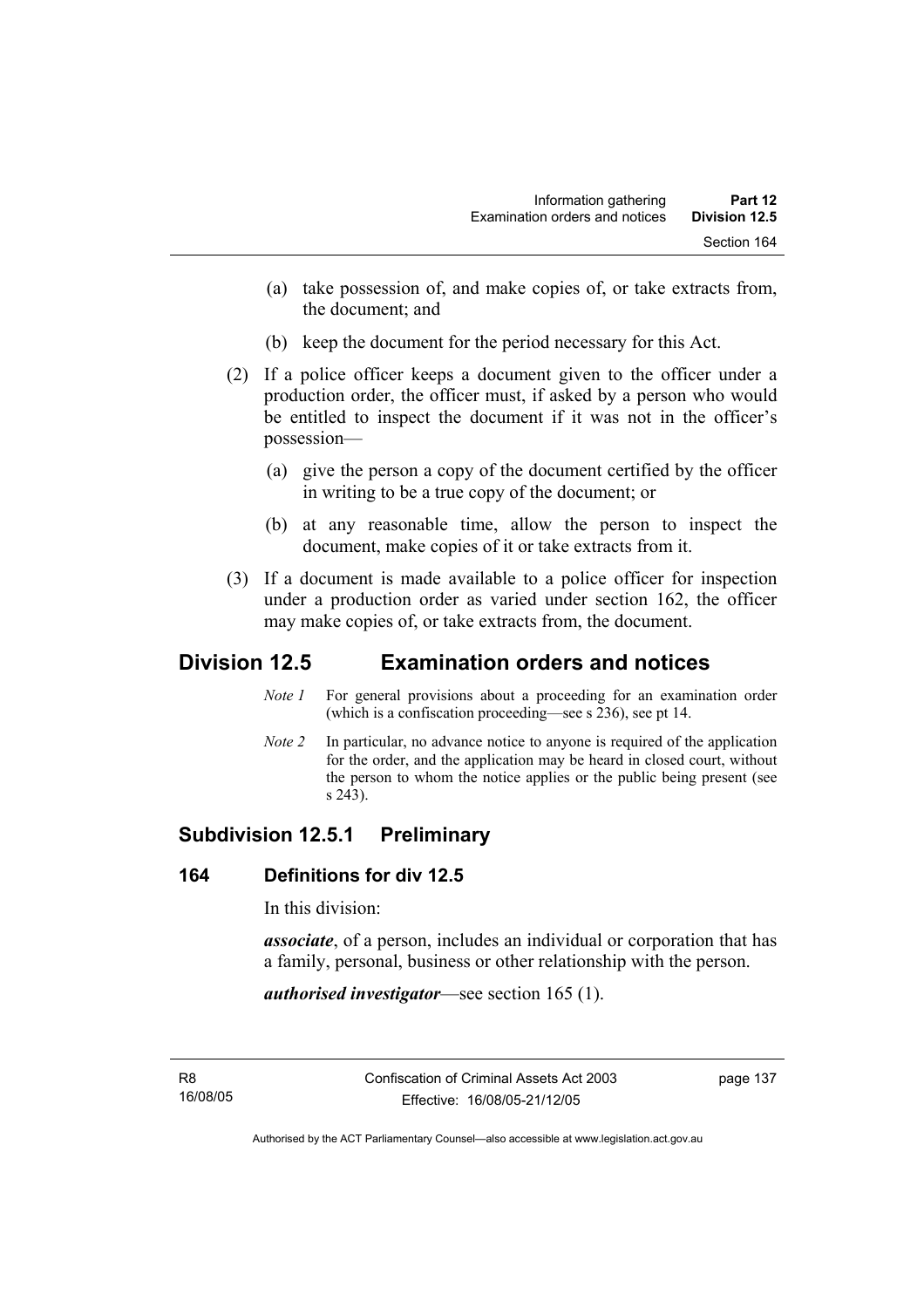- (a) take possession of, and make copies of, or take extracts from, the document; and
- (b) keep the document for the period necessary for this Act.
- (2) If a police officer keeps a document given to the officer under a production order, the officer must, if asked by a person who would be entitled to inspect the document if it was not in the officer's possession—
	- (a) give the person a copy of the document certified by the officer in writing to be a true copy of the document; or
	- (b) at any reasonable time, allow the person to inspect the document, make copies of it or take extracts from it.
- (3) If a document is made available to a police officer for inspection under a production order as varied under section 162, the officer may make copies of, or take extracts from, the document.

# **Division 12.5 Examination orders and notices**

- *Note 1* For general provisions about a proceeding for an examination order (which is a confiscation proceeding—see s 236), see pt 14.
- *Note 2* In particular, no advance notice to anyone is required of the application for the order, and the application may be heard in closed court, without the person to whom the notice applies or the public being present (see s 243).

# **Subdivision 12.5.1 Preliminary**

## **164 Definitions for div 12.5**

In this division:

*associate*, of a person, includes an individual or corporation that has a family, personal, business or other relationship with the person.

*authorised investigator*—see section 165 (1).

R8 16/08/05 page 137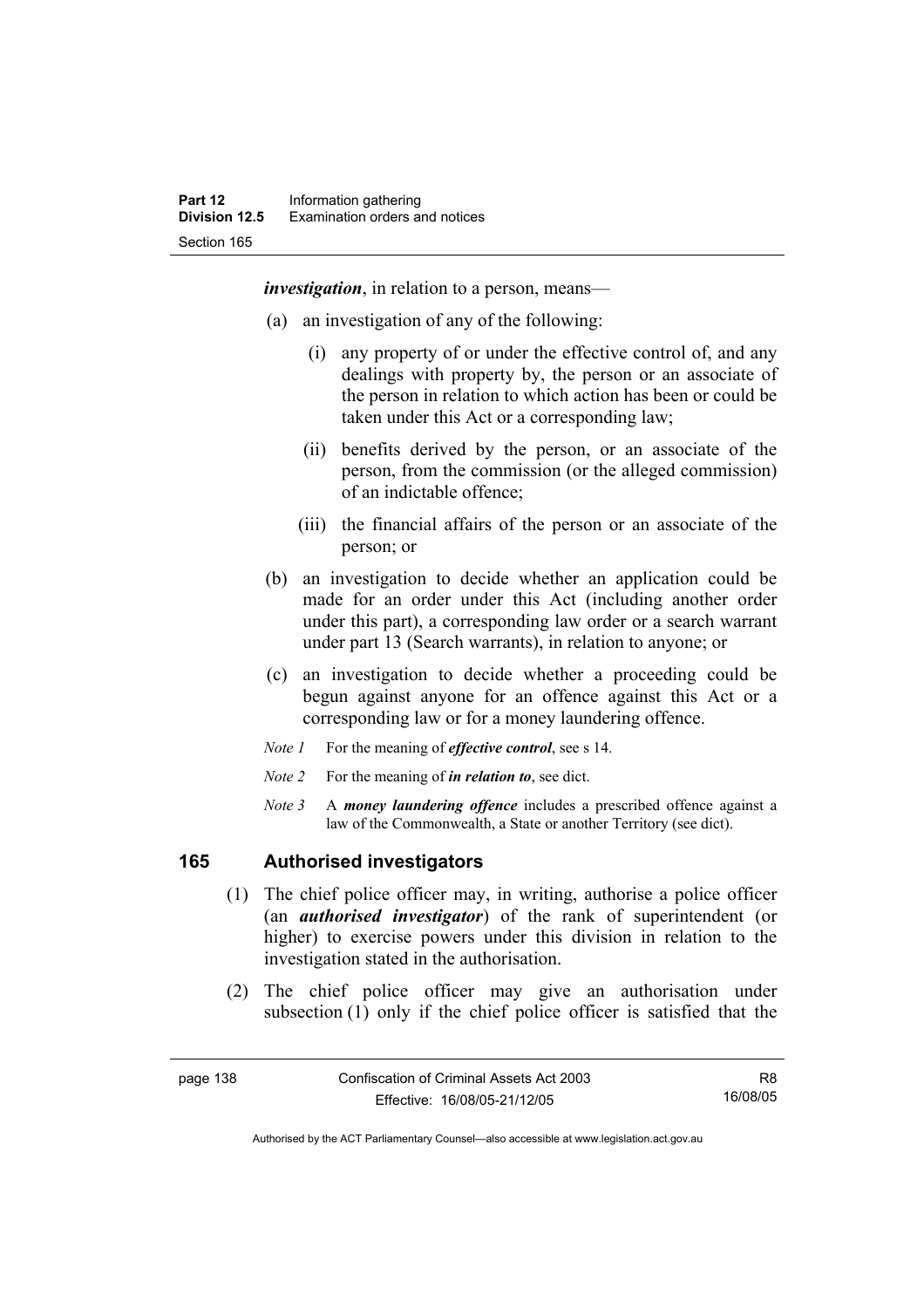*investigation*, in relation to a person, means—

- (a) an investigation of any of the following:
	- (i) any property of or under the effective control of, and any dealings with property by, the person or an associate of the person in relation to which action has been or could be taken under this Act or a corresponding law;
	- (ii) benefits derived by the person, or an associate of the person, from the commission (or the alleged commission) of an indictable offence;
	- (iii) the financial affairs of the person or an associate of the person; or
- (b) an investigation to decide whether an application could be made for an order under this Act (including another order under this part), a corresponding law order or a search warrant under part 13 (Search warrants), in relation to anyone; or
- (c) an investigation to decide whether a proceeding could be begun against anyone for an offence against this Act or a corresponding law or for a money laundering offence.
- *Note 1* For the meaning of *effective control*, see s 14.
- *Note 2* For the meaning of *in relation to*, see dict.
- *Note 3* A *money laundering offence* includes a prescribed offence against a law of the Commonwealth, a State or another Territory (see dict).

## **165 Authorised investigators**

- (1) The chief police officer may, in writing, authorise a police officer (an *authorised investigator*) of the rank of superintendent (or higher) to exercise powers under this division in relation to the investigation stated in the authorisation.
- (2) The chief police officer may give an authorisation under subsection (1) only if the chief police officer is satisfied that the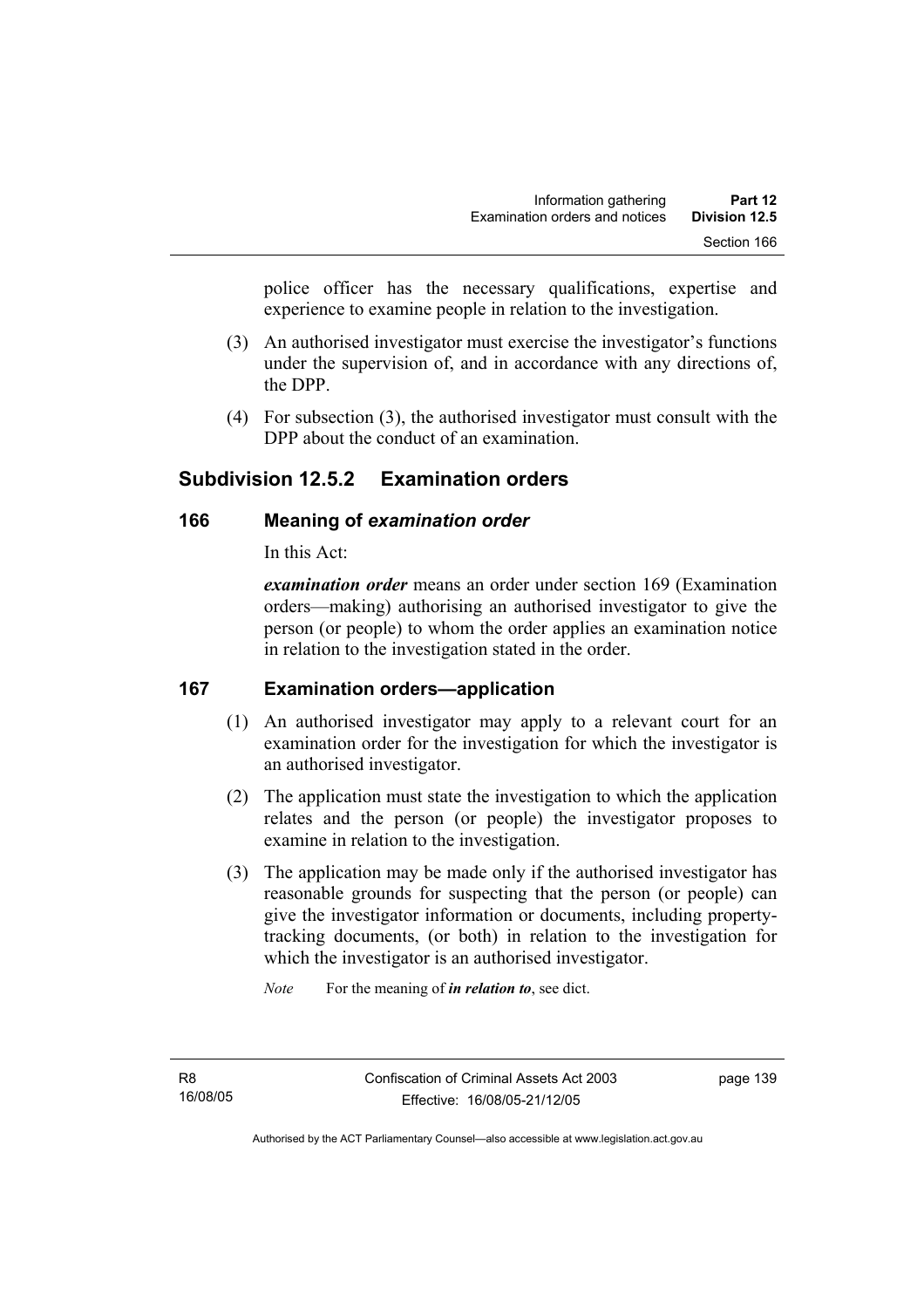police officer has the necessary qualifications, expertise and experience to examine people in relation to the investigation.

- (3) An authorised investigator must exercise the investigator's functions under the supervision of, and in accordance with any directions of, the DPP.
- (4) For subsection (3), the authorised investigator must consult with the DPP about the conduct of an examination.

# **Subdivision 12.5.2 Examination orders**

## **166 Meaning of** *examination order*

In this Act:

*examination order* means an order under section 169 (Examination orders—making) authorising an authorised investigator to give the person (or people) to whom the order applies an examination notice in relation to the investigation stated in the order.

## **167 Examination orders—application**

- (1) An authorised investigator may apply to a relevant court for an examination order for the investigation for which the investigator is an authorised investigator.
- (2) The application must state the investigation to which the application relates and the person (or people) the investigator proposes to examine in relation to the investigation.
- (3) The application may be made only if the authorised investigator has reasonable grounds for suspecting that the person (or people) can give the investigator information or documents, including propertytracking documents, (or both) in relation to the investigation for which the investigator is an authorised investigator.

*Note* For the meaning of *in relation to*, see dict.

page 139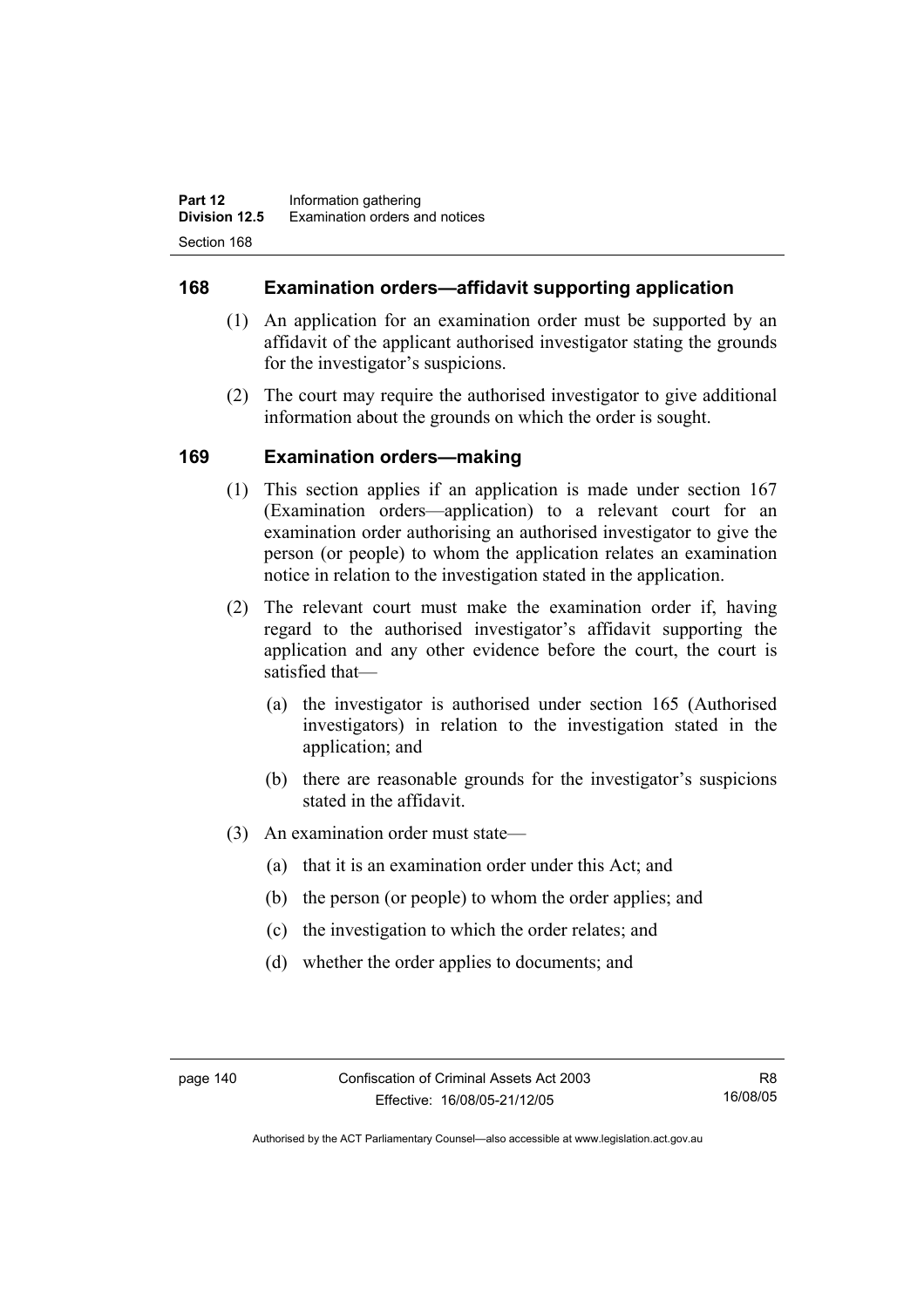## **168 Examination orders—affidavit supporting application**

- (1) An application for an examination order must be supported by an affidavit of the applicant authorised investigator stating the grounds for the investigator's suspicions.
- (2) The court may require the authorised investigator to give additional information about the grounds on which the order is sought.

## **169 Examination orders—making**

- (1) This section applies if an application is made under section 167 (Examination orders—application) to a relevant court for an examination order authorising an authorised investigator to give the person (or people) to whom the application relates an examination notice in relation to the investigation stated in the application.
- (2) The relevant court must make the examination order if, having regard to the authorised investigator's affidavit supporting the application and any other evidence before the court, the court is satisfied that—
	- (a) the investigator is authorised under section 165 (Authorised investigators) in relation to the investigation stated in the application; and
	- (b) there are reasonable grounds for the investigator's suspicions stated in the affidavit.
- (3) An examination order must state—
	- (a) that it is an examination order under this Act; and
	- (b) the person (or people) to whom the order applies; and
	- (c) the investigation to which the order relates; and
	- (d) whether the order applies to documents; and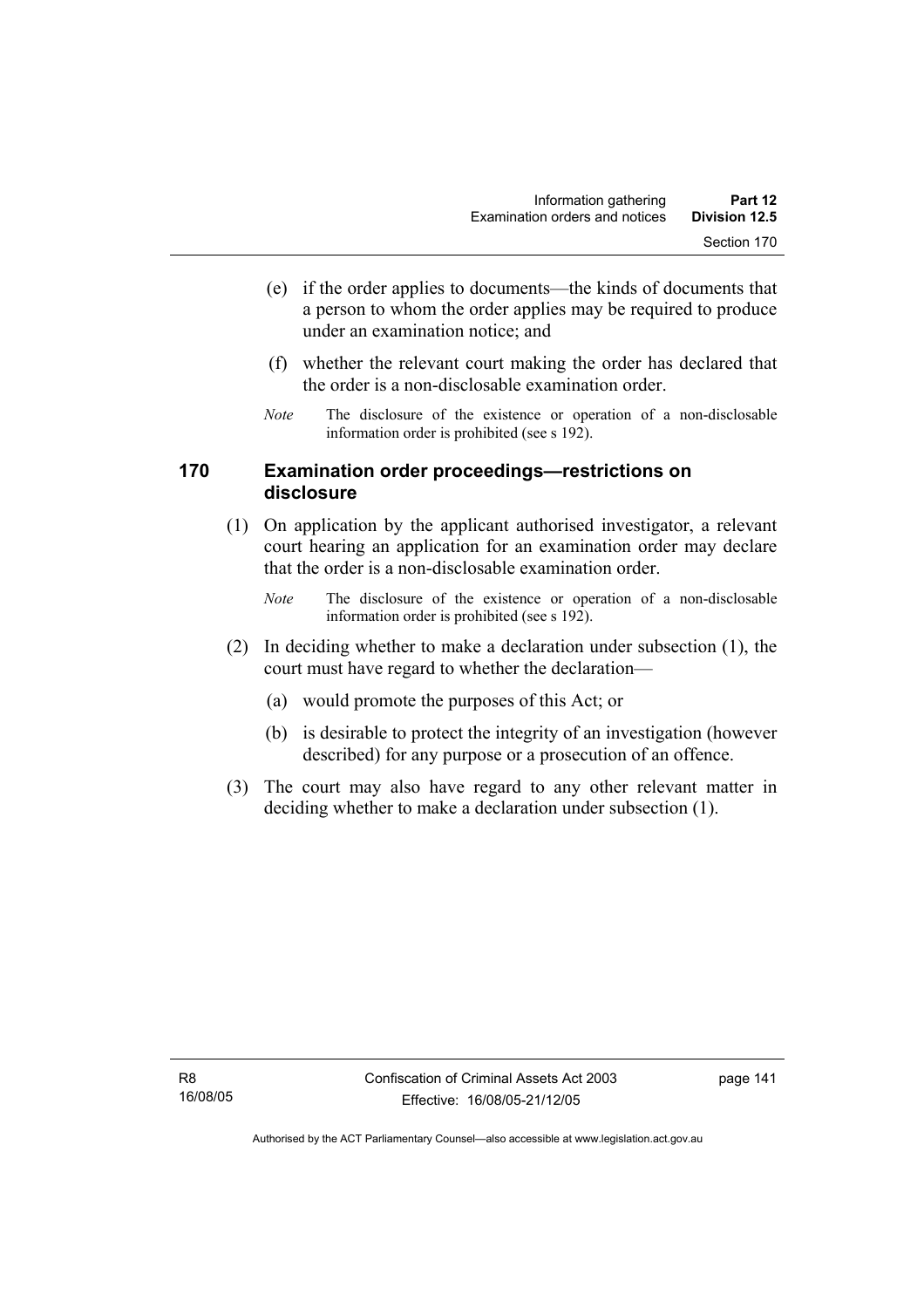- (e) if the order applies to documents—the kinds of documents that a person to whom the order applies may be required to produce under an examination notice; and
- (f) whether the relevant court making the order has declared that the order is a non-disclosable examination order.
- *Note* The disclosure of the existence or operation of a non-disclosable information order is prohibited (see s 192).

## **170 Examination order proceedings—restrictions on disclosure**

- (1) On application by the applicant authorised investigator, a relevant court hearing an application for an examination order may declare that the order is a non-disclosable examination order.
	- *Note* The disclosure of the existence or operation of a non-disclosable information order is prohibited (see s 192).
- (2) In deciding whether to make a declaration under subsection (1), the court must have regard to whether the declaration—
	- (a) would promote the purposes of this Act; or
	- (b) is desirable to protect the integrity of an investigation (however described) for any purpose or a prosecution of an offence.
- (3) The court may also have regard to any other relevant matter in deciding whether to make a declaration under subsection (1).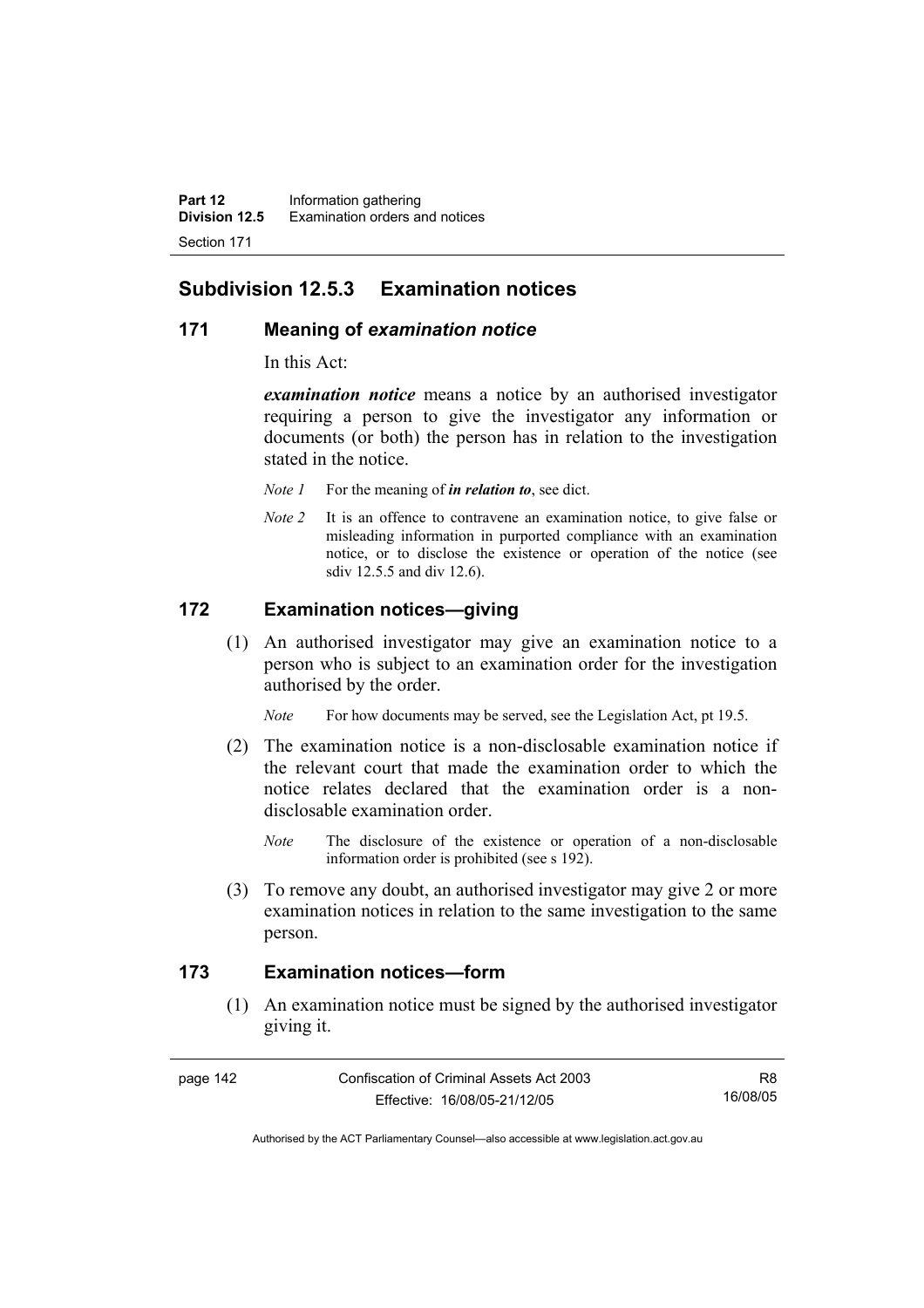## **Subdivision 12.5.3 Examination notices**

## **171 Meaning of** *examination notice*

In this Act:

*examination notice* means a notice by an authorised investigator requiring a person to give the investigator any information or documents (or both) the person has in relation to the investigation stated in the notice.

- *Note 1* For the meaning of *in relation to*, see dict.
- *Note 2* It is an offence to contravene an examination notice, to give false or misleading information in purported compliance with an examination notice, or to disclose the existence or operation of the notice (see sdiv 12.5.5 and div 12.6).

## **172 Examination notices—giving**

 (1) An authorised investigator may give an examination notice to a person who is subject to an examination order for the investigation authorised by the order.

*Note* For how documents may be served, see the Legislation Act, pt 19.5.

- (2) The examination notice is a non-disclosable examination notice if the relevant court that made the examination order to which the notice relates declared that the examination order is a nondisclosable examination order.
	- *Note* The disclosure of the existence or operation of a non-disclosable information order is prohibited (see s 192).
- (3) To remove any doubt, an authorised investigator may give 2 or more examination notices in relation to the same investigation to the same person.

#### **173 Examination notices—form**

 (1) An examination notice must be signed by the authorised investigator giving it.

R8 16/08/05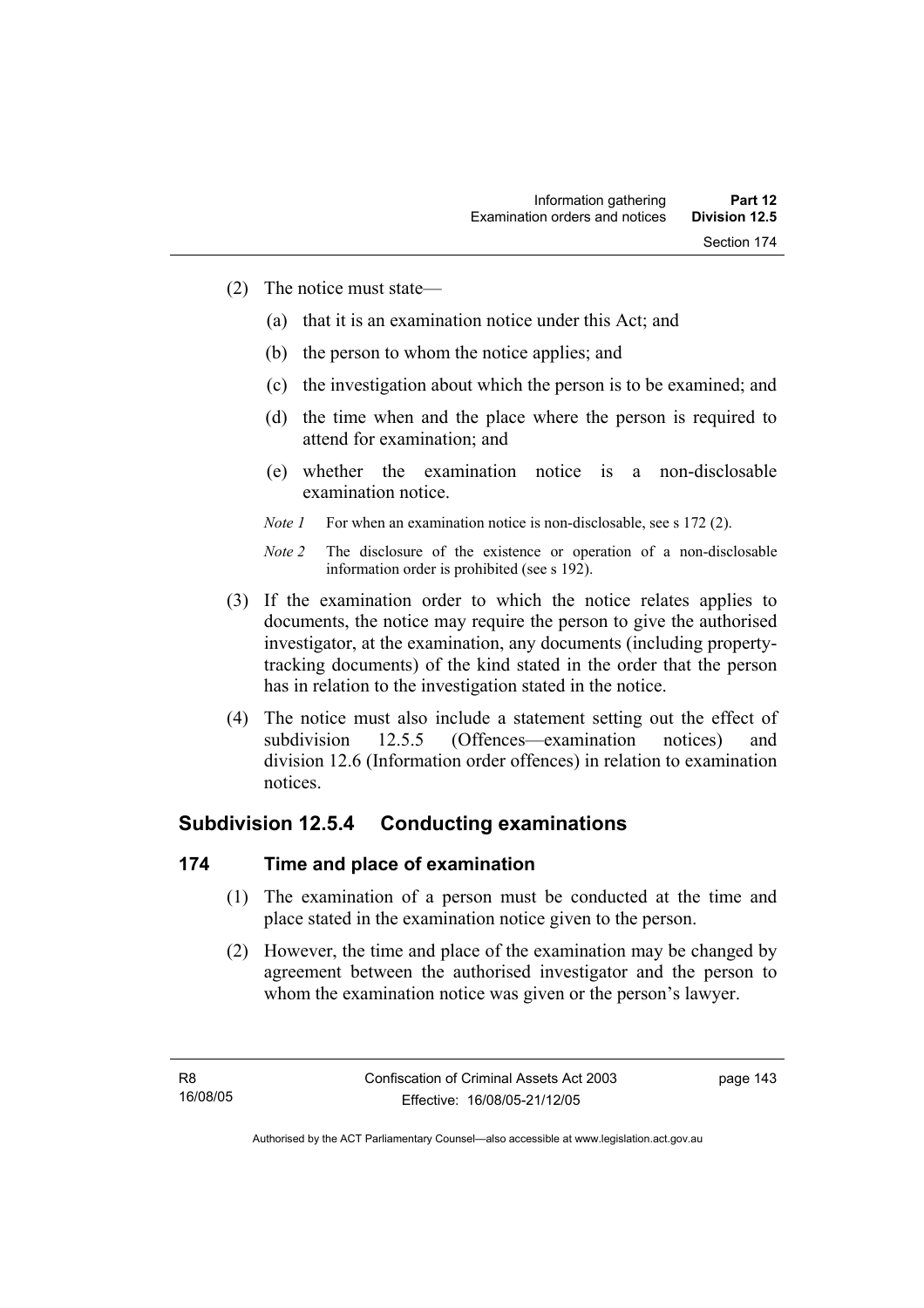- (2) The notice must state—
	- (a) that it is an examination notice under this Act; and
	- (b) the person to whom the notice applies; and
	- (c) the investigation about which the person is to be examined; and
	- (d) the time when and the place where the person is required to attend for examination; and
	- (e) whether the examination notice is a non-disclosable examination notice.
	- *Note 1* For when an examination notice is non-disclosable, see s 172 (2).

- (3) If the examination order to which the notice relates applies to documents, the notice may require the person to give the authorised investigator, at the examination, any documents (including propertytracking documents) of the kind stated in the order that the person has in relation to the investigation stated in the notice.
- (4) The notice must also include a statement setting out the effect of subdivision 12.5.5 (Offences—examination notices) and division 12.6 (Information order offences) in relation to examination notices.

## **Subdivision 12.5.4 Conducting examinations**

## **174 Time and place of examination**

- (1) The examination of a person must be conducted at the time and place stated in the examination notice given to the person.
- (2) However, the time and place of the examination may be changed by agreement between the authorised investigator and the person to whom the examination notice was given or the person's lawyer.

page 143

*Note 2* The disclosure of the existence or operation of a non-disclosable information order is prohibited (see s 192).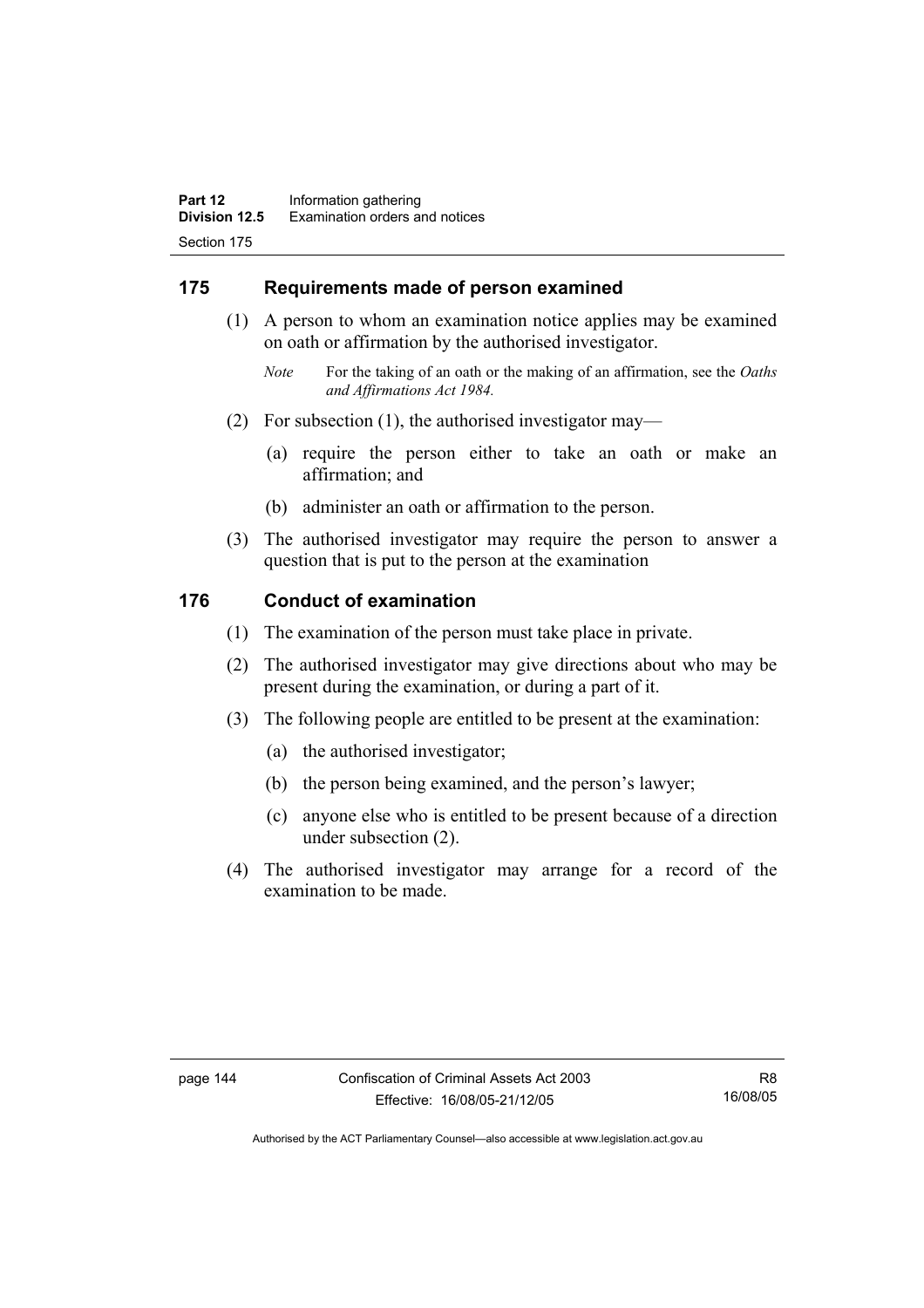## **175 Requirements made of person examined**

- (1) A person to whom an examination notice applies may be examined on oath or affirmation by the authorised investigator.
	- *Note* For the taking of an oath or the making of an affirmation, see the *Oaths and Affirmations Act 1984.*
- (2) For subsection (1), the authorised investigator may—
	- (a) require the person either to take an oath or make an affirmation; and
	- (b) administer an oath or affirmation to the person.
- (3) The authorised investigator may require the person to answer a question that is put to the person at the examination

## **176 Conduct of examination**

- (1) The examination of the person must take place in private.
- (2) The authorised investigator may give directions about who may be present during the examination, or during a part of it.
- (3) The following people are entitled to be present at the examination:
	- (a) the authorised investigator;
	- (b) the person being examined, and the person's lawyer;
	- (c) anyone else who is entitled to be present because of a direction under subsection (2).
- (4) The authorised investigator may arrange for a record of the examination to be made.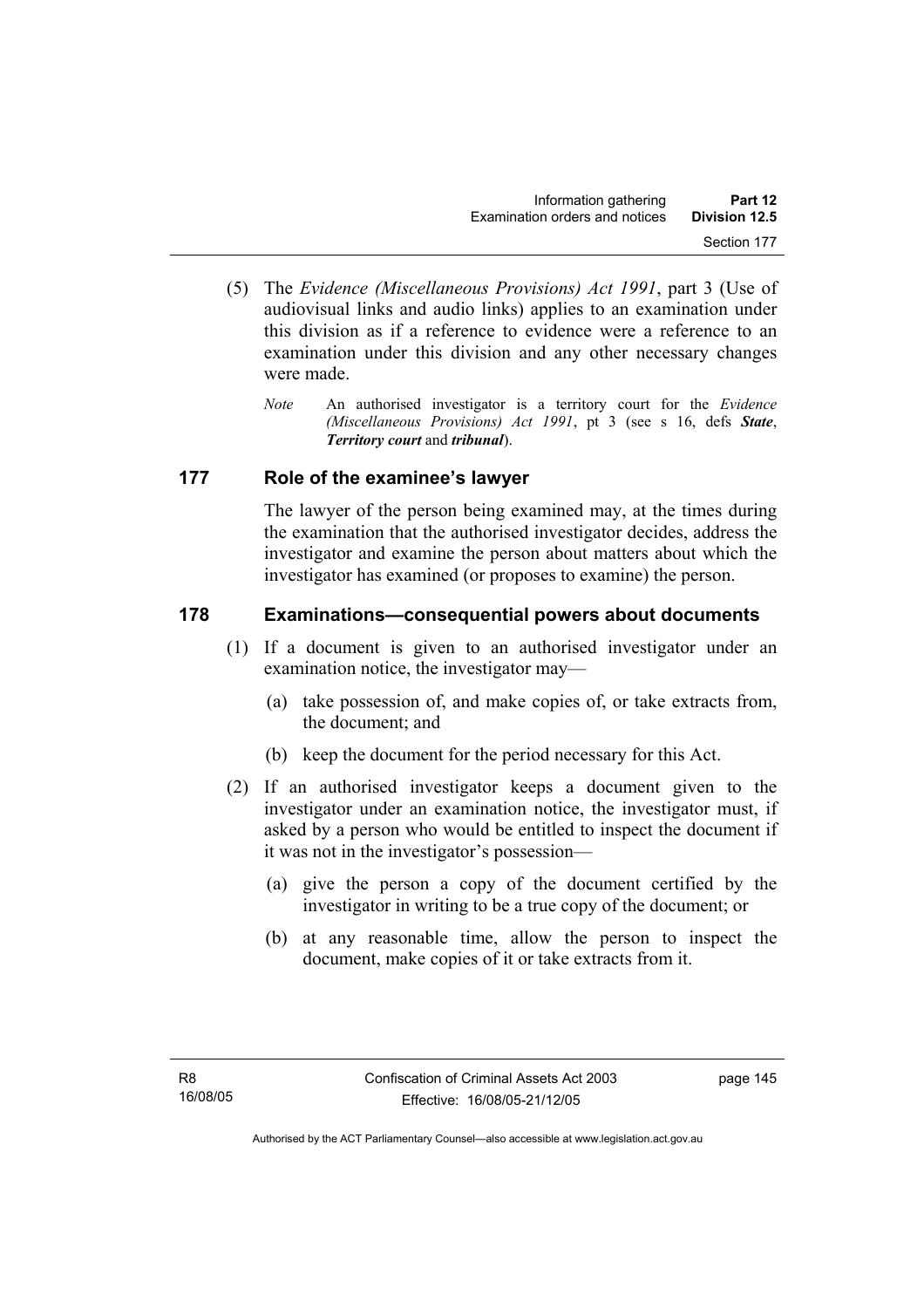- (5) The *Evidence (Miscellaneous Provisions) Act 1991*, part 3 (Use of audiovisual links and audio links) applies to an examination under this division as if a reference to evidence were a reference to an examination under this division and any other necessary changes were made.
	- *Note* An authorised investigator is a territory court for the *Evidence (Miscellaneous Provisions) Act 1991*, pt 3 (see s 16, defs *State*, *Territory court* and *tribunal*).

## **177 Role of the examinee's lawyer**

The lawyer of the person being examined may, at the times during the examination that the authorised investigator decides, address the investigator and examine the person about matters about which the investigator has examined (or proposes to examine) the person.

## **178 Examinations—consequential powers about documents**

- (1) If a document is given to an authorised investigator under an examination notice, the investigator may—
	- (a) take possession of, and make copies of, or take extracts from, the document; and
	- (b) keep the document for the period necessary for this Act.
- (2) If an authorised investigator keeps a document given to the investigator under an examination notice, the investigator must, if asked by a person who would be entitled to inspect the document if it was not in the investigator's possession—
	- (a) give the person a copy of the document certified by the investigator in writing to be a true copy of the document; or
	- (b) at any reasonable time, allow the person to inspect the document, make copies of it or take extracts from it.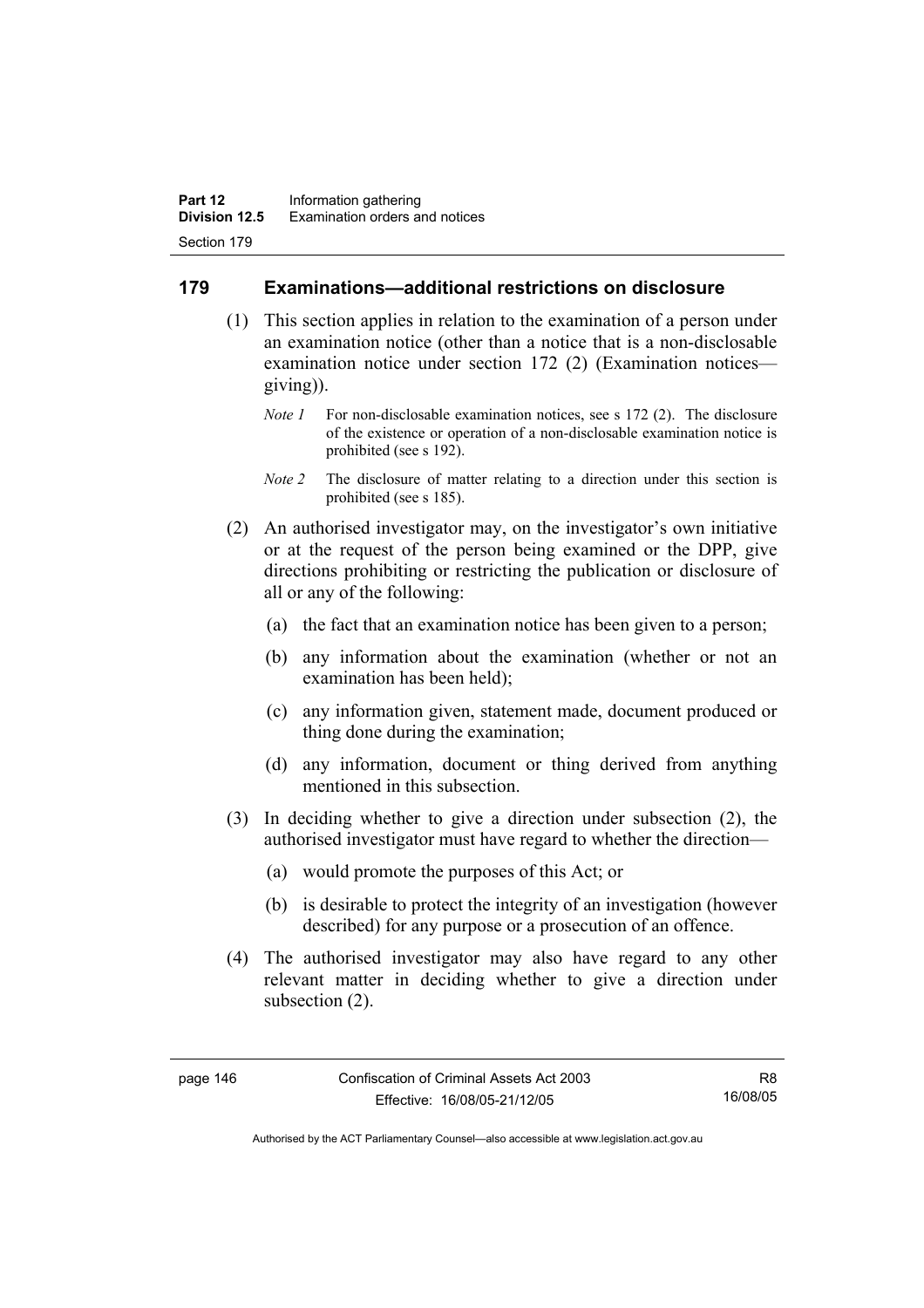## **179 Examinations—additional restrictions on disclosure**

- (1) This section applies in relation to the examination of a person under an examination notice (other than a notice that is a non-disclosable examination notice under section 172 (2) (Examination notices giving)).
	- *Note 1* For non-disclosable examination notices, see s 172 (2). The disclosure of the existence or operation of a non-disclosable examination notice is prohibited (see s 192).
	- *Note 2* The disclosure of matter relating to a direction under this section is prohibited (see s 185).
- (2) An authorised investigator may, on the investigator's own initiative or at the request of the person being examined or the DPP, give directions prohibiting or restricting the publication or disclosure of all or any of the following:
	- (a) the fact that an examination notice has been given to a person;
	- (b) any information about the examination (whether or not an examination has been held);
	- (c) any information given, statement made, document produced or thing done during the examination;
	- (d) any information, document or thing derived from anything mentioned in this subsection.
- (3) In deciding whether to give a direction under subsection (2), the authorised investigator must have regard to whether the direction—
	- (a) would promote the purposes of this Act; or
	- (b) is desirable to protect the integrity of an investigation (however described) for any purpose or a prosecution of an offence.
- (4) The authorised investigator may also have regard to any other relevant matter in deciding whether to give a direction under subsection (2).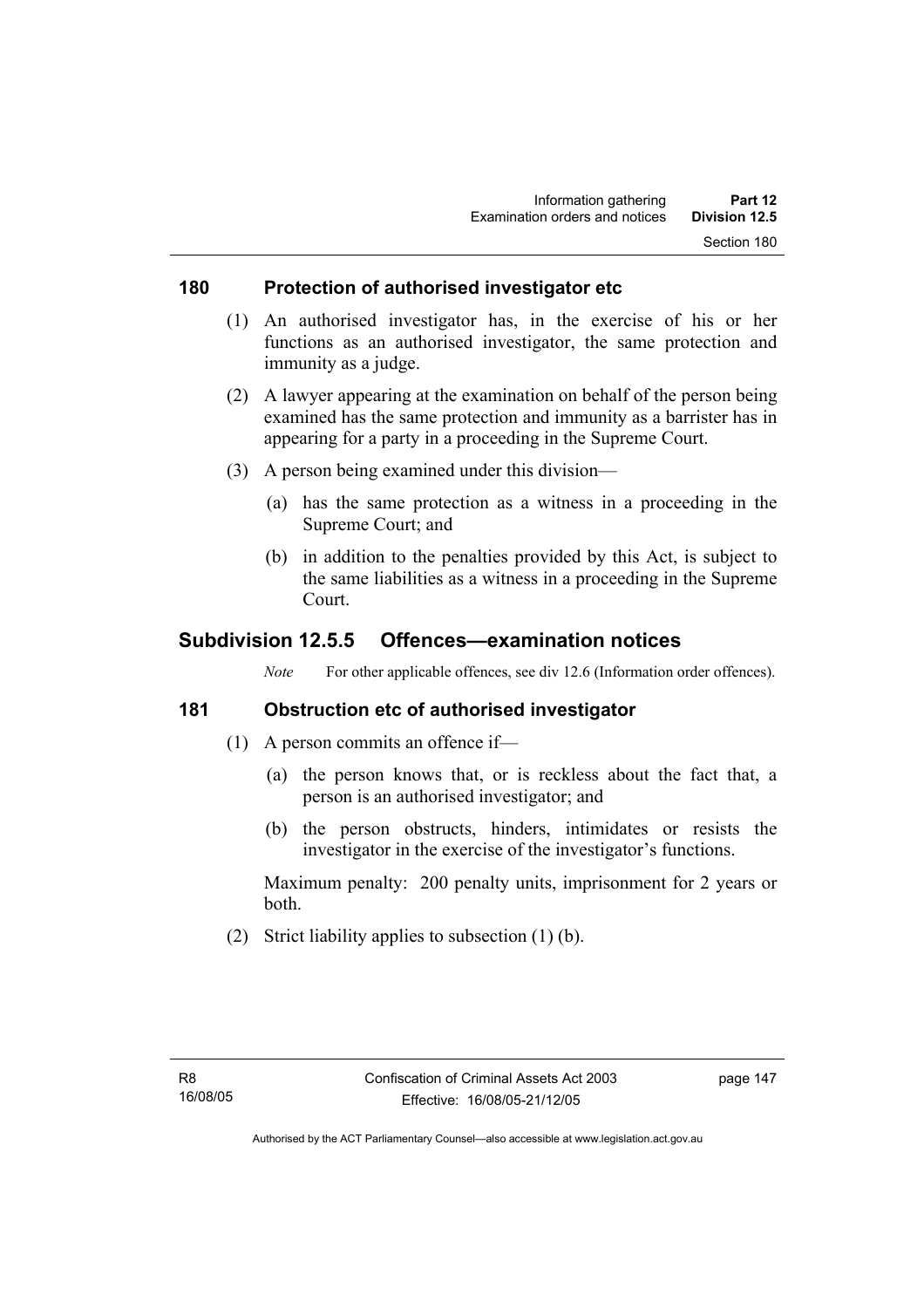## **180 Protection of authorised investigator etc**

- (1) An authorised investigator has, in the exercise of his or her functions as an authorised investigator, the same protection and immunity as a judge.
- (2) A lawyer appearing at the examination on behalf of the person being examined has the same protection and immunity as a barrister has in appearing for a party in a proceeding in the Supreme Court.
- (3) A person being examined under this division—
	- (a) has the same protection as a witness in a proceeding in the Supreme Court; and
	- (b) in addition to the penalties provided by this Act, is subject to the same liabilities as a witness in a proceeding in the Supreme Court.

## **Subdivision 12.5.5 Offences—examination notices**

*Note* For other applicable offences, see div 12.6 (Information order offences).

## **181 Obstruction etc of authorised investigator**

- (1) A person commits an offence if—
	- (a) the person knows that, or is reckless about the fact that, a person is an authorised investigator; and
	- (b) the person obstructs, hinders, intimidates or resists the investigator in the exercise of the investigator's functions.

Maximum penalty: 200 penalty units, imprisonment for 2 years or both.

(2) Strict liability applies to subsection (1) (b).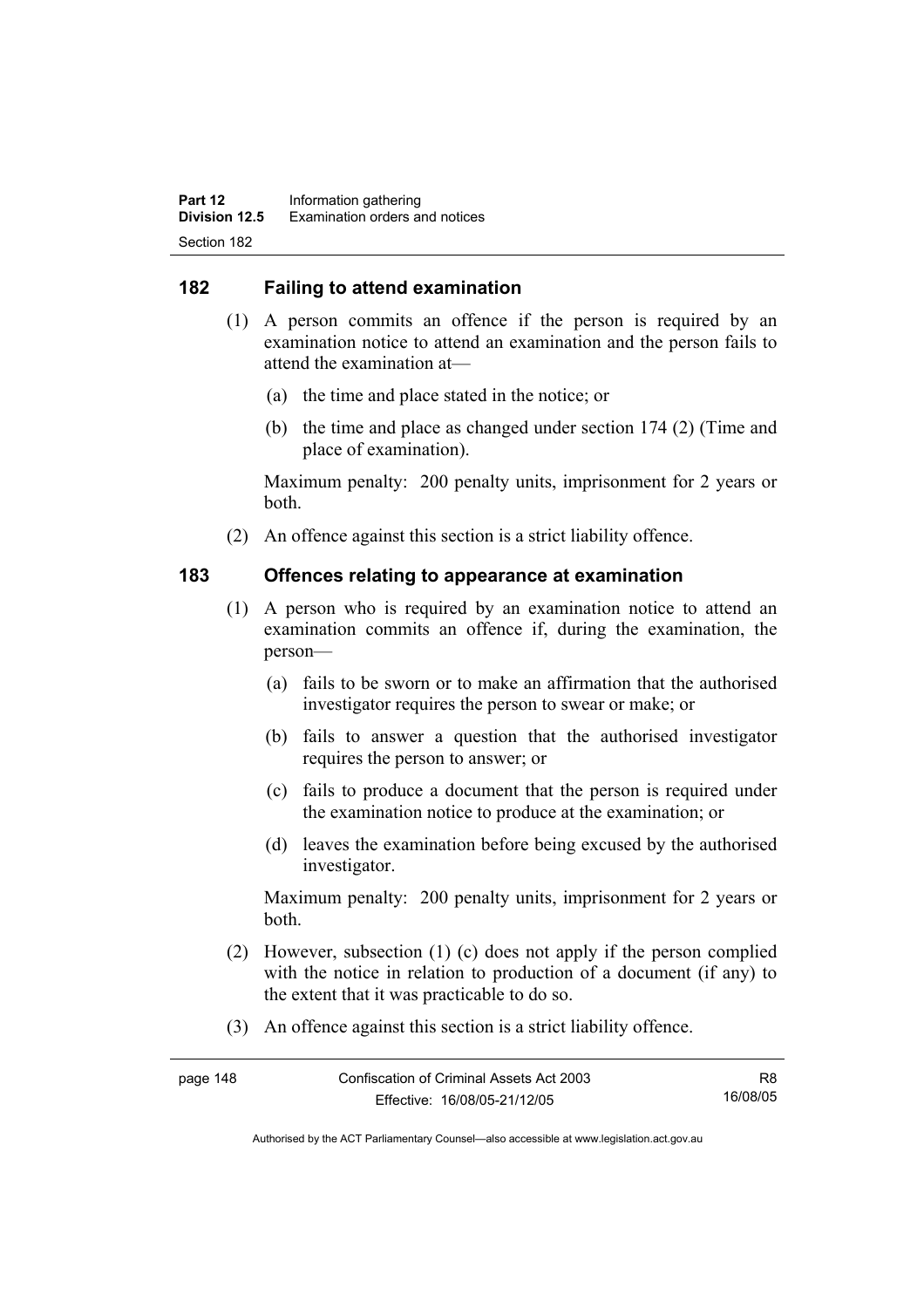## **182 Failing to attend examination**

- (1) A person commits an offence if the person is required by an examination notice to attend an examination and the person fails to attend the examination at—
	- (a) the time and place stated in the notice; or
	- (b) the time and place as changed under section 174 (2) (Time and place of examination).

Maximum penalty: 200 penalty units, imprisonment for 2 years or both.

(2) An offence against this section is a strict liability offence.

## **183 Offences relating to appearance at examination**

- (1) A person who is required by an examination notice to attend an examination commits an offence if, during the examination, the person—
	- (a) fails to be sworn or to make an affirmation that the authorised investigator requires the person to swear or make; or
	- (b) fails to answer a question that the authorised investigator requires the person to answer; or
	- (c) fails to produce a document that the person is required under the examination notice to produce at the examination; or
	- (d) leaves the examination before being excused by the authorised investigator.

Maximum penalty: 200 penalty units, imprisonment for 2 years or both.

- (2) However, subsection (1) (c) does not apply if the person complied with the notice in relation to production of a document (if any) to the extent that it was practicable to do so.
- (3) An offence against this section is a strict liability offence.

| page 148 | Confiscation of Criminal Assets Act 2003 |          |
|----------|------------------------------------------|----------|
|          | Effective: 16/08/05-21/12/05             | 16/08/05 |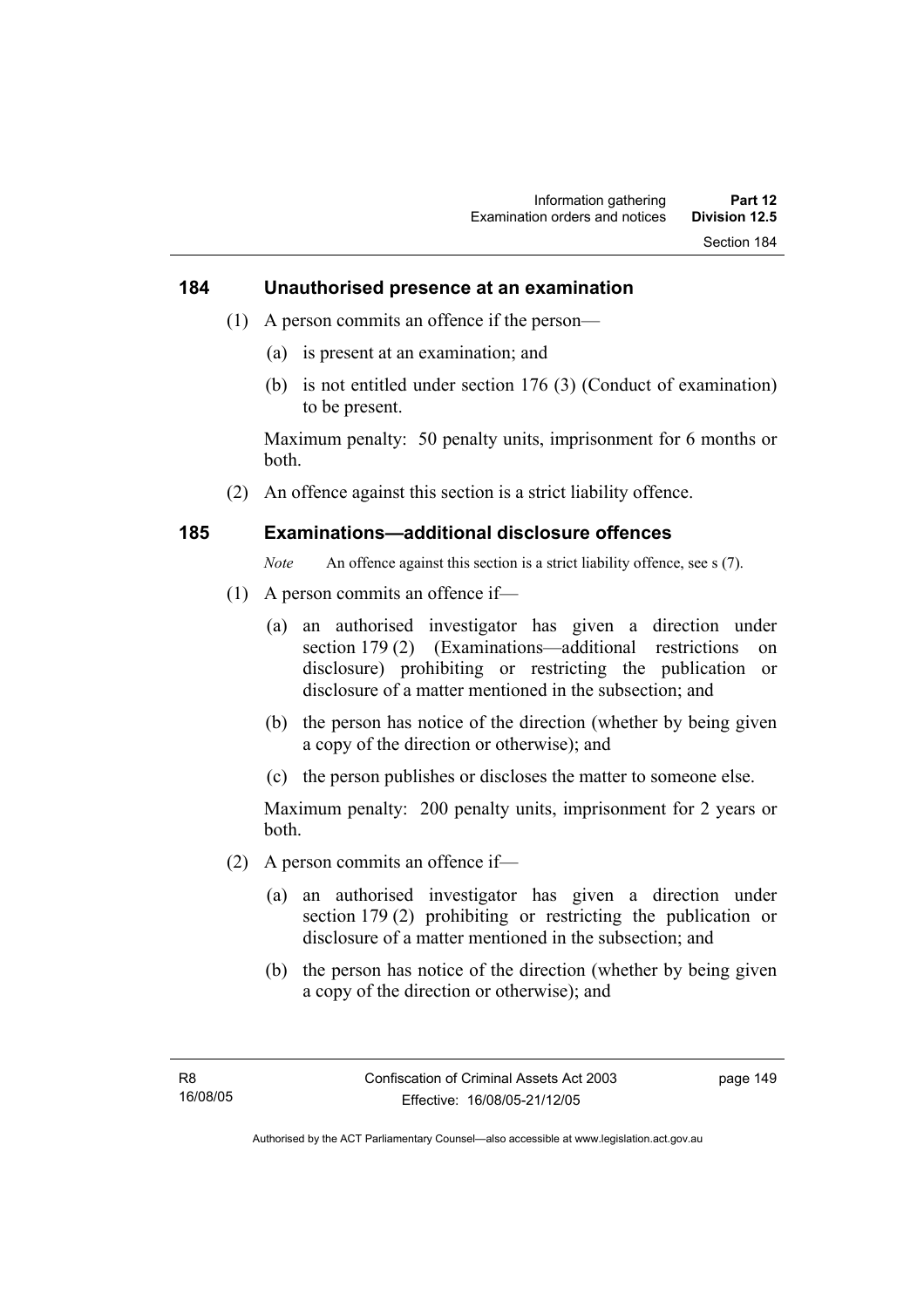#### **184 Unauthorised presence at an examination**

- (1) A person commits an offence if the person—
	- (a) is present at an examination; and
	- (b) is not entitled under section 176 (3) (Conduct of examination) to be present.

Maximum penalty: 50 penalty units, imprisonment for 6 months or both.

(2) An offence against this section is a strict liability offence.

#### **185 Examinations—additional disclosure offences**

*Note* An offence against this section is a strict liability offence, see s (7).

- (1) A person commits an offence if—
	- (a) an authorised investigator has given a direction under section 179 (2) (Examinations—additional restrictions on disclosure) prohibiting or restricting the publication or disclosure of a matter mentioned in the subsection; and
	- (b) the person has notice of the direction (whether by being given a copy of the direction or otherwise); and
	- (c) the person publishes or discloses the matter to someone else.

Maximum penalty: 200 penalty units, imprisonment for 2 years or both.

- (2) A person commits an offence if—
	- (a) an authorised investigator has given a direction under section 179 (2) prohibiting or restricting the publication or disclosure of a matter mentioned in the subsection; and
	- (b) the person has notice of the direction (whether by being given a copy of the direction or otherwise); and

page 149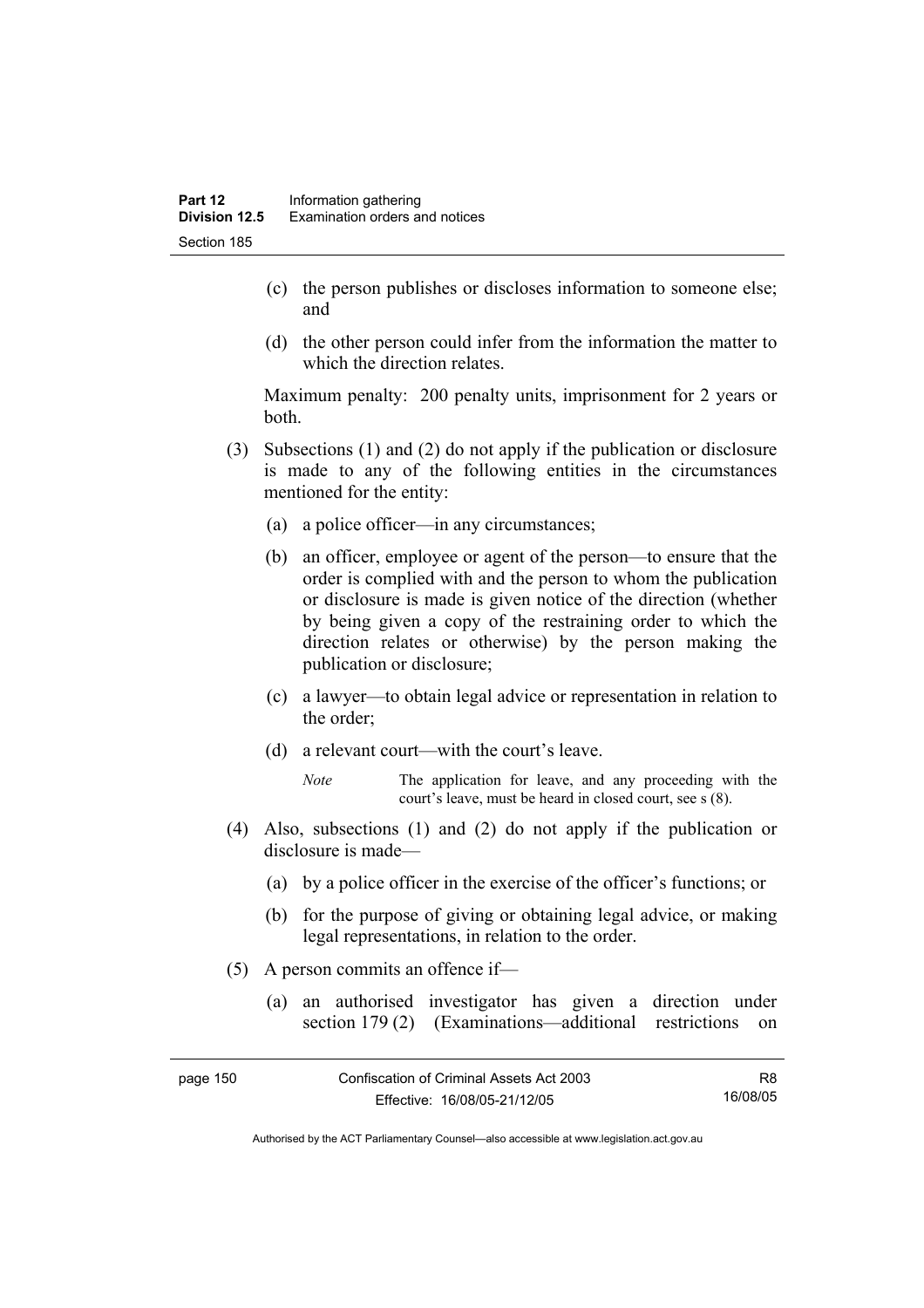- (c) the person publishes or discloses information to someone else; and
- (d) the other person could infer from the information the matter to which the direction relates.

Maximum penalty: 200 penalty units, imprisonment for 2 years or both.

- (3) Subsections (1) and (2) do not apply if the publication or disclosure is made to any of the following entities in the circumstances mentioned for the entity:
	- (a) a police officer—in any circumstances;
	- (b) an officer, employee or agent of the person—to ensure that the order is complied with and the person to whom the publication or disclosure is made is given notice of the direction (whether by being given a copy of the restraining order to which the direction relates or otherwise) by the person making the publication or disclosure;
	- (c) a lawyer—to obtain legal advice or representation in relation to the order;
	- (d) a relevant court—with the court's leave.
		- *Note* The application for leave, and any proceeding with the court's leave, must be heard in closed court, see s (8).
- (4) Also, subsections (1) and (2) do not apply if the publication or disclosure is made—
	- (a) by a police officer in the exercise of the officer's functions; or
	- (b) for the purpose of giving or obtaining legal advice, or making legal representations, in relation to the order.
- (5) A person commits an offence if—
	- (a) an authorised investigator has given a direction under section 179 (2) (Examinations—additional restrictions on

| page 150 | Confiscation of Criminal Assets Act 2003 | R8       |
|----------|------------------------------------------|----------|
|          | Effective: 16/08/05-21/12/05             | 16/08/05 |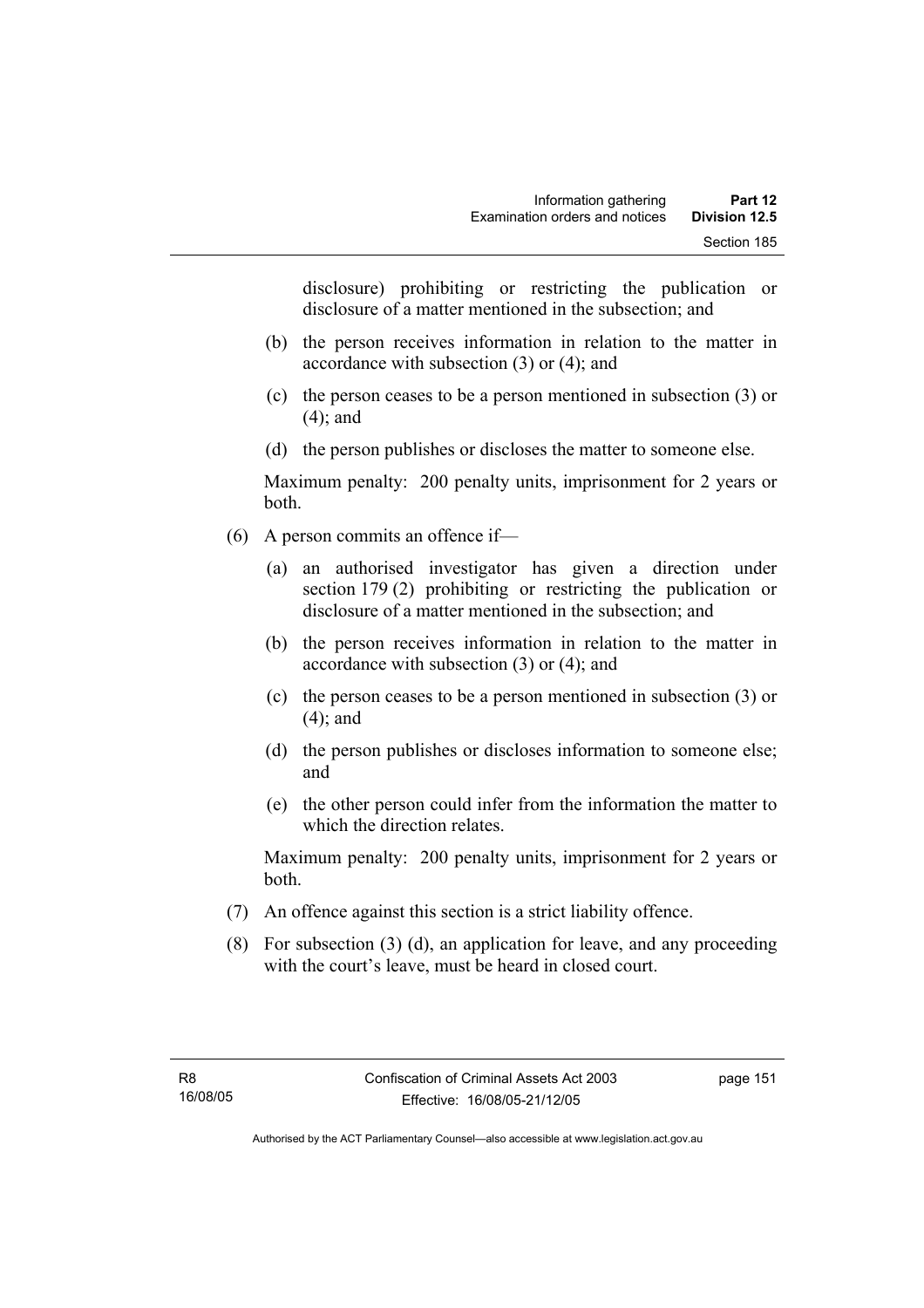disclosure) prohibiting or restricting the publication or disclosure of a matter mentioned in the subsection; and

- (b) the person receives information in relation to the matter in accordance with subsection (3) or (4); and
- (c) the person ceases to be a person mentioned in subsection (3) or (4); and
- (d) the person publishes or discloses the matter to someone else.

Maximum penalty: 200 penalty units, imprisonment for 2 years or both.

- (6) A person commits an offence if—
	- (a) an authorised investigator has given a direction under section 179 (2) prohibiting or restricting the publication or disclosure of a matter mentioned in the subsection; and
	- (b) the person receives information in relation to the matter in accordance with subsection (3) or (4); and
	- (c) the person ceases to be a person mentioned in subsection (3) or (4); and
	- (d) the person publishes or discloses information to someone else; and
	- (e) the other person could infer from the information the matter to which the direction relates.

Maximum penalty: 200 penalty units, imprisonment for 2 years or both.

- (7) An offence against this section is a strict liability offence.
- (8) For subsection (3) (d), an application for leave, and any proceeding with the court's leave, must be heard in closed court.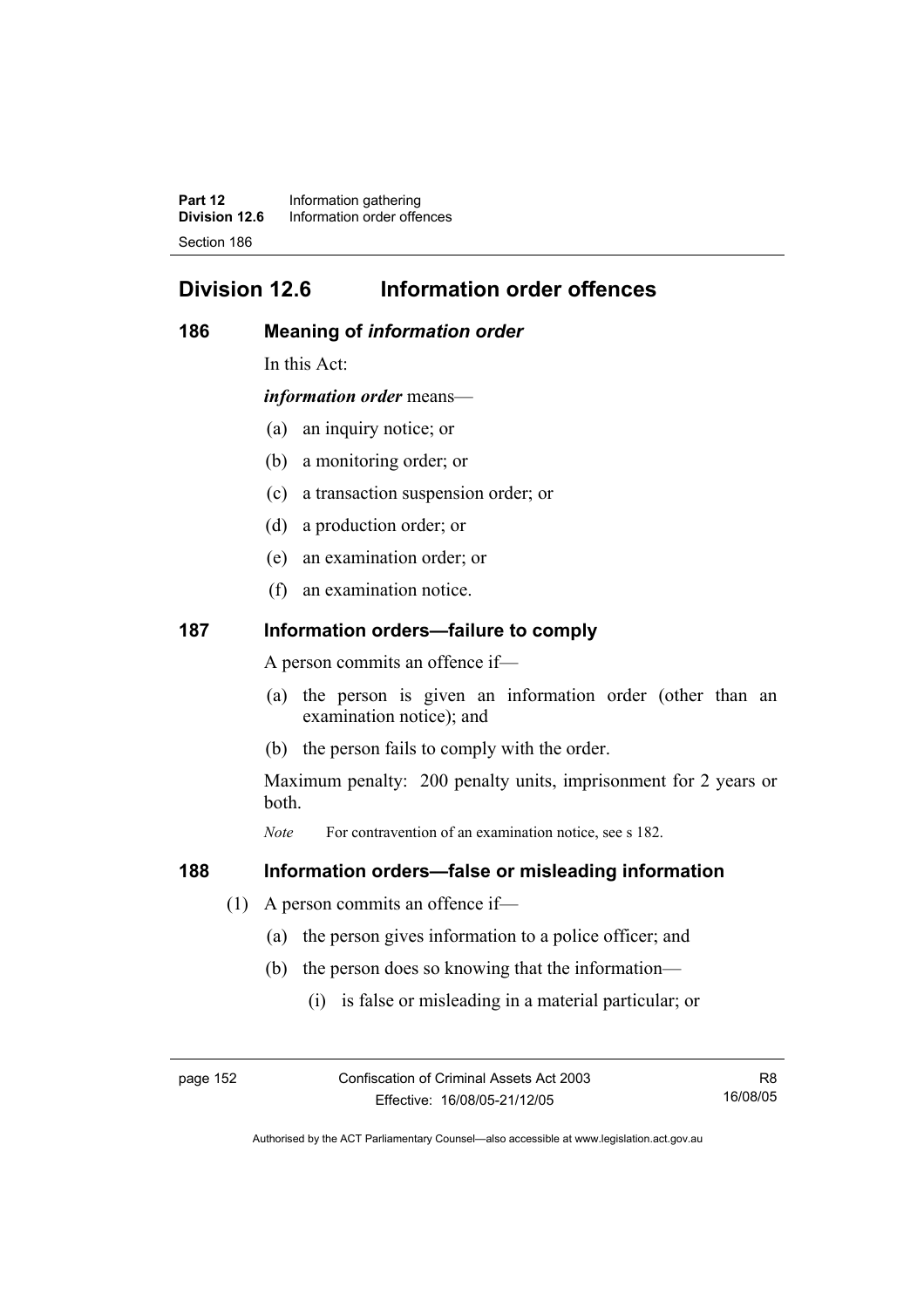**Part 12** Information gathering<br>**Division 12.6** Information order offer **Division 12.6** Information order offences Section 186

# **Division 12.6 Information order offences**

## **186 Meaning of** *information order*

In this Act:

*information order* means—

- (a) an inquiry notice; or
- (b) a monitoring order; or
- (c) a transaction suspension order; or
- (d) a production order; or
- (e) an examination order; or
- (f) an examination notice.

#### **187 Information orders—failure to comply**

A person commits an offence if—

- (a) the person is given an information order (other than an examination notice); and
- (b) the person fails to comply with the order.

Maximum penalty: 200 penalty units, imprisonment for 2 years or both.

*Note* For contravention of an examination notice, see s 182.

#### **188 Information orders—false or misleading information**

- (1) A person commits an offence if—
	- (a) the person gives information to a police officer; and
	- (b) the person does so knowing that the information—
		- (i) is false or misleading in a material particular; or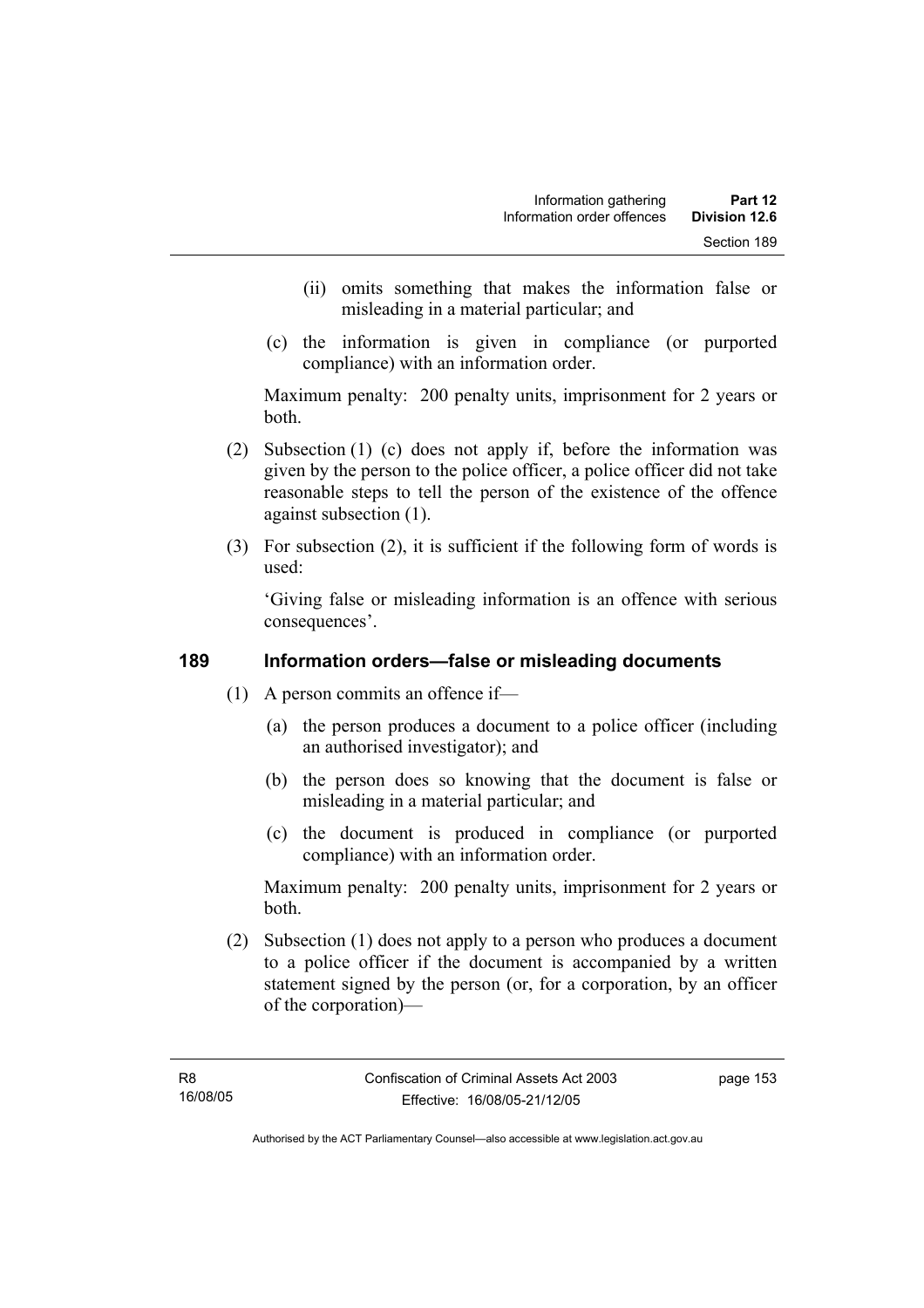- (ii) omits something that makes the information false or misleading in a material particular; and
- (c) the information is given in compliance (or purported compliance) with an information order.

Maximum penalty: 200 penalty units, imprisonment for 2 years or both.

- (2) Subsection (1) (c) does not apply if, before the information was given by the person to the police officer, a police officer did not take reasonable steps to tell the person of the existence of the offence against subsection (1).
- (3) For subsection (2), it is sufficient if the following form of words is used:

'Giving false or misleading information is an offence with serious consequences'.

## **189 Information orders—false or misleading documents**

- (1) A person commits an offence if—
	- (a) the person produces a document to a police officer (including an authorised investigator); and
	- (b) the person does so knowing that the document is false or misleading in a material particular; and
	- (c) the document is produced in compliance (or purported compliance) with an information order.

Maximum penalty: 200 penalty units, imprisonment for 2 years or both.

 (2) Subsection (1) does not apply to a person who produces a document to a police officer if the document is accompanied by a written statement signed by the person (or, for a corporation, by an officer of the corporation)—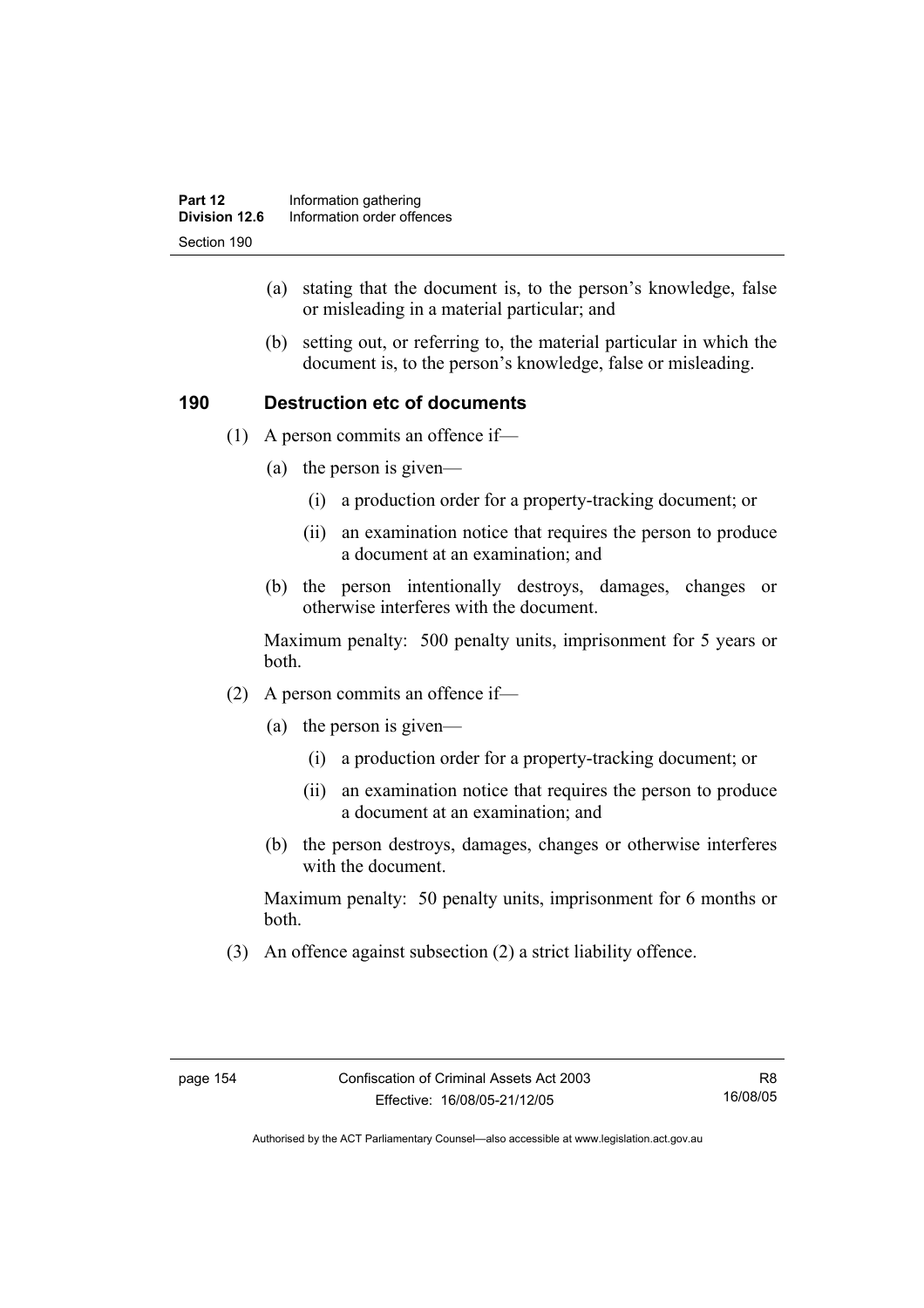- (a) stating that the document is, to the person's knowledge, false or misleading in a material particular; and
- (b) setting out, or referring to, the material particular in which the document is, to the person's knowledge, false or misleading.

## **190 Destruction etc of documents**

- (1) A person commits an offence if—
	- (a) the person is given—
		- (i) a production order for a property-tracking document; or
		- (ii) an examination notice that requires the person to produce a document at an examination; and
	- (b) the person intentionally destroys, damages, changes or otherwise interferes with the document.

Maximum penalty: 500 penalty units, imprisonment for 5 years or both.

- (2) A person commits an offence if—
	- (a) the person is given—
		- (i) a production order for a property-tracking document; or
		- (ii) an examination notice that requires the person to produce a document at an examination; and
	- (b) the person destroys, damages, changes or otherwise interferes with the document.

Maximum penalty: 50 penalty units, imprisonment for 6 months or both.

(3) An offence against subsection (2) a strict liability offence.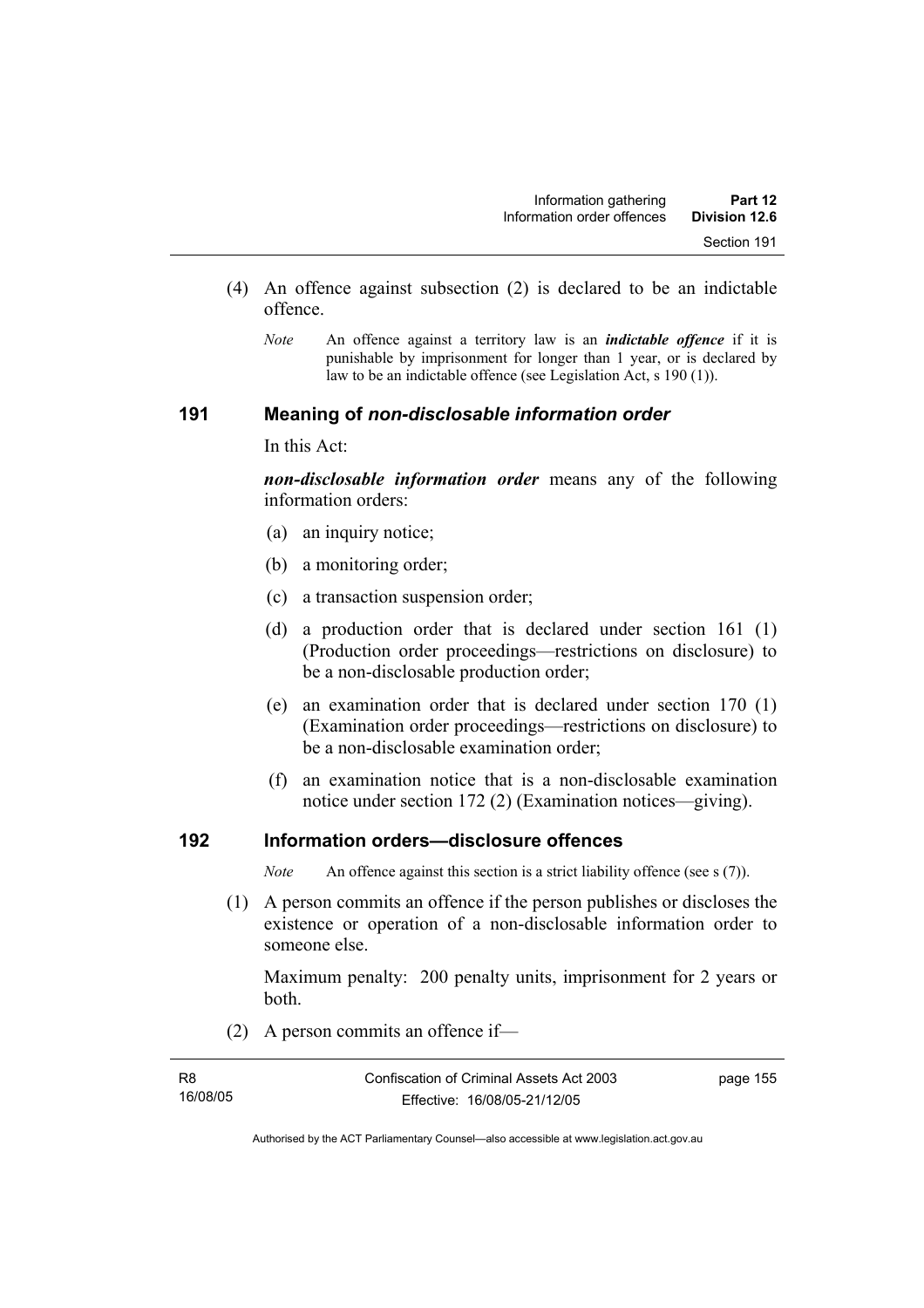- (4) An offence against subsection (2) is declared to be an indictable offence.
	- *Note* An offence against a territory law is an *indictable offence* if it is punishable by imprisonment for longer than 1 year, or is declared by law to be an indictable offence (see Legislation Act, s 190 (1)).

## **191 Meaning of** *non-disclosable information order*

In this Act:

*non-disclosable information order* means any of the following information orders:

- (a) an inquiry notice;
- (b) a monitoring order;
- (c) a transaction suspension order;
- (d) a production order that is declared under section 161 (1) (Production order proceedings—restrictions on disclosure) to be a non-disclosable production order;
- (e) an examination order that is declared under section 170 (1) (Examination order proceedings—restrictions on disclosure) to be a non-disclosable examination order;
- (f) an examination notice that is a non-disclosable examination notice under section 172 (2) (Examination notices—giving).

## **192 Information orders—disclosure offences**

*Note* An offence against this section is a strict liability offence (see s (7)).

 (1) A person commits an offence if the person publishes or discloses the existence or operation of a non-disclosable information order to someone else.

Maximum penalty: 200 penalty units, imprisonment for 2 years or both.

(2) A person commits an offence if—

| R8       | Confiscation of Criminal Assets Act 2003 | page 155 |
|----------|------------------------------------------|----------|
| 16/08/05 | Effective: 16/08/05-21/12/05             |          |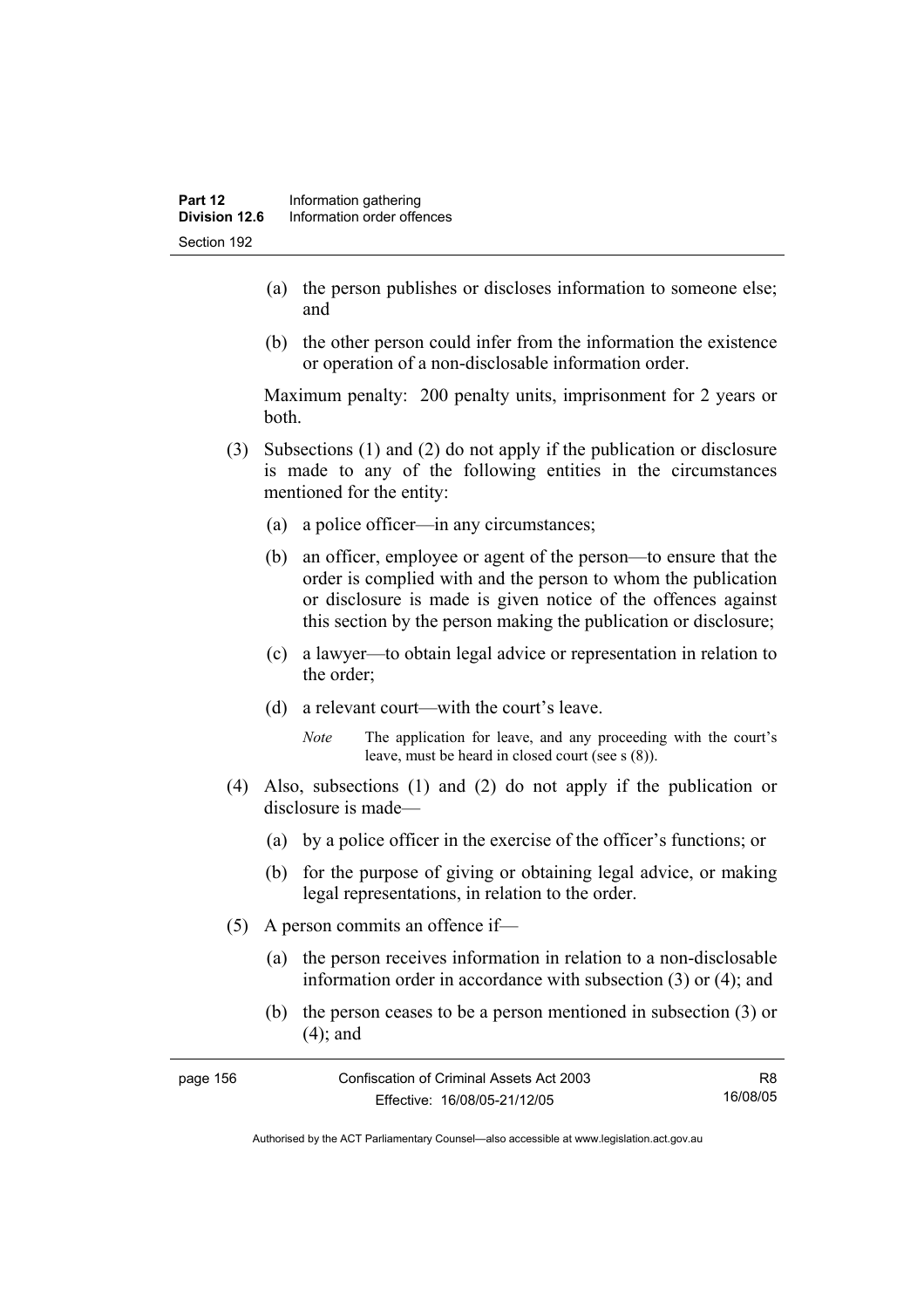- (a) the person publishes or discloses information to someone else; and
- (b) the other person could infer from the information the existence or operation of a non-disclosable information order.

Maximum penalty: 200 penalty units, imprisonment for 2 years or both.

- (3) Subsections (1) and (2) do not apply if the publication or disclosure is made to any of the following entities in the circumstances mentioned for the entity:
	- (a) a police officer—in any circumstances;
	- (b) an officer, employee or agent of the person—to ensure that the order is complied with and the person to whom the publication or disclosure is made is given notice of the offences against this section by the person making the publication or disclosure;
	- (c) a lawyer—to obtain legal advice or representation in relation to the order;
	- (d) a relevant court—with the court's leave.
		- *Note* The application for leave, and any proceeding with the court's leave, must be heard in closed court (see s (8)).
- (4) Also, subsections (1) and (2) do not apply if the publication or disclosure is made—
	- (a) by a police officer in the exercise of the officer's functions; or
	- (b) for the purpose of giving or obtaining legal advice, or making legal representations, in relation to the order.
- (5) A person commits an offence if—
	- (a) the person receives information in relation to a non-disclosable information order in accordance with subsection (3) or (4); and
	- (b) the person ceases to be a person mentioned in subsection (3) or (4); and

| page 156 | Confiscation of Criminal Assets Act 2003 | R8       |
|----------|------------------------------------------|----------|
|          | Effective: 16/08/05-21/12/05             | 16/08/05 |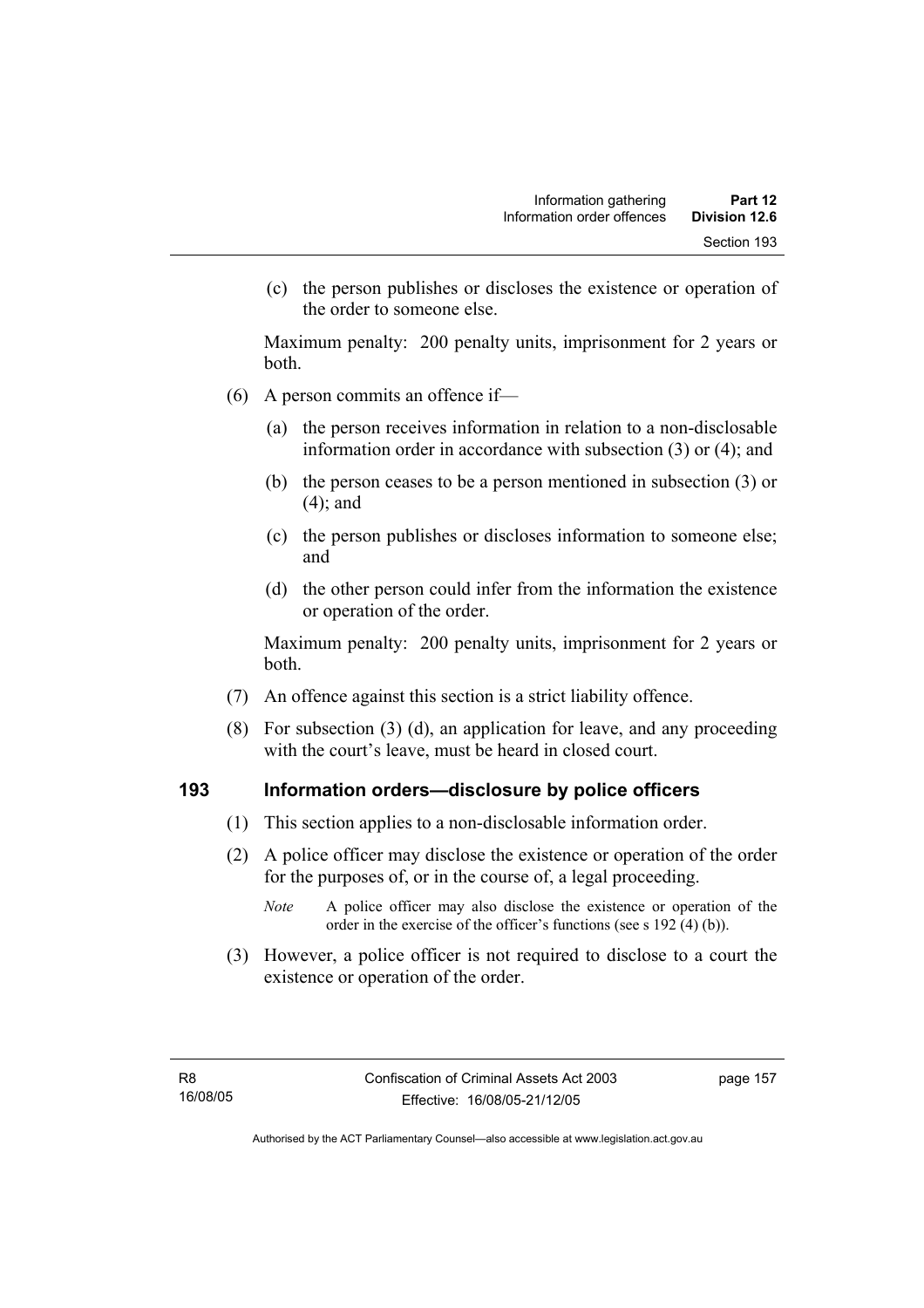(c) the person publishes or discloses the existence or operation of the order to someone else.

Maximum penalty: 200 penalty units, imprisonment for 2 years or both.

- (6) A person commits an offence if—
	- (a) the person receives information in relation to a non-disclosable information order in accordance with subsection (3) or (4); and
	- (b) the person ceases to be a person mentioned in subsection (3) or (4); and
	- (c) the person publishes or discloses information to someone else; and
	- (d) the other person could infer from the information the existence or operation of the order.

Maximum penalty: 200 penalty units, imprisonment for 2 years or both.

- (7) An offence against this section is a strict liability offence.
- (8) For subsection (3) (d), an application for leave, and any proceeding with the court's leave, must be heard in closed court.

## **193 Information orders—disclosure by police officers**

- (1) This section applies to a non-disclosable information order.
- (2) A police officer may disclose the existence or operation of the order for the purposes of, or in the course of, a legal proceeding.
	- *Note* A police officer may also disclose the existence or operation of the order in the exercise of the officer's functions (see s 192 (4) (b)).
- (3) However, a police officer is not required to disclose to a court the existence or operation of the order.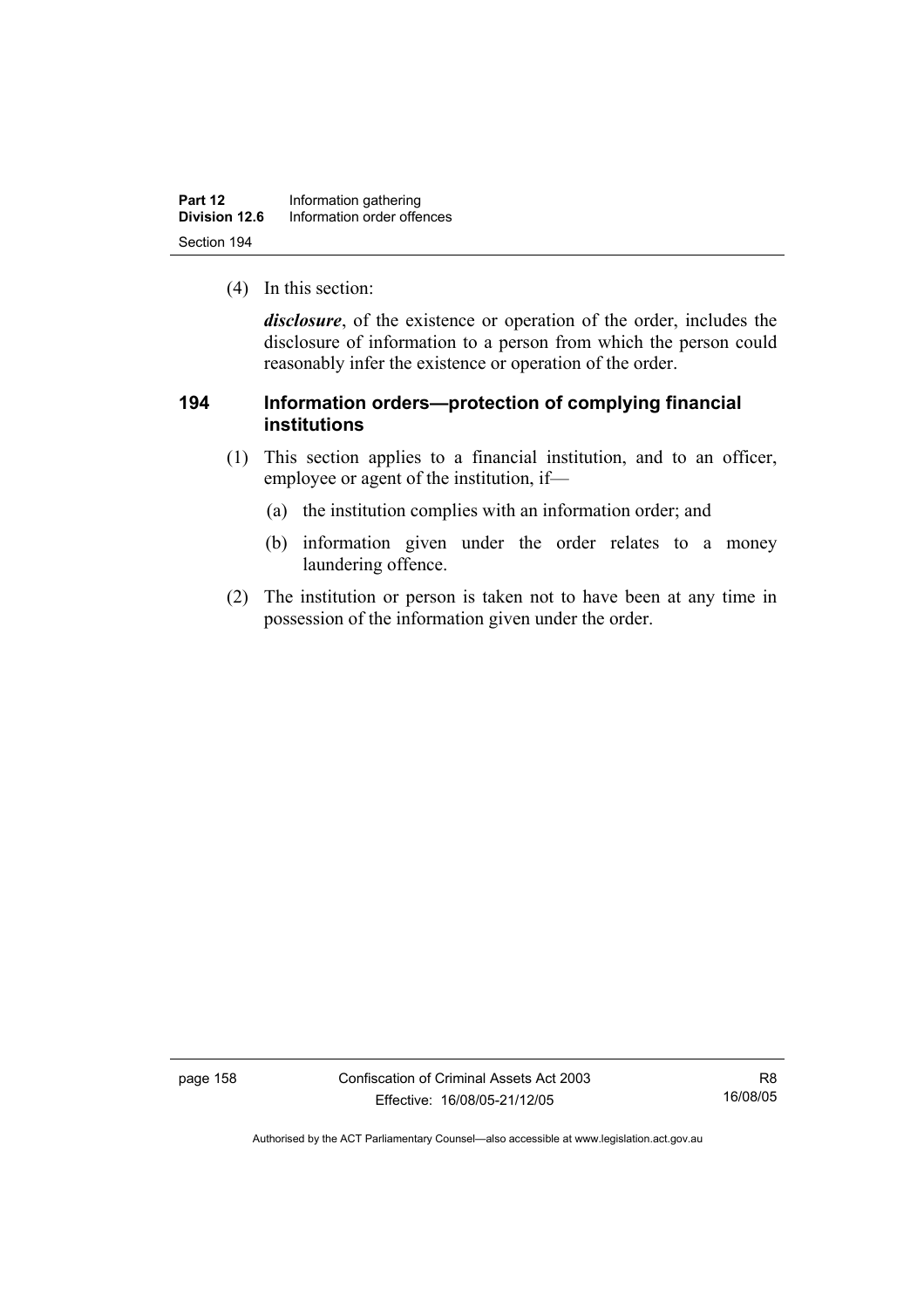| Part 12       | Information gathering      |  |
|---------------|----------------------------|--|
| Division 12.6 | Information order offences |  |
| Section 194   |                            |  |

(4) In this section:

*disclosure*, of the existence or operation of the order, includes the disclosure of information to a person from which the person could reasonably infer the existence or operation of the order.

## **194 Information orders—protection of complying financial institutions**

- (1) This section applies to a financial institution, and to an officer, employee or agent of the institution, if—
	- (a) the institution complies with an information order; and
	- (b) information given under the order relates to a money laundering offence.
- (2) The institution or person is taken not to have been at any time in possession of the information given under the order.

page 158 Confiscation of Criminal Assets Act 2003 Effective: 16/08/05-21/12/05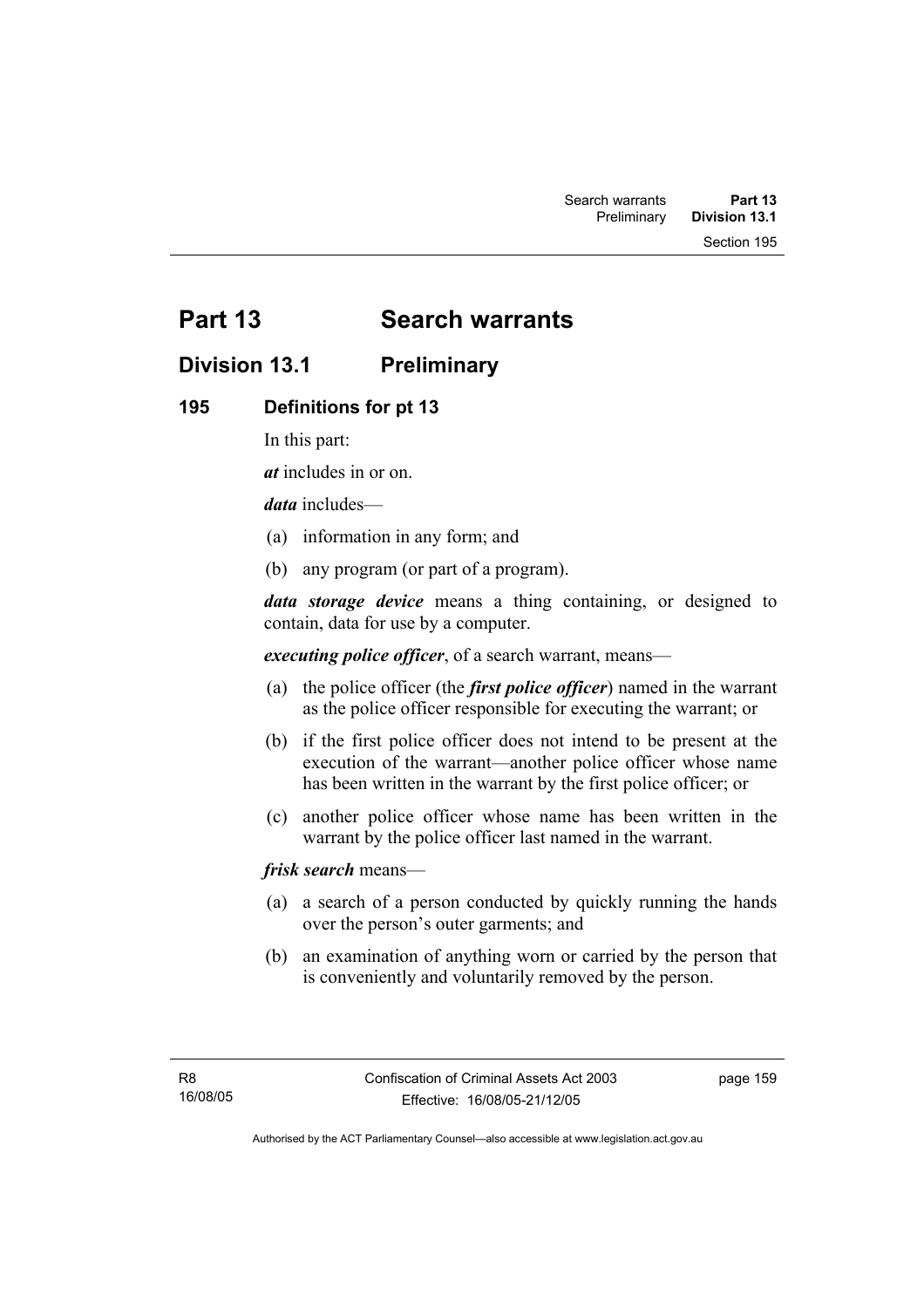Section 195

# **Part 13 Search warrants**

# **Division 13.1 Preliminary**

## **195 Definitions for pt 13**

In this part:

*at* includes in or on.

*data* includes—

- (a) information in any form; and
- (b) any program (or part of a program).

*data storage device* means a thing containing, or designed to contain, data for use by a computer.

*executing police officer*, of a search warrant, means—

- (a) the police officer (the *first police officer*) named in the warrant as the police officer responsible for executing the warrant; or
- (b) if the first police officer does not intend to be present at the execution of the warrant—another police officer whose name has been written in the warrant by the first police officer; or
- (c) another police officer whose name has been written in the warrant by the police officer last named in the warrant.

*frisk search* means—

- (a) a search of a person conducted by quickly running the hands over the person's outer garments; and
- (b) an examination of anything worn or carried by the person that is conveniently and voluntarily removed by the person.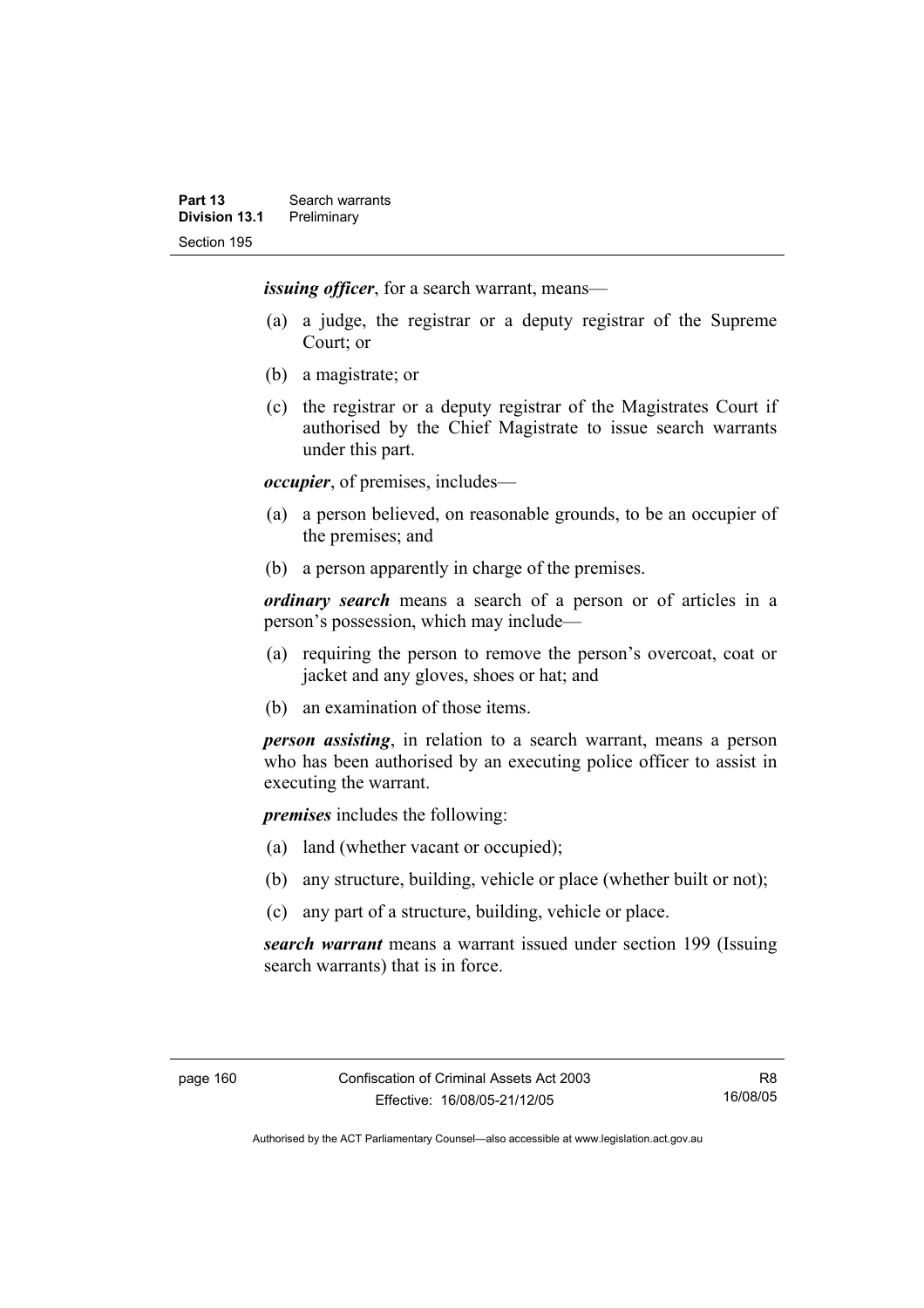*issuing officer*, for a search warrant, means—

- (a) a judge, the registrar or a deputy registrar of the Supreme Court; or
- (b) a magistrate; or
- (c) the registrar or a deputy registrar of the Magistrates Court if authorised by the Chief Magistrate to issue search warrants under this part.

*occupier*, of premises, includes—

- (a) a person believed, on reasonable grounds, to be an occupier of the premises; and
- (b) a person apparently in charge of the premises.

*ordinary search* means a search of a person or of articles in a person's possession, which may include—

- (a) requiring the person to remove the person's overcoat, coat or jacket and any gloves, shoes or hat; and
- (b) an examination of those items.

*person assisting*, in relation to a search warrant, means a person who has been authorised by an executing police officer to assist in executing the warrant.

*premises* includes the following:

- (a) land (whether vacant or occupied);
- (b) any structure, building, vehicle or place (whether built or not);
- (c) any part of a structure, building, vehicle or place.

*search warrant* means a warrant issued under section 199 (Issuing search warrants) that is in force.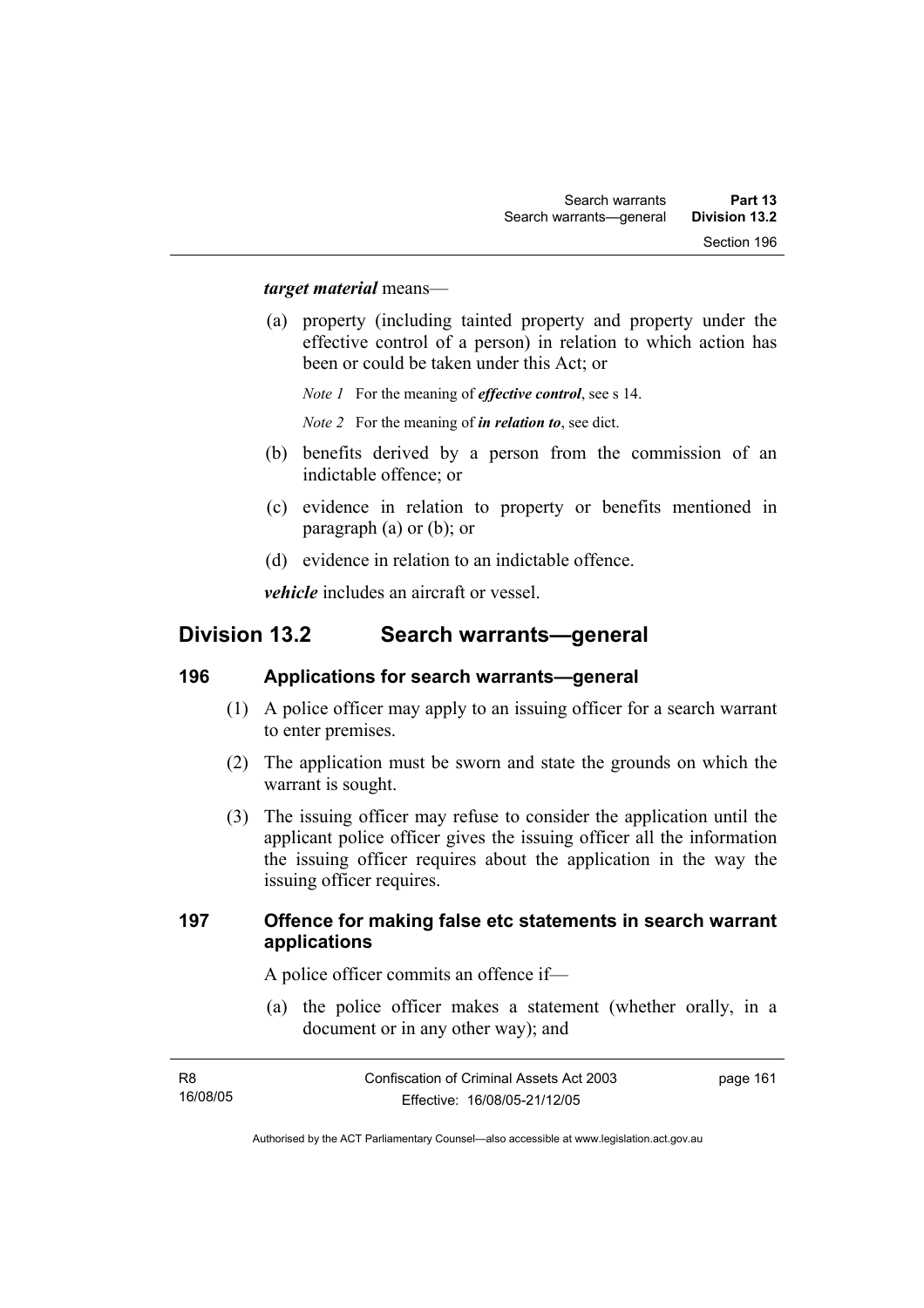#### *target material* means—

 (a) property (including tainted property and property under the effective control of a person) in relation to which action has been or could be taken under this Act; or

*Note 1* For the meaning of *effective control*, see s 14.

*Note 2* For the meaning of *in relation to*, see dict.

- (b) benefits derived by a person from the commission of an indictable offence; or
- (c) evidence in relation to property or benefits mentioned in paragraph (a) or (b); or
- (d) evidence in relation to an indictable offence.

*vehicle* includes an aircraft or vessel.

## **Division 13.2 Search warrants—general**

## **196 Applications for search warrants—general**

- (1) A police officer may apply to an issuing officer for a search warrant to enter premises.
- (2) The application must be sworn and state the grounds on which the warrant is sought.
- (3) The issuing officer may refuse to consider the application until the applicant police officer gives the issuing officer all the information the issuing officer requires about the application in the way the issuing officer requires.

## **197 Offence for making false etc statements in search warrant applications**

A police officer commits an offence if—

 (a) the police officer makes a statement (whether orally, in a document or in any other way); and

| <b>R8</b> | Confiscation of Criminal Assets Act 2003 | page 161 |
|-----------|------------------------------------------|----------|
| 16/08/05  | Effective: 16/08/05-21/12/05             |          |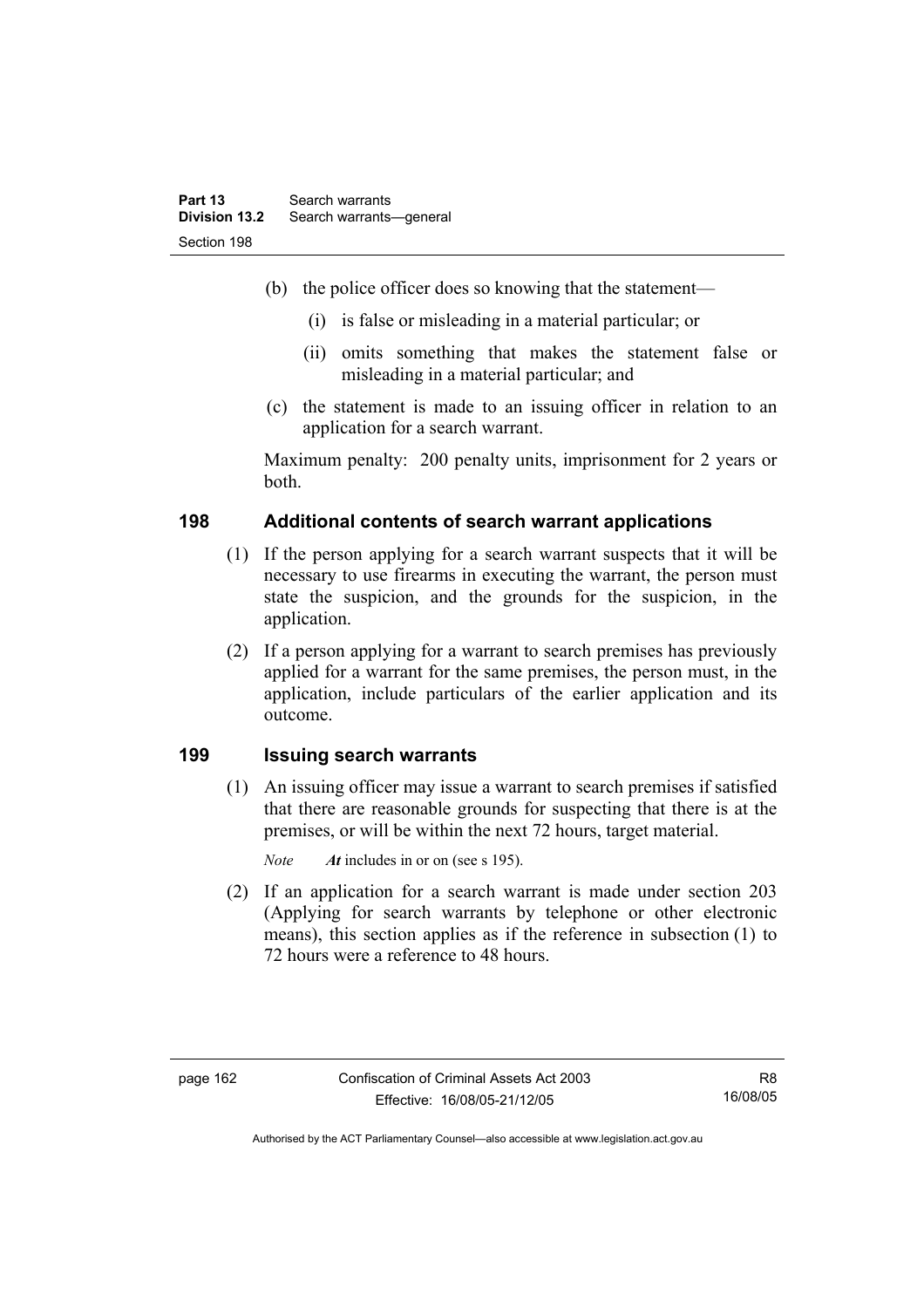- (b) the police officer does so knowing that the statement—
	- (i) is false or misleading in a material particular; or
	- (ii) omits something that makes the statement false or misleading in a material particular; and
- (c) the statement is made to an issuing officer in relation to an application for a search warrant.

Maximum penalty: 200 penalty units, imprisonment for 2 years or both.

## **198 Additional contents of search warrant applications**

- (1) If the person applying for a search warrant suspects that it will be necessary to use firearms in executing the warrant, the person must state the suspicion, and the grounds for the suspicion, in the application.
- (2) If a person applying for a warrant to search premises has previously applied for a warrant for the same premises, the person must, in the application, include particulars of the earlier application and its outcome.

## **199 Issuing search warrants**

 (1) An issuing officer may issue a warrant to search premises if satisfied that there are reasonable grounds for suspecting that there is at the premises, or will be within the next 72 hours, target material.

*Note At* includes in or on (see s 195).

 (2) If an application for a search warrant is made under section 203 (Applying for search warrants by telephone or other electronic means), this section applies as if the reference in subsection (1) to 72 hours were a reference to 48 hours.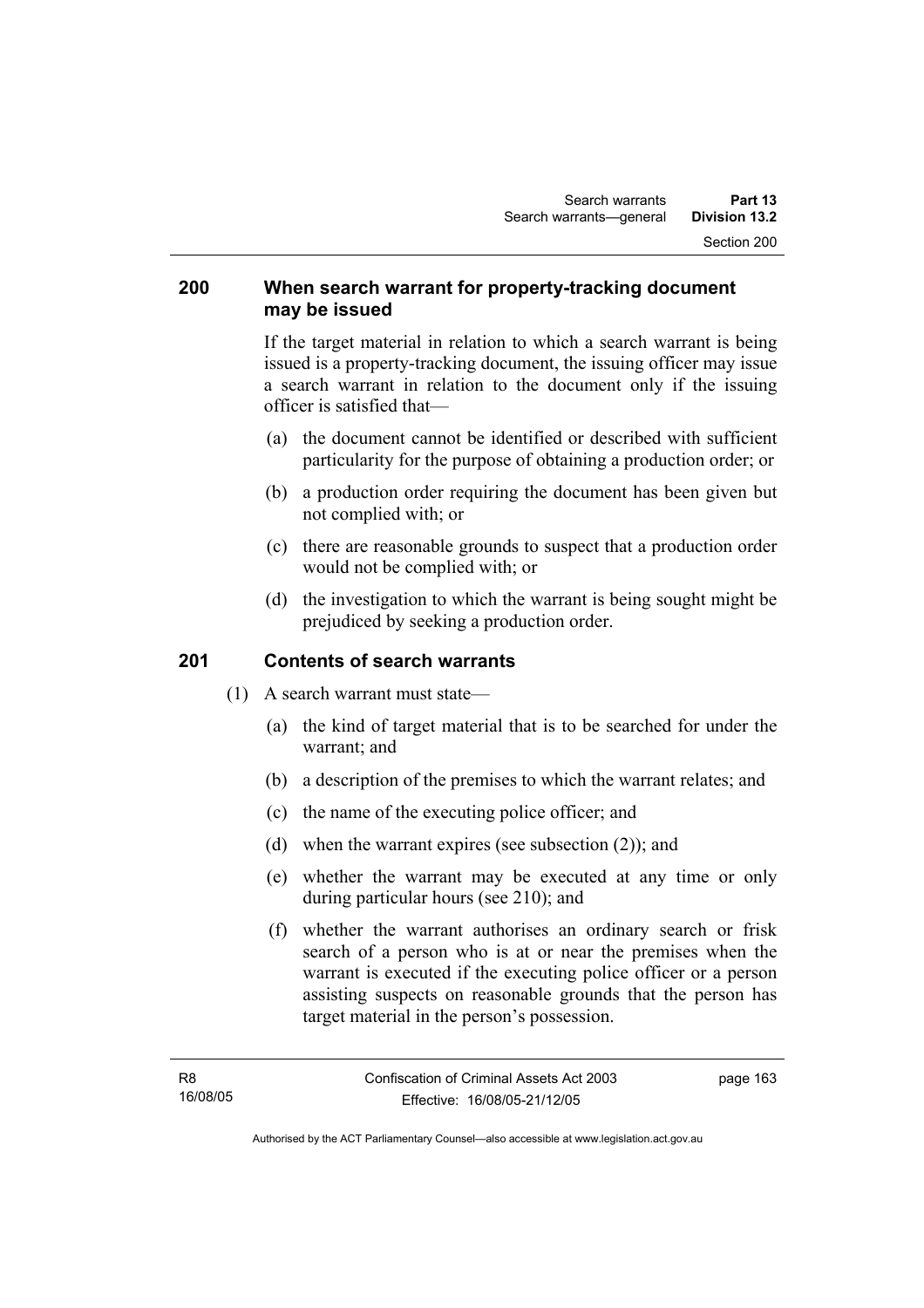## **200 When search warrant for property-tracking document may be issued**

If the target material in relation to which a search warrant is being issued is a property-tracking document, the issuing officer may issue a search warrant in relation to the document only if the issuing officer is satisfied that—

- (a) the document cannot be identified or described with sufficient particularity for the purpose of obtaining a production order; or
- (b) a production order requiring the document has been given but not complied with; or
- (c) there are reasonable grounds to suspect that a production order would not be complied with; or
- (d) the investigation to which the warrant is being sought might be prejudiced by seeking a production order.

## **201 Contents of search warrants**

- (1) A search warrant must state—
	- (a) the kind of target material that is to be searched for under the warrant; and
	- (b) a description of the premises to which the warrant relates; and
	- (c) the name of the executing police officer; and
	- (d) when the warrant expires (see subsection (2)); and
	- (e) whether the warrant may be executed at any time or only during particular hours (see 210); and
	- (f) whether the warrant authorises an ordinary search or frisk search of a person who is at or near the premises when the warrant is executed if the executing police officer or a person assisting suspects on reasonable grounds that the person has target material in the person's possession.

page 163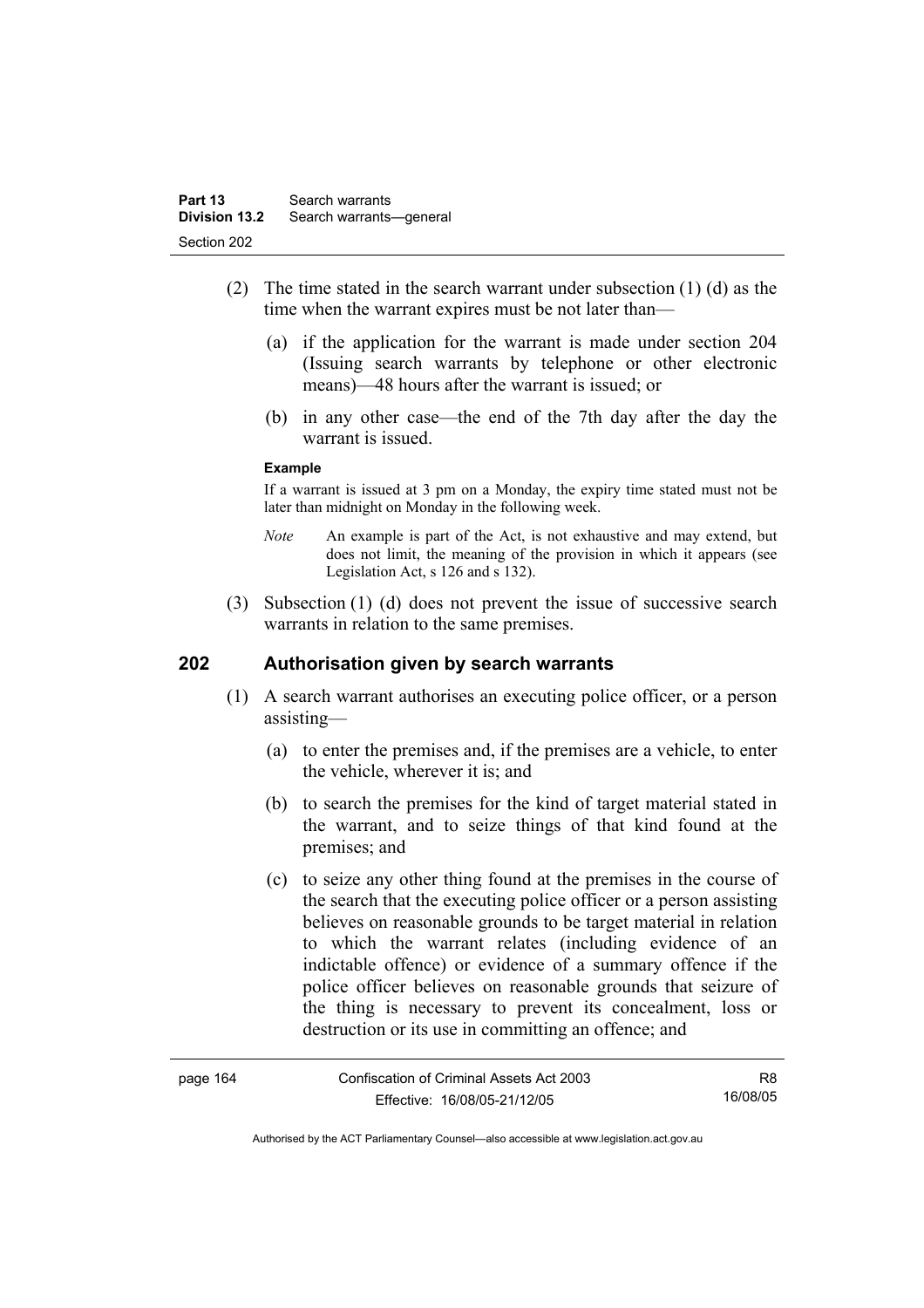- (2) The time stated in the search warrant under subsection (1) (d) as the time when the warrant expires must be not later than—
	- (a) if the application for the warrant is made under section 204 (Issuing search warrants by telephone or other electronic means)—48 hours after the warrant is issued; or
	- (b) in any other case—the end of the 7th day after the day the warrant is issued.

#### **Example**

If a warrant is issued at 3 pm on a Monday, the expiry time stated must not be later than midnight on Monday in the following week.

- *Note* An example is part of the Act, is not exhaustive and may extend, but does not limit, the meaning of the provision in which it appears (see Legislation Act, s 126 and s 132).
- (3) Subsection (1) (d) does not prevent the issue of successive search warrants in relation to the same premises.

## **202 Authorisation given by search warrants**

- (1) A search warrant authorises an executing police officer, or a person assisting—
	- (a) to enter the premises and, if the premises are a vehicle, to enter the vehicle, wherever it is; and
	- (b) to search the premises for the kind of target material stated in the warrant, and to seize things of that kind found at the premises; and
	- (c) to seize any other thing found at the premises in the course of the search that the executing police officer or a person assisting believes on reasonable grounds to be target material in relation to which the warrant relates (including evidence of an indictable offence) or evidence of a summary offence if the police officer believes on reasonable grounds that seizure of the thing is necessary to prevent its concealment, loss or destruction or its use in committing an offence; and

| page 164 | Confiscation of Criminal Assets Act 2003 | R8       |
|----------|------------------------------------------|----------|
|          | Effective: 16/08/05-21/12/05             | 16/08/05 |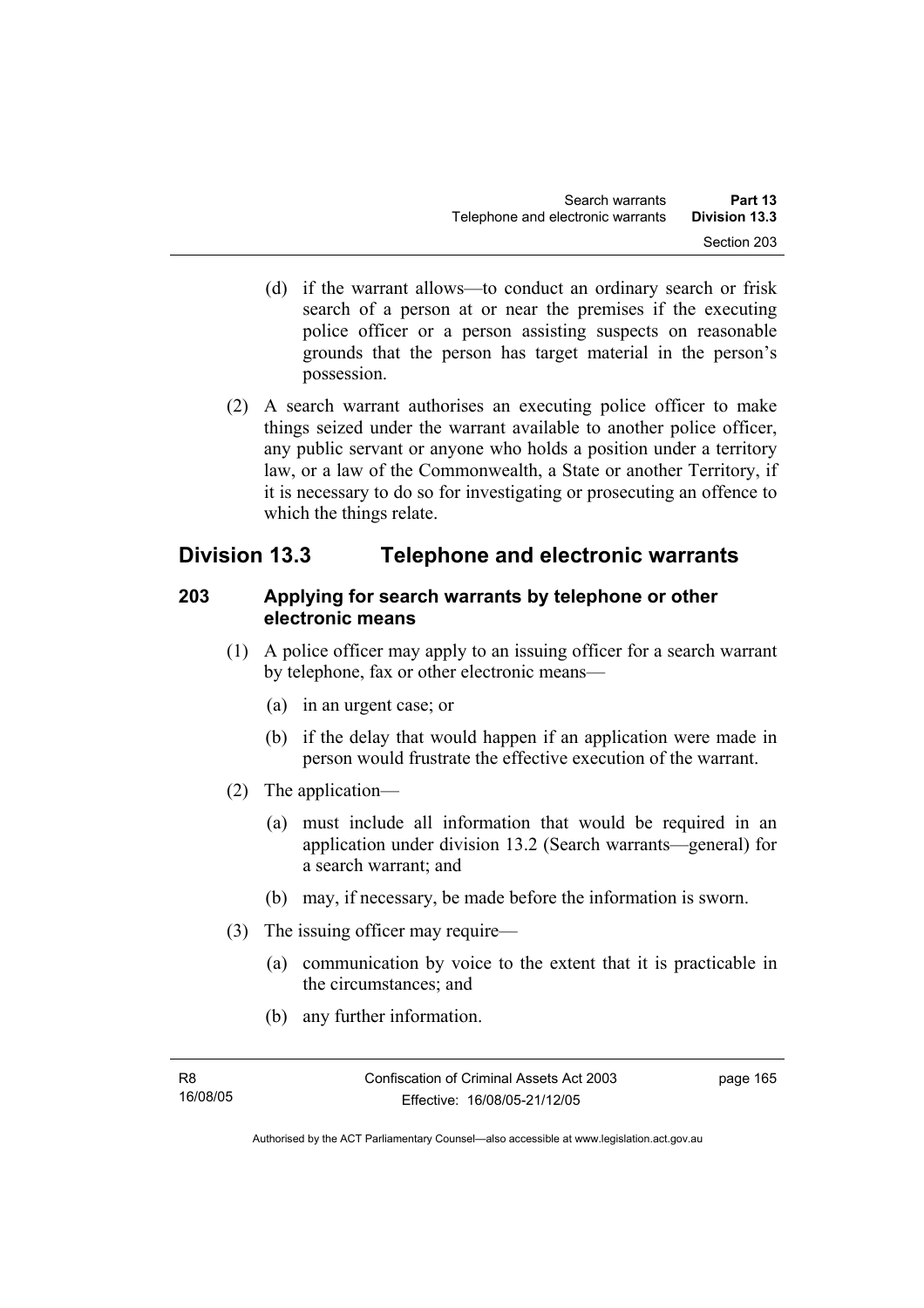- (d) if the warrant allows—to conduct an ordinary search or frisk search of a person at or near the premises if the executing police officer or a person assisting suspects on reasonable grounds that the person has target material in the person's possession.
- (2) A search warrant authorises an executing police officer to make things seized under the warrant available to another police officer, any public servant or anyone who holds a position under a territory law, or a law of the Commonwealth, a State or another Territory, if it is necessary to do so for investigating or prosecuting an offence to which the things relate.

# **Division 13.3 Telephone and electronic warrants**

## **203 Applying for search warrants by telephone or other electronic means**

- (1) A police officer may apply to an issuing officer for a search warrant by telephone, fax or other electronic means—
	- (a) in an urgent case; or
	- (b) if the delay that would happen if an application were made in person would frustrate the effective execution of the warrant.
- (2) The application—
	- (a) must include all information that would be required in an application under division 13.2 (Search warrants—general) for a search warrant; and
	- (b) may, if necessary, be made before the information is sworn.
- (3) The issuing officer may require—
	- (a) communication by voice to the extent that it is practicable in the circumstances; and
	- (b) any further information.

page 165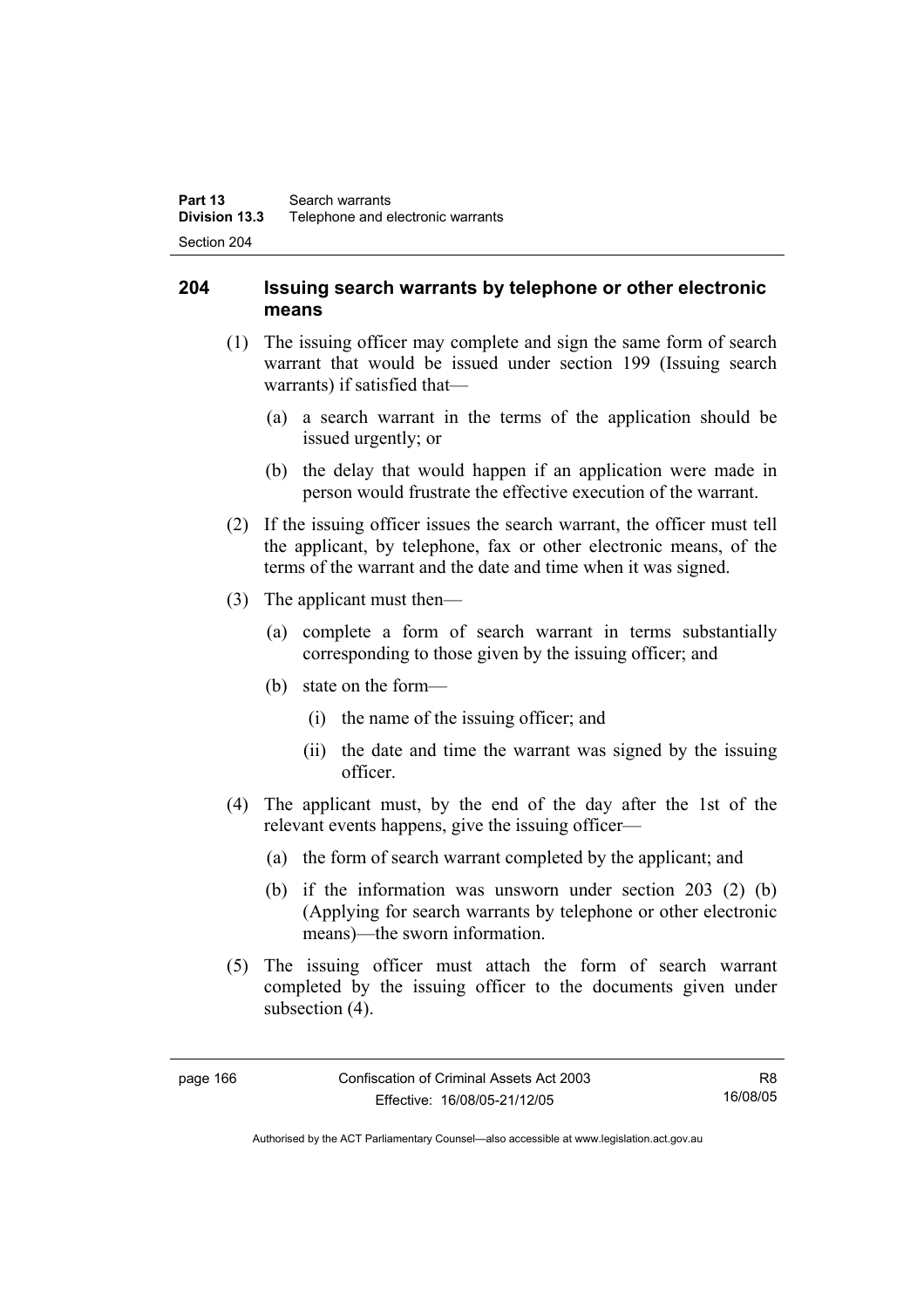## **204 Issuing search warrants by telephone or other electronic means**

- (1) The issuing officer may complete and sign the same form of search warrant that would be issued under section 199 (Issuing search warrants) if satisfied that—
	- (a) a search warrant in the terms of the application should be issued urgently; or
	- (b) the delay that would happen if an application were made in person would frustrate the effective execution of the warrant.
- (2) If the issuing officer issues the search warrant, the officer must tell the applicant, by telephone, fax or other electronic means, of the terms of the warrant and the date and time when it was signed.
- (3) The applicant must then—
	- (a) complete a form of search warrant in terms substantially corresponding to those given by the issuing officer; and
	- (b) state on the form—
		- (i) the name of the issuing officer; and
		- (ii) the date and time the warrant was signed by the issuing officer.
- (4) The applicant must, by the end of the day after the 1st of the relevant events happens, give the issuing officer—
	- (a) the form of search warrant completed by the applicant; and
	- (b) if the information was unsworn under section 203 (2) (b) (Applying for search warrants by telephone or other electronic means)—the sworn information.
- (5) The issuing officer must attach the form of search warrant completed by the issuing officer to the documents given under subsection  $(4)$ .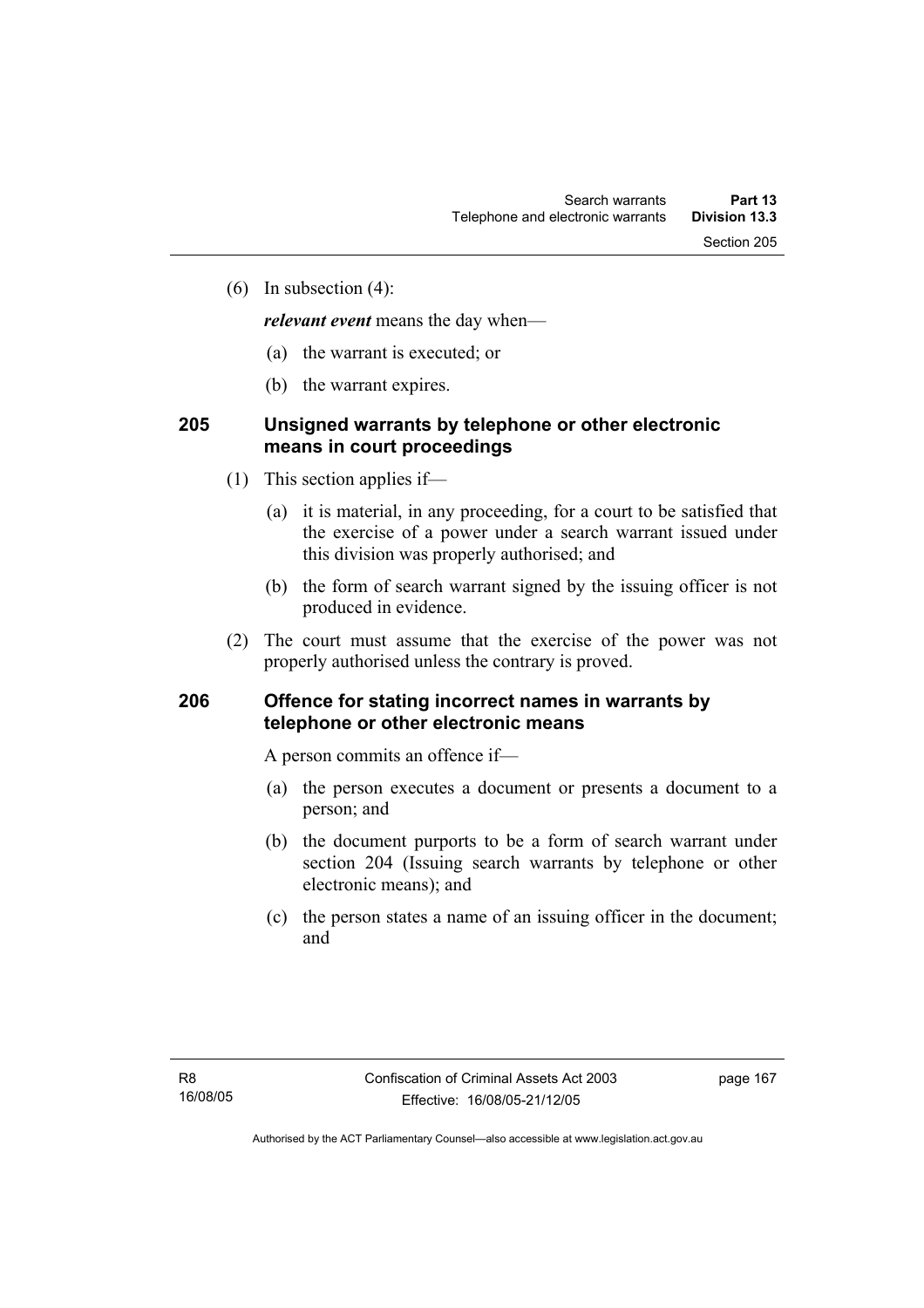(6) In subsection (4):

*relevant event* means the day when—

- (a) the warrant is executed; or
- (b) the warrant expires.

## **205 Unsigned warrants by telephone or other electronic means in court proceedings**

- (1) This section applies if—
	- (a) it is material, in any proceeding, for a court to be satisfied that the exercise of a power under a search warrant issued under this division was properly authorised; and
	- (b) the form of search warrant signed by the issuing officer is not produced in evidence.
- (2) The court must assume that the exercise of the power was not properly authorised unless the contrary is proved.

### **206 Offence for stating incorrect names in warrants by telephone or other electronic means**

A person commits an offence if—

- (a) the person executes a document or presents a document to a person; and
- (b) the document purports to be a form of search warrant under section 204 (Issuing search warrants by telephone or other electronic means); and
- (c) the person states a name of an issuing officer in the document; and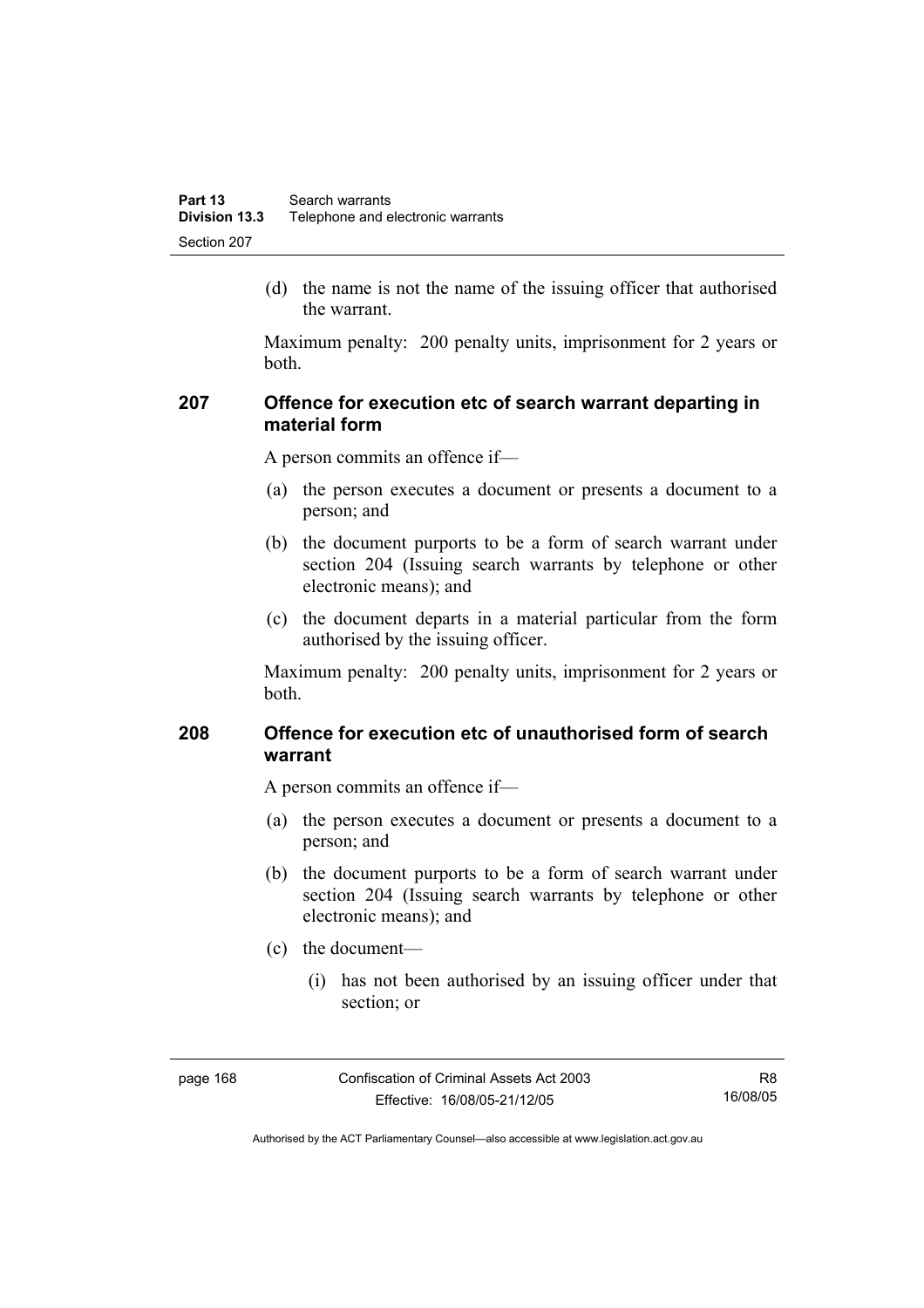(d) the name is not the name of the issuing officer that authorised the warrant.

Maximum penalty: 200 penalty units, imprisonment for 2 years or both.

## **207 Offence for execution etc of search warrant departing in material form**

A person commits an offence if—

- (a) the person executes a document or presents a document to a person; and
- (b) the document purports to be a form of search warrant under section 204 (Issuing search warrants by telephone or other electronic means); and
- (c) the document departs in a material particular from the form authorised by the issuing officer.

Maximum penalty: 200 penalty units, imprisonment for 2 years or both.

## **208 Offence for execution etc of unauthorised form of search warrant**

A person commits an offence if—

- (a) the person executes a document or presents a document to a person; and
- (b) the document purports to be a form of search warrant under section 204 (Issuing search warrants by telephone or other electronic means); and
- (c) the document—
	- (i) has not been authorised by an issuing officer under that section; or

Authorised by the ACT Parliamentary Counsel—also accessible at www.legislation.act.gov.au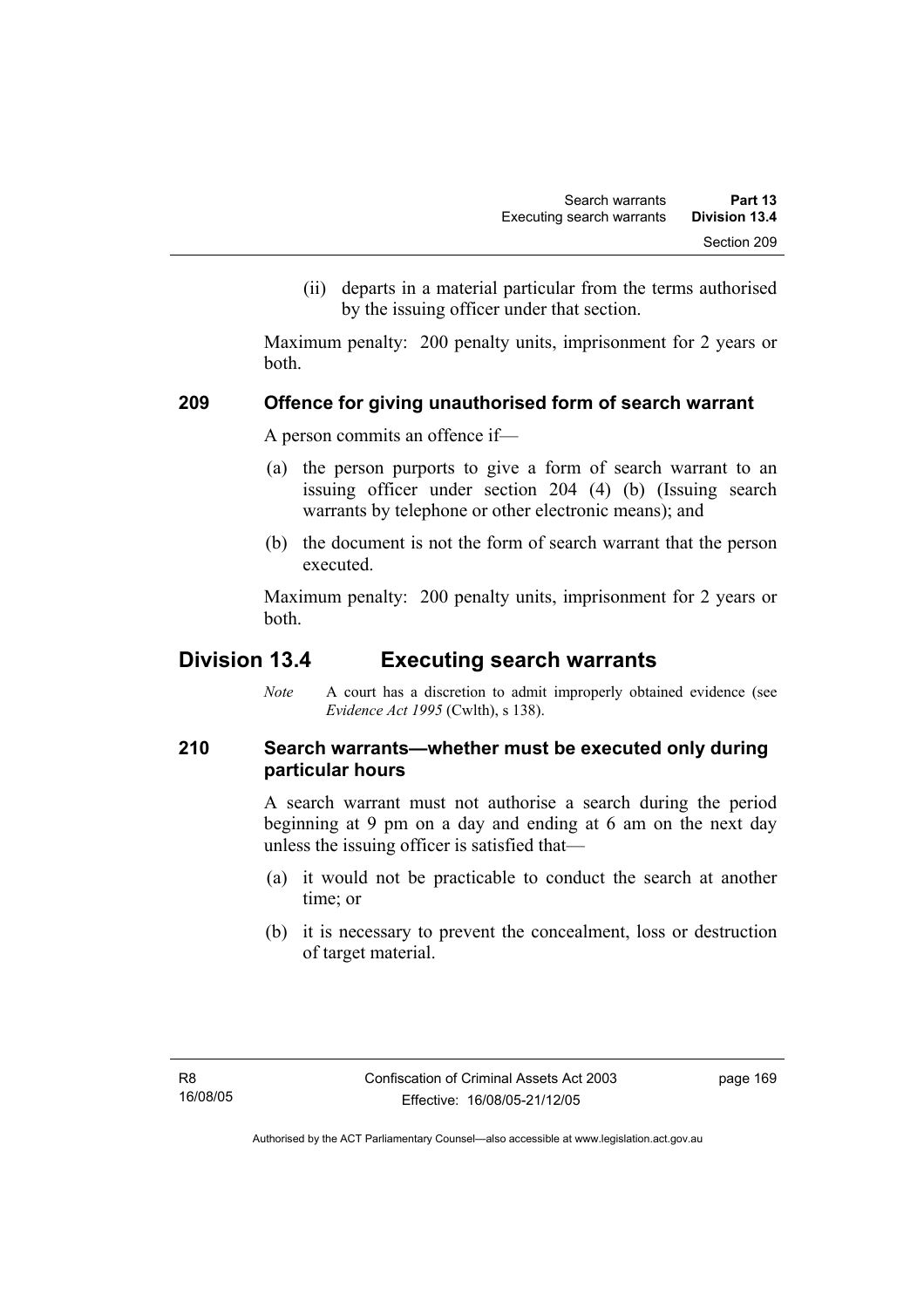(ii) departs in a material particular from the terms authorised by the issuing officer under that section.

Maximum penalty: 200 penalty units, imprisonment for 2 years or both.

### **209 Offence for giving unauthorised form of search warrant**

A person commits an offence if—

- (a) the person purports to give a form of search warrant to an issuing officer under section 204 (4) (b) (Issuing search warrants by telephone or other electronic means); and
- (b) the document is not the form of search warrant that the person executed.

Maximum penalty: 200 penalty units, imprisonment for 2 years or both.

# **Division 13.4 Executing search warrants**

*Note* A court has a discretion to admit improperly obtained evidence (see *Evidence Act 1995* (Cwlth), s 138).

# **210 Search warrants—whether must be executed only during particular hours**

A search warrant must not authorise a search during the period beginning at 9 pm on a day and ending at 6 am on the next day unless the issuing officer is satisfied that—

- (a) it would not be practicable to conduct the search at another time; or
- (b) it is necessary to prevent the concealment, loss or destruction of target material.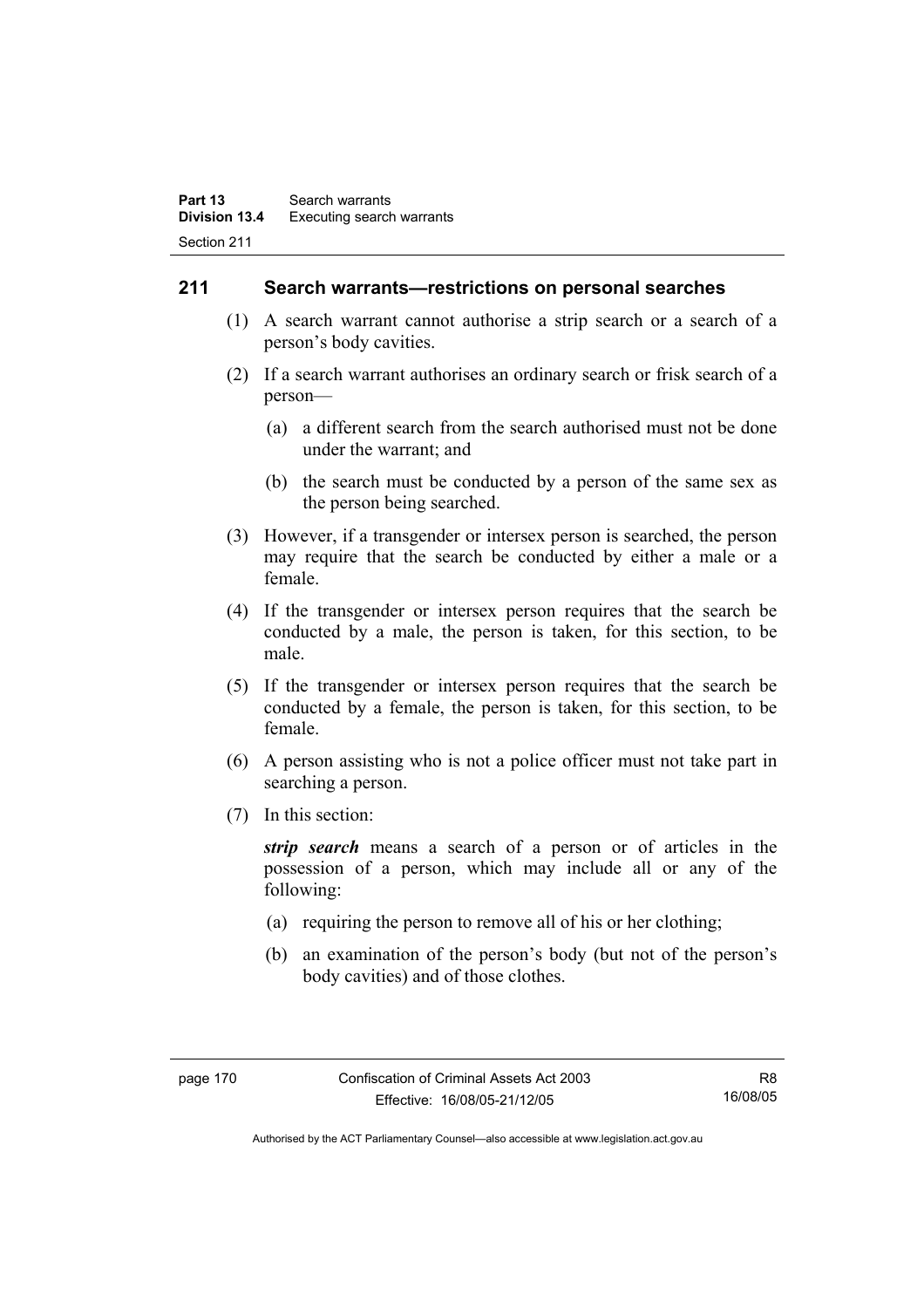### **211 Search warrants—restrictions on personal searches**

- (1) A search warrant cannot authorise a strip search or a search of a person's body cavities.
- (2) If a search warrant authorises an ordinary search or frisk search of a person—
	- (a) a different search from the search authorised must not be done under the warrant; and
	- (b) the search must be conducted by a person of the same sex as the person being searched.
- (3) However, if a transgender or intersex person is searched, the person may require that the search be conducted by either a male or a female.
- (4) If the transgender or intersex person requires that the search be conducted by a male, the person is taken, for this section, to be male.
- (5) If the transgender or intersex person requires that the search be conducted by a female, the person is taken, for this section, to be female.
- (6) A person assisting who is not a police officer must not take part in searching a person.
- (7) In this section:

*strip search* means a search of a person or of articles in the possession of a person, which may include all or any of the following:

- (a) requiring the person to remove all of his or her clothing;
- (b) an examination of the person's body (but not of the person's body cavities) and of those clothes.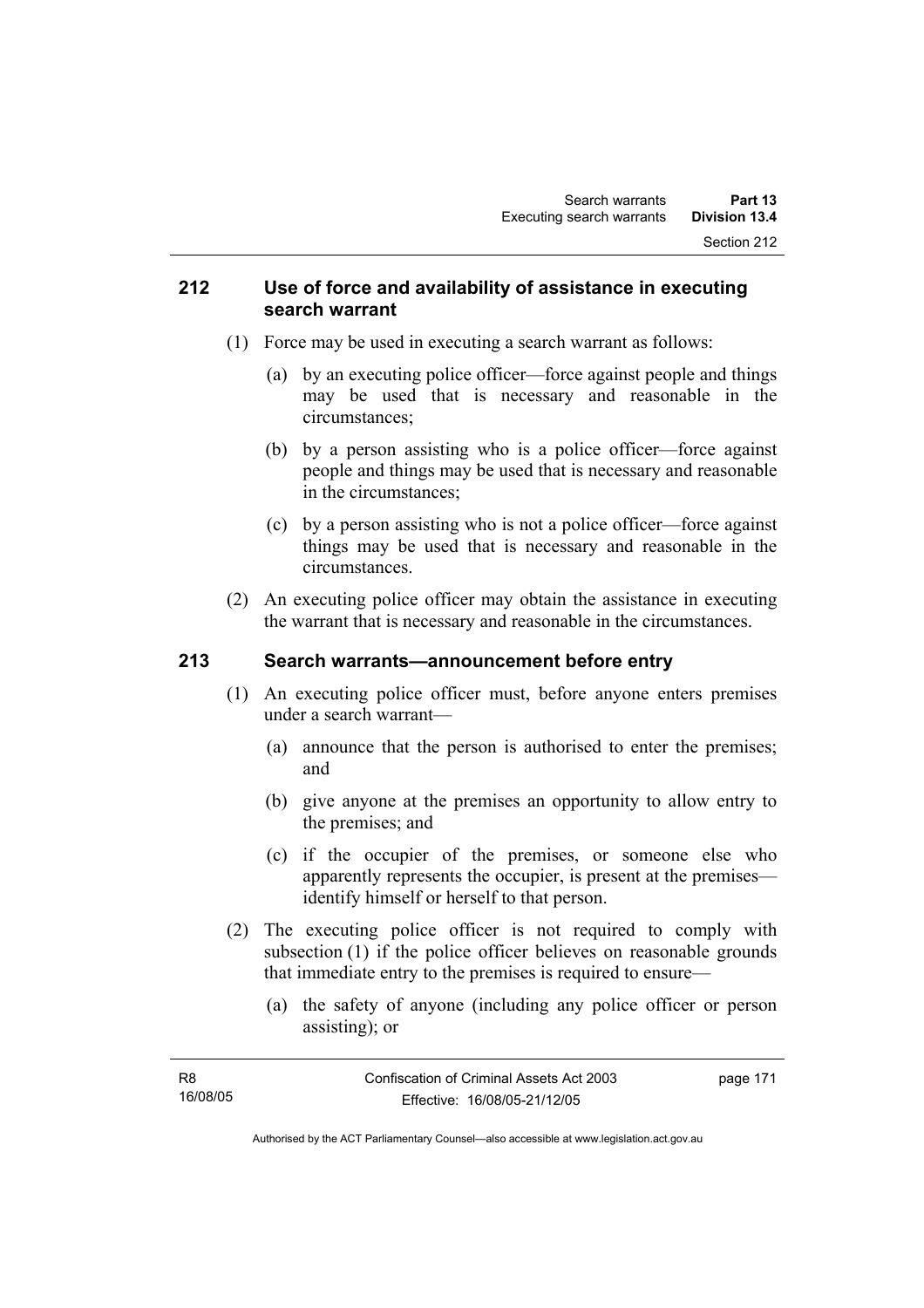### **212 Use of force and availability of assistance in executing search warrant**

- (1) Force may be used in executing a search warrant as follows:
	- (a) by an executing police officer—force against people and things may be used that is necessary and reasonable in the circumstances;
	- (b) by a person assisting who is a police officer—force against people and things may be used that is necessary and reasonable in the circumstances;
	- (c) by a person assisting who is not a police officer—force against things may be used that is necessary and reasonable in the circumstances.
- (2) An executing police officer may obtain the assistance in executing the warrant that is necessary and reasonable in the circumstances.

# **213 Search warrants—announcement before entry**

- (1) An executing police officer must, before anyone enters premises under a search warrant—
	- (a) announce that the person is authorised to enter the premises; and
	- (b) give anyone at the premises an opportunity to allow entry to the premises; and
	- (c) if the occupier of the premises, or someone else who apparently represents the occupier, is present at the premises identify himself or herself to that person.
- (2) The executing police officer is not required to comply with subsection (1) if the police officer believes on reasonable grounds that immediate entry to the premises is required to ensure—
	- (a) the safety of anyone (including any police officer or person assisting); or

| R8       | Confiscation of Criminal Assets Act 2003 | page 171 |
|----------|------------------------------------------|----------|
| 16/08/05 | Effective: 16/08/05-21/12/05             |          |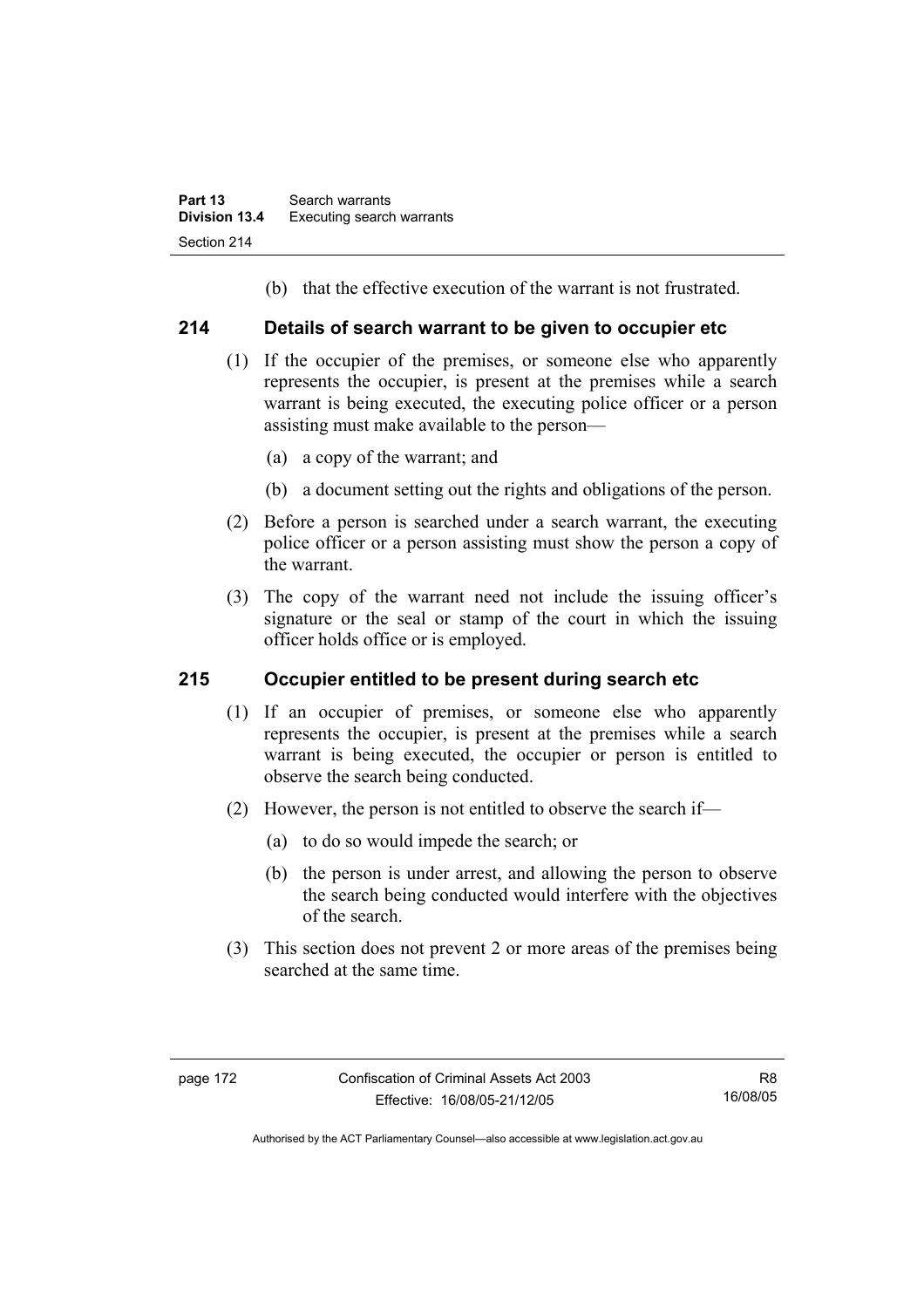(b) that the effective execution of the warrant is not frustrated.

## **214 Details of search warrant to be given to occupier etc**

- (1) If the occupier of the premises, or someone else who apparently represents the occupier, is present at the premises while a search warrant is being executed, the executing police officer or a person assisting must make available to the person—
	- (a) a copy of the warrant; and
	- (b) a document setting out the rights and obligations of the person.
- (2) Before a person is searched under a search warrant, the executing police officer or a person assisting must show the person a copy of the warrant.
- (3) The copy of the warrant need not include the issuing officer's signature or the seal or stamp of the court in which the issuing officer holds office or is employed.

# **215 Occupier entitled to be present during search etc**

- (1) If an occupier of premises, or someone else who apparently represents the occupier, is present at the premises while a search warrant is being executed, the occupier or person is entitled to observe the search being conducted.
- (2) However, the person is not entitled to observe the search if—
	- (a) to do so would impede the search; or
	- (b) the person is under arrest, and allowing the person to observe the search being conducted would interfere with the objectives of the search.
- (3) This section does not prevent 2 or more areas of the premises being searched at the same time.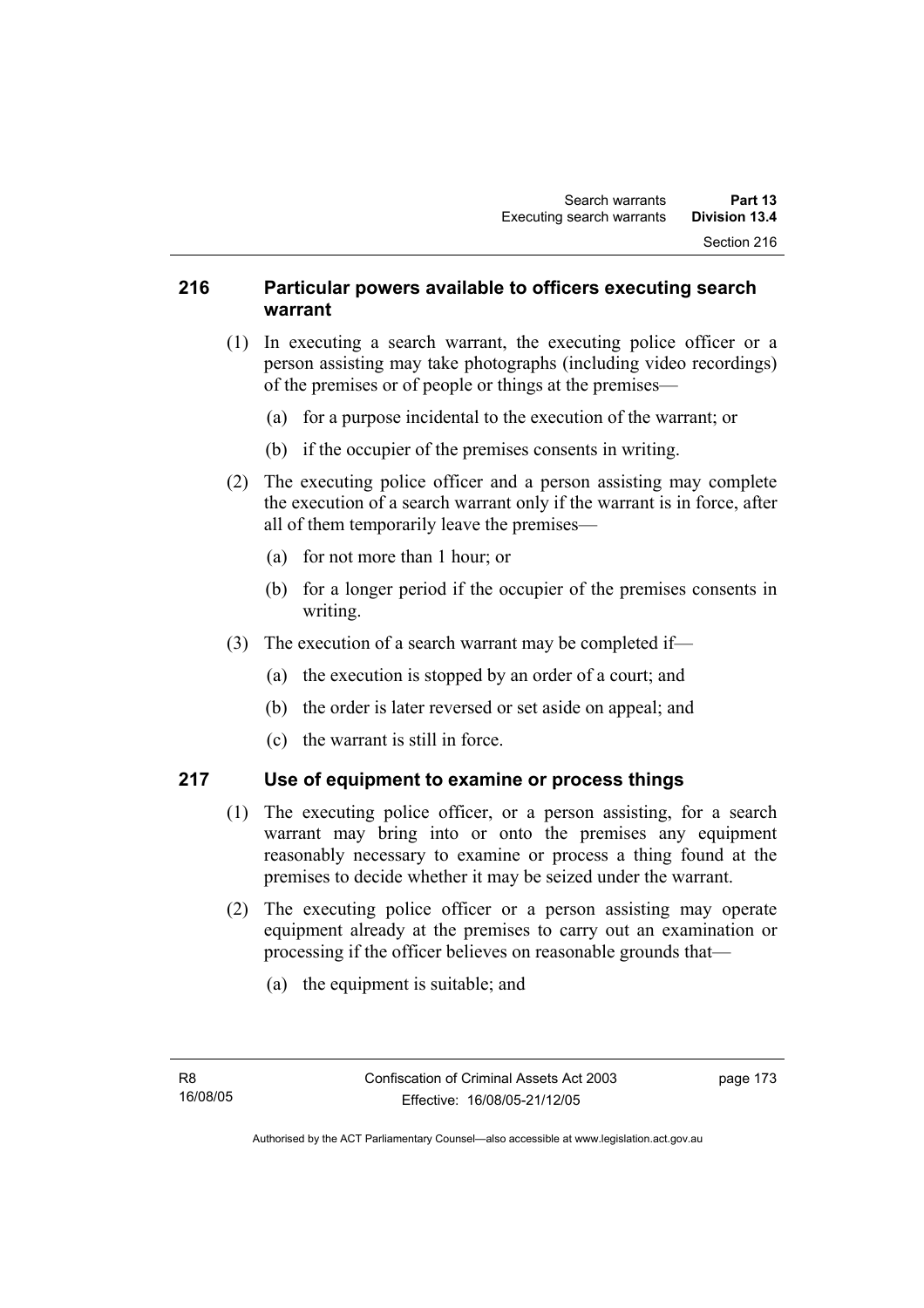## **216 Particular powers available to officers executing search warrant**

- (1) In executing a search warrant, the executing police officer or a person assisting may take photographs (including video recordings) of the premises or of people or things at the premises—
	- (a) for a purpose incidental to the execution of the warrant; or
	- (b) if the occupier of the premises consents in writing.
- (2) The executing police officer and a person assisting may complete the execution of a search warrant only if the warrant is in force, after all of them temporarily leave the premises—
	- (a) for not more than 1 hour; or
	- (b) for a longer period if the occupier of the premises consents in writing.
- (3) The execution of a search warrant may be completed if—
	- (a) the execution is stopped by an order of a court; and
	- (b) the order is later reversed or set aside on appeal; and
	- (c) the warrant is still in force.

### **217 Use of equipment to examine or process things**

- (1) The executing police officer, or a person assisting, for a search warrant may bring into or onto the premises any equipment reasonably necessary to examine or process a thing found at the premises to decide whether it may be seized under the warrant.
- (2) The executing police officer or a person assisting may operate equipment already at the premises to carry out an examination or processing if the officer believes on reasonable grounds that—
	- (a) the equipment is suitable; and

page 173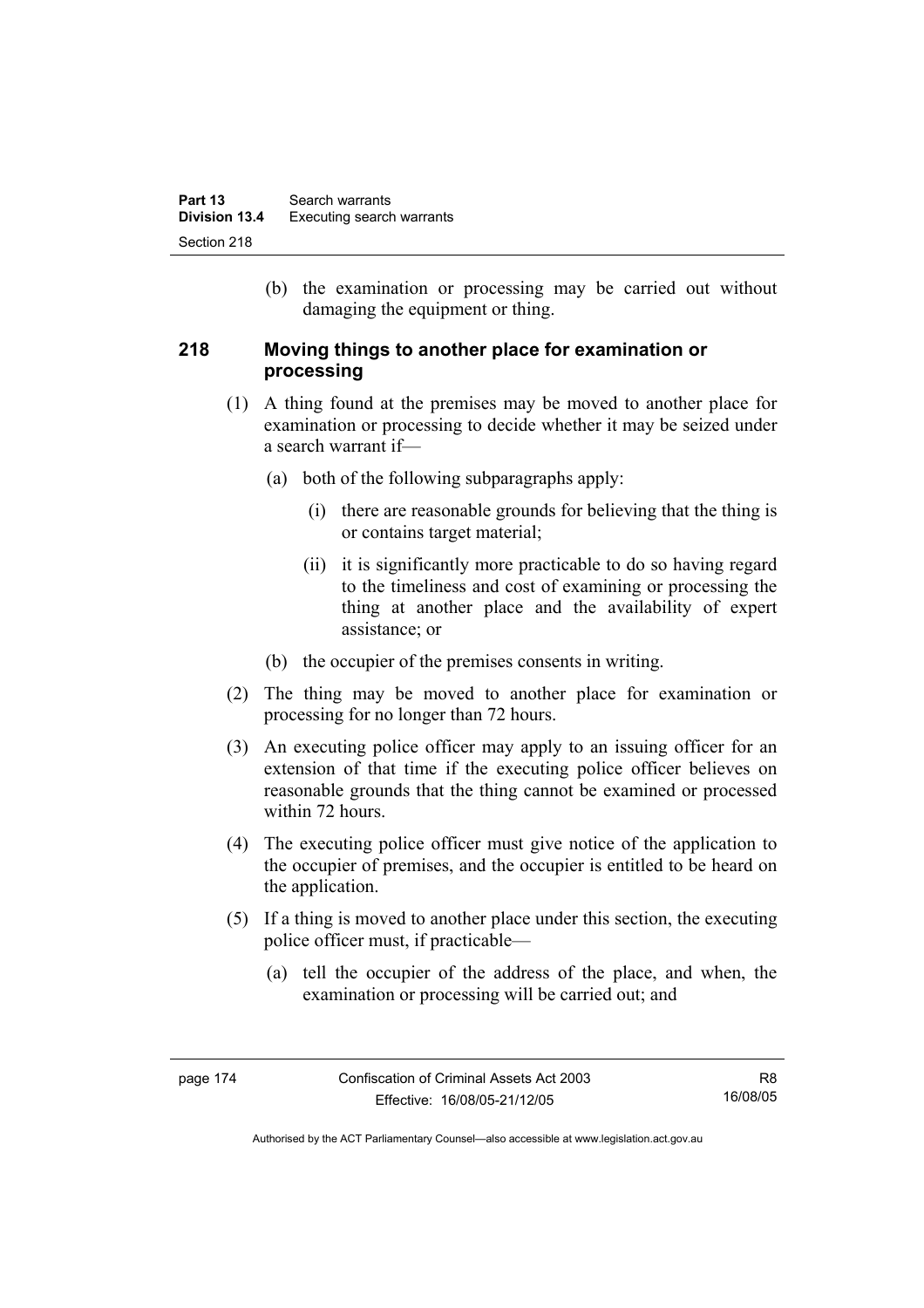(b) the examination or processing may be carried out without damaging the equipment or thing.

## **218 Moving things to another place for examination or processing**

- (1) A thing found at the premises may be moved to another place for examination or processing to decide whether it may be seized under a search warrant if—
	- (a) both of the following subparagraphs apply:
		- (i) there are reasonable grounds for believing that the thing is or contains target material;
		- (ii) it is significantly more practicable to do so having regard to the timeliness and cost of examining or processing the thing at another place and the availability of expert assistance; or
	- (b) the occupier of the premises consents in writing.
- (2) The thing may be moved to another place for examination or processing for no longer than 72 hours.
- (3) An executing police officer may apply to an issuing officer for an extension of that time if the executing police officer believes on reasonable grounds that the thing cannot be examined or processed within 72 hours.
- (4) The executing police officer must give notice of the application to the occupier of premises, and the occupier is entitled to be heard on the application.
- (5) If a thing is moved to another place under this section, the executing police officer must, if practicable—
	- (a) tell the occupier of the address of the place, and when, the examination or processing will be carried out; and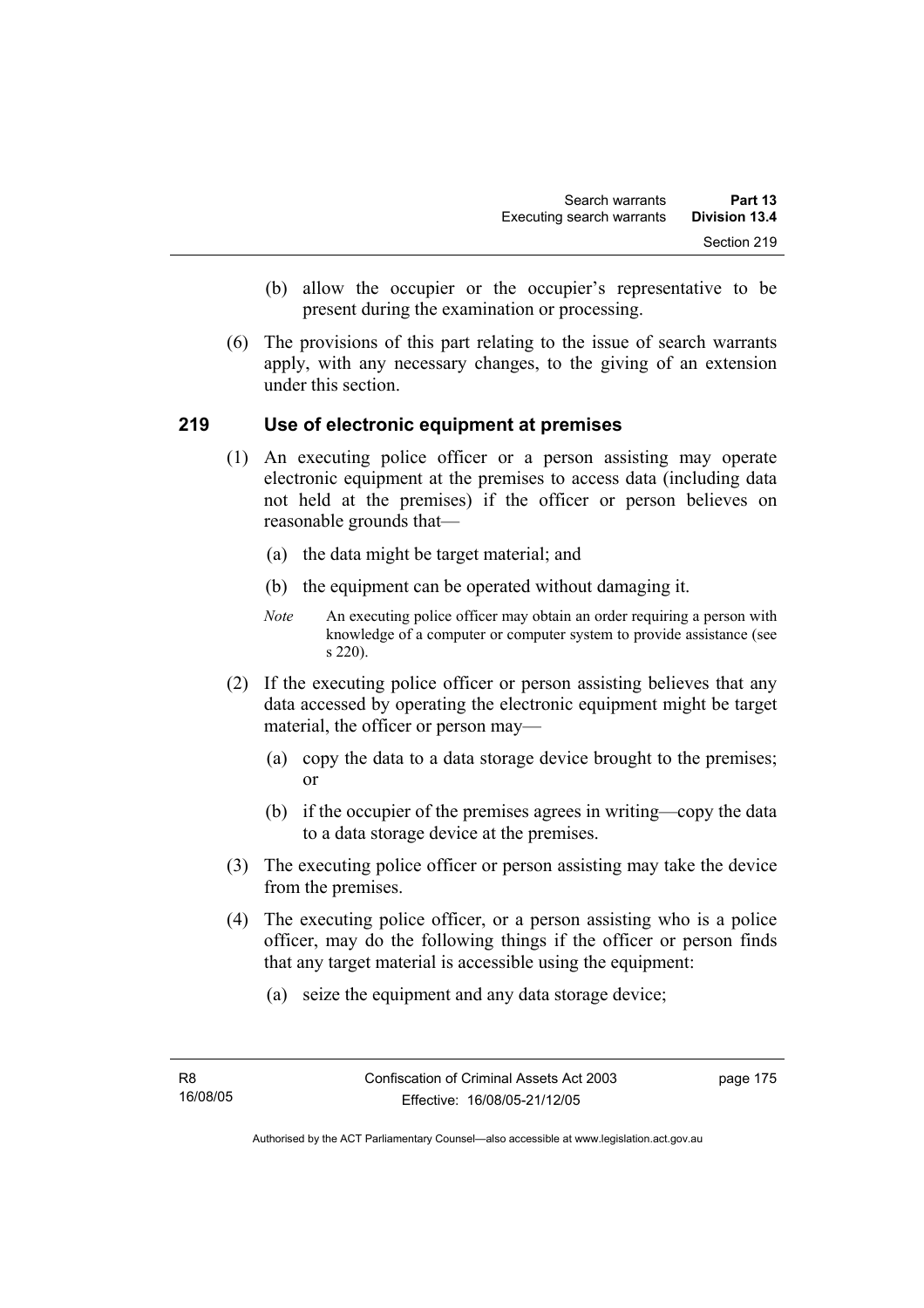- (b) allow the occupier or the occupier's representative to be present during the examination or processing.
- (6) The provisions of this part relating to the issue of search warrants apply, with any necessary changes, to the giving of an extension under this section.

### **219 Use of electronic equipment at premises**

- (1) An executing police officer or a person assisting may operate electronic equipment at the premises to access data (including data not held at the premises) if the officer or person believes on reasonable grounds that—
	- (a) the data might be target material; and
	- (b) the equipment can be operated without damaging it.
	- *Note* An executing police officer may obtain an order requiring a person with knowledge of a computer or computer system to provide assistance (see s 220).
- (2) If the executing police officer or person assisting believes that any data accessed by operating the electronic equipment might be target material, the officer or person may—
	- (a) copy the data to a data storage device brought to the premises; or
	- (b) if the occupier of the premises agrees in writing—copy the data to a data storage device at the premises.
- (3) The executing police officer or person assisting may take the device from the premises.
- (4) The executing police officer, or a person assisting who is a police officer, may do the following things if the officer or person finds that any target material is accessible using the equipment:
	- (a) seize the equipment and any data storage device;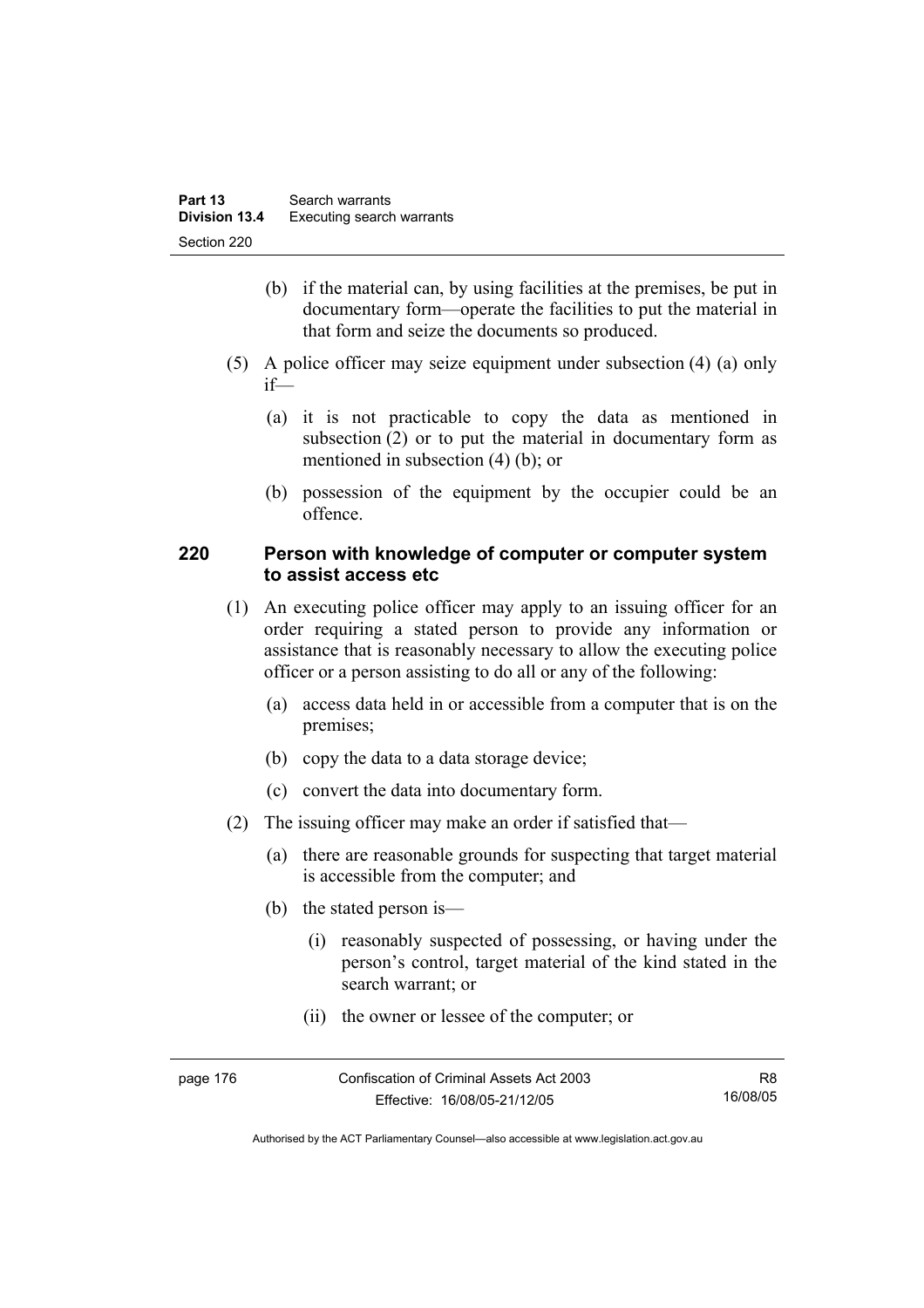- (b) if the material can, by using facilities at the premises, be put in documentary form—operate the facilities to put the material in that form and seize the documents so produced.
- (5) A police officer may seize equipment under subsection (4) (a) only if—
	- (a) it is not practicable to copy the data as mentioned in subsection (2) or to put the material in documentary form as mentioned in subsection (4) (b); or
	- (b) possession of the equipment by the occupier could be an offence.

### **220 Person with knowledge of computer or computer system to assist access etc**

- (1) An executing police officer may apply to an issuing officer for an order requiring a stated person to provide any information or assistance that is reasonably necessary to allow the executing police officer or a person assisting to do all or any of the following:
	- (a) access data held in or accessible from a computer that is on the premises;
	- (b) copy the data to a data storage device;
	- (c) convert the data into documentary form.
- (2) The issuing officer may make an order if satisfied that—
	- (a) there are reasonable grounds for suspecting that target material is accessible from the computer; and
	- (b) the stated person is—
		- (i) reasonably suspected of possessing, or having under the person's control, target material of the kind stated in the search warrant; or
		- (ii) the owner or lessee of the computer; or

| page 176 | Confiscation of Criminal Assets Act 2003 | R8.      |
|----------|------------------------------------------|----------|
|          | Effective: 16/08/05-21/12/05             | 16/08/05 |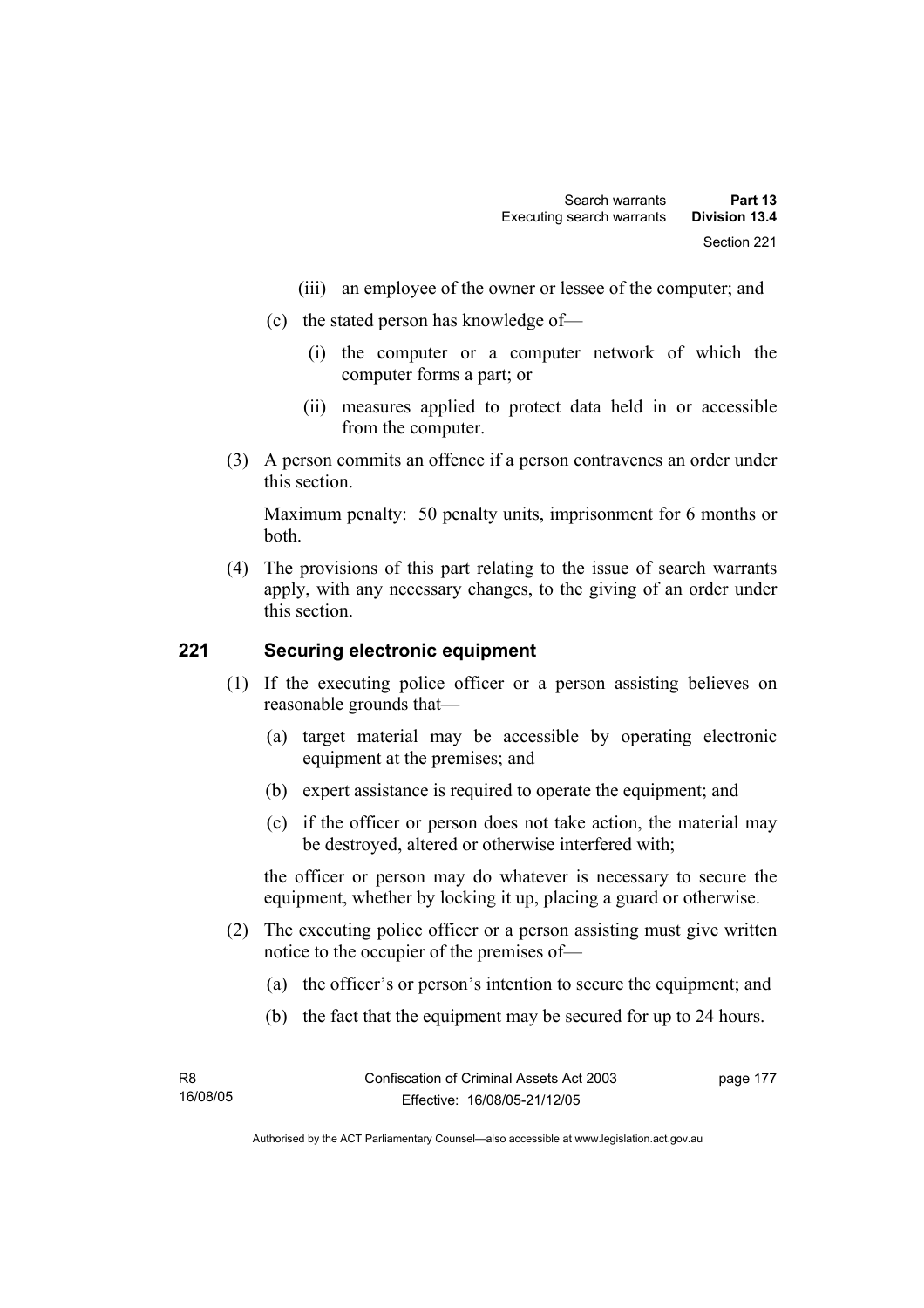- (iii) an employee of the owner or lessee of the computer; and
- (c) the stated person has knowledge of—
	- (i) the computer or a computer network of which the computer forms a part; or
	- (ii) measures applied to protect data held in or accessible from the computer.
- (3) A person commits an offence if a person contravenes an order under this section.

Maximum penalty: 50 penalty units, imprisonment for 6 months or both.

 (4) The provisions of this part relating to the issue of search warrants apply, with any necessary changes, to the giving of an order under this section.

## **221 Securing electronic equipment**

- (1) If the executing police officer or a person assisting believes on reasonable grounds that—
	- (a) target material may be accessible by operating electronic equipment at the premises; and
	- (b) expert assistance is required to operate the equipment; and
	- (c) if the officer or person does not take action, the material may be destroyed, altered or otherwise interfered with;

the officer or person may do whatever is necessary to secure the equipment, whether by locking it up, placing a guard or otherwise.

- (2) The executing police officer or a person assisting must give written notice to the occupier of the premises of—
	- (a) the officer's or person's intention to secure the equipment; and
	- (b) the fact that the equipment may be secured for up to 24 hours.

page 177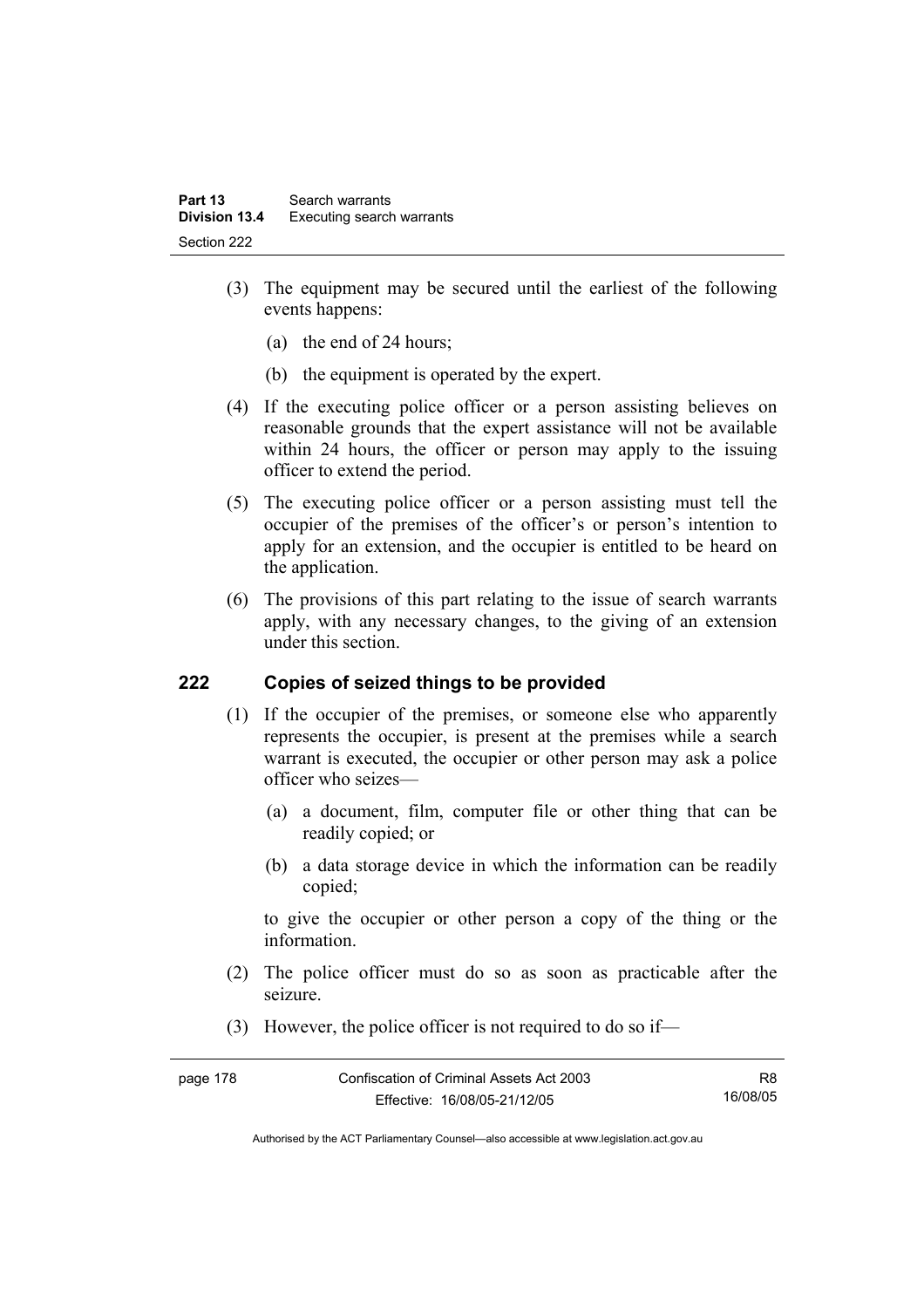- (3) The equipment may be secured until the earliest of the following events happens:
	- (a) the end of 24 hours;
	- (b) the equipment is operated by the expert.
- (4) If the executing police officer or a person assisting believes on reasonable grounds that the expert assistance will not be available within 24 hours, the officer or person may apply to the issuing officer to extend the period.
- (5) The executing police officer or a person assisting must tell the occupier of the premises of the officer's or person's intention to apply for an extension, and the occupier is entitled to be heard on the application.
- (6) The provisions of this part relating to the issue of search warrants apply, with any necessary changes, to the giving of an extension under this section.

# **222 Copies of seized things to be provided**

- (1) If the occupier of the premises, or someone else who apparently represents the occupier, is present at the premises while a search warrant is executed, the occupier or other person may ask a police officer who seizes—
	- (a) a document, film, computer file or other thing that can be readily copied; or
	- (b) a data storage device in which the information can be readily copied;

to give the occupier or other person a copy of the thing or the information.

- (2) The police officer must do so as soon as practicable after the seizure.
- (3) However, the police officer is not required to do so if—

| page 178 | Confiscation of Criminal Assets Act 2003 |          |
|----------|------------------------------------------|----------|
|          | Effective: 16/08/05-21/12/05             | 16/08/05 |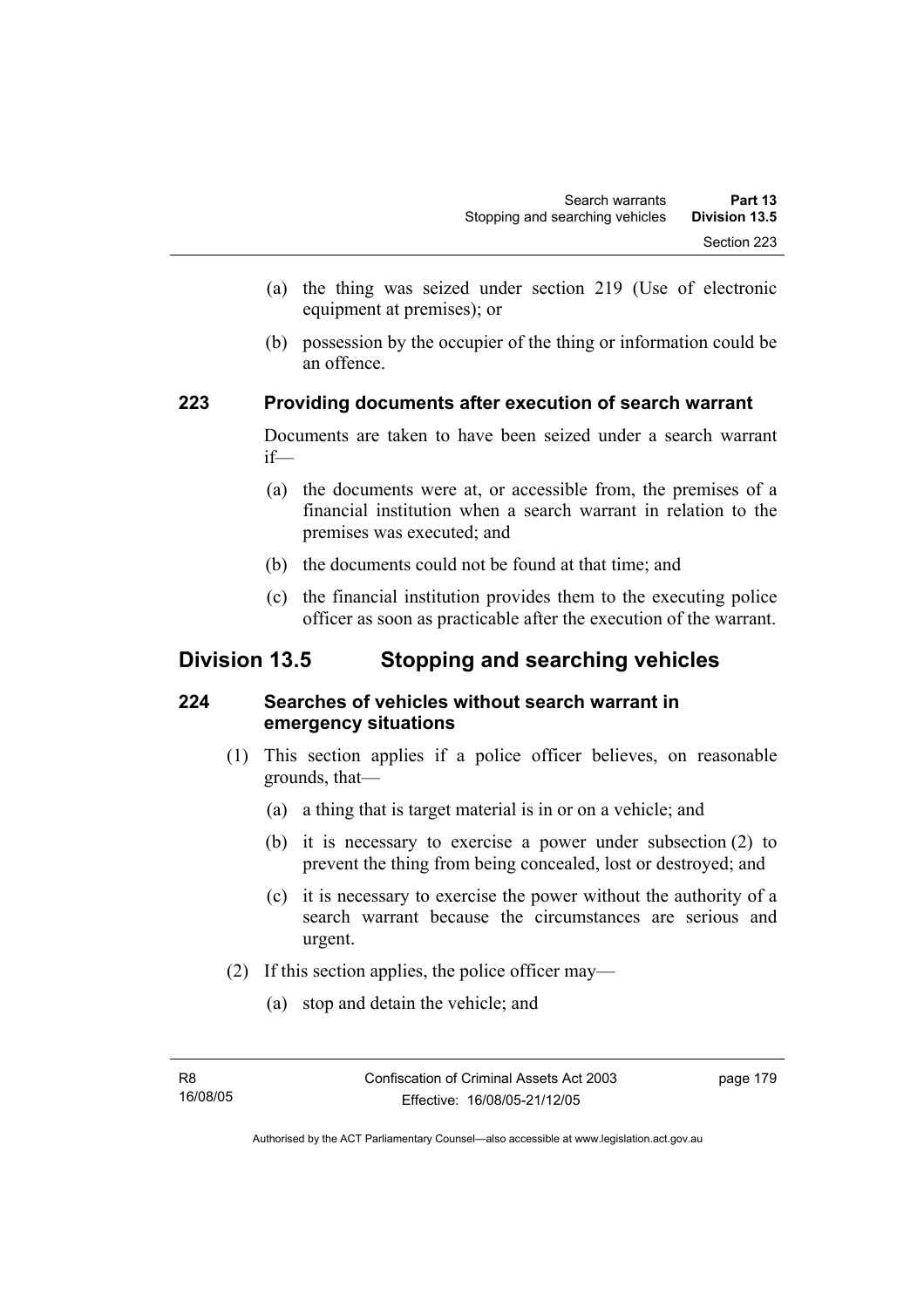- (a) the thing was seized under section 219 (Use of electronic equipment at premises); or
- (b) possession by the occupier of the thing or information could be an offence.

## **223 Providing documents after execution of search warrant**

Documents are taken to have been seized under a search warrant if—

- (a) the documents were at, or accessible from, the premises of a financial institution when a search warrant in relation to the premises was executed; and
- (b) the documents could not be found at that time; and
- (c) the financial institution provides them to the executing police officer as soon as practicable after the execution of the warrant.

# **Division 13.5 Stopping and searching vehicles**

# **224 Searches of vehicles without search warrant in emergency situations**

- (1) This section applies if a police officer believes, on reasonable grounds, that—
	- (a) a thing that is target material is in or on a vehicle; and
	- (b) it is necessary to exercise a power under subsection (2) to prevent the thing from being concealed, lost or destroyed; and
	- (c) it is necessary to exercise the power without the authority of a search warrant because the circumstances are serious and urgent.
- (2) If this section applies, the police officer may—
	- (a) stop and detain the vehicle; and

page 179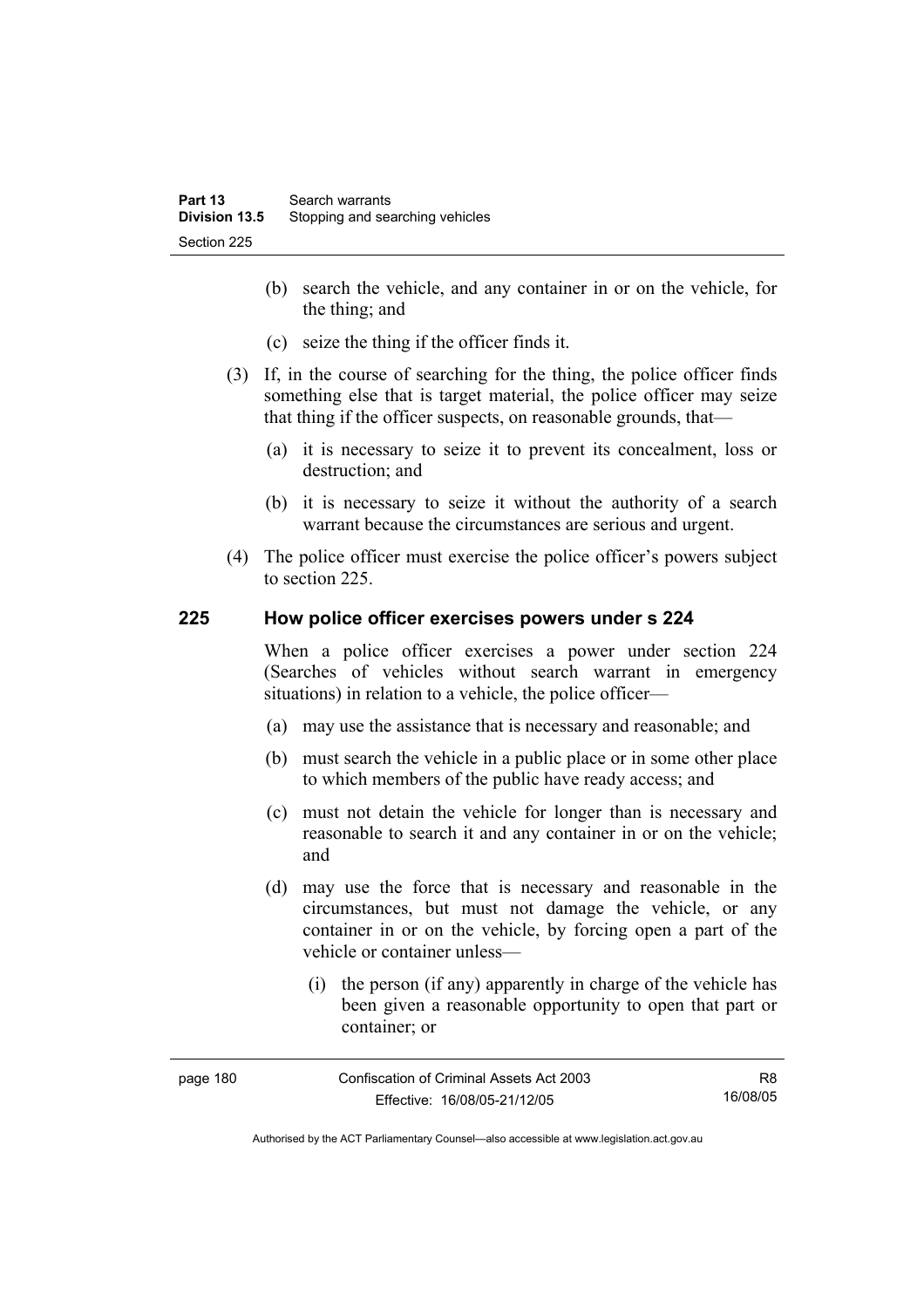- (b) search the vehicle, and any container in or on the vehicle, for the thing; and
- (c) seize the thing if the officer finds it.
- (3) If, in the course of searching for the thing, the police officer finds something else that is target material, the police officer may seize that thing if the officer suspects, on reasonable grounds, that—
	- (a) it is necessary to seize it to prevent its concealment, loss or destruction; and
	- (b) it is necessary to seize it without the authority of a search warrant because the circumstances are serious and urgent.
- (4) The police officer must exercise the police officer's powers subject to section 225.

### **225 How police officer exercises powers under s 224**

When a police officer exercises a power under section 224 (Searches of vehicles without search warrant in emergency situations) in relation to a vehicle, the police officer—

- (a) may use the assistance that is necessary and reasonable; and
- (b) must search the vehicle in a public place or in some other place to which members of the public have ready access; and
- (c) must not detain the vehicle for longer than is necessary and reasonable to search it and any container in or on the vehicle; and
- (d) may use the force that is necessary and reasonable in the circumstances, but must not damage the vehicle, or any container in or on the vehicle, by forcing open a part of the vehicle or container unless—
	- (i) the person (if any) apparently in charge of the vehicle has been given a reasonable opportunity to open that part or container; or

| page 180 | Confiscation of Criminal Assets Act 2003 | R8       |
|----------|------------------------------------------|----------|
|          | Effective: 16/08/05-21/12/05             | 16/08/05 |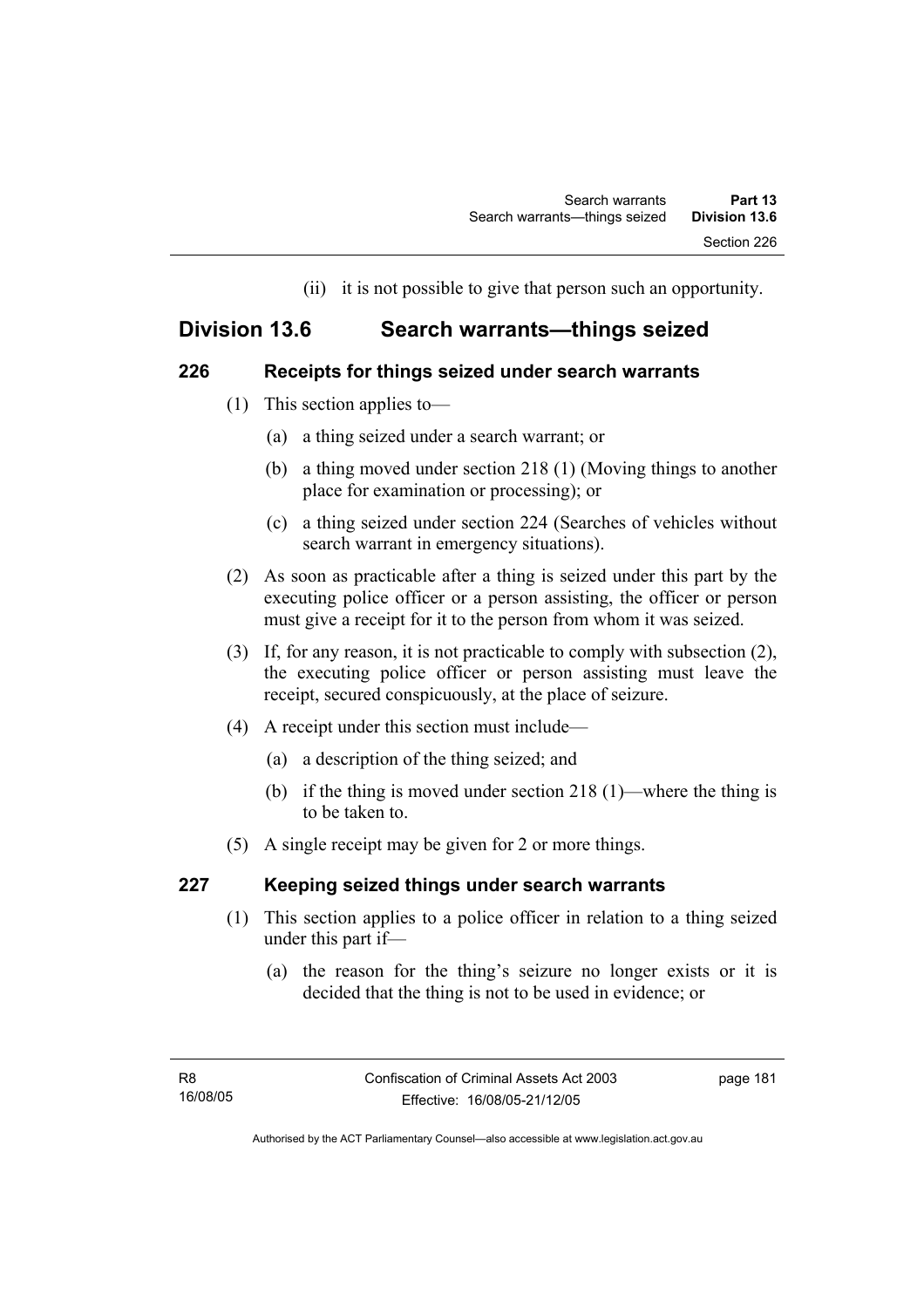(ii) it is not possible to give that person such an opportunity.

# **Division 13.6 Search warrants—things seized**

# **226 Receipts for things seized under search warrants**

- (1) This section applies to—
	- (a) a thing seized under a search warrant; or
	- (b) a thing moved under section 218 (1) (Moving things to another place for examination or processing); or
	- (c) a thing seized under section 224 (Searches of vehicles without search warrant in emergency situations).
- (2) As soon as practicable after a thing is seized under this part by the executing police officer or a person assisting, the officer or person must give a receipt for it to the person from whom it was seized.
- (3) If, for any reason, it is not practicable to comply with subsection (2), the executing police officer or person assisting must leave the receipt, secured conspicuously, at the place of seizure.
- (4) A receipt under this section must include—
	- (a) a description of the thing seized; and
	- (b) if the thing is moved under section 218 (1)—where the thing is to be taken to.
- (5) A single receipt may be given for 2 or more things.

# **227 Keeping seized things under search warrants**

- (1) This section applies to a police officer in relation to a thing seized under this part if—
	- (a) the reason for the thing's seizure no longer exists or it is decided that the thing is not to be used in evidence; or

page 181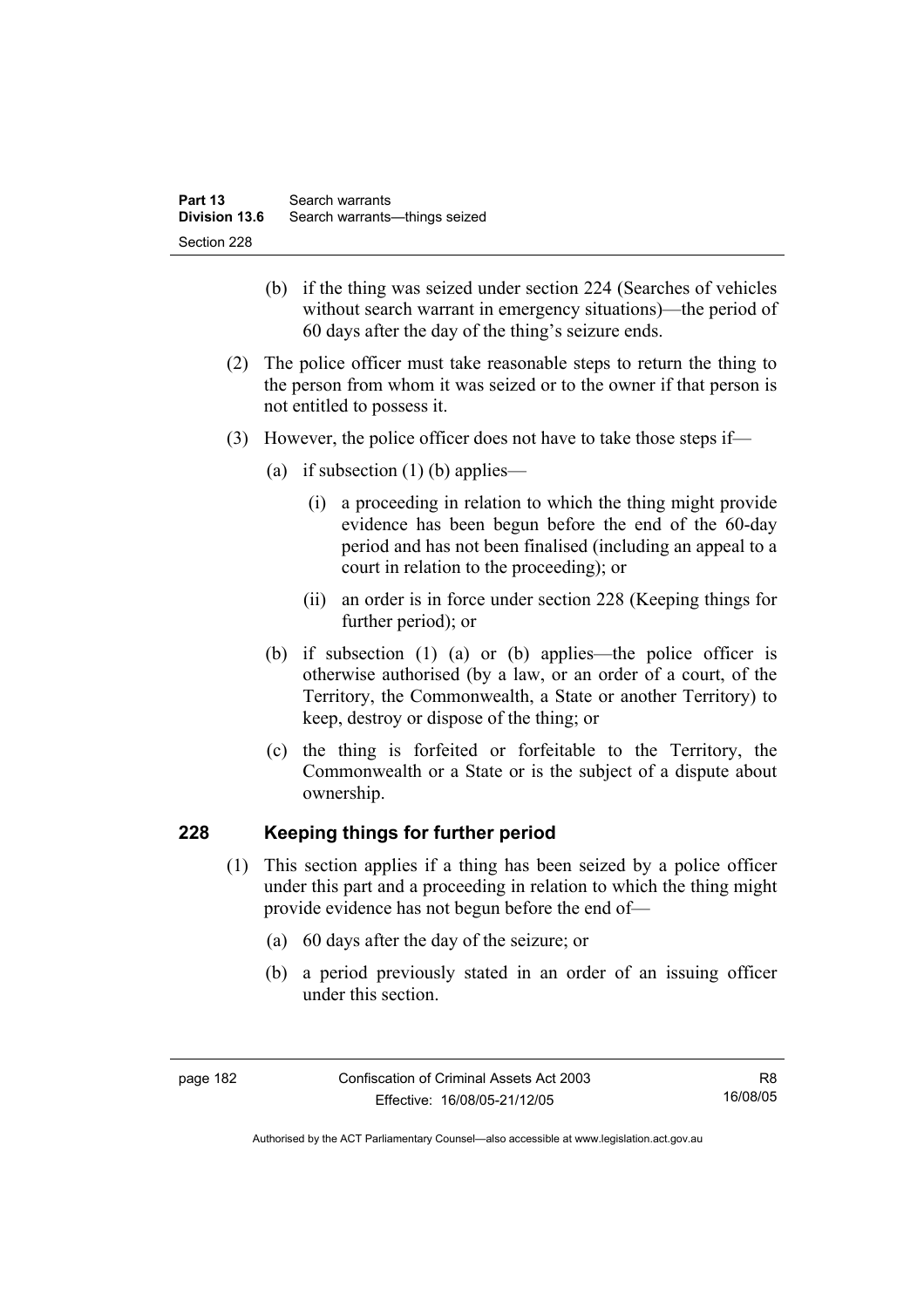- (b) if the thing was seized under section 224 (Searches of vehicles without search warrant in emergency situations)—the period of 60 days after the day of the thing's seizure ends.
- (2) The police officer must take reasonable steps to return the thing to the person from whom it was seized or to the owner if that person is not entitled to possess it.
- (3) However, the police officer does not have to take those steps if—
	- (a) if subsection  $(1)$  (b) applies—
		- (i) a proceeding in relation to which the thing might provide evidence has been begun before the end of the 60-day period and has not been finalised (including an appeal to a court in relation to the proceeding); or
		- (ii) an order is in force under section 228 (Keeping things for further period); or
	- (b) if subsection (1) (a) or (b) applies—the police officer is otherwise authorised (by a law, or an order of a court, of the Territory, the Commonwealth, a State or another Territory) to keep, destroy or dispose of the thing; or
	- (c) the thing is forfeited or forfeitable to the Territory, the Commonwealth or a State or is the subject of a dispute about ownership.

# **228 Keeping things for further period**

- (1) This section applies if a thing has been seized by a police officer under this part and a proceeding in relation to which the thing might provide evidence has not begun before the end of—
	- (a) 60 days after the day of the seizure; or
	- (b) a period previously stated in an order of an issuing officer under this section.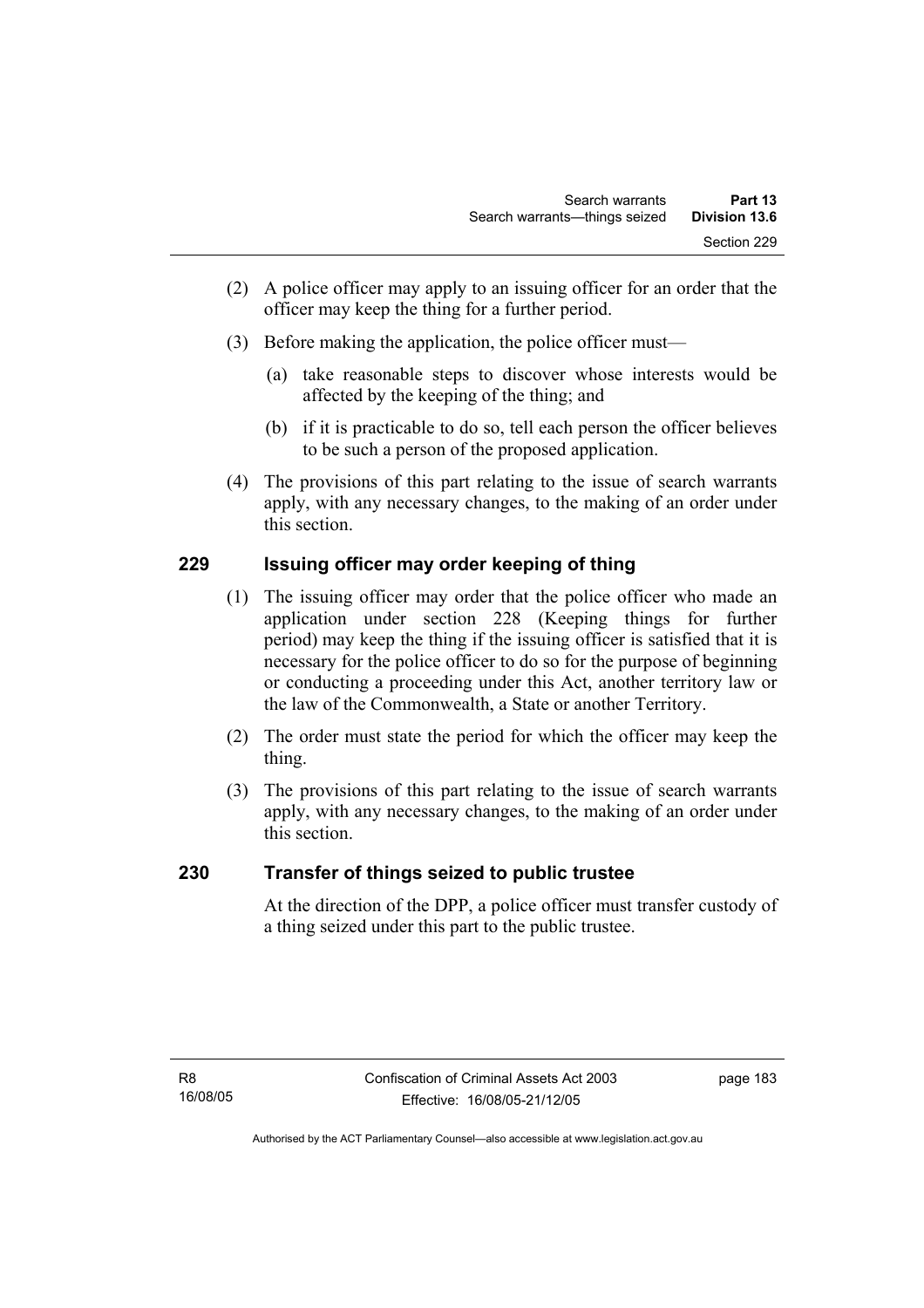- (2) A police officer may apply to an issuing officer for an order that the officer may keep the thing for a further period.
- (3) Before making the application, the police officer must—
	- (a) take reasonable steps to discover whose interests would be affected by the keeping of the thing; and
	- (b) if it is practicable to do so, tell each person the officer believes to be such a person of the proposed application.
- (4) The provisions of this part relating to the issue of search warrants apply, with any necessary changes, to the making of an order under this section.

# **229 Issuing officer may order keeping of thing**

- (1) The issuing officer may order that the police officer who made an application under section 228 (Keeping things for further period) may keep the thing if the issuing officer is satisfied that it is necessary for the police officer to do so for the purpose of beginning or conducting a proceeding under this Act, another territory law or the law of the Commonwealth, a State or another Territory.
- (2) The order must state the period for which the officer may keep the thing.
- (3) The provisions of this part relating to the issue of search warrants apply, with any necessary changes, to the making of an order under this section.

# **230 Transfer of things seized to public trustee**

At the direction of the DPP, a police officer must transfer custody of a thing seized under this part to the public trustee.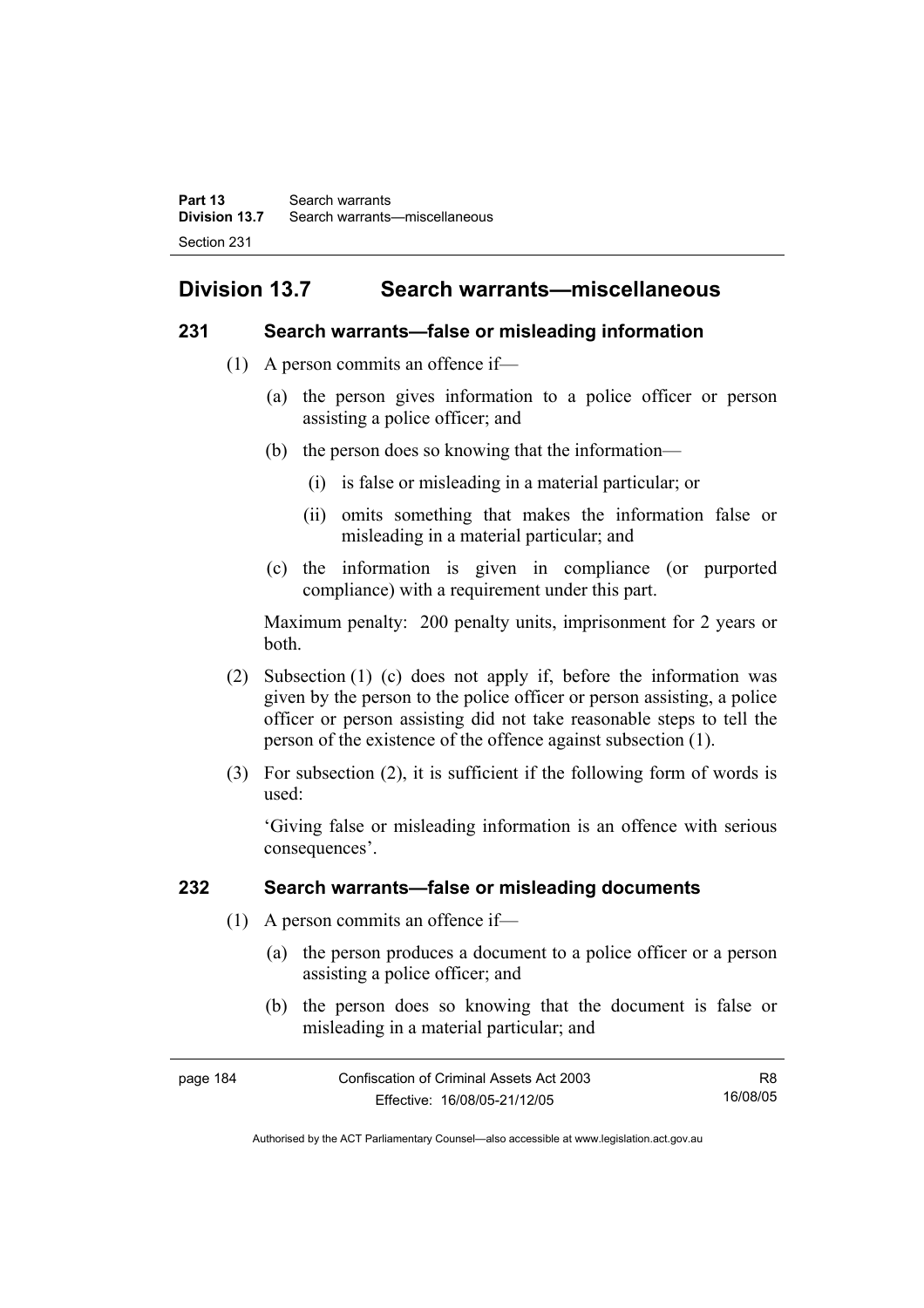# **Division 13.7 Search warrants—miscellaneous**

### **231 Search warrants—false or misleading information**

- (1) A person commits an offence if—
	- (a) the person gives information to a police officer or person assisting a police officer; and
	- (b) the person does so knowing that the information—
		- (i) is false or misleading in a material particular; or
		- (ii) omits something that makes the information false or misleading in a material particular; and
	- (c) the information is given in compliance (or purported compliance) with a requirement under this part.

Maximum penalty: 200 penalty units, imprisonment for 2 years or both.

- (2) Subsection (1) (c) does not apply if, before the information was given by the person to the police officer or person assisting, a police officer or person assisting did not take reasonable steps to tell the person of the existence of the offence against subsection (1).
- (3) For subsection (2), it is sufficient if the following form of words is used:

'Giving false or misleading information is an offence with serious consequences'.

# **232 Search warrants—false or misleading documents**

- (1) A person commits an offence if—
	- (a) the person produces a document to a police officer or a person assisting a police officer; and
	- (b) the person does so knowing that the document is false or misleading in a material particular; and

| page 184 | Confiscation of Criminal Assets Act 2003 | R8.      |
|----------|------------------------------------------|----------|
|          | Effective: 16/08/05-21/12/05             | 16/08/05 |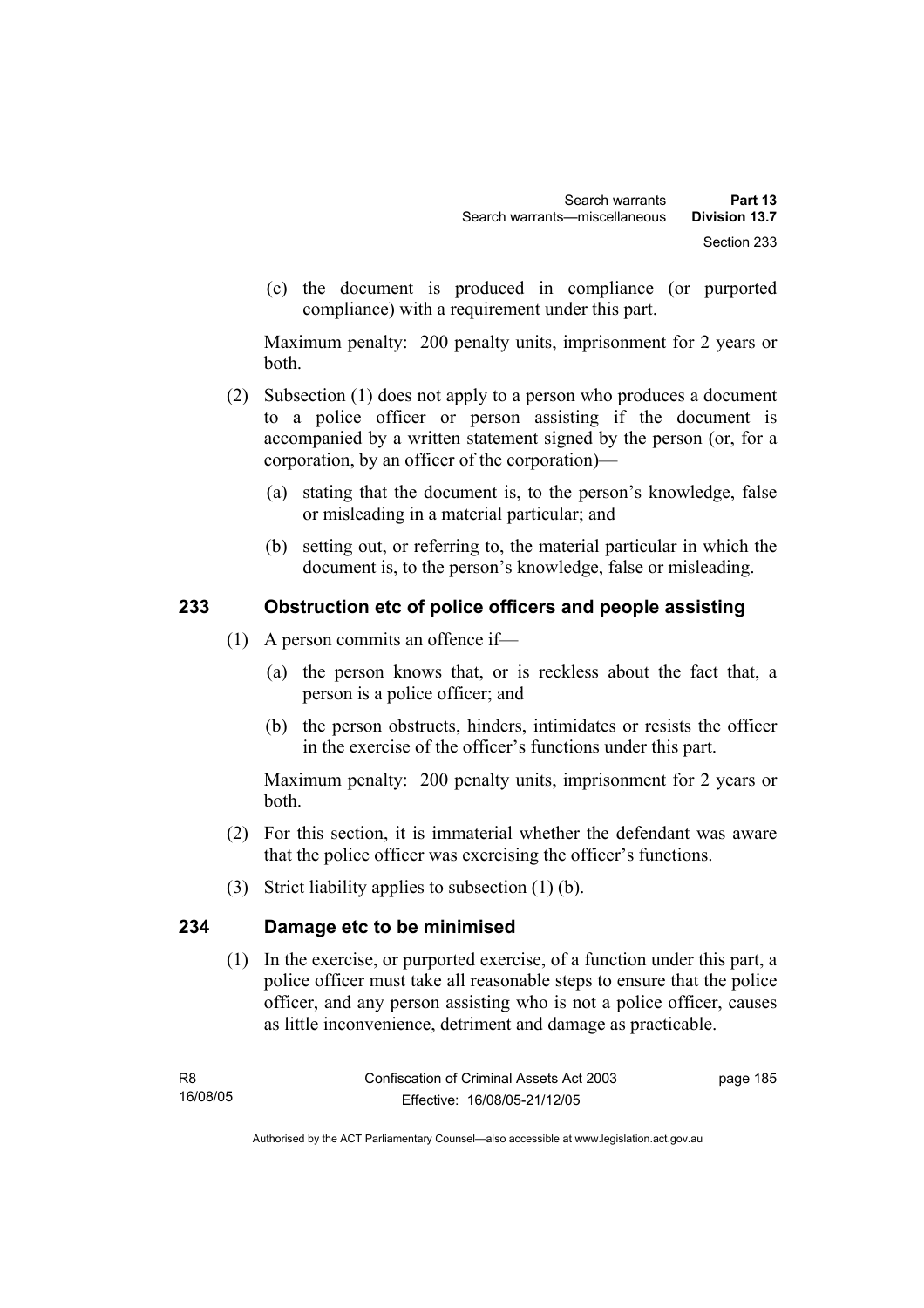(c) the document is produced in compliance (or purported compliance) with a requirement under this part.

Maximum penalty: 200 penalty units, imprisonment for 2 years or both.

- (2) Subsection (1) does not apply to a person who produces a document to a police officer or person assisting if the document is accompanied by a written statement signed by the person (or, for a corporation, by an officer of the corporation)—
	- (a) stating that the document is, to the person's knowledge, false or misleading in a material particular; and
	- (b) setting out, or referring to, the material particular in which the document is, to the person's knowledge, false or misleading.

# **233 Obstruction etc of police officers and people assisting**

- (1) A person commits an offence if—
	- (a) the person knows that, or is reckless about the fact that, a person is a police officer; and
	- (b) the person obstructs, hinders, intimidates or resists the officer in the exercise of the officer's functions under this part.

Maximum penalty: 200 penalty units, imprisonment for 2 years or both.

- (2) For this section, it is immaterial whether the defendant was aware that the police officer was exercising the officer's functions.
- (3) Strict liability applies to subsection (1) (b).

# **234 Damage etc to be minimised**

 (1) In the exercise, or purported exercise, of a function under this part, a police officer must take all reasonable steps to ensure that the police officer, and any person assisting who is not a police officer, causes as little inconvenience, detriment and damage as practicable.

page 185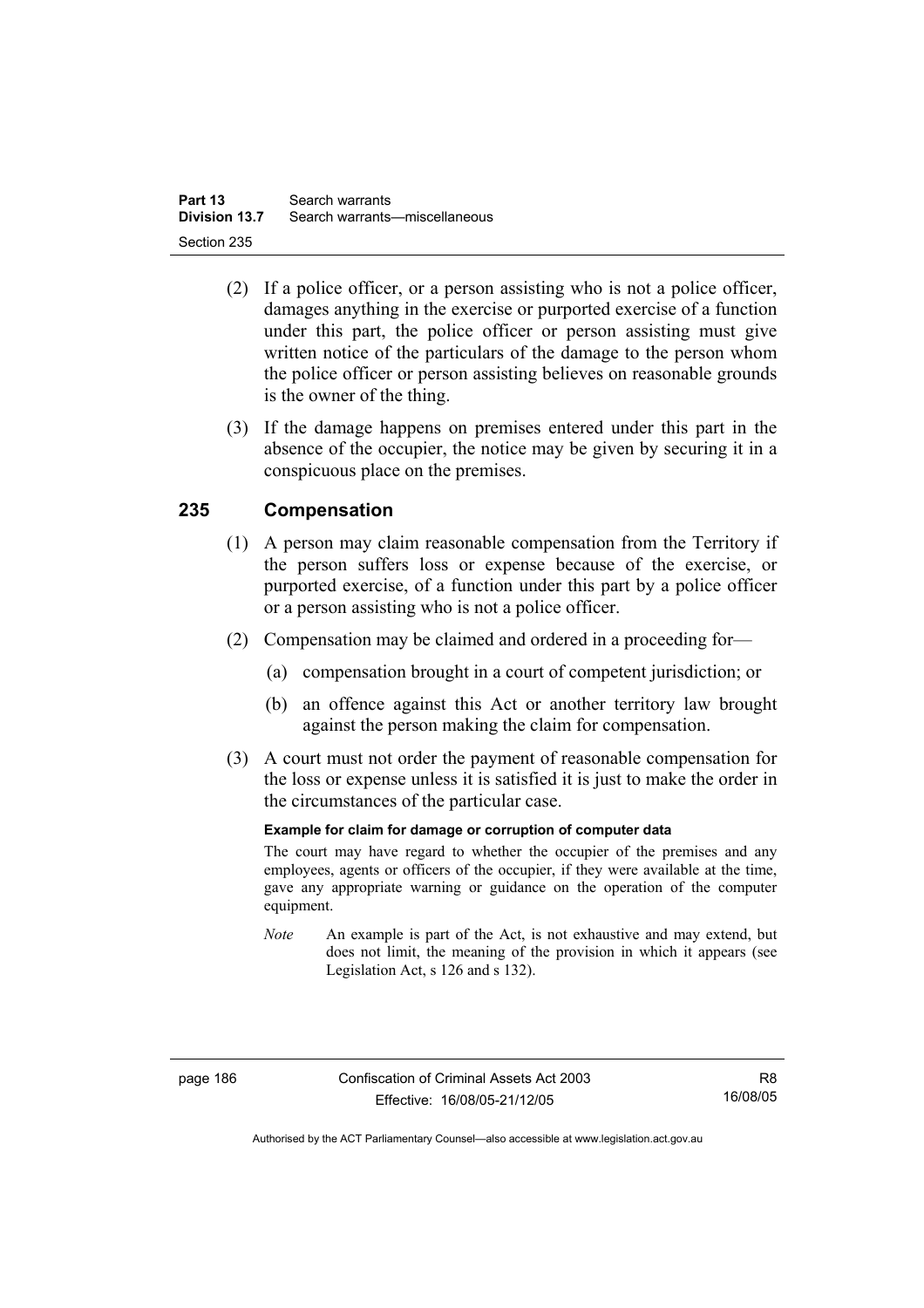- (2) If a police officer, or a person assisting who is not a police officer, damages anything in the exercise or purported exercise of a function under this part, the police officer or person assisting must give written notice of the particulars of the damage to the person whom the police officer or person assisting believes on reasonable grounds is the owner of the thing.
- (3) If the damage happens on premises entered under this part in the absence of the occupier, the notice may be given by securing it in a conspicuous place on the premises.

# **235 Compensation**

- (1) A person may claim reasonable compensation from the Territory if the person suffers loss or expense because of the exercise, or purported exercise, of a function under this part by a police officer or a person assisting who is not a police officer.
- (2) Compensation may be claimed and ordered in a proceeding for—
	- (a) compensation brought in a court of competent jurisdiction; or
	- (b) an offence against this Act or another territory law brought against the person making the claim for compensation.
- (3) A court must not order the payment of reasonable compensation for the loss or expense unless it is satisfied it is just to make the order in the circumstances of the particular case.

### **Example for claim for damage or corruption of computer data**

The court may have regard to whether the occupier of the premises and any employees, agents or officers of the occupier, if they were available at the time, gave any appropriate warning or guidance on the operation of the computer equipment.

*Note* An example is part of the Act, is not exhaustive and may extend, but does not limit, the meaning of the provision in which it appears (see Legislation Act, s 126 and s 132).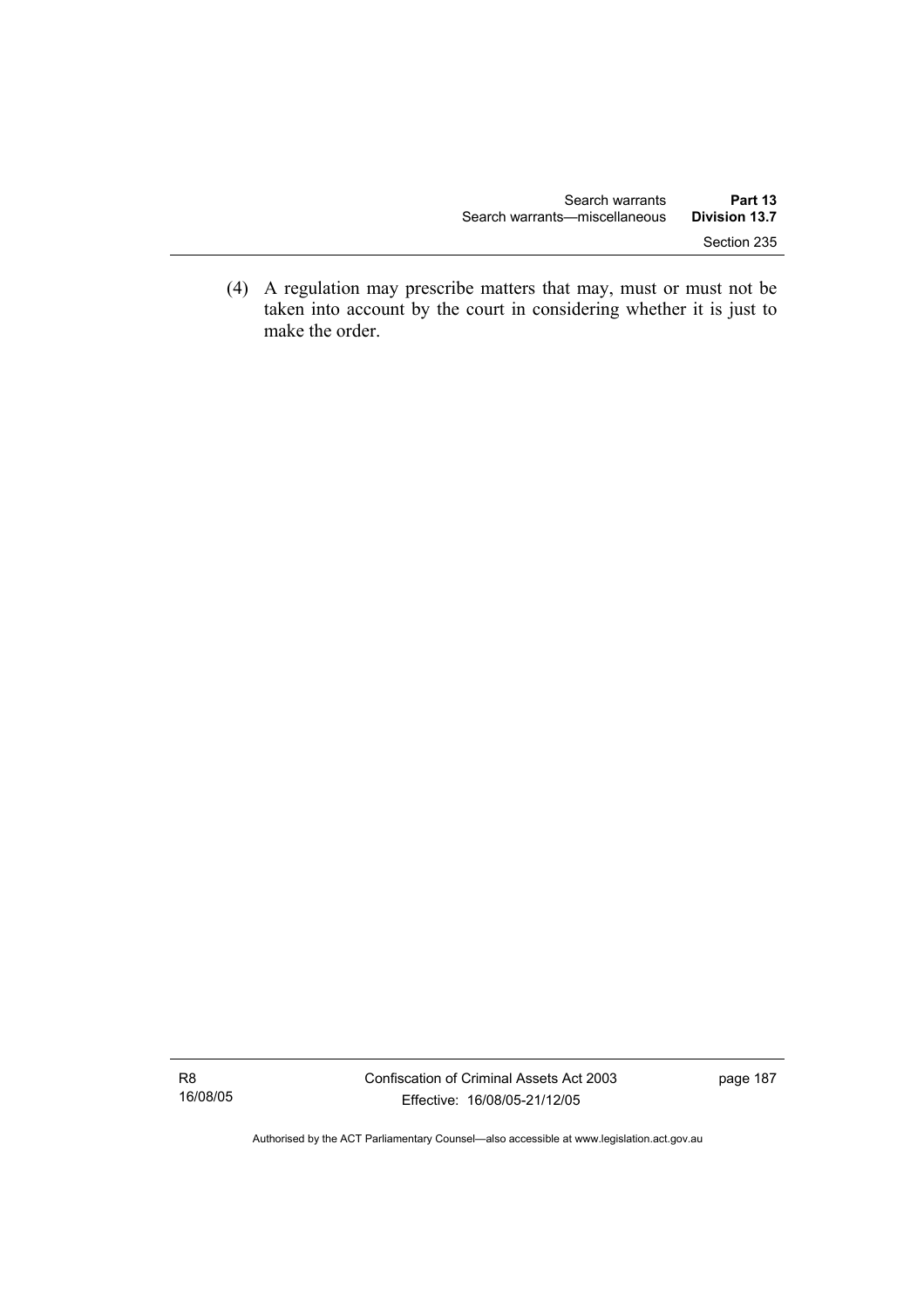(4) A regulation may prescribe matters that may, must or must not be taken into account by the court in considering whether it is just to make the order.

R8 16/08/05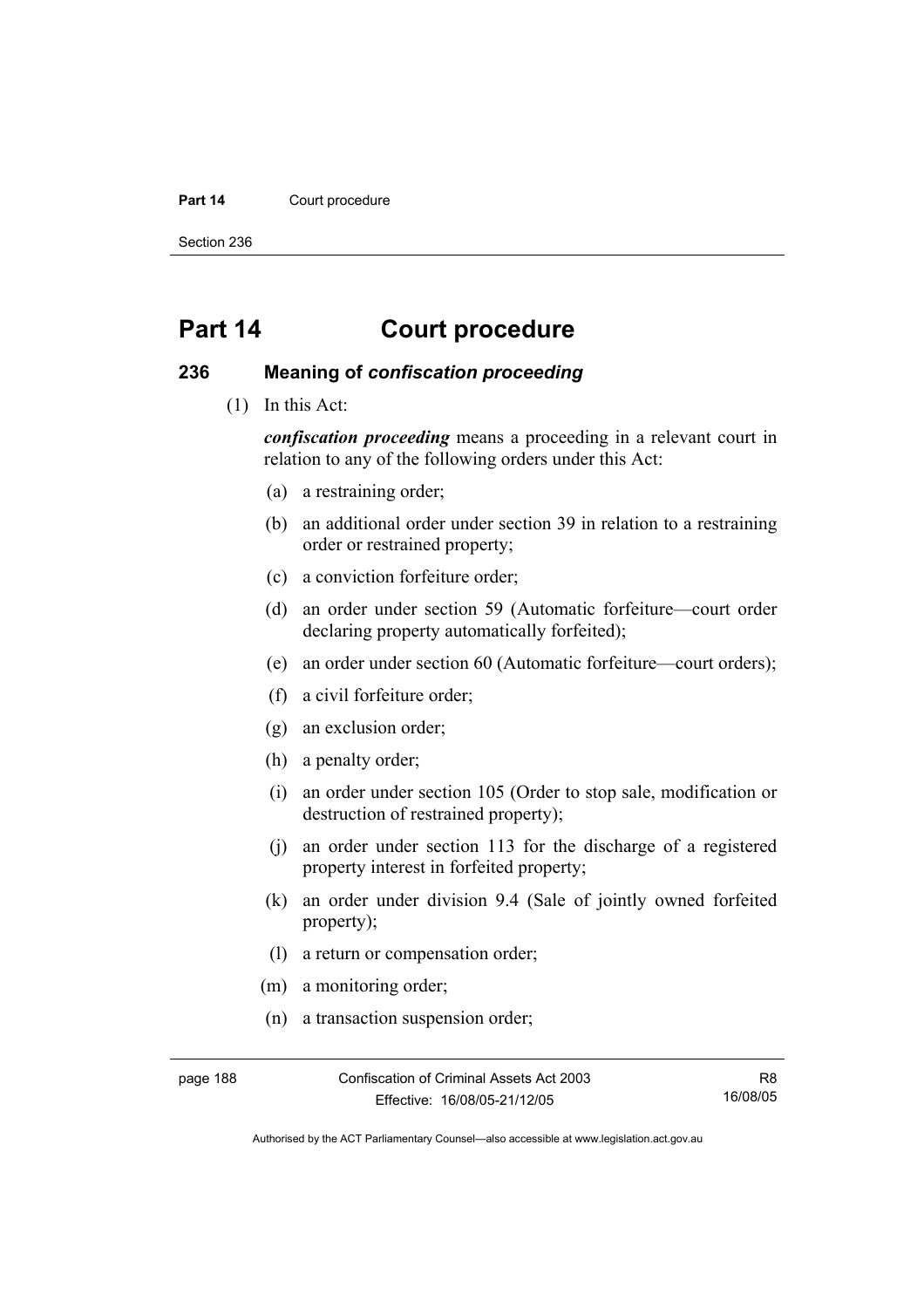#### Part 14 **Court procedure**

Section 236

# **Part 14 Court procedure**

### **236 Meaning of** *confiscation proceeding*

(1) In this Act:

*confiscation proceeding* means a proceeding in a relevant court in relation to any of the following orders under this Act:

- (a) a restraining order;
- (b) an additional order under section 39 in relation to a restraining order or restrained property;
- (c) a conviction forfeiture order;
- (d) an order under section 59 (Automatic forfeiture—court order declaring property automatically forfeited);
- (e) an order under section 60 (Automatic forfeiture—court orders);
- (f) a civil forfeiture order;
- (g) an exclusion order;
- (h) a penalty order;
- (i) an order under section 105 (Order to stop sale, modification or destruction of restrained property);
- (j) an order under section 113 for the discharge of a registered property interest in forfeited property;
- (k) an order under division 9.4 (Sale of jointly owned forfeited property);
- (l) a return or compensation order;
- (m) a monitoring order;
- (n) a transaction suspension order;

page 188 Confiscation of Criminal Assets Act 2003 Effective: 16/08/05-21/12/05

R8 16/08/05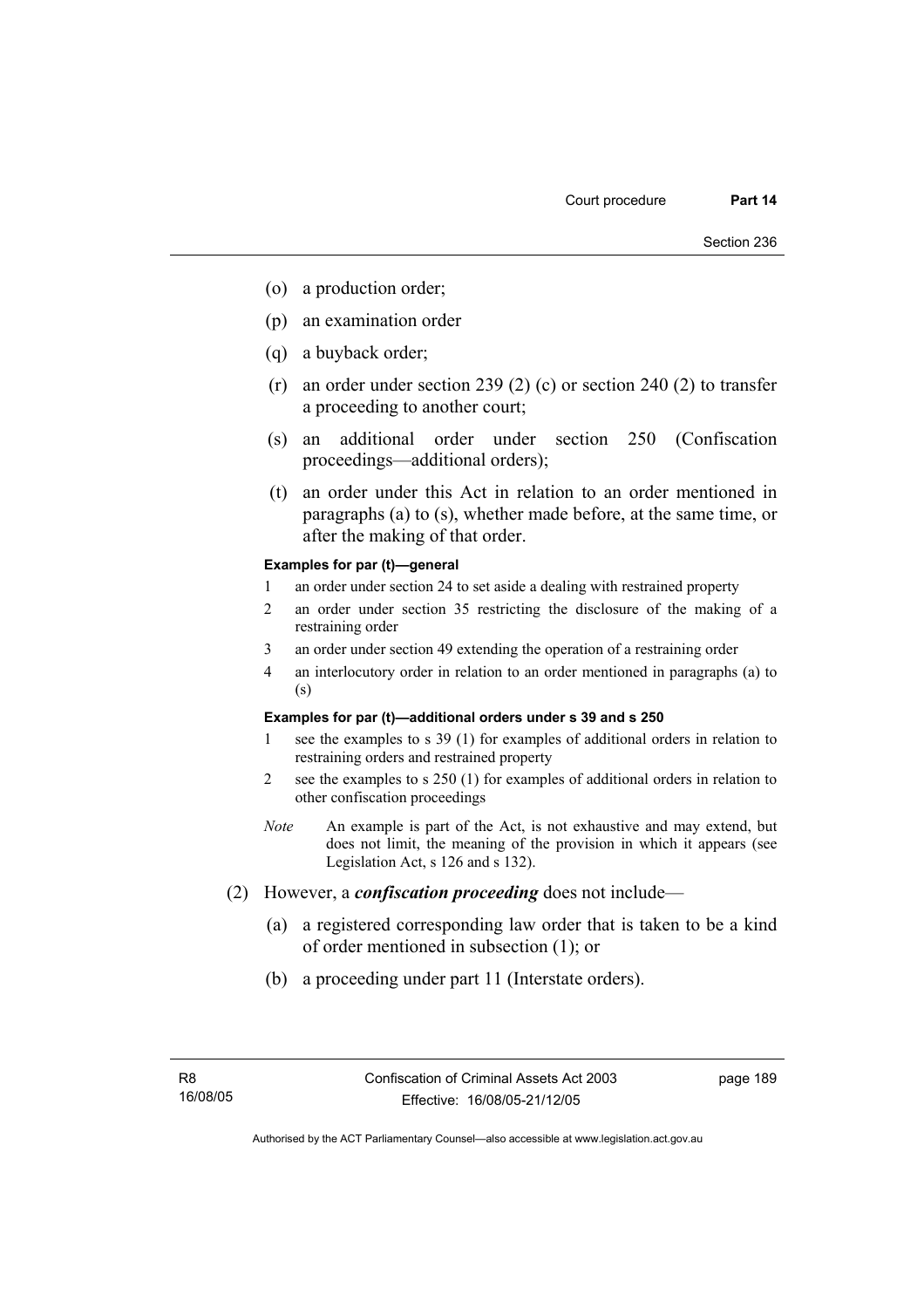- (o) a production order;
- (p) an examination order
- (q) a buyback order;
- (r) an order under section 239 (2) (c) or section 240 (2) to transfer a proceeding to another court;
- (s) an additional order under section 250 (Confiscation proceedings—additional orders);
- (t) an order under this Act in relation to an order mentioned in paragraphs (a) to (s), whether made before, at the same time, or after the making of that order.

#### **Examples for par (t)—general**

- 1 an order under section 24 to set aside a dealing with restrained property
- 2 an order under section 35 restricting the disclosure of the making of a restraining order
- 3 an order under section 49 extending the operation of a restraining order
- 4 an interlocutory order in relation to an order mentioned in paragraphs (a) to (s)

#### **Examples for par (t)—additional orders under s 39 and s 250**

- 1 see the examples to s 39 (1) for examples of additional orders in relation to restraining orders and restrained property
- 2 see the examples to s 250 (1) for examples of additional orders in relation to other confiscation proceedings
- *Note* An example is part of the Act, is not exhaustive and may extend, but does not limit, the meaning of the provision in which it appears (see Legislation Act, s 126 and s 132).
- (2) However, a *confiscation proceeding* does not include—
	- (a) a registered corresponding law order that is taken to be a kind of order mentioned in subsection (1); or
	- (b) a proceeding under part 11 (Interstate orders).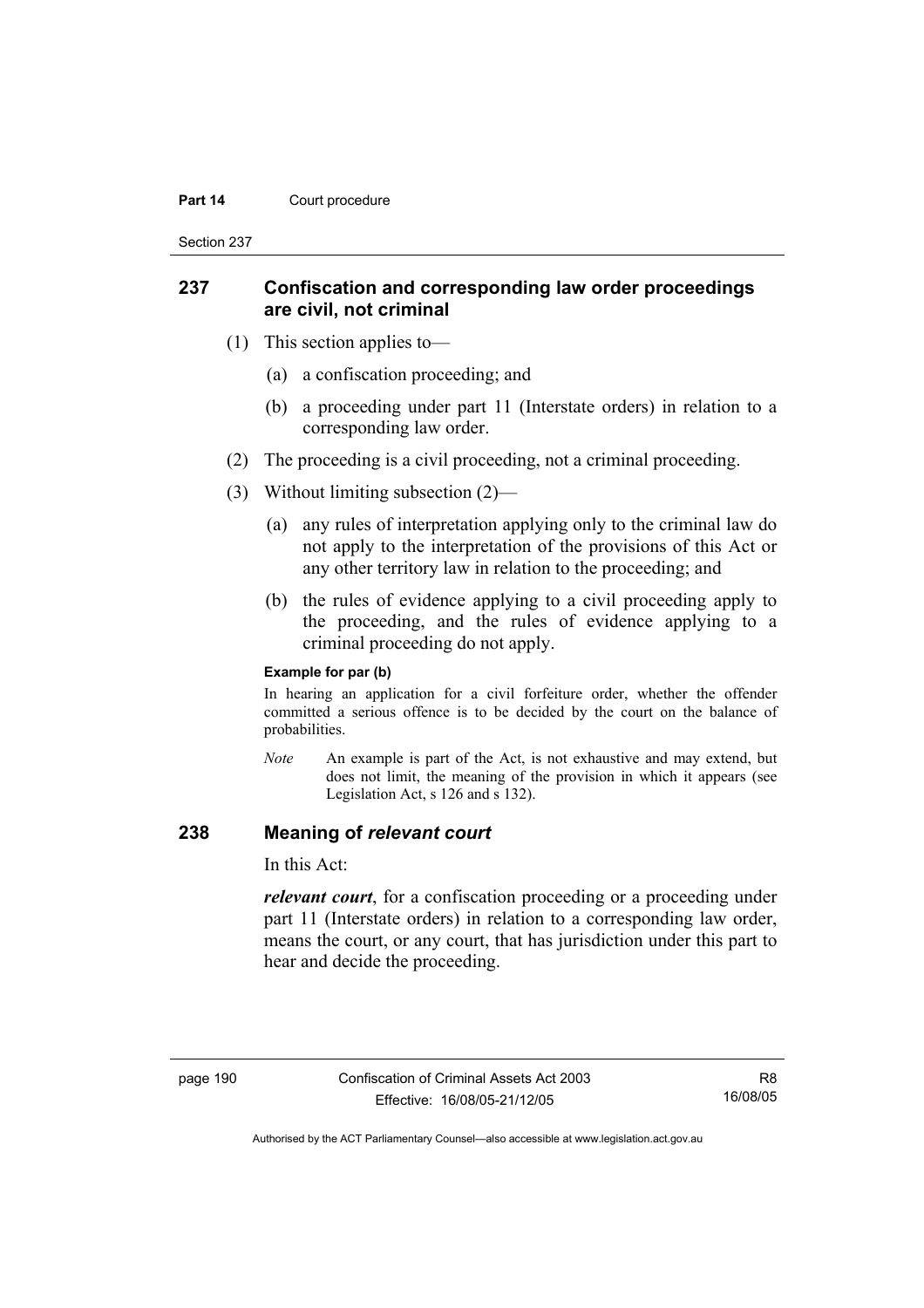#### **Part 14 Court procedure**

Section 237

### **237 Confiscation and corresponding law order proceedings are civil, not criminal**

- (1) This section applies to—
	- (a) a confiscation proceeding; and
	- (b) a proceeding under part 11 (Interstate orders) in relation to a corresponding law order.
- (2) The proceeding is a civil proceeding, not a criminal proceeding.
- (3) Without limiting subsection (2)—
	- (a) any rules of interpretation applying only to the criminal law do not apply to the interpretation of the provisions of this Act or any other territory law in relation to the proceeding; and
	- (b) the rules of evidence applying to a civil proceeding apply to the proceeding, and the rules of evidence applying to a criminal proceeding do not apply.

#### **Example for par (b)**

In hearing an application for a civil forfeiture order, whether the offender committed a serious offence is to be decided by the court on the balance of probabilities.

*Note* An example is part of the Act, is not exhaustive and may extend, but does not limit, the meaning of the provision in which it appears (see Legislation Act, s 126 and s 132).

### **238 Meaning of** *relevant court*

In this Act:

*relevant court*, for a confiscation proceeding or a proceeding under part 11 (Interstate orders) in relation to a corresponding law order, means the court, or any court, that has jurisdiction under this part to hear and decide the proceeding.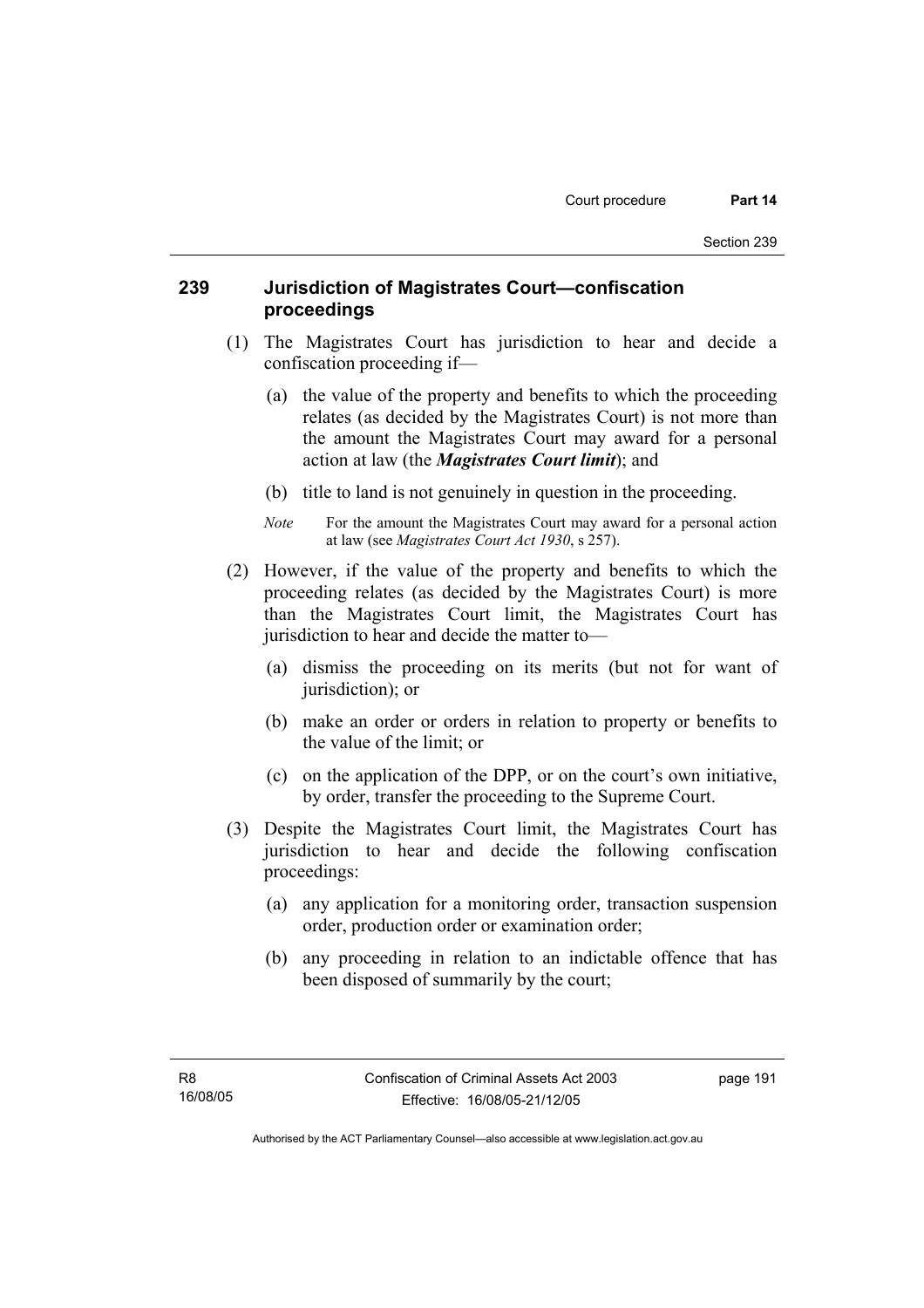## **239 Jurisdiction of Magistrates Court—confiscation proceedings**

- (1) The Magistrates Court has jurisdiction to hear and decide a confiscation proceeding if—
	- (a) the value of the property and benefits to which the proceeding relates (as decided by the Magistrates Court) is not more than the amount the Magistrates Court may award for a personal action at law (the *Magistrates Court limit*); and
	- (b) title to land is not genuinely in question in the proceeding.
	- *Note* For the amount the Magistrates Court may award for a personal action at law (see *Magistrates Court Act 1930*, s 257).
- (2) However, if the value of the property and benefits to which the proceeding relates (as decided by the Magistrates Court) is more than the Magistrates Court limit, the Magistrates Court has jurisdiction to hear and decide the matter to—
	- (a) dismiss the proceeding on its merits (but not for want of jurisdiction); or
	- (b) make an order or orders in relation to property or benefits to the value of the limit; or
	- (c) on the application of the DPP, or on the court's own initiative, by order, transfer the proceeding to the Supreme Court.
- (3) Despite the Magistrates Court limit, the Magistrates Court has jurisdiction to hear and decide the following confiscation proceedings:
	- (a) any application for a monitoring order, transaction suspension order, production order or examination order;
	- (b) any proceeding in relation to an indictable offence that has been disposed of summarily by the court;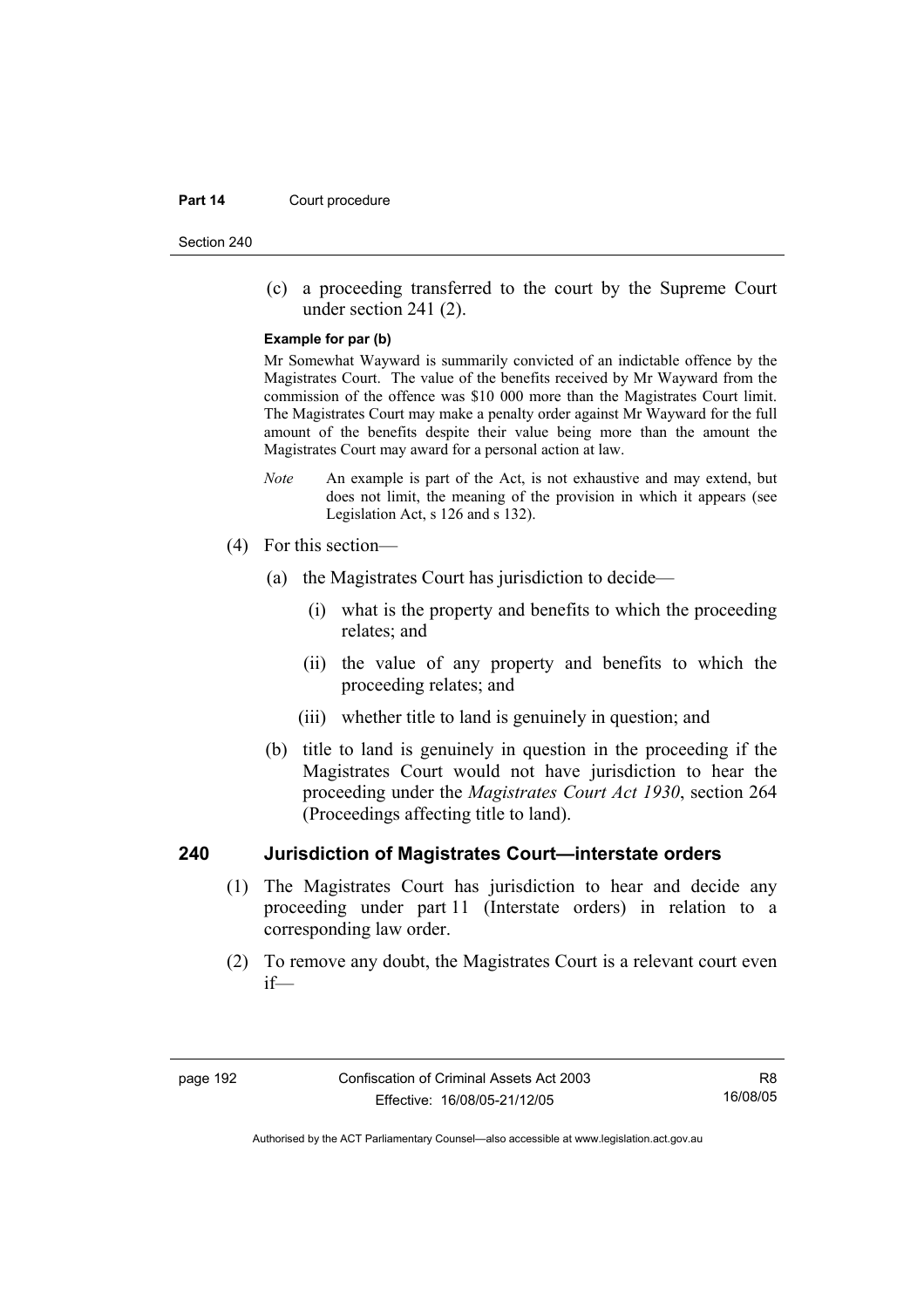#### **Part 14 Court procedure**

Section 240

 (c) a proceeding transferred to the court by the Supreme Court under section 241 (2).

#### **Example for par (b)**

Mr Somewhat Wayward is summarily convicted of an indictable offence by the Magistrates Court. The value of the benefits received by Mr Wayward from the commission of the offence was \$10 000 more than the Magistrates Court limit. The Magistrates Court may make a penalty order against Mr Wayward for the full amount of the benefits despite their value being more than the amount the Magistrates Court may award for a personal action at law.

- *Note* An example is part of the Act, is not exhaustive and may extend, but does not limit, the meaning of the provision in which it appears (see Legislation Act, s 126 and s 132).
- (4) For this section—
	- (a) the Magistrates Court has jurisdiction to decide—
		- (i) what is the property and benefits to which the proceeding relates; and
		- (ii) the value of any property and benefits to which the proceeding relates; and
		- (iii) whether title to land is genuinely in question; and
	- (b) title to land is genuinely in question in the proceeding if the Magistrates Court would not have jurisdiction to hear the proceeding under the *Magistrates Court Act 1930*, section 264 (Proceedings affecting title to land).

### **240 Jurisdiction of Magistrates Court—interstate orders**

- (1) The Magistrates Court has jurisdiction to hear and decide any proceeding under part 11 (Interstate orders) in relation to a corresponding law order.
- (2) To remove any doubt, the Magistrates Court is a relevant court even if—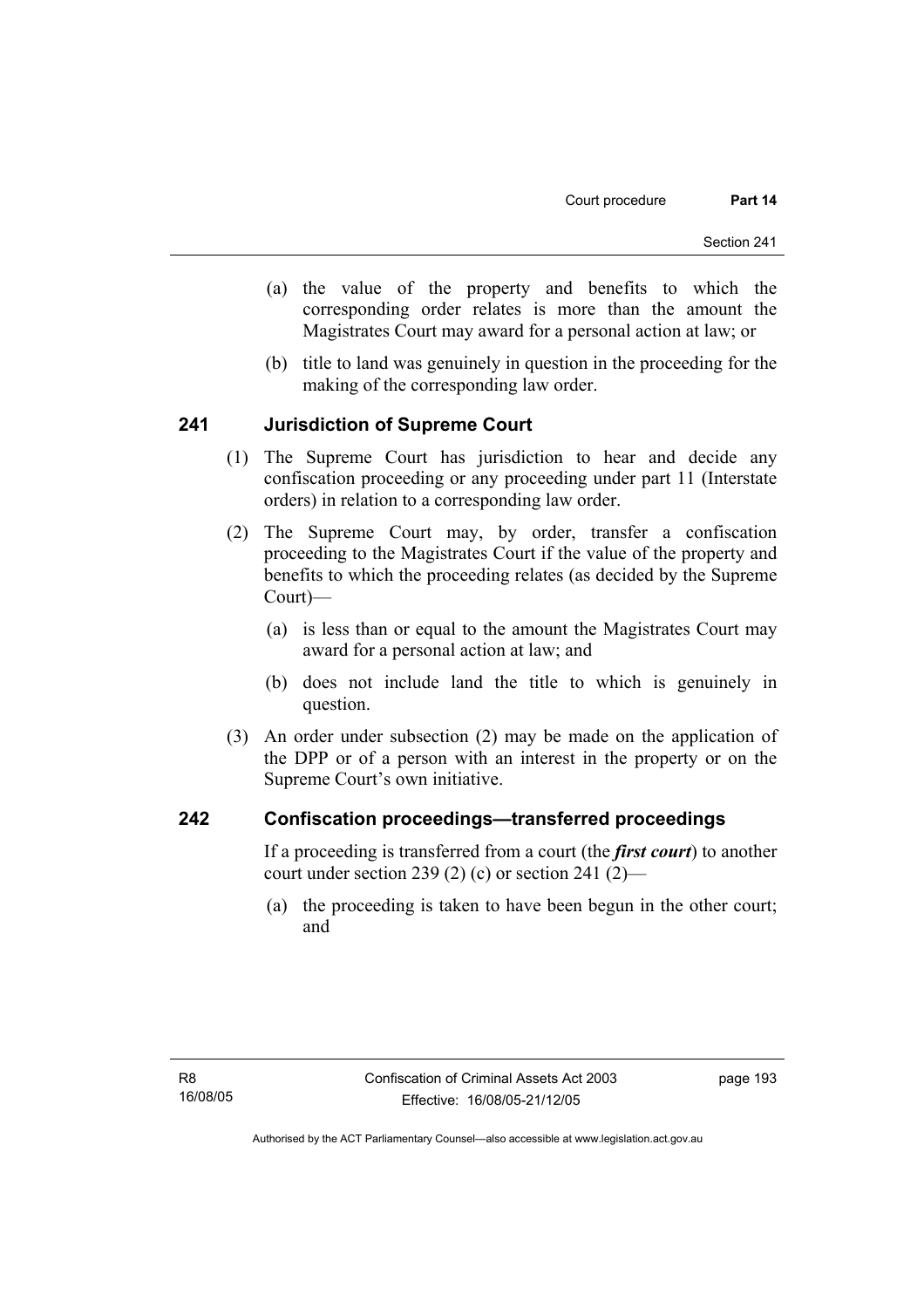- (a) the value of the property and benefits to which the corresponding order relates is more than the amount the Magistrates Court may award for a personal action at law; or
- (b) title to land was genuinely in question in the proceeding for the making of the corresponding law order.

### **241 Jurisdiction of Supreme Court**

- (1) The Supreme Court has jurisdiction to hear and decide any confiscation proceeding or any proceeding under part 11 (Interstate orders) in relation to a corresponding law order.
- (2) The Supreme Court may, by order, transfer a confiscation proceeding to the Magistrates Court if the value of the property and benefits to which the proceeding relates (as decided by the Supreme Court)—
	- (a) is less than or equal to the amount the Magistrates Court may award for a personal action at law; and
	- (b) does not include land the title to which is genuinely in question.
- (3) An order under subsection (2) may be made on the application of the DPP or of a person with an interest in the property or on the Supreme Court's own initiative.

### **242 Confiscation proceedings—transferred proceedings**

If a proceeding is transferred from a court (the *first court*) to another court under section 239 (2) (c) or section 241 (2)—

 (a) the proceeding is taken to have been begun in the other court; and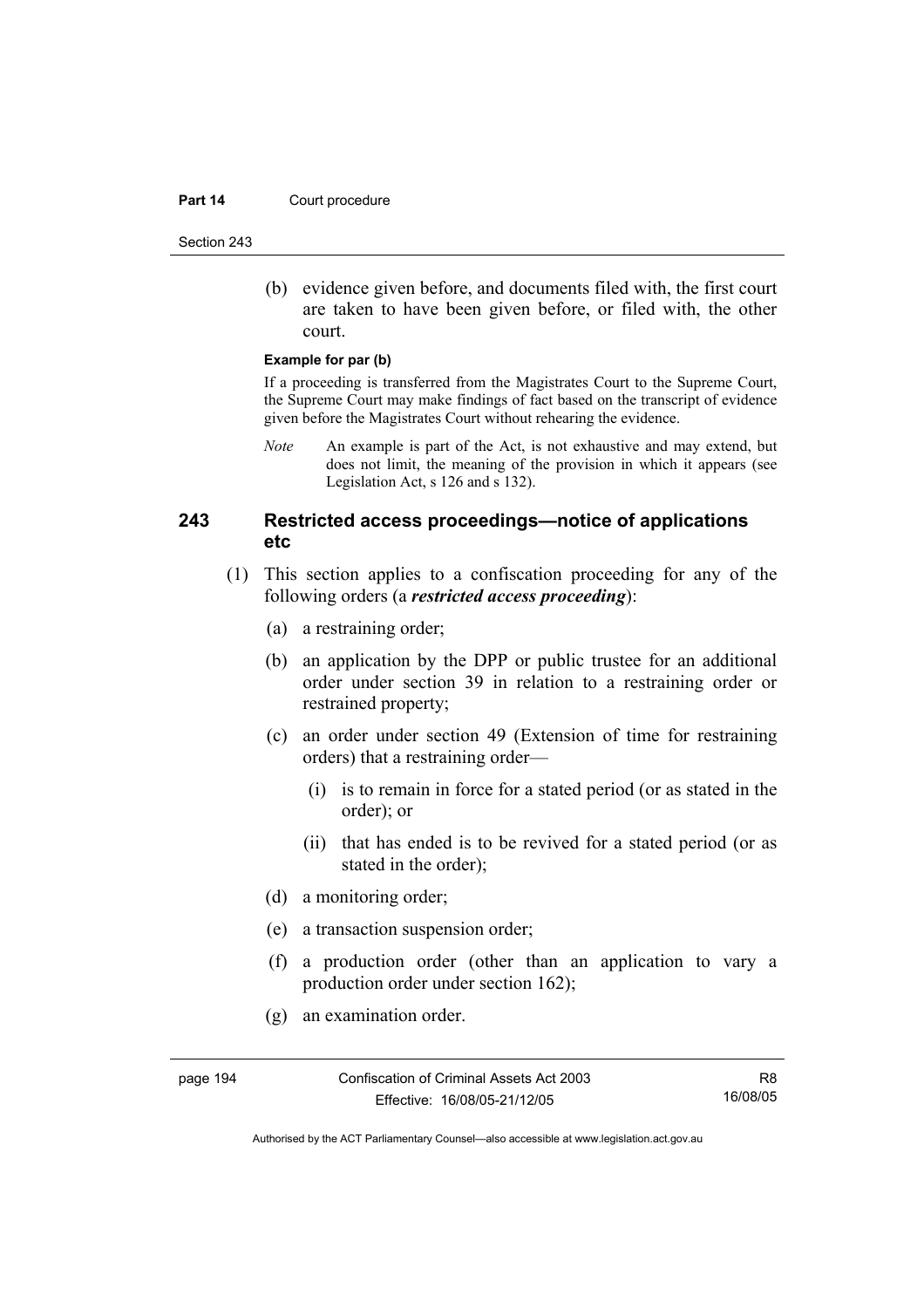#### **Part 14 Court procedure**

Section 243

 (b) evidence given before, and documents filed with, the first court are taken to have been given before, or filed with, the other court.

#### **Example for par (b)**

If a proceeding is transferred from the Magistrates Court to the Supreme Court, the Supreme Court may make findings of fact based on the transcript of evidence given before the Magistrates Court without rehearing the evidence.

*Note* An example is part of the Act, is not exhaustive and may extend, but does not limit, the meaning of the provision in which it appears (see Legislation Act, s 126 and s 132).

## **243 Restricted access proceedings—notice of applications etc**

- (1) This section applies to a confiscation proceeding for any of the following orders (a *restricted access proceeding*):
	- (a) a restraining order;
	- (b) an application by the DPP or public trustee for an additional order under section 39 in relation to a restraining order or restrained property;
	- (c) an order under section 49 (Extension of time for restraining orders) that a restraining order—
		- (i) is to remain in force for a stated period (or as stated in the order); or
		- (ii) that has ended is to be revived for a stated period (or as stated in the order);
	- (d) a monitoring order;
	- (e) a transaction suspension order;
	- (f) a production order (other than an application to vary a production order under section 162);
	- (g) an examination order.

Authorised by the ACT Parliamentary Counsel—also accessible at www.legislation.act.gov.au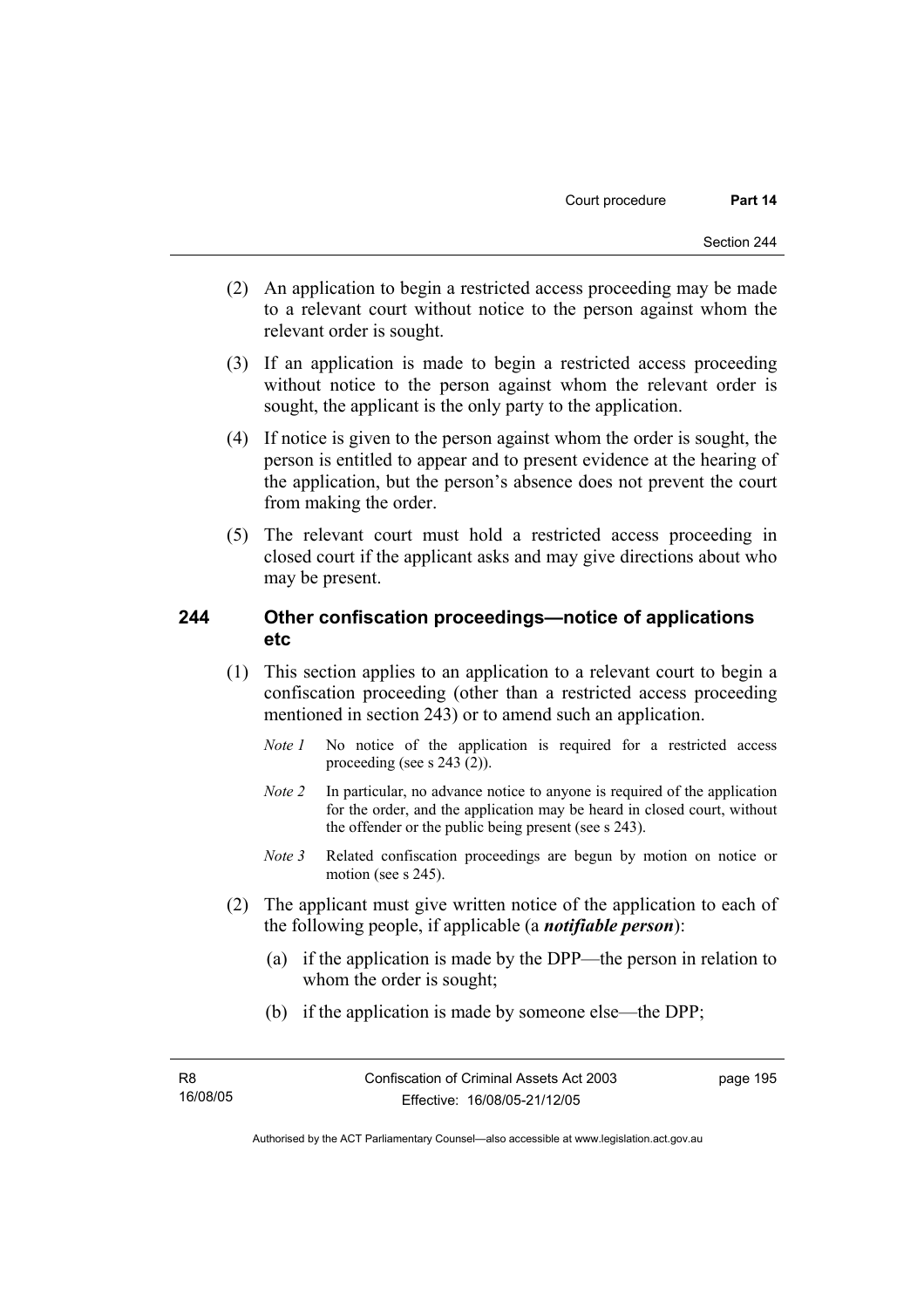- (2) An application to begin a restricted access proceeding may be made to a relevant court without notice to the person against whom the relevant order is sought.
- (3) If an application is made to begin a restricted access proceeding without notice to the person against whom the relevant order is sought, the applicant is the only party to the application.
- (4) If notice is given to the person against whom the order is sought, the person is entitled to appear and to present evidence at the hearing of the application, but the person's absence does not prevent the court from making the order.
- (5) The relevant court must hold a restricted access proceeding in closed court if the applicant asks and may give directions about who may be present.

## **244 Other confiscation proceedings—notice of applications etc**

- (1) This section applies to an application to a relevant court to begin a confiscation proceeding (other than a restricted access proceeding mentioned in section 243) or to amend such an application.
	- *Note 1* No notice of the application is required for a restricted access proceeding (see s 243 (2)).
	- *Note 2* In particular, no advance notice to anyone is required of the application for the order, and the application may be heard in closed court, without the offender or the public being present (see s 243).
	- *Note 3* Related confiscation proceedings are begun by motion on notice or motion (see s 245).
- (2) The applicant must give written notice of the application to each of the following people, if applicable (a *notifiable person*):
	- (a) if the application is made by the DPP—the person in relation to whom the order is sought;
	- (b) if the application is made by someone else—the DPP;

page 195

Authorised by the ACT Parliamentary Counsel—also accessible at www.legislation.act.gov.au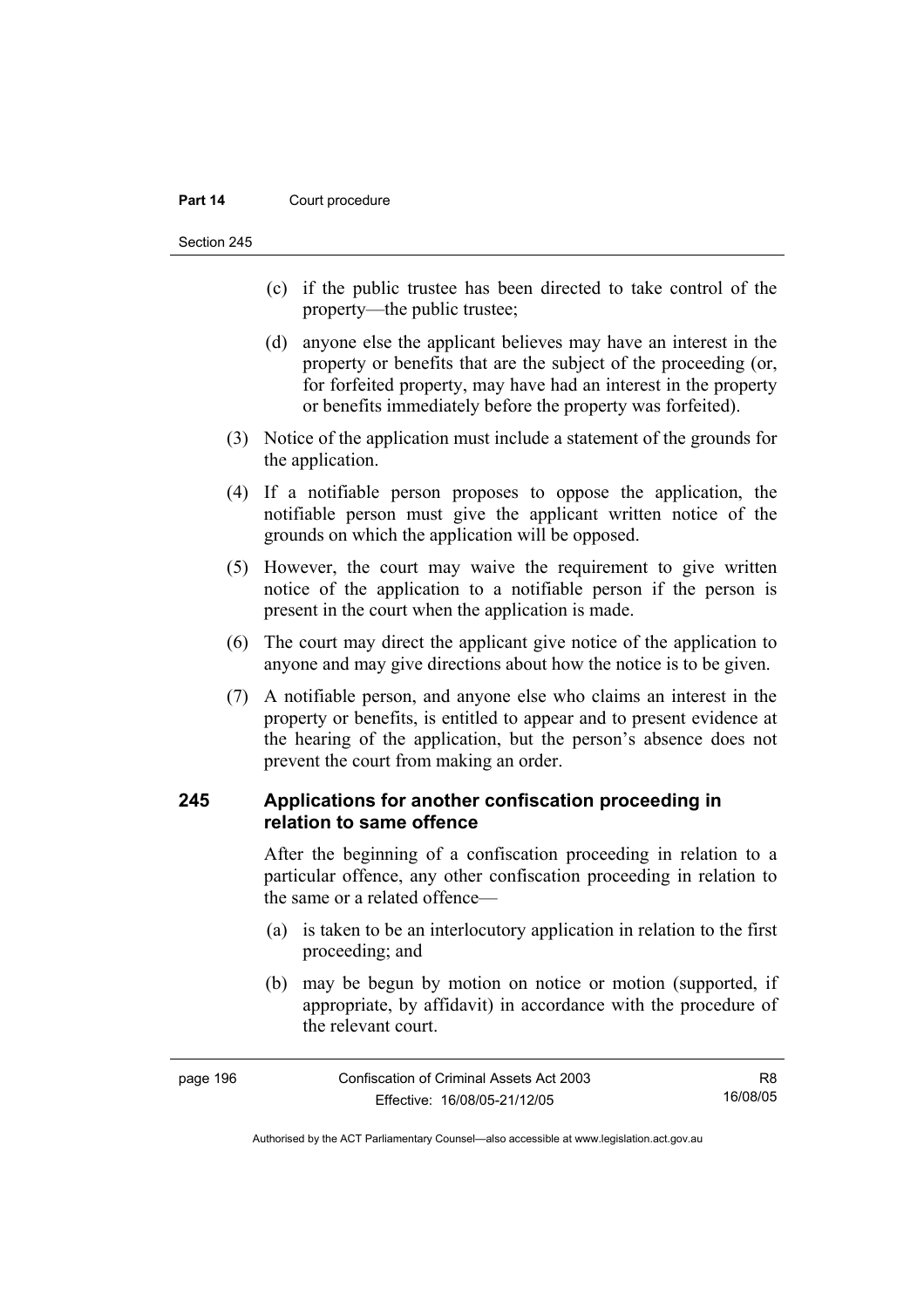#### **Part 14 Court procedure**

Section 245

- (c) if the public trustee has been directed to take control of the property—the public trustee;
- (d) anyone else the applicant believes may have an interest in the property or benefits that are the subject of the proceeding (or, for forfeited property, may have had an interest in the property or benefits immediately before the property was forfeited).
- (3) Notice of the application must include a statement of the grounds for the application.
- (4) If a notifiable person proposes to oppose the application, the notifiable person must give the applicant written notice of the grounds on which the application will be opposed.
- (5) However, the court may waive the requirement to give written notice of the application to a notifiable person if the person is present in the court when the application is made.
- (6) The court may direct the applicant give notice of the application to anyone and may give directions about how the notice is to be given.
- (7) A notifiable person, and anyone else who claims an interest in the property or benefits, is entitled to appear and to present evidence at the hearing of the application, but the person's absence does not prevent the court from making an order.

## **245 Applications for another confiscation proceeding in relation to same offence**

After the beginning of a confiscation proceeding in relation to a particular offence, any other confiscation proceeding in relation to the same or a related offence—

- (a) is taken to be an interlocutory application in relation to the first proceeding; and
- (b) may be begun by motion on notice or motion (supported, if appropriate, by affidavit) in accordance with the procedure of the relevant court.

| page 196 | Confiscation of Criminal Assets Act 2003 | R8       |
|----------|------------------------------------------|----------|
|          | Effective: 16/08/05-21/12/05             | 16/08/05 |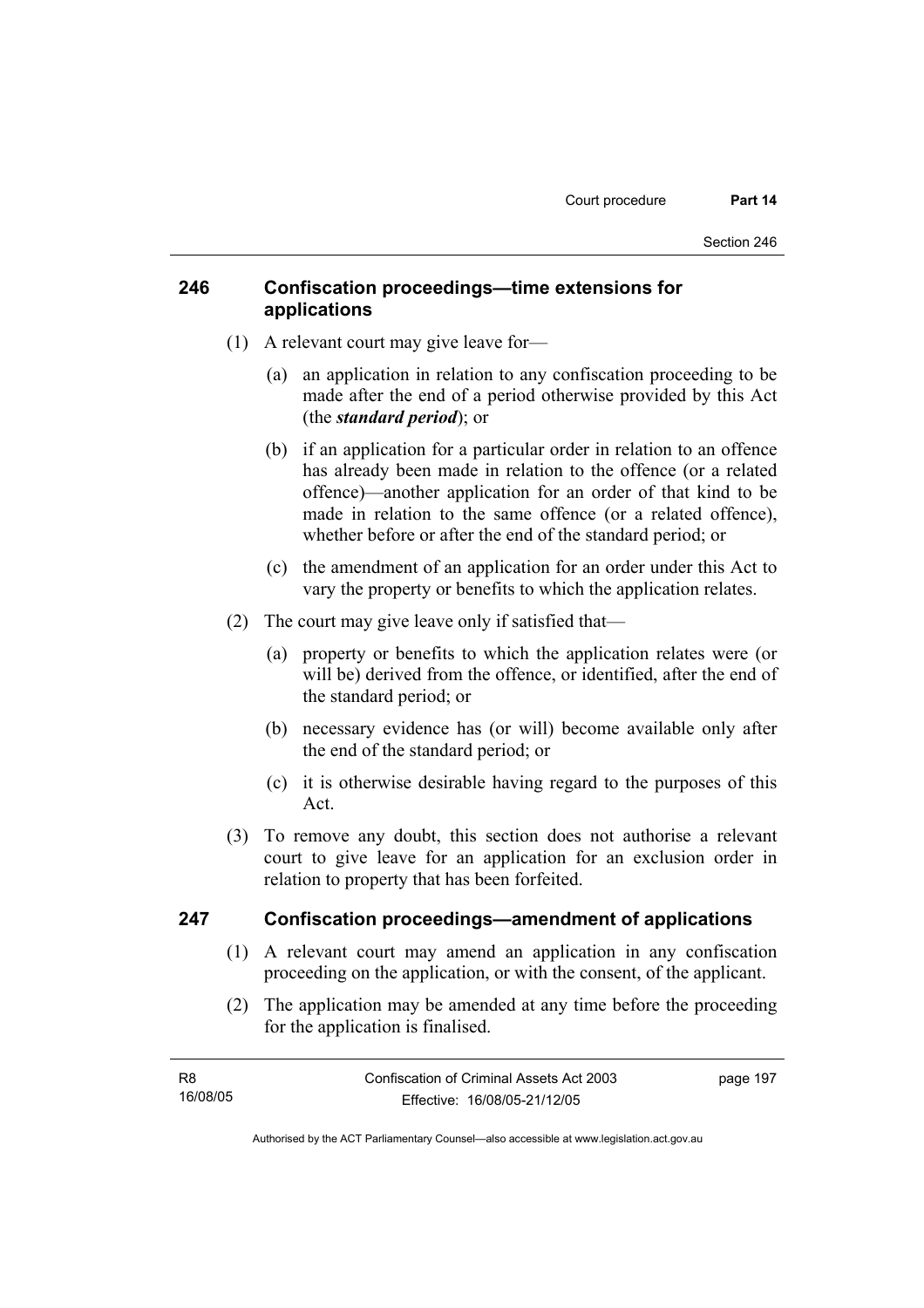# **246 Confiscation proceedings—time extensions for applications**

- (1) A relevant court may give leave for—
	- (a) an application in relation to any confiscation proceeding to be made after the end of a period otherwise provided by this Act (the *standard period*); or
	- (b) if an application for a particular order in relation to an offence has already been made in relation to the offence (or a related offence)—another application for an order of that kind to be made in relation to the same offence (or a related offence), whether before or after the end of the standard period; or
	- (c) the amendment of an application for an order under this Act to vary the property or benefits to which the application relates.
- (2) The court may give leave only if satisfied that—
	- (a) property or benefits to which the application relates were (or will be) derived from the offence, or identified, after the end of the standard period; or
	- (b) necessary evidence has (or will) become available only after the end of the standard period; or
	- (c) it is otherwise desirable having regard to the purposes of this Act.
- (3) To remove any doubt, this section does not authorise a relevant court to give leave for an application for an exclusion order in relation to property that has been forfeited.

### **247 Confiscation proceedings—amendment of applications**

- (1) A relevant court may amend an application in any confiscation proceeding on the application, or with the consent, of the applicant.
- (2) The application may be amended at any time before the proceeding for the application is finalised.

| <b>R8</b> | Confiscation of Criminal Assets Act 2003 | page 197 |
|-----------|------------------------------------------|----------|
| 16/08/05  | Effective: 16/08/05-21/12/05             |          |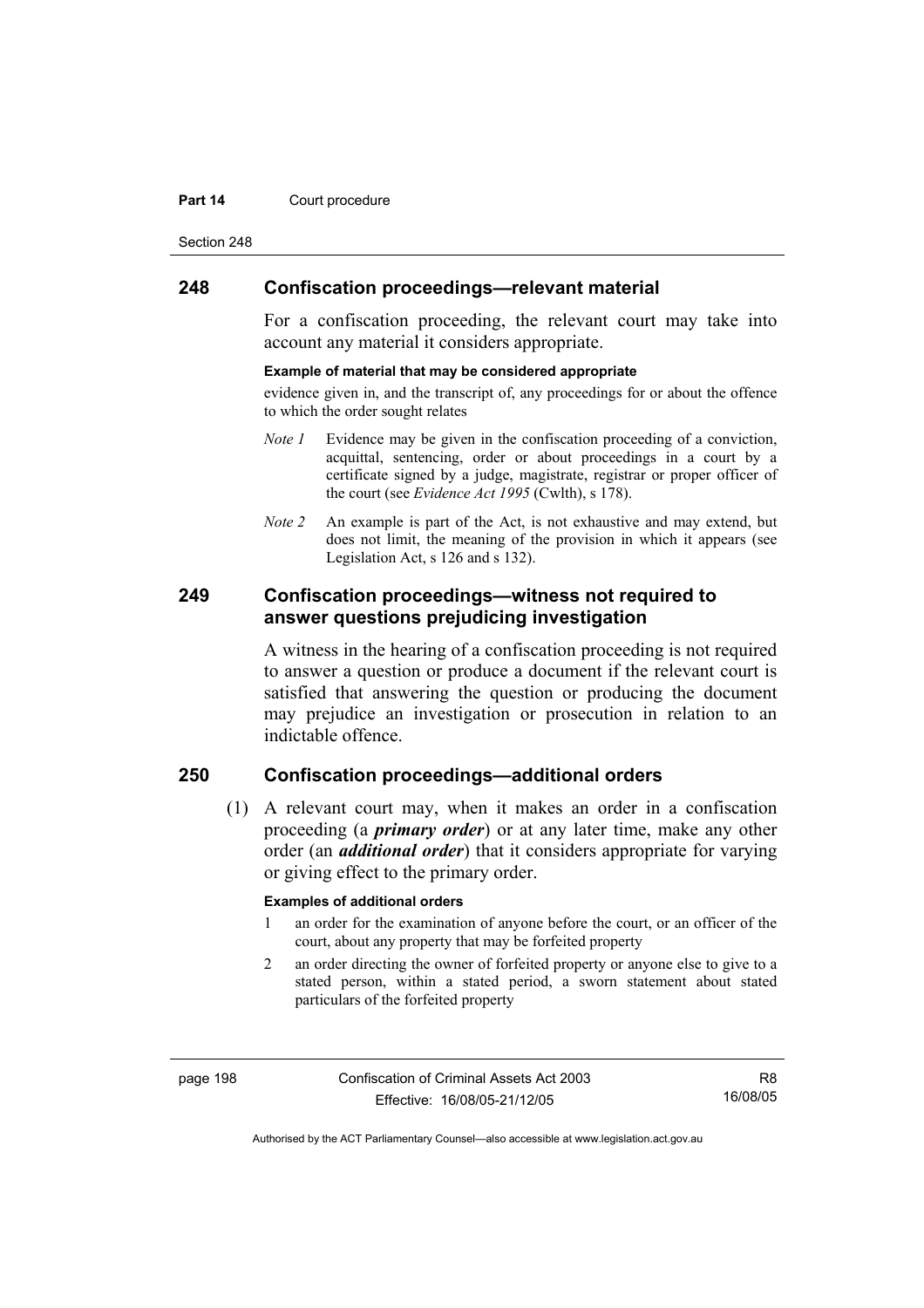#### **Part 14 Court procedure**

Section 248

### **248 Confiscation proceedings—relevant material**

For a confiscation proceeding, the relevant court may take into account any material it considers appropriate.

#### **Example of material that may be considered appropriate**

evidence given in, and the transcript of, any proceedings for or about the offence to which the order sought relates

- *Note 1* Evidence may be given in the confiscation proceeding of a conviction, acquittal, sentencing, order or about proceedings in a court by a certificate signed by a judge, magistrate, registrar or proper officer of the court (see *Evidence Act 1995* (Cwlth), s 178).
- *Note* 2 An example is part of the Act, is not exhaustive and may extend, but does not limit, the meaning of the provision in which it appears (see Legislation Act, s 126 and s 132).

### **249 Confiscation proceedings—witness not required to answer questions prejudicing investigation**

A witness in the hearing of a confiscation proceeding is not required to answer a question or produce a document if the relevant court is satisfied that answering the question or producing the document may prejudice an investigation or prosecution in relation to an indictable offence.

# **250 Confiscation proceedings—additional orders**

 (1) A relevant court may, when it makes an order in a confiscation proceeding (a *primary order*) or at any later time, make any other order (an *additional order*) that it considers appropriate for varying or giving effect to the primary order.

#### **Examples of additional orders**

- 1 an order for the examination of anyone before the court, or an officer of the court, about any property that may be forfeited property
- 2 an order directing the owner of forfeited property or anyone else to give to a stated person, within a stated period, a sworn statement about stated particulars of the forfeited property

page 198 Confiscation of Criminal Assets Act 2003 Effective: 16/08/05-21/12/05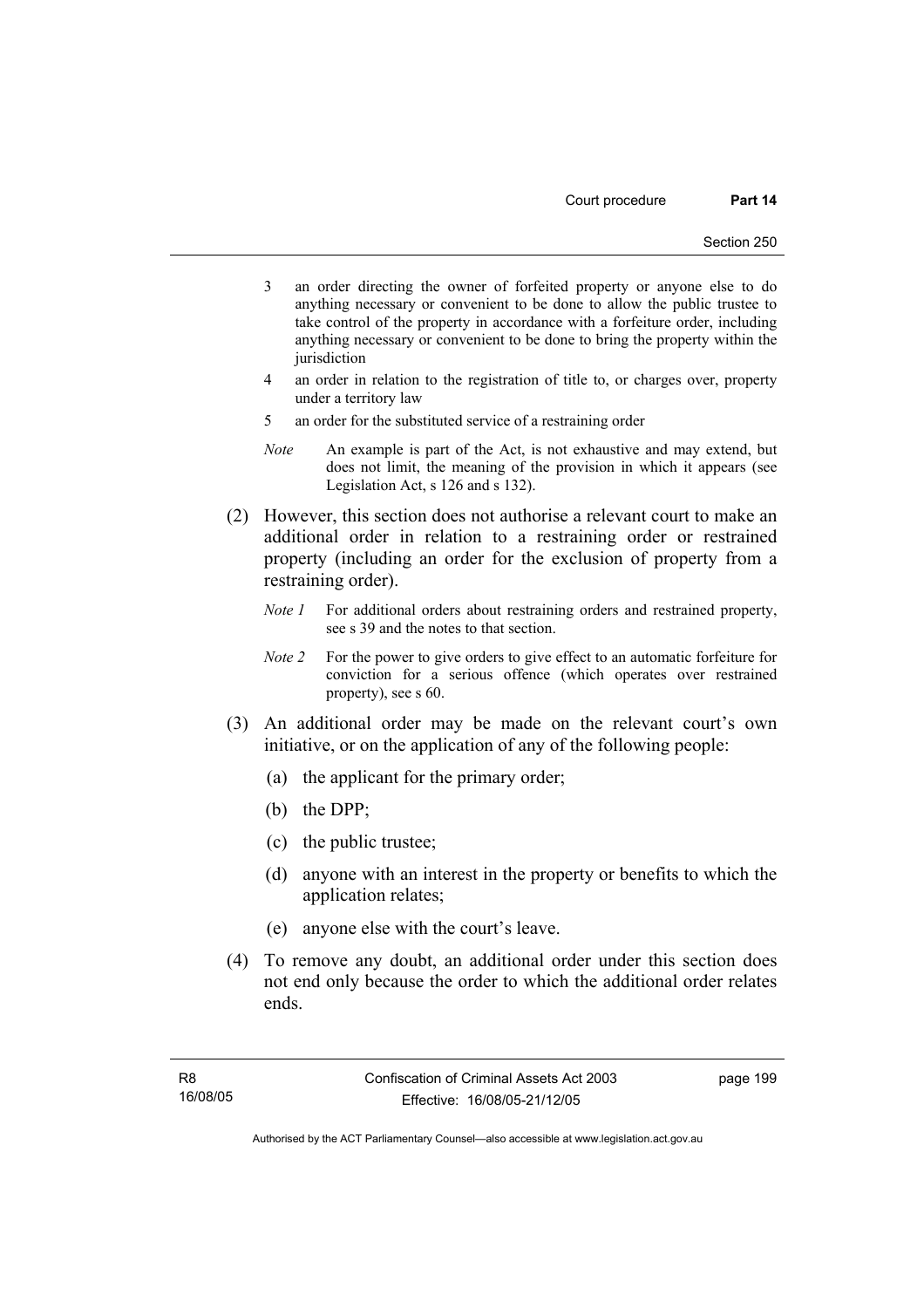- 3 an order directing the owner of forfeited property or anyone else to do anything necessary or convenient to be done to allow the public trustee to take control of the property in accordance with a forfeiture order, including anything necessary or convenient to be done to bring the property within the jurisdiction
- 4 an order in relation to the registration of title to, or charges over, property under a territory law
- 5 an order for the substituted service of a restraining order
- *Note* An example is part of the Act, is not exhaustive and may extend, but does not limit, the meaning of the provision in which it appears (see Legislation Act, s 126 and s 132).
- (2) However, this section does not authorise a relevant court to make an additional order in relation to a restraining order or restrained property (including an order for the exclusion of property from a restraining order).
	- *Note 1* For additional orders about restraining orders and restrained property, see s 39 and the notes to that section.
	- *Note 2* For the power to give orders to give effect to an automatic forfeiture for conviction for a serious offence (which operates over restrained property), see s 60.
- (3) An additional order may be made on the relevant court's own initiative, or on the application of any of the following people:
	- (a) the applicant for the primary order;
	- (b) the DPP;
	- (c) the public trustee;
	- (d) anyone with an interest in the property or benefits to which the application relates;
	- (e) anyone else with the court's leave.
- (4) To remove any doubt, an additional order under this section does not end only because the order to which the additional order relates ends.

page 199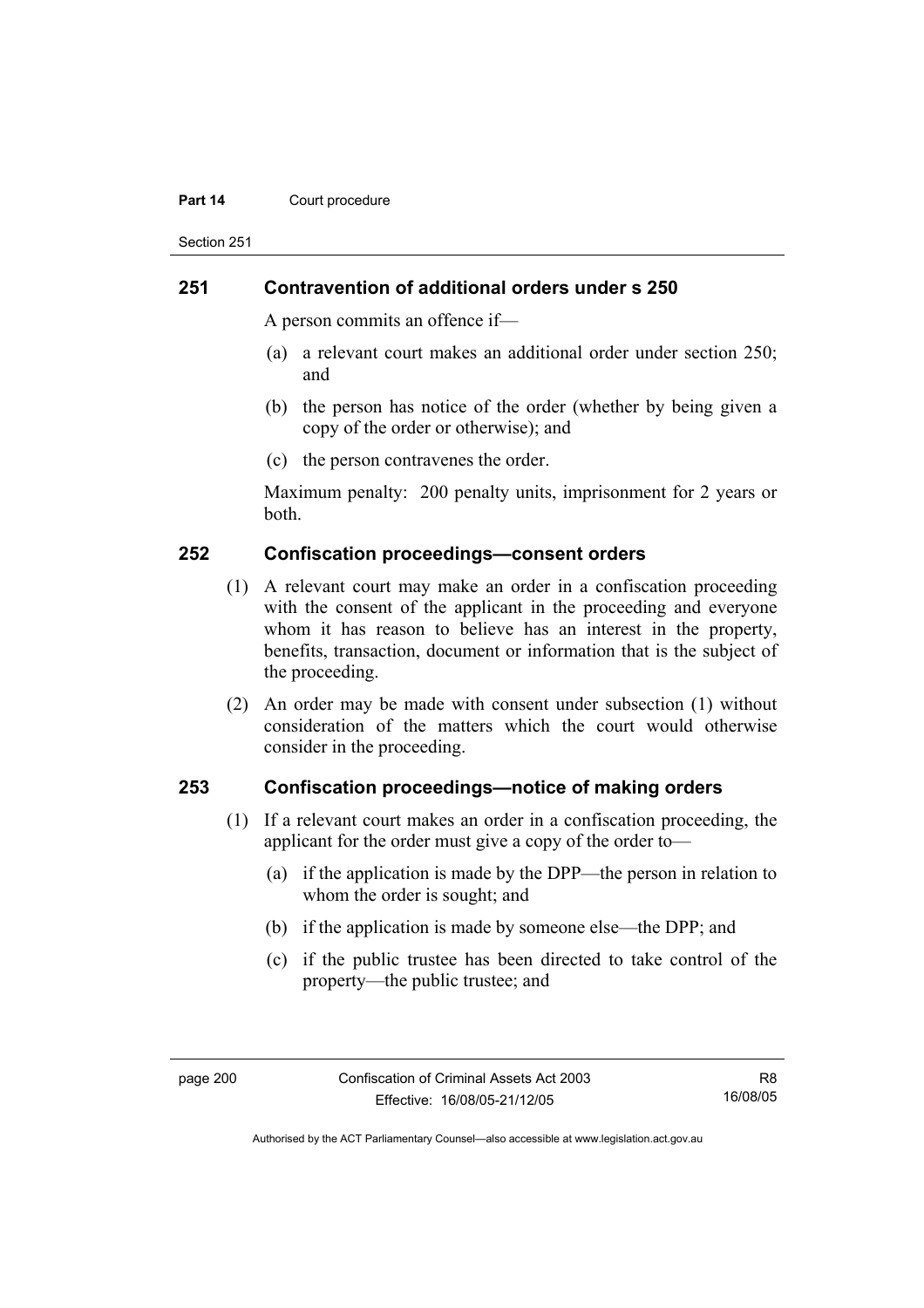#### **Part 14 Court procedure**

Section 251

### **251 Contravention of additional orders under s 250**

A person commits an offence if—

- (a) a relevant court makes an additional order under section 250; and
- (b) the person has notice of the order (whether by being given a copy of the order or otherwise); and
- (c) the person contravenes the order.

Maximum penalty: 200 penalty units, imprisonment for 2 years or both.

### **252 Confiscation proceedings—consent orders**

- (1) A relevant court may make an order in a confiscation proceeding with the consent of the applicant in the proceeding and everyone whom it has reason to believe has an interest in the property, benefits, transaction, document or information that is the subject of the proceeding.
- (2) An order may be made with consent under subsection (1) without consideration of the matters which the court would otherwise consider in the proceeding.

### **253 Confiscation proceedings—notice of making orders**

- (1) If a relevant court makes an order in a confiscation proceeding, the applicant for the order must give a copy of the order to—
	- (a) if the application is made by the DPP—the person in relation to whom the order is sought; and
	- (b) if the application is made by someone else—the DPP; and
	- (c) if the public trustee has been directed to take control of the property—the public trustee; and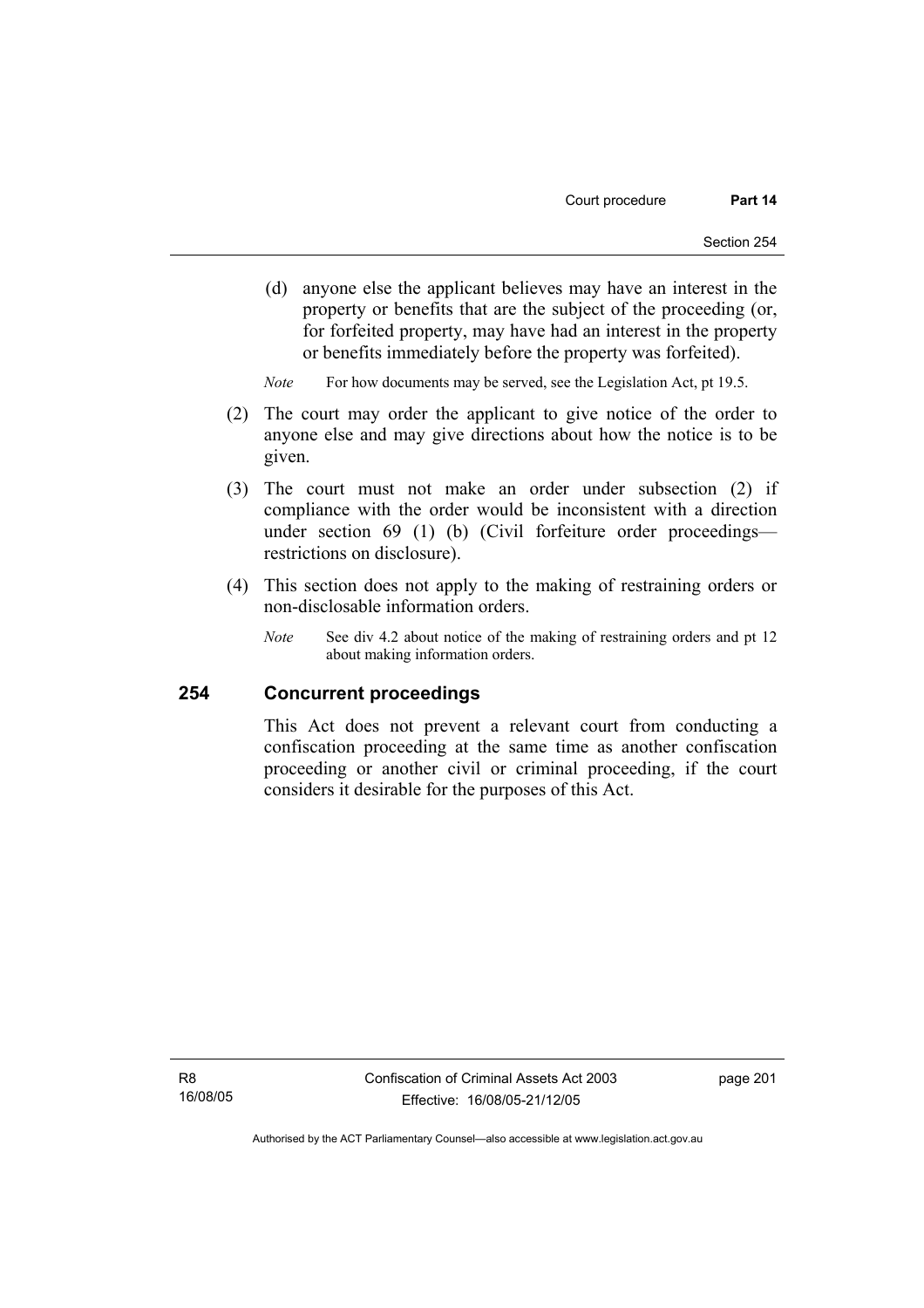(d) anyone else the applicant believes may have an interest in the property or benefits that are the subject of the proceeding (or, for forfeited property, may have had an interest in the property or benefits immediately before the property was forfeited).

*Note* For how documents may be served, see the Legislation Act, pt 19.5.

- (2) The court may order the applicant to give notice of the order to anyone else and may give directions about how the notice is to be given.
- (3) The court must not make an order under subsection (2) if compliance with the order would be inconsistent with a direction under section 69 (1) (b) (Civil forfeiture order proceedings restrictions on disclosure).
- (4) This section does not apply to the making of restraining orders or non-disclosable information orders.
	- *Note* See div 4.2 about notice of the making of restraining orders and pt 12 about making information orders.

### **254 Concurrent proceedings**

This Act does not prevent a relevant court from conducting a confiscation proceeding at the same time as another confiscation proceeding or another civil or criminal proceeding, if the court considers it desirable for the purposes of this Act.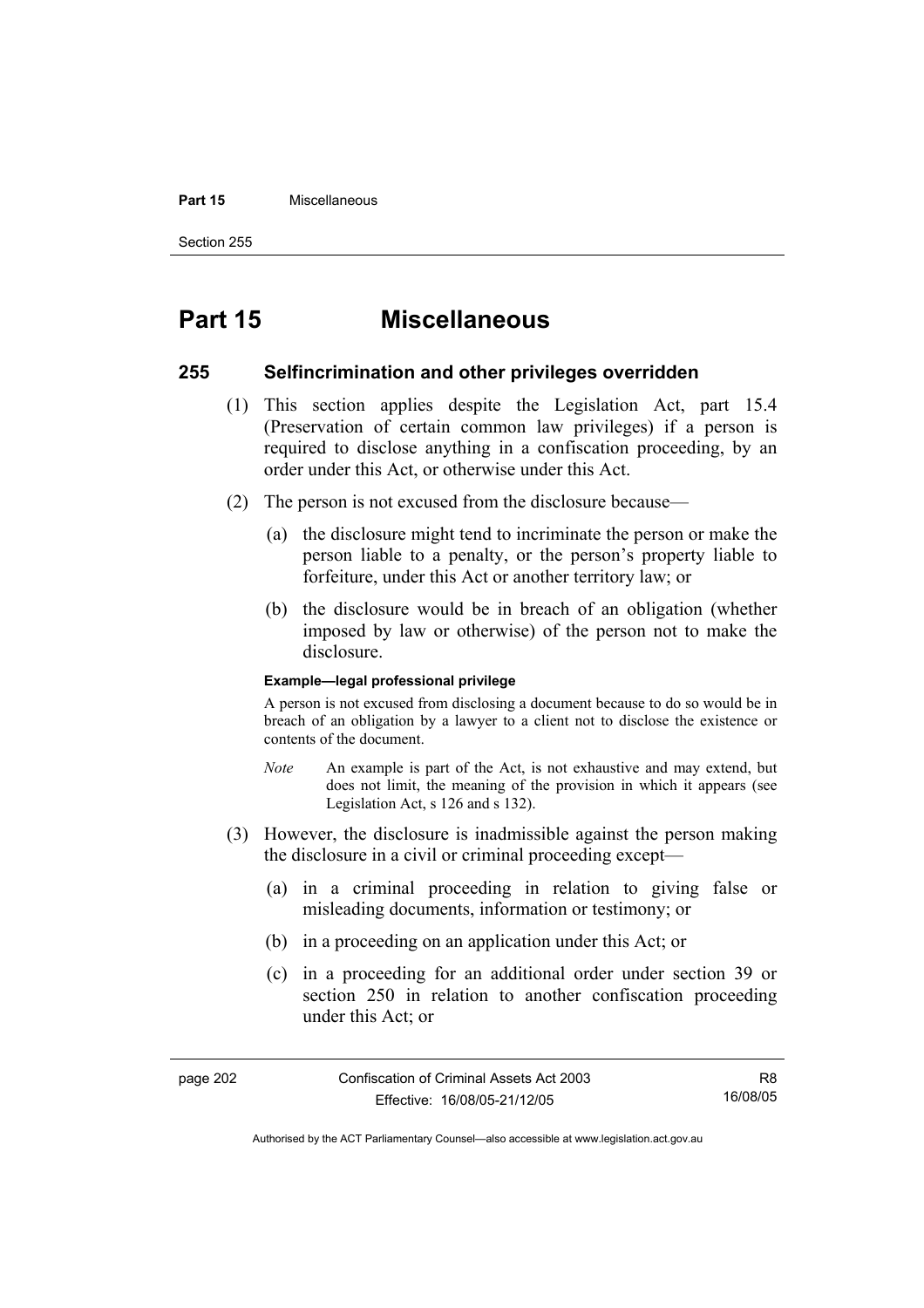#### **Part 15** Miscellaneous

Section 255

# **Part 15 Miscellaneous**

### **255 Selfincrimination and other privileges overridden**

- (1) This section applies despite the Legislation Act, part 15.4 (Preservation of certain common law privileges) if a person is required to disclose anything in a confiscation proceeding, by an order under this Act, or otherwise under this Act.
- (2) The person is not excused from the disclosure because—
	- (a) the disclosure might tend to incriminate the person or make the person liable to a penalty, or the person's property liable to forfeiture, under this Act or another territory law; or
	- (b) the disclosure would be in breach of an obligation (whether imposed by law or otherwise) of the person not to make the disclosure.

#### **Example—legal professional privilege**

A person is not excused from disclosing a document because to do so would be in breach of an obligation by a lawyer to a client not to disclose the existence or contents of the document.

- *Note* An example is part of the Act, is not exhaustive and may extend, but does not limit, the meaning of the provision in which it appears (see Legislation Act, s 126 and s 132).
- (3) However, the disclosure is inadmissible against the person making the disclosure in a civil or criminal proceeding except—
	- (a) in a criminal proceeding in relation to giving false or misleading documents, information or testimony; or
	- (b) in a proceeding on an application under this Act; or
	- (c) in a proceeding for an additional order under section 39 or section 250 in relation to another confiscation proceeding under this Act; or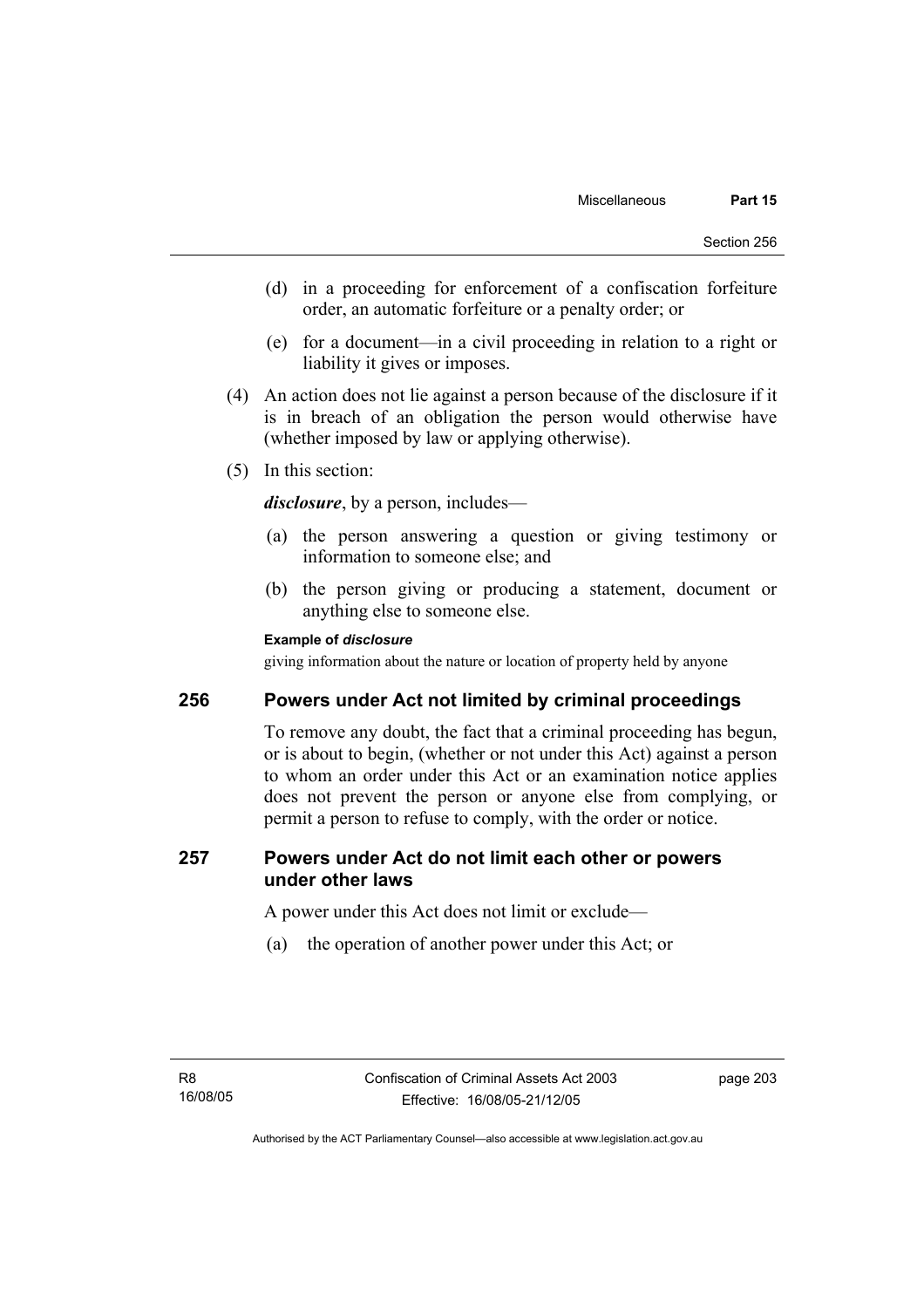- (d) in a proceeding for enforcement of a confiscation forfeiture order, an automatic forfeiture or a penalty order; or
- (e) for a document—in a civil proceeding in relation to a right or liability it gives or imposes.
- (4) An action does not lie against a person because of the disclosure if it is in breach of an obligation the person would otherwise have (whether imposed by law or applying otherwise).
- (5) In this section:

*disclosure*, by a person, includes—

- (a) the person answering a question or giving testimony or information to someone else; and
- (b) the person giving or producing a statement, document or anything else to someone else.

### **Example of** *disclosure*

giving information about the nature or location of property held by anyone

# **256 Powers under Act not limited by criminal proceedings**

To remove any doubt, the fact that a criminal proceeding has begun, or is about to begin, (whether or not under this Act) against a person to whom an order under this Act or an examination notice applies does not prevent the person or anyone else from complying, or permit a person to refuse to comply, with the order or notice.

## **257 Powers under Act do not limit each other or powers under other laws**

A power under this Act does not limit or exclude—

(a) the operation of another power under this Act; or

page 203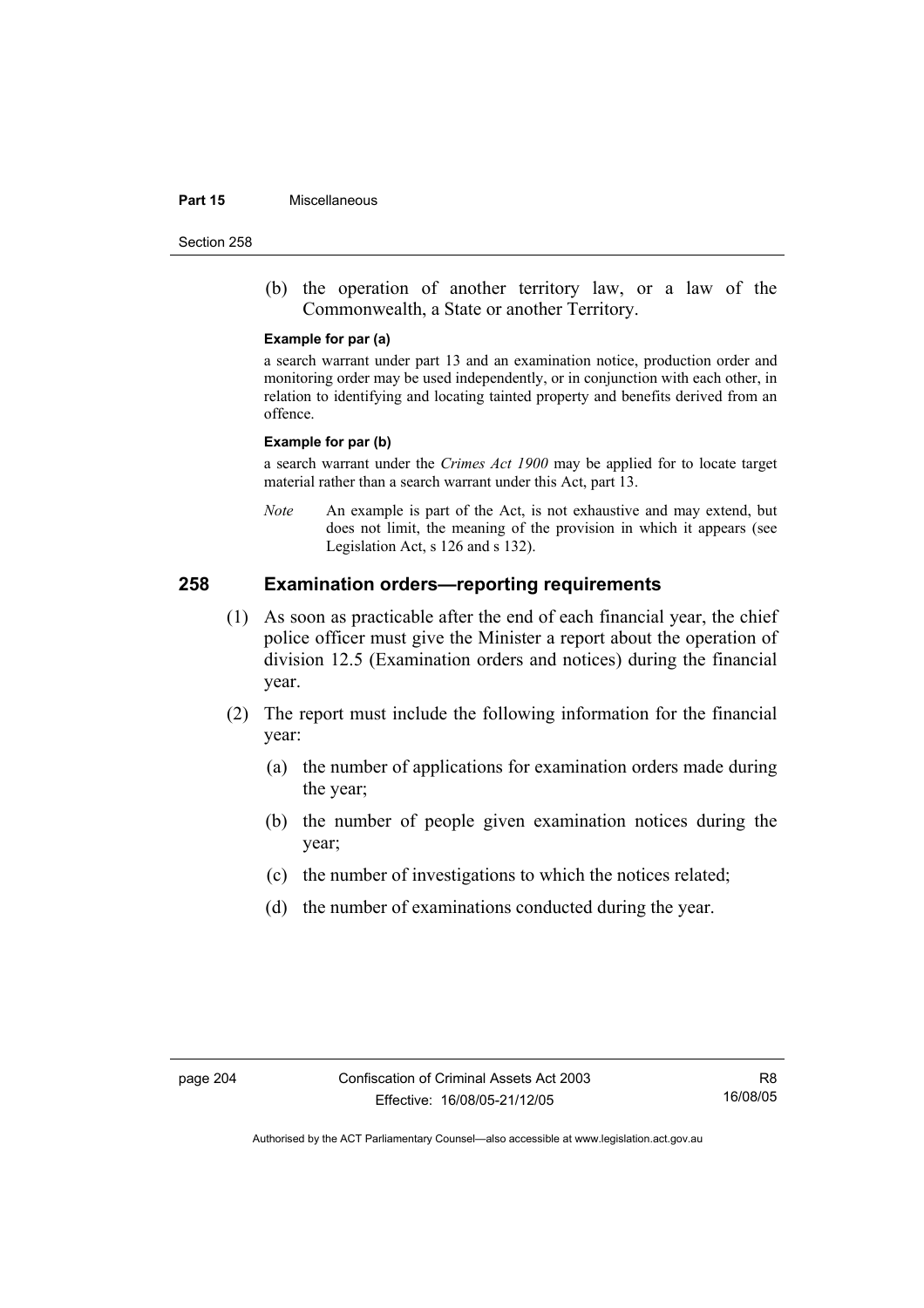#### **Part 15** Miscellaneous

Section 258

 (b) the operation of another territory law, or a law of the Commonwealth, a State or another Territory.

#### **Example for par (a)**

a search warrant under part 13 and an examination notice, production order and monitoring order may be used independently, or in conjunction with each other, in relation to identifying and locating tainted property and benefits derived from an offence.

#### **Example for par (b)**

a search warrant under the *Crimes Act 1900* may be applied for to locate target material rather than a search warrant under this Act, part 13.

*Note* An example is part of the Act, is not exhaustive and may extend, but does not limit, the meaning of the provision in which it appears (see Legislation Act, s 126 and s 132).

### **258 Examination orders—reporting requirements**

- (1) As soon as practicable after the end of each financial year, the chief police officer must give the Minister a report about the operation of division 12.5 (Examination orders and notices) during the financial year.
- (2) The report must include the following information for the financial year:
	- (a) the number of applications for examination orders made during the year;
	- (b) the number of people given examination notices during the year;
	- (c) the number of investigations to which the notices related;
	- (d) the number of examinations conducted during the year.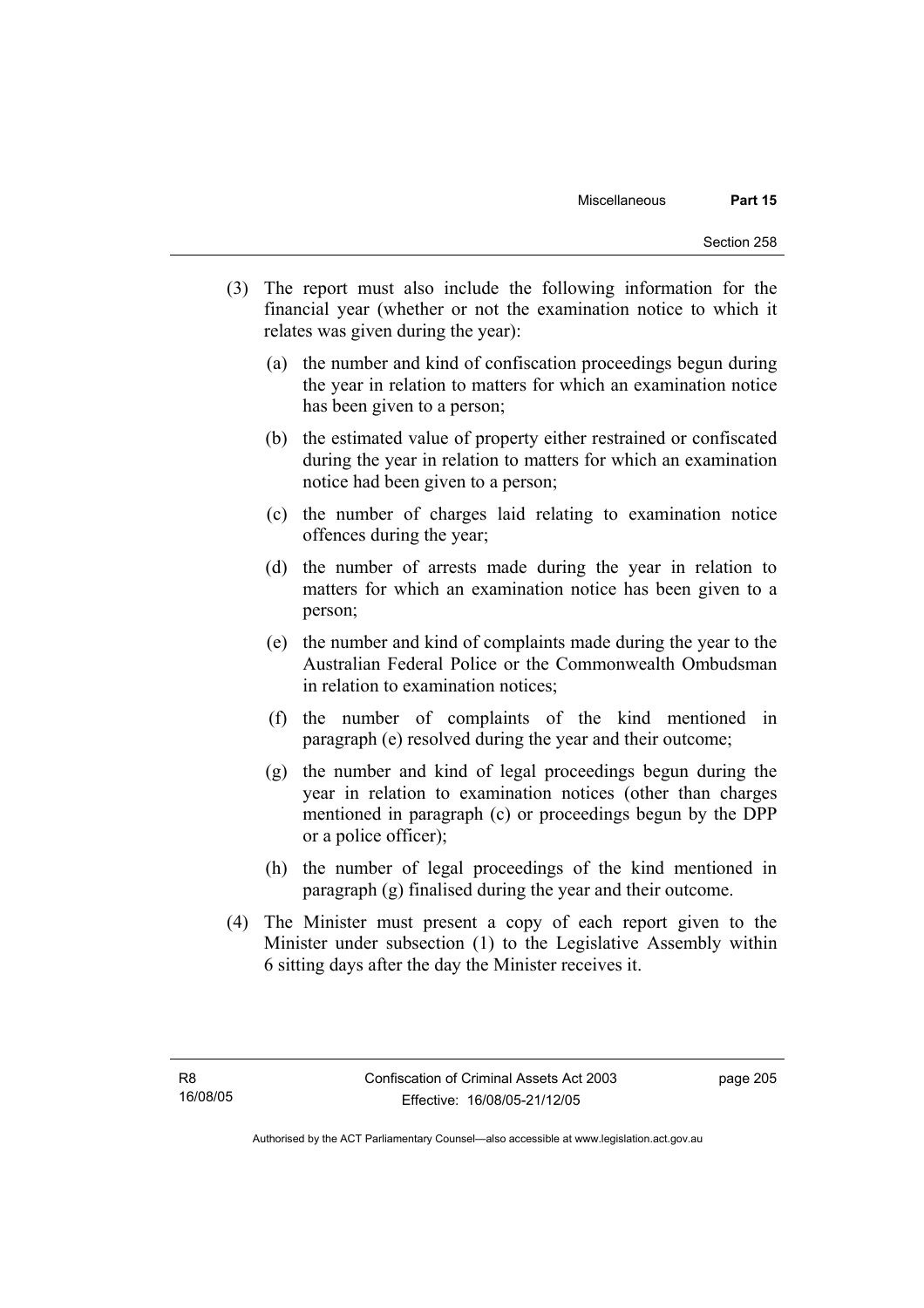- (3) The report must also include the following information for the financial year (whether or not the examination notice to which it relates was given during the year):
	- (a) the number and kind of confiscation proceedings begun during the year in relation to matters for which an examination notice has been given to a person;
	- (b) the estimated value of property either restrained or confiscated during the year in relation to matters for which an examination notice had been given to a person;
	- (c) the number of charges laid relating to examination notice offences during the year;
	- (d) the number of arrests made during the year in relation to matters for which an examination notice has been given to a person;
	- (e) the number and kind of complaints made during the year to the Australian Federal Police or the Commonwealth Ombudsman in relation to examination notices;
	- (f) the number of complaints of the kind mentioned in paragraph (e) resolved during the year and their outcome;
	- (g) the number and kind of legal proceedings begun during the year in relation to examination notices (other than charges mentioned in paragraph (c) or proceedings begun by the DPP or a police officer);
	- (h) the number of legal proceedings of the kind mentioned in paragraph (g) finalised during the year and their outcome.
- (4) The Minister must present a copy of each report given to the Minister under subsection (1) to the Legislative Assembly within 6 sitting days after the day the Minister receives it.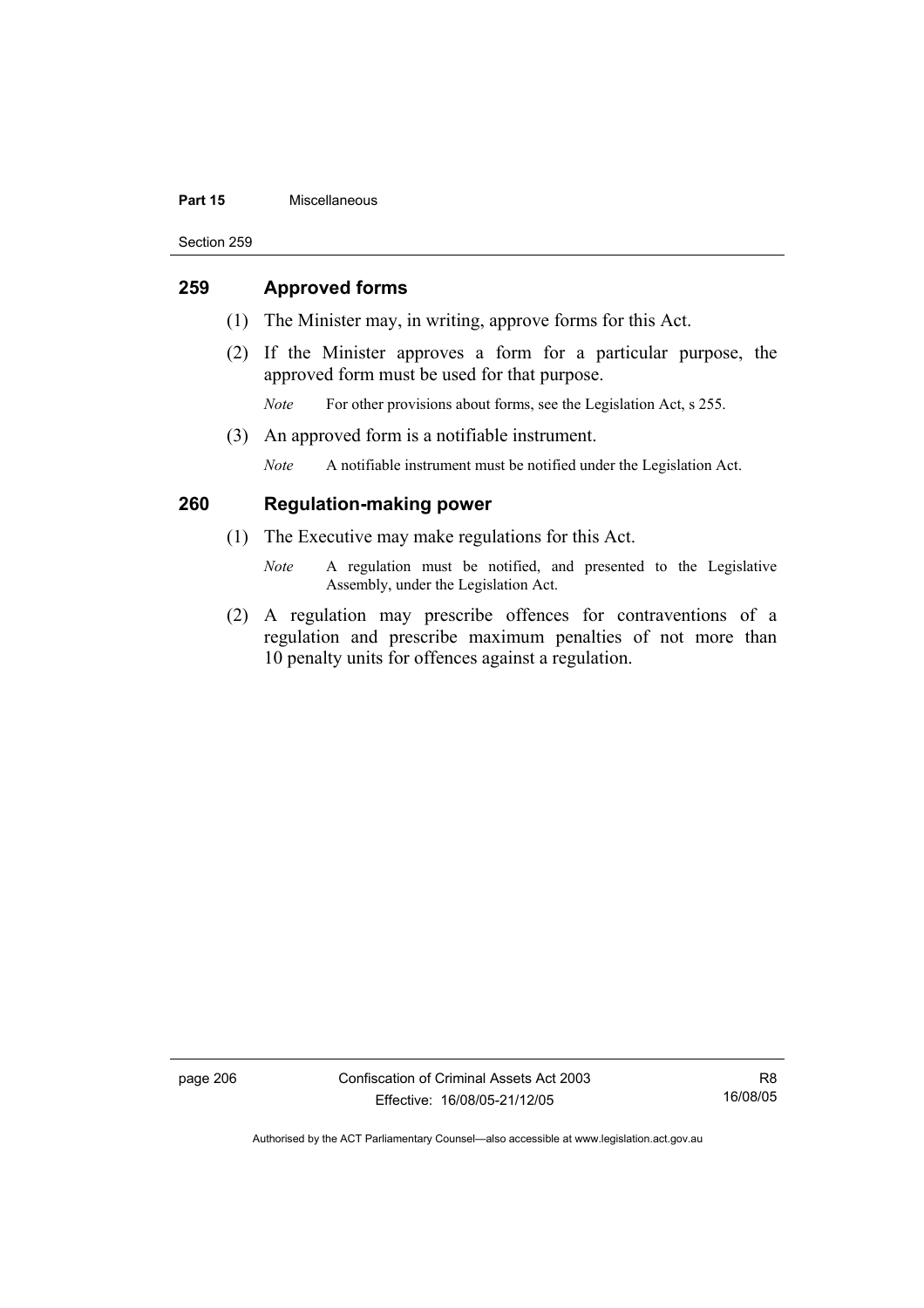#### **Part 15** Miscellaneous

Section 259

### **259 Approved forms**

- (1) The Minister may, in writing, approve forms for this Act.
- (2) If the Minister approves a form for a particular purpose, the approved form must be used for that purpose.
	- *Note* For other provisions about forms, see the Legislation Act, s 255.
- (3) An approved form is a notifiable instrument.

*Note* A notifiable instrument must be notified under the Legislation Act.

# **260 Regulation-making power**

- (1) The Executive may make regulations for this Act.
	- *Note* A regulation must be notified, and presented to the Legislative Assembly, under the Legislation Act.
- (2) A regulation may prescribe offences for contraventions of a regulation and prescribe maximum penalties of not more than 10 penalty units for offences against a regulation.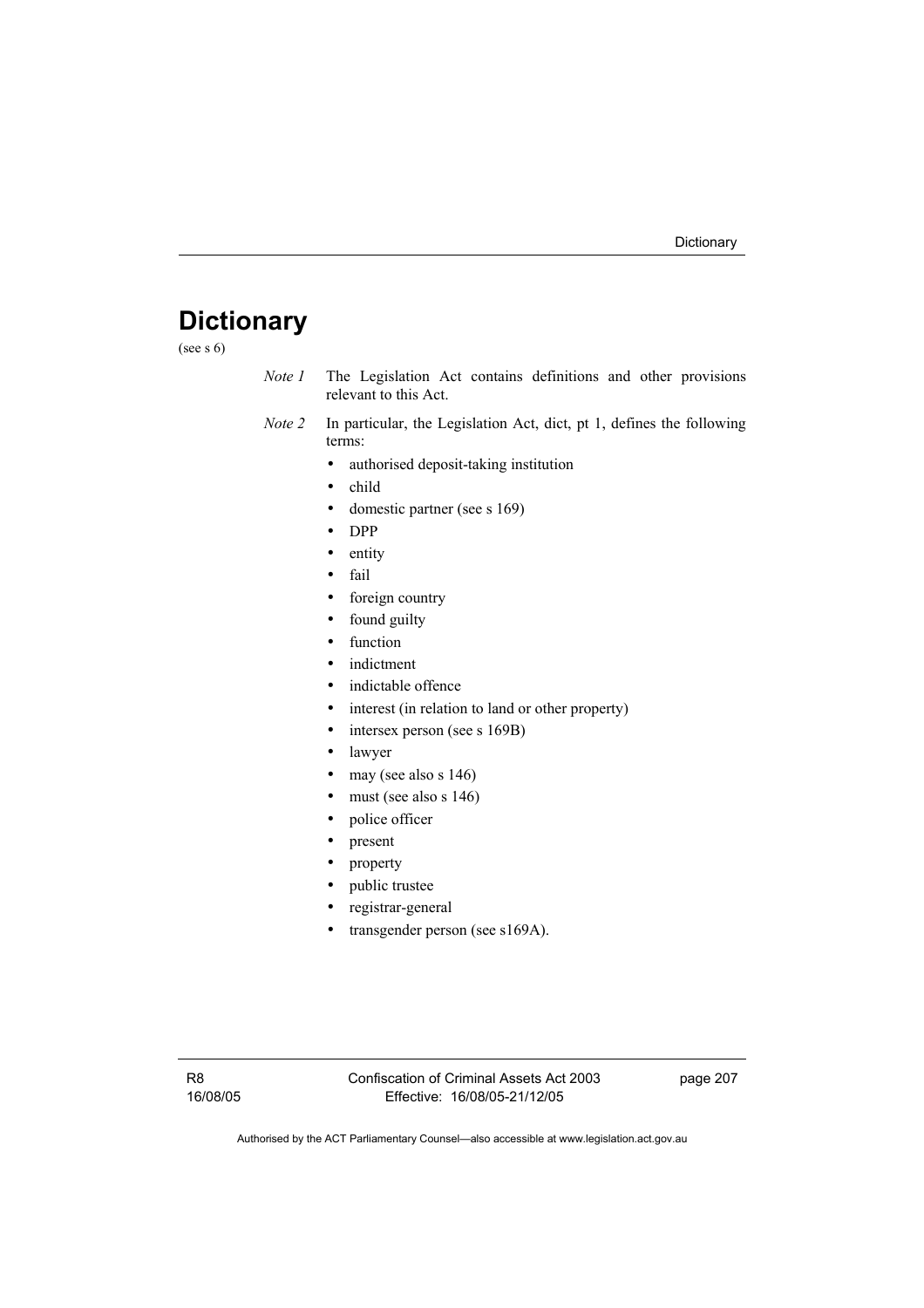# **Dictionary**

(see s 6)

- *Note 1* The Legislation Act contains definitions and other provisions relevant to this Act.
- *Note 2* In particular, the Legislation Act, dict, pt 1, defines the following terms:
	- authorised deposit-taking institution
	- child
	- domestic partner (see s 169)
	- DPP
	- entity
	- fail
	- foreign country
	- found guilty
	- function
	- indictment
	- indictable offence
	- interest (in relation to land or other property)
	- intersex person (see s 169B)
	- lawyer
	- may (see also s 146)
	- must (see also s 146)
	- police officer
	- present
	- property
	- public trustee
	- registrar-general
	- transgender person (see s169A).

page 207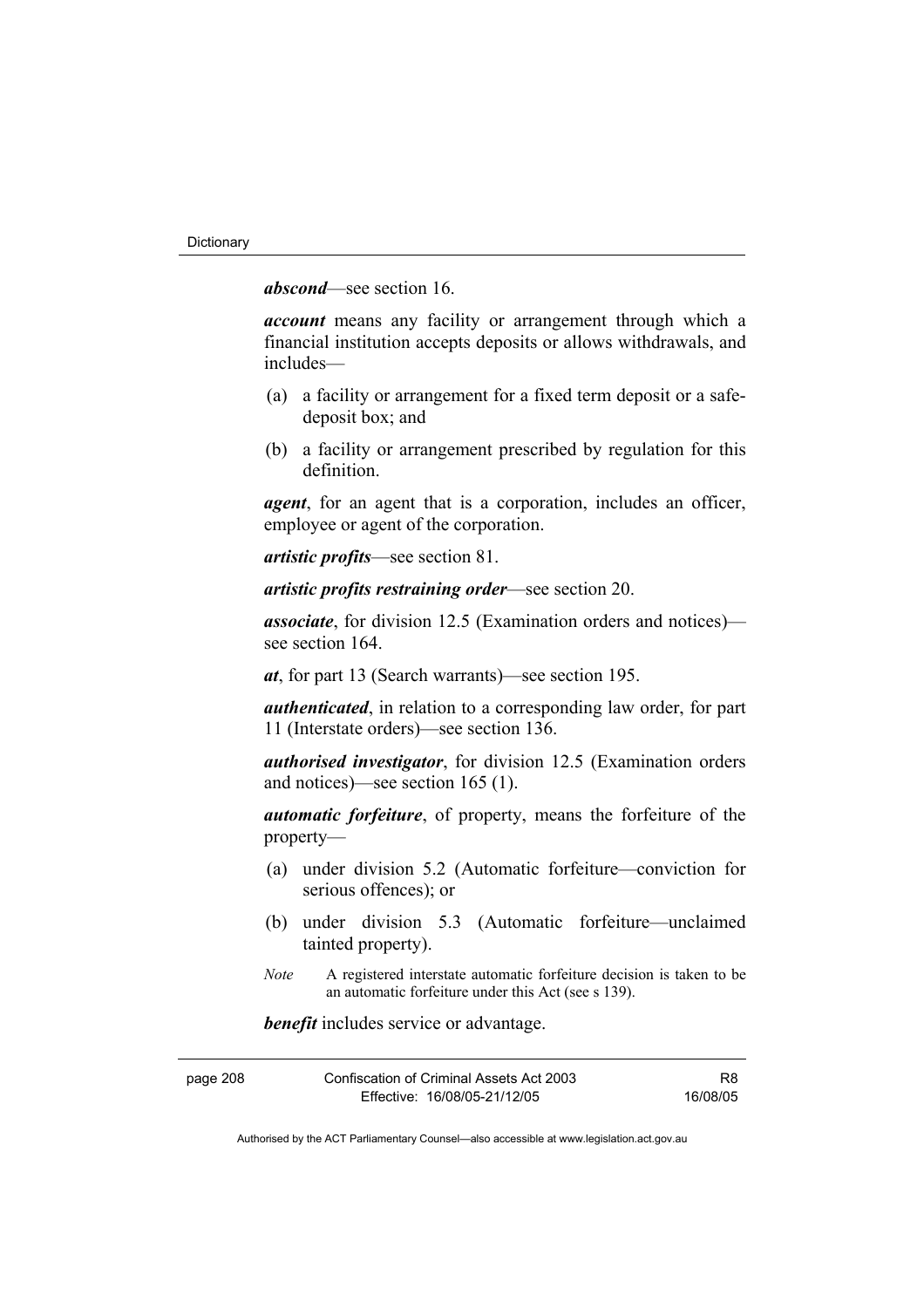*abscond*—see section 16.

*account* means any facility or arrangement through which a financial institution accepts deposits or allows withdrawals, and includes—

- (a) a facility or arrangement for a fixed term deposit or a safedeposit box; and
- (b) a facility or arrangement prescribed by regulation for this definition.

*agent*, for an agent that is a corporation, includes an officer, employee or agent of the corporation.

*artistic profits*—see section 81.

*artistic profits restraining order*—see section 20.

*associate*, for division 12.5 (Examination orders and notices) see section 164.

*at*, for part 13 (Search warrants)—see section 195.

*authenticated*, in relation to a corresponding law order, for part 11 (Interstate orders)—see section 136.

*authorised investigator*, for division 12.5 (Examination orders and notices)—see section 165 (1).

*automatic forfeiture*, of property, means the forfeiture of the property—

- (a) under division 5.2 (Automatic forfeiture—conviction for serious offences); or
- (b) under division 5.3 (Automatic forfeiture—unclaimed tainted property).
- *Note* A registered interstate automatic forfeiture decision is taken to be an automatic forfeiture under this Act (see s 139).

*benefit* includes service or advantage.

| page 208 | Confiscation of Criminal Assets Act 2003 | R8       |
|----------|------------------------------------------|----------|
|          | Effective: 16/08/05-21/12/05             | 16/08/05 |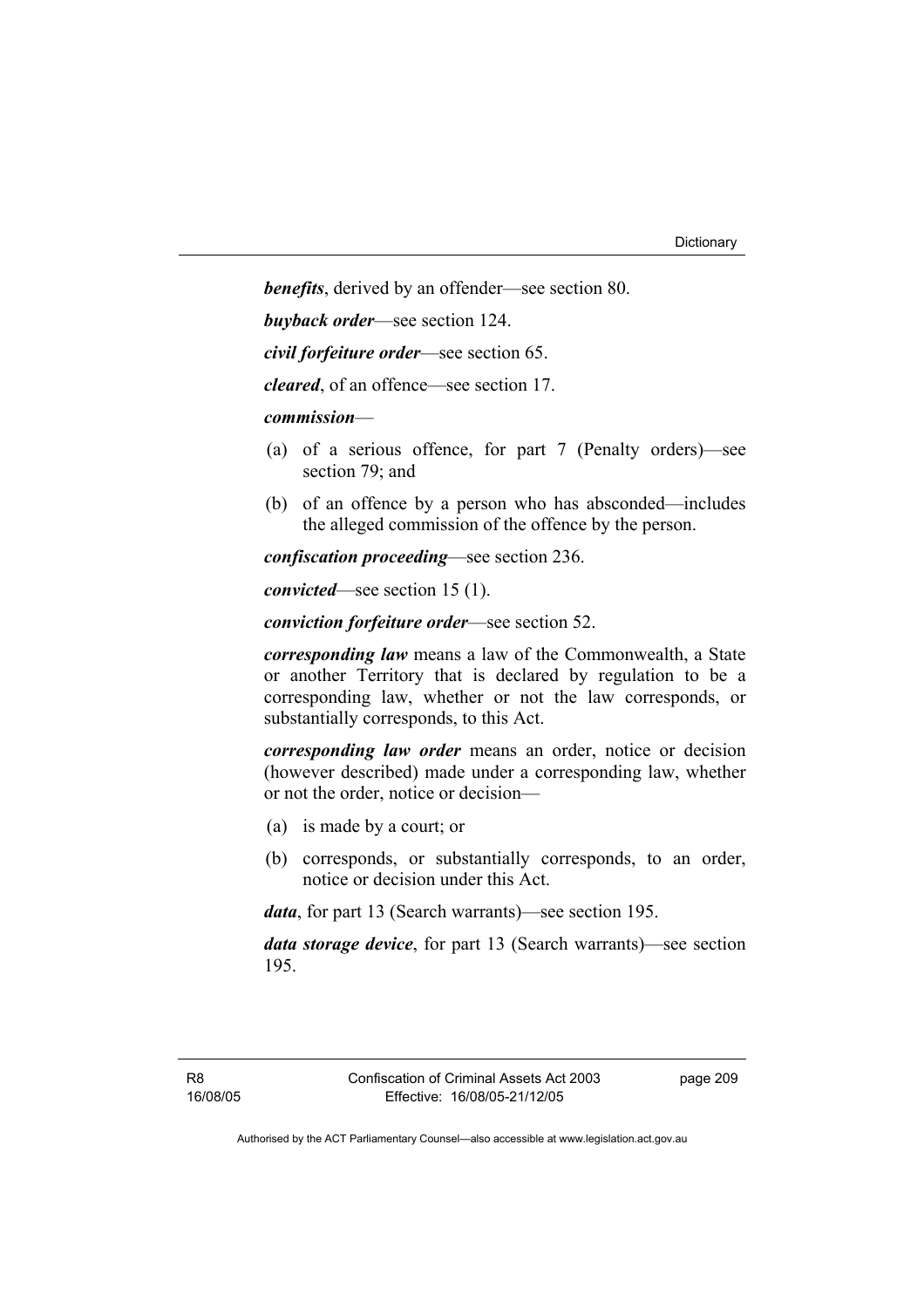*benefits*, derived by an offender—see section 80.

*buyback order*—see section 124.

*civil forfeiture order*—see section 65.

*cleared*, of an offence—see section 17.

*commission*—

- (a) of a serious offence, for part 7 (Penalty orders)—see section 79; and
- (b) of an offence by a person who has absconded—includes the alleged commission of the offence by the person.

*confiscation proceeding*—see section 236.

*convicted*—see section 15 (1).

*conviction forfeiture order*—see section 52.

*corresponding law* means a law of the Commonwealth, a State or another Territory that is declared by regulation to be a corresponding law, whether or not the law corresponds, or substantially corresponds, to this Act.

*corresponding law order* means an order, notice or decision (however described) made under a corresponding law, whether or not the order, notice or decision—

- (a) is made by a court; or
- (b) corresponds, or substantially corresponds, to an order, notice or decision under this Act.

*data*, for part 13 (Search warrants)—see section 195.

*data storage device*, for part 13 (Search warrants)—see section 195.

page 209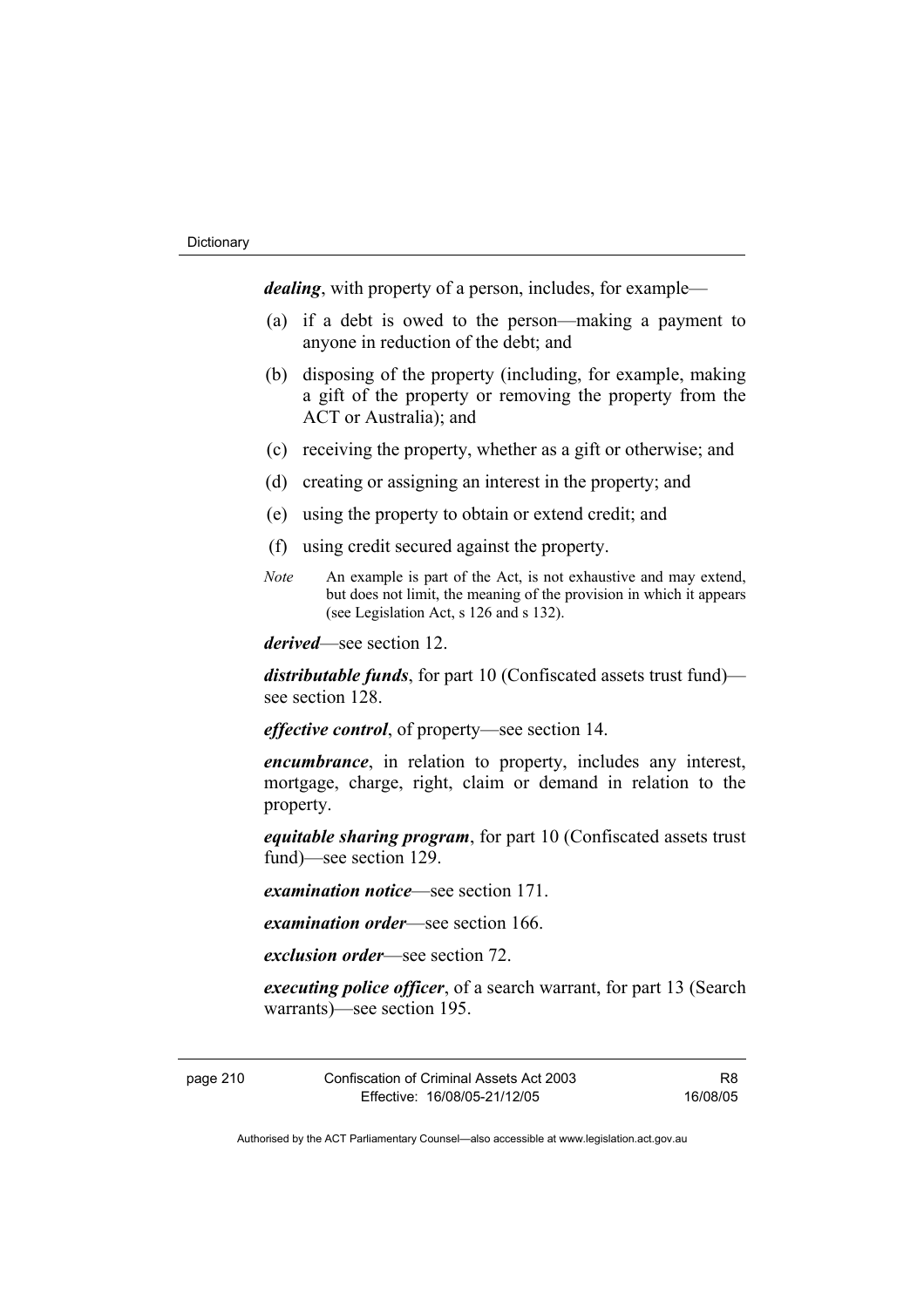*dealing*, with property of a person, includes, for example—

- (a) if a debt is owed to the person—making a payment to anyone in reduction of the debt; and
- (b) disposing of the property (including, for example, making a gift of the property or removing the property from the ACT or Australia); and
- (c) receiving the property, whether as a gift or otherwise; and
- (d) creating or assigning an interest in the property; and
- (e) using the property to obtain or extend credit; and
- (f) using credit secured against the property.
- *Note* An example is part of the Act, is not exhaustive and may extend, but does not limit, the meaning of the provision in which it appears (see Legislation Act, s 126 and s 132).

*derived*—see section 12.

*distributable funds*, for part 10 (Confiscated assets trust fund) see section 128.

*effective control*, of property—see section 14.

*encumbrance*, in relation to property, includes any interest, mortgage, charge, right, claim or demand in relation to the property.

*equitable sharing program*, for part 10 (Confiscated assets trust fund)—see section 129.

*examination notice*—see section 171.

*examination order*—see section 166.

*exclusion order*—see section 72.

*executing police officer*, of a search warrant, for part 13 (Search warrants)—see section 195.

page 210 Confiscation of Criminal Assets Act 2003 Effective: 16/08/05-21/12/05

R8 16/08/05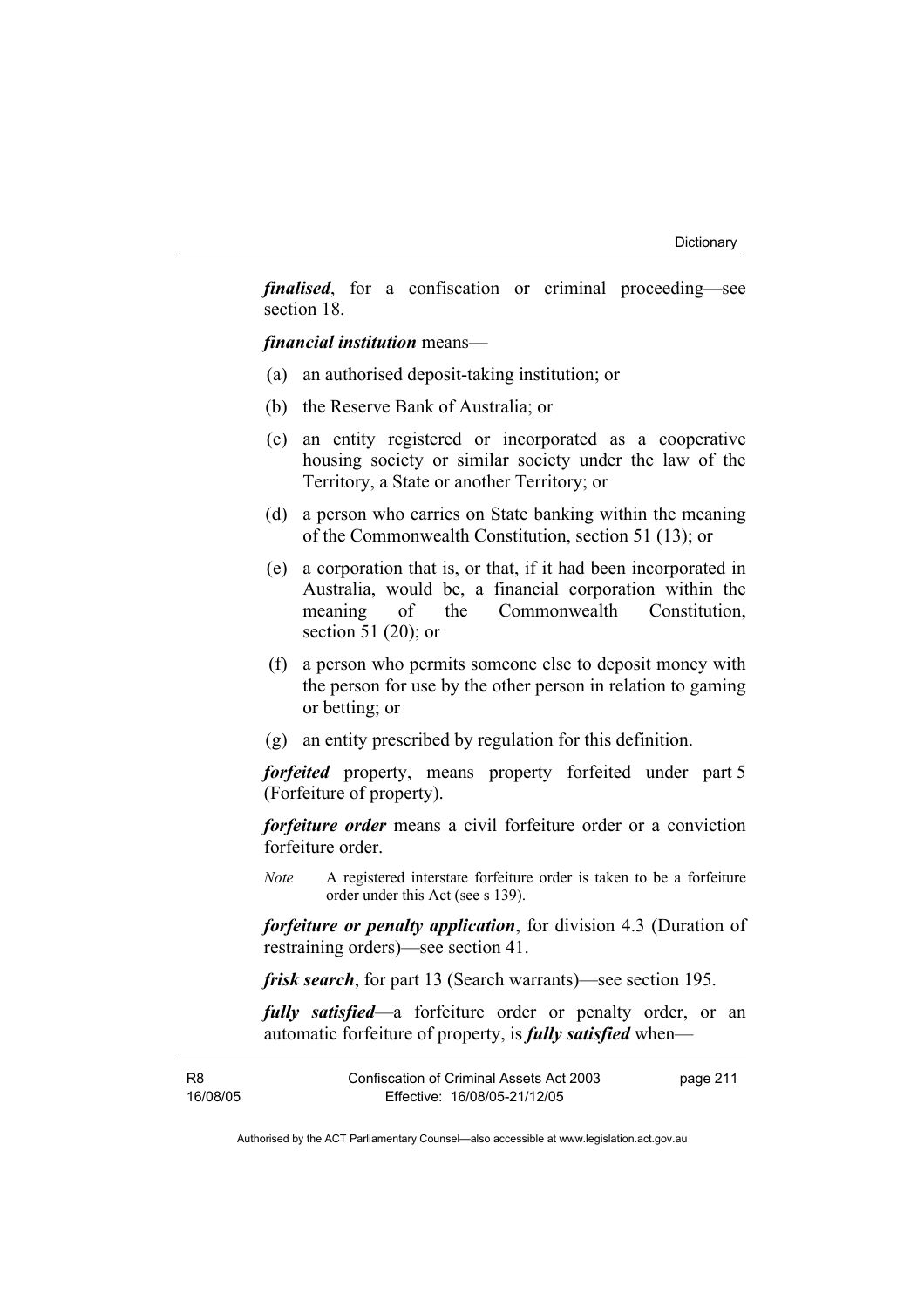*finalised*, for a confiscation or criminal proceeding—see section 18.

*financial institution* means—

- (a) an authorised deposit-taking institution; or
- (b) the Reserve Bank of Australia; or
- (c) an entity registered or incorporated as a cooperative housing society or similar society under the law of the Territory, a State or another Territory; or
- (d) a person who carries on State banking within the meaning of the Commonwealth Constitution, section 51 (13); or
- (e) a corporation that is, or that, if it had been incorporated in Australia, would be, a financial corporation within the meaning of the Commonwealth Constitution section 51 (20); or
- (f) a person who permits someone else to deposit money with the person for use by the other person in relation to gaming or betting; or
- (g) an entity prescribed by regulation for this definition.

*forfeited* property, means property forfeited under part 5 (Forfeiture of property).

*forfeiture order* means a civil forfeiture order or a conviction forfeiture order.

*Note* A registered interstate forfeiture order is taken to be a forfeiture order under this Act (see s 139).

*forfeiture or penalty application*, for division 4.3 (Duration of restraining orders)—see section 41.

*frisk search*, for part 13 (Search warrants)—see section 195.

*fully satisfied*—a forfeiture order or penalty order, or an automatic forfeiture of property, is *fully satisfied* when—

| R8       | Confiscation of Criminal Assets Act 2003 | page 211 |
|----------|------------------------------------------|----------|
| 16/08/05 | Effective: 16/08/05-21/12/05             |          |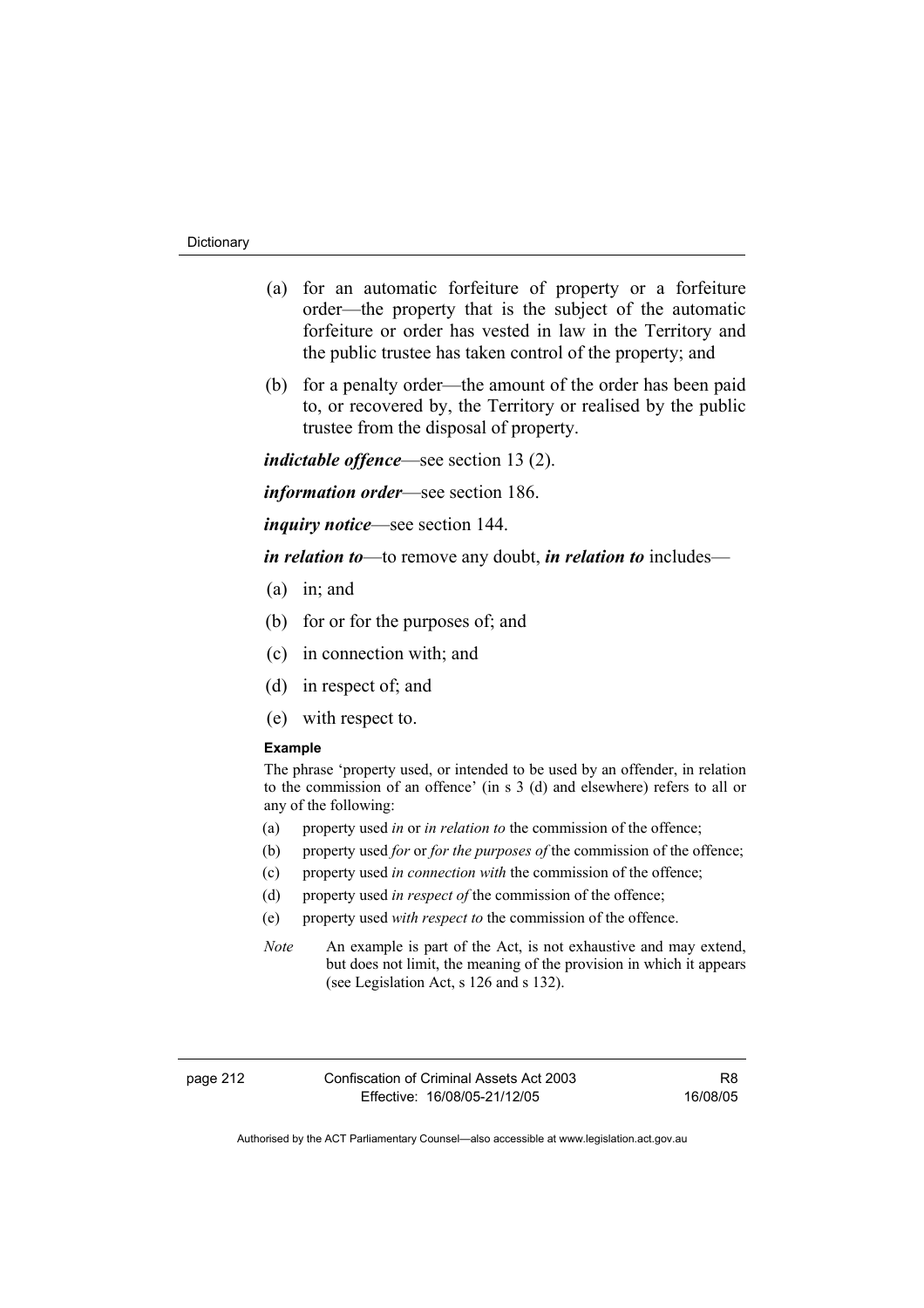- (a) for an automatic forfeiture of property or a forfeiture order—the property that is the subject of the automatic forfeiture or order has vested in law in the Territory and the public trustee has taken control of the property; and
- (b) for a penalty order—the amount of the order has been paid to, or recovered by, the Territory or realised by the public trustee from the disposal of property.

*indictable offence*—see section 13 (2).

*information order*—see section 186.

*inquiry notice*—see section 144.

*in relation to*—to remove any doubt, *in relation to* includes—

- (a) in; and
- (b) for or for the purposes of; and
- (c) in connection with; and
- (d) in respect of; and
- (e) with respect to.

#### **Example**

The phrase 'property used, or intended to be used by an offender, in relation to the commission of an offence' (in s 3 (d) and elsewhere) refers to all or any of the following:

- (a) property used *in* or *in relation to* the commission of the offence;
- (b) property used *for* or *for the purposes of* the commission of the offence;
- (c) property used *in connection with* the commission of the offence;
- (d) property used *in respect of* the commission of the offence;
- (e) property used *with respect to* the commission of the offence.
- *Note* An example is part of the Act, is not exhaustive and may extend, but does not limit, the meaning of the provision in which it appears (see Legislation Act, s 126 and s 132).

page 212 Confiscation of Criminal Assets Act 2003 Effective: 16/08/05-21/12/05

R8 16/08/05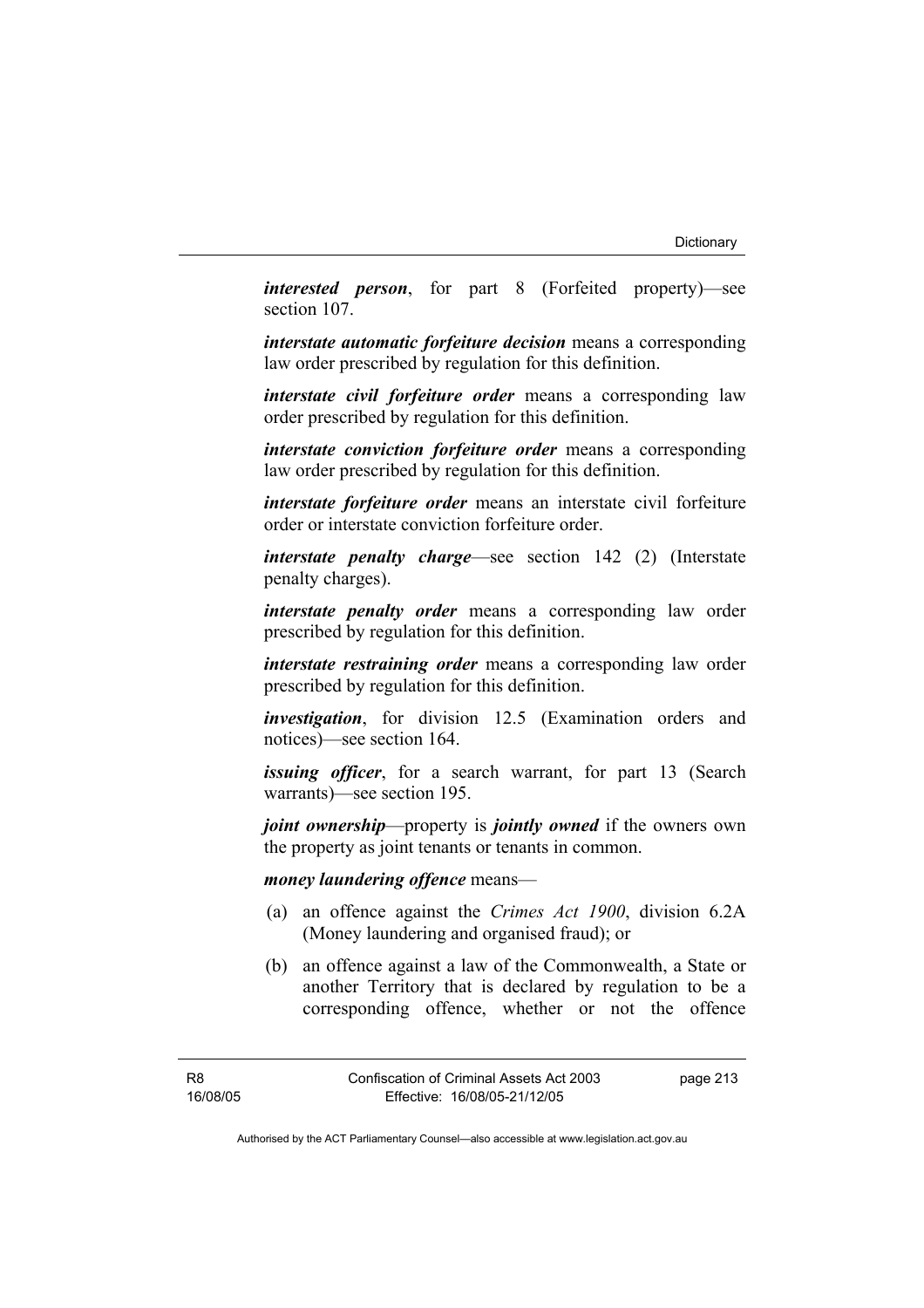*interested person*, for part 8 (Forfeited property)—see section 107.

*interstate automatic forfeiture decision* means a corresponding law order prescribed by regulation for this definition.

*interstate civil forfeiture order* means a corresponding law order prescribed by regulation for this definition.

*interstate conviction forfeiture order* means a corresponding law order prescribed by regulation for this definition.

*interstate forfeiture order* means an interstate civil forfeiture order or interstate conviction forfeiture order.

*interstate penalty charge*—see section 142 (2) (Interstate penalty charges).

*interstate penalty order* means a corresponding law order prescribed by regulation for this definition.

*interstate restraining order* means a corresponding law order prescribed by regulation for this definition.

*investigation*, for division 12.5 (Examination orders and notices)—see section 164.

*issuing officer*, for a search warrant, for part 13 (Search warrants)—see section 195.

*joint ownership*—property is *jointly owned* if the owners own the property as joint tenants or tenants in common.

### *money laundering offence* means—

- (a) an offence against the *Crimes Act 1900*, division 6.2A (Money laundering and organised fraud); or
- (b) an offence against a law of the Commonwealth, a State or another Territory that is declared by regulation to be a corresponding offence, whether or not the offence

R8 16/08/05 page 213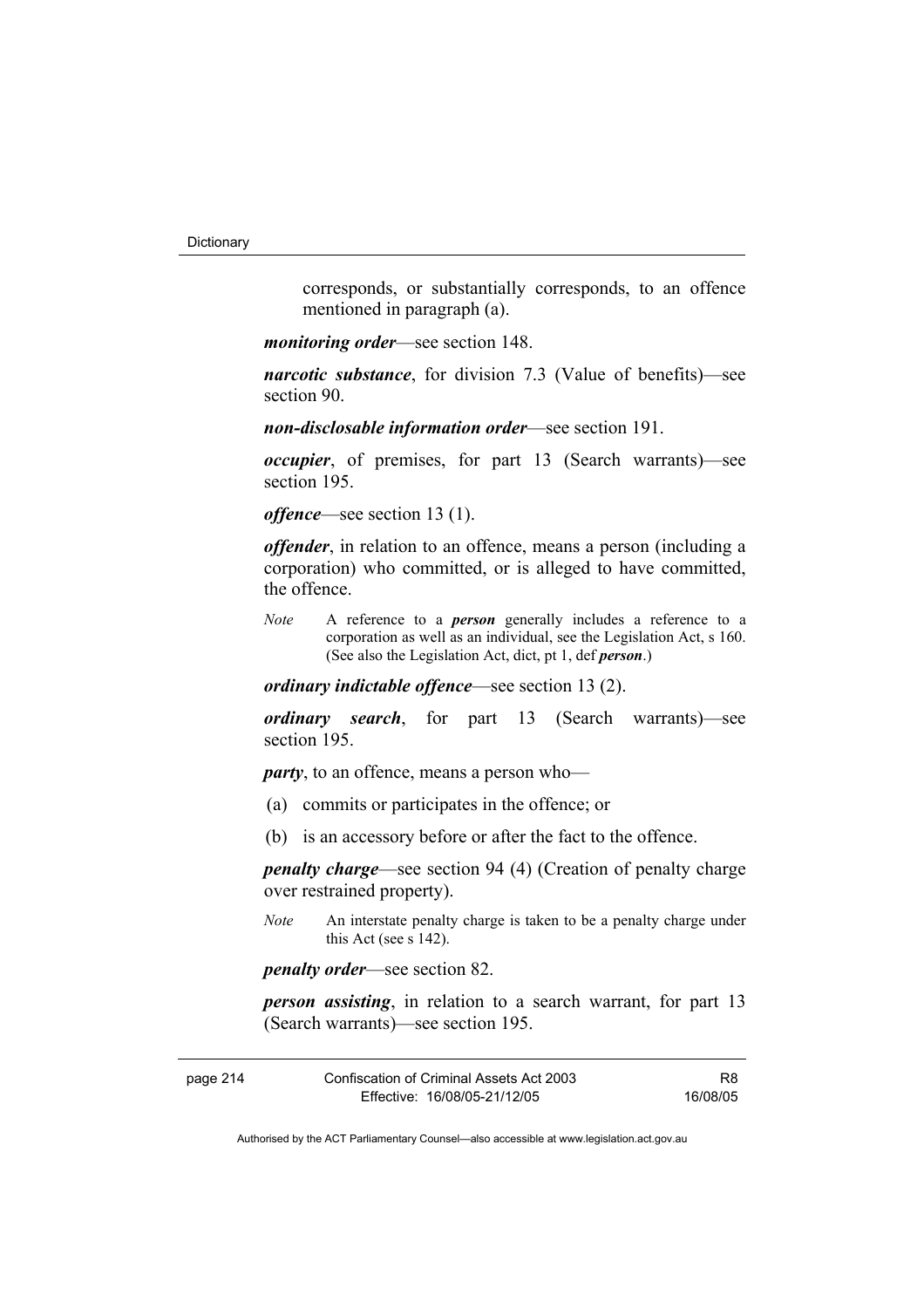corresponds, or substantially corresponds, to an offence mentioned in paragraph (a).

*monitoring order*—see section 148.

*narcotic substance*, for division 7.3 (Value of benefits)—see section 90.

*non-disclosable information order*—see section 191.

*occupier*, of premises, for part 13 (Search warrants)—see section 195.

*offence*—see section 13 (1).

*offender*, in relation to an offence, means a person (including a corporation) who committed, or is alleged to have committed, the offence.

*Note* A reference to a *person* generally includes a reference to a corporation as well as an individual, see the Legislation Act, s 160. (See also the Legislation Act, dict, pt 1, def *person*.)

*ordinary indictable offence*—see section 13 (2).

*ordinary search*, for part 13 (Search warrants)—see section 195.

*party*, to an offence, means a person who—

- (a) commits or participates in the offence; or
- (b) is an accessory before or after the fact to the offence.

*penalty charge*—see section 94 (4) (Creation of penalty charge over restrained property).

*Note* An interstate penalty charge is taken to be a penalty charge under this Act (see s 142).

*penalty order*—see section 82.

*person assisting*, in relation to a search warrant, for part 13 (Search warrants)—see section 195.

| page 214 | Confiscation of Criminal Assets Act 2003 | R8       |
|----------|------------------------------------------|----------|
|          | Effective: 16/08/05-21/12/05             | 16/08/05 |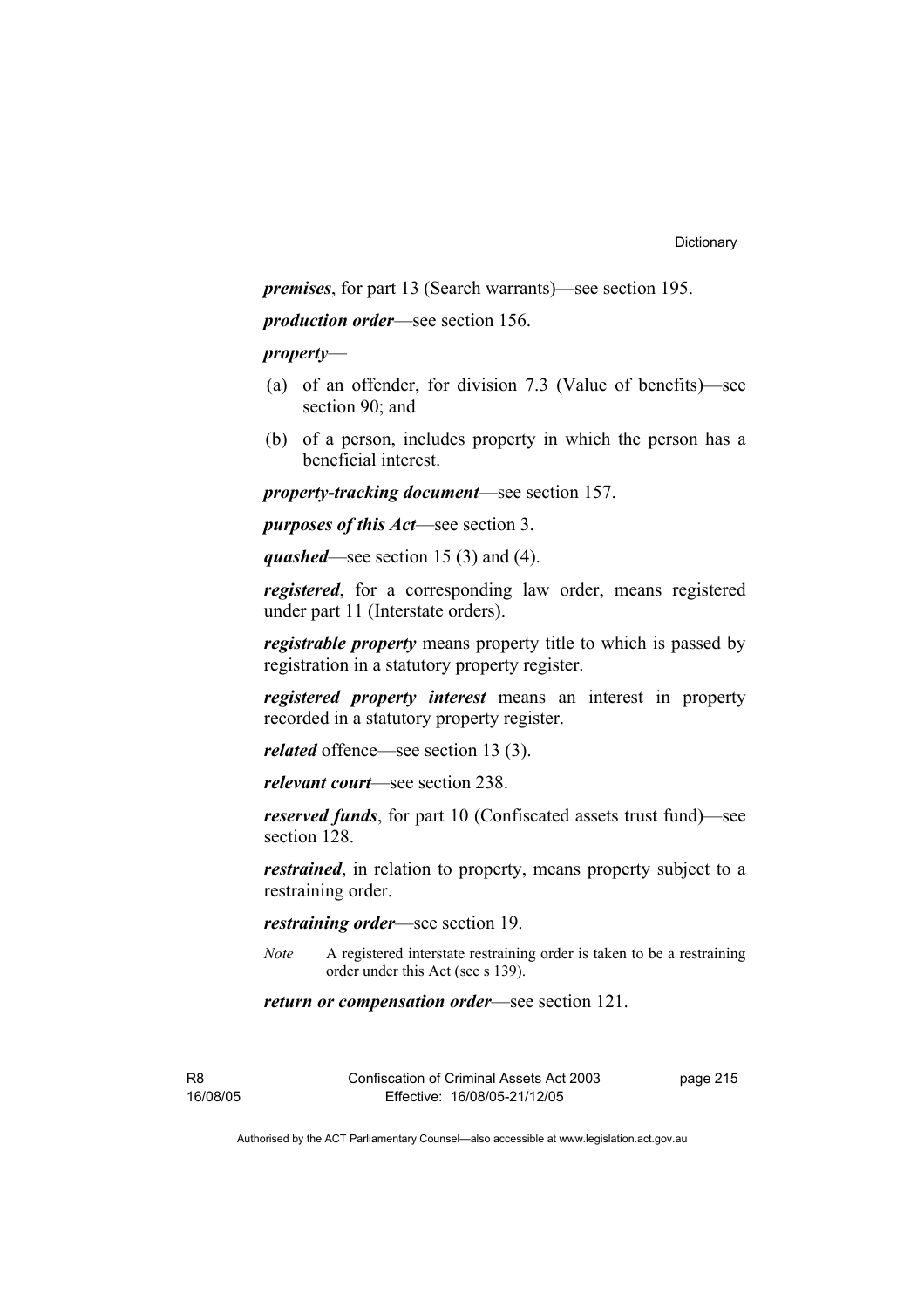*premises*, for part 13 (Search warrants)—see section 195.

*production order*—see section 156.

### *property*—

- (a) of an offender, for division 7.3 (Value of benefits)—see section 90; and
- (b) of a person, includes property in which the person has a beneficial interest.

*property-tracking document*—see section 157.

*purposes of this Act*—see section 3.

*quashed*—see section 15 (3) and (4).

*registered*, for a corresponding law order, means registered under part 11 (Interstate orders).

*registrable property* means property title to which is passed by registration in a statutory property register.

*registered property interest* means an interest in property recorded in a statutory property register.

*related* offence—see section 13 (3).

*relevant court*—see section 238.

*reserved funds*, for part 10 (Confiscated assets trust fund)—see section 128.

*restrained*, in relation to property, means property subject to a restraining order.

*restraining order*—see section 19.

*Note* A registered interstate restraining order is taken to be a restraining order under this Act (see s 139).

*return or compensation order*—see section 121.

R8 16/08/05 Confiscation of Criminal Assets Act 2003 Effective: 16/08/05-21/12/05

page 215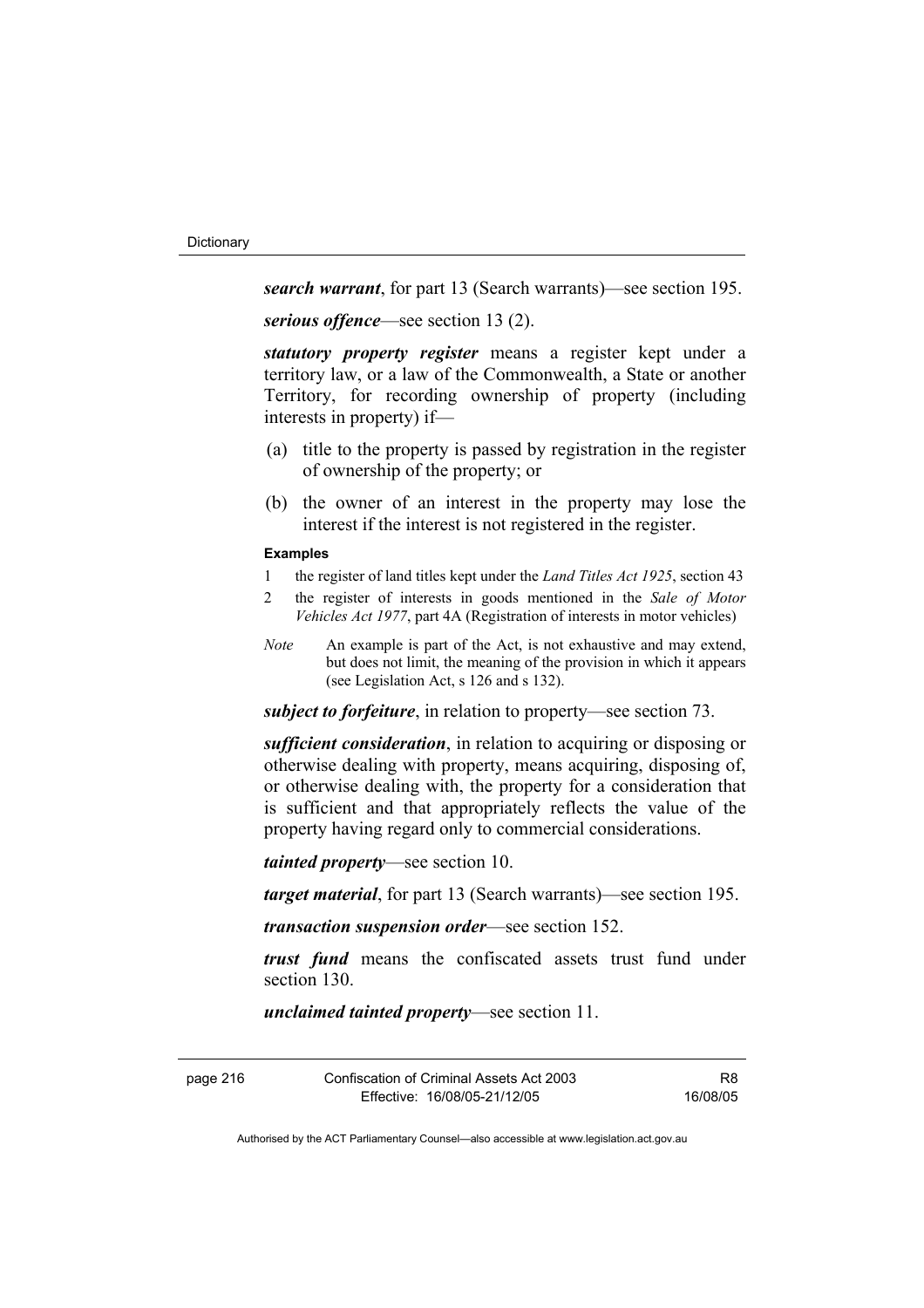*search warrant*, for part 13 (Search warrants)—see section 195.

*serious offence*—see section 13 (2).

*statutory property register* means a register kept under a territory law, or a law of the Commonwealth, a State or another Territory, for recording ownership of property (including interests in property) if—

- (a) title to the property is passed by registration in the register of ownership of the property; or
- (b) the owner of an interest in the property may lose the interest if the interest is not registered in the register.

### **Examples**

- 1 the register of land titles kept under the *Land Titles Act 1925*, section 43
- 2 the register of interests in goods mentioned in the *Sale of Motor Vehicles Act 1977*, part 4A (Registration of interests in motor vehicles)
- *Note* An example is part of the Act, is not exhaustive and may extend, but does not limit, the meaning of the provision in which it appears (see Legislation Act, s 126 and s 132).

*subject to forfeiture*, in relation to property—see section 73.

*sufficient consideration*, in relation to acquiring or disposing or otherwise dealing with property, means acquiring, disposing of, or otherwise dealing with, the property for a consideration that is sufficient and that appropriately reflects the value of the property having regard only to commercial considerations.

*tainted property*—see section 10.

*target material*, for part 13 (Search warrants)—see section 195.

*transaction suspension order*—see section 152.

*trust fund* means the confiscated assets trust fund under section 130.

*unclaimed tainted property*—see section 11.

Confiscation of Criminal Assets Act 2003 Effective: 16/08/05-21/12/05

R8 16/08/05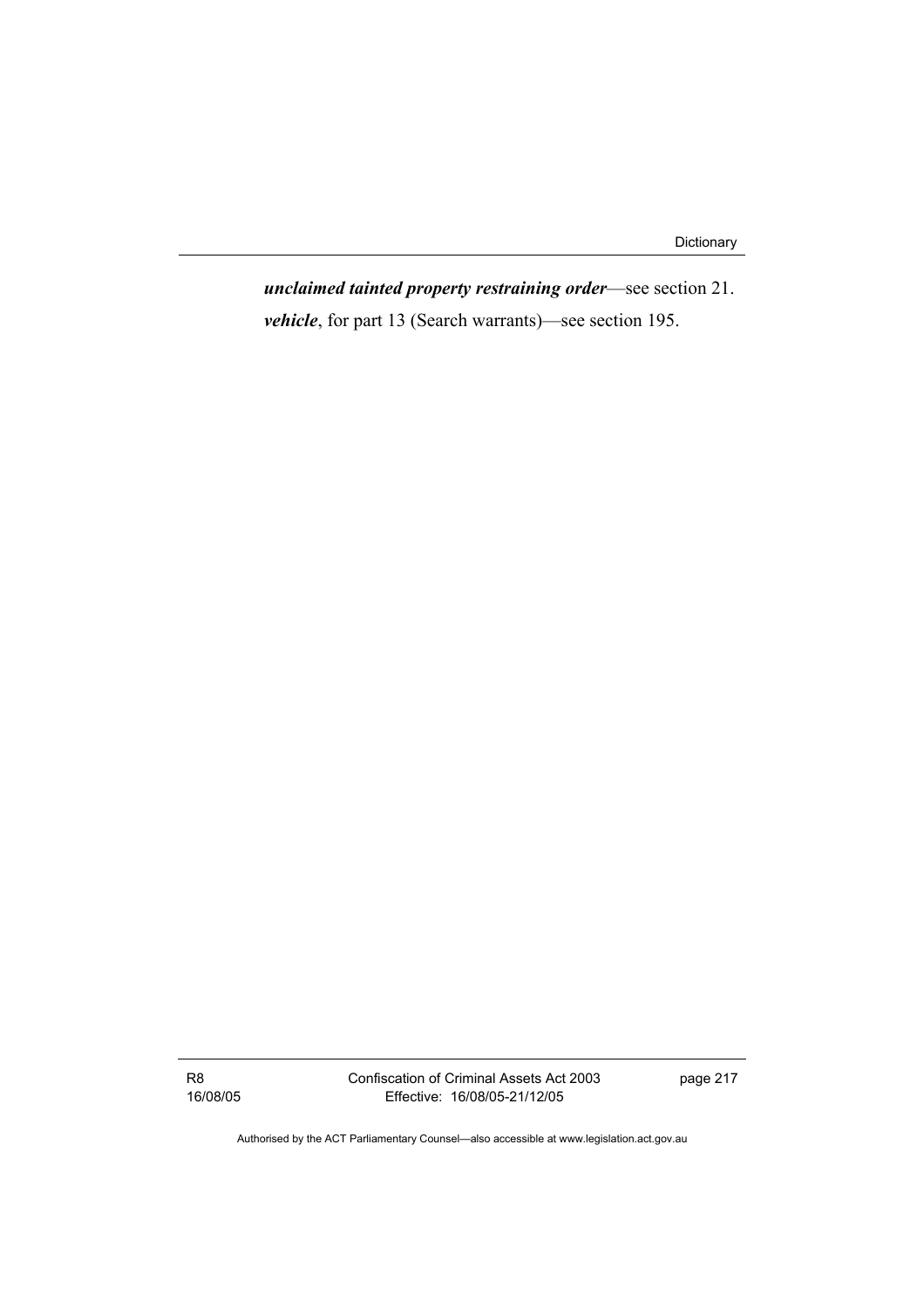*unclaimed tainted property restraining order*—see section 21. *vehicle*, for part 13 (Search warrants)—see section 195.

R8 16/08/05 Confiscation of Criminal Assets Act 2003 Effective: 16/08/05-21/12/05

page 217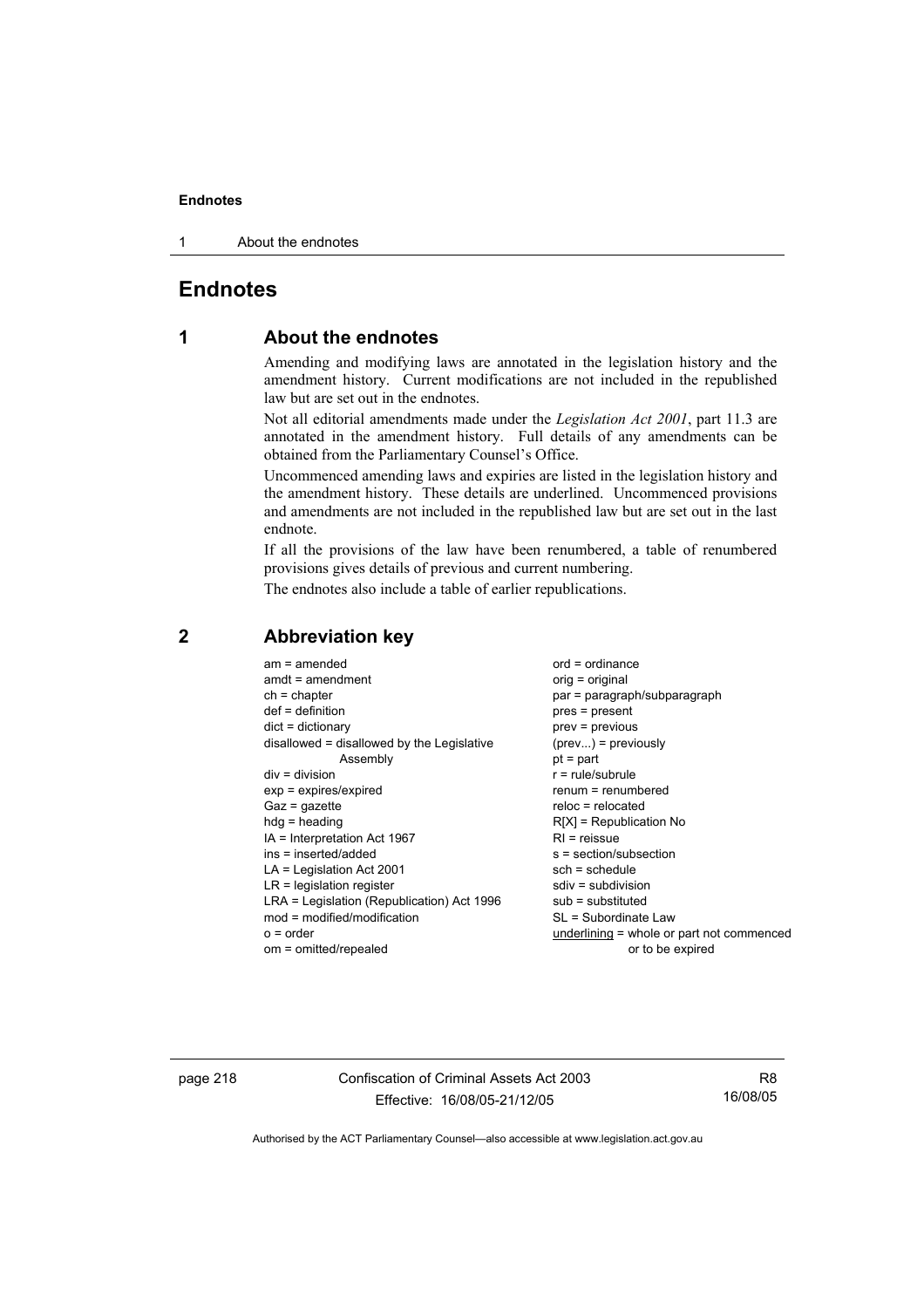1 About the endnotes

# **Endnotes**

# **1 About the endnotes**

Amending and modifying laws are annotated in the legislation history and the amendment history. Current modifications are not included in the republished law but are set out in the endnotes.

Not all editorial amendments made under the *Legislation Act 2001*, part 11.3 are annotated in the amendment history. Full details of any amendments can be obtained from the Parliamentary Counsel's Office.

Uncommenced amending laws and expiries are listed in the legislation history and the amendment history. These details are underlined. Uncommenced provisions and amendments are not included in the republished law but are set out in the last endnote.

If all the provisions of the law have been renumbered, a table of renumbered provisions gives details of previous and current numbering.

The endnotes also include a table of earlier republications.

| Assembly<br>$div = division$<br>$exp = expires/expired$<br>$Gaz = gazette$<br>$hdg =$ heading | $r = rule/subrule$<br>renum = renumbered<br>$reloc = relocated$<br>$R[X]$ = Republication No |
|-----------------------------------------------------------------------------------------------|----------------------------------------------------------------------------------------------|
| IA = Interpretation Act 1967                                                                  | $RI =$ reissue                                                                               |
| ins = inserted/added                                                                          | s = section/subsection                                                                       |
| $LA =$ Legislation Act 2001                                                                   | $sch = schedule$                                                                             |
| $LR =$ legislation register                                                                   | $sdiv = subdivision$                                                                         |
| LRA = Legislation (Republication) Act 1996                                                    | $sub =$ substituted                                                                          |
| $mod = modified/modification$                                                                 | SL = Subordinate Law                                                                         |
| $o = order$                                                                                   | underlining = whole or part not commenced                                                    |
| om = omitted/repealed                                                                         | or to be expired                                                                             |

### **2 Abbreviation key**

page 218 Confiscation of Criminal Assets Act 2003 Effective: 16/08/05-21/12/05

R8 16/08/05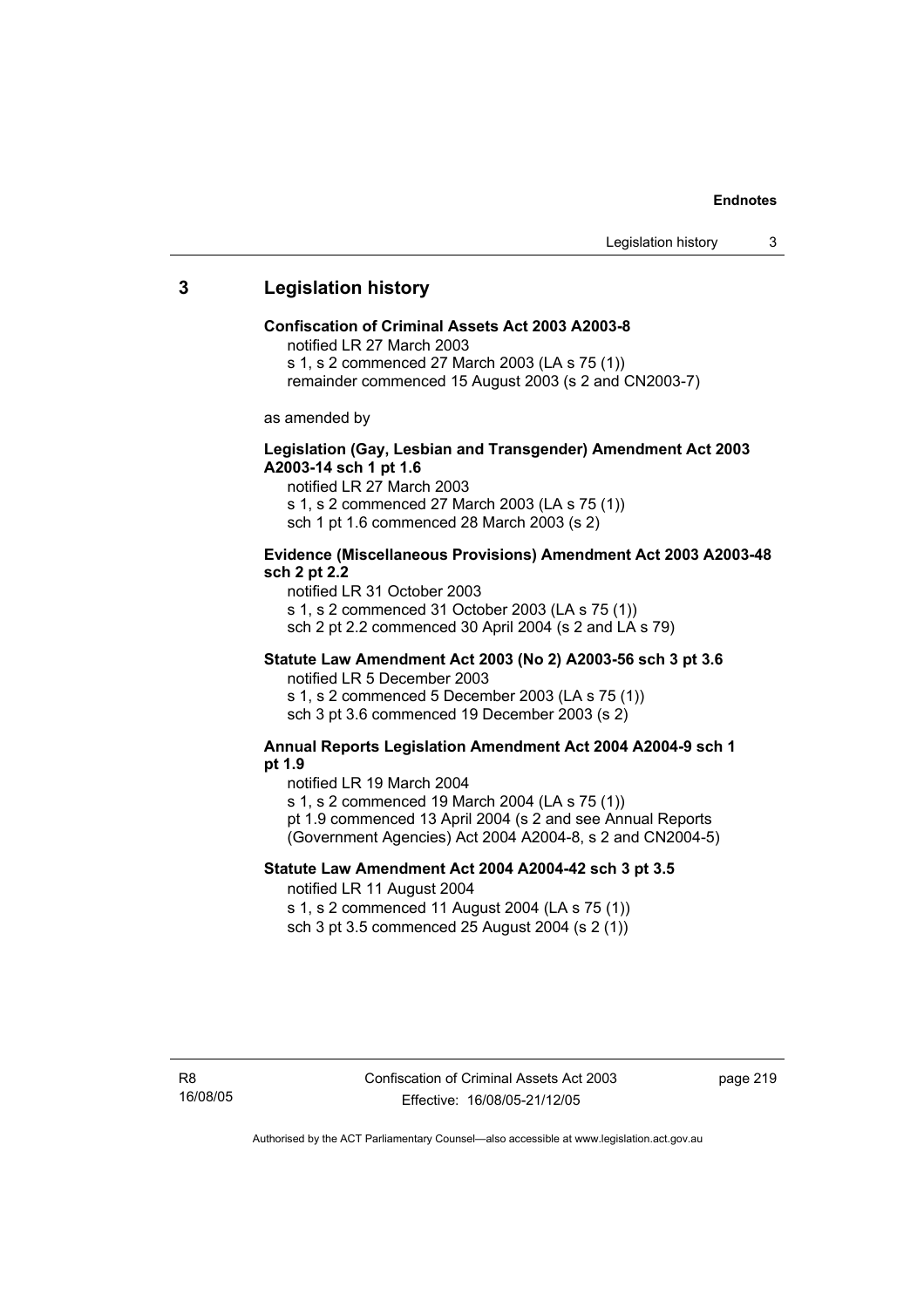### **3 Legislation history**

#### **Confiscation of Criminal Assets Act 2003 A2003-8**

notified LR 27 March 2003

s 1, s 2 commenced 27 March 2003 (LA s 75 (1))

remainder commenced 15 August 2003 (s 2 and CN2003-7)

as amended by

### **Legislation (Gay, Lesbian and Transgender) Amendment Act 2003 A2003-14 sch 1 pt 1.6**

notified LR 27 March 2003 s 1, s 2 commenced 27 March 2003 (LA s 75 (1)) sch 1 pt 1.6 commenced 28 March 2003 (s 2)

### **Evidence (Miscellaneous Provisions) Amendment Act 2003 A2003-48 sch 2 pt 2.2**

notified LR 31 October 2003 s 1, s 2 commenced 31 October 2003 (LA s 75 (1)) sch 2 pt 2.2 commenced 30 April 2004 (s 2 and LA s 79)

### **Statute Law Amendment Act 2003 (No 2) A2003-56 sch 3 pt 3.6**

notified LR 5 December 2003 s 1, s 2 commenced 5 December 2003 (LA s 75 (1)) sch 3 pt 3.6 commenced 19 December 2003 (s 2)

#### **Annual Reports Legislation Amendment Act 2004 A2004-9 sch 1 pt 1.9**

notified LR 19 March 2004

s 1, s 2 commenced 19 March 2004 (LA s 75 (1))

pt 1.9 commenced 13 April 2004 (s 2 and see Annual Reports (Government Agencies) Act 2004 A2004-8, s 2 and CN2004-5)

### **Statute Law Amendment Act 2004 A2004-42 sch 3 pt 3.5**  notified LR 11 August 2004

s 1, s 2 commenced 11 August 2004 (LA s 75 (1)) sch 3 pt 3.5 commenced 25 August 2004 (s 2 (1))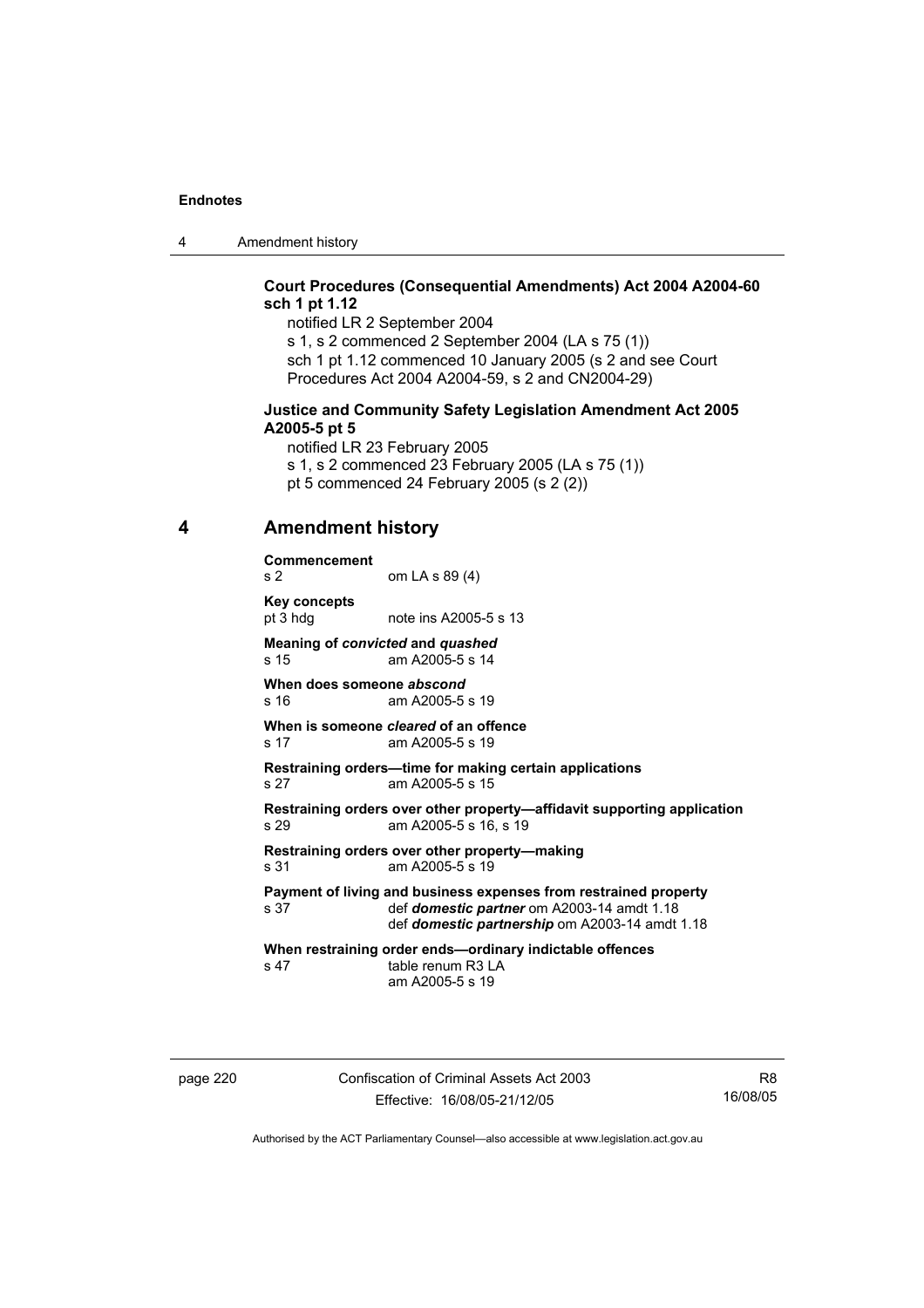4 Amendment history

### **Court Procedures (Consequential Amendments) Act 2004 A2004-60 sch 1 pt 1.12**

notified LR 2 September 2004 s 1, s 2 commenced 2 September 2004 (LA s 75 (1)) sch 1 pt 1.12 commenced 10 January 2005 (s 2 and see Court Procedures Act 2004 A2004-59, s 2 and CN2004-29)

#### **Justice and Community Safety Legislation Amendment Act 2005 A2005-5 pt 5**

notified LR 23 February 2005 s 1, s 2 commenced 23 February 2005 (LA s 75 (1)) pt 5 commenced 24 February 2005 (s 2 (2))

### **4 Amendment history**

**Commencement**  s 2 om LA s 89 (4) **Key concepts**  pt 3 hdg note ins A2005-5 s 13 **Meaning of** *convicted* **and** *quashed* s 15 am A2005-5 s 14 **When does someone** *abscond* s 16 am A2005-5 s 19 **When is someone** *cleared* **of an offence**  s 17 am A2005-5 s 19 **Restraining orders—time for making certain applications**  s 27 am A2005-5 s 15 **Restraining orders over other property—affidavit supporting application**  s 29 am A2005-5 s 16, s 19 **Restraining orders over other property—making**  s 31 am A2005-5 s 19 **Payment of living and business expenses from restrained property** s 37 def *domestic partner* om A2003-14 amdt 1.18 def *domestic partner* om A2003-14 amdt 1.18 def *domestic partnership* om A2003-14 amdt 1.18 **When restraining order ends—ordinary indictable offences**  s 47 table renum R3 LA am A2005-5 s 19

page 220 Confiscation of Criminal Assets Act 2003 Effective: 16/08/05-21/12/05

R8 16/08/05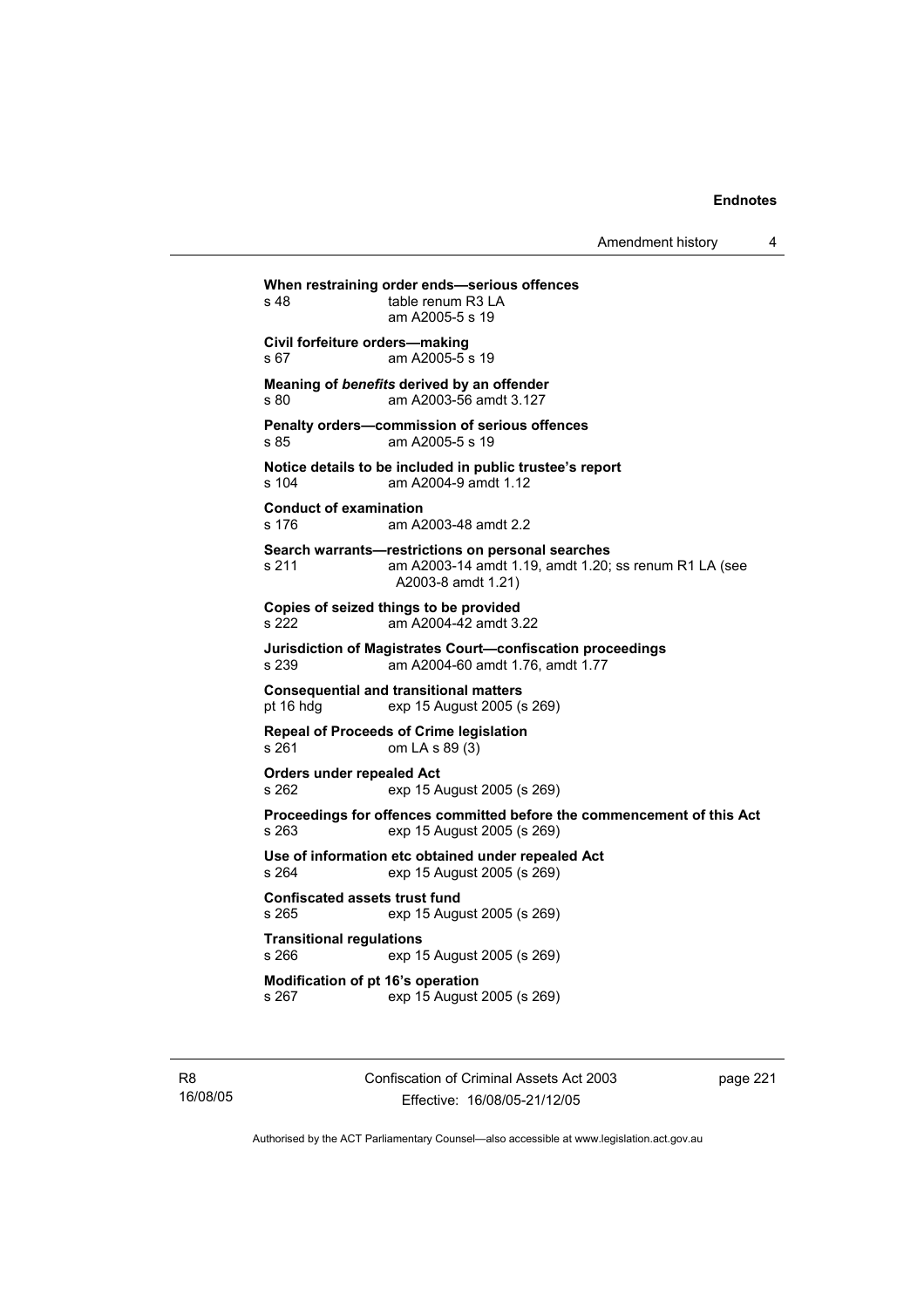Amendment history 4

**When restraining order ends—serious offences**  s 48 table renum R3 LA am A2005-5 s 19 **Civil forfeiture orders—making**  s 67 am A2005-5 s 19 **Meaning of** *benefits* **derived by an offender**  s 80 am A2003-56 amdt 3.127 **Penalty orders—commission of serious offences**  s 85 am A2005-5 s 19 **Notice details to be included in public trustee's report**  s 104 am A2004-9 amdt 1.12 **Conduct of examination**  s 176 am A2003-48 amdt 2.2 **Search warrants—restrictions on personal searches**  s 211 am A2003-14 amdt 1.19, amdt 1.20; ss renum R1 LA (see A2003-8 amdt 1.21) **Copies of seized things to be provided**  s 222 am A2004-42 amdt 3.22 **Jurisdiction of Magistrates Court—confiscation proceedings**  s 239 am A2004-60 amdt 1.76, amdt 1.77 **Consequential and transitional matters**  exp 15 August 2005 (s 269) **Repeal of Proceeds of Crime legislation**  s 261 om LA s 89 (3) **Orders under repealed Act**  s 262 exp 15 August 2005 (s 269) **Proceedings for offences committed before the commencement of this Act**  s 263 exp 15 August 2005 (s 269) **Use of information etc obtained under repealed Act**  s 264 exp 15 August 2005 (s 269) **Confiscated assets trust fund**  s 265 exp 15 August 2005 (s 269) **Transitional regulations**  s 266 exp 15 August 2005 (s 269) **Modification of pt 16's operation**  s 267 exp 15 August 2005 (s 269)

R8 16/08/05 Confiscation of Criminal Assets Act 2003 Effective: 16/08/05-21/12/05

page 221